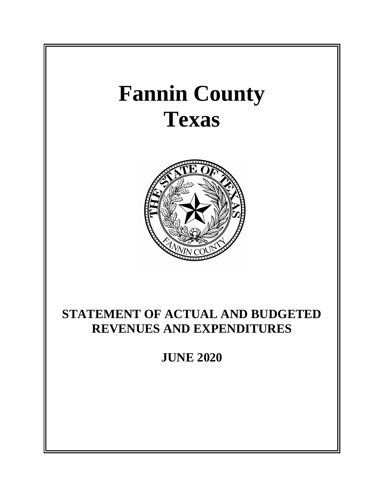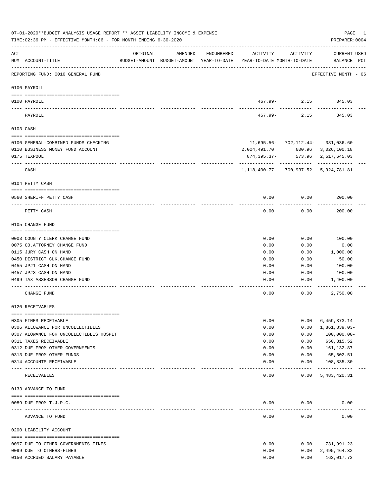|     | 07-01-2020**BUDGET ANALYSIS USAGE REPORT ** ASSET LIABILITY INCOME & EXPENSE<br>TIME: 02:36 PM - EFFECTIVE MONTH: 06 - FOR MONTH ENDING 6-30-2020 |                              |         |            |                                                                                 |                                   | PAGE<br>PREPARER: 0004      | 1 |
|-----|---------------------------------------------------------------------------------------------------------------------------------------------------|------------------------------|---------|------------|---------------------------------------------------------------------------------|-----------------------------------|-----------------------------|---|
| ACT | NUM ACCOUNT-TITLE                                                                                                                                 | ORIGINAL                     | AMENDED | ENCUMBERED | ACTIVITY<br>BUDGET-AMOUNT BUDGET-AMOUNT YEAR-TO-DATE YEAR-TO-DATE MONTH-TO-DATE | ACTIVITY                          | CURRENT USED<br>BALANCE PCT |   |
|     | REPORTING FUND: 0010 GENERAL FUND                                                                                                                 |                              |         |            |                                                                                 |                                   | EFFECTIVE MONTH - 06        |   |
|     | 0100 PAYROLL                                                                                                                                      |                              |         |            |                                                                                 |                                   |                             |   |
|     | 0100 PAYROLL                                                                                                                                      |                              |         |            |                                                                                 | 467.99- 2.15 345.03               |                             |   |
|     | ---- ----<br>PAYROLL                                                                                                                              |                              |         |            | 467.99-                                                                         | 2.15                              | 345.03                      |   |
|     | 0103 CASH                                                                                                                                         |                              |         |            |                                                                                 |                                   |                             |   |
|     | 0100 GENERAL-COMBINED FUNDS CHECKING                                                                                                              |                              |         |            |                                                                                 | 11,695.56- 702,112.44- 381,036.60 |                             |   |
|     | 0110 BUSINESS MONEY FUND ACCOUNT                                                                                                                  |                              |         |            | 2,004,491.70                                                                    |                                   | 600.96 3,026,100.18         |   |
|     | 0175 TEXPOOL                                                                                                                                      |                              |         |            | 874,395.37-                                                                     |                                   | 573.96 2,517,645.03         |   |
|     | CASH                                                                                                                                              |                              |         |            | 1,118,400.77                                                                    |                                   | 700,937.52- 5,924,781.81    |   |
|     | 0104 PETTY CASH                                                                                                                                   |                              |         |            |                                                                                 |                                   |                             |   |
|     | 0560 SHERIFF PETTY CASH                                                                                                                           |                              |         |            | 0.00                                                                            | 0.00                              | 200.00                      |   |
|     | PETTY CASH                                                                                                                                        |                              |         |            | 0.00                                                                            | 0.00                              | 200.00                      |   |
|     | 0105 CHANGE FUND                                                                                                                                  |                              |         |            |                                                                                 |                                   |                             |   |
|     |                                                                                                                                                   |                              |         |            |                                                                                 |                                   |                             |   |
|     | 0003 COUNTY CLERK CHANGE FUND                                                                                                                     |                              |         |            | 0.00                                                                            | 0.00                              | 100.00                      |   |
|     | 0075 CO. ATTORNEY CHANGE FUND<br>0115 JURY CASH ON HAND                                                                                           |                              |         |            | 0.00<br>0.00                                                                    | 0.00<br>0.00                      | 0.00<br>1,000.00            |   |
|     | 0450 DISTRICT CLK. CHANGE FUND                                                                                                                    |                              |         |            | 0.00                                                                            | 0.00                              | 50.00                       |   |
|     | 0455 JP#1 CASH ON HAND                                                                                                                            |                              |         |            | 0.00                                                                            | 0.00                              | 100.00                      |   |
|     | 0457 JP#3 CASH ON HAND                                                                                                                            |                              |         |            | 0.00                                                                            | 0.00                              | 100.00                      |   |
|     | 0499 TAX ASSESSOR CHANGE FUND                                                                                                                     |                              |         |            | 0.00                                                                            | 0.00                              | 1,400.00                    |   |
|     | CHANGE FUND                                                                                                                                       |                              |         |            | 0.00                                                                            | 0.00                              | 2,750.00                    |   |
|     | 0120 RECEIVABLES                                                                                                                                  |                              |         |            |                                                                                 |                                   |                             |   |
|     | 0305 FINES RECEIVABLE                                                                                                                             |                              |         |            | 0.00                                                                            | 0.00                              | 6,459,373.14                |   |
|     | 0306 ALLOWANCE FOR UNCOLLECTIBLES                                                                                                                 |                              |         |            | 0.00                                                                            | 0.00                              | 1,861,839.03-               |   |
|     | 0307 ALOWANCE FOR UNCOLLECTIBLES HOSPIT                                                                                                           |                              |         |            | 0.00                                                                            | 0.00                              | $100,000.00 -$              |   |
|     | 0311 TAXES RECEIVABLE                                                                                                                             |                              |         |            | 0.00                                                                            | 0.00                              | 650, 315.52                 |   |
|     | 0312 DUE FROM OTHER GOVERNMENTS                                                                                                                   |                              |         |            | 0.00                                                                            | 0.00                              | 161,132.87                  |   |
|     | 0313 DUE FROM OTHER FUNDS                                                                                                                         |                              |         |            | 0.00                                                                            | 0.00                              | 65,602.51                   |   |
|     | 0314 ACCOUNTS RECEIVABLE<br>---- --------------------                                                                                             | -------------- ------------- |         |            | 0.00                                                                            | 0.00<br>----------                | 108,835.30<br>------------- |   |
|     | RECEIVABLES                                                                                                                                       |                              |         |            | 0.00                                                                            | 0.00                              | 5,483,420.31                |   |
|     | 0133 ADVANCE TO FUND                                                                                                                              |                              |         |            |                                                                                 |                                   |                             |   |
|     | 0089 DUE FROM T.J.P.C.                                                                                                                            |                              |         |            | 0.00                                                                            | 0.00                              | 0.00                        |   |
|     | ADVANCE TO FUND                                                                                                                                   |                              |         |            | 0.00                                                                            | 0.00                              | 0.00                        |   |
|     | 0200 LIABILITY ACCOUNT                                                                                                                            |                              |         |            |                                                                                 |                                   |                             |   |
|     |                                                                                                                                                   |                              |         |            |                                                                                 |                                   |                             |   |
|     | 0097 DUE TO OTHER GOVERNMENTS-FINES                                                                                                               |                              |         |            | 0.00                                                                            | 0.00                              | 731,991.23                  |   |
|     | 0099 DUE TO OTHERS-FINES                                                                                                                          |                              |         |            | 0.00                                                                            | 0.00                              | 2,495,464.32                |   |
|     | 0150 ACCRUED SALARY PAYABLE                                                                                                                       |                              |         |            | 0.00                                                                            | 0.00                              | 163,017.73                  |   |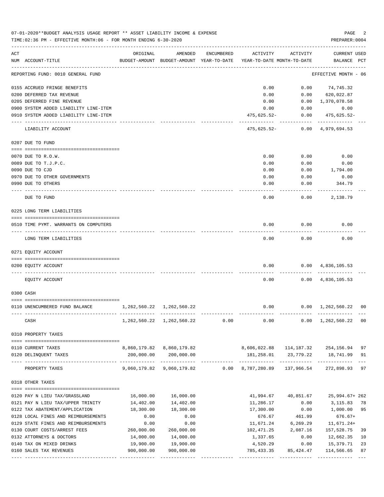|     | 07-01-2020**BUDGET ANALYSIS USAGE REPORT ** ASSET LIABILITY INCOME & EXPENSE<br>TIME:02:36 PM - EFFECTIVE MONTH:06 - FOR MONTH ENDING 6-30-2020 |                                 |                                                     |            |                                        |                           | PAGE<br>PREPARER: 0004             | 2           |
|-----|-------------------------------------------------------------------------------------------------------------------------------------------------|---------------------------------|-----------------------------------------------------|------------|----------------------------------------|---------------------------|------------------------------------|-------------|
| ACT | NUM ACCOUNT-TITLE                                                                                                                               | ORIGINAL                        | AMENDED<br>BUDGET-AMOUNT BUDGET-AMOUNT YEAR-TO-DATE | ENCUMBERED | ACTIVITY<br>YEAR-TO-DATE MONTH-TO-DATE | ACTIVITY                  | CURRENT USED<br>BALANCE PCT        |             |
|     | REPORTING FUND: 0010 GENERAL FUND                                                                                                               |                                 |                                                     |            |                                        |                           | EFFECTIVE MONTH - 06               |             |
|     | 0155 ACCRUED FRINGE BENEFITS                                                                                                                    |                                 |                                                     |            | 0.00                                   | 0.00                      | 74,745.32                          |             |
|     | 0200 DEFERRED TAX REVENUE                                                                                                                       |                                 |                                                     |            | 0.00                                   | 0.00                      | 620,022.87                         |             |
|     | 0205 DEFERRED FINE REVENUE                                                                                                                      |                                 |                                                     |            | 0.00                                   |                           | $0.00 \quad 1,370,078.58$          |             |
|     | 0900 SYSTEM ADDED LIABILITY LINE-ITEM                                                                                                           |                                 |                                                     |            | 0.00                                   | 0.00                      | 0.00                               |             |
|     | 0910 SYSTEM ADDED LIABILITY LINE-ITEM                                                                                                           |                                 |                                                     |            | 475,625.52-                            | . <u>.</u> .              | $0.00$ $475,625.52$ -              |             |
|     | LIABILITY ACCOUNT                                                                                                                               |                                 |                                                     |            | 475,625.52-                            |                           | $0.00 \quad 4,979,694.53$          |             |
|     | 0207 DUE TO FUND                                                                                                                                |                                 |                                                     |            |                                        |                           |                                    |             |
|     | 0070 DUE TO R.O.W.                                                                                                                              |                                 |                                                     |            | 0.00                                   | 0.00                      | 0.00                               |             |
|     | 0089 DUE TO T.J.P.C.                                                                                                                            |                                 |                                                     |            | 0.00                                   | 0.00                      | 0.00                               |             |
|     | 0090 DUE TO CJD                                                                                                                                 |                                 |                                                     |            | 0.00                                   | 0.00                      | 1,794.00                           |             |
|     | 0970 DUE TO OTHER GOVERNMENTS                                                                                                                   |                                 |                                                     |            | 0.00                                   | 0.00                      | 0.00                               |             |
|     | 0990 DUE TO OTHERS                                                                                                                              |                                 |                                                     |            | 0.00                                   | 0.00                      | 344.79                             |             |
|     | DUE TO FUND                                                                                                                                     |                                 |                                                     |            | 0.00                                   | 0.00                      | 2,138.79                           |             |
|     | 0225 LONG TERM LIABILITIES                                                                                                                      |                                 |                                                     |            |                                        |                           |                                    |             |
|     | 0510 TIME PYMT. WARRANTS ON COMPUTERS                                                                                                           |                                 |                                                     |            | 0.00                                   | 0.00                      | 0.00                               |             |
|     | LONG TERM LIABILITIES                                                                                                                           |                                 |                                                     |            | 0.00                                   | 0.00                      | 0.00                               |             |
|     | 0271 EQUITY ACCOUNT                                                                                                                             |                                 |                                                     |            |                                        |                           |                                    |             |
|     | 0200 EQUITY ACCOUNT                                                                                                                             |                                 |                                                     |            | 0.00                                   |                           | $0.00 \quad 4,836,105.53$          |             |
|     | EQUITY ACCOUNT                                                                                                                                  |                                 |                                                     |            | 0.00                                   |                           | $0.00 \quad 4,836,105.53$          |             |
|     | 0300 CASH                                                                                                                                       |                                 |                                                     |            |                                        |                           |                                    |             |
|     |                                                                                                                                                 |                                 |                                                     |            |                                        |                           |                                    |             |
|     | 0110 UNENCUMBERED FUND BALANCE                                                                                                                  | 1, 262, 560. 22 1, 262, 560. 22 |                                                     |            | 0.00                                   |                           | $0.00 \quad 1,262,560.22 \quad 00$ |             |
|     | CASH                                                                                                                                            |                                 | 1, 262, 560. 22 1, 262, 560. 22                     | 0.00       | 0.00                                   | 0.00                      | 1,262,560.22                       | 00          |
|     | 0310 PROPERTY TAXES                                                                                                                             |                                 |                                                     |            |                                        |                           |                                    |             |
|     | 0110 CURRENT TAXES                                                                                                                              |                                 | 8,860,179.82 8,860,179.82                           |            |                                        | 8,606,022.88 114,187.32   | 254, 156. 94 97                    |             |
|     | 0120 DELINQUENT TAXES                                                                                                                           |                                 | 200,000.00 200,000.00                               |            |                                        | 181,258.01 23,779.22      | 18,741.99 91                       |             |
|     | PROPERTY TAXES                                                                                                                                  | ---------------                 | -------------<br>9,060,179.82 9,060,179.82          | 0.00       | 8,787,280.89 137,966.54                |                           | 272,898.93 97                      | $- - -$     |
|     | 0318 OTHER TAXES                                                                                                                                |                                 |                                                     |            |                                        |                           |                                    |             |
|     |                                                                                                                                                 | 16,000.00                       | 16,000.00                                           |            | 41,994.67                              | 40,851.67                 | 25,994.67+262                      |             |
|     | 0120 PAY N LIEU TAX/GRASSLAND<br>0121 PAY N LIEU TAX/UPPER TRINITY                                                                              | 14,402.00                       | 14,402.00                                           |            | 11,286.17                              | 0.00                      | 3, 115.83                          | 78          |
|     | 0122 TAX ABATEMENT/APPLICATION                                                                                                                  | 18,300.00                       | 18,300.00                                           |            | 17,300.00                              | 0.00                      | 1,000.00                           | 95          |
|     | 0128 LOCAL FINES AND REIMBURSEMENTS                                                                                                             | 0.00                            | 0.00                                                |            | 676.67                                 | 461.99                    | $676.67+$                          |             |
|     | 0129 STATE FINES AND REIMBURSEMENTS                                                                                                             | 0.00                            | 0.00                                                |            | 11,671.24                              | 6,269.29                  | $11,671.24+$                       |             |
|     | 0130 COURT COSTS/ARREST FEES                                                                                                                    | 260,000.00                      | 260,000.00                                          |            | 102,471.25                             | 2,087.16                  | 157,528.75                         | 39          |
|     | 0132 ATTORNEYS & DOCTORS                                                                                                                        | 14,000.00                       | 14,000.00                                           |            | 1,337.65                               | 0.00                      | 12,662.35                          | 10          |
|     | 0140 TAX ON MIXED DRINKS                                                                                                                        | 19,900.00                       | 19,900.00                                           |            | 4,520.29                               | 0.00                      | 15,379.71                          | 23          |
|     | 0160 SALES TAX REVENUES                                                                                                                         | 900,000.00                      | 900,000.00<br>-------------                         |            | 785,433.35                             | 85,424.47<br>____________ | 114,566.65<br>-------------        | 87<br>$---$ |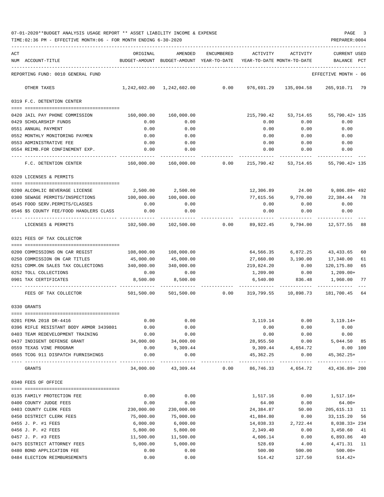| 07-01-2020**BUDGET ANALYSIS USAGE REPORT ** ASSET LIABILITY INCOME & EXPENSE |  |  |  |  | PAGE |  |
|------------------------------------------------------------------------------|--|--|--|--|------|--|
|                                                                              |  |  |  |  |      |  |

|     | TIME:02:36 PM - EFFECTIVE MONTH:06 - FOR MONTH ENDING 6-30-2020            |              |                                                                     |            |                       |                              | PREPARER: 0004                                                          |
|-----|----------------------------------------------------------------------------|--------------|---------------------------------------------------------------------|------------|-----------------------|------------------------------|-------------------------------------------------------------------------|
| ACT |                                                                            | ORIGINAL     | AMENDED                                                             | ENCUMBERED | ACTIVITY              | ACTIVITY                     | CURRENT USED                                                            |
|     | NUM ACCOUNT-TITLE                                                          |              | BUDGET-AMOUNT BUDGET-AMOUNT YEAR-TO-DATE YEAR-TO-DATE MONTH-TO-DATE |            |                       |                              | <b>BALANCE</b><br>PCT                                                   |
|     | REPORTING FUND: 0010 GENERAL FUND                                          |              |                                                                     |            |                       |                              | EFFECTIVE MONTH - 06                                                    |
|     | OTHER TAXES                                                                |              |                                                                     |            |                       |                              | 0.00    976,691.29    135,094.58    265,910.71    79                    |
|     | 0319 F.C. DETENTION CENTER                                                 |              |                                                                     |            |                       |                              |                                                                         |
|     |                                                                            |              |                                                                     |            |                       |                              |                                                                         |
|     | 0420 JAIL PAY PHONE COMMISSION 160,000.00 160,000.00                       |              |                                                                     |            |                       |                              | 215,790.42 53,714.65 55,790.42+ 135                                     |
|     | 0429 SCHOLARSHIP FUNDS                                                     | 0.00         | 0.00                                                                |            | 0.00                  | 0.00                         | 0.00                                                                    |
|     | 0551 ANNUAL PAYMENT                                                        | 0.00         | 0.00                                                                |            | 0.00                  | 0.00                         | 0.00                                                                    |
|     | 0552 MONTHLY MONITORING PAYMEN                                             | 0.00         | 0.00                                                                |            | 0.00                  | 0.00                         | 0.00                                                                    |
|     | 0553 ADMINISTRATIVE FEE                                                    | 0.00         | 0.00                                                                |            |                       | $0.00$ 0.00                  | 0.00                                                                    |
|     | 0554 REIMB.FOR CONFINEMENT EXP.<br>-------------------------------         | 0.00         | 0.00                                                                |            | 0.00                  | 0.00                         | 0.00                                                                    |
|     | F.C. DETENTION CENTER                                                      |              |                                                                     |            |                       |                              | $160,000.00$ $160,000.00$ 0.00 $215,790.42$ $53,714.65$ $55,790.42+135$ |
|     | 0320 LICENSES & PERMITS                                                    |              |                                                                     |            |                       |                              |                                                                         |
|     |                                                                            |              |                                                                     |            |                       |                              |                                                                         |
|     | 0200 ALCOHLIC BEVERAGE LICENSE                                             | 2,500.00     | 2,500.00                                                            |            |                       | 12,306.89 24.00              | 9,806.89+ 492                                                           |
|     | 0300 SEWAGE PERMITS/INSPECTIONS                                            | 100,000.00   | 100,000.00                                                          |            |                       |                              | 77,615.56 9,770.00 22,384.44 78                                         |
|     | 0545 FOOD SERV. PERMITS/CLASSES                                            | 0.00         | 0.00                                                                |            |                       | $0.00$ 0.00                  | 0.00                                                                    |
|     | 0.00 0546 \$5 COUNTY FEE/FOOD HANDLERS CLASS<br>-------------------------- |              | 0.00                                                                |            | 0.00                  | $0.00$ 0.00                  |                                                                         |
|     | LICENSES & PERMITS                                                         |              |                                                                     |            |                       |                              | $102,500.00$ $102,500.00$ 0.00 $89,922.45$ 9,794.00 $12,577.55$ 88      |
|     | 0321 FEES OF TAX COLLECTOR                                                 |              |                                                                     |            |                       |                              |                                                                         |
|     |                                                                            |              |                                                                     |            |                       |                              |                                                                         |
|     | 0200 COMMISSIONS ON CAR REGIST                                             | 108,000.00   | 108,000.00                                                          |            |                       | 64,566.35 6,872.25 43,433.65 | 60                                                                      |
|     | 0250 COMMISSION ON CAR TITLES                                              | 45,000.00    | 45,000.00                                                           |            |                       | 27,660.00 3,190.00 17,340.00 | 61                                                                      |
|     | 0251 COMM.ON SALES TAX COLLECTIONS                                         |              | 340,000.00 340,000.00                                               |            | 219,824.20            |                              | $0.00$ 120,175.80<br>65                                                 |
|     | 0252 TOLL COLLECTIONS                                                      | 0.00         | 0.00                                                                |            | 1,209.00              | 0.00                         | 1,209.00+                                                               |
|     | 0901 TAX CERTIFICATES                                                      |              | 8,500.00 8,500.00                                                   |            |                       |                              | 6,540.00 836.48 1,960.00 77                                             |
|     | FEES OF TAX COLLECTOR                                                      | 501, 500.00  |                                                                     |            |                       |                              |                                                                         |
|     | 0330 GRANTS                                                                |              |                                                                     |            |                       |                              |                                                                         |
|     |                                                                            |              |                                                                     |            |                       |                              |                                                                         |
|     | 0201 FEMA 2018 DR-4416                                                     | 0.00         | 0.00                                                                |            | 3,119.14              | 0.00                         | $3, 119.14+$                                                            |
|     | 0396 RIFLE RESISTANT BODY ARMOR 3439801                                    | 0.00         | 0.00                                                                |            | 0.00                  | 0.00                         | 0.00                                                                    |
|     | 0403 TEAM REDEVELOPMENT TRAINING                                           | 0.00         | 0.00                                                                |            | 0.00                  | 0.00                         | 0.00                                                                    |
|     | 0437 INDIGENT DEFENSE GRANT                                                | 34,000.00    | 34,000.00                                                           |            | 28,955.50             | 0.00                         | 5,044.50 85                                                             |
|     | 0559 TEXAS VINE PROGRAM<br>0565 TCOG 911 DISPATCH FURNISHINGS              | 0.00<br>0.00 | 9,309.44<br>0.00                                                    |            | 9,309.44<br>45,362.25 | 4,654.72<br>0.00             | 0.00 100<br>45,362.25+                                                  |
|     | GRANTS                                                                     | 34,000.00    | -----------<br>43,309.44                                            | 0.00       |                       | 86,746.33 4,654.72           | 43, 436.89+ 200                                                         |
|     | 0340 FEES OF OFFICE                                                        |              |                                                                     |            |                       |                              |                                                                         |
|     |                                                                            |              |                                                                     |            |                       |                              |                                                                         |
|     | 0135 FAMILY PROTECTION FEE                                                 | 0.00         | 0.00                                                                |            | 1,517.16              | 0.00                         | $1,517.16+$                                                             |
|     | 0400 COUNTY JUDGE FEES                                                     | 0.00         | 0.00                                                                |            | 64.00                 | 0.00                         | $64.00+$                                                                |
|     | 0403 COUNTY CLERK FEES                                                     | 230,000.00   | 230,000.00                                                          |            | 24,384.87             | 50.00                        | 205,615.13<br>- 11                                                      |
|     | 0450 DISTRICT CLERK FEES                                                   | 75,000.00    | 75,000.00                                                           |            | 41,884.80             | 0.00                         | 33,115.20<br>56                                                         |
|     | 0455 J. P. #1 FEES                                                         | 6,000.00     | 6,000.00                                                            |            | 14,038.33             | 2,722.44                     | 8,038.33+234                                                            |
|     | 0456 J. P. #2 FEES                                                         | 5,800.00     | 5,800.00                                                            |            | 2,349.40              | 0.00                         | 3,450.60<br>41                                                          |
|     | 0457 J. P. #3 FEES                                                         | 11,500.00    | 11,500.00                                                           |            | 4,606.14              | 0.00                         | 6,893.86<br>40                                                          |
|     | 0475 DISTRICT ATTORNEY FEES                                                | 5,000.00     | 5,000.00                                                            |            | 528.69                | 4.00                         | 4,471.31<br>11                                                          |
|     | 0480 BOND APPLICATION FEE                                                  | 0.00         | 0.00                                                                |            | 500.00                | 500.00                       | $500.00+$                                                               |
|     | 0484 ELECTION REIMBURSEMENTS                                               | 0.00         | 0.00                                                                |            | 514.42                | 127.50                       | $514.42+$                                                               |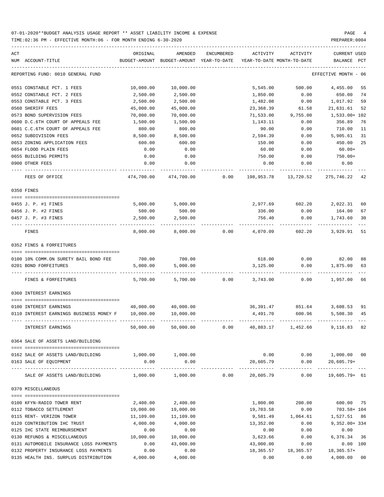TIME:02:36 PM - EFFECTIVE MONTH:06 - FOR MONTH ENDING 6-30-2020 PREPARER:0004

| ACT | NUM ACCOUNT-TITLE                                                                   | ORIGINAL          | AMENDED<br>BUDGET-AMOUNT BUDGET-AMOUNT YEAR-TO-DATE | ENCUMBERED | ACTIVITY   | ACTIVITY<br>YEAR-TO-DATE MONTH-TO-DATE | CURRENT USED<br>BALANCE | PCT  |
|-----|-------------------------------------------------------------------------------------|-------------------|-----------------------------------------------------|------------|------------|----------------------------------------|-------------------------|------|
|     | REPORTING FUND: 0010 GENERAL FUND                                                   |                   |                                                     |            |            |                                        | EFFECTIVE MONTH         | - 06 |
|     | 0551 CONSTABLE PCT. 1 FEES                                                          | 10,000.00         | 10,000.00                                           |            | 5,545.00   | 500.00                                 | 4,455.00                | 55   |
|     | 0552 CONSTABLE PCT. 2 FEES                                                          | 2,500.00          | 2,500.00                                            |            | 1,850.00   | 0.00                                   | 650.00                  | 74   |
|     | 0553 CONSTABLE PCT. 3 FEES                                                          | 2,500.00          | 2,500.00                                            |            | 1,482.08   | 0.00                                   | 1,017.92                | 59   |
|     | 0560 SHERIFF FEES                                                                   | 45,000.00         | 45,000.00                                           |            | 23,368.39  | 61.58                                  | 21,631.61               | 52   |
|     | 0573 BOND SUPERVISION FEES                                                          | 70,000.00         | 70,000.00                                           |            | 71,533.00  | 9,755.00                               | 1,533.00+ 102           |      |
|     | 0600 D.C.6TH COURT OF APPEALS FEE                                                   | 1,500.00          | 1,500.00                                            |            | 1,143.11   | 0.00                                   | 356.89                  | 76   |
|     | 0601 C.C.6TH COURT OF APPEALS FEE                                                   | 800.00            | 800.00                                              |            | 90.00      | 0.00                                   | 710.00                  | 11   |
|     | 0652 SUBDIVISION FEES                                                               | 8,500.00          | 8,500.00                                            |            | 2,594.39   | 0.00                                   | 5,905.61                | 31   |
|     | 0653 ZONING APPLICATION FEES                                                        | 600.00            | 600.00                                              |            | 150.00     | 0.00                                   | 450.00                  | 25   |
|     | 0654 FLOOD PLAIN FEES                                                               | 0.00              | 0.00                                                |            | 60.00      | 0.00                                   | $60.00+$                |      |
|     | 0655 BUILDING PERMITS                                                               | 0.00              | 0.00                                                |            | 750.00     | 0.00                                   | 750.00+                 |      |
|     | 0900 OTHER FEES                                                                     | 0.00              | 0.00                                                |            | 0.00       | 0.00                                   | 0.00                    |      |
|     | FEES OF OFFICE                                                                      | 474,700.00        | 474,700.00                                          | 0.00       | 198,953.78 | 13,720.52                              | 275,746.22 42           |      |
|     | 0350 FINES                                                                          |                   |                                                     |            |            |                                        |                         |      |
|     |                                                                                     |                   |                                                     |            |            |                                        |                         |      |
|     | 0455 J. P. #1 FINES                                                                 | 5,000.00          | 5,000.00                                            |            |            | 2,977.69 602.20                        | 2,022.31                | 60   |
|     | 0456 J. P. #2 FINES                                                                 | 500.00            | 500.00                                              |            | 336.00     | 0.00                                   | 164.00                  | 67   |
|     | 0457 J. P. #3 FINES                                                                 | 2,500.00          | 2,500.00                                            |            | 756.40     | 0.00                                   | 1,743.60                | 30   |
|     | FINES                                                                               | 8,000.00          | 8,000.00                                            | 0.00       | 4,070.09   | 602.20                                 | 3,929.91                | 51   |
|     | 0352 FINES & FORFEITURES                                                            |                   |                                                     |            |            |                                        |                         |      |
|     | 0100 10% COMM.ON SURETY BAIL BOND FEE                                               | 700.00            | 700.00                                              |            | 618.00     | 0.00                                   | 82.00                   | 88   |
|     | 0201 BOND FORFEITURES                                                               | 5,000.00          | 5,000.00                                            |            | 3,125.00   | 0.00                                   | 1,875.00                | 63   |
|     | FINES & FORFEITURES                                                                 | 5,700.00          | 5,700.00                                            | 0.00       |            | 3,743.00<br>0.00                       | 1,957.00                | 66   |
|     | 0360 INTEREST EARNINGS                                                              |                   |                                                     |            |            |                                        |                         |      |
|     |                                                                                     |                   |                                                     |            |            |                                        |                         |      |
|     | 0100 INTEREST EARNINGS                                                              |                   | 40,000.00 40,000.00                                 |            | 36,391.47  | 851.64                                 | 3,608.53                | 91   |
|     | 0110 INTEREST EARNINGS BUSINESS MONEY F                                             | 10,000.00         | 10,000.00                                           |            | 4,491.70   | 600.96                                 | 5,508.30                | 45   |
|     | INTEREST EARNINGS                                                                   | 50,000.00         | 50,000.00                                           | 0.00       | 40,883.17  | 1,452.60                               | 9,116.83 82             |      |
|     | 0364 SALE OF ASSETS LAND/BUILDING                                                   |                   |                                                     |            |            |                                        |                         |      |
|     | 0162 SALE OF ASSETS LAND/BUILDING                                                   | 1,000.00 1,000.00 |                                                     |            |            | $0.00$ $0.00$ $1,000.00$ $00$          |                         |      |
|     | 0163 SALE OF EQUIPMENT<br>-------------------- -------------                        | 0.00              | 0.00                                                |            |            | 20,605.79 0.00 20,605.79+              | ________________        |      |
|     | SALE OF ASSETS LAND/BUILDING $1,000.00$ $1,000.00$ 0.00 20,605.79 0.00 19,605.79 61 |                   |                                                     |            |            |                                        |                         |      |
|     | 0370 MISCELLANEOUS                                                                  |                   |                                                     |            |            |                                        |                         |      |
|     | 0100 KFYN-RADIO TOWER RENT                                                          | 2,400.00          | 2,400.00                                            |            | 1,800.00   | 200.00                                 | 600.00 75               |      |
|     | 0112 TOBACCO SETTLEMENT                                                             | 19,000.00         | 19,000.00                                           |            | 19,703.58  | 0.00                                   | 703.58+ 104             |      |
|     | 0115 RENT- VERIZON TOWER                                                            | 11,109.00         | 11,109.00                                           |            |            | 9,581.49   1,064.61   1,527.51   86    |                         |      |
|     | 0120 CONTRIBUTION IHC TRUST                                                         | 4,000.00          | 4,000.00                                            |            | 13,352.00  |                                        | $0.00$ 9,352.00+334     |      |
|     | 0125 IHC STATE REIMBURSEMENT                                                        | 0.00              | 0.00                                                |            | 0.00       | 0.00                                   | 0.00                    |      |
|     | 0130 REFUNDS & MISCELLANEOUS                                                        | 10,000.00         | 10,000.00                                           |            | 3,623.66   | 0.00                                   | 6,376.34 36             |      |
|     | 0131 AUTOMOBILE INSURANCE LOSS PAYMENTS                                             | 0.00              | 43,000.00                                           |            | 43,000.00  | 0.00                                   | $0.00$ 100              |      |
|     | 0132 PROPERTY INSURANCE LOSS PAYMENTS                                               | 0.00              | 0.00                                                |            |            | 18, 365.57 18, 365.57 18, 365.57+      |                         |      |
|     | 0135 HEALTH INS. SURPLUS DISTRIBUTION 4,000.00 4,000.00                             |                   |                                                     |            |            | $0.00$ $0.00$ $4,000.00$ $00$          |                         |      |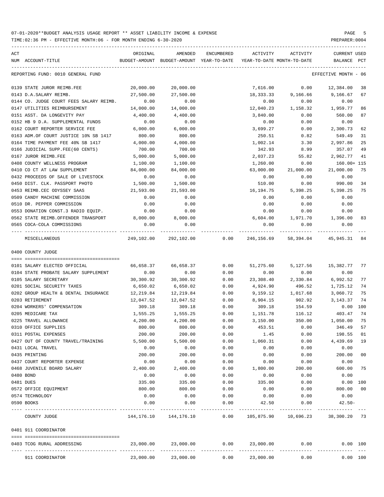TIME:02:36 PM - EFFECTIVE MONTH:06 - FOR MONTH ENDING 6-30-2020 PREPARER:0004

| ACT<br>NUM ACCOUNT-TITLE                                    | ORIGINAL                     | AMENDED<br>BUDGET-AMOUNT BUDGET-AMOUNT YEAR-TO-DATE YEAR-TO-DATE MONTH-TO-DATE | ENCUMBERED    | ACTIVITY   | ACTIVITY  | CURRENT USED<br>BALANCE | $_{\rm PCT}$ |
|-------------------------------------------------------------|------------------------------|--------------------------------------------------------------------------------|---------------|------------|-----------|-------------------------|--------------|
| REPORTING FUND: 0010 GENERAL FUND                           |                              |                                                                                |               |            |           | EFFECTIVE MONTH - 06    |              |
| 0139 STATE JUROR REIMB.FEE                                  | 20,000.00                    | 20,000.00                                                                      |               | 7,616.00   | 0.00      | 12,384.00               | 38           |
| 0143 D.A.SALARY REIMB.                                      | 27,500.00                    | 27,500.00                                                                      |               | 18,333.33  | 9,166.66  | 9,166.67                | 67           |
| 0144 CO. JUDGE COURT FEES SALARY REIMB.                     | 0.00                         | 0.00                                                                           |               | 0.00       | 0.00      | 0.00                    |              |
| 0147 UTILITIES REIMBURSEMENT                                | 14,000.00                    | 14,000.00                                                                      |               | 12,040.23  | 1,158.32  | 1,959.77                | 86           |
| 0151 ASST. DA LONGEVITY PAY                                 | 4,400.00                     | 4,400.00                                                                       |               | 3,840.00   | 0.00      | 560.00                  | 87           |
| 0152 HB 9 D.A. SUPPLEMENTAL FUNDS                           | 0.00                         | 0.00                                                                           |               | 0.00       | 0.00      | 0.00                    |              |
| 0162 COURT REPORTER SERVICE FEE                             | 6,000.00                     | 6,000.00                                                                       |               | 3,699.27   | 0.00      | 2,300.73                | 62           |
| 0163 ADM.OF COURT JUSTICE 10% SB 1417                       | 800.00                       | 800.00                                                                         |               | 250.51     | 0.82      | 549.49                  | 31           |
| 0164 TIME PAYMENT FEE 40% SB 1417                           | 4,000.00                     | 4,000.00                                                                       |               | 1,002.14   | 3.30      | 2,997.86                | 25           |
| 0166 JUDICIAL SUPP.FEE(60 CENTS)                            | 700.00                       | 700.00                                                                         |               | 342.93     | 8.99      | 357.07                  | 49           |
| 0167 JUROR REIMB.FEE                                        | 5,000.00                     | 5,000.00                                                                       |               | 2,037.23   | 55.82     | 2,962.77                | 41           |
| 0408 COUNTY WELLNESS PROGRAM                                | 1,100.00                     | 1,100.00                                                                       |               | 1,260.00   | 0.00      | 160.00+ 115             |              |
| 0410 CO CT AT LAW SUPPLEMENT                                | 84,000.00                    | 84,000.00                                                                      |               | 63,000.00  | 21,000.00 | 21,000.00               | 75           |
| 0432 PROCEEDS OF SALE OF LIVESTOCK                          | 0.00                         | 0.00                                                                           |               | 0.00       | 0.00      | 0.00                    |              |
| 0450 DIST. CLK. PASSPORT PHOTO                              | 1,500.00                     | 1,500.00                                                                       |               | 510.00     | 0.00      | 990.00                  | 34           |
| 0453 REIMB.CEC ODYSSEY SAAS                                 | 21,593.00                    | 21,593.00                                                                      |               | 16,194.75  | 5,398.25  | 5,398.25                | 75           |
| 0509 CANDY MACHINE COMMISSION                               | 0.00                         | 0.00                                                                           |               | 0.00       | 0.00      | 0.00                    |              |
| 0510 DR. PEPPER COMMISSION                                  | 0.00                         | 0.00                                                                           |               | 0.00       | 0.00      | 0.00                    |              |
| 0553 DONATION CONST.3 RADIO EQUIP.                          | 0.00                         | 0.00                                                                           |               | 0.00       | 0.00      | 0.00                    |              |
| 0562 STATE REIMB.OFFENDER TRANSPORT                         | 8,000.00                     | 8,000.00                                                                       |               | 6,604.00   | 1,971.70  | 1,396.00                | 83           |
| 0565 COCA-COLA COMMISSIONS<br>---- ------------------------ | 0.00<br>------ ------------- | 0.00                                                                           |               | 0.00       | 0.00      | 0.00                    |              |
| MISCELLANEOUS                                               |                              | 249,102.00 292,102.00 0.00                                                     |               | 246,156.69 | 58,394.04 | 45,945.31 84            |              |
| 0400 COUNTY JUDGE                                           |                              |                                                                                |               |            |           |                         |              |
|                                                             |                              |                                                                                |               |            |           |                         |              |
| 0101 SALARY ELECTED OFFICIAL                                | 66,658.37                    | 66,658.37                                                                      | 0.00          | 51,275.60  | 5,127.56  | 15,382.77 77            |              |
| 0104 STATE PROBATE SALARY SUPPLEMENT                        | 0.00                         | 0.00                                                                           | 0.00          | 0.00       | 0.00      | 0.00                    |              |
| 0105 SALARY SECRETARY                                       | 30,300.92                    | 30,300.92                                                                      | 0.00          | 23,308.40  | 2,330.84  | 6,992.52                | 77           |
| 0201 SOCIAL SECURITY TAXES                                  | 6,650.02                     | 6,650.02                                                                       | 0.00          | 4,924.90   | 496.52    | 1,725.12                | 74           |
| 0202 GROUP HEALTH & DENTAL INSURANCE                        | 12,219.84                    | 12,219.84                                                                      | 0.00          | 9,159.12   | 1,017.68  | 3,060.72                | 75           |
| 0203 RETIREMENT                                             | 12,047.52                    | 12,047.52                                                                      | 0.00          | 8,904.15   | 902.92    | 3, 143. 37              | 74           |
| 0204 WORKERS' COMPENSATION                                  | 309.18                       | 309.18                                                                         | 0.00          | 309.18     | 154.59    | 0.00 100                |              |
| 0205 MEDICARE TAX                                           | 1,555.25                     | 1,555.25                                                                       | 0.00          | 1,151.78   | 116.12    | 403.47                  | 74           |
| 0225 TRAVEL ALLOWANCE                                       | 4,200.00                     | 4,200.00                                                                       | 0.00          | 3,150.00   | 350.00    | 1,050.00                | 75           |
| 0310 OFFICE SUPPLIES                                        | 800.00                       | 800.00                                                                         | 0.00          | 453.51     | 0.00      | 346.49 57               |              |
| 0311 POSTAL EXPENSES                                        | 200.00                       | 200.00                                                                         | 0.00          | 1.45       | 0.00      | 198.55                  | 01           |
| 0427 OUT OF COUNTY TRAVEL/TRAINING                          | 5,500.00                     | 5,500.00                                                                       | 0.00          | 1,060.31   | 0.00      | 4,439.69                | 19           |
| 0431 LOCAL TRAVEL                                           | 0.00                         | 0.00                                                                           | 0.00          | 0.00       | 0.00      | 0.00                    |              |
| 0435 PRINTING                                               | 200.00                       | 200.00                                                                         | 0.00          | 0.00       | 0.00      | 200.00                  | $00\,$       |
| 0437 COURT REPORTER EXPENSE                                 | 0.00                         | 0.00                                                                           | 0.00          | 0.00       | 0.00      | 0.00                    |              |
| 0468 JUVENILE BOARD SALARY                                  | 2,400.00                     | 2,400.00                                                                       | 0.00          | 1,800.00   | 200.00    | 600.00                  | 75           |
| 0480 BOND                                                   | 0.00                         | 0.00                                                                           | 0.00          | 0.00       | 0.00      | 0.00                    |              |
| 0481 DUES                                                   | 335.00                       | 335.00                                                                         | 0.00          | 335.00     | 0.00      | 0.00 100                |              |
| 0572 OFFICE EQUIPMENT                                       | 800.00                       | 800.00                                                                         | 0.00          | 0.00       | 0.00      | 800.00                  | 00           |
| 0574 TECHNOLOGY                                             | 0.00                         | 0.00                                                                           | 0.00          | 0.00       | 0.00      | 0.00                    |              |
| 0590 BOOKS                                                  | 0.00                         | 0.00                                                                           | 0.00<br>----- | 42.50      | 0.00      | $42.50 -$               |              |
| COUNTY JUDGE                                                | 144,176.10                   | 144,176.10                                                                     | 0.00          | 105,875.90 | 10,696.23 | 38,300.20 73            |              |
| 0401 911 COORDINATOR                                        |                              |                                                                                |               |            |           |                         |              |
| 0403 TCOG RURAL ADDRESSING                                  | 23,000.00                    | 23,000.00                                                                      | 0.00          | 23,000.00  | 0.00      | $0.00$ 100              |              |
|                                                             |                              |                                                                                |               |            |           |                         |              |
| 911 COORDINATOR                                             | 23,000.00                    | 23,000.00                                                                      | 0.00          | 23,000.00  | 0.00      | 0.00 100                |              |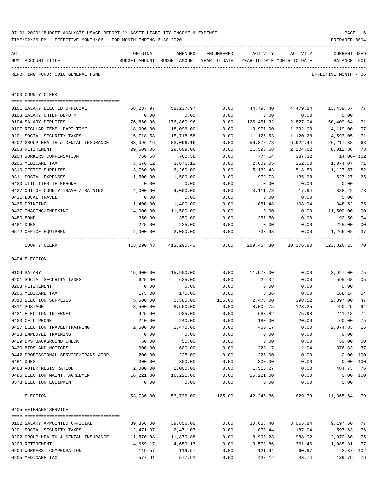|     | TIME:02:36 PM - EFFECTIVE MONTH:06 - FOR MONTH ENDING 6-30-2020 |            |                                                          |            |                            |           | PREPARER: 0004       |                |
|-----|-----------------------------------------------------------------|------------|----------------------------------------------------------|------------|----------------------------|-----------|----------------------|----------------|
| ACT |                                                                 | ORIGINAL   | AMENDED                                                  | ENCUMBERED | ACTIVITY                   | ACTIVITY  | CURRENT USED         |                |
|     | NUM ACCOUNT-TITLE                                               |            | BUDGET-AMOUNT BUDGET-AMOUNT YEAR-TO-DATE                 |            | YEAR-TO-DATE MONTH-TO-DATE |           | BALANCE PCT          |                |
|     | REPORTING FUND: 0010 GENERAL FUND                               |            |                                                          |            |                            |           | EFFECTIVE MONTH - 06 |                |
|     | 0403 COUNTY CLERK                                               |            |                                                          |            |                            |           |                      |                |
|     | 0101 SALARY ELECTED OFFICIAL                                    | 58,237.97  | 58,237.97                                                | 0.00       | 44,798.40                  | 4,479.84  | 13,439.57            | 77             |
|     | 0103 SALARY CHIEF DEPUTY                                        | 0.00       | 0.00                                                     | 0.00       | 0.00                       | 0.00      | 0.00                 |                |
|     | 0104 SALARY DEPUTIES                                            | 176,860.96 | 176,860.96                                               | 0.00       | 126,451.32                 | 12,827.04 | 50,409.64            | 71             |
|     | 0107 REGULAR-TEMP. PART-TIME                                    | 18,096.00  | 18,096.00                                                | 0.00       | 13,977.00                  | 1,392.00  | 4,119.00             | 77             |
|     | 0201 SOCIAL SECURITY TAXES                                      | 15,718.58  | 15,718.58                                                | 0.00       | 11,125.53                  | 1,120.28  | 4,593.05             | 71             |
|     | 0202 GROUP HEALTH & DENTAL INSURANCE                            | 83,096.16  | 83,096.16                                                | 0.00       | 56,878.78                  | 6,922.44  | 26, 217.38           | 68             |
|     | 0203 RETIREMENT                                                 | 29,609.06  | 29,609.06                                                | 0.00       | 21,596.68                  | 2,204.62  | 8,012.38             | 73             |
|     | 0204 WORKERS COMPENSATION                                       | 760.58     | 760.58                                                   | 0.00       | 774.64                     | 387.32    | 14.06- 102           |                |
|     | 0205 MEDICARE TAX                                               | 3,676.12   | 3,676.12                                                 | 0.00       | 2,602.05                   | 262.00    | 1,074.07             | 71             |
|     | 0310 OFFICE SUPPLIES                                            | 3,760.00   | 6, 260.00                                                | 0.00       | 5,132.43                   | 518.50    | 1,127.57             | 82             |
|     | 0311 POSTAL EXPENSES                                            | 1,500.00   | 1,500.00                                                 | 0.00       | 972.73                     | 135.98    | 527.27               | 65             |
|     | 0420 UTILITIES TELEPHONE                                        | 0.00       | 0.00                                                     | 0.00       | 0.00                       | 0.00      | 0.00                 |                |
|     | 0427 OUT OF COUNTY TRAVEL/TRAINING                              | 4,000.00   | 4,000.00                                                 | 0.00       | 3, 111.78                  | 17.94     | 888.22               | 78             |
|     | 0431 LOCAL TRAVEL                                               | 0.00       | 0.00                                                     | 0.00       | 0.00                       | 0.00      | 0.00                 |                |
|     | 0435 PRINTING                                                   | 1,400.00   | 1,400.00                                                 | 0.00       | 1,051.48                   | 108.94    | 348.52               | 75             |
|     | 0437 IMAGING/INDEXING                                           | 14,000.00  | 11,500.00                                                | 0.00       | 0.00                       | 0.00      | 11,500.00            | 0 <sub>0</sub> |
|     | 0480 BOND                                                       | 350.00     | 350.00                                                   | 0.00       | 257.50                     | 0.00      | 92.50                | 74             |
|     | 0481 DUES                                                       | 225.00     | 225.00                                                   | 0.00       | 0.00                       | 0.00      | 225.00               | 0 <sub>0</sub> |
|     | 0572 OFFICE EQUIPMENT                                           | 2,000.00   | 2,000.00                                                 | 0.00       | 733.98                     | 0.00      | 1,266.02             | 37             |
|     | COUNTY CLERK                                                    | 413,290.43 | 413,290.43                                               | 0.00       | 289,464.30                 | 30,376.90 | 123,826.13           | 70             |
|     | 0404 ELECTION                                                   |            |                                                          |            |                            |           |                      |                |
|     | 0109 SALARY                                                     | 15,900.00  | 15,900.00                                                | 0.00       | 11,973.00                  | 0.00      | 3,927.00             | 75             |
|     | 0201 SOCIAL SECURITY TAXES                                      | 625.00     | 625.00                                                   | 0.00       | 29.32                      | 0.00      | 595.68               | 05             |
|     | 0203 RETIREMENT                                                 | 0.00       | 0.00                                                     | 0.00       | 0.00                       | 0.00      | 0.00                 |                |
|     | 0205 MEDICARE TAX                                               | 175.00     | 175.00                                                   | 0.00       | 6.86                       | 0.00      | 168.14               | 0 <sub>4</sub> |
|     | 0310 ELECTION SUPPLIES                                          | 5,500.00   | 5,500.00                                                 | 125.00     | 2,478.00                   | 398.52    | 2,897.00             | 47             |
|     | 0311 POSTAGE                                                    | 8,500.00   | 8,500.00                                                 | 0.00       | 8,009.75                   | 123.25    | 490.25               | 94             |
|     | 0421 ELECTION INTERNET                                          | 925.00     | 925.00                                                   | 0.00       | 683.82                     | 75.98     | 241.18               | 74             |
|     | 0423 CELL PHONE                                                 | 240.00     | 240.00                                                   | 0.00       | 180.00                     | 20.00     | 60.00 75             |                |
|     | 0427 ELECTION TRAVEL/TRAINING                                   | 2,500.00   | 2,475.00                                                 | 0.00       | 400.17                     | 0.00      | 2,074.83 16          |                |
|     | 0428 EMPLOYEE TRAINING                                          | 0.00       | 0.00                                                     | 0.00       | 0.00                       | 0.00      | 0.00                 |                |
|     | 0429 DPS BACKGROUND CHECK                                       | 50.00      | 50.00                                                    | 0.00       | 0.00                       | 0.00      | 50.00                | 0 <sub>0</sub> |
|     | 0430 BIDS AND NOTICES                                           | 600.00     | 600.00                                                   | 0.00       | 223.17                     | 12.04     | 376.83               | 37             |
|     | 0442 PROFESSIONAL SERVICE/TRANSLATOR                            | 200.00     | 225.00                                                   | 0.00       | 225.00                     | 0.00      | 0.00 100             |                |
|     | 0481 DUES                                                       | 300.00     | 300.00                                                   | 0.00       | 300.00                     | 0.00      | $0.00$ 100           |                |
|     | 0483 VOTER REGISTRATION                                         | 2,000.00   | 2,000.00                                                 | 0.00       | 1,515.27                   | 0.00      | 484.73 76            |                |
|     | 0485 ELECTION MAINT. AGREEMENT                                  | 16,221.00  | 16,221.00                                                | 0.00       | 16,221.00                  | 0.00      | $0.00$ 100           |                |
|     | 0573 ELECTION EQUIPMENT                                         | 0.00       | 0.00                                                     | 0.00       | 0.00                       | 0.00      | 0.00                 |                |
|     | ELECTION                                                        |            | 53,736.00 53,736.00 125.00 42,245.36 629.79 11,365.64 79 |            |                            |           |                      |                |
|     | 0405 VETERANS'SERVICE                                           |            |                                                          |            |                            |           |                      |                |
|     | 0102 SALARY APPOINTED OFFICIAL                                  | 39,856.00  | 39,856.00                                                | 0.00       | 30,658.40                  | 3,065.84  | 9,197.60             | 77             |
|     | 0201 SOCIAL SECURITY TAXES                                      | 2,471.07   | 2,471.07                                                 | 0.00       | 1,873.44                   | 187.04    | 597.63               | 76             |
|     | 0202 GROUP HEALTH & DENTAL INSURANCE                            | 11,870.88  | 11,870.88                                                | 0.00       | 8,900.28                   | 988.92    | 2,970.60             | 75             |
|     | 0203 RETIREMENT                                                 | 4,659.17   | 4,659.17                                                 | 0.00       | 3,573.86                   | 361.46    | 1,085.31             | 77             |
|     | 0204 WORKERS' COMPENSATION                                      | 119.57     | 119.57                                                   | 0.00       | 121.94                     | 60.97     | $2.37 - 102$         |                |
|     | 0205 MEDICARE TAX                                               | 577.91     | 577.91                                                   | 0.00       | 438.12                     | 43.74     | 139.79 76            |                |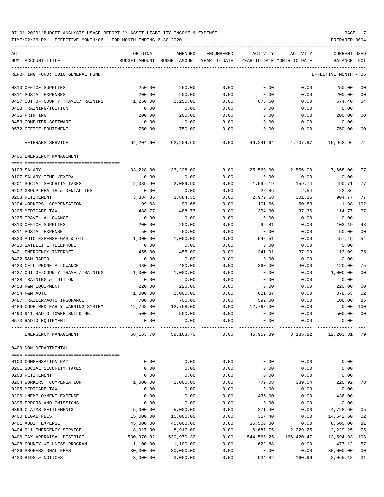TIME:02:36 PM - EFFECTIVE MONTH:06 - FOR MONTH ENDING 6-30-2020 PREPARER:0004

| ACT | NUM ACCOUNT-TITLE                                     | ORIGINAL   | AMENDED<br>BUDGET-AMOUNT BUDGET-AMOUNT YEAR-TO-DATE | ENCUMBERED | ACTIVITY   | ACTIVITY<br>YEAR-TO-DATE MONTH-TO-DATE | <b>CURRENT USED</b><br>BALANCE<br>PCT |                |
|-----|-------------------------------------------------------|------------|-----------------------------------------------------|------------|------------|----------------------------------------|---------------------------------------|----------------|
|     |                                                       |            |                                                     |            |            |                                        |                                       |                |
|     | REPORTING FUND: 0010 GENERAL FUND                     |            |                                                     |            |            |                                        | EFFECTIVE MONTH - 06                  |                |
|     | 0310 OFFICE SUPPLIES                                  | 250.00     | 250.00                                              | 0.00       | 0.00       | 0.00                                   | 250.00                                | 00             |
|     | 0311 POSTAL EXPENSES                                  | 200.00     | 200.00                                              | 0.00       | 0.00       | 0.00                                   | 200.00                                | 00             |
|     | 0427 OUT OF COUNTY TRAVEL/TRAINING                    | 1,250.00   | 1,250.00                                            | 0.00       | 675.60     | 0.00                                   | 574.40                                | 54             |
|     | 0428 TRAINING/TUITION                                 | 0.00       | 0.00                                                | 0.00       | 0.00       | 0.00                                   | 0.00                                  |                |
|     | 0435 PRINTING                                         | 200.00     | 200.00                                              | 0.00       | 0.00       | 0.00                                   | 200.00                                | 00             |
|     | 0453 COMPUTER SOFTWARE                                | 0.00       | 0.00                                                | 0.00       | 0.00       | 0.00                                   | 0.00                                  |                |
|     | 0572 OFFICE EQUIPMENT                                 | 750.00     | 750.00                                              | 0.00       | 0.00       | 0.00                                   | 750.00                                | 00             |
|     | VETERANS ' SERVICE                                    | 62,204.60  | 62,204.60                                           | 0.00       |            | 46,241.64 4,707.97                     | 15,962.96                             | 74             |
|     | 0406 EMERGENCY MANAGEMENT                             |            |                                                     |            |            |                                        |                                       |                |
|     | 0103 SALARY                                           | 33,228,00  | 33,228.00                                           | 0.00       |            | 2,556.00                               |                                       | 77             |
|     |                                                       |            |                                                     |            | 25,560.00  |                                        | 7,668.00                              |                |
|     | 0107 SALARY TEMP./EXTRA<br>0201 SOCIAL SECURITY TAXES | 0.00       | 0.00                                                | 0.00       | 0.00       | 0.00                                   | 0.00<br>490.71                        |                |
|     |                                                       | 2,089.90   | 2,089.90                                            | 0.00       | 1,599.19   | 159.74                                 |                                       | 77             |
|     | 0202 GROUP HEALTH & DENTAL INS                        | 0.00       | 0.00                                                | 0.00       | 22.86      | 2.54                                   | 22.86-                                |                |
|     | 0203 RETIREMENT                                       | 3,884.35   | 3,884.35                                            | 0.00       | 2,979.58   | 301.36                                 | 904.77                                | 77             |
|     | 0204 WORKERS' COMPENSATION                            | 99.68      | 99.68                                               | 0.00       | 101.66     | 50.83                                  | 1.98- 102                             |                |
|     | 0205 MEDICARE TAX                                     | 488.77     | 488.77                                              | 0.00       | 374.00     | 37.36                                  | 114.77                                | 77             |
|     | 0225 TRAVEL ALLOWANCE                                 | 0.00       | 0.00                                                | 0.00       | 0.00       | 0.00                                   | 0.00                                  |                |
|     | 0310 OFFICE SUPPLIES                                  | 200.00     | 200.00                                              | 0.00       | 96.81      | 0.00                                   | 103.19                                | 48             |
|     | 0311 POSTAL EXPENSE                                   | 50.00      | 50.00                                               | 0.00       | 0.00       | 0.00                                   | 50.00                                 | 00             |
|     | 0330 AUTO EXPENSE-GAS & OIL                           | 1,000.00   | 1,000.00                                            | 0.00       | 542.51     | 0.00                                   | 457.49                                | 54             |
|     | 0420 SATELLITE TELEPHONE                              | 0.00       | 0.00                                                | 0.00       | 0.00       | 0.00                                   | 0.00                                  |                |
|     | 0421 EMERGENCY INTERNET                               | 455.00     | 455.00                                              | 0.00       | 341.91     | 37.99                                  | 113.09                                | 75             |
|     | 0422 R&M RADIO                                        | 0.00       | 0.00                                                | 0.00       | 0.00       | 0.00                                   | 0.00                                  |                |
|     | 0423 CELL PHONE ALLOWANCE                             | 480.00     | 480.00                                              | 0.00       | 360.00     | 40.00                                  | 120.00                                | 75             |
|     | 0427 OUT OF COUNTY TRAVEL/TRAINING                    | 1,000.00   | 1,000.00                                            | 0.00       | 0.00       | 0.00                                   | 1,000.00                              | 00             |
|     | 0428 TRAINING & TUITION                               | 0.00       | 0.00                                                | 0.00       | 0.00       | 0.00                                   | 0.00                                  |                |
|     | 0453 R&M EQUIPMENT                                    | 220.00     | 220.00                                              | 0.00       | 0.00       | 0.00                                   | 220.00                                | 0 <sub>0</sub> |
|     | 0454 R&M AUTO                                         | 1,000.00   | 1,000.00                                            | 0.00       | 621.37     | 0.00                                   | 378.63                                | 62             |
|     | 0487 TRAILER/AUTO INSURANCE                           | 700.00     | 700.00                                              | 0.00       | 592.00     | 0.00                                   | 108.00                                | 85             |
|     | 0489 CODE RED EARLY WARNING SYSTEM                    | 12,768.00  | 12,768.00                                           | 0.00       | 12,768.00  | 0.00                                   | 0.00<br>100                           |                |
|     | 0490 911 RADIO TOWER BUILDING                         | 500.00     | 500.00                                              | 0.00       | 0.00       | 0.00                                   | 500.00                                | 0 <sup>0</sup> |
|     | 0573 RADIO EQUIPMENT                                  | 0.00       | 0.00                                                | 0.00       | 0.00       | 0.00                                   | 0.00                                  |                |
|     | EMERGENCY MANAGEMENT                                  | 58,163.70  | 58,163.70                                           | 0.00       | 45,959.89  | 3,185.82                               | 12,203.81                             | 79             |
|     | 0409 NON-DEPARTMENTAL                                 |            |                                                     |            |            |                                        |                                       |                |
|     |                                                       |            |                                                     |            |            |                                        |                                       |                |
|     | 0100 COMPENSATION PAY                                 | 0.00       | 0.00                                                | 0.00       | 0.00       | 0.00                                   | 0.00                                  |                |
|     | 0201 SOCIAL SECURITY TAXES                            | 0.00       | 0.00                                                | 0.00       | 0.00       | 0.00                                   | 0.00                                  |                |
|     | 0203 RETIREMENT                                       | 0.00       | 0.00                                                | 0.00       | 0.00       | 0.00                                   | 0.00                                  |                |
|     | 0204 WORKERS' COMPENSATION                            | 1,000.00   | 1,000.00                                            | 0.00       | 779.08     | 389.54                                 | 220.92                                | 78             |
|     | 0205 MEDICARE TAX                                     | 0.00       | 0.00                                                | 0.00       | 0.00       | 0.00                                   | 0.00                                  |                |
|     | 0206 UNEMPLOYMENT EXPENSE                             | 0.00       | 0.00                                                | 0.00       | 436.00     | 0.00                                   | $436.00 -$                            |                |
|     | 0395 ERRORS AND OMISSIONS                             | 0.00       | 0.00                                                | 0.00       | 0.00       | 0.00                                   | 0.00                                  |                |
|     | 0399 CLAIMS SETTLEMENTS                               | 5,000.00   | 5,000.00                                            | 0.00       | 271.40     | 0.00                                   | 4,728.60                              | 05             |
|     | 0400 LEGAL FEES                                       | 15,000.00  | 15,000.00                                           | 0.00       | 357.40     | 0.00                                   | 14,642.60                             | 02             |
|     | 0401 AUDIT EXPENSE                                    | 45,000.00  | 45,000.00                                           | 0.00       | 36,500.00  | 0.00                                   | 8,500.00                              | 81             |
|     | 0404 911 EMERGENCY SERVICE                            | 8,917.00   | 8,917.00                                            | 0.00       | 6,687.75   | 2,229.25                               | 2,229.25                              | 75             |
|     | 0406 TAX APPRAISAL DISTRICT                           | 530,970.32 | 530,970.32                                          | 0.00       | 544,565.25 | 166,420.47                             | 13,594.93-103                         |                |
|     | 0408 COUNTY WELLNESS PROGRAM                          | 1,100.00   | 1,100.00                                            | 0.00       | 622.88     | 0.00                                   | 477.12                                | 57             |
|     | 0426 PROFESSIONAL FEES                                | 30,000.00  | 30,000.00                                           | 0.00       | 0.00       | 0.00                                   | 30,000.00                             | 00             |

0430 BIDS & NOTICES 3,000.00 3,000.00 0.00 934.82 160.96 2,065.18 31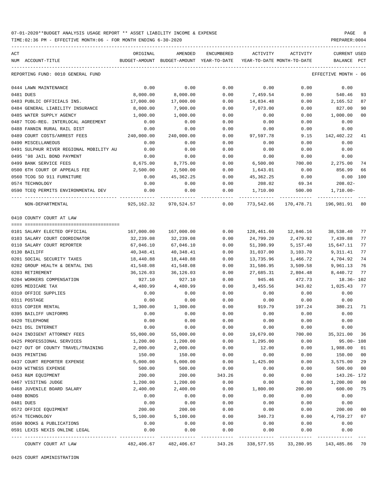TIME:02:36 PM - EFFECTIVE MONTH:06 - FOR MONTH ENDING 6-30-2020 PREPARER:0004

| ACT |                                         | ORIGINAL   | AMENDED                                  | ENCUMBERED           | ACTIVITY                   | ACTIVITY                            | CURRENT USED         |                |
|-----|-----------------------------------------|------------|------------------------------------------|----------------------|----------------------------|-------------------------------------|----------------------|----------------|
|     | NUM ACCOUNT-TITLE                       |            | BUDGET-AMOUNT BUDGET-AMOUNT YEAR-TO-DATE |                      | YEAR-TO-DATE MONTH-TO-DATE |                                     | BALANCE PCT          |                |
|     | REPORTING FUND: 0010 GENERAL FUND       |            |                                          |                      |                            |                                     | EFFECTIVE MONTH - 06 |                |
|     | 0444 LAWN MAINTENANCE                   | 0.00       | 0.00                                     | 0.00                 | 0.00                       | 0.00                                | 0.00                 |                |
|     | 0481 DUES                               | 8,000.00   | 8,000.00                                 | 0.00                 | 7,459.54                   | 0.00                                | 540.46               | 93             |
|     | 0483 PUBLIC OFFICIALS INS.              | 17,000.00  | 17,000.00                                | 0.00                 | 14,834.48                  | 0.00                                | 2,165.52             | 87             |
|     | 0484 GENERAL LIABILITY INSURANCE        | 8,000.00   | 7,900.00                                 | 0.00                 | 7,073.00                   | 0.00                                | 827.00               | 90             |
|     | 0485 WATER SUPPLY AGENCY                | 1,000.00   | 1,000.00                                 | 0.00                 | 0.00                       | 0.00                                | 1,000.00             | 00             |
|     | 0487 TCOG-REG. INTERLOCAL AGREEMENT     | 0.00       | 0.00                                     | 0.00                 | 0.00                       | 0.00                                | 0.00                 |                |
|     | 0488 FANNIN RURAL RAIL DIST             | 0.00       | 0.00                                     | 0.00                 | 0.00                       | 0.00                                | 0.00                 |                |
|     | 0489 COURT COSTS/ARREST FEES            | 240,000.00 | 240,000.00                               | 0.00                 | 97,597.78                  | 9.15                                | 142,402.22           | 41             |
|     | 0490 MISCELLANEOUS                      | 0.00       | 0.00                                     | 0.00                 | 0.00                       | 0.00                                | 0.00                 |                |
|     | 0491 SULPHUR RIVER REGIONAL MOBILITY AU | 0.00       | 0.00                                     | 0.00                 | 0.00                       | 0.00                                | 0.00                 |                |
|     | 0495 '98 JAIL BOND PAYMENT              | 0.00       | 0.00                                     | 0.00                 | 0.00                       | 0.00                                | 0.00                 |                |
|     | 0499 BANK SERVICE FEES                  | 8,675.00   | 8,775.00                                 | 0.00                 | 6,500.00                   | 700.00                              | 2,275.00             | 74             |
|     | 0500 6TH COURT OF APPEALS FEE           | 2,500.00   | 2,500.00                                 | 0.00                 | 1,643.01                   | 0.00                                | 856.99               | 66             |
|     | 0560 TCOG SO 911 FURNITURE              | 0.00       | 45,362.25                                | 0.00                 | 45,362.25                  | 0.00                                | $0.00$ 100           |                |
|     | 0574 TECHNOLOGY                         | 0.00       | 0.00                                     | 0.00                 | 208.02                     | 69.34                               | $208.02-$            |                |
|     | 0590 TCEQ PERMITS ENVIRONMENTAL DEV     | 0.00       | 0.00                                     | 0.00                 | 1,710.00                   |                                     | 500.00 1,710.00-     |                |
|     | NON-DEPARTMENTAL                        |            | 925,162.32 970,524.57 0.00               |                      |                            | 773,542.66 170,478.71 196,981.91 80 |                      |                |
|     | 0410 COUNTY COURT AT LAW                |            |                                          |                      |                            |                                     |                      |                |
|     |                                         |            |                                          |                      |                            |                                     |                      |                |
|     | 0101 SALARY ELECTED OFFICIAL            |            | 167,000.00 167,000.00 0.00               |                      |                            | 128,461.60  12,846.16  38,538.40    |                      | 77             |
|     | 0103 SALARY COURT COORDINATOR           | 32,239.08  | 32,239.08                                | 0.00                 | 24,799.20                  | 2,479.92                            | 7,439.88             | 77             |
|     | 0110 SALARY COURT REPORTER              | 67,046.10  | 67,046.10                                | 0.00                 | 51,398.99                  | 5,157.40                            | 15,647.11            | 77             |
|     | 0130 BAILIFF                            | 40,348.41  | 40,348.41                                | 0.00                 | 31,037.00                  | 3,103.70                            | 9,311.41             | 77             |
|     | 0201 SOCIAL SECURITY TAXES              | 18,440.88  | 18,440.88                                | 0.00                 | 13,735.96                  | 1,466.72                            | 4,704.92             | 74             |
|     | 0202 GROUP HEALTH & DENTAL INS          | 41,548.08  | 41,548.08                                | 0.00                 | 31,586.95                  | 3,509.58                            | 9,961.13             | 76             |
|     | 0203 RETIREMENT                         | 36,126.03  | 36,126.03                                | 0.00                 | 27,685.31                  | 2,804.48                            | 8,440.72             | 77             |
|     | 0204 WORKERS COMPENSATION               | 927.10     | 927.10                                   | 0.00                 | 945.46                     | 472.73                              | 18.36-102            |                |
|     | 0205 MEDICARE TAX                       | 4,480.99   | 4,480.99                                 | 0.00                 | 3,455.56                   | 343.02                              | 1,025.43 77          |                |
|     | 0310 OFFICE SUPPLIES                    | 0.00       | 0.00                                     | 0.00                 | 0.00                       | 0.00                                | 0.00                 |                |
|     | 0311 POSTAGE                            | 0.00       | 0.00                                     | 0.00                 | 0.00                       | 0.00                                | 0.00                 |                |
|     | 0315 COPIER RENTAL                      | 1,300.00   | 1,300.00                                 | 0.00                 |                            | 919.79 197.24 380.21 71             |                      |                |
|     | 0395 BAILIFF UNIFORMS                   | 0.00       | 0.00                                     | 0.00                 | 0.00                       | 0.00                                | 0.00                 |                |
|     | 0420 TELEPHONE                          | 0.00       | 0.00                                     | 0.00                 | 0.00                       | 0.00                                | 0.00                 |                |
|     | 0421 DSL INTERNET                       | 0.00       | 0.00                                     | 0.00                 | 0.00                       | 0.00                                | 0.00                 |                |
|     | 0424 INDIGENT ATTORNEY FEES             | 55,000.00  | 55,000.00                                | 0.00                 | 19,679.00                  | 700.00                              | 35,321.00            | - 36           |
|     | 0425 PROFESSIONAL SERVICES              | 1,200.00   | 1,200.00                                 | 0.00                 | 1,295.00                   | 0.00                                | $95.00 - 108$        |                |
|     | 0427 OUT OF COUNTY TRAVEL/TRAINING      | 2,000.00   | 2,000.00                                 | 0.00                 | 12.00                      | 0.00                                | 1,988.00             | 01             |
|     | 0435 PRINTING                           | 150.00     | 150.00                                   | 0.00                 | 0.00                       | 0.00                                | 150.00               | 00             |
|     | 0437 COURT REPORTER EXPENSE             | 5,000.00   | 5,000.00                                 | 0.00                 | 1,425.00                   | 0.00                                | 3,575.00             | 29             |
|     | 0439 WITNESS EXPENSE                    | 500.00     | 500.00                                   | 0.00                 | 0.00                       | 0.00                                | 500.00               | 0 <sub>0</sub> |
|     | 0453 R&M EQUIPMENT                      | 200.00     | 200.00                                   | 343.26               | 0.00                       | 0.00                                | 143.26- 172          |                |
|     | 0467 VISITING JUDGE                     | 1,200.00   | 1,200.00                                 | 0.00                 | 0.00                       | 0.00                                | 1,200.00             | 0 <sub>0</sub> |
|     | 0468 JUVENILE BOARD SALARY              | 2,400.00   | 2,400.00                                 | 0.00                 | 1,800.00                   | 200.00                              | 600.00               | 75             |
|     | 0480 BONDS                              | 0.00       | 0.00                                     | 0.00                 | 0.00                       | 0.00                                | 0.00                 |                |
|     | 0481 DUES                               | 0.00       | 0.00                                     | 0.00                 | 0.00                       | 0.00                                | 0.00                 |                |
|     | 0572 OFFICE EQUIPMENT                   | 200.00     | 200.00                                   | 0.00                 | 0.00                       | 0.00                                | 200.00               | 0 <sub>0</sub> |
|     | 0574 TECHNOLOGY                         | 5,100.00   | 5,100.00                                 | 0.00                 | 340.73                     | 0.00                                | 4,759.27             | 07             |
|     | 0590 BOOKS & PUBLICATIONS               | 0.00       | 0.00                                     | 0.00                 | 0.00                       | 0.00                                | 0.00                 |                |
|     | 0591 LEXIS NEXIS ONLINE LEGAL           | 0.00       | 0.00<br>.                                | 0.00<br>------------ | 0.00                       | 0.00                                | 0.00                 |                |
|     | COUNTY COURT AT LAW                     | 482,406.67 | 482,406.67                               | 343.26               | 338,577.55                 | 33,280.95                           | 143,485.86 70        |                |

0425 COURT ADMINISTRATION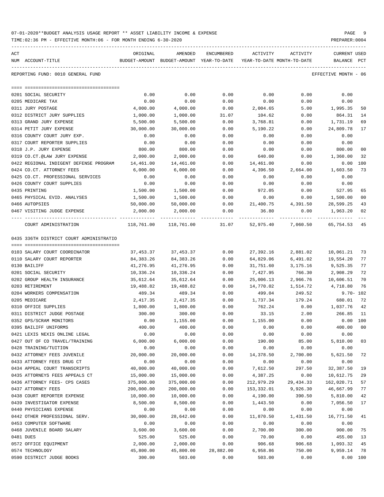TIME:02:36 PM - EFFECTIVE MONTH:06 - FOR MONTH ENDING 6-30-2020 PREPARER:0004 ----------------------------------------------------------------------------------------------------------------------------------- ACT ORIGINAL AMENDED ENCUMBERED ACTIVITY ACTIVITY CURRENT USED NUM ACCOUNT-TITLE BUDGET-AMOUNT BUDGET-AMOUNT YEAR-TO-DATE YEAR-TO-DATE MONTH-TO-DATE BALANCE PCT ----------------------------------------------------------------------------------------------------------------------------------- REPORTING FUND: 0010 GENERAL FUND EFFECTIVE MONTH - 06

| 0201 SOCIAL SECURITY                    | 0.00                     | 0.00                                                        | 0.00      | 0.00       | 0.00      | 0.00         |    |
|-----------------------------------------|--------------------------|-------------------------------------------------------------|-----------|------------|-----------|--------------|----|
| 0205 MEDICARE TAX                       | 0.00                     | 0.00                                                        | 0.00      | 0.00       | 0.00      | 0.00         |    |
| 0311 JURY POSTAGE                       | 4,000.00                 | 4,000.00                                                    | 0.00      | 2,004.65   | 5.00      | 1,995.35     | 50 |
| 0312 DISTRICT JURY SUPPLIES             | 1,000.00                 | 1,000.00                                                    | 31.07     | 104.62     | 0.00      | 864.31       | 14 |
| 0313 GRAND JURY EXPENSE                 | 5,500.00                 | 5,500.00                                                    | 0.00      | 3,768.81   | 0.00      | 1,731.19     | 69 |
| 0314 PETIT JURY EXPENSE                 | 30,000.00                | 30,000.00                                                   | 0.00      | 5,190.22   | 0.00      | 24,809.78    | 17 |
| 0316 COUNTY COURT JURY EXP.             | 0.00                     | 0.00                                                        | 0.00      | 0.00       | 0.00      | 0.00         |    |
| 0317 COURT REPORTER SUPPLIES            | 0.00                     | 0.00                                                        | 0.00      | 0.00       | 0.00      | 0.00         |    |
| 0318 J.P. JURY EXPENSE                  | 800.00                   | 800.00                                                      | 0.00      | 0.00       | 0.00      | 800.00       | 00 |
| 0319 CO.CT.@LAW JURY EXPENSE            | 2,000.00                 | 2,000.00                                                    | 0.00      | 640.00     | 0.00      | 1,360.00     | 32 |
| 0422 REGIONAL INDIGENT DEFENSE PROGRAM  | 14,461.00                | 14,461.00                                                   | 0.00      | 14,461.00  | 0.00      | $0.00$ 100   |    |
| 0424 CO.CT. ATTORNEY FEES               | 6,000.00                 | 6,000.00                                                    | 0.00      | 4,396.50   | 2,664.00  | 1,603.50     | 73 |
| 0425 CO.CT. PROFESSIONAL SERVICES       | 0.00                     | 0.00                                                        | 0.00      | 0.00       | 0.00      | 0.00         |    |
| 0426 COUNTY COURT SUPPLIES              | 0.00                     | 0.00                                                        | 0.00      | 0.00       | 0.00      | 0.00         |    |
| 0435 PRINTING                           | 1,500.00                 | 1,500.00                                                    | 0.00      | 972.05     | 0.00      | 527.95       | 65 |
| 0465 PHYSICAL EVID. ANALYSES            | 1,500.00                 | 1,500.00                                                    | 0.00      | 0.00       | 0.00      | 1,500.00     | 00 |
| 0466 AUTOPSIES                          | 50,000.00                | 50,000.00                                                   | 0.00      | 21,400.75  | 4,391.50  | 28,599.25    | 43 |
| 0467 VISITING JUDGE EXPENSE             | 2,000.00                 | 2,000.00                                                    | 0.00      | 36.80      | 0.00      | 1,963.20     | 02 |
| COURT ADMINISTRATION                    |                          | 118,761.00 118,761.00 31.07 52,975.40 7,060.50 65,754.53 45 |           |            |           |              |    |
| 0435 336TH DISTRICT COURT ADMINISTRATIO |                          |                                                             |           |            |           |              |    |
| 0103 SALARY COURT COORDINATOR           | 37,453.37                | 37,453.37                                                   | 0.00      | 27,392.16  | 2,881.02  | 10,061.21    | 73 |
| 0110 SALARY COURT REPORTER              | 84,383.26                | 84,383.26                                                   | 0.00      | 64,829.06  | 6,491.02  | 19,554.20    | 77 |
| 0130 BAILIFF                            | 41,276.95                | 41,276.95                                                   | 0.00      | 31,751.60  | 3,175.16  | 9,525.35     | 77 |
| 0201 SOCIAL SECURITY                    | 10,336.24                | 10,336.24                                                   | 0.00      | 7,427.95   | 766.30    | 2,908.29     | 72 |
| 0202 GROUP HEALTH INSURANCE             | 35,612.64                | 35,612.64                                                   | 0.00      | 25,006.13  | 2,966.76  | 10,606.51    | 70 |
| 0203 RETIREMENT                         | 19,488.82                | 19,488.82                                                   | 0.00      | 14,770.02  | 1,514.72  | 4,718.80     | 76 |
| 0204 WORKERS COMPENSATION               | 489.34                   | 489.34                                                      | 0.00      | 499.04     | 249.52    | $9.70 - 102$ |    |
| 0205 MEDICARE                           | 2,417.35                 | 2,417.35                                                    | 0.00      | 1,737.34   | 179.24    | 680.01       | 72 |
| 0310 OFFICE SUPPLIES                    | 1,800.00                 | 1,800.00                                                    | 0.00      | 762.24     | 0.00      | 1,037.76     | 42 |
| 0311 DISTRICT JUDGE POSTAGE             | 300.00                   | 300.00                                                      | 0.00      | 33.15      | 2.00      | 266.85       | 11 |
| 0352 GPS/SCRAM MONITORS                 | 0.00                     | 1,155.00                                                    | 0.00      | 1,155.00   | 0.00      | $0.00$ 100   |    |
| 0395 BAILIFF UNIFORMS                   | 400.00                   | 400.00                                                      | 0.00      | 0.00       | 0.00      | 400.00       | 00 |
| 0421 LEXIS NEXIS ONLINE LEGAL           | 0.00                     | 0.00                                                        | 0.00      | 0.00       | 0.00      | 0.00         |    |
| 0427 OUT OF CO TRAVEL/TRAINING          | 6,000.00                 | 6,000.00                                                    | 0.00      | 190.00     | 85.00     | 5,810.00     | 03 |
| 0428 TRAINING/TUITION                   | 0.00                     | 0.00                                                        | 0.00      | 0.00       | 0.00      | 0.00         |    |
| 0432 ATTORNEY FEES JUVENILE             | 20,000.00                | 20,000.00                                                   | 0.00      | 14,378.50  | 2,700.00  | 5,621.50     | 72 |
| 0433 ATTORNEY FEES DRUG CT              | 0.00                     | 0.00                                                        | 0.00      | 0.00       | 0.00      | 0.00         |    |
| 0434 APPEAL COURT TRANSCRIPTS           | 40,000.00                | 40,000.00                                                   | 0.00      | 7,612.50   | 297.50    | 32,387.50    | 19 |
| 0435 ATTORNEYS FEES APPEALS CT          | 15,000.00                | 15,000.00                                                   | 0.00      | 4,387.25   | 0.00      | 10,612.75    | 29 |
| 0436 ATTORNEY FEES- CPS CASES           |                          |                                                             | 0.00      |            |           | 162,020.71   | 57 |
|                                         | 375,000.00<br>200,000.00 | 375,000.00                                                  |           | 212,979.29 | 29,434.33 |              |    |
| 0437 ATTORNEY FEES                      | 10,000.00                | 200,000.00                                                  | 0.00      | 153,332.01 | 9,926.30  | 46,667.99    | 77 |
| 0438 COURT REPORTER EXPENSE             |                          | 10,000.00                                                   | 0.00      | 4,190.00   | 390.50    | 5,810.00     | 42 |
| 0439 INVESTIGATOR EXPENSE               | 8,500.00                 | 8,500.00                                                    | 0.00      | 1,443.50   | 0.00      | 7,056.50     | 17 |
| 0440 PHYSICIANS EXPENSE                 | 0.00                     | 0.00                                                        | 0.00      | 0.00       | 0.00      | 0.00         |    |
| 0442 OTHER PROFESSIONAL SERV.           | 30,000.00                | 28,642.00                                                   | 0.00      | 11,870.50  | 1,431.50  | 16,771.50    | 41 |
| 0453 COMPUTER SOFTWARE                  | 0.00                     | 0.00                                                        | 0.00      | 0.00       | 0.00      | 0.00         |    |
| 0468 JUVENILE BOARD SALARY              | 3,600.00                 | 3,600.00                                                    | 0.00      | 2,700.00   | 300.00    | 900.00       | 75 |
| 0481 DUES                               | 525.00                   | 525.00                                                      | 0.00      | 70.00      | 0.00      | 455.00       | 13 |
| 0572 OFFICE EQUIPMENT                   | 2,000.00                 | 2,000.00                                                    | 0.00      | 906.68     | 906.68    | 1,093.32     | 45 |
| 0574 TECHNOLOGY                         | 45,800.00                | 45,800.00                                                   | 28,882.00 | 6,958.86   | 750.00    | 9,959.14     | 78 |
| 0590 DISTRICT JUDGE BOOKS               | 300.00                   | 503.00                                                      | 0.00      | 503.00     | 0.00      | 0.00 100     |    |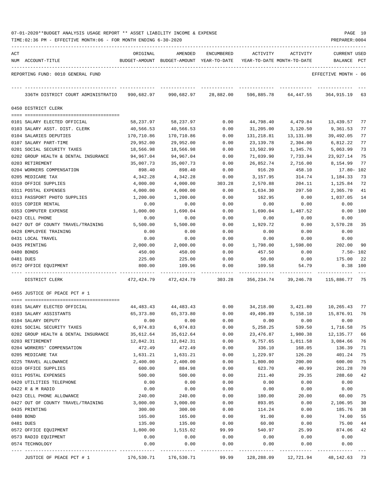|     | TIME:02:36 PM - EFFECTIVE MONTH:06 - FOR MONTH ENDING 6-30-2020 |                    |                                          |              |                            |                      | PREPARER: 0004       |          |
|-----|-----------------------------------------------------------------|--------------------|------------------------------------------|--------------|----------------------------|----------------------|----------------------|----------|
| ACT |                                                                 | ORIGINAL           | AMENDED                                  | ENCUMBERED   | ACTIVITY                   | ACTIVITY             | <b>CURRENT USED</b>  |          |
|     | NUM ACCOUNT-TITLE                                               |                    | BUDGET-AMOUNT BUDGET-AMOUNT YEAR-TO-DATE |              | YEAR-TO-DATE MONTH-TO-DATE |                      | BALANCE              | PCT      |
|     | REPORTING FUND: 0010 GENERAL FUND                               |                    |                                          |              |                            |                      | EFFECTIVE MONTH - 06 |          |
|     | 336TH DISTRICT COURT ADMINISTRATIO                              | 990,682.97         | 990,682.97                               | 28,882.00    | 596,885.78                 | 64,447.55            | 364,915.19 63        |          |
|     | 0450 DISTRICT CLERK                                             |                    |                                          |              |                            |                      |                      |          |
|     | 0101 SALARY ELECTED OFFICIAL                                    | 58,237.97          | 58,237.97                                | 0.00         | 44,798.40                  | 4,479.84             | 13,439.57            | 77       |
|     | 0103 SALARY ASST. DIST. CLERK                                   | 40,566.53          | 40,566.53                                | 0.00         | 31,205.00                  | 3,120.50             | 9,361.53             | 77       |
|     | 0104 SALARIES DEPUTIES                                          | 170,710.86         | 170,710.86                               | 0.00         | 131,218.81                 | 13,131.98            | 39,492.05            | 77       |
|     | 0107 SALARY PART-TIME                                           | 29,952.00          | 29,952.00                                | 0.00         | 23,139.78                  | 2,304.00             | 6,812.22             | 77       |
|     | 0201 SOCIAL SECURITY TAXES                                      | 18,566.98          | 18,566.98                                | 0.00         | 13,502.99                  | 1,345.76             | 5,063.99             | 73       |
|     | 0202 GROUP HEALTH & DENTAL INSURANCE                            | 94,967.04          | 94,967.04                                | 0.00         | 71,039.90                  | 7,733.94             | 23,927.14            | 75       |
|     | 0203 RETIREMENT                                                 | 35,007.73          | 35,007.73                                | 0.00         | 26,852.74                  | 2,716.00             | 8,154.99             | 77       |
|     | 0204 WORKERS COMPENSATION                                       | 898.40             | 898.40                                   | 0.00         | 916.20                     | 458.10               | $17.80 - 102$        |          |
|     | 0205 MEDICARE TAX                                               | 4,342.28           | 4,342.28                                 | 0.00         | 3,157.95                   | 314.74               | 1,184.33             | 73       |
|     | 0310 OFFICE SUPPLIES                                            | 4,000.00           | 4,000.00                                 | 303.28       | 2,570.88                   | 204.11               | 1,125.84             | 72       |
|     | 0311 POSTAL EXPENSES                                            | 4,000.00           | 4,000.00                                 | 0.00         | 1,634.30                   | 297.50               | 2,365.70             | 41       |
|     | 0313 PASSPORT PHOTO SUPPLIES                                    | 1,200.00           | 1,200.00                                 | 0.00         | 162.95                     | 0.00                 | 1,037.05             | 14       |
|     | 0315 COPIER RENTAL                                              | 0.00               | 0.00                                     | 0.00         | 0.00<br>1,690.04           | 0.00                 | 0.00                 | 100      |
|     | 0353 COMPUTER EXPENSE<br>0423 CELL PHONE                        | 1,000.00<br>0.00   | 1,690.04<br>0.00                         | 0.00<br>0.00 | 0.00                       | 1,487.52<br>0.00     | 0.00<br>0.00         |          |
|     | 0427 OUT OF COUNTY TRAVEL/TRAINING                              | 5,500.00           | 5,500.00                                 | 0.00         | 1,929.72                   | 0.00                 | 3,570.28             | 35       |
|     | 0428 EMPLOYEE TRAINING                                          | 0.00               | 0.00                                     | 0.00         | 0.00                       | 0.00                 | 0.00                 |          |
|     | 0431 LOCAL TRAVEL                                               | 0.00               | 0.00                                     | 0.00         | 0.00                       | 0.00                 | 0.00                 |          |
|     | 0435 PRINTING                                                   | 2,000.00           | 2,000.00                                 | 0.00         | 1,798.00                   | 1,598.00             | 202.00               | 90       |
|     | 0480 BONDS                                                      | 450.00             | 450.00                                   | 0.00         | 457.50                     | 0.00                 | 7.50- 102            |          |
|     | 0481 DUES                                                       | 225.00             | 225.00                                   | 0.00         | 50.00                      | 0.00                 | 175.00               | 22       |
|     | 0572 OFFICE EQUIPMENT                                           | 800.00             | 109.96                                   | 0.00         | 109.58                     | 54.79                | $0.38$ 100           |          |
|     | DISTRICT CLERK                                                  | 472,424.79         | 472,424.79                               | 303.28       | 356,234.74                 | 39,246.78            | 115,886.77 75        |          |
|     | 0455 JUSTICE OF PEACE PCT # 1                                   |                    |                                          |              |                            |                      |                      |          |
|     | 0101 SALARY ELECTED OFFICIAL                                    | 44,483.43          | 44,483.43                                | 0.00         | 34,218.00                  | 3,421.80             | 10,265.43            | 77       |
|     | 0103 SALARY ASSISTANTS                                          | 65,373.80          | 65,373.80                                | 0.00         | 49,496.89                  | 5,158.10             | 15,876.91            | 76       |
|     | 0104 SALARY DEPUTY                                              | 0.00               | 0.00                                     | 0.00         | 0.00                       | 0.00                 | 0.00                 |          |
|     | 0201 SOCIAL SECURITY TAXES                                      | 6,974.83           | 6,974.83                                 | 0.00         | 5,258.25                   | 539.50               | 1,716.58             | 75       |
|     | 0202 GROUP HEALTH & DENTAL INSURANCE                            | 35,612.64          | 35,612.64                                | 0.00         | 23,476.87                  | 1,980.38             | 12, 135.77           | 66       |
|     | 0203 RETIREMENT                                                 | 12,842.31          | 12,842.31                                | 0.00         | 9,757.65                   | 1,011.58             | 3,084.66             | 76       |
|     | 0204 WORKERS' COMPENSATION                                      | 472.49             | 472.49                                   | 0.00         | 336.10                     | 168.05               | 136.39               | 71       |
|     | 0205 MEDICARE TAX                                               | 1,631.21           | 1,631.21                                 | 0.00         | 1,229.97                   | 126.20               | 401.24               | 75       |
|     | 0225 TRAVEL ALLOWANCE                                           | 2,400.00           | 2,400.00                                 | 0.00         | 1,800.00                   | 200.00               | 600.00               | 75       |
|     | 0310 OFFICE SUPPLIES                                            | 600.00             | 884.98                                   | 0.00         | 623.70                     | 40.99                | 261.28               | 70       |
|     | 0311 POSTAL EXPENSES                                            | 500.00             | 500.00                                   | 0.00         | 211.40                     | 29.35                | 288.60               | 42       |
|     | 0420 UTILITIES TELEPHONE                                        | 0.00               | 0.00                                     | 0.00         | 0.00                       | 0.00                 | 0.00                 |          |
|     | 0422 R & M RADIO                                                | 0.00               | 0.00                                     | 0.00         | 0.00                       | 0.00                 | 0.00                 |          |
|     | 0423 CELL PHONE ALLOWANCE                                       | 240.00             | 240.00                                   | 0.00         | 180.00                     | 20.00                | 60.00                | 75       |
|     | 0427 OUT OF COUNTY TRAVEL/TRAINING<br>0435 PRINTING             | 3,000.00<br>300.00 | 3,000.00<br>300.00                       | 0.00<br>0.00 | 893.05<br>114.24           | 0.00<br>0.00         | 2,106.95<br>185.76   | 30       |
|     | 0480 BOND                                                       | 165.00             | 165.00                                   | 0.00         | 91.00                      | 0.00                 | 74.00                | 38<br>55 |
|     | 0481 DUES                                                       | 135.00             | 135.00                                   | 0.00         | 60.00                      | 0.00                 | 75.00                | 44       |
|     | 0572 OFFICE EQUIPMENT                                           | 1,800.00           | 1,515.02                                 | 99.99        | 540.97                     | 25.99                | 874.06               | 42       |
|     | 0573 RADIO EQUIPMENT                                            | 0.00               | 0.00                                     | 0.00         | 0.00                       | 0.00                 | 0.00                 |          |
|     | 0574 TECHNOLOGY                                                 | 0.00               | 0.00                                     | 0.00         | 0.00                       | 0.00                 | 0.00                 |          |
|     | JUSTICE OF PEACE PCT # 1                                        |                    | 176,530.71 176,530.71                    | 99.99        |                            | 128,288.09 12,721.94 | 48,142.63 73         |          |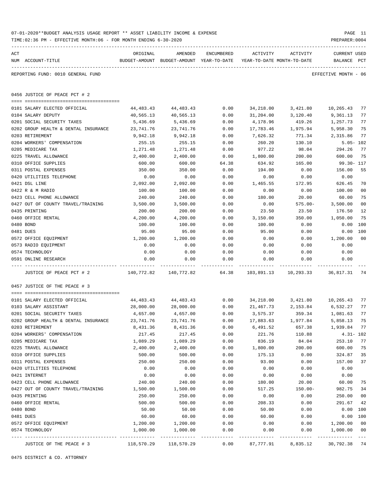|     | TIME:02:36 PM - EFFECTIVE MONTH:06 - FOR MONTH ENDING 6-30-2020 |                                                                                                  |                                                                     |              |                        |                      | PREPARER: 0004               |                |
|-----|-----------------------------------------------------------------|--------------------------------------------------------------------------------------------------|---------------------------------------------------------------------|--------------|------------------------|----------------------|------------------------------|----------------|
| ACT |                                                                 | ORIGINAL                                                                                         | AMENDED                                                             | ENCUMBERED   | ACTIVITY               | ACTIVITY             | CURRENT USED                 |                |
|     | NUM ACCOUNT-TITLE                                               |                                                                                                  | BUDGET-AMOUNT BUDGET-AMOUNT YEAR-TO-DATE YEAR-TO-DATE MONTH-TO-DATE |              |                        |                      | BALANCE PCT                  |                |
|     | REPORTING FUND: 0010 GENERAL FUND                               |                                                                                                  |                                                                     |              |                        |                      | EFFECTIVE MONTH - 06         |                |
|     | 0456 JUSTICE OF PEACE PCT # 2                                   |                                                                                                  |                                                                     |              |                        |                      |                              |                |
|     | 0101 SALARY ELECTED OFFICIAL                                    |                                                                                                  |                                                                     | 0.00         |                        |                      |                              | 77             |
|     | 0104 SALARY DEPUTY                                              | 44,483.43<br>40,565.13                                                                           | 44,483.43<br>40,565.13                                              | 0.00         | 34,218.00<br>31,204.00 | 3,421.80<br>3,120.40 | 10,265.43<br>9,361.13        | 77             |
|     | 0201 SOCIAL SECURITY TAXES                                      | 5,436.69                                                                                         | 5,436.69                                                            | 0.00         | 4,178.96               | 419.26               | 1,257.73                     | 77             |
|     | 0202 GROUP HEALTH & DENTAL INSURANCE                            | 23,741.76                                                                                        | 23,741.76                                                           | 0.00         | 17,783.46              | 1,975.94             | 5,958.30                     | 75             |
|     | 0203 RETIREMENT                                                 | 9,942.18                                                                                         | 9,942.18                                                            | 0.00         | 7,626.32               | 771.34               | 2,315.86                     | 77             |
|     | 0204 WORKERS' COMPENSATION                                      | 255.15                                                                                           | 255.15                                                              | 0.00         | 260.20                 | 130.10               | $5.05 - 102$                 |                |
|     | 0205 MEDICARE TAX                                               | 1,271.48                                                                                         | 1,271.48                                                            | 0.00         | 977.22                 | 98.04                | 294.26                       | 77             |
|     | 0225 TRAVEL ALLOWANCE                                           | 2,400.00                                                                                         | 2,400.00                                                            | 0.00         | 1,800.00               | 200.00               | 600.00                       | 75             |
|     | 0310 OFFICE SUPPLIES                                            | 600.00                                                                                           | 600.00                                                              | 64.38        | 634.92                 | 165.00               | 99.30- 117                   |                |
|     | 0311 POSTAL EXPENSES                                            | 350.00                                                                                           | 350.00                                                              | 0.00         | 194.00                 | 0.00                 | 156.00                       | 55             |
|     | 0420 UTILITIES TELEPHONE                                        | 0.00                                                                                             | 0.00                                                                | 0.00         | 0.00                   | 0.00                 | 0.00                         |                |
|     | 0421 DSL LINE                                                   | 2,092.00                                                                                         | 2,092.00                                                            | 0.00         | 1,465.55               | 172.95               | 626.45                       | 70             |
|     | 0422 R & M RADIO                                                | 100.00                                                                                           | 100.00                                                              | 0.00         | 0.00                   | 0.00                 | 100.00                       | 0 <sub>0</sub> |
|     | 0423 CELL PHONE ALLOWANCE                                       | 240.00                                                                                           | 240.00                                                              | 0.00         | 180.00                 | 20.00                | 60.00                        | 75             |
|     | 0427 OUT OF COUNTY TRAVEL/TRAINING                              | 3,500.00                                                                                         | 3,500.00                                                            | 0.00         | 0.00                   | $575.00 -$           | 3,500.00                     | 0 <sub>0</sub> |
|     | 0435 PRINTING                                                   | 200.00                                                                                           | 200.00                                                              | 0.00         | 23.50                  | 23.50                | 176.50                       | 12             |
|     | 0460 OFFICE RENTAL                                              | 4,200.00                                                                                         | 4,200.00                                                            | 0.00         | 3,150.00               | 350.00               | 1,050.00                     | 75             |
|     | 0480 BOND                                                       | 100.00                                                                                           | 100.00                                                              | 0.00         | 100.00                 | 0.00                 | 0.00 100                     |                |
|     | 0481 DUES                                                       | 95.00                                                                                            | 95.00                                                               | 0.00         | 95.00                  | 0.00                 | 0.00 100                     |                |
|     | 0572 OFFICE EQUIPMENT                                           | 1,200.00                                                                                         | 1,200.00                                                            | 0.00         | 0.00                   | 0.00                 | 1,200.00                     | 0 <sup>0</sup> |
|     | 0573 RADIO EQUIPMENT                                            | 0.00                                                                                             | 0.00                                                                | 0.00         | 0.00                   | 0.00                 | 0.00                         |                |
|     | 0574 TECHNOLOGY                                                 | 0.00                                                                                             | 0.00                                                                | 0.00         | 0.00                   | 0.00                 | 0.00                         |                |
|     | 0591 ONLINE RESEARCH                                            | 0.00                                                                                             | 0.00                                                                | 0.00         | 0.00                   | 0.00                 | 0.00                         |                |
|     | JUSTICE OF PEACE PCT # 2                                        | -----------<br>140,772.82  140,772.82        64.38      103,891.13      10,293.33      36,817.31 |                                                                     | ------------ |                        | -----------          |                              | 74             |
|     | 0457 JUSTICE OF THE PEACE # 3                                   |                                                                                                  |                                                                     |              |                        |                      |                              |                |
|     | 0101 SALARY ELECTED OFFICIAL                                    | 44,483.43                                                                                        | 44,483.43                                                           | 0.00         |                        |                      | 34,218.00 3,421.80 10,265.43 | 77             |
|     | 0103 SALARY ASSISTANT                                           | 28,000.00                                                                                        | 28,000.00                                                           | 0.00         | 21,467.73              | 2,153.84             | 6,532.27                     | 77             |
|     | 0201 SOCIAL SECURITY TAXES                                      | 4,657.00                                                                                         | 4,657.00                                                            | 0.00         | 3,575.37               | 359.34               | 1,081.63                     | 77             |
|     | 0202 GROUP HEALTH & DENTAL INSURANCE                            | 23,741.76                                                                                        | 23,741.76                                                           | 0.00         | 17,883.63              | 1,977.84             | 5,858.13                     | 75             |
|     | 0203 RETIREMENT                                                 | 8,431.36                                                                                         | 8,431.36                                                            | 0.00         | 6,491.52               | 657.38               | 1,939.84                     | 77             |
|     | 0204 WORKERS' COMPENSATION                                      | 217.45                                                                                           | 217.45                                                              | 0.00         | 221.76                 | 110.88               | $4.31 - 102$                 |                |
|     | 0205 MEDICARE TAX                                               | 1,089.29                                                                                         | 1,089.29                                                            | 0.00         | 836.19                 | 84.04                | 253.10                       | 77             |
|     | 0225 TRAVEL ALLOWANCE                                           | 2,400.00                                                                                         | 2,400.00                                                            | 0.00         | 1,800.00               | 200.00               | 600.00                       | 75             |
|     | 0310 OFFICE SUPPLIES                                            | 500.00                                                                                           | 500.00                                                              | 0.00         | 175.13                 | 0.00                 | 324.87                       | 35             |
|     | 0311 POSTAL EXPENSES                                            | 250.00                                                                                           | 250.00                                                              | 0.00         | 93.00                  | 0.00                 | 157.00                       | 37             |
|     | 0420 UTILITIES TELEPHONE                                        | 0.00                                                                                             | 0.00                                                                | 0.00         | 0.00                   | 0.00                 | 0.00                         |                |
|     | 0421 INTERNET                                                   | 0.00                                                                                             | 0.00                                                                | 0.00         | 0.00                   | 0.00                 | 0.00                         |                |
|     | 0423 CELL PHONE ALLOWANCE                                       | 240.00                                                                                           | 240.00                                                              | 0.00         | 180.00                 | 20.00                | 60.00                        | 75             |
|     | 0427 OUT OF COUNTY TRAVEL/TRAINING                              | 1,500.00                                                                                         | 1,500.00                                                            | 0.00         | 517.25                 | $150.00 -$           | 982.75                       | 34             |
|     | 0435 PRINTING                                                   | 250.00                                                                                           | 250.00                                                              | 0.00         | 0.00                   | 0.00                 | 250.00                       | 0 <sub>0</sub> |
|     | 0460 OFFICE RENTAL                                              | 500.00                                                                                           | 500.00                                                              | 0.00         | 208.33                 | 0.00                 | 291.67                       | 42             |
|     | 0480 BOND                                                       | 50.00                                                                                            | 50.00                                                               | 0.00         | 50.00                  | 0.00                 | 0.00                         | 100            |
|     | 0481 DUES                                                       | 60.00                                                                                            | 60.00                                                               | 0.00         | 60.00                  | 0.00                 | 0.00                         | 100            |
|     | 0572 OFFICE EQUIPMENT                                           | 1,200.00                                                                                         | 1,200.00                                                            | 0.00         | 0.00                   | 0.00                 | 1,200.00                     | 0 <sub>0</sub> |
|     | 0574 TECHNOLOGY                                                 | 1,000.00                                                                                         | 1,000.00                                                            | 0.00         | 0.00                   | 0.00                 | 1,000.00                     | 0 <sub>0</sub> |
|     | JUSTICE OF THE PEACE # 3                                        | 118,570.29                                                                                       | 118,570.29                                                          | 0.00         | 87,777.91              | 8,835.12             | 30,792.38                    | $- - -$<br>74  |

0475 DISTRICT & CO. ATTORNEY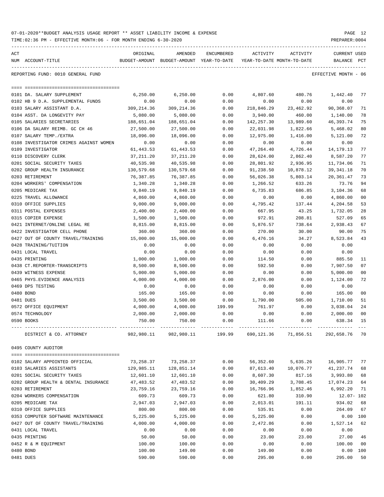|                                      | ORIGINAL                                                                                                                                                                                                                                                                                                                                                                                                                                                                                                                                                                                                                                                                                                                                   | AMENDED                                                                                                                                                                                                                                                                                             | ENCUMBERED                                                                                                                                                                                                                                                                                                                                                                |                                                                                                                                                                                              |                                      |                                                                                                                                                                                                                                                                                                                                                                                                                                                                                                                                                                                                                                                                                                                                                                                                              |                                                                                                                                                                                                                                                                                                                                                                                                                                                                                                             |
|--------------------------------------|--------------------------------------------------------------------------------------------------------------------------------------------------------------------------------------------------------------------------------------------------------------------------------------------------------------------------------------------------------------------------------------------------------------------------------------------------------------------------------------------------------------------------------------------------------------------------------------------------------------------------------------------------------------------------------------------------------------------------------------------|-----------------------------------------------------------------------------------------------------------------------------------------------------------------------------------------------------------------------------------------------------------------------------------------------------|---------------------------------------------------------------------------------------------------------------------------------------------------------------------------------------------------------------------------------------------------------------------------------------------------------------------------------------------------------------------------|----------------------------------------------------------------------------------------------------------------------------------------------------------------------------------------------|--------------------------------------|--------------------------------------------------------------------------------------------------------------------------------------------------------------------------------------------------------------------------------------------------------------------------------------------------------------------------------------------------------------------------------------------------------------------------------------------------------------------------------------------------------------------------------------------------------------------------------------------------------------------------------------------------------------------------------------------------------------------------------------------------------------------------------------------------------------|-------------------------------------------------------------------------------------------------------------------------------------------------------------------------------------------------------------------------------------------------------------------------------------------------------------------------------------------------------------------------------------------------------------------------------------------------------------------------------------------------------------|
| NUM ACCOUNT-TITLE                    |                                                                                                                                                                                                                                                                                                                                                                                                                                                                                                                                                                                                                                                                                                                                            |                                                                                                                                                                                                                                                                                                     |                                                                                                                                                                                                                                                                                                                                                                           |                                                                                                                                                                                              |                                      |                                                                                                                                                                                                                                                                                                                                                                                                                                                                                                                                                                                                                                                                                                                                                                                                              |                                                                                                                                                                                                                                                                                                                                                                                                                                                                                                             |
| REPORTING FUND: 0010 GENERAL FUND    |                                                                                                                                                                                                                                                                                                                                                                                                                                                                                                                                                                                                                                                                                                                                            |                                                                                                                                                                                                                                                                                                     |                                                                                                                                                                                                                                                                                                                                                                           |                                                                                                                                                                                              |                                      |                                                                                                                                                                                                                                                                                                                                                                                                                                                                                                                                                                                                                                                                                                                                                                                                              |                                                                                                                                                                                                                                                                                                                                                                                                                                                                                                             |
|                                      |                                                                                                                                                                                                                                                                                                                                                                                                                                                                                                                                                                                                                                                                                                                                            |                                                                                                                                                                                                                                                                                                     |                                                                                                                                                                                                                                                                                                                                                                           |                                                                                                                                                                                              |                                      |                                                                                                                                                                                                                                                                                                                                                                                                                                                                                                                                                                                                                                                                                                                                                                                                              |                                                                                                                                                                                                                                                                                                                                                                                                                                                                                                             |
|                                      |                                                                                                                                                                                                                                                                                                                                                                                                                                                                                                                                                                                                                                                                                                                                            |                                                                                                                                                                                                                                                                                                     |                                                                                                                                                                                                                                                                                                                                                                           |                                                                                                                                                                                              |                                      |                                                                                                                                                                                                                                                                                                                                                                                                                                                                                                                                                                                                                                                                                                                                                                                                              | 77                                                                                                                                                                                                                                                                                                                                                                                                                                                                                                          |
|                                      |                                                                                                                                                                                                                                                                                                                                                                                                                                                                                                                                                                                                                                                                                                                                            |                                                                                                                                                                                                                                                                                                     |                                                                                                                                                                                                                                                                                                                                                                           |                                                                                                                                                                                              |                                      |                                                                                                                                                                                                                                                                                                                                                                                                                                                                                                                                                                                                                                                                                                                                                                                                              |                                                                                                                                                                                                                                                                                                                                                                                                                                                                                                             |
|                                      |                                                                                                                                                                                                                                                                                                                                                                                                                                                                                                                                                                                                                                                                                                                                            |                                                                                                                                                                                                                                                                                                     |                                                                                                                                                                                                                                                                                                                                                                           |                                                                                                                                                                                              |                                      |                                                                                                                                                                                                                                                                                                                                                                                                                                                                                                                                                                                                                                                                                                                                                                                                              | 71                                                                                                                                                                                                                                                                                                                                                                                                                                                                                                          |
|                                      |                                                                                                                                                                                                                                                                                                                                                                                                                                                                                                                                                                                                                                                                                                                                            |                                                                                                                                                                                                                                                                                                     |                                                                                                                                                                                                                                                                                                                                                                           |                                                                                                                                                                                              |                                      |                                                                                                                                                                                                                                                                                                                                                                                                                                                                                                                                                                                                                                                                                                                                                                                                              | 78<br>75                                                                                                                                                                                                                                                                                                                                                                                                                                                                                                    |
|                                      |                                                                                                                                                                                                                                                                                                                                                                                                                                                                                                                                                                                                                                                                                                                                            |                                                                                                                                                                                                                                                                                                     |                                                                                                                                                                                                                                                                                                                                                                           |                                                                                                                                                                                              |                                      |                                                                                                                                                                                                                                                                                                                                                                                                                                                                                                                                                                                                                                                                                                                                                                                                              | 80                                                                                                                                                                                                                                                                                                                                                                                                                                                                                                          |
|                                      |                                                                                                                                                                                                                                                                                                                                                                                                                                                                                                                                                                                                                                                                                                                                            |                                                                                                                                                                                                                                                                                                     |                                                                                                                                                                                                                                                                                                                                                                           |                                                                                                                                                                                              |                                      |                                                                                                                                                                                                                                                                                                                                                                                                                                                                                                                                                                                                                                                                                                                                                                                                              |                                                                                                                                                                                                                                                                                                                                                                                                                                                                                                             |
|                                      |                                                                                                                                                                                                                                                                                                                                                                                                                                                                                                                                                                                                                                                                                                                                            |                                                                                                                                                                                                                                                                                                     |                                                                                                                                                                                                                                                                                                                                                                           |                                                                                                                                                                                              |                                      |                                                                                                                                                                                                                                                                                                                                                                                                                                                                                                                                                                                                                                                                                                                                                                                                              | 72                                                                                                                                                                                                                                                                                                                                                                                                                                                                                                          |
|                                      |                                                                                                                                                                                                                                                                                                                                                                                                                                                                                                                                                                                                                                                                                                                                            |                                                                                                                                                                                                                                                                                                     |                                                                                                                                                                                                                                                                                                                                                                           |                                                                                                                                                                                              |                                      |                                                                                                                                                                                                                                                                                                                                                                                                                                                                                                                                                                                                                                                                                                                                                                                                              |                                                                                                                                                                                                                                                                                                                                                                                                                                                                                                             |
|                                      |                                                                                                                                                                                                                                                                                                                                                                                                                                                                                                                                                                                                                                                                                                                                            |                                                                                                                                                                                                                                                                                                     |                                                                                                                                                                                                                                                                                                                                                                           |                                                                                                                                                                                              |                                      |                                                                                                                                                                                                                                                                                                                                                                                                                                                                                                                                                                                                                                                                                                                                                                                                              | 77                                                                                                                                                                                                                                                                                                                                                                                                                                                                                                          |
|                                      |                                                                                                                                                                                                                                                                                                                                                                                                                                                                                                                                                                                                                                                                                                                                            |                                                                                                                                                                                                                                                                                                     |                                                                                                                                                                                                                                                                                                                                                                           |                                                                                                                                                                                              |                                      |                                                                                                                                                                                                                                                                                                                                                                                                                                                                                                                                                                                                                                                                                                                                                                                                              | 77                                                                                                                                                                                                                                                                                                                                                                                                                                                                                                          |
|                                      |                                                                                                                                                                                                                                                                                                                                                                                                                                                                                                                                                                                                                                                                                                                                            |                                                                                                                                                                                                                                                                                                     |                                                                                                                                                                                                                                                                                                                                                                           |                                                                                                                                                                                              |                                      |                                                                                                                                                                                                                                                                                                                                                                                                                                                                                                                                                                                                                                                                                                                                                                                                              | 71                                                                                                                                                                                                                                                                                                                                                                                                                                                                                                          |
|                                      |                                                                                                                                                                                                                                                                                                                                                                                                                                                                                                                                                                                                                                                                                                                                            |                                                                                                                                                                                                                                                                                                     |                                                                                                                                                                                                                                                                                                                                                                           |                                                                                                                                                                                              |                                      |                                                                                                                                                                                                                                                                                                                                                                                                                                                                                                                                                                                                                                                                                                                                                                                                              | 70                                                                                                                                                                                                                                                                                                                                                                                                                                                                                                          |
|                                      |                                                                                                                                                                                                                                                                                                                                                                                                                                                                                                                                                                                                                                                                                                                                            |                                                                                                                                                                                                                                                                                                     |                                                                                                                                                                                                                                                                                                                                                                           |                                                                                                                                                                                              |                                      |                                                                                                                                                                                                                                                                                                                                                                                                                                                                                                                                                                                                                                                                                                                                                                                                              | 73                                                                                                                                                                                                                                                                                                                                                                                                                                                                                                          |
|                                      |                                                                                                                                                                                                                                                                                                                                                                                                                                                                                                                                                                                                                                                                                                                                            |                                                                                                                                                                                                                                                                                                     |                                                                                                                                                                                                                                                                                                                                                                           |                                                                                                                                                                                              |                                      |                                                                                                                                                                                                                                                                                                                                                                                                                                                                                                                                                                                                                                                                                                                                                                                                              | 94                                                                                                                                                                                                                                                                                                                                                                                                                                                                                                          |
|                                      |                                                                                                                                                                                                                                                                                                                                                                                                                                                                                                                                                                                                                                                                                                                                            |                                                                                                                                                                                                                                                                                                     |                                                                                                                                                                                                                                                                                                                                                                           |                                                                                                                                                                                              |                                      |                                                                                                                                                                                                                                                                                                                                                                                                                                                                                                                                                                                                                                                                                                                                                                                                              | 68                                                                                                                                                                                                                                                                                                                                                                                                                                                                                                          |
|                                      |                                                                                                                                                                                                                                                                                                                                                                                                                                                                                                                                                                                                                                                                                                                                            |                                                                                                                                                                                                                                                                                                     |                                                                                                                                                                                                                                                                                                                                                                           |                                                                                                                                                                                              |                                      |                                                                                                                                                                                                                                                                                                                                                                                                                                                                                                                                                                                                                                                                                                                                                                                                              | 0 <sub>0</sub>                                                                                                                                                                                                                                                                                                                                                                                                                                                                                              |
|                                      |                                                                                                                                                                                                                                                                                                                                                                                                                                                                                                                                                                                                                                                                                                                                            |                                                                                                                                                                                                                                                                                                     |                                                                                                                                                                                                                                                                                                                                                                           |                                                                                                                                                                                              |                                      |                                                                                                                                                                                                                                                                                                                                                                                                                                                                                                                                                                                                                                                                                                                                                                                                              | 53                                                                                                                                                                                                                                                                                                                                                                                                                                                                                                          |
|                                      |                                                                                                                                                                                                                                                                                                                                                                                                                                                                                                                                                                                                                                                                                                                                            |                                                                                                                                                                                                                                                                                                     |                                                                                                                                                                                                                                                                                                                                                                           |                                                                                                                                                                                              |                                      |                                                                                                                                                                                                                                                                                                                                                                                                                                                                                                                                                                                                                                                                                                                                                                                                              | 28                                                                                                                                                                                                                                                                                                                                                                                                                                                                                                          |
|                                      |                                                                                                                                                                                                                                                                                                                                                                                                                                                                                                                                                                                                                                                                                                                                            |                                                                                                                                                                                                                                                                                                     |                                                                                                                                                                                                                                                                                                                                                                           |                                                                                                                                                                                              |                                      |                                                                                                                                                                                                                                                                                                                                                                                                                                                                                                                                                                                                                                                                                                                                                                                                              | 65                                                                                                                                                                                                                                                                                                                                                                                                                                                                                                          |
|                                      |                                                                                                                                                                                                                                                                                                                                                                                                                                                                                                                                                                                                                                                                                                                                            |                                                                                                                                                                                                                                                                                                     |                                                                                                                                                                                                                                                                                                                                                                           |                                                                                                                                                                                              |                                      |                                                                                                                                                                                                                                                                                                                                                                                                                                                                                                                                                                                                                                                                                                                                                                                                              | 67                                                                                                                                                                                                                                                                                                                                                                                                                                                                                                          |
|                                      |                                                                                                                                                                                                                                                                                                                                                                                                                                                                                                                                                                                                                                                                                                                                            |                                                                                                                                                                                                                                                                                                     |                                                                                                                                                                                                                                                                                                                                                                           |                                                                                                                                                                                              |                                      |                                                                                                                                                                                                                                                                                                                                                                                                                                                                                                                                                                                                                                                                                                                                                                                                              | 75                                                                                                                                                                                                                                                                                                                                                                                                                                                                                                          |
|                                      |                                                                                                                                                                                                                                                                                                                                                                                                                                                                                                                                                                                                                                                                                                                                            |                                                                                                                                                                                                                                                                                                     |                                                                                                                                                                                                                                                                                                                                                                           |                                                                                                                                                                                              |                                      |                                                                                                                                                                                                                                                                                                                                                                                                                                                                                                                                                                                                                                                                                                                                                                                                              | 43                                                                                                                                                                                                                                                                                                                                                                                                                                                                                                          |
|                                      |                                                                                                                                                                                                                                                                                                                                                                                                                                                                                                                                                                                                                                                                                                                                            |                                                                                                                                                                                                                                                                                                     |                                                                                                                                                                                                                                                                                                                                                                           |                                                                                                                                                                                              |                                      |                                                                                                                                                                                                                                                                                                                                                                                                                                                                                                                                                                                                                                                                                                                                                                                                              |                                                                                                                                                                                                                                                                                                                                                                                                                                                                                                             |
|                                      |                                                                                                                                                                                                                                                                                                                                                                                                                                                                                                                                                                                                                                                                                                                                            |                                                                                                                                                                                                                                                                                                     |                                                                                                                                                                                                                                                                                                                                                                           |                                                                                                                                                                                              |                                      |                                                                                                                                                                                                                                                                                                                                                                                                                                                                                                                                                                                                                                                                                                                                                                                                              |                                                                                                                                                                                                                                                                                                                                                                                                                                                                                                             |
|                                      |                                                                                                                                                                                                                                                                                                                                                                                                                                                                                                                                                                                                                                                                                                                                            | 1,000.00                                                                                                                                                                                                                                                                                            | 0.00                                                                                                                                                                                                                                                                                                                                                                      | 114.50                                                                                                                                                                                       | 0.00                                 |                                                                                                                                                                                                                                                                                                                                                                                                                                                                                                                                                                                                                                                                                                                                                                                                              | 11                                                                                                                                                                                                                                                                                                                                                                                                                                                                                                          |
| 0438 CT.REPORTER-TRANSCRIPTS         | 8,500.00                                                                                                                                                                                                                                                                                                                                                                                                                                                                                                                                                                                                                                                                                                                                   | 8,500.00                                                                                                                                                                                                                                                                                            | 0.00                                                                                                                                                                                                                                                                                                                                                                      |                                                                                                                                                                                              | 0.00                                 | 7,907.50                                                                                                                                                                                                                                                                                                                                                                                                                                                                                                                                                                                                                                                                                                                                                                                                     | 07                                                                                                                                                                                                                                                                                                                                                                                                                                                                                                          |
| 0439 WITNESS EXPENSE                 | 5,000.00                                                                                                                                                                                                                                                                                                                                                                                                                                                                                                                                                                                                                                                                                                                                   | 5,000.00                                                                                                                                                                                                                                                                                            | 0.00                                                                                                                                                                                                                                                                                                                                                                      |                                                                                                                                                                                              | 0.00                                 | 5,000.00                                                                                                                                                                                                                                                                                                                                                                                                                                                                                                                                                                                                                                                                                                                                                                                                     | 0 <sub>0</sub>                                                                                                                                                                                                                                                                                                                                                                                                                                                                                              |
| 0465 PHYS. EVIDENCE ANALYSIS         | 4,000.00                                                                                                                                                                                                                                                                                                                                                                                                                                                                                                                                                                                                                                                                                                                                   | 4,000.00                                                                                                                                                                                                                                                                                            | 0.00                                                                                                                                                                                                                                                                                                                                                                      |                                                                                                                                                                                              | 0.00                                 | 1,124.00                                                                                                                                                                                                                                                                                                                                                                                                                                                                                                                                                                                                                                                                                                                                                                                                     | 72                                                                                                                                                                                                                                                                                                                                                                                                                                                                                                          |
|                                      | 0.00                                                                                                                                                                                                                                                                                                                                                                                                                                                                                                                                                                                                                                                                                                                                       | 0.00                                                                                                                                                                                                                                                                                                | 0.00                                                                                                                                                                                                                                                                                                                                                                      | 0.00                                                                                                                                                                                         | 0.00                                 | 0.00                                                                                                                                                                                                                                                                                                                                                                                                                                                                                                                                                                                                                                                                                                                                                                                                         |                                                                                                                                                                                                                                                                                                                                                                                                                                                                                                             |
| 0480 BOND                            | 165.00                                                                                                                                                                                                                                                                                                                                                                                                                                                                                                                                                                                                                                                                                                                                     | 165.00                                                                                                                                                                                                                                                                                              | 0.00                                                                                                                                                                                                                                                                                                                                                                      |                                                                                                                                                                                              | 0.00                                 | 165.00                                                                                                                                                                                                                                                                                                                                                                                                                                                                                                                                                                                                                                                                                                                                                                                                       | 0 <sub>0</sub>                                                                                                                                                                                                                                                                                                                                                                                                                                                                                              |
| 0481 DUES                            | 3,500.00                                                                                                                                                                                                                                                                                                                                                                                                                                                                                                                                                                                                                                                                                                                                   | 3,500.00                                                                                                                                                                                                                                                                                            | 0.00                                                                                                                                                                                                                                                                                                                                                                      |                                                                                                                                                                                              | 505.00                               | 1,710.00                                                                                                                                                                                                                                                                                                                                                                                                                                                                                                                                                                                                                                                                                                                                                                                                     | 51                                                                                                                                                                                                                                                                                                                                                                                                                                                                                                          |
| 0572 OFFICE EQUIPMENT                | 4,000.00                                                                                                                                                                                                                                                                                                                                                                                                                                                                                                                                                                                                                                                                                                                                   | 4,000.00                                                                                                                                                                                                                                                                                            | 199.99                                                                                                                                                                                                                                                                                                                                                                    |                                                                                                                                                                                              | 0.00                                 | 3,038.04                                                                                                                                                                                                                                                                                                                                                                                                                                                                                                                                                                                                                                                                                                                                                                                                     | 24                                                                                                                                                                                                                                                                                                                                                                                                                                                                                                          |
| 0574 TECHNOLOGY                      | 2,000.00                                                                                                                                                                                                                                                                                                                                                                                                                                                                                                                                                                                                                                                                                                                                   | 2,000.00                                                                                                                                                                                                                                                                                            | 0.00                                                                                                                                                                                                                                                                                                                                                                      |                                                                                                                                                                                              | 0.00                                 | 2,000.00                                                                                                                                                                                                                                                                                                                                                                                                                                                                                                                                                                                                                                                                                                                                                                                                     | 0 <sub>0</sub>                                                                                                                                                                                                                                                                                                                                                                                                                                                                                              |
| 0590 BOOKS                           | 750.00                                                                                                                                                                                                                                                                                                                                                                                                                                                                                                                                                                                                                                                                                                                                     | 750.00                                                                                                                                                                                                                                                                                              | 0.00                                                                                                                                                                                                                                                                                                                                                                      | 111.66                                                                                                                                                                                       | 0.00                                 | 638.34                                                                                                                                                                                                                                                                                                                                                                                                                                                                                                                                                                                                                                                                                                                                                                                                       | 15                                                                                                                                                                                                                                                                                                                                                                                                                                                                                                          |
| DISTRICT & CO. ATTORNEY              |                                                                                                                                                                                                                                                                                                                                                                                                                                                                                                                                                                                                                                                                                                                                            |                                                                                                                                                                                                                                                                                                     |                                                                                                                                                                                                                                                                                                                                                                           |                                                                                                                                                                                              |                                      |                                                                                                                                                                                                                                                                                                                                                                                                                                                                                                                                                                                                                                                                                                                                                                                                              | 70                                                                                                                                                                                                                                                                                                                                                                                                                                                                                                          |
| 0495 COUNTY AUDITOR                  |                                                                                                                                                                                                                                                                                                                                                                                                                                                                                                                                                                                                                                                                                                                                            |                                                                                                                                                                                                                                                                                                     |                                                                                                                                                                                                                                                                                                                                                                           |                                                                                                                                                                                              |                                      |                                                                                                                                                                                                                                                                                                                                                                                                                                                                                                                                                                                                                                                                                                                                                                                                              |                                                                                                                                                                                                                                                                                                                                                                                                                                                                                                             |
| 0102 SALARY APPOINTED OFFICIAL       |                                                                                                                                                                                                                                                                                                                                                                                                                                                                                                                                                                                                                                                                                                                                            | 73,258.37                                                                                                                                                                                                                                                                                           | 0.00                                                                                                                                                                                                                                                                                                                                                                      |                                                                                                                                                                                              |                                      |                                                                                                                                                                                                                                                                                                                                                                                                                                                                                                                                                                                                                                                                                                                                                                                                              | 77                                                                                                                                                                                                                                                                                                                                                                                                                                                                                                          |
| 0103 SALARIES ASSISTANTS             | 129,985.11                                                                                                                                                                                                                                                                                                                                                                                                                                                                                                                                                                                                                                                                                                                                 | 128,851.14                                                                                                                                                                                                                                                                                          | 0.00                                                                                                                                                                                                                                                                                                                                                                      |                                                                                                                                                                                              |                                      | 41,237.74                                                                                                                                                                                                                                                                                                                                                                                                                                                                                                                                                                                                                                                                                                                                                                                                    | 68                                                                                                                                                                                                                                                                                                                                                                                                                                                                                                          |
| 0201 SOCIAL SECURITY TAXES           | 12,601.10                                                                                                                                                                                                                                                                                                                                                                                                                                                                                                                                                                                                                                                                                                                                  | 12,601.10                                                                                                                                                                                                                                                                                           | 0.00                                                                                                                                                                                                                                                                                                                                                                      |                                                                                                                                                                                              | 817.16                               | 3,993.80                                                                                                                                                                                                                                                                                                                                                                                                                                                                                                                                                                                                                                                                                                                                                                                                     | 68                                                                                                                                                                                                                                                                                                                                                                                                                                                                                                          |
| 0202 GROUP HEALTH & DENTAL INSURANCE | 47,483.52                                                                                                                                                                                                                                                                                                                                                                                                                                                                                                                                                                                                                                                                                                                                  | 47,483.52                                                                                                                                                                                                                                                                                           | 0.00                                                                                                                                                                                                                                                                                                                                                                      |                                                                                                                                                                                              | 3,708.45                             | 17,074.23                                                                                                                                                                                                                                                                                                                                                                                                                                                                                                                                                                                                                                                                                                                                                                                                    | 64                                                                                                                                                                                                                                                                                                                                                                                                                                                                                                          |
| 0203 RETIREMENT                      | 23,759.16                                                                                                                                                                                                                                                                                                                                                                                                                                                                                                                                                                                                                                                                                                                                  | 23,759.16                                                                                                                                                                                                                                                                                           | 0.00                                                                                                                                                                                                                                                                                                                                                                      |                                                                                                                                                                                              |                                      | 6,992.20                                                                                                                                                                                                                                                                                                                                                                                                                                                                                                                                                                                                                                                                                                                                                                                                     | 71                                                                                                                                                                                                                                                                                                                                                                                                                                                                                                          |
| 0204 WORKERS COMPENSATION            | 609.73                                                                                                                                                                                                                                                                                                                                                                                                                                                                                                                                                                                                                                                                                                                                     | 609.73                                                                                                                                                                                                                                                                                              | 0.00                                                                                                                                                                                                                                                                                                                                                                      |                                                                                                                                                                                              | 310.90                               |                                                                                                                                                                                                                                                                                                                                                                                                                                                                                                                                                                                                                                                                                                                                                                                                              |                                                                                                                                                                                                                                                                                                                                                                                                                                                                                                             |
| 0205 MEDICARE TAX                    | 2,947.03                                                                                                                                                                                                                                                                                                                                                                                                                                                                                                                                                                                                                                                                                                                                   | 2,947.03                                                                                                                                                                                                                                                                                            | 0.00                                                                                                                                                                                                                                                                                                                                                                      |                                                                                                                                                                                              | 191.11                               | 934.02                                                                                                                                                                                                                                                                                                                                                                                                                                                                                                                                                                                                                                                                                                                                                                                                       | 68                                                                                                                                                                                                                                                                                                                                                                                                                                                                                                          |
| 0310 OFFICE SUPPLIES                 | 800.00                                                                                                                                                                                                                                                                                                                                                                                                                                                                                                                                                                                                                                                                                                                                     | 800.00                                                                                                                                                                                                                                                                                              | 0.00                                                                                                                                                                                                                                                                                                                                                                      |                                                                                                                                                                                              | 0.00                                 | 264.09                                                                                                                                                                                                                                                                                                                                                                                                                                                                                                                                                                                                                                                                                                                                                                                                       | 67                                                                                                                                                                                                                                                                                                                                                                                                                                                                                                          |
| 0353 COMPUTER SOFTWARE MAINTENANCE   | 5,225.00                                                                                                                                                                                                                                                                                                                                                                                                                                                                                                                                                                                                                                                                                                                                   | 5,225.00                                                                                                                                                                                                                                                                                            | 0.00                                                                                                                                                                                                                                                                                                                                                                      |                                                                                                                                                                                              | 0.00                                 |                                                                                                                                                                                                                                                                                                                                                                                                                                                                                                                                                                                                                                                                                                                                                                                                              |                                                                                                                                                                                                                                                                                                                                                                                                                                                                                                             |
| 0427 OUT OF COUNTY TRAVEL/TRAINING   | 4,000.00                                                                                                                                                                                                                                                                                                                                                                                                                                                                                                                                                                                                                                                                                                                                   | 4,000.00                                                                                                                                                                                                                                                                                            | 0.00                                                                                                                                                                                                                                                                                                                                                                      |                                                                                                                                                                                              | 0.00                                 | 1,527.14                                                                                                                                                                                                                                                                                                                                                                                                                                                                                                                                                                                                                                                                                                                                                                                                     | 62                                                                                                                                                                                                                                                                                                                                                                                                                                                                                                          |
| 0431 LOCAL TRAVEL                    | 0.00                                                                                                                                                                                                                                                                                                                                                                                                                                                                                                                                                                                                                                                                                                                                       | 0.00                                                                                                                                                                                                                                                                                                | 0.00                                                                                                                                                                                                                                                                                                                                                                      | 0.00                                                                                                                                                                                         | 0.00                                 | 0.00                                                                                                                                                                                                                                                                                                                                                                                                                                                                                                                                                                                                                                                                                                                                                                                                         |                                                                                                                                                                                                                                                                                                                                                                                                                                                                                                             |
| 0435 PRINTING                        | 50.00                                                                                                                                                                                                                                                                                                                                                                                                                                                                                                                                                                                                                                                                                                                                      | 50.00                                                                                                                                                                                                                                                                                               | 0.00                                                                                                                                                                                                                                                                                                                                                                      | 23.00                                                                                                                                                                                        | 23.00                                | 27.00                                                                                                                                                                                                                                                                                                                                                                                                                                                                                                                                                                                                                                                                                                                                                                                                        | 46                                                                                                                                                                                                                                                                                                                                                                                                                                                                                                          |
| 0452 R & M EQUIPMENT                 | 100.00                                                                                                                                                                                                                                                                                                                                                                                                                                                                                                                                                                                                                                                                                                                                     | 100.00                                                                                                                                                                                                                                                                                              | 0.00                                                                                                                                                                                                                                                                                                                                                                      | 0.00                                                                                                                                                                                         | 0.00                                 | 100.00                                                                                                                                                                                                                                                                                                                                                                                                                                                                                                                                                                                                                                                                                                                                                                                                       | 0 <sub>0</sub>                                                                                                                                                                                                                                                                                                                                                                                                                                                                                              |
| 0480 BOND                            | 100.00                                                                                                                                                                                                                                                                                                                                                                                                                                                                                                                                                                                                                                                                                                                                     | 149.00                                                                                                                                                                                                                                                                                              | 0.00                                                                                                                                                                                                                                                                                                                                                                      |                                                                                                                                                                                              | 0.00                                 | 0.00 100                                                                                                                                                                                                                                                                                                                                                                                                                                                                                                                                                                                                                                                                                                                                                                                                     |                                                                                                                                                                                                                                                                                                                                                                                                                                                                                                             |
|                                      | 0101 DA. SALARY SUPPLEMENT<br>0102 HB 9 D.A. SUPPLEMENTAL FUNDS<br>0103 SALARY ASSISTANT D.A.<br>0104 ASST. DA LONGEVITY PAY<br>0105 SALARIES SECRETARIES<br>0106 DA SALARY REIMB. GC CH 46<br>0107 SALARY TEMP./EXTRA<br>0108 INVESTIGATOR CRIMES AGAINST WOMEN<br>0109 INVESTIGATOR<br>0110 DISCOVERY CLERK<br>0201 SOCIAL SECURITY TAXES<br>0202 GROUP HEALTH INSURANCE<br>0203 RETIREMENT<br>0204 WORKERS' COMPENSATION<br>0205 MEDICARE TAX<br>0225 TRAVEL ALLOWANCE<br>0310 OFFICE SUPPLIES<br>0311 POSTAL EXPENSES<br>0315 COPIER EXPENSE<br>0421 INTERNET/ONLINE LEGAL RE<br>0422 INVESTIGATOR CELL PHONE<br>0427 OUT OF COUNTY TRAVEL/TRAINING<br>0428 TRAINING/TUITION<br>0431 LOCAL TRAVEL<br>0435 PRINTING<br>0469 DPS TESTING | 6,250.00<br>0.00<br>309,214.36<br>5,080.00<br>188,651.04<br>27,500.00<br>18,096.00<br>0.00<br>61,443.53<br>37,211.20<br>40,535.98<br>130,579.68<br>76,387.85<br>1,340.28<br>9,840.19<br>4,860.00<br>9,000.00<br>2,400.00<br>1,500.00<br>8,815.00<br>360.00<br>15,000.00<br>0.00<br>0.00<br>1,000.00 | TIME:02:36 PM - EFFECTIVE MONTH:06 - FOR MONTH ENDING 6-30-2020<br>6, 250.00<br>0.00<br>309, 214.36<br>5,080.00<br>188,651.04<br>27,500.00<br>18,096.00<br>0.00<br>61,443.53<br>37,211.20<br>40,535.98<br>130,579.68<br>76,387.85<br>1,340.28<br>9,840.19<br>4,860.00<br>9,000.00<br>2,400.00<br>1,500.00<br>8,815.00<br>360.00<br>15,000.00<br>0.00<br>0.00<br>73,258.37 | 0.00<br>0.00<br>0.00<br>0.00<br>0.00<br>0.00<br>0.00<br>0.00<br>0.00<br>0.00<br>0.00<br>0.00<br>0.00<br>0.00<br>0.00<br>0.00<br>0.00<br>0.00<br>0.00<br>0.00<br>0.00<br>0.00<br>0.00<br>0.00 | 0.00<br>982,980.11 982,980.11 199.99 | ACTIVITY<br>BUDGET-AMOUNT BUDGET-AMOUNT YEAR-TO-DATE YEAR-TO-DATE MONTH-TO-DATE<br>4,807.60<br>0.00<br>0.00<br>218,846.29<br>23,462.92<br>460.00<br>3,940.00<br>13,989.60<br>142,257.30<br>22,031.98<br>1,822.66<br>12,975.00<br>1,416.00<br>0.00<br>0.00<br>4,726.44<br>47,264.40<br>28,624.00<br>2,862.40<br>28,801.92<br>2,936.95<br>91,238.50<br>10,878.12<br>56,026.38<br>5,803.14<br>1,266.52<br>633.26<br>6,735.83<br>686.85<br>0.00<br>0.00<br>4,795.42<br>137.44<br>667.95<br>43.25<br>208.81<br>972.91<br>5,876.57<br>738.64<br>270.00<br>30.00<br>6,476.16<br>34.27<br>0.00<br>0.00<br>0.00<br>592.50<br>0.00<br>2,876.00<br>0.00<br>1,790.00<br>761.97<br>0.00<br>56,352.60<br>87,613.40<br>8,607.30<br>30,409.29<br>16,766.96<br>621.80<br>2,013.01<br>535.91<br>5,225.00<br>2,472.86<br>149.00 | PREPARER: 0004<br><b>CURRENT USED</b><br>ACTIVITY<br>BALANCE PCT<br>EFFECTIVE MONTH - 06<br>480.76<br>1,442.40<br>0.00<br>90,368.07<br>1,140.00<br>46, 393. 74<br>5,468.02<br>5,121.00<br>0.00<br>14,179.13<br>8,587.20<br>11,734.06<br>39,341.18<br>20,361.47<br>73.76<br>3,104.36<br>4,860.00<br>4,204.58<br>1,732.05<br>527.09<br>2,938.43<br>90.00<br>8,523.84<br>0.00<br>0.00<br>885.50<br>690,121.36 71,856.51 292,658.76<br>5,635.26<br>16,905.77<br>10,076.77<br>1,852.46<br>12.07- 102<br>0.00 100 |

0481 DUES 590.00 590.00 0.00 295.00 0.00 295.00 50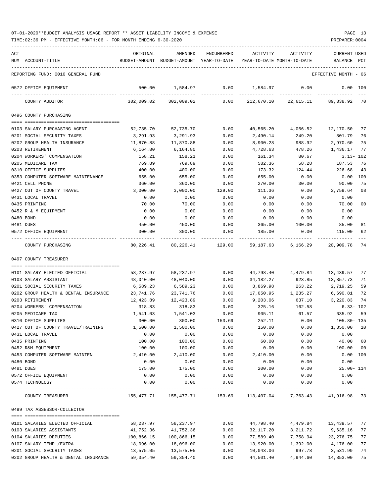| 07-01-2020**BUDGET ANALYSIS USAGE REPORT ** ASSET LIABILITY INCOME & EXPENSE |  |  |  | PAGE |  |
|------------------------------------------------------------------------------|--|--|--|------|--|
|                                                                              |  |  |  |      |  |

TIME:02:36 PM - EFFECTIVE MONTH:06 - FOR MONTH ENDING 6-30-2020 PREPARER:0004

| ACT |                                                     | ORIGINAL              | AMENDED                                                             | ENCUMBERED   | ACTIVITY              | ACTIVITY                       | CURRENT USED          |          |
|-----|-----------------------------------------------------|-----------------------|---------------------------------------------------------------------|--------------|-----------------------|--------------------------------|-----------------------|----------|
|     | NUM ACCOUNT-TITLE                                   |                       | BUDGET-AMOUNT BUDGET-AMOUNT YEAR-TO-DATE YEAR-TO-DATE MONTH-TO-DATE |              |                       |                                | BALANCE               | PCT      |
|     | REPORTING FUND: 0010 GENERAL FUND                   |                       |                                                                     |              |                       |                                | EFFECTIVE MONTH - 06  |          |
|     | 0572 OFFICE EQUIPMENT                               | 500.00                | 1,584.97                                                            | 0.00         | 1,584.97              | 0.00                           | $0.00$ 100            |          |
|     | COUNTY AUDITOR                                      | 302,009.02            | 302,009.02                                                          | 0.00         |                       | 212,670.10 22,615.11 89,338.92 |                       | 70       |
|     | 0496 COUNTY PURCHASING                              |                       |                                                                     |              |                       |                                |                       |          |
|     | 0103 SALARY PURCHASING AGENT                        | 52,735.70             | 52,735.70                                                           | 0.00         | 40,565.20             | 4,056.52                       | 12,170.50 77          |          |
|     | 0201 SOCIAL SECURITY TAXES                          | 3,291.93              | 3,291.93                                                            | 0.00         | 2,490.14              | 249.20                         | 801.79                | 76       |
|     | 0202 GROUP HEALTH INSURANCE                         | 11,870.88             | 11,870.88                                                           | 0.00         | 8,900.28              | 988.92                         | 2,970.60              | 75       |
|     | 0203 RETIREMENT                                     | 6,164.80              | 6,164.80                                                            | 0.00         | 4,728.63              | 478.26                         | 1,436.17              | 77       |
|     | 0204 WORKERS' COMPENSATION                          | 158.21                | 158.21                                                              | 0.00         | 161.34                | 80.67                          | $3.13 - 102$          |          |
|     | 0205 MEDICARE TAX                                   | 769.89                | 769.89                                                              | 0.00         | 582.36                | 58.28                          | 187.53                | 76       |
|     | 0310 OFFICE SUPPLIES                                | 400.00                | 400.00                                                              | 0.00         | 173.32                | 124.44                         | 226.68                | 43       |
|     | 0353 COMPUTER SOFTWARE MAINTENANCE                  | 655.00                | 655.00                                                              | 0.00         | 655.00                | 0.00                           | $0.00$ 100            |          |
|     | 0421 CELL PHONE                                     | 360.00                | 360.00                                                              | 0.00         | 270.00                | 30.00                          | 90.00                 | 75       |
|     | 0427 OUT OF COUNTY TRAVEL                           | 3,000.00              | 3,000.00                                                            | 129.00       | 111.36                | 0.00                           | 2,759.64              | 08       |
|     | 0431 LOCAL TRAVEL                                   | 0.00                  | 0.00                                                                | 0.00         | 0.00                  | 0.00                           | 0.00                  |          |
|     | 0435 PRINTING                                       | 70.00                 | 70.00                                                               | 0.00         | 0.00                  | 0.00                           | 70.00                 | 00       |
|     | 0452 R & M EQUIPMENT                                | 0.00                  | 0.00                                                                | 0.00         | 0.00                  | 0.00                           | 0.00                  |          |
|     | 0480 BOND                                           | 0.00                  | 0.00                                                                | 0.00         | 0.00                  | 0.00                           | 0.00                  |          |
|     | 0481 DUES                                           | 450.00                | 450.00                                                              | 0.00         | 365.00                | 100.00                         | 85.00                 | 81       |
|     | 0572 OFFICE EQUIPMENT                               | 300.00                | 300.00                                                              | 0.00         | 185.00                | 0.00                           | 115.00                | 62       |
|     | COUNTY PURCHASING                                   | 80,226.41             |                                                                     |              |                       |                                |                       | 74       |
|     | 0497 COUNTY TREASURER                               |                       |                                                                     |              |                       |                                |                       |          |
|     |                                                     |                       |                                                                     |              |                       |                                |                       |          |
|     | 0101 SALARY ELECTED OFFICIAL                        | 58,237.97             | 58,237.97                                                           | 0.00         |                       | 44,798.40 4,479.84             | 13,439.57             | 77<br>71 |
|     | 0103 SALARY ASSISTANT<br>0201 SOCIAL SECURITY TAXES | 48,040.00<br>6,589.23 | 48,040.00<br>6,589.23                                               | 0.00<br>0.00 | 34,182.27<br>3,869.98 | 923.85<br>263.22               | 13,857.73<br>2,719.25 | 59       |
|     | 0202 GROUP HEALTH & DENTAL INSURANCE                | 23,741.76             | 23,741.76                                                           | 0.00         | 17,050.95             | 1,235.27                       | 6,690.81              | 72       |
|     | 0203 RETIREMENT                                     | 12,423.89             | 12,423.89                                                           | 0.00         | 9,203.06              | 637.10                         | 3,220.83              | 74       |
|     | 0204 WORKERS' COMPENSATION                          | 318.83                | 318.83                                                              | 0.00         | 325.16                | 162.58                         | 6.33- 102             |          |
|     | 0205 MEDICARE TAX                                   | 1,541.03              | 1,541.03                                                            | 0.00         | 905.11                | 61.57                          | 635.92                | 59       |
|     | 0310 OFFICE SUPPLIES                                | 300.00                | 300.00                                                              | 153.69       | 252.11                | 0.00                           | 105.80- 135           |          |
|     | 0427 OUT OF COUNTY TRAVEL/TRAINING                  | 1,500.00              | 1,500.00                                                            | 0.00         | 150.00                | 0.00                           | 1,350.00              | 10       |
|     | 0431 LOCAL TRAVEL                                   | 0.00                  | 0.00                                                                | 0.00         | 0.00                  | 0.00                           | 0.00                  |          |
|     | 0435 PRINTING                                       | 100.00                | 100.00                                                              | 0.00         | 60.00                 | 0.00                           | 40.00                 | 60       |
|     | 0452 R&M EQUIPMENT                                  | 100.00                | 100.00                                                              | 0.00         | 0.00                  | 0.00                           | 100.00                | 00       |
|     | 0453 COMPUTER SOFTWARE MAINTEN                      | 2,410.00              | 2,410.00                                                            | 0.00         | 2,410.00              | 0.00                           |                       | 0.00 100 |
|     | 0480 BOND                                           | 0.00                  | 0.00                                                                | 0.00         | 0.00                  | 0.00                           | 0.00                  |          |
|     | 0481 DUES                                           | 175.00                | 175.00                                                              | 0.00         | 200.00                | 0.00                           | $25.00 - 114$         |          |
|     | 0572 OFFICE EQUIPMENT                               | 0.00                  | 0.00                                                                | 0.00         | 0.00                  | 0.00                           | 0.00                  |          |
|     | 0574 TECHNOLOGY                                     | 0.00                  | 0.00                                                                | 0.00         | 0.00                  | 0.00                           | 0.00                  |          |
|     | COUNTY TREASURER                                    | 155,477.71            | 155,477.71                                                          | 153.69       | 113,407.04            | 7,763.43                       | 41,916.98 73          |          |
|     | 0499 TAX ASSESSOR-COLLECTOR                         |                       |                                                                     |              |                       |                                |                       |          |
|     |                                                     |                       |                                                                     |              |                       |                                |                       |          |
|     | 0101 SALARIES ELECTED OFFICIAL                      | 58,237.97             | 58,237.97                                                           | 0.00         | 44,798.40             | 4,479.84                       | 13,439.57             | 77       |
|     | 0103 SALARIES ASSISTANTS                            | 41,752.36             | 41,752.36                                                           | 0.00         | 32,117.20             | 3,211.72                       | 9,635.16              | 77       |
|     | 0104 SALARIES DEPUTIES                              | 100,866.15            | 100,866.15                                                          | 0.00         | 77,589.40             | 7,758.94                       | 23, 276.75            | 77       |
|     | 0107 SALARY TEMP./EXTRA                             | 18,096.00             | 18,096.00                                                           | 0.00         | 13,920.00             | 1,392.00                       | 4,176.00              | 77       |
|     | 0201 SOCIAL SECURITY TAXES                          | 13,575.05             | 13,575.05                                                           | 0.00         | 10,043.06             | 997.78                         | 3,531.99              | 74       |

0202 GROUP HEALTH & DENTAL INSURANCE 59,354.40 59,354.40 0.00 44,501.40 4,944.60 14,853.00 75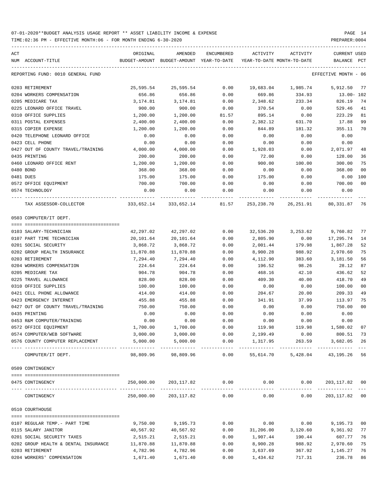TIME:02:36 PM - EFFECTIVE MONTH:06 - FOR MONTH ENDING 6-30-2020 PREPARER:0004

| ACT | NUM ACCOUNT-TITLE                                                                                 | ORIGINAL  | AMENDED<br>BUDGET-AMOUNT BUDGET-AMOUNT YEAR-TO-DATE | ENCUMBERED   | ACTIVITY<br>YEAR-TO-DATE MONTH-TO-DATE | ACTIVITY               | CURRENT USED<br>BALANCE      | PCT    |
|-----|---------------------------------------------------------------------------------------------------|-----------|-----------------------------------------------------|--------------|----------------------------------------|------------------------|------------------------------|--------|
|     |                                                                                                   |           |                                                     |              |                                        |                        |                              |        |
|     | REPORTING FUND: 0010 GENERAL FUND                                                                 |           |                                                     |              |                                        |                        | EFFECTIVE MONTH - 06         |        |
|     | 0203 RETIREMENT                                                                                   | 25,595.54 | 25,595.54                                           | 0.00         |                                        | 19,683.04 1,985.74     | 5,912.50                     | 77     |
|     | 0204 WORKERS COMPENSATION                                                                         | 656.86    | 656.86                                              | 0.00         | 669.86                                 | 334.93                 | 13.00- 102                   |        |
|     | 0205 MEDICARE TAX                                                                                 | 3,174.81  | 3,174.81                                            | 0.00         | 2,348.62                               | 233.34                 | 826.19                       | 74     |
|     | 0225 LEONARD OFFICE TRAVEL                                                                        | 900.00    | 900.00                                              | 0.00         | 370.54                                 | 0.00                   | 529.46                       | 41     |
|     | 0310 OFFICE SUPPLIES                                                                              | 1,200.00  | 1,200.00                                            | 81.57        | 895.14                                 | 0.00                   | 223.29                       | 81     |
|     | 0311 POSTAL EXPENSES                                                                              | 2,400.00  | 2,400.00                                            | 0.00         | 2,382.12                               | 631.70                 | 17.88                        | 99     |
|     | 0315 COPIER EXPENSE                                                                               | 1,200.00  | 1,200.00                                            | 0.00         | 844.89                                 | 181.32                 | 355.11                       | 70     |
|     | 0420 TELEPHONE LEONARD OFFICE                                                                     | 0.00      | 0.00                                                | 0.00         | 0.00                                   | 0.00                   | 0.00                         |        |
|     | 0423 CELL PHONE                                                                                   | 0.00      | 0.00                                                | 0.00         | 0.00                                   | 0.00                   | 0.00                         |        |
|     | 0427 OUT OF COUNTY TRAVEL/TRAINING                                                                | 4,000.00  | 4,000.00                                            | 0.00         | 1,928.03                               | 0.00                   | 2,071.97                     | 48     |
|     | 0435 PRINTING                                                                                     | 200.00    | 200.00                                              | 0.00         | 72.00                                  | 0.00                   | 128.00                       | 36     |
|     | 0460 LEONARD OFFICE RENT                                                                          | 1,200.00  | 1,200.00                                            | 0.00         | 900.00                                 | 100.00                 | 300.00                       | 75     |
|     | 0480 BOND                                                                                         | 368.00    | 368.00                                              | 0.00         | 0.00                                   | 0.00                   | 368.00                       | 00     |
|     | 0481 DUES                                                                                         | 175.00    | 175.00                                              | 0.00         | 175.00                                 | 0.00                   | 0.00                         | 100    |
|     | 0572 OFFICE EQUIPMENT                                                                             | 700.00    | 700.00                                              | 0.00         | 0.00                                   | 0.00                   | 700.00                       | $00\,$ |
|     | 0574 TECHNOLOGY                                                                                   | 0.00      | 0.00                                                | 0.00         | 0.00                                   | 0.00                   | 0.00                         |        |
|     | TAX ASSESSOR-COLLECTOR 60,331.87 76 333,652.14 333,652.14 81.57 253,238.70 26,251.91 80,331.87 76 |           |                                                     |              |                                        |                        |                              |        |
|     | 0503 COMPUTER/IT DEPT.                                                                            |           |                                                     |              |                                        |                        |                              |        |
|     |                                                                                                   |           |                                                     |              |                                        |                        |                              |        |
|     | 0103 SALARY-TECHNICIAN                                                                            | 42,297.02 | 42,297.02                                           | 0.00         |                                        | 32,536.20 3,253.62     | 9,760.82                     | 77     |
|     | 0107 PART TIME TECHNICIAN                                                                         | 20,101.64 | 20,101.64                                           | 0.00         | 2,805.90                               | 0.00                   | 17,295.74                    | 14     |
|     | 0201 SOCIAL SECURITY                                                                              | 3,868.72  | 3,868.72                                            | 0.00         | 2,001.44                               | 179.98                 | 1,867.28                     | 52     |
|     | 0202 GROUP HEALTH INSURANCE                                                                       | 11,870.88 | 11,870.88                                           | 0.00         | 8,900.28                               | 988.92                 | 2,970.60                     | 75     |
|     | 0203 RETIREMENT                                                                                   | 7,294.40  | 7,294.40                                            | 0.00         | 4,112.90                               | 383.60                 | 3,181.50                     | 56     |
|     | 0204 WORKERS COMPENSATION                                                                         | 224.64    | 224.64                                              | 0.00         | 196.52                                 | 98.26                  | 28.12                        | 87     |
|     | 0205 MEDICARE TAX                                                                                 | 904.78    | 904.78                                              | 0.00         | 468.16                                 | 42.10                  | 436.62                       | 52     |
|     | 0225 TRAVEL ALLOWANCE                                                                             | 828.00    | 828.00                                              | 0.00         | 409.30                                 | 40.00                  | 418.70                       | 49     |
|     | 0310 OFFICE SUPPLIES                                                                              | 100.00    | 100.00                                              | 0.00         | 0.00                                   | 0.00                   | 100.00                       | 00     |
|     | 0421 CELL PHONE ALLOWANCE                                                                         | 414.00    | 414.00                                              | 0.00         | 204.67                                 | 20.00                  | 209.33                       | 49     |
|     | 0423 EMERGENCY INTERNET                                                                           | 455.88    | 455.88                                              | 0.00         | 341.91                                 | 37.99                  | 113.97                       | 75     |
|     | 0427 OUT OF COUNTY TRAVEL/TRAINING                                                                | 750.00    | 750.00                                              | 0.00         | 0.00                                   | 0.00                   | 750.00                       | 00     |
|     | 0435 PRINTING                                                                                     | 0.00      | 0.00                                                | 0.00         | 0.00                                   | 0.00                   | 0.00                         |        |
|     | 0453 R&M COMPUTER/TRAINING                                                                        | 0.00      | 0.00                                                | 0.00         | 0.00                                   | 0.00                   | 0.00                         |        |
|     | 0572 OFFICE EQUIPMENT                                                                             | 1,700.00  | 1,700.00                                            | 0.00         | 119.98                                 | 119.98                 | 1,580.02                     | 07     |
|     | 0574 COMPUTER/WEB SOFTWARE                                                                        | 3,000.00  | 3,000.00                                            | 0.00         | 2,199.49                               | 0.00                   | 800.51 73                    |        |
|     | 0576 COUNTY COMPUTER REPLACEMENT                                                                  | 5,000.00  | 5,000.00<br>-------------                           | ------------ | $0.00$ 1,317.95<br>-------------       | 263.59<br>------------ | 3,682.05 26<br>------------- |        |
|     | COMPUTER/IT DEPT.                                                                                 | 98,809.96 | 98,809.96                                           | 0.00         | 55,614.70                              |                        | 5,428.04 43,195.26           | 56     |
|     | 0509 CONTINGENCY                                                                                  |           |                                                     |              |                                        |                        |                              |        |
|     |                                                                                                   |           |                                                     |              |                                        |                        |                              |        |
|     | 0475 CONTINGENCY                                                                                  |           | 250,000.00 203,117.82 0.00                          | ------------ | 0.00                                   | 0.00                   | 203,117.82 00                |        |
|     | CONTINGENCY                                                                                       |           | 250,000.00 203,117.82                               | 0.00         | 0.00                                   | 0.00                   | 203, 117.82 00               |        |
|     | 0510 COURTHOUSE                                                                                   |           |                                                     |              |                                        |                        |                              |        |
|     | 0107 REGULAR TEMP. - PART TIME                                                                    | 9,750.00  | 9,195.73                                            | 0.00         | 0.00                                   |                        | $0.00$ 9,195.73              | 00     |
|     | 0115 SALARY JANITOR                                                                               | 40,567.92 | 40,567.92                                           | 0.00         | 31,206.00                              | 3,120.60               | 9,361.92                     | 77     |
|     | 0201 SOCIAL SECURITY TAXES                                                                        | 2,515.21  | 2,515.21                                            | 0.00         | 1,907.44                               | 190.44                 | 607.77                       | 76     |
|     | 0202 GROUP HEALTH & DENTAL INSURANCE                                                              | 11,870.88 | 11,870.88                                           | 0.00         | 8,900.28                               | 988.92                 | 2,970.60                     | 75     |
|     | 0203 RETIREMENT                                                                                   | 4,782.96  | 4,782.96                                            | 0.00         | 3,637.69                               | 367.92                 | 1,145.27                     | 76     |
|     | 0204 WORKERS' COMPENSATION                                                                        | 1,671.40  | 1,671.40                                            | 0.00         | 1,434.62                               | 717.31                 | 236.78                       | 86     |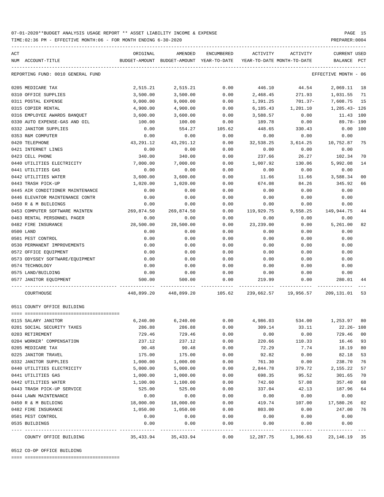TIME:02:36 PM - EFFECTIVE MONTH:06 - FOR MONTH ENDING 6-30-2020 PREPARER:0004

| ACT |                                   | ORIGINAL   | AMENDED                                  | ENCUMBERED | ACTIVITY                   | ACTIVITY                                                     | CURRENT USED         |                |
|-----|-----------------------------------|------------|------------------------------------------|------------|----------------------------|--------------------------------------------------------------|----------------------|----------------|
|     | NUM ACCOUNT-TITLE                 |            | BUDGET-AMOUNT BUDGET-AMOUNT YEAR-TO-DATE |            | YEAR-TO-DATE MONTH-TO-DATE |                                                              | BALANCE PCT          |                |
|     | REPORTING FUND: 0010 GENERAL FUND |            |                                          |            |                            |                                                              | EFFECTIVE MONTH - 06 |                |
|     | 0205 MEDICARE TAX                 | 2,515.21   | 2,515.21                                 | 0.00       | 446.10                     | 44.54                                                        | 2,069.11             | 18             |
|     | 0310 OFFICE SUPPLIES              | 3,500.00   | 3,500.00                                 | 0.00       | 2,468.45                   | 271.93                                                       | 1,031.55             | 71             |
|     | 0311 POSTAL EXPENSE               | 9,000.00   | 9,000.00                                 | 0.00       | 1,391.25                   | 701.37-                                                      | 7,608.75             | 15             |
|     | 0315 COPIER RENTAL                | 4,900.00   | 4,900.00                                 | 0.00       | 6,185.43                   | 1,201.10                                                     | 1,285.43- 126        |                |
|     | 0316 EMPLOYEE AWARDS BANQUET      | 3,600.00   | 3,600.00                                 | 0.00       | 3,588.57                   | 0.00                                                         | 11.43 100            |                |
|     | 0330 AUTO EXPENSE-GAS AND OIL     | 100.00     | 100.00                                   | 0.00       | 189.78                     | 0.00                                                         | 89.78- 190           |                |
|     | 0332 JANITOR SUPPLIES             | 0.00       | 554.27                                   | 105.62     | 448.65                     | 330.43                                                       | 0.00 100             |                |
|     | 0353 R&M COMPUTER                 | 0.00       | 0.00                                     | 0.00       | 0.00                       | 0.00                                                         | 0.00                 |                |
|     | 0420 TELEPHONE                    | 43,291.12  | 43, 291. 12                              | 0.00       | 32,538.25                  | 3,614.25                                                     | 10,752.87            | 75             |
|     | 0421 INTERNET LINES               | 0.00       | 0.00                                     | 0.00       | 0.00                       | 0.00                                                         | 0.00                 |                |
|     | 0423 CELL PHONE                   | 340.00     | 340.00                                   | 0.00       | 237.66                     | 26.27                                                        | 102.34               | 70             |
|     | 0440 UTILITIES ELECTRICITY        | 7,000.00   | 7,000.00                                 | 0.00       | 1,007.92                   | 130.06                                                       | 5,992.08             | 14             |
|     | 0441 UTILITIES GAS                | 0.00       | 0.00                                     | 0.00       | 0.00                       | 0.00                                                         | 0.00                 |                |
|     | 0442 UTILITIES WATER              | 3,600.00   | 3,600.00                                 | 0.00       | 11.66                      | 11.66                                                        | 3,588.34             | 0 <sub>0</sub> |
|     | 0443 TRASH PICK-UP                | 1,020.00   | 1,020.00                                 | 0.00       | 674.08                     | 84.26                                                        | 345.92               | 66             |
|     | 0445 AIR CONDITIONER MAINTENANCE  | 0.00       | 0.00                                     | 0.00       | 0.00                       | 0.00                                                         | 0.00                 |                |
|     | 0446 ELEVATOR MAINTENANCE CONTR   | 0.00       | 0.00                                     | 0.00       | 0.00                       | 0.00                                                         | 0.00                 |                |
|     | 0450 R & M BUILDINGS              | 0.00       | 0.00                                     | 0.00       | 0.00                       | 0.00                                                         | 0.00                 |                |
|     | 0453 COMPUTER SOFTWARE MAINTEN    | 269,874.50 | 269,874.50                               | 0.00       | 119,929.75                 | 9,558.25                                                     | 149,944.75           | 44             |
|     | 0463 RENTAL PERSONNEL PAGER       | 0.00       | 0.00                                     | 0.00       | 0.00                       | 0.00                                                         | 0.00                 |                |
|     | 0482 FIRE INSURANCE               | 28,500.00  | 28,500.00                                | 0.00       | 23,239.00                  | 0.00                                                         | 5,261.00             | 82             |
|     | 0500 LAND                         | 0.00       | 0.00                                     | 0.00       | 0.00                       | 0.00                                                         | 0.00                 |                |
|     | 0501 PEST CONTROL                 | 0.00       | 0.00                                     | 0.00       | 0.00                       | 0.00                                                         | 0.00                 |                |
|     | 0530 PERMANENT IMPROVEMENTS       | 0.00       | 0.00                                     | 0.00       | 0.00                       | 0.00                                                         | 0.00                 |                |
|     | 0572 OFFICE EQUIPMENT             | 0.00       | 0.00                                     | 0.00       | 0.00                       | 0.00                                                         | 0.00                 |                |
|     | 0573 ODYSSEY SOFTWARE/EQUIPMENT   | 0.00       | 0.00                                     | 0.00       | 0.00                       | 0.00                                                         | 0.00                 |                |
|     | 0574 TECHNOLOGY                   | 0.00       | 0.00                                     | 0.00       | 0.00                       | 0.00                                                         | 0.00                 |                |
|     | 0575 LAND/BUILDING                | 0.00       | 0.00                                     | 0.00       | 0.00                       | 0.00                                                         | 0.00                 |                |
|     | 0577 JANITOR EQUIPMENT            | 500.00     | 500.00                                   | 0.00       | 219.99                     | 0.00                                                         | 280.01               | 44             |
|     | COURTHOUSE                        |            |                                          |            |                            | 448,899.20 448,899.20 105.62 239,662.57 19,956.57 209,131.01 |                      | 53             |
|     | 0511 COUNTY OFFICE BUILDING       |            |                                          |            |                            |                                                              |                      |                |
|     | 0115 SALARY JANITOR               | 6, 240.00  | 6, 240.00                                | 0.00       |                            | 4,986.03 534.00 1,253.97                                     |                      | 80             |
|     | 0201 SOCIAL SECURITY TAXES        | 286.88     | 286.88                                   | 0.00       | 309.14                     | 33.11                                                        | 22.26- 108           |                |
|     | 0203 RETIREMENT                   | 729.46     | 729.46                                   | 0.00       | 0.00                       | 0.00                                                         | 729.46 00            |                |
|     | 0204 WORKER' COMPENSATION         | 237.12     | 237.12                                   | 0.00       | 220.66                     | 110.33                                                       | 16.46                | 93             |
|     | 0205 MEDICARE TAX                 | 90.48      | 90.48                                    | 0.00       | 72.29                      | 7.74                                                         | 18.19                | 80             |
|     | 0225 JANITOR TRAVEL               | 175.00     | 175.00                                   | 0.00       | 92.82                      | 0.00                                                         | 82.18                | 53             |
|     | 0332 JANITOR SUPPLIES             | 1,000.00   | 1,000.00                                 | 0.00       | 761.30                     | 0.00                                                         | 238.70               | 76             |
|     | 0440 UTILITIES ELECTRICITY        | 5,000.00   | 5,000.00                                 | 0.00       | 2,844.78                   | 379.72                                                       | 2,155.22             | 57             |
|     | 0441 UTILITIES GAS                | 1,000.00   | 1,000.00                                 | 0.00       | 698.35                     | 95.52                                                        | 301.65               | 70             |
|     | 0442 UTILITIES WATER              | 1,100.00   | 1,100.00                                 | 0.00       | 742.60                     | 57.08                                                        | 357.40               | 68             |
|     | 0443 TRASH PICK-UP SERVICE        | 525.00     | 525.00                                   | 0.00       | 337.04                     | 42.13                                                        | 187.96               | 64             |
|     | 0444 LAWN MAINTENANCE             | 0.00       | 0.00                                     | 0.00       | 0.00                       | 0.00                                                         | 0.00                 |                |
|     | 0450 R & M BUILDING               | 18,000.00  | 18,000.00                                | 0.00       | 419.74                     | 107.00                                                       | 17,580.26            | 02             |
|     | 0482 FIRE INSURANCE               | 1,050.00   | 1,050.00                                 | 0.00       | 803.00                     | 0.00                                                         | 247.00               | 76             |
|     | 0501 PEST CONTROL                 | 0.00       | 0.00                                     | 0.00       | 0.00                       | 0.00                                                         | 0.00                 |                |
|     | 0535 BUILDINGS                    | 0.00       | 0.00                                     | 0.00       | 0.00                       | 0.00                                                         | 0.00                 |                |
|     |                                   |            |                                          |            |                            |                                                              |                      |                |

---- ---------------------------------- ------------- ------------- ------------ ------------- ------------ ------------- --- COUNTY OFFICE BUILDING 35,433.94 35,433.94 0.00 12,287.75 1,366.63 23,146.19 35

-----------------------------------------------------------------------------------------------------------------------------------

0512 CO-OP OFFICE BUILDING

==== ===================================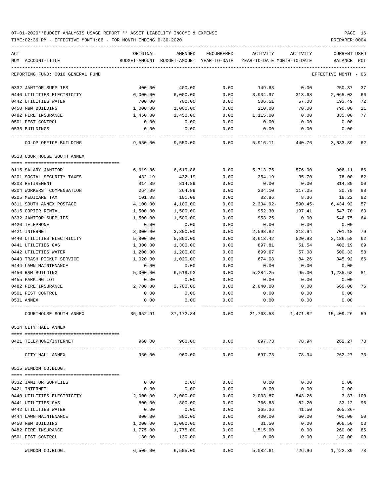TIME:02:36 PM - EFFECTIVE MONTH:06 - FOR MONTH ENDING 6-30-2020

| ACT                                              | ORIGINAL           | AMENDED                                  | ENCUMBERED   | ACTIVITY                   | ACTIVITY           | <b>CURRENT USED</b> |          |
|--------------------------------------------------|--------------------|------------------------------------------|--------------|----------------------------|--------------------|---------------------|----------|
| NUM ACCOUNT-TITLE                                |                    | BUDGET-AMOUNT BUDGET-AMOUNT YEAR-TO-DATE |              | YEAR-TO-DATE MONTH-TO-DATE |                    | BALANCE             | PCT      |
| REPORTING FUND: 0010 GENERAL FUND                |                    |                                          |              |                            |                    | EFFECTIVE MONTH     | - 06     |
| 0332 JANITOR SUPPLIES                            | 400.00             | 400.00                                   | 0.00         | 149.63                     | 0.00               | 250.37              | 37       |
| 0440 UTILITIES ELECTRICITY                       | 6,000.00           | 6,000.00                                 | 0.00         | 3,934.97                   | 313.68             | 2,065.03            | 66       |
| 0442 UTILITIES WATER                             | 700.00             | 700.00                                   | 0.00         | 506.51                     | 57.08              | 193.49              | 72       |
| 0450 R&M BUILDING                                | 1,000.00           | 1,000.00                                 | 0.00         | 210.00                     | 70.00              | 790.00              | 21       |
| 0482 FIRE INSURANCE                              | 1,450.00           | 1,450.00                                 | 0.00         | 1,115.00                   | 0.00               | 335.00              | 77       |
| 0501 PEST CONTROL                                | 0.00               | 0.00                                     | 0.00         | 0.00                       | 0.00               | 0.00                |          |
| 0535 BUILDINGS                                   | 0.00               | 0.00                                     | 0.00         | 0.00                       | 0.00               | 0.00                |          |
| CO-OP OFFICE BUILDING                            | 9,550.00           | 9,550.00                                 | 0.00         | 5,916.11                   | 440.76             | 3,633.89 62         |          |
| 0513 COURTHOUSE SOUTH ANNEX                      |                    |                                          |              |                            |                    |                     |          |
| 0115 SALARY JANITOR                              | 6,619.86           | 6,619.86                                 | 0.00         | 5,713.75                   | 576.00             | 906.11              | 86       |
| 0201 SOCIAL SECURITY TAXES                       | 432.19             | 432.19                                   | 0.00         | 354.19                     | 35.70              | 78.00               | 82       |
| 0203 RETIREMENT                                  | 814.89             | 814.89                                   | 0.00         | 0.00                       | 0.00               | 814.89              | 00       |
| 0204 WORKERS' COMPENSATION                       | 264.89             | 264.89                                   | 0.00         | 234.10                     | 117.05             | 30.79               | 88       |
| 0205 MEDICARE TAX                                | 101.08             | 101.08                                   | 0.00         | 82.86                      | 8.36               | 18.22               | 82       |
| 0311 SOUTH ANNEX POSTAGE                         | 4,100.00           | 4,100.00                                 | 0.00         | $2.334.92 -$               | $590.45-$          | 6,434.92            | 57       |
| 0315 COPIER RENTAL                               | 1,500.00           | 1,500.00                                 | 0.00         | 952.30                     | 197.41             | 547.70              | 63       |
| 0332 JANITOR SUPPLIES                            | 1,500.00           | 1,500.00                                 | 0.00         | 953.25                     | 0.00               | 546.75              | 64       |
| 0420 TELEPHONE                                   | 0.00               | 0.00                                     | 0.00         | 0.00                       | 0.00               | 0.00                |          |
| 0421 INTERNET                                    | 3,300.00           | 3,300.00                                 | 0.00         | 2,598.82                   | 318.94             | 701.18              | 79       |
| 0440 UTILITIES ELECTRICITY                       | 5,800.00           | 5,800.00                                 | 0.00         | 3,613.42                   | 520.93             | 2,186.58            | 62       |
| 0441 UTILITIES GAS                               | 1,300.00           | 1,300.00                                 | 0.00         | 897.81                     | 51.54              | 402.19              | 69       |
| 0442 UTILITIES WATER                             | 1,200.00           | 1,200.00                                 | 0.00         | 699.67                     | 57.08              | 500.33              | 58       |
| 0443 TRASH PICKUP SERVICE                        | 1,020.00           | 1,020.00                                 | 0.00         | 674.08                     | 84.26              | 345.92              | 66       |
| 0444 LAWN MAINTENANCE                            | 0.00               | 0.00                                     | 0.00         | 0.00                       | 0.00               | 0.00                |          |
| 0450 R&M BUILDING                                | 5,000.00           | 6,519.93                                 | 0.00         | 5,284.25                   | 95.00              | 1,235.68            | 81       |
| 0455 PARKING LOT                                 | 0.00               | 0.00                                     | 0.00         | 0.00                       | 0.00               | 0.00                |          |
| 0482 FIRE INSURANCE                              | 2,700.00           | 2,700.00                                 | 0.00         | 2,040.00                   | 0.00               | 660.00              | 76       |
| 0501 PEST CONTROL                                | 0.00               | 0.00                                     | 0.00         | 0.00                       | 0.00               | 0.00                |          |
| 0531 ANNEX                                       | 0.00               | 0.00                                     | 0.00         | 0.00                       | 0.00               | 0.00                |          |
| COURTHOUSE SOUTH ANNEX                           | 35,652.91          | 37,172.84                                | 0.00         |                            | 21,763.58 1,471.82 | 15,409.26 59        |          |
| 0514 CITY HALL ANNEX                             |                    |                                          |              |                            |                    |                     |          |
| 0421 TELEPHONE/INTERNET<br>---- ---------------- | 960.00             | 960.00<br>-------------                  | 0.00         | 697.73                     | 78.94              | 262.27 73           |          |
| CITY HALL ANNEX                                  | 960.00             | 960.00                                   | 0.00         | 697.73                     | 78.94              | 262.27 73           |          |
| 0515 WINDOM CO.BLDG.                             |                    |                                          |              |                            |                    |                     |          |
|                                                  |                    |                                          |              |                            |                    |                     |          |
| 0332 JANITOR SUPPLIES                            | 0.00               | 0.00                                     | 0.00         | 0.00                       | 0.00               | 0.00                |          |
| 0421 INTERNET                                    | 0.00               | 0.00                                     | 0.00         | 0.00                       | 0.00               | 0.00                |          |
| 0440 UTILITIES ELECTRICITY                       | 2,000.00           | 2,000.00                                 | 0.00         | 2,003.87                   | 543.26             | $3.87 - 100$        |          |
| 0441 UTILITIES GAS                               | 800.00             | 800.00                                   | 0.00         | 766.88                     | 82.20              | 33.12               | 96       |
| 0442 UTILITIES WATER                             | 0.00               | 0.00                                     | 0.00         | 365.36                     | 41.50              | $365.36-$           |          |
| 0444 LAWN MAINTENANCE                            | 800.00             | 800.00                                   | 0.00         | 400.00                     | 60.00              | 400.00              | 50       |
| 0450 R&M BUILDING                                | 1,000.00           | 1,000.00                                 | 0.00         | 31.50                      | 0.00               | 968.50              | 03       |
| 0482 FIRE INSURANCE<br>0501 PEST CONTROL         | 1,775.00<br>130.00 | 1,775.00<br>130.00                       | 0.00<br>0.00 | 1,515.00<br>0.00           | 0.00<br>0.00       | 260.00<br>130.00    | 85<br>00 |
|                                                  |                    |                                          | $- - - - -$  |                            |                    |                     | $- - -$  |
| WINDOM CO.BLDG.                                  | 6,505.00           | 6,505.00                                 | 0.00         | 5,082.61                   | 726.96             | 1,422.39            | 78       |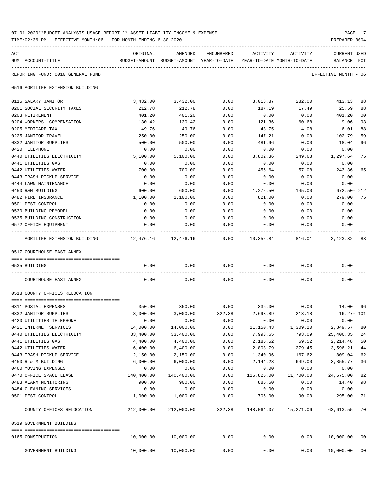|     | TIME: 02:36 PM - EFFECTIVE MONTH: 06 - FOR MONTH ENDING 6-30-2020 |                                                                                 |                        |              |                      |                                     | PREPARER: 0004                 |          |
|-----|-------------------------------------------------------------------|---------------------------------------------------------------------------------|------------------------|--------------|----------------------|-------------------------------------|--------------------------------|----------|
| ACT | NUM ACCOUNT-TITLE                                                 | ORIGINAL<br>BUDGET-AMOUNT BUDGET-AMOUNT YEAR-TO-DATE YEAR-TO-DATE MONTH-TO-DATE | AMENDED                | ENCUMBERED   | ACTIVITY             | ACTIVITY                            | <b>CURRENT USED</b><br>BALANCE | PCT      |
|     | REPORTING FUND: 0010 GENERAL FUND                                 |                                                                                 |                        |              |                      |                                     | EFFECTIVE MONTH - 06           |          |
|     | 0516 AGRILIFE EXTENSION BUILDING                                  |                                                                                 |                        |              |                      |                                     |                                |          |
|     | 0115 SALARY JANITOR                                               | 3,432.00                                                                        | 3,432.00               | 0.00         | 3,018.87             | 282.00                              | 413.13                         | 88       |
|     | 0201 SOCIAL SECURITY TAXES                                        | 212.78                                                                          | 212.78                 | 0.00         | 187.19               | 17.49                               | 25.59                          | 88       |
|     | 0203 RETIREMENT                                                   | 401.20                                                                          | 401.20                 | 0.00         | 0.00                 | 0.00                                | 401.20                         | 00       |
|     | 0204 WORKERS' COMPENSATION                                        | 130.42                                                                          | 130.42                 | 0.00         | 121.36               | 60.68                               | 9.06                           | 93       |
|     | 0205 MEDICARE TAX                                                 | 49.76                                                                           | 49.76                  | 0.00         | 43.75                | 4.08                                | 6.01                           | 88       |
|     | 0225 JANITOR TRAVEL                                               | 250.00                                                                          | 250.00                 | 0.00         | 147.21               | 0.00                                | 102.79                         | 59       |
|     | 0332 JANITOR SUPPLIES                                             | 500.00                                                                          | 500.00                 | 0.00         | 481.96               | 0.00                                | 18.04                          | 96       |
|     | 0420 TELEPHONE                                                    | 0.00                                                                            | 0.00                   | 0.00         | 0.00                 | 0.00                                | 0.00                           |          |
|     | 0440 UTILITIES ELECTRICITY                                        | 5,100.00                                                                        | 5,100.00               | 0.00         | 3,802.36             | 249.68                              | 1,297.64                       | 75       |
|     | 0441 UTILITIES GAS                                                | 0.00                                                                            | 0.00                   | 0.00         | 0.00                 | 0.00                                | 0.00                           |          |
|     | 0442 UTILITIES WATER                                              | 700.00                                                                          | 700.00                 | 0.00         | 456.64               | 57.08                               | 243.36                         | 65       |
|     | 0443 TRASH PICKUP SERVICE                                         | 0.00                                                                            | 0.00                   | 0.00         | 0.00                 | 0.00                                | 0.00                           |          |
|     | 0444 LAWN MAINTENANCE                                             | 0.00                                                                            | 0.00                   | 0.00         | 0.00                 | 0.00                                | 0.00                           |          |
|     | 0450 R&M BUILDING                                                 | 600.00                                                                          | 600.00                 | 0.00         | 1,272.50             | 145.00                              | 672.50- 212                    |          |
|     | 0482 FIRE INSURANCE                                               | 1,100.00                                                                        | 1,100.00               | 0.00         | 821.00               | 0.00                                | 279.00                         | 75       |
|     | 0501 PEST CONTROL                                                 | 0.00                                                                            | 0.00                   | 0.00         | 0.00                 | 0.00                                | 0.00                           |          |
|     | 0530 BUILDING REMODEL                                             | 0.00                                                                            | 0.00                   | 0.00         | 0.00                 | 0.00                                | 0.00                           |          |
|     | 0535 BUILDING CONSTRUCTION                                        | 0.00                                                                            | 0.00                   | 0.00         | 0.00                 | 0.00                                | 0.00                           |          |
|     | 0572 OFFICE EQUIPMENT                                             | 0.00                                                                            | 0.00                   | 0.00         | 0.00                 | 0.00                                | 0.00                           |          |
|     | AGRILIFE EXTENSION BUILDING                                       |                                                                                 | 12,476.16    12,476.16 |              |                      | $0.00$ 10,352.84 816.01 2,123.32 83 |                                |          |
|     | 0517 COURTHOUSE EAST ANNEX                                        |                                                                                 |                        |              |                      |                                     |                                |          |
|     |                                                                   |                                                                                 |                        |              |                      |                                     |                                |          |
|     | 0535 BUILDING                                                     | 0.00                                                                            | 0.00                   | 0.00         | 0.00                 | 0.00                                | 0.00                           |          |
|     | COURTHOUSE EAST ANNEX                                             | 0.00                                                                            | 0.00                   | 0.00         | 0.00                 | 0.00                                | 0.00                           |          |
|     | 0518 COUNTY OFFICES RELOCATION                                    |                                                                                 |                        |              |                      |                                     |                                |          |
|     |                                                                   |                                                                                 |                        |              |                      |                                     |                                |          |
|     | 0311 POSTAL EXPENSES                                              | 350.00                                                                          | 350.00                 | 0.00         | 336.00               | 0.00                                | 14.00 96                       |          |
|     | 0332 JANITOR SUPPLIES                                             | 3,000.00                                                                        | 3,000.00               | 322.38       | 2,693.89             | 213.18                              | $16.27 - 101$                  |          |
|     | 0420 UTILITIES TELEPHONE                                          | 0.00                                                                            | 0.00                   | 0.00         | 0.00                 | 0.00                                | 0.00                           |          |
|     | 0421 INTERNET SERVICES                                            | 14,000.00                                                                       | 14,000.00              | 0.00         | 11,150.43            | 1,309.20                            | 2,849.57                       | 80       |
|     | 0440 UTILITIES ELECTRICITY                                        | 33,400.00                                                                       | 33,400.00              | 0.00         | 7,993.65             | 793.09                              | 25,406.35                      | 24       |
|     | 0441 UTILITIES GAS                                                | 4,400.00                                                                        | 4,400.00               | 0.00         | 2,185.52             | 69.52                               | 2,214.48                       | 50       |
|     | 0442 UTILITIES WATER                                              | 6,400.00                                                                        | 6,400.00               | 0.00         | 2,803.79             | 279.45                              | 3,596.21                       | 44       |
|     | 0443 TRASH PICKUP SERVICE                                         | 2,150.00                                                                        | 2,150.00               | 0.00         | 1,340.96             | 167.62                              | 809.04                         | 62       |
|     | 0450 R & M BUILDING<br>0460 MOVING EXPENSES                       | 6,000.00                                                                        | 6,000.00               | 0.00         | 2,144.23             | 649.00                              | 3,855.77                       | 36       |
|     |                                                                   | 0.00                                                                            | 0.00                   | 0.00         | 0.00                 | 0.00                                | 0.00                           |          |
|     | 0470 OFFICE SPACE LEASE<br>0483 ALARM MONITORING                  | 140,400.00<br>900.00                                                            | 140,400.00<br>900.00   | 0.00<br>0.00 | 115,825.00<br>885.60 | 11,700.00<br>0.00                   | 24,575.00<br>14.40             | 82<br>98 |
|     | 0484 CLEANING SERVICES                                            | 0.00                                                                            | 0.00                   | 0.00         | 0.00                 |                                     |                                |          |
|     | 0501 PEST CONTROL                                                 |                                                                                 | 1,000.00               | 0.00         | 705.00               | 0.00                                | 0.00<br>295.00                 | 71       |
|     |                                                                   | 1,000.00                                                                        |                        |              |                      | 90.00                               |                                |          |
|     | COUNTY OFFICES RELOCATION                                         | 212,000.00                                                                      | 212,000.00             | 322.38       |                      | 148,064.07  15,271.06  63,613.55    |                                | 70       |
|     | 0519 GOVERNMENT BUILDING                                          |                                                                                 |                        |              |                      |                                     |                                |          |
|     | 0165 CONSTRUCTION                                                 | 10,000.00                                                                       | 10,000.00              | 0.00         | 0.00                 | 0.00                                | 10,000.00 00                   |          |
|     | GOVERNMENT BUILDING                                               | 10,000.00                                                                       | 10,000.00              | 0.00         | 0.00                 | 0.00                                | 10,000.00 00                   |          |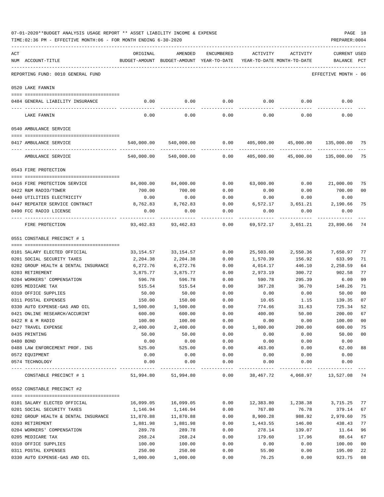|     | 07-01-2020**BUDGET ANALYSIS USAGE REPORT ** ASSET LIABILITY INCOME & EXPENSE<br>PAGE 18<br>TIME:02:36 PM - EFFECTIVE MONTH:06 - FOR MONTH ENDING 6-30-2020<br>PREPARER: 0004 |                                                                                 |                       |            |                                       |                                       |                             |    |  |  |  |
|-----|------------------------------------------------------------------------------------------------------------------------------------------------------------------------------|---------------------------------------------------------------------------------|-----------------------|------------|---------------------------------------|---------------------------------------|-----------------------------|----|--|--|--|
| ACT | NUM ACCOUNT-TITLE                                                                                                                                                            | ORIGINAL<br>BUDGET-AMOUNT BUDGET-AMOUNT YEAR-TO-DATE YEAR-TO-DATE MONTH-TO-DATE | AMENDED               | ENCUMBERED | ACTIVITY                              | ACTIVITY                              | CURRENT USED<br>BALANCE PCT |    |  |  |  |
|     | REPORTING FUND: 0010 GENERAL FUND                                                                                                                                            |                                                                                 |                       |            |                                       |                                       | EFFECTIVE MONTH - 06        |    |  |  |  |
|     | 0520 LAKE FANNIN                                                                                                                                                             |                                                                                 |                       |            |                                       |                                       |                             |    |  |  |  |
|     | 0484 GENERAL LIABILITY INSURANCE                                                                                                                                             | 0.00                                                                            | 0.00                  | 0.00       |                                       | $0.00$ 0.00                           | 0.00                        |    |  |  |  |
|     | LAKE FANNIN                                                                                                                                                                  | 0.00                                                                            | 0.00                  | 0.00       | 0.00                                  | 0.00                                  | 0.00                        |    |  |  |  |
|     | 0540 AMBULANCE SERVICE                                                                                                                                                       |                                                                                 |                       |            |                                       |                                       |                             |    |  |  |  |
|     | 0417 AMBULANCE SERVICE                                                                                                                                                       |                                                                                 | 540,000.00 540,000.00 | 0.00       |                                       | 405,000.00  45,000.00  135,000.00  75 |                             |    |  |  |  |
|     | AMBULANCE SERVICE                                                                                                                                                            |                                                                                 | 540,000.00 540,000.00 | 0.00       | 405,000.00  45,000.00  135,000.00  75 |                                       |                             |    |  |  |  |
|     | 0543 FIRE PROTECTION                                                                                                                                                         |                                                                                 |                       |            |                                       |                                       |                             |    |  |  |  |
|     | 0416 FIRE PROTECTION SERVICE                                                                                                                                                 | 84,000.00                                                                       | 84,000.00             | 0.00       | 63,000.00                             | 0.00                                  | 21,000.00                   | 75 |  |  |  |
|     | 0422 R&M RADIO/TOWER                                                                                                                                                         | 700.00                                                                          | 700.00                | 0.00       | 0.00                                  | 0.00                                  | 700.00                      | 00 |  |  |  |
|     | 0440 UTILITIES ELECTRICITY                                                                                                                                                   | 0.00                                                                            | 0.00                  | 0.00       | 0.00                                  | 0.00                                  | 0.00                        |    |  |  |  |
|     | 0447 REPEATER SERVICE CONTRACT                                                                                                                                               | 8,762.83                                                                        | 8,762.83              | 0.00       |                                       | 6,572.17 3,651.21 2,190.66            |                             | 75 |  |  |  |
|     | 0490 FCC RADIO LICENSE                                                                                                                                                       | 0.00                                                                            | 0.00                  | 0.00       | 0.00                                  | 0.00                                  | 0.00                        |    |  |  |  |
|     | ----------------------------<br>FIRE PROTECTION                                                                                                                              | 93,462.83                                                                       | 93,462.83             | 0.00       | 69,572.17                             |                                       | 3,651.21 23,890.66          | 74 |  |  |  |
|     | 0551 CONSTABLE PRECINCT # 1                                                                                                                                                  |                                                                                 |                       |            |                                       |                                       |                             |    |  |  |  |
|     | 0101 SALARY ELECTED OFFICIAL                                                                                                                                                 |                                                                                 |                       | 0.00       |                                       | 25,503.60 2,550.36 7,650.97           |                             | 77 |  |  |  |
|     | 0201 SOCIAL SECURITY TAXES                                                                                                                                                   | 33,154.57<br>2,204.38                                                           | 33,154.57<br>2,204.38 | 0.00       | 1,570.39                              | 156.92                                | 633.99                      | 71 |  |  |  |
|     | 0202 GROUP HEALTH & DENTAL INSURANCE                                                                                                                                         | 6,272.76                                                                        | 6,272.76              | 0.00       | 4,014.17                              | 446.10                                | 2,258.59                    | 64 |  |  |  |
|     | 0203 RETIREMENT                                                                                                                                                              | 3,875.77                                                                        | 3,875.77              | 0.00       | 2,973.19                              | 300.72                                | 902.58                      | 77 |  |  |  |
|     | 0204 WORKERS' COMPENSATION                                                                                                                                                   | 596.78                                                                          | 596.78                | 0.00       | 590.78                                | 295.39                                | 6.00                        | 99 |  |  |  |
|     | 0205 MEDICARE TAX                                                                                                                                                            | 515.54                                                                          | 515.54                | 0.00       | 367.28                                |                                       | 36.70 148.26                | 71 |  |  |  |
|     | 0310 OFFICE SUPPLIES                                                                                                                                                         | 50.00                                                                           | 50.00                 | 0.00       | 0.00                                  | 0.00                                  | 50.00                       | 00 |  |  |  |
|     | 0311 POSTAL EXPENSES                                                                                                                                                         | 150.00                                                                          | 150.00                | 0.00       | 10.65                                 | 1.15                                  | 139.35                      | 07 |  |  |  |
|     | 0330 AUTO EXPENSE-GAS AND OIL                                                                                                                                                | 1,500.00                                                                        | 1,500.00              | 0.00       | 774.66                                | 31.63                                 | 725.34                      | 52 |  |  |  |
|     | 0421 ONLINE RESEARCH/ACCURINT                                                                                                                                                | 600.00                                                                          | 600.00                | 0.00       | 400.00                                | 50.00                                 | 200.00                      | 67 |  |  |  |
|     | 0422 R & M RADIO                                                                                                                                                             | 100.00                                                                          | 100.00                | 0.00       | 0.00                                  | 0.00                                  | 100.00                      | 00 |  |  |  |
|     | 0427 TRAVEL EXPENSE                                                                                                                                                          | 2,400.00                                                                        | 2,400.00              | 0.00       | 1,800.00                              | 200.00                                | 600.00                      | 75 |  |  |  |
|     | 0435 PRINTING                                                                                                                                                                | 50.00                                                                           | 50.00                 | 0.00       | 0.00                                  | 0.00                                  | 50.00                       | 00 |  |  |  |
|     | 0480 BOND                                                                                                                                                                    | 0.00                                                                            | 0.00                  | 0.00       | 0.00                                  | 0.00                                  | 0.00                        |    |  |  |  |
|     | 0488 LAW ENFORCEMENT PROF. INS                                                                                                                                               | 525.00                                                                          | 525.00                | 0.00       | 463.00                                | 0.00                                  | 62.00                       | 88 |  |  |  |
|     | 0572 EQUIPMENT                                                                                                                                                               | 0.00                                                                            | 0.00                  | 0.00       | 0.00                                  | 0.00                                  | 0.00                        |    |  |  |  |
|     | 0574 TECHNOLOGY                                                                                                                                                              | 0.00                                                                            | 0.00                  | 0.00       | 0.00                                  | 0.00                                  | 0.00                        |    |  |  |  |
|     | CONSTABLE PRECINCT # 1                                                                                                                                                       | 51,994.80                                                                       | 51,994.80             | 0.00       | 38,467.72                             | 4,068.97                              | 13,527.08 74                |    |  |  |  |
|     | 0552 CONSTABLE PRECINCT #2                                                                                                                                                   |                                                                                 |                       |            |                                       |                                       |                             |    |  |  |  |
|     | 0101 SALARY ELECTED OFFICIAL                                                                                                                                                 | 16,099.05                                                                       | 16,099.05             | 0.00       | 12,383.80                             | 1,238.38                              | 3,715.25                    | 77 |  |  |  |
|     | 0201 SOCIAL SECURITY TAXES                                                                                                                                                   | 1,146.94                                                                        | 1,146.94              | 0.00       | 767.80                                | 76.78                                 | 379.14                      | 67 |  |  |  |
|     | 0202 GROUP HEALTH & DENTAL INSURANCE                                                                                                                                         | 11,870.88                                                                       | 11,870.88             | 0.00       | 8,900.28                              | 988.92                                | 2,970.60                    | 75 |  |  |  |
|     | 0203 RETIREMENT                                                                                                                                                              | 1,881.98                                                                        | 1,881.98              | 0.00       | 1,443.55                              | 146.00                                | 438.43                      | 77 |  |  |  |
|     | 0204 WORKERS' COMPENSATION                                                                                                                                                   | 289.78                                                                          | 289.78                | 0.00       | 278.14                                | 139.07                                | 11.64                       | 96 |  |  |  |
|     | 0205 MEDICARE TAX                                                                                                                                                            | 268.24                                                                          | 268.24                | 0.00       | 179.60                                | 17.96                                 | 88.64                       | 67 |  |  |  |
|     | 0310 OFFICE SUPPLIES                                                                                                                                                         | 100.00                                                                          | 100.00                | 0.00       | 0.00                                  | 0.00                                  | 100.00                      | 00 |  |  |  |
|     | 0311 POSTAL EXPENSES                                                                                                                                                         | 250.00                                                                          | 250.00                | 0.00       | 55.00                                 | 0.00                                  | 195.00                      | 22 |  |  |  |
|     | 0330 AUTO EXPENSE-GAS AND OIL                                                                                                                                                | 1,000.00                                                                        | 1,000.00              | 0.00       | 76.25                                 | 0.00                                  | 923.75                      | 08 |  |  |  |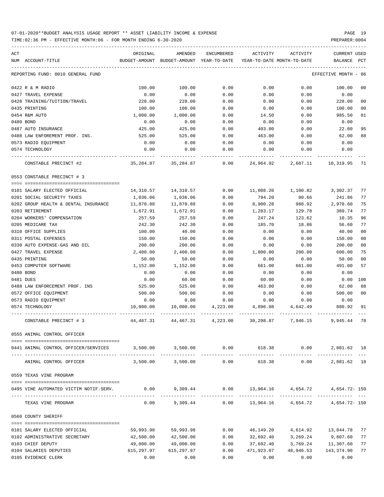TIME:02:36 PM - EFFECTIVE MONTH:06 - FOR MONTH ENDING 6-30-2020 PREPARER:0004

| ACT<br>NUM ACCOUNT-TITLE               | ORIGINAL   | AMENDED<br>BUDGET-AMOUNT BUDGET-AMOUNT YEAR-TO-DATE              | ENCUMBERED    | ACTIVITY   | ACTIVITY<br>YEAR-TO-DATE MONTH-TO-DATE | <b>CURRENT USED</b><br>BALANCE | PCT            |
|----------------------------------------|------------|------------------------------------------------------------------|---------------|------------|----------------------------------------|--------------------------------|----------------|
| REPORTING FUND: 0010 GENERAL FUND      |            |                                                                  |               |            |                                        | EFFECTIVE MONTH - 06           |                |
|                                        |            |                                                                  |               |            |                                        |                                |                |
| 0422 R & M RADIO                       | 100.00     | 100.00                                                           | 0.00          | 0.00       | 0.00                                   | 100.00                         | 0 <sub>0</sub> |
| 0427 TRAVEL EXPENSE                    | 0.00       | 0.00                                                             | 0.00          | 0.00       | 0.00                                   | 0.00                           |                |
| 0428 TRAINING/TUITION/TRAVEL           | 228.00     | 228.00                                                           | 0.00          | 0.00       | 0.00                                   | 228.00                         | 0 <sub>0</sub> |
| 0435 PRINTING                          | 100.00     | 100.00                                                           | 0.00          | 0.00       | 0.00                                   | 100.00                         | 0 <sub>0</sub> |
| 0454 R&M AUTO                          | 1,000.00   | 1,000.00                                                         | 0.00          | 14.50      | 0.00                                   | 985.50                         | 01             |
| 0480 BOND                              | 0.00       | 0.00                                                             | 0.00          | 0.00       | 0.00                                   | 0.00                           |                |
| 0487 AUTO INSURANCE                    | 425.00     | 425.00                                                           | 0.00          | 403.00     | 0.00                                   | 22.00                          | 95             |
| 0488 LAW ENFOREMENT PROF. INS.         | 525.00     | 525.00                                                           | 0.00          | 463.00     | 0.00                                   | 62.00                          | 88             |
| 0573 RADIO EQUIPMENT                   | 0.00       | 0.00                                                             | 0.00          | 0.00       | 0.00                                   | 0.00                           |                |
| 0574 TECHNOLOGY                        | 0.00       | 0.00                                                             | 0.00          | 0.00       | 0.00                                   | 0.00                           |                |
| CONSTABLE PRECINCT #2                  |            | 35, 284.87 35, 284.87                                            | 0.00          | 24,964.92  | 2,607.11                               | 10,319.95                      | 71             |
| 0553 CONSTABLE PRECINCT # 3            |            |                                                                  |               |            |                                        |                                |                |
|                                        |            |                                                                  |               |            |                                        |                                |                |
| 0101 SALARY ELECTED OFFICIAL           |            | 14,310.57    14,310.57                                           |               |            | $0.00$ 11,008.20 1,100.82 3,302.37     |                                | 77             |
| 0201 SOCIAL SECURITY TAXES             | 1,036.06   | 1,036.06                                                         | 0.00          | 794.20     | 80.66                                  | 241.86                         | 77             |
| 0202 GROUP HEALTH & DENTAL INSURANCE   | 11,870.88  | 11,870.88                                                        | 0.00          | 8,900.28   | 988.92                                 | 2,970.60                       | 75             |
| 0203 RETIREMENT                        | 1,672.91   | 1,672.91                                                         | 0.00          | 1,283.17   | 129.78                                 | 389.74                         | 77             |
| 0204 WORKERS' COMPENSATION             | 257.59     | 257.59                                                           | 0.00          | 247.24     | 123.62                                 | 10.35                          | 96             |
| 0205 MEDICARE TAX                      | 242.30     | 242.30                                                           | 0.00          | 185.70     | 18.86                                  | 56.60                          | 77             |
| 0310 OFFICE SUPPLIES                   | 100.00     | 40.00                                                            | 0.00          | 0.00       | 0.00                                   | 40.00                          | 0 <sub>0</sub> |
| 0311 POSTAL EXPENSES                   | 150.00     | 150.00                                                           | 0.00          | 0.00       | 0.00                                   | 150.00                         | 0 <sub>0</sub> |
| 0330 AUTO EXPENSE-GAS AND OIL          | 200.00     | 200.00                                                           | 0.00          | 0.00       | 0.00                                   | 200.00                         | 0 <sub>0</sub> |
| 0427 TRAVEL EXPENSE                    | 2,400.00   | 2,400.00                                                         | 0.00          | 1,800.00   | 200.00                                 | 600.00                         | 75             |
| 0435 PRINTING                          | 50.00      | 50.00                                                            | 0.00          | 0.00       | 0.00                                   | 50.00                          | 0 <sub>0</sub> |
| 0453 COMPUTER SOFTWARE                 | 1,152.00   | 1,152.00                                                         | 0.00          | 661.00     | 661.00                                 | 491.00                         | 57             |
| 0480 BOND                              | 0.00       | 0.00                                                             | 0.00          | 0.00       | 0.00                                   | 0.00                           |                |
| 0481 DUES                              | 0.00       | 60.00                                                            | 0.00          | 60.00      | 0.00                                   | 0.00                           | 100            |
| 0488 LAW ENFORCEMENT PROF. INS         | 525.00     | 525.00                                                           | 0.00          | 463.00     | 0.00                                   | 62.00                          | 88             |
| 0572 OFFICE EQUIPMENT                  | 500.00     | 500.00                                                           | 0.00          | 0.00       | 0.00                                   | 500.00                         | 0 <sub>0</sub> |
| 0573 RADIO EQUIPMENT                   | 0.00       | 0.00                                                             | 0.00          | 0.00       | 0.00                                   | 0.00                           |                |
| 0574 TECHNOLOGY                        | 10,000.00  | 10,000.00                                                        | 4,223.00      | 4,896.08   | 4,642.49                               | 880.92                         | 91             |
| CONSTABLE PRECINCT # 3                 | 44,467.31  | 44,467.31                                                        | 4,223.00      |            | 30,298.87 7,946.15                     | 9,945.44                       | 78             |
| 0555 ANIMAL CONTROL OFFICER            |            |                                                                  |               |            |                                        |                                |                |
|                                        |            | $3,500.00$ $3,500.00$ $0.00$ $618.38$ $0.00$ $2,881.62$ 18       |               |            |                                        |                                |                |
| 0441 ANIMAL CONTROL OFFICER/SERVICES   |            |                                                                  | ------------- |            | ------------                           |                                |                |
| ANIMAL CONTROL OFFICER                 |            | 3,500.00 3,500.00                                                | 0.00          | 618.38     |                                        | 0.00<br>2,881.62 18            |                |
| 0559 TEXAS VINE PROGRAM                |            |                                                                  |               |            |                                        |                                |                |
| 0495 VINE AUTOMATED VICTIM NOTIF.SERV. |            | $0.00$ $9,309.44$ $0.00$ $13,964.16$ $4,654.72$ $4,654.72$ $150$ |               |            |                                        |                                |                |
| TEXAS VINE PROGRAM                     | 0.00       | 9,309.44                                                         |               |            | $0.00$ 13,964.16 4,654.72              | 4,654.72- 150                  |                |
| 0560 COUNTY SHERIFF                    |            |                                                                  |               |            |                                        |                                |                |
| 0101 SALARY ELECTED OFFICIAL           |            | 59,993.98 59,993.98                                              | 0.00          |            | 46,149.20  4,614.92  13,844.78         |                                | 77             |
| 0102 ADMINISTRATIVE SECRETARY          | 42,500.00  | 42,500.00                                                        | 0.00          | 32,692.40  | 3,269.24                               | 9,807.60                       | 77             |
| 0103 CHIEF DEPUTY                      | 49,000.00  | 49,000.00                                                        | 0.00          | 37,692.40  | 3,769.24                               | 11,307.60                      | 77             |
|                                        |            |                                                                  |               |            |                                        |                                |                |
| 0104 SALARIES DEPUTIES                 | 615,297.97 | 615,297.97                                                       | 0.00          | 471,923.07 | 48,946.53                              | 143,374.90                     | 77             |

0105 EVIDENCE CLERK 0.00 0.00 0.00 0.00 0.00 0.00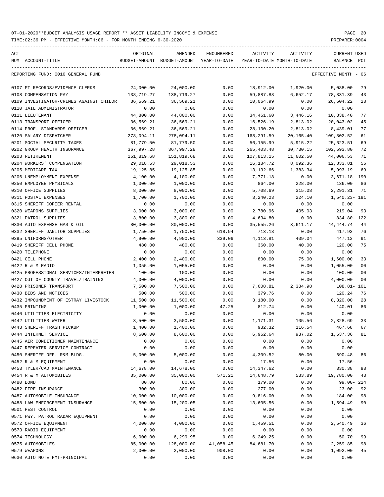TIME:02:36 PM - EFFECTIVE MONTH:06 - FOR MONTH ENDING 6-30-2020 PREPARER:0004

| ACT | NUM ACCOUNT-TITLE                       | ORIGINAL   | AMENDED<br>BUDGET-AMOUNT BUDGET-AMOUNT YEAR-TO-DATE | ENCUMBERED | ACTIVITY   | ACTIVITY<br>YEAR-TO-DATE MONTH-TO-DATE | CURRENT USED<br>BALANCE PCT |                |
|-----|-----------------------------------------|------------|-----------------------------------------------------|------------|------------|----------------------------------------|-----------------------------|----------------|
|     | REPORTING FUND: 0010 GENERAL FUND       |            |                                                     |            |            |                                        | EFFECTIVE MONTH - 06        |                |
|     | 0107 PT RECORDS/EVIDENCE CLERKS         | 24,000.00  | 24,000.00                                           | 0.00       | 18,912.00  | 1,920.00                               | 5,088.00                    | 79             |
|     | 0108 COMPENSATION PAY                   | 138,719.27 | 138,719.27                                          | 0.00       | 59,887.88  | 6,652.17                               | 78,831.39                   | 43             |
|     | 0109 INVESTIGATOR-CRIMES AGAINST CHILDR | 36,569.21  | 36,569.21                                           | 0.00       | 10,064.99  | 0.00                                   | 26,504.22                   | 28             |
|     | 0110 JAIL ADMINISTRATOR                 | 0.00       | 0.00                                                | 0.00       | 0.00       | 0.00                                   | 0.00                        |                |
|     | 0111 LIEUTENANT                         | 44,800.00  | 44,800.00                                           | 0.00       | 34,461.60  | 3,446.16                               | 10,338.40                   | 77             |
|     | 0113 TRANSPORT OFFICER                  | 36,569.21  | 36,569.21                                           | 0.00       | 16,526.19  | 2,813.02                               | 20,043.02                   | 45             |
|     | 0114 PROF. STANDARDS OFFICER            | 36,569.21  | 36,569.21                                           | 0.00       | 28,130.20  | 2,813.02                               | 8,439.01                    | 77             |
|     | 0120 SALARY DISPATCHER                  | 278,094.11 | 278,094.11                                          | 0.00       | 168,291.59 | 20,165.40                              | 109,802.52                  | 61             |
|     | 0201 SOCIAL SECURITY TAXES              | 81,779.50  | 81,779.50                                           | 0.00       | 56,155.99  | 5,915.22                               | 25,623.51                   | 69             |
|     | 0202 GROUP HEALTH INSURANCE             | 367,997.28 | 367,997.28                                          | 0.00       | 265,403.48 | 30,730.15                              | 102,593.80                  | 72             |
|     | 0203 RETIREMENT                         | 151,819.68 | 151,819.68                                          | 0.00       | 107,813.15 | 11,602.50                              | 44,006.53                   | 71             |
|     | 0204 WORKERS' COMPENSATION              | 29,018.53  | 29,018.53                                           | 0.00       | 16,184.72  | 8,092.36                               | 12,833.81                   | 56             |
|     | 0205 MEDICARE TAX                       | 19,125.85  | 19,125.85                                           | 0.00       | 13,132.66  | 1,383.34                               | 5,993.19                    | 69             |
|     | 0206 UNEMPLOYMENT EXPENSE               | 4,100.00   | 4,100.00                                            | 0.00       | 7,771.18   | 0.00                                   | 3,671.18- 190               |                |
|     | 0250 EMPLOYEE PHYSICALS                 | 1,000.00   | 1,000.00                                            | 0.00       | 864.00     | 228.00                                 | 136.00                      | 86             |
|     | 0310 OFFICE SUPPLIES                    | 8,000.00   | 8,000.00                                            | 0.00       | 5,708.69   | 315.08                                 | 2,291.31                    | - 71           |
|     | 0311 POSTAL EXPENSES                    | 1,700.00   | 1,700.00                                            | 0.00       | 3,240.23   | 224.10                                 | 1,540.23- 191               |                |
|     | 0315 SHERIFF COPIER RENTAL              | 0.00       | 0.00                                                | 0.00       | 0.00       | 0.00                                   | 0.00                        |                |
|     | 0320 WEAPONS SUPPLIES                   | 3,000.00   | 3,000.00                                            | 0.00       | 2,780.96   | 405.03                                 | 219.04                      | 93             |
|     | 0321 PATROL SUPPLIES                    | 3,800.00   | 3,800.00                                            | 0.00       | 4,634.80   | 0.00                                   | 834.80- 122                 |                |
|     | 0330 AUTO EXPENSE GAS & OIL             | 80,000.00  | 80,000.00                                           | 0.00       | 35,555.26  | 3,611.17                               | 44,444.74                   | 44             |
|     | 0332 SHERIFF JANITOR SUPPLIES           | 1,750.00   | 1,750.00                                            | 618.94     | 713.13     | 0.00                                   | 417.93                      | 76             |
|     | 0395 UNIFORMS/OTHER                     | 4,900.00   | 4,900.00                                            | 339.06     | 4,113.81   | 409.04                                 | 447.13                      | 91             |
|     | 0419 SHERIFF CELL PHONE                 | 480.00     | 480.00                                              | 0.00       | 360.00     | 40.00                                  | 120.00                      | 75             |
|     | 0420 TELEPHONE                          | 0.00       | 0.00                                                | 0.00       | 0.00       | 0.00                                   | 0.00                        |                |
|     | 0421 CELL PHONE                         | 2,400.00   | 2,400.00                                            | 0.00       | 800.00     | 75.00                                  | 1,600.00                    | 33             |
|     | 0422 R & M RADIO                        | 1,055.00   | 1,055.00                                            | 0.00       | 0.00       | 0.00                                   | 1,055.00                    | 00             |
|     | 0425 PROFESSIONAL SERVICES/INTERPRETER  | 100.00     | 100.00                                              | 0.00       | 0.00       | 0.00                                   | 100.00                      | 0 <sub>0</sub> |
|     | 0427 OUT OF COUNTY TRAVEL/TRAINING      | 4,000.00   | 4,000.00                                            | 0.00       | 0.00       | 0.00                                   | 4,000.00                    | 0 <sub>0</sub> |
|     | 0428 PRISONER TRANSPORT                 | 7,500.00   | 7,500.00                                            | 0.00       | 7,608.81   | 2,384.98                               | 108.81- 101                 |                |
|     | 0430 BIDS AND NOTICES                   | 500.00     | 500.00                                              | 0.00       | 379.76     | 0.00                                   | 120.24                      | 76             |
|     | 0432 IMPOUNDMENT OF ESTRAY LIVESTOCK    | 11,500.00  | 11,500.00                                           | 0.00       | 3,180.00   | 0.00                                   | 8,320.00                    | 28             |
|     | 0435 PRINTING                           | 1,000.00   | 1,000.00                                            | 47.25      | 812.74     | 0.00                                   | 140.01                      | 86             |
|     | 0440 UTILITIES ELECTRICITY              | 0.00       | 0.00                                                | 0.00       | 0.00       | 0.00                                   | 0.00                        |                |
|     | 0442 UTILITIES WATER                    | 3,500.00   | 3,500.00                                            | 0.00       | 1,171.31   | 105.56                                 | 2,328.69                    | 33             |
|     | 0443 SHERIFF TRASH PICKUP               | 1,400.00   | 1,400.00                                            | 0.00       | 932.32     | 116.54                                 | 467.68 67                   |                |
|     | 0444 INTERNET SERVICE                   | 8,600.00   | 8,600.00                                            | 0.00       | 6,962.64   | 937.02                                 | 1,637.36                    | 81             |
|     | 0445 AIR CONDITIONER MAINTENANCE        | 0.00       | 0.00                                                | 0.00       | 0.00       | 0.00                                   | 0.00                        |                |
|     | 0447 REPEATER SERVICE CONTRACT          | 0.00       | 0.00                                                | 0.00       | 0.00       | 0.00                                   | 0.00                        |                |
|     | 0450 SHERIFF OFF. R&M BLDG.             | 5,000.00   | 5,000.00                                            | 0.00       | 4,309.52   | 80.00                                  | 690.48                      | 86             |
|     | 0452 R & M EQUIPMENT                    | 0.00       | 0.00                                                | 0.00       | 17.56      | 0.00                                   | $17.56-$                    |                |
|     | 0453 TYLER/CAD MAINTENANCE              | 14,678.00  | 14,678.00                                           | 0.00       | 14,347.62  | 0.00                                   | 330.38                      | 98             |
|     | 0454 R & M AUTOMOBILES                  | 35,000.00  | 35,000.00                                           | 571.21     | 14,648.79  | 533.89                                 | 19,780.00                   | 43             |
|     | 0480 BOND                               | 80.00      | 80.00                                               | 0.00       | 179.00     | 0.00                                   | $99.00 - 224$               |                |
|     | 0482 FIRE INSURANCE                     | 300.00     | 300.00                                              | 0.00       | 277.00     | 0.00                                   | 23.00                       | 92             |
|     | 0487 AUTOMOBILE INSURANCE               | 10,000.00  | 10,000.00                                           | 0.00       | 9,816.00   | 0.00                                   | 184.00                      | 98             |
|     | 0488 LAW ENFORCEMENT INSURANCE          | 15,500.00  | 15,200.05                                           | 0.00       | 13,605.56  | 0.00                                   | 1,594.49                    | 90             |
|     | 0501 PEST CONTROL                       | 0.00       | 0.00                                                | 0.00       | 0.00       | 0.00                                   | 0.00                        |                |
|     | 0571 HWY. PATROL RADAR EQUIPMENT        | 0.00       | 0.00                                                | 0.00       | 0.00       | 0.00                                   | 0.00                        |                |
|     | 0572 OFFICE EQUIPMENT                   | 4,000.00   | 4,000.00                                            | 0.00       | 1,459.51   | 0.00                                   | 2,540.49                    | 36             |
|     | 0573 RADIO EQUIPMENT                    | 0.00       | 0.00                                                | 0.00       | 0.00       | 0.00                                   | 0.00                        |                |
|     | 0574 TECHNOLOGY                         | 6,000.00   | 6,299.95                                            | 0.00       | 6,249.25   | 0.00                                   | 50.70                       | 99             |
|     | 0575 AUTOMOBILES                        | 85,000.00  | 128,000.00                                          | 41,058.45  | 84,681.70  | 0.00                                   | 2,259.85                    | 98             |
|     | 0579 WEAPONS                            | 2,000.00   | 2,000.00                                            | 908.00     | 0.00       | 0.00                                   | 1,092.00                    | 45             |
|     | 0630 AUTO NOTE PMT-PRINCIPAL            | 0.00       | 0.00                                                | 0.00       | 0.00       | 0.00                                   | 0.00                        |                |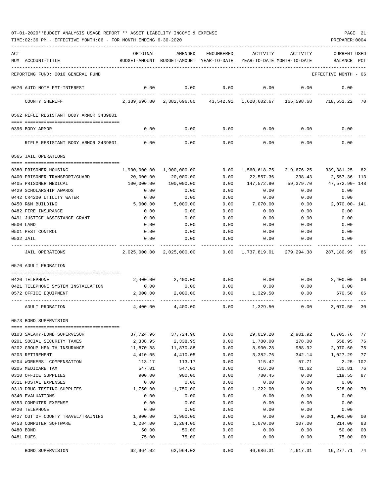| 07-01-2020**BUDGET ANALYSIS USAGE REPORT ** ASSET LIABILITY INCOME & EXPENSE |  |  |  | PAGE |  |
|------------------------------------------------------------------------------|--|--|--|------|--|
|                                                                              |  |  |  |      |  |

TIME:02:36 PM - EFFECTIVE MONTH:06 - FOR MONTH ENDING 6-30-2020

| ACT |                                                | ORIGINAL                           | AMENDED                                  | ENCUMBERED    | ACTIVITY                  | ACTIVITY                                                                  | CURRENT USED                 |       |
|-----|------------------------------------------------|------------------------------------|------------------------------------------|---------------|---------------------------|---------------------------------------------------------------------------|------------------------------|-------|
|     | NUM ACCOUNT-TITLE                              |                                    | BUDGET-AMOUNT BUDGET-AMOUNT YEAR-TO-DATE |               |                           | YEAR-TO-DATE MONTH-TO-DATE                                                | BALANCE                      | PCT   |
|     | REPORTING FUND: 0010 GENERAL FUND              |                                    |                                          |               |                           |                                                                           | EFFECTIVE MONTH - 06         |       |
|     | 0670 AUTO NOTE PMT-INTEREST                    | 0.00                               | 0.00                                     | 0.00          | 0.00                      | 0.00                                                                      | 0.00                         |       |
|     | COUNTY SHERIFF                                 |                                    |                                          |               |                           | 2,339,696.80 2,382,696.80 43,542.91 1,620,602.67 165,598.68 718,551.22 70 |                              |       |
|     | 0562 RIFLE RESISTANT BODY ARMOR 3439801        |                                    |                                          |               |                           |                                                                           |                              |       |
|     | 0396 BODY ARMOR                                | 0.00                               | 0.00                                     |               |                           | $0.00$ $0.00$ $0.00$ $0.00$                                               | 0.00                         |       |
|     |                                                |                                    |                                          |               |                           |                                                                           |                              |       |
|     | RIFLE RESISTANT BODY ARMOR 3439801             | 0.00                               | 0.00                                     | 0.00          | 0.00                      | 0.00                                                                      | 0.00                         |       |
|     | 0565 JAIL OPERATIONS                           |                                    |                                          |               |                           |                                                                           |                              |       |
|     | 0380 PRISONER HOUSING                          |                                    | 1,900,000.00 1,900,000.00                |               | $0.00 \quad 1,560,618.75$ |                                                                           | 219,676.25 339,381.25 82     |       |
|     | 0400 PRISONER TRANSPORT/GUARD                  | 20,000.00                          | 20,000.00                                | 0.00          | 22,557.36                 | 238.43                                                                    | 2,557.36- 113                |       |
|     | 0405 PRISONER MEDICAL                          | 100,000.00                         | 100,000.00                               | 0.00          | 147,572.90                | 59,379.70                                                                 | 47,572.90- 148               |       |
|     | 0429 SCHOLARSHIP AWARDS                        | 0.00                               | 0.00                                     | 0.00          | 0.00                      | 0.00                                                                      | 0.00                         |       |
|     | 0442 CR4200 UTILITY WATER                      | 0.00                               | 0.00                                     | 0.00          | 0.00                      | 0.00                                                                      | 0.00                         |       |
|     | 0450 R&M BUILDING                              | 5,000.00                           | 5,000.00                                 | 0.00          | 7,070.00                  | 0.00                                                                      | 2,070.00- 141                |       |
|     | 0482 FIRE INSURANCE                            | 0.00                               | 0.00                                     | 0.00          | 0.00                      | 0.00                                                                      | 0.00                         |       |
|     | 0491 JUSTICE ASSISTANCE GRANT                  | 0.00                               | 0.00                                     | 0.00          | 0.00                      | 0.00                                                                      | 0.00                         |       |
|     | 0500 LAND                                      | 0.00                               | 0.00                                     | 0.00          | 0.00                      | 0.00                                                                      | 0.00                         |       |
|     | 0501 PEST CONTROL                              | 0.00                               | 0.00                                     | 0.00          | 0.00                      | 0.00                                                                      | 0.00                         |       |
|     | 0532 JAIL                                      | 0.00                               | 0.00                                     | 0.00          | 0.00                      | 0.00                                                                      | 0.00                         |       |
|     | JAIL OPERATIONS                                |                                    | 2,025,000.00 2,025,000.00                |               |                           | $0.00 \quad 1,737,819.01 \quad 279,294.38 \quad 287,180.99$               |                              | 86    |
|     | 0570 ADULT PROBATION                           |                                    |                                          |               |                           |                                                                           |                              |       |
|     | 0420 TELEPHONE                                 | 2,400.00                           | 2,400.00                                 | 0.00          | 0.00                      |                                                                           | $0.00$ 2,400.00              | 00    |
|     | 0421 TELEPHONE SYSTEM INSTALLATION             | 0.00                               | 0.00                                     | 0.00          | 0.00                      | 0.00                                                                      | 0.00                         |       |
|     | 0572 OFFICE EQUIPMENT                          | 2,000.00                           | 2,000.00                                 | 0.00          | 1,329.50                  | 0.00                                                                      | 670.50                       | 66    |
|     | ADULT PROBATION                                | 4,400.00                           | 4,400.00                                 | 0.00          | 1,329.50                  | 0.00                                                                      | 3,070.50                     | 30    |
|     | 0573 BOND SUPERVISION                          |                                    |                                          |               |                           |                                                                           |                              |       |
|     |                                                |                                    |                                          |               |                           |                                                                           |                              |       |
|     | 0103 SALARY-BOND SUPERVISOR                    | 37,724.96                          | 37,724.96                                | 0.00          | 29,019.20                 | 2,901.92                                                                  | 8,705.76                     | 77    |
|     | 0201 SOCIAL SECURITY TAXES                     | 2,338.95                           | 2,338.95                                 | 0.00          | 1,780.00                  | 178.00                                                                    | 558.95                       | 76    |
|     | 0202 GROUP HEALTH INSURANCE                    | 11,870.88                          | 11,870.88                                | 0.00          | 8,900.28                  | 988.92                                                                    | 2,970.60                     | 75    |
|     | 0203 RETIREMENT                                | 4,410.05                           | 4,410.05                                 | 0.00          | 3,382.76                  | 342.14                                                                    | 1,027.29                     | 77    |
|     | 0204 WORKERS' COMPENSATION                     | 113.17                             | 113.17                                   | 0.00          | 115.42                    | 57.71                                                                     | $2.25 - 102$                 |       |
|     | 0205 MEDICARE TAX                              | 547.01                             | 547.01                                   | 0.00          | 416.20                    | 41.62                                                                     | 130.81                       | 76    |
|     | 0310 OFFICE SUPPLIES                           | 900.00                             | 900.00                                   | 0.00          | 780.45                    | 0.00                                                                      | 119.55                       | 87    |
|     | 0311 POSTAL EXPENSES                           | 0.00                               | 0.00                                     | 0.00          | 0.00                      | 0.00                                                                      | 0.00                         |       |
|     | 0313 DRUG TESTING SUPPLIES<br>0340 EVALUATIONS | 1,750.00                           | 1,750.00<br>0.00                         | 0.00<br>0.00  | 1,222.00<br>0.00          | 0.00<br>0.00                                                              | 528.00                       | 70    |
|     | 0353 COMPUTER EXPENSE                          | 0.00<br>0.00                       | 0.00                                     | 0.00          | 0.00                      | 0.00                                                                      | 0.00<br>0.00                 |       |
|     | 0420 TELEPHONE                                 | 0.00                               | 0.00                                     | 0.00          | 0.00                      | 0.00                                                                      | 0.00                         |       |
|     | 0427 OUT OF COUNTY TRAVEL/TRAINING             | 1,900.00                           | 1,900.00                                 | 0.00          | 0.00                      | 0.00                                                                      | 1,900.00                     | 00    |
|     | 0453 COMPUTER SOFTWARE                         | 1,284.00                           | 1,284.00                                 | 0.00          | 1,070.00                  | 107.00                                                                    | 214.00                       | 83    |
|     | 0480 BOND                                      | 50.00                              | 50.00                                    | 0.00          | 0.00                      | 0.00                                                                      | 50.00                        | 00    |
|     | 0481 DUES                                      | 75.00                              | 75.00                                    | 0.00          | 0.00                      | 0.00                                                                      | 75.00                        | 00    |
|     | BOND SUPERVISION                               | ------- -------------<br>62,964.02 | 62,964.02                                | -----<br>0.00 | 46,686.31                 | 4,617.31                                                                  | ------------<br>16,277.71 74 | $---$ |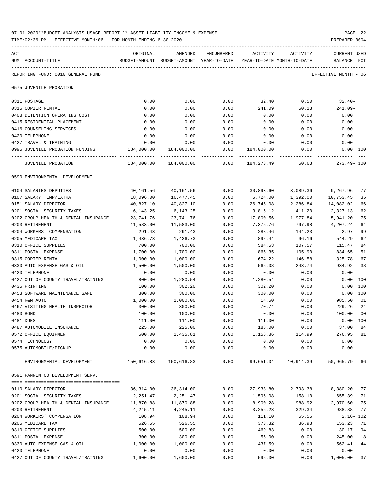| 07-01-2020**BUDGET ANALYSIS USAGE REPORT ** ASSET LIABILITY INCOME & EXPENSE | PAGE 22        |  |
|------------------------------------------------------------------------------|----------------|--|
| TIME:02:36 PM - EFFECTIVE MONTH:06 - FOR MONTH ENDING 6-30-2020              | PREPARER: 0004 |  |

| ACT                                                         | ORIGINAL               | AMENDED                                                             | ENCUMBERED   | ACTIVITY              | ACTIVITY                    | <b>CURRENT USED</b>  |          |
|-------------------------------------------------------------|------------------------|---------------------------------------------------------------------|--------------|-----------------------|-----------------------------|----------------------|----------|
| NUM ACCOUNT-TITLE                                           |                        | BUDGET-AMOUNT BUDGET-AMOUNT YEAR-TO-DATE YEAR-TO-DATE MONTH-TO-DATE |              |                       |                             | BALANCE PCT          |          |
| REPORTING FUND: 0010 GENERAL FUND                           |                        |                                                                     |              |                       |                             | EFFECTIVE MONTH - 06 |          |
| 0575 JUVENILE PROBATION                                     |                        |                                                                     |              |                       |                             |                      |          |
|                                                             |                        |                                                                     |              |                       |                             |                      |          |
| 0311 POSTAGE                                                | 0.00                   | 0.00                                                                | 0.00         | 32.40                 | 0.50                        | $32.40-$             |          |
| 0315 COPIER RENTAL                                          | 0.00                   | 0.00                                                                | 0.00         | 241.09                | 50.13                       | 241.09-              |          |
| 0408 DETENTION OPERATING COST<br>0415 RESIDENTIAL PLACEMENT | 0.00<br>0.00           | 0.00<br>0.00                                                        | 0.00<br>0.00 | 0.00<br>0.00          | 0.00<br>0.00                | 0.00<br>0.00         |          |
| 0416 COUNSELING SERVICES                                    | 0.00                   | 0.00                                                                | 0.00         | 0.00                  | 0.00                        | 0.00                 |          |
| 0420 TELEPHONE                                              | 0.00                   | 0.00                                                                | 0.00         | 0.00                  | 0.00                        | 0.00                 |          |
| 0427 TRAVEL & TRAINING                                      | 0.00                   | 0.00                                                                | 0.00         | 0.00                  | 0.00                        | 0.00                 |          |
| 0995 JUVENILE PROBATION FUNDING 184,000.00 184,000.00       |                        |                                                                     | 0.00         | 184,000.00            | 0.00                        | $0.00$ 100           |          |
| JUVENILE PROBATION                                          |                        |                                                                     | 0.00         | 184,273.49            | 50.63                       | 273.49- 100          |          |
| 0590 ENVIRONMENTAL DEVELOPMENT                              |                        |                                                                     |              |                       |                             |                      |          |
|                                                             |                        |                                                                     |              |                       |                             |                      |          |
| 0104 SALARIES DEPUTIES                                      | 40,161.56              | 40,161.56                                                           | 0.00         | 30,893.60             | 3,089.36                    | 9,267.96             | 77       |
| 0107 SALARY TEMP/EXTRA                                      | 18,096.00              | 16,477.45                                                           | 0.00         | 5,724.00              | 1,392.00                    | 10,753.45            | 35       |
| 0151 SALARY DIRECTOR                                        | 40,827.10              | 40,827.10                                                           | 0.00         | 26,745.08             | 2,286.84                    | 14,082.02            | 66       |
| 0201 SOCIAL SECURITY TAXES                                  | 6,143.25               | 6,143.25                                                            | 0.00         | 3,816.12              | 411.20                      | 2,327.13             | 62       |
| 0202 GROUP HEALTH & DENTAL INSURANCE<br>0203 RETIREMENT     | 23,741.76<br>11,583.00 | 23,741.76                                                           | 0.00<br>0.00 | 17,800.56<br>7,375.76 | 1,977.84<br>797.98 4,207.24 | 5,941.20             | 75<br>64 |
| 0204 WORKERS' COMPENSATION                                  | 291.43                 | 11,583.00<br>291.43                                                 | 0.00         | 288.46                | 144.23                      | 2.97                 | 99       |
| 0205 MEDICARE TAX                                           | 1,436.73               | 1,436.73                                                            | 0.00         | 892.44                | 96.16                       | 544.29               | 62       |
| 0310 OFFICE SUPPLIES                                        | 700.00                 | 700.00                                                              | 0.00         | 584.53                | 107.57                      | 115.47               | 84       |
| 0311 POSTAL EXPENSE                                         | 1,700.00               | 1,700.00                                                            | 0.00         | 865.35                | 105.90                      | 834.65               | 51       |
| 0315 COPIER RENTAL                                          | 1,000.00               | 1,000.00                                                            | 0.00         | 674.22                | 146.58                      | 325.78               | 67       |
| 0330 AUTO EXPENSE GAS & OIL                                 | 1,500.00               | 1,500.00                                                            | 0.00         | 565.08                | 243.74                      | 934.92               | 38       |
| 0420 TELEPHONE                                              | 0.00                   | 0.00                                                                | 0.00         | 0.00                  | 0.00                        | 0.00                 |          |
| 0427 OUT OF COUNTY TRAVEL/TRAINING                          | 800.00                 | 1,280.54                                                            | 0.00         | 1,280.54              | 0.00                        | 0.00                 | 100      |
| 0435 PRINTING                                               | 100.00                 | 302.20                                                              | 0.00         | 302.20                | 0.00                        | 0.00                 | 100      |
| 0453 SOFTWARE MAINTENANCE SAFE                              | 300.00                 | 300.00                                                              | 0.00         | 300.00                | 0.00                        | $0.00$ 100           |          |
| 0454 R&M AUTO                                               | 1,000.00               | 1,000.00                                                            | 0.00         | 14.50                 | 0.00                        | 985.50               | 01       |
| 0467 VISITING HEALTH INSPECTOR                              | 300.00                 | 300.00                                                              | 0.00         | 70.74                 | 0.00                        | 229.26               | 24       |
| 0480 BOND                                                   | 100.00                 | 100.00                                                              | 0.00         | 0.00                  | 0.00                        | 100.00               | 00       |
| 0481 DUES                                                   | 111.00                 | 111.00                                                              | 0.00         | 111.00                | 0.00                        | 0.00 100             |          |
| 0487 AUTOMOBILE INSURANCE                                   | 225.00                 | 225.00                                                              | 0.00         | 188.00                | 0.00                        | 37.00                | 84       |
| 0572 OFFICE EQUIPMENT                                       | 500.00                 | 1,435.81                                                            | 0.00         | 1,158.86              | 114.99                      | 276.95               | 81       |
| 0574 TECHNOLOGY<br>0575 AUTOMOBILE/PICKUP                   | 0.00<br>0.00           | 0.00<br>0.00                                                        | 0.00<br>0.00 | 0.00<br>0.00          | 0.00<br>0.00                | 0.00<br>0.00         |          |
| ENVIRONMENTAL DEVELOPMENT                                   |                        | 150,616.83 150,616.83                                               | 0.00         | 99,651.04             | 10,914.39                   | 50,965.79 66         |          |
| 0591 FANNIN CO DEVELOPMENT SERV.                            |                        |                                                                     |              |                       |                             |                      |          |
|                                                             |                        |                                                                     |              |                       |                             |                      |          |
| 0110 SALARY DIRECTOR                                        | 36,314.00              | 36,314.00                                                           | 0.00         | 27,933.80             | 2,793.38                    | 8,380.20 77          |          |
| 0201 SOCIAL SECURITY TAXES                                  | 2,251.47               | 2,251.47                                                            | 0.00         | 1,596.08              | 158.10                      | 655.39               | 71       |
| 0202 GROUP HEALTH & DENTAL INSURANCE                        | 11,870.88              | 11,870.88                                                           | 0.00         | 8,900.28              | 988.92                      | 2,970.60             | 75       |
| 0203 RETIREMENT                                             | 4,245.11               | 4,245.11                                                            | 0.00         | 3,256.23              | 329.34                      | 988.88               | 77       |
| 0204 WORKERS' COMPENSATION                                  | 108.94                 | 108.94                                                              | 0.00         | 111.10                | 55.55                       | $2.16 - 102$         |          |
| 0205 MEDICARE TAX<br>0310 OFFICE SUPPLIES                   | 526.55<br>500.00       | 526.55<br>500.00                                                    | 0.00<br>0.00 | 373.32<br>469.83      | 36.98<br>0.00               | 153.23<br>30.17      | 71<br>94 |
| 0311 POSTAL EXPENSE                                         | 300.00                 | 300.00                                                              | 0.00         | 55.00                 | 0.00                        | 245.00               | 18       |
| 0330 AUTO EXPENSE GAS & OIL                                 | 1,000.00               | 1,000.00                                                            | 0.00         | 437.59                | 0.00                        | 562.41               | 44       |
| 0420 TELEPHONE                                              | 0.00                   | 0.00                                                                | 0.00         | 0.00                  | 0.00                        | 0.00                 |          |
| 0427 OUT OF COUNTY TRAVEL/TRAINING                          | 1,600.00               | 1,600.00                                                            | 0.00         | 595.00                | 0.00                        | 1,005.00             | 37       |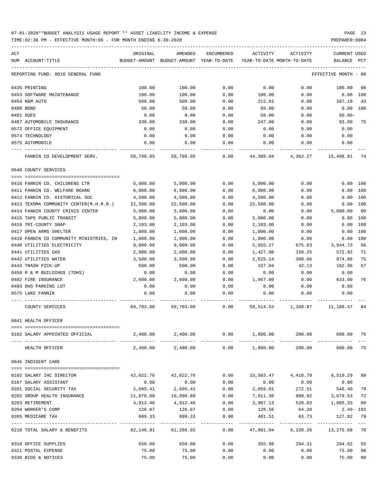TIME:02:36 PM - EFFECTIVE MONTH:06 - FOR MONTH ENDING 6-30-2020 PREPARER:0004

| ACT<br>NUM ACCOUNT-TITLE                | ORIGINAL                                | AMENDED<br>BUDGET-AMOUNT BUDGET-AMOUNT YEAR-TO-DATE | ENCUMBERED          | ACTIVITY                  | ACTIVITY<br>YEAR-TO-DATE MONTH-TO-DATE | CURRENT USED<br>BALANCE      | PCT            |
|-----------------------------------------|-----------------------------------------|-----------------------------------------------------|---------------------|---------------------------|----------------------------------------|------------------------------|----------------|
| REPORTING FUND: 0010 GENERAL FUND       |                                         |                                                     |                     |                           |                                        | EFFECTIVE MONTH - 06         |                |
| 0435 PRINTING                           | 100.00                                  | 100.00                                              | 0.00                | 0.00                      | 0.00                                   | 100.00                       | 00             |
| 0453 SOFTWARE MAINTENANCE               | 100.00                                  | 100.00                                              | 0.00                | 100.00                    | 0.00                                   | $0.00$ 100                   |                |
| 0454 R&M AUTO                           | 500.00                                  | 500.00                                              | 0.00                | 212.81                    | 0.00                                   | 287.19                       | 43             |
| 0480 BOND                               | 50.00                                   | 50.00                                               | 0.00                | 50.00                     | 0.00                                   | $0.00$ $100$                 |                |
| 0481 DUES                               | 0.00                                    | 0.00                                                | 0.00                | 50.00                     | 0.00                                   | $50.00 -$                    |                |
| 0487 AUTOMOBILE INSURANCE               | 330.00                                  | 330.00                                              | 0.00                | 247.00                    | 0.00                                   | 83.00                        | 75             |
| 0572 OFFICE EQUIPMENT                   | 0.00                                    | 0.00                                                | 0.00                | 0.00                      | 0.00                                   | 0.00                         |                |
| 0574 TECHNOLOGY                         | 0.00                                    | 0.00                                                | 0.00                | 0.00                      | 0.00                                   | 0.00                         |                |
| 0575 AUTOMOBILE                         | 0.00                                    | 0.00                                                | 0.00                | 0.00                      | 0.00                                   | 0.00                         |                |
| FANNIN CO DEVELOPMENT SERV.             | 59,796.95                               | 59,796.95                                           | 0.00                | 44,388.04                 | 4,362.27                               | 15,408.91                    | 74             |
| 0640 COUNTY SERVICES                    |                                         |                                                     |                     |                           |                                        |                              |                |
|                                         |                                         |                                                     |                     |                           |                                        |                              |                |
| 0410 FANNIN CO. CHILDRENS CTR           | 5,000.00                                | 5,000.00                                            | 0.00                | 5,000.00                  | 0.00                                   | 0.00 100                     |                |
| 0411 FANNIN CO. WELFARE BOARD           | 6,000.00                                | 6,000.00                                            | 0.00                | 6,000.00                  | 0.00                                   | 0.00 100                     |                |
| 0412 FANNIN CO. HISTORICAL SOC          | 4,500.00                                | 4,500.00                                            | 0.00                | 4,500.00                  | 0.00                                   | 0.00 100                     |                |
| 0413 TEXOMA COMMUNITY CENTER(M.H.M.R.)  | 22,500.00                               | 22,500.00                                           | 0.00                | 22,500.00                 | 0.00                                   | 0.00 100                     |                |
| 0414 FANNIN COUNTY CRISIS CENTER        | 5,000.00                                | 5,000.00                                            | 0.00                | 0.00                      | 0.00                                   | 5,000.00                     | 00             |
| 0415 TAPS PUBLIC TRANSIT                | 5,000.00                                | 5,000.00                                            | 0.00                | 5,000.00                  | 0.00                                   | 0.00                         | 100            |
| 0416 TRI-COUNTY SNAP                    | 2,103.00                                | 2,103.00                                            | 0.00                | 2,103.00                  | 0.00                                   | 0.00                         | 100            |
| 0417 OPEN ARMS SHELTER                  | 1,000.00                                | 1,000.00                                            | 0.00                | 1,000.00                  | 0.00                                   | 0.00                         | 100            |
| 0418 FANNIN CO COMMUNITY MINISTRIES, IN | 1,000.00                                | 1,000.00                                            | 0.00                | 1,000.00                  | 0.00                                   | 0.00 100                     |                |
| 0440 UTILITIES ELECTRICITY              | 9,000.00                                | 9,000.00                                            | 0.00                | 5,055.27                  | 675.83                                 | 3,944.73                     | 56             |
| 0441 UTILITIES GAS                      | 2,000.00                                | 2,000.00                                            | 0.00                | 1,427.08                  | 150.25                                 | 572.92                       | 71             |
| 0442 UTILITIES WATER                    | 3,500.00                                | 3,500.00                                            | 0.00                | 2,625.14                  | 300.66                                 | 874.86                       | 75             |
| 0443 TRASH PICK-UP                      | 500.00                                  | 500.00                                              | 0.00                | 337.04                    | 42.13                                  | 162.96                       | 67             |
| 0450 R & M BUILDINGS (TDHS)             | 0.00                                    | 0.00                                                | 0.00                | 0.00                      | 0.00                                   | 0.00                         |                |
| 0482 FIRE INSURANCE                     | 2,600.00                                | 2,600.00                                            | 0.00                | 1,967.00                  | 0.00                                   | 633.00                       | 76             |
| 0493 DHS PARKING LOT                    | 0.00                                    | 0.00                                                | 0.00                | 0.00                      | 0.00                                   | 0.00                         |                |
| 0575 LAKE FANNIN                        | 0.00                                    | 0.00                                                | 0.00                | 0.00                      | 0.00                                   | 0.00                         |                |
| COUNTY SERVICES                         |                                         | 69,703.00 69,703.00 0.00                            |                     |                           |                                        | 58,514.53 1,168.87 11,188.47 | 84             |
| 0641 HEALTH OFFICER                     |                                         |                                                     |                     |                           |                                        |                              |                |
|                                         |                                         |                                                     |                     |                           |                                        |                              |                |
| 0102 SALARY APPOINTED OFFICIAL          | 2,400.00                                | 2,400.00                                            | 0.00                | 1,800.00<br>_____________ | 200.00<br>------------                 | 600.00 75                    |                |
| HEALTH OFFICER                          | 2,400.00                                | 2,400.00                                            | 0.00                | 1,800.00                  | 200.00                                 | 600.00                       | 75             |
| 0645 INDIGENT CARE                      |                                         |                                                     |                     |                           |                                        |                              |                |
| 0102 SALARY IHC DIRECTOR                | 42,022.76                               | 42,022.76                                           | 0.00                | 33,503.47                 | 4,410.79                               | 8,519.29                     | 80             |
| 0107 SALARY ASSISTANT                   | 0.00                                    | 0.00                                                | 0.00                | 0.00                      | 0.00                                   | 0.00                         |                |
| 0201 SOCIAL SECURITY TAX                | 2,605.41                                | 2,605.41                                            | 0.00                | 2,059.01                  | 272.51                                 | 546.40                       | 79             |
| 0202 GROUP HEALTH INSURANCE             | 11,870.88                               | 10,990.89                                           | 0.00                | 7,911.36                  | 988.92                                 | 3,079.53                     | 72             |
| 0203 RETIREMENT                         | 4,912.46                                | 4,912.46                                            | 0.00                | 3,907.13                  | 520.03                                 | 1,005.33                     | 80             |
| 0204 WORKER'S COMP                      | 126.07                                  | 126.07                                              | 0.00                | 128.56                    | 64.28                                  | $2.49 - 102$                 |                |
| 0205 MEDICARE TAX                       | 609.33                                  | 609.33                                              | 0.00                | 481.51                    | 63.73                                  | 127.82 79                    |                |
| 0210 TOTAL SALARY & BENEFITS            | ------------ -------------<br>62,146.91 | ------------<br>61,266.92                           | $- - - - -$<br>0.00 | 47,991.04                 | -----------<br>6,320.26                | 13,275.88                    | 78             |
| 0310 OFFICE SUPPLIES                    | 650.00                                  | 650.00                                              | 0.00                | 355.98                    | 294.31                                 | 294.02                       | 55             |
| 0311 POSTAL EXPENSE                     | 75.00                                   | 75.00                                               | 0.00                | 0.00                      | 0.00                                   | 75.00                        | 0 <sub>0</sub> |

0330 BIDS & NOTICES 75.00 75.00 0.00 0.00 0.00 75.00 00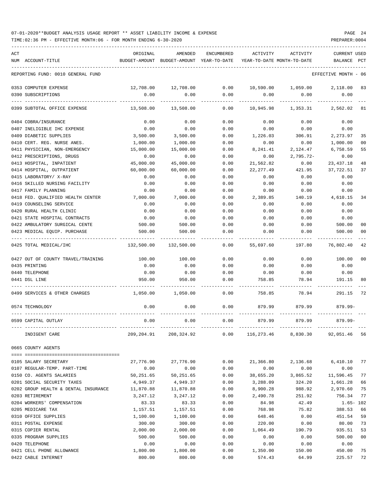| ACT                                  | ORIGINAL      | AMENDED                                               | ENCUMBERED    | ACTIVITY   | ACTIVITY                         | <b>CURRENT USED</b>  |                |
|--------------------------------------|---------------|-------------------------------------------------------|---------------|------------|----------------------------------|----------------------|----------------|
| NUM ACCOUNT-TITLE                    | BUDGET-AMOUNT | BUDGET-AMOUNT YEAR-TO-DATE YEAR-TO-DATE MONTH-TO-DATE |               |            |                                  | BALANCE              | PCT            |
| REPORTING FUND: 0010 GENERAL FUND    |               |                                                       |               |            |                                  | EFFECTIVE MONTH - 06 |                |
| 0353 COMPUTER EXPENSE                | 12,708.00     | 12,708.00                                             | 0.00          |            | 10,590.00 1,059.00               | 2,118.00             | 83             |
| 0390 SUBSCRIPTIONS                   | 0.00          | 0.00                                                  | 0.00          | 0.00       | 0.00                             | 0.00                 |                |
| 0399 SUBTOTAL OFFICE EXPENSE         | 13,508.00     | 13,508.00                                             | -----<br>0.00 | 10,945.98  | 1,353.31                         | 2,562.02             | - 81           |
| 0404 COBRA/INSURANCE                 | 0.00          | 0.00                                                  | 0.00          | 0.00       | 0.00                             | 0.00                 |                |
| 0407 INELIGIBLE IHC EXPENSE          | 0.00          | 0.00                                                  | 0.00          | 0.00       | 0.00                             | 0.00                 |                |
| 0409 DIABETIC SUPPLIES               | 3,500.00      | 3,500.00                                              | 0.00          | 1,226.03   | 306.91                           | 2,273.97             | 35             |
| 0410 CERT. REG. NURSE ANES.          | 1,000.00      | 1,000.00                                              | 0.00          | 0.00       | 0.00                             | 1,000.00             | 00             |
| 0411 PHYSICIAN, NON-EMERGENCY        | 15,000.00     | 15,000.00                                             | 0.00          | 8,241.41   | 2,124.47                         | 6,758.59             | 55             |
| 0412 PRESCRIPTIONS, DRUGS            | 0.00          | 0.00                                                  | 0.00          | 0.00       | $2,795.72-$                      | 0.00                 |                |
| 0413 HOSPITAL, INPATIENT             | 45,000.00     | 45,000.00                                             | 0.00          | 21,562.82  | 0.00                             | 23, 437. 18          | 48             |
| 0414 HOSPITAL, OUTPATIENT            | 60,000.00     | 60,000.00                                             | 0.00          | 22, 277.49 | 421.95                           | 37,722.51            | 37             |
| 0415 LABORATORY/ X-RAY               | 0.00          | 0.00                                                  | 0.00          | 0.00       | 0.00                             | 0.00                 |                |
| 0416 SKILLED NURSING FACILITY        | 0.00          | 0.00                                                  | 0.00          | 0.00       | 0.00                             | 0.00                 |                |
| 0417 FAMILY PLANNING                 | 0.00          | 0.00                                                  | 0.00          | 0.00       | 0.00                             | 0.00                 |                |
| 0418 FED. QUALIFIED HEALTH CENTER    | 7,000.00      | 7,000.00                                              | 0.00          | 2,389.85   | 140.19                           | 4,610.15             | 34             |
| 0419 COUNSELING SERVICE              | 0.00          | 0.00                                                  | 0.00          | 0.00       | 0.00                             | 0.00                 |                |
| 0420 RURAL HEALTH CLINIC             | 0.00          | 0.00                                                  | 0.00          | 0.00       | 0.00                             | 0.00                 |                |
| 0421 STATE HOSPITAL CONTRACTS        | 0.00          | 0.00                                                  | 0.00          | 0.00       | 0.00                             | 0.00                 |                |
| 0422 AMBULATORY SURGICAL CENTE       | 500.00        | 500.00                                                | 0.00          | 0.00       | 0.00                             | 500.00               | 00             |
| 0423 MEDICAL EQUIP. PURCHASE         | 500.00        | 500.00                                                | 0.00          | 0.00       | 0.00                             | 500.00               | 0 <sub>0</sub> |
|                                      |               |                                                       |               |            |                                  |                      |                |
| 0425 TOTAL MEDICAL/IHC               | 132,500.00    | 132,500.00                                            | 0.00          | 55,697.60  | 197.80                           | 76,802.40            | 42             |
| 0427 OUT OF COUNTY TRAVEL/TRAINING   | 100.00        | 100.00                                                | 0.00          | 0.00       | 0.00                             | 100.00               | 0 <sub>0</sub> |
| 0435 PRINTING                        | 0.00          | 0.00                                                  | 0.00          | 0.00       | 0.00                             | 0.00                 |                |
| 0440 TELEPHONE                       | 0.00          | 0.00                                                  | 0.00          | 0.00       | 0.00                             | 0.00                 |                |
| 0441 DSL LINE                        | 950.00        | 950.00                                                | 0.00          | 758.85     | 78.94                            | 191.15               | 80             |
| 0499 SERVICES & OTHER CHARGES        | 1,050.00      | 1,050.00                                              | 0.00          | 758.85     | 78.94                            | 291.15               | 72             |
| 0574 TECHNOLOGY                      | 0.00          | 0.00                                                  | 0.00          | 879.99     | 879.99                           | $879.99 -$           |                |
| 0599 CAPITAL OUTLAY                  | 0.00          | 0.00                                                  | 0.00          | 879.99     | 879.99                           | 879.99-              |                |
| INDIGENT CARE                        |               | 209, 204.91 208, 324.92                               | 0.00          |            | 116,273.46 8,830.30 92,051.46 56 |                      |                |
| 0665 COUNTY AGENTS                   |               |                                                       |               |            |                                  |                      |                |
| 0105 SALARY SECRETARY                | 27,776.90     | 27,776.90                                             | 0.00          | 21,366.80  | 2,136.68                         | 6,410.10 77          |                |
| 0107 REGULAR-TEMP. PART-TIME         | 0.00          | 0.00                                                  | 0.00          | 0.00       | 0.00                             | 0.00                 |                |
| 0150 CO. AGENTS SALARIES             | 50,251.65     | 50,251.65                                             | 0.00          | 38,655.20  | 3,865.52                         | 11,596.45            | 77             |
| 0201 SOCIAL SECURITY TAXES           | 4,949.37      | 4,949.37                                              | 0.00          | 3,288.09   | 324.20                           | 1,661.28             | 66             |
| 0202 GROUP HEALTH & DENTAL INSURANCE | 11,870.88     | 11,870.88                                             | 0.00          | 8,900.28   | 988.92                           | 2,970.60             | 75             |
| 0203 RETIREMENT                      | 3,247.12      | 3,247.12                                              | 0.00          | 2,490.78   | 251.92                           | 756.34               | 77             |
| 0204 WORKERS' COMPENSATION           | 83.33         | 83.33                                                 | 0.00          | 84.98      | 42.49                            | $1.65 - 102$         |                |
| 0205 MEDICARE TAX                    | 1,157.51      | 1,157.51                                              | 0.00          | 768.98     | 75.82                            | 388.53               | 66             |
| 0310 OFFICE SUPPLIES                 |               |                                                       |               |            | 0.00                             |                      |                |
|                                      | 1,100.00      | 1,100.00                                              | 0.00          | 648.46     |                                  | 451.54               | 59             |
| 0311 POSTAL EXPENSE                  | 300.00        | 300.00                                                | 0.00          | 220.00     | 0.00                             | 80.00                | 73             |
| 0315 COPIER RENTAL                   | 2,000.00      | 2,000.00                                              | 0.00          | 1,064.49   | 190.79                           | 935.51               | 53             |
| 0335 PROGRAM SUPPLIES                | 500.00        | 500.00                                                | 0.00          | 0.00       | 0.00                             | 500.00               | 00             |
| 0420 TELEPHONE                       | 0.00          | 0.00                                                  | 0.00          | 0.00       | 0.00                             | 0.00                 |                |
| 0421 CELL PHONE ALLOWANCE            | 1,800.00      | 1,800.00                                              | 0.00          | 1,350.00   | 150.00                           | 450.00               | 75             |

0422 CABLE INTERNET 800.00 800.00 0.00 574.43 64.99 225.57 72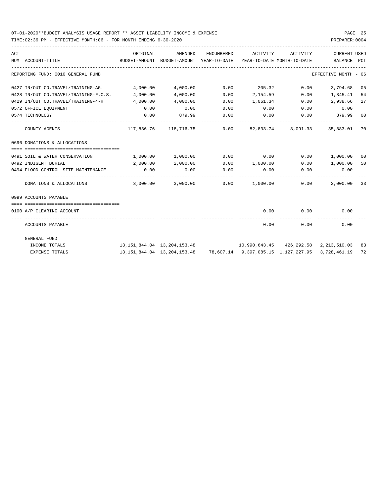TIME:02:36 PM - EFFECTIVE MONTH:06 - FOR MONTH ENDING 6-30-2020

| ACT | NUM ACCOUNT-TITLE<br>BUDGET-AMOUNT BUDGET-AMOUNT YEAR-TO-DATE YEAR-TO-DATE MONTH-TO-DATE BALANCE PCT | ORIGINAL                                                                      | AMENDED     |      | ENCUMBERED ACTIVITY ACTIVITY |      | CURRENT USED                                                                                       |    |
|-----|------------------------------------------------------------------------------------------------------|-------------------------------------------------------------------------------|-------------|------|------------------------------|------|----------------------------------------------------------------------------------------------------|----|
|     | REPORTING FUND: 0010 GENERAL FUND                                                                    |                                                                               |             |      |                              |      | EFFECTIVE MONTH - 06                                                                               |    |
|     | $0427$ IN/OUT CO.TRAVEL/TRAINING-AG. $4,000.00$ $4,000.00$ $0.00$ $0.00$ $0.00$ $0.00$ $0.00$ $0.00$ |                                                                               |             |      |                              |      | 3,794.68 05                                                                                        |    |
|     | 0428 IN/OUT CO.TRAVEL/TRAINING-F.C.S. 4,000.00                                                       |                                                                               | 4,000.00    |      | $0.00$ 2,154.59              |      | $0.00$ 1,845.41 54                                                                                 |    |
|     | 0429 IN/OUT CO.TRAVEL/TRAINING-4-H 4,000.00                                                          |                                                                               | 4,000.00    |      | 0.00 1,061.34                |      | $0.00$ 2,938.66                                                                                    | 27 |
|     | 0572 OFFICE EQUIPMENT                                                                                | 0.00                                                                          | 0.00        |      |                              |      | $0.00$ $0.00$ $0.00$ $0.00$ $0.00$                                                                 |    |
|     | 0574 TECHNOLOGY                                                                                      | 0.00                                                                          | 879.99 0.00 |      |                              |      | $0.00$ $0.00$ $879.99$ 00                                                                          |    |
|     | COUNTY AGENTS                                                                                        |                                                                               |             |      |                              |      | $117,836.76$ $118,716.75$ 0.00 82,833.74 8,091.33 35,883.01 70                                     |    |
|     | 0696 DONATIONS & ALLOCATIONS                                                                         |                                                                               |             |      |                              |      |                                                                                                    |    |
|     | 0491 SOIL & WATER CONSERVATION                                                                       | $1,000.00$ $1,000.00$ $0.00$ $0.00$ $0.00$ $1,000.00$ $0$                     |             |      |                              |      |                                                                                                    |    |
|     | 0492 INDIGENT BURIAL                                                                                 | 2,000.00                                                                      |             |      |                              |      | $2,000.00$ $0.00$ $1,000.00$ $0.00$ $1,000.00$                                                     | 50 |
|     | 0494 FLOOD CONTROL SITE MAINTENANCE 0.00                                                             |                                                                               | 0.00        | 0.00 |                              |      | $0.00$ $0.00$ $0.00$ $0.00$                                                                        |    |
|     |                                                                                                      |                                                                               | ----------- |      |                              |      |                                                                                                    |    |
|     | 0999 ACCOUNTS PAYABLE                                                                                |                                                                               |             |      |                              |      |                                                                                                    |    |
|     |                                                                                                      |                                                                               |             |      |                              |      |                                                                                                    |    |
|     | 0100 A/P CLEARING ACCOUNT                                                                            |                                                                               |             |      | -------------                |      | $0.00$ $0.00$ $0.00$                                                                               |    |
|     | ACCOUNTS PAYABLE                                                                                     |                                                                               |             |      | 0.00                         | 0.00 | 0.00                                                                                               |    |
|     | GENERAL FUND                                                                                         |                                                                               |             |      |                              |      |                                                                                                    |    |
|     | INCOME TOTALS                                                                                        | 13, 151, 844.04 13, 204, 153.48 10, 990, 643.45 426, 292.58 2, 213, 510.03 83 |             |      |                              |      |                                                                                                    |    |
|     | <b>EXPENSE TOTALS</b>                                                                                |                                                                               |             |      |                              |      | 13, 151, 844. 04  13, 204, 153. 48  78, 607. 14  9, 397, 085. 15  1, 127, 227. 95  3, 728, 461. 19 | 72 |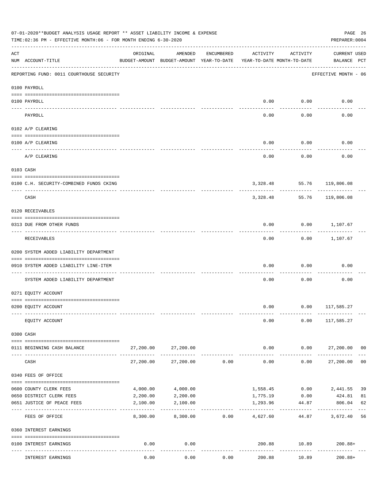|     | 07-01-2020**BUDGET ANALYSIS USAGE REPORT ** ASSET LIABILITY INCOME & EXPENSE<br>TIME:02:36 PM - EFFECTIVE MONTH:06 - FOR MONTH ENDING 6-30-2020 |           |                                                     |            |                                        |                       | PAGE 26<br>PREPARER: 0004          |                |
|-----|-------------------------------------------------------------------------------------------------------------------------------------------------|-----------|-----------------------------------------------------|------------|----------------------------------------|-----------------------|------------------------------------|----------------|
| ACT | NUM ACCOUNT-TITLE                                                                                                                               | ORIGINAL  | AMENDED<br>BUDGET-AMOUNT BUDGET-AMOUNT YEAR-TO-DATE | ENCUMBERED | ACTIVITY<br>YEAR-TO-DATE MONTH-TO-DATE | ACTIVITY              | <b>CURRENT USED</b><br>BALANCE PCT |                |
|     | REPORTING FUND: 0011 COURTHOUSE SECURITY                                                                                                        |           |                                                     |            |                                        |                       | EFFECTIVE MONTH - 06               |                |
|     | 0100 PAYROLL                                                                                                                                    |           |                                                     |            |                                        |                       |                                    |                |
|     | 0100 PAYROLL                                                                                                                                    |           |                                                     |            | 0.00                                   | 0.00                  | 0.00                               |                |
|     | ---- ----<br>PAYROLL                                                                                                                            |           |                                                     |            | 0.00                                   | 0.00                  | 0.00                               |                |
|     | 0102 A/P CLEARING                                                                                                                               |           |                                                     |            |                                        |                       |                                    |                |
|     | 0100 A/P CLEARING                                                                                                                               |           |                                                     |            | 0.00                                   | 0.00                  | 0.00                               |                |
|     | A/P CLEARING                                                                                                                                    |           |                                                     |            | 0.00                                   | 0.00                  | 0.00                               |                |
|     | 0103 CASH                                                                                                                                       |           |                                                     |            |                                        |                       |                                    |                |
|     | 0100 C.H. SECURITY-COMBINED FUNDS CKING                                                                                                         |           |                                                     |            |                                        |                       | 3,328.48 55.76 119,806.08          |                |
|     | CASH                                                                                                                                            |           |                                                     |            | 3,328.48                               | ---------<br>55.76    | 119,806.08                         |                |
|     | 0120 RECEIVABLES                                                                                                                                |           |                                                     |            |                                        |                       |                                    |                |
|     | 0313 DUE FROM OTHER FUNDS                                                                                                                       |           |                                                     |            | 0.00                                   |                       | $0.00$ 1,107.67                    |                |
|     | RECEIVABLES                                                                                                                                     |           |                                                     |            | 0.00                                   | ---------             | $0.00$ 1,107.67                    |                |
|     | 0200 SYSTEM ADDED LIABILITY DEPARTMENT                                                                                                          |           |                                                     |            |                                        |                       |                                    |                |
|     | 0910 SYSTEM ADDED LIABILITY LINE-ITEM                                                                                                           |           |                                                     |            | 0.00                                   | 0.00                  | 0.00                               |                |
|     | SYSTEM ADDED LIABILITY DEPARTMENT                                                                                                               |           |                                                     |            | 0.00                                   | 0.00                  | 0.00                               |                |
|     | 0271 EQUITY ACCOUNT                                                                                                                             |           |                                                     |            |                                        |                       |                                    |                |
|     | 0200 EQUITY ACCOUNT                                                                                                                             |           |                                                     |            |                                        |                       | $0.00$ $0.00$ $117,585.27$         |                |
|     | EQUITY ACCOUNT                                                                                                                                  |           |                                                     |            | 0.00                                   | 0.00                  | 117,585.27                         |                |
|     | 0300 CASH                                                                                                                                       |           |                                                     |            |                                        |                       |                                    |                |
|     | 0111 BEGINNING CASH BALANCE                                                                                                                     | 27,200.00 | 27,200.00                                           |            | 0.00                                   |                       | $0.00$ 27,200.00 00                |                |
|     | CASH                                                                                                                                            | 27,200.00 | 27,200.00                                           | 0.00       | ------------<br>0.00                   | ----------<br>0.00    | 27,200.00                          | 0 <sub>0</sub> |
|     | 0340 FEES OF OFFICE                                                                                                                             |           |                                                     |            |                                        |                       |                                    |                |
|     | 0600 COUNTY CLERK FEES                                                                                                                          | 4,000.00  | 4,000.00                                            |            | 1,558.45                               | 0.00                  | 2,441.55                           | 39             |
|     | 0650 DISTRICT CLERK FEES                                                                                                                        | 2,200.00  | 2,200.00                                            |            | 1,775.19                               | 0.00                  | 424.81                             | 81             |
|     | 0651 JUSTICE OF PEACE FEES                                                                                                                      | 2,100.00  | 2,100.00                                            |            | 1,293.96<br>-----------                | 44.87<br>------------ | 806.04                             | 62             |
|     | FEES OF OFFICE                                                                                                                                  | 8,300.00  | 8,300.00                                            | 0.00       | 4,627.60                               |                       | 44.87 3,672.40                     | 56             |
|     | 0360 INTEREST EARNINGS                                                                                                                          |           |                                                     |            |                                        |                       |                                    |                |
|     | 0100 INTEREST EARNINGS                                                                                                                          | 0.00      | 0.00<br>$---$                                       |            | 200.88                                 | 10.89<br>-----------  | $200.88+$                          |                |
|     | INTEREST EARNINGS                                                                                                                               | 0.00      | 0.00                                                | 0.00       | 200.88                                 | 10.89                 | $200.88+$                          |                |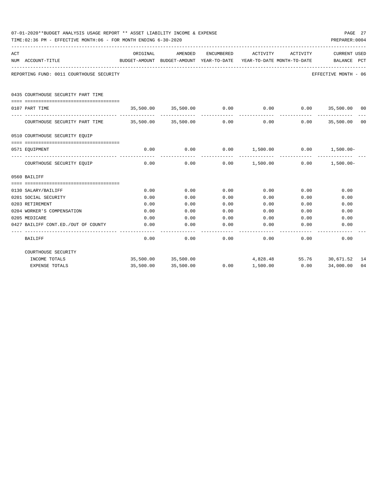|     | 07-01-2020**BUDGET ANALYSIS USAGE REPORT ** ASSET LIABILITY INCOME & EXPENSE<br>TIME:02:36 PM - EFFECTIVE MONTH:06 - FOR MONTH ENDING 6-30-2020 |           |                     |            |                                                                                 |                              | PREPARER: 0004                     | PAGE 27 |
|-----|-------------------------------------------------------------------------------------------------------------------------------------------------|-----------|---------------------|------------|---------------------------------------------------------------------------------|------------------------------|------------------------------------|---------|
| ACT | NUM ACCOUNT-TITLE                                                                                                                               | ORIGINAL  | AMENDED             | ENCUMBERED | ACTIVITY<br>BUDGET-AMOUNT BUDGET-AMOUNT YEAR-TO-DATE YEAR-TO-DATE MONTH-TO-DATE | ACTIVITY                     | <b>CURRENT USED</b><br>BALANCE PCT |         |
|     | ____________________________________<br>REPORTING FUND: 0011 COURTHOUSE SECURITY                                                                |           |                     |            |                                                                                 |                              | EFFECTIVE MONTH - 06               |         |
|     | 0435 COURTHOUSE SECURITY PART TIME                                                                                                              |           |                     |            |                                                                                 |                              |                                    |         |
|     | 0107 PART TIME                                                                                                                                  |           |                     |            | $35,500.00$ $35,500.00$ $0.00$ $0.00$ $0.00$ $35,500.00$ $00$                   |                              |                                    |         |
|     | COURTHOUSE SECURITY PART TIME 35,500.00 35,500.00 0.00                                                                                          |           |                     |            |                                                                                 | $0.00$ $0.00$ $35,500.00$ 00 |                                    |         |
|     | 0510 COURTHOUSE SECURITY EQUIP                                                                                                                  |           |                     |            |                                                                                 |                              |                                    |         |
|     |                                                                                                                                                 |           |                     |            |                                                                                 |                              |                                    |         |
|     | 0571 EOUIPMENT                                                                                                                                  | 0.00      | 0.00<br>----------  | ---------- | $0.00$ 1,500.00 0.00 1,500.00-                                                  | .                            |                                    |         |
|     | COURTHOUSE SECURITY EQUIP                                                                                                                       | 0.00      | 0.00                |            | $0.00$ $1,500.00$ $0.00$ $1,500.00$                                             |                              |                                    |         |
|     | 0560 BAILIFF                                                                                                                                    |           |                     |            |                                                                                 |                              |                                    |         |
|     |                                                                                                                                                 |           |                     |            |                                                                                 |                              |                                    |         |
|     | 0130 SALARY/BAILIFF                                                                                                                             | 0.00      | 0.00                | 0.00       |                                                                                 | 0.00<br>0.00                 | 0.00                               |         |
|     | 0201 SOCIAL SECURITY                                                                                                                            | 0.00      | 0.00                | 0.00       | 0.00                                                                            | 0.00                         | 0.00                               |         |
|     | 0203 RETIREMENT                                                                                                                                 | 0.00      | 0.00                | 0.00       | 0.00                                                                            | 0.00                         | 0.00                               |         |
|     | 0204 WORKER'S COMPENSATION                                                                                                                      | 0.00      | 0.00                | 0.00       | 0.00                                                                            | 0.00                         | 0.00                               |         |
|     | 0205 MEDICARE                                                                                                                                   | 0.00      | 0.00                | 0.00       | 0.00                                                                            | 0.00                         | 0.00                               |         |
|     | 0427 BAILIFF CONT.ED./OUT OF COUNTY                                                                                                             | 0.00      | 0.00                | 0.00       | 0.00                                                                            | 0.00                         | 0.00                               |         |
|     | BAILIFF                                                                                                                                         | 0.00      | 0.00                | 0.00       | 0.00                                                                            | 0.00                         | 0.00                               |         |
|     | COURTHOUSE SECURITY                                                                                                                             |           |                     |            |                                                                                 |                              |                                    |         |
|     | INCOME TOTALS                                                                                                                                   |           | 35,500.00 35,500.00 |            |                                                                                 | 4,828.48 55.76 30,671.52 14  |                                    |         |
|     | EXPENSE TOTALS                                                                                                                                  | 35,500.00 | 35,500.00           | 0.00       | 1,500.00                                                                        | 0.00                         | 34,000.00                          | 04      |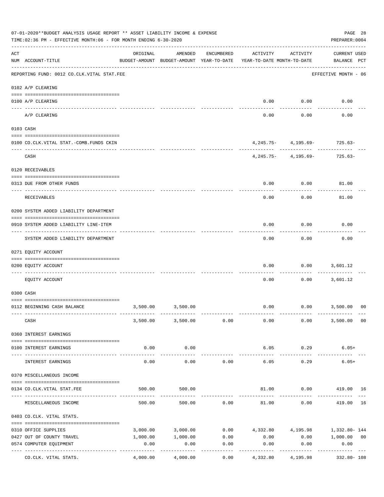|     | 07-01-2020**BUDGET ANALYSIS USAGE REPORT ** ASSET LIABILITY INCOME & EXPENSE<br>TIME: 02:36 PM - EFFECTIVE MONTH: 06 - FOR MONTH ENDING 6-30-2020 |                                                                                 |                        |                       |          |                      | PAGE 28<br>PREPARER: 0004                                           |    |
|-----|---------------------------------------------------------------------------------------------------------------------------------------------------|---------------------------------------------------------------------------------|------------------------|-----------------------|----------|----------------------|---------------------------------------------------------------------|----|
| ACT | NUM ACCOUNT-TITLE                                                                                                                                 | ORIGINAL<br>BUDGET-AMOUNT BUDGET-AMOUNT YEAR-TO-DATE YEAR-TO-DATE MONTH-TO-DATE | AMENDED                | ENCUMBERED            | ACTIVITY | ACTIVITY             | <b>CURRENT USED</b><br>BALANCE PCT                                  |    |
|     | REPORTING FUND: 0012 CO.CLK.VITAL STAT.FEE                                                                                                        |                                                                                 |                        |                       |          |                      | EFFECTIVE MONTH - 06                                                |    |
|     | 0102 A/P CLEARING                                                                                                                                 |                                                                                 |                        |                       |          |                      |                                                                     |    |
|     | 0100 A/P CLEARING                                                                                                                                 |                                                                                 |                        |                       |          | $0.00$ 0.00          | 0.00                                                                |    |
|     | ---- ----------<br>------------------------ -------<br>A/P CLEARING                                                                               |                                                                                 |                        |                       | 0.00     | 0.00                 | 0.00                                                                |    |
|     | 0103 CASH                                                                                                                                         |                                                                                 |                        |                       |          |                      |                                                                     |    |
|     | 0100 CO.CLK.VITAL STAT.-COMB.FUNDS CKIN                                                                                                           |                                                                                 |                        |                       |          |                      | $4,245.75 - 4,195.69 - 725.63 -$                                    |    |
|     | CASH                                                                                                                                              |                                                                                 |                        |                       |          | ----------           | $4,245.75 - 4,195.69 - 725.63 -$                                    |    |
|     | 0120 RECEIVABLES                                                                                                                                  |                                                                                 |                        |                       |          |                      |                                                                     |    |
|     |                                                                                                                                                   |                                                                                 |                        |                       |          |                      |                                                                     |    |
|     | 0313 DUE FROM OTHER FUNDS                                                                                                                         |                                                                                 |                        |                       | 0.00     | 0.00                 | 81.00                                                               |    |
|     | RECEIVABLES                                                                                                                                       |                                                                                 |                        |                       | 0.00     | 0.00                 | 81.00                                                               |    |
|     | 0200 SYSTEM ADDED LIABILITY DEPARTMENT                                                                                                            |                                                                                 |                        |                       |          |                      |                                                                     |    |
|     | 0910 SYSTEM ADDED LIABILITY LINE-ITEM                                                                                                             |                                                                                 |                        |                       | 0.00     | 0.00                 | 0.00                                                                |    |
|     | SYSTEM ADDED LIABILITY DEPARTMENT                                                                                                                 |                                                                                 |                        |                       | 0.00     | 0.00                 | 0.00                                                                |    |
|     | 0271 EQUITY ACCOUNT                                                                                                                               |                                                                                 |                        |                       |          |                      |                                                                     |    |
|     | 0200 EQUITY ACCOUNT                                                                                                                               |                                                                                 |                        |                       | 0.00     | 0.00                 | 3,601.12                                                            |    |
|     | EQUITY ACCOUNT                                                                                                                                    |                                                                                 |                        |                       | 0.00     | 0.00                 | 3,601.12                                                            |    |
|     | 0300 CASH                                                                                                                                         |                                                                                 |                        |                       |          |                      |                                                                     |    |
|     | 0112 BEGINNING CASH BALANCE                                                                                                                       |                                                                                 | 3,500.00 3,500.00      |                       |          |                      | $0.00$ $0.00$ $3,500.00$ 00                                         |    |
|     | CASH                                                                                                                                              |                                                                                 | 3,500.00 3,500.00 0.00 |                       | 0.00     | 0.00                 | 3,500.00 00                                                         |    |
|     | 0360 INTEREST EARNINGS                                                                                                                            |                                                                                 |                        |                       |          |                      |                                                                     |    |
|     |                                                                                                                                                   |                                                                                 |                        |                       |          |                      |                                                                     |    |
|     | 0100 INTEREST EARNINGS                                                                                                                            | 0.00<br>-----------------------------                                           | 0.00<br>. <u>.</u> .   |                       | 6.05     | 0.29<br>----------   | $6.05+$                                                             |    |
|     | INTEREST EARNINGS                                                                                                                                 | 0.00                                                                            | 0.00                   | 0.00                  | 6.05     | 0.29                 | $6.05+$                                                             |    |
|     | 0370 MISCELLANEOUS INCOME                                                                                                                         |                                                                                 |                        |                       |          |                      |                                                                     |    |
|     | 0134 CO. CLK. VITAL STAT. FEE                                                                                                                     | 500.00                                                                          | 500.00                 |                       |          |                      | 81.00   0.00   419.00   16                                          |    |
|     | MISCELLANEOUS INCOME                                                                                                                              | 500.00                                                                          | 500.00                 | 0.00                  | 81.00    | 0.00                 | 419.00                                                              | 16 |
|     | 0403 CO.CLK. VITAL STATS.                                                                                                                         |                                                                                 |                        |                       |          |                      |                                                                     |    |
|     | 0310 OFFICE SUPPLIES                                                                                                                              |                                                                                 |                        |                       |          |                      | $3,000.00$ $3,000.00$ $0.00$ $4,332.80$ $4,195.98$ $1,332.80$ $144$ |    |
|     | 0427 OUT OF COUNTY TRAVEL                                                                                                                         | 1,000.00                                                                        | 1,000.00               | 0.00                  | 0.00     |                      | $0.00$ 1,000.00 00                                                  |    |
|     | 0574 COMPUTER EQUIPMENT                                                                                                                           | 0.00                                                                            | 0.00                   | 0.00                  | 0.00     | 0.00                 | 0.00                                                                |    |
|     | CO.CLK. VITAL STATS.                                                                                                                              | 4,000.00                                                                        | 4,000.00               | $- - - - - -$<br>0.00 | 4,332.80 | --------<br>4,195.98 | 332.80- 108                                                         |    |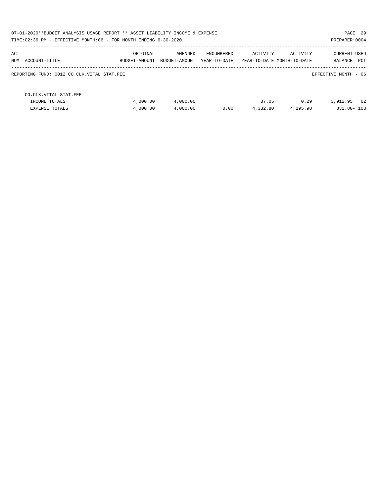| 07-01-2020**BUDGET ANALYSIS USAGE REPORT ** ASSET LIABILITY INCOME & EXPENSE<br>TIME:02:36 PM - EFFECTIVE MONTH:06 - FOR MONTH ENDING 6-30-2020<br>PREPARER: 0004 |                           |                          |                            |                   |                                        |                                              |  |  |  |
|-------------------------------------------------------------------------------------------------------------------------------------------------------------------|---------------------------|--------------------------|----------------------------|-------------------|----------------------------------------|----------------------------------------------|--|--|--|
| ACT<br>NUM<br>ACCOUNT-TITLE                                                                                                                                       | ORIGINAL<br>BUDGET-AMOUNT | AMENDED<br>BUDGET-AMOUNT | ENCUMBERED<br>YEAR-TO-DATE | ACTIVITY          | ACTIVITY<br>YEAR-TO-DATE MONTH-TO-DATE | <b>CURRENT USED</b><br><b>PCT</b><br>BALANCE |  |  |  |
| REPORTING FUND: 0012 CO.CLK.VITAL STAT.FEE                                                                                                                        |                           |                          |                            |                   |                                        | EFFECTIVE MONTH - 06                         |  |  |  |
| CO. CLK. VITAL STAT. FEE<br>INCOME TOTALS<br><b>EXPENSE TOTALS</b>                                                                                                | 4,000.00<br>4,000.00      | 4,000.00<br>4,000.00     | 0.00                       | 87.05<br>4,332.80 | 0.29<br>4,195.98                       | 02<br>3,912.95<br>332.80-108                 |  |  |  |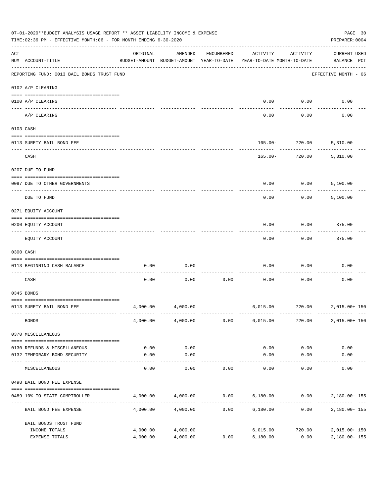|     | 07-01-2020**BUDGET ANALYSIS USAGE REPORT ** ASSET LIABILITY INCOME & EXPENSE<br>TIME: 02:36 PM - EFFECTIVE MONTH: 06 - FOR MONTH ENDING 6-30-2020 |                                                      |                      |            |                                        |                     |                                    |  |  |  |  |
|-----|---------------------------------------------------------------------------------------------------------------------------------------------------|------------------------------------------------------|----------------------|------------|----------------------------------------|---------------------|------------------------------------|--|--|--|--|
| ACT | NUM ACCOUNT-TITLE                                                                                                                                 | ORIGINAL<br>BUDGET-AMOUNT BUDGET-AMOUNT YEAR-TO-DATE | AMENDED              | ENCUMBERED | ACTIVITY<br>YEAR-TO-DATE MONTH-TO-DATE | ACTIVITY            | <b>CURRENT USED</b><br>BALANCE PCT |  |  |  |  |
|     | REPORTING FUND: 0013 BAIL BONDS TRUST FUND                                                                                                        |                                                      |                      |            |                                        |                     | EFFECTIVE MONTH - 06               |  |  |  |  |
|     | 0102 A/P CLEARING                                                                                                                                 |                                                      |                      |            |                                        |                     |                                    |  |  |  |  |
|     | 0100 A/P CLEARING<br>---- ----------<br>-------------------- -------                                                                              |                                                      |                      |            | 0.00                                   | 0.00                | 0.00                               |  |  |  |  |
|     | A/P CLEARING                                                                                                                                      |                                                      |                      |            | 0.00                                   | 0.00                | 0.00                               |  |  |  |  |
|     | 0103 CASH                                                                                                                                         |                                                      |                      |            |                                        |                     |                                    |  |  |  |  |
|     | 0113 SURETY BAIL BOND FEE                                                                                                                         |                                                      |                      |            |                                        | 165.00- 720.00      | 5,310.00                           |  |  |  |  |
|     | CASH                                                                                                                                              |                                                      |                      |            | $165.00 -$                             | ---------<br>720.00 | 5,310.00                           |  |  |  |  |
|     | 0207 DUE TO FUND                                                                                                                                  |                                                      |                      |            |                                        |                     |                                    |  |  |  |  |
|     | 0097 DUE TO OTHER GOVERNMENTS                                                                                                                     |                                                      |                      |            | 0.00                                   | 0.00                | 5,100.00                           |  |  |  |  |
|     | DUE TO FUND                                                                                                                                       |                                                      |                      |            | 0.00                                   | 0.00                | 5,100.00                           |  |  |  |  |
|     | 0271 EQUITY ACCOUNT                                                                                                                               |                                                      |                      |            |                                        |                     |                                    |  |  |  |  |
|     | 0200 EQUITY ACCOUNT                                                                                                                               |                                                      |                      |            | 0.00                                   | 0.00                | 375.00                             |  |  |  |  |
|     | EQUITY ACCOUNT                                                                                                                                    |                                                      |                      |            | 0.00                                   | 0.00                | 375.00                             |  |  |  |  |
|     | 0300 CASH                                                                                                                                         |                                                      |                      |            |                                        |                     |                                    |  |  |  |  |
|     | 0113 BEGINNING CASH BALANCE                                                                                                                       | 0.00                                                 | 0.00                 |            | 0.00                                   | 0.00                | 0.00                               |  |  |  |  |
|     | CASH                                                                                                                                              | 0.00                                                 | 0.00                 | 0.00       | 0.00                                   | 0.00                | 0.00                               |  |  |  |  |
|     | 0345 BONDS                                                                                                                                        |                                                      |                      |            |                                        |                     |                                    |  |  |  |  |
|     | 0113 SURETY BAIL BOND FEE                                                                                                                         | 4,000.00                                             | 4,000.00             |            |                                        |                     | 6,015.00 720.00 2,015.00+150       |  |  |  |  |
|     | <b>BONDS</b>                                                                                                                                      |                                                      | 4,000.00 4,000.00    | 0.00       | 6,015.00                               | 720.00              | 2,015.00+ 150                      |  |  |  |  |
|     | 0370 MISCELLANEOUS                                                                                                                                |                                                      |                      |            |                                        |                     |                                    |  |  |  |  |
|     | 0130 REFUNDS & MISCELLANEOUS                                                                                                                      | 0.00                                                 | 0.00                 |            | 0.00                                   | 0.00                | 0.00                               |  |  |  |  |
|     | 0132 TEMPORARY BOND SECURITY                                                                                                                      | 0.00                                                 | 0.00<br>----------   |            | 0.00                                   | 0.00<br>---------   | 0.00                               |  |  |  |  |
|     | MISCELLANEOUS                                                                                                                                     | 0.00                                                 | 0.00                 | 0.00       | 0.00                                   | 0.00                | 0.00                               |  |  |  |  |
|     | 0498 BAIL BOND FEE EXPENSE                                                                                                                        |                                                      |                      |            |                                        |                     |                                    |  |  |  |  |
|     | 0489 10% TO STATE COMPTROLLER                                                                                                                     |                                                      | 4,000.00 4,000.00    |            | $0.00$ 6,180.00 0.00 2,180.00-155      |                     |                                    |  |  |  |  |
|     | BAIL BOND FEE EXPENSE                                                                                                                             | 4,000.00                                             | 4,000.00             | 0.00       | 6,180.00                               | 0.00                | 2,180.00- 155                      |  |  |  |  |
|     | BAIL BONDS TRUST FUND                                                                                                                             |                                                      |                      |            |                                        |                     |                                    |  |  |  |  |
|     | INCOME TOTALS<br>EXPENSE TOTALS                                                                                                                   | 4,000.00<br>4,000.00                                 | 4,000.00<br>4,000.00 | 0.00       | 6,015.00<br>6,180.00                   | 720.00<br>0.00      | 2,015.00+ 150<br>2,180.00-155      |  |  |  |  |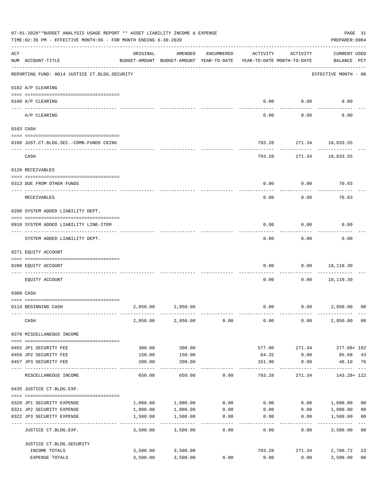|     | 07-01-2020**BUDGET ANALYSIS USAGE REPORT ** ASSET LIABILITY INCOME & EXPENSE<br>TIME: 02:36 PM - EFFECTIVE MONTH: 06 - FOR MONTH ENDING 6-30-2020 |          |                                                                                |                  |                   |                     | PAGE 31<br>PREPARER: 0004                          |
|-----|---------------------------------------------------------------------------------------------------------------------------------------------------|----------|--------------------------------------------------------------------------------|------------------|-------------------|---------------------|----------------------------------------------------|
| ACT | NUM ACCOUNT-TITLE                                                                                                                                 | ORIGINAL | AMENDED<br>BUDGET-AMOUNT BUDGET-AMOUNT YEAR-TO-DATE YEAR-TO-DATE MONTH-TO-DATE | ENCUMBERED       | ACTIVITY          | ACTIVITY            | <b>CURRENT USED</b><br>BALANCE PCT                 |
|     | REPORTING FUND: 0014 JUSTICE CT. BLDG. SECURITY                                                                                                   |          |                                                                                |                  |                   |                     | EFFECTIVE MONTH - 06                               |
|     | 0102 A/P CLEARING                                                                                                                                 |          |                                                                                |                  |                   |                     |                                                    |
|     | 0100 A/P CLEARING                                                                                                                                 |          |                                                                                |                  | 0.00              | 0.00                | 0.00                                               |
|     | A/P CLEARING                                                                                                                                      |          |                                                                                |                  | 0.00              | 0.00                | 0.00                                               |
|     | 0103 CASH                                                                                                                                         |          |                                                                                |                  |                   |                     |                                                    |
|     | 0100 JUST.CT.BLDG.SEC.-COMB.FUNDS CKING                                                                                                           |          |                                                                                |                  | 793.28            | 271.34 18,833.55    |                                                    |
|     | -----------------------------------<br>CASH                                                                                                       |          |                                                                                |                  |                   | ---------<br>793.28 | 271.34 18,833.55                                   |
|     | 0120 RECEIVABLES                                                                                                                                  |          |                                                                                |                  |                   |                     |                                                    |
|     | 0313 DUE FROM OTHER FUNDS                                                                                                                         |          |                                                                                |                  | 0.00              | 0.00                | 70.03                                              |
|     |                                                                                                                                                   |          |                                                                                |                  |                   |                     |                                                    |
|     | RECEIVABLES                                                                                                                                       |          |                                                                                |                  | 0.00              | 0.00                | 70.03                                              |
|     | 0200 SYSTEM ADDED LIABILITY DEPT.                                                                                                                 |          |                                                                                |                  |                   |                     |                                                    |
|     | 0910 SYSTEM ADDED LIABILITY LINE-ITEM                                                                                                             |          |                                                                                |                  | 0.00              | 0.00                | 0.00                                               |
|     | SYSTEM ADDED LIABILITY DEPT.                                                                                                                      |          |                                                                                |                  | 0.00              | 0.00                | 0.00                                               |
|     | 0271 EQUITY ACCOUNT                                                                                                                               |          |                                                                                |                  |                   |                     |                                                    |
|     | 0200 EQUITY ACCOUNT                                                                                                                               |          |                                                                                |                  | 0.00              | 0.00                | 18,110.30                                          |
|     | ----------------------- ----------<br>----- -----------<br>EQUITY ACCOUNT                                                                         |          |                                                                                |                  | 0.00              | 0.00                | 18,110.30                                          |
|     | 0300 CASH                                                                                                                                         |          |                                                                                |                  |                   |                     |                                                    |
|     |                                                                                                                                                   |          |                                                                                |                  |                   |                     |                                                    |
|     | 0114 BEGINNING CASH                                                                                                                               | 2,850.00 | 2,850.00                                                                       |                  | 0.00              | 0.00                | 2,850.00<br>00                                     |
|     | CASH                                                                                                                                              | 2,850.00 | 2,850.00                                                                       | 0.00             | 0.00              | 0.00                | 0 <sub>0</sub><br>2,850.00                         |
|     | 0370 MISCELLANEOUS INCOME                                                                                                                         |          |                                                                                |                  |                   |                     |                                                    |
|     | 0455 JP1 SECURITY FEE                                                                                                                             | 300.00   | 300.00                                                                         |                  | 577.06            | 271.34              | 277.06+ 192                                        |
|     | 0456 JP2 SECURITY FEE                                                                                                                             | 150.00   | 150.00                                                                         |                  | 64.32             | 0.00                | 43<br>85.68                                        |
|     | 0457 JP3 SECURITY FEE<br>---- -------------                                                                                                       | 200.00   | 200.00                                                                         |                  | 151.90<br>------- | 0.00                | 48.10 76                                           |
|     | MISCELLANEOUS INCOME                                                                                                                              | 650.00   | 650.00                                                                         | 0.00             | 793.28            | 271.34              | 143.28+ 122                                        |
|     | 0435 JUSTICE CT.BLDG.EXP.                                                                                                                         |          |                                                                                |                  |                   |                     |                                                    |
|     | 0320 JP1 SECURITY EXPENSE                                                                                                                         | 1,000.00 | 1,000.00                                                                       | 0.00             | 0.00              |                     | 0.00 1,000.00<br>0 <sub>0</sub>                    |
|     | 0321 JP2 SECURITY EXPENSE                                                                                                                         | 1,000.00 | 1,000.00                                                                       | 0.00             | 0.00              | 0.00                | 0 <sub>0</sub><br>1,000.00                         |
|     | 0322 JP3 SECURITY EXPENSE                                                                                                                         | 1,500.00 | 1,500.00<br>----------                                                         | 0.00<br>-------- | 0.00              | 0.00                | 0 <sub>0</sub><br>1,500.00<br>-----------<br>$---$ |
|     | JUSTICE CT.BLDG.EXP.                                                                                                                              | 3,500.00 | 3,500.00                                                                       | 0.00             | 0.00              | 0.00                | 0 <sub>0</sub><br>3,500.00                         |
|     | JUSTICE CT.BLDG.SECURITY                                                                                                                          |          |                                                                                |                  |                   |                     |                                                    |
|     | INCOME TOTALS                                                                                                                                     | 3,500.00 | 3,500.00                                                                       |                  | 793.28            | 271.34              | 2,706.72<br>23                                     |
|     | EXPENSE TOTALS                                                                                                                                    | 3,500.00 | 3,500.00                                                                       | 0.00             | 0.00              | 0.00                | 3,500.00<br>0 <sub>0</sub>                         |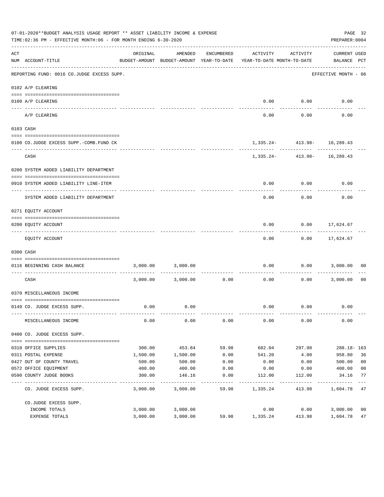|     | 07-01-2020**BUDGET ANALYSIS USAGE REPORT ** ASSET LIABILITY INCOME & EXPENSE<br>TIME:02:36 PM - EFFECTIVE MONTH:06 - FOR MONTH ENDING 6-30-2020 |          |                                                     |                |                                        |                                 | PAGE 32<br>PREPARER: 0004   |                |
|-----|-------------------------------------------------------------------------------------------------------------------------------------------------|----------|-----------------------------------------------------|----------------|----------------------------------------|---------------------------------|-----------------------------|----------------|
| ACT | NUM ACCOUNT-TITLE                                                                                                                               | ORIGINAL | AMENDED<br>BUDGET-AMOUNT BUDGET-AMOUNT YEAR-TO-DATE | ENCUMBERED     | ACTIVITY<br>YEAR-TO-DATE MONTH-TO-DATE | ACTIVITY                        | CURRENT USED<br>BALANCE PCT |                |
|     | REPORTING FUND: 0016 CO.JUDGE EXCESS SUPP.                                                                                                      |          |                                                     |                |                                        |                                 | EFFECTIVE MONTH - 06        |                |
|     | 0102 A/P CLEARING                                                                                                                               |          |                                                     |                |                                        |                                 |                             |                |
|     | 0100 A/P CLEARING                                                                                                                               |          |                                                     |                | 0.00                                   | 0.00                            | 0.00                        |                |
|     | ---- --------<br>A/P CLEARING                                                                                                                   |          |                                                     |                | 0.00                                   | 0.00                            | 0.00                        |                |
|     | 0103 CASH                                                                                                                                       |          |                                                     |                |                                        |                                 |                             |                |
|     |                                                                                                                                                 |          |                                                     |                |                                        |                                 |                             |                |
|     | 0100 CO.JUDGE EXCESS SUPP.-COMB.FUND CK                                                                                                         |          |                                                     |                |                                        | $1,335.24 - 413.98 - 16,289.43$ |                             |                |
|     | CASH                                                                                                                                            |          |                                                     |                |                                        | 1,335.24- 413.98- 16,289.43     |                             |                |
|     | 0200 SYSTEM ADDED LIABILITY DEPARTMENT                                                                                                          |          |                                                     |                |                                        |                                 |                             |                |
|     |                                                                                                                                                 |          |                                                     |                |                                        |                                 |                             |                |
|     | 0910 SYSTEM ADDED LIABILITY LINE-ITEM                                                                                                           |          |                                                     |                | 0.00                                   | 0.00                            | 0.00                        |                |
|     | SYSTEM ADDED LIABILITY DEPARTMENT                                                                                                               |          |                                                     |                | 0.00                                   | 0.00                            | 0.00                        |                |
|     | 0271 EQUITY ACCOUNT                                                                                                                             |          |                                                     |                |                                        |                                 |                             |                |
|     |                                                                                                                                                 |          |                                                     |                |                                        |                                 |                             |                |
|     | 0200 EQUITY ACCOUNT                                                                                                                             |          |                                                     |                | 0.00                                   | 0.00                            | 17,624.67                   |                |
|     | EQUITY ACCOUNT                                                                                                                                  |          |                                                     |                | 0.00                                   |                                 | $0.00$ 17,624.67            |                |
|     | 0300 CASH                                                                                                                                       |          |                                                     |                |                                        |                                 |                             |                |
|     | 0116 BEGINNING CASH BALANCE<br>-------------------------------- --                                                                              | 3,000.00 | 3,000.00                                            | . <u>.</u>     | 0.00                                   | 0.00<br>---------               | 3,000.00                    | 00             |
|     | CASH                                                                                                                                            |          | 3,000.00 3,000.00                                   | 0.00           | 0.00                                   | 0.00                            | 3,000.00                    | - 00           |
|     | 0370 MISCELLANEOUS INCOME                                                                                                                       |          |                                                     |                |                                        |                                 |                             |                |
|     |                                                                                                                                                 |          |                                                     |                |                                        |                                 |                             |                |
|     | 0149 CO. JUDGE EXCESS SUPP.                                                                                                                     | 0.00     | 0.00                                                |                | 0.00                                   | 0.00                            | 0.00                        |                |
|     | MISCELLANEOUS INCOME                                                                                                                            | 0.00     | 0.00                                                | 0.00           | 0.00                                   | 0.00                            | 0.00                        |                |
|     | 0400 CO. JUDGE EXCESS SUPP.                                                                                                                     |          |                                                     |                |                                        |                                 |                             |                |
|     | 0310 OFFICE SUPPLIES                                                                                                                            | 300.00   | 453.84                                              | 59.98          | 682.04                                 | 297.98                          | $288.18 - 163$              |                |
|     | 0311 POSTAL EXPENSE                                                                                                                             | 1,500.00 | 1,500.00                                            | 0.00           | 541.20                                 | 4.00                            | 958.80                      | 36             |
|     | 0427 OUT OF COUNTY TRAVEL                                                                                                                       | 500.00   | 500.00                                              | 0.00           | 0.00                                   | 0.00                            | 500.00                      | 0 <sub>0</sub> |
|     | 0572 OFFICE EQUIPMENT                                                                                                                           | 400.00   | 400.00                                              | 0.00           | 0.00                                   | 0.00                            | 400.00                      | 0 <sub>0</sub> |
|     | 0590 COUNTY JUDGE BOOKS                                                                                                                         | 300.00   | 146.16                                              | 0.00<br>------ | 112.00                                 | 112.00                          | 34.16                       | 77<br>$---$    |
|     | CO. JUDGE EXCESS SUPP.                                                                                                                          | 3,000.00 | 3,000.00                                            | 59.98          | 1,335.24                               | 413.98                          | 1,604.78 47                 |                |
|     | CO.JUDGE EXCESS SUPP.                                                                                                                           |          |                                                     |                |                                        |                                 |                             |                |
|     | INCOME TOTALS                                                                                                                                   | 3,000.00 | 3,000.00                                            |                | 0.00                                   | 0.00                            | 3,000.00                    | 00             |
|     | EXPENSE TOTALS                                                                                                                                  | 3,000.00 | 3,000.00                                            | 59.98          | 1,335.24                               | 413.98                          | 1,604.78                    | 47             |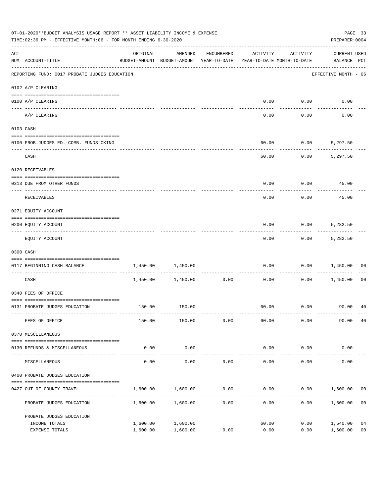| 07-01-2020**BUDGET ANALYSIS USAGE REPORT ** ASSET LIABILITY INCOME & EXPENSE<br>TIME: 02:36 PM - EFFECTIVE MONTH: 06 - FOR MONTH ENDING 6-30-2020 |                                               |                                                                                 |                      |                      |                        |                     | PAGE 33<br>PREPARER: 0004          |                      |
|---------------------------------------------------------------------------------------------------------------------------------------------------|-----------------------------------------------|---------------------------------------------------------------------------------|----------------------|----------------------|------------------------|---------------------|------------------------------------|----------------------|
| $\mathop{\rm ACT}$                                                                                                                                | NUM ACCOUNT-TITLE                             | ORIGINAL<br>BUDGET-AMOUNT BUDGET-AMOUNT YEAR-TO-DATE YEAR-TO-DATE MONTH-TO-DATE | AMENDED              | ENCUMBERED           | ACTIVITY               | ACTIVITY            | <b>CURRENT USED</b><br>BALANCE PCT |                      |
|                                                                                                                                                   | REPORTING FUND: 0017 PROBATE JUDGES EDUCATION |                                                                                 |                      |                      |                        |                     | EFFECTIVE MONTH - 06               |                      |
|                                                                                                                                                   | 0102 A/P CLEARING                             |                                                                                 |                      |                      |                        |                     |                                    |                      |
|                                                                                                                                                   | 0100 A/P CLEARING                             |                                                                                 |                      |                      | 0.00                   | 0.00                | 0.00                               |                      |
|                                                                                                                                                   | ---- --------<br>A/P CLEARING                 |                                                                                 |                      |                      | 0.00                   | 0.00                | 0.00                               |                      |
|                                                                                                                                                   | 0103 CASH                                     |                                                                                 |                      |                      |                        |                     |                                    |                      |
|                                                                                                                                                   | 0100 PROB.JUDGES ED.-COMB. FUNDS CKING        |                                                                                 |                      |                      | 60.00                  |                     | $0.00$ 5,297.50                    |                      |
|                                                                                                                                                   | CASH                                          |                                                                                 |                      |                      | 60.00                  | 0.00                | 5,297.50                           |                      |
|                                                                                                                                                   | 0120 RECEIVABLES                              |                                                                                 |                      |                      |                        |                     |                                    |                      |
|                                                                                                                                                   | 0313 DUE FROM OTHER FUNDS                     |                                                                                 |                      |                      | 0.00                   |                     | $0.00$ 45.00                       |                      |
|                                                                                                                                                   | RECEIVABLES                                   |                                                                                 |                      |                      | 0.00                   | 0.00                | 45.00                              |                      |
|                                                                                                                                                   | 0271 EQUITY ACCOUNT                           |                                                                                 |                      |                      |                        |                     |                                    |                      |
|                                                                                                                                                   | 0200 EQUITY ACCOUNT                           |                                                                                 |                      |                      | 0.00                   | 0.00                | 5,282.50                           |                      |
|                                                                                                                                                   | EQUITY ACCOUNT                                |                                                                                 |                      |                      | 0.00                   |                     | $0.00$ 5,282.50                    |                      |
|                                                                                                                                                   | 0300 CASH                                     |                                                                                 |                      |                      |                        |                     |                                    |                      |
|                                                                                                                                                   | 0117 BEGINNING CASH BALANCE                   | 1,450.00                                                                        | 1,450.00             |                      | 0.00                   | 0.00                | 1,450.00                           | 00                   |
|                                                                                                                                                   | CASH                                          |                                                                                 | 1,450.00 1,450.00    | ------------<br>0.00 | 0.00                   | 0.00                | 1,450.00                           | 00                   |
|                                                                                                                                                   | 0340 FEES OF OFFICE                           |                                                                                 |                      |                      |                        |                     |                                    |                      |
|                                                                                                                                                   | 0131 PROBATE JUDGES EDUCATION                 |                                                                                 | 150.00 150.00        |                      |                        |                     |                                    |                      |
|                                                                                                                                                   | FEES OF OFFICE                                | 150.00                                                                          | 150.00               | 0.00                 | 60.00                  | 0.00                | 90.00                              | 40                   |
|                                                                                                                                                   | 0370 MISCELLANEOUS                            |                                                                                 |                      |                      |                        |                     |                                    |                      |
|                                                                                                                                                   | 0130 REFUNDS & MISCELLANEOUS                  | 0.00                                                                            | 0.00                 |                      | 0.00                   | 0.00                | 0.00                               |                      |
|                                                                                                                                                   | MISCELLANEOUS                                 | 0.00                                                                            | -----------<br>0.00  | 0.00                 | --------------<br>0.00 | -----------<br>0.00 | 0.00                               |                      |
|                                                                                                                                                   | 0400 PROBATE JUDGES EDUCATION                 |                                                                                 |                      |                      |                        |                     |                                    |                      |
|                                                                                                                                                   | 0427 OUT OF COUNTY TRAVEL                     | 1,600.00                                                                        | 1,600.00             | 0.00                 | 0.00                   |                     | $0.00$ 1,600.00                    | 00                   |
|                                                                                                                                                   | PROBATE JUDGES EDUCATION                      |                                                                                 | 1,600.00 1,600.00    | 0.00                 | 0.00                   |                     | 0.00<br>1,600.00                   | 0 <sub>0</sub>       |
|                                                                                                                                                   | PROBATE JUDGES EDUCATION                      |                                                                                 |                      |                      |                        |                     |                                    |                      |
|                                                                                                                                                   | INCOME TOTALS<br>EXPENSE TOTALS               | 1,600.00<br>1,600.00                                                            | 1,600.00<br>1,600.00 | 0.00                 | 60.00<br>0.00          | 0.00<br>0.00        | 1,540.00<br>1,600.00               | 04<br>0 <sub>0</sub> |
|                                                                                                                                                   |                                               |                                                                                 |                      |                      |                        |                     |                                    |                      |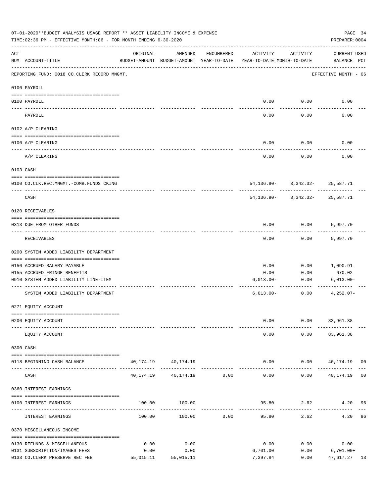|     | 07-01-2020**BUDGET ANALYSIS USAGE REPORT ** ASSET LIABILITY INCOME & EXPENSE<br>PAGE 34<br>TIME:02:36 PM - EFFECTIVE MONTH:06 - FOR MONTH ENDING 6-30-2020<br>PREPARER: 0004 |           |                                                     |               |                                        |                                     |                                    |  |
|-----|------------------------------------------------------------------------------------------------------------------------------------------------------------------------------|-----------|-----------------------------------------------------|---------------|----------------------------------------|-------------------------------------|------------------------------------|--|
| ACT | NUM ACCOUNT-TITLE                                                                                                                                                            | ORIGINAL  | AMENDED<br>BUDGET-AMOUNT BUDGET-AMOUNT YEAR-TO-DATE | ENCUMBERED    | ACTIVITY<br>YEAR-TO-DATE MONTH-TO-DATE | ACTIVITY                            | <b>CURRENT USED</b><br>BALANCE PCT |  |
|     | REPORTING FUND: 0018 CO.CLERK RECORD MNGMT.                                                                                                                                  |           |                                                     |               |                                        |                                     | EFFECTIVE MONTH - 06               |  |
|     | 0100 PAYROLL                                                                                                                                                                 |           |                                                     |               |                                        |                                     |                                    |  |
|     | 0100 PAYROLL                                                                                                                                                                 |           |                                                     |               | 0.00                                   | 0.00                                | 0.00                               |  |
|     | PAYROLL                                                                                                                                                                      |           |                                                     |               | 0.00                                   | 0.00                                | 0.00                               |  |
|     | 0102 A/P CLEARING                                                                                                                                                            |           |                                                     |               |                                        |                                     |                                    |  |
|     | 0100 A/P CLEARING                                                                                                                                                            |           |                                                     |               | 0.00                                   | 0.00                                | 0.00                               |  |
|     | A/P CLEARING                                                                                                                                                                 |           |                                                     |               | 0.00                                   | 0.00                                | 0.00                               |  |
|     | 0103 CASH                                                                                                                                                                    |           |                                                     |               |                                        |                                     |                                    |  |
|     | 0100 CO.CLK.REC.MNGMT.-COMB.FUNDS CKING                                                                                                                                      |           |                                                     |               |                                        | 54, 136.90 - 3, 342.32 - 25, 587.71 |                                    |  |
|     | ______________________________<br>CASH                                                                                                                                       |           |                                                     |               | 54,136.90-                             | .<br>3,342.32-25,587.71             | -----------                        |  |
|     | 0120 RECEIVABLES                                                                                                                                                             |           |                                                     |               |                                        |                                     |                                    |  |
|     | 0313 DUE FROM OTHER FUNDS                                                                                                                                                    |           |                                                     |               | 0.00                                   | 0.00                                | 5,997.70                           |  |
|     | RECEIVABLES                                                                                                                                                                  |           |                                                     |               | 0.00                                   | 0.00                                | 5,997.70                           |  |
|     | 0200 SYSTEM ADDED LIABILITY DEPARTMENT                                                                                                                                       |           |                                                     |               |                                        |                                     |                                    |  |
|     | 0150 ACCRUED SALARY PAYABLE                                                                                                                                                  |           |                                                     |               | 0.00                                   | 0.00                                | 1,090.91                           |  |
|     | 0155 ACCRUED FRINGE BENEFITS                                                                                                                                                 |           |                                                     |               | 0.00                                   | 0.00                                | 670.02                             |  |
|     | 0910 SYSTEM ADDED LIABILITY LINE-ITEM                                                                                                                                        |           |                                                     |               | $6,013.00-$                            | 0.00                                | $6,013.00 -$                       |  |
|     | SYSTEM ADDED LIABILITY DEPARTMENT                                                                                                                                            |           |                                                     |               | $6,013.00-$                            | 0.00                                | $4,252.07-$                        |  |
|     | 0271 EQUITY ACCOUNT                                                                                                                                                          |           |                                                     |               |                                        |                                     |                                    |  |
|     | 0200 EQUITY ACCOUNT                                                                                                                                                          |           |                                                     |               | 0.00                                   |                                     | $0.00$ $83,961.38$                 |  |
|     | EQUITY ACCOUNT                                                                                                                                                               |           |                                                     |               | 0.00                                   |                                     | $0.00$ $83,961.38$                 |  |
|     | 0300 CASH                                                                                                                                                                    |           |                                                     |               |                                        |                                     |                                    |  |
|     | 0118 BEGINNING CASH BALANCE                                                                                                                                                  |           | 40, 174. 19 40, 174. 19                             |               | 0.00                                   |                                     | $0.00$ 40,174.19 00                |  |
|     | CASH                                                                                                                                                                         |           | 40, 174. 19   40, 174. 19   0.00                    | ------------- | --------------<br>0.00                 | -----------                         | $0.00$ 40,174.19 00                |  |
|     | 0360 INTEREST EARNINGS                                                                                                                                                       |           |                                                     |               |                                        |                                     |                                    |  |
|     | 0100 INTEREST EARNINGS                                                                                                                                                       |           | 100.00 100.00                                       |               |                                        |                                     | 95.80 2.62 4.20 96                 |  |
|     | INTEREST EARNINGS                                                                                                                                                            | 100.00    | 100.00                                              | 0.00          | --------------<br>95.80                | ---------<br>2.62                   | 4.20 96                            |  |
|     | 0370 MISCELLANEOUS INCOME                                                                                                                                                    |           |                                                     |               |                                        |                                     |                                    |  |
|     | 0130 REFUNDS & MISCELLANEOUS                                                                                                                                                 | 0.00      | 0.00                                                |               | 0.00                                   | 0.00                                | 0.00                               |  |
|     | 0131 SUBSCRIPTION/IMAGES FEES                                                                                                                                                | 0.00      | 0.00                                                |               | 6,701.00                               | 0.00                                | $6,701.00+$                        |  |
|     | 0133 CO. CLERK PRESERVE REC FEE                                                                                                                                              | 55,015.11 | 55,015.11                                           |               | 7,397.84                               | 0.00                                | 47,617.27 13                       |  |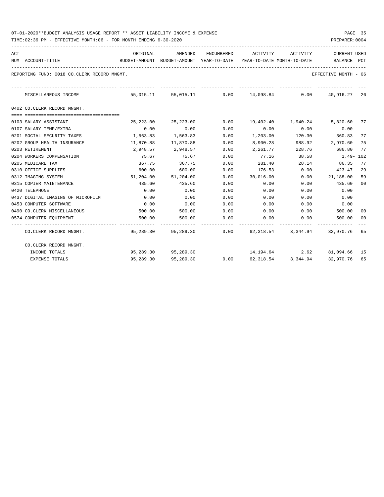| 07-01-2020**BUDGET ANALYSIS USAGE REPORT ** ASSET LIABILITY INCOME & EXPENSE | PAGE |  |
|------------------------------------------------------------------------------|------|--|
|------------------------------------------------------------------------------|------|--|

TIME:02:36 PM - EFFECTIVE MONTH:06 - FOR MONTH ENDING 6-30-2020

| ACT | NUM ACCOUNT-TITLE                           | ORIGINAL<br>BUDGET-AMOUNT BUDGET-AMOUNT YEAR-TO-DATE YEAR-TO-DATE_MONTH-TO-DATE           BALANCE   PCT |                     |                                | AMENDED ENCUMBERED ACTIVITY ACTIVITY |                       | <b>CURRENT USED</b>                                                    |    |
|-----|---------------------------------------------|---------------------------------------------------------------------------------------------------------|---------------------|--------------------------------|--------------------------------------|-----------------------|------------------------------------------------------------------------|----|
|     | REPORTING FUND: 0018 CO.CLERK RECORD MNGMT. |                                                                                                         |                     |                                |                                      |                       | EFFECTIVE MONTH - 06                                                   |    |
|     | MISCELLANEOUS INCOME                        |                                                                                                         | --------------      | ------------------------------ |                                      |                       | 55,015.11 55,015.11 0.00 14,098.84 0.00 40,916.27 26                   |    |
|     | 0402 CO.CLERK RECORD MNGMT.                 |                                                                                                         |                     |                                |                                      |                       |                                                                        |    |
|     | 0103 SALARY ASSISTANT                       | 25,223.00                                                                                               | 25,223.00           | 0.00                           |                                      | 19,402.40    1,940.24 | 5,820.60 77                                                            |    |
|     | 0107 SALARY TEMP/EXTRA                      | 0.00                                                                                                    | 0.00                | 0.00                           | 0.00                                 | 0.00                  | 0.00                                                                   |    |
|     | 0201 SOCIAL SECURITY TAXES                  | 1,563.83                                                                                                | 1,563.83            | 0.00                           | 1,203.00                             |                       | 120.30 360.83                                                          | 77 |
|     | 0202 GROUP HEALTH INSURANCE                 | 11,870.88                                                                                               | 11,870.88           | 0.00                           | 8,900.28                             | 988.92                | 2,970.60                                                               | 75 |
|     | 0203 RETIREMENT                             | 2,948.57                                                                                                | 2,948.57            | 0.00                           | 2,261.77                             |                       | 228.76 686.80                                                          | 77 |
|     | 0204 WORKERS COMPENSATION                   | 75.67                                                                                                   | 75.67               | 0.00                           | 77.16                                | 38.58                 | 1.49- 102                                                              |    |
|     | 0205 MEDICARE TAX                           | 367.75                                                                                                  | 367.75              | 0.00                           |                                      | 281.40 28.14          | 86.35                                                                  | 77 |
|     | 0310 OFFICE SUPPLIES                        | 600.00                                                                                                  | 600.00              | 0.00                           |                                      | 176.53 0.00           | 423.47                                                                 | 29 |
|     | 0312 IMAGING SYSTEM                         |                                                                                                         | 51,204.00 51,204.00 | 0.00                           | 30,016.00                            |                       | 0.00 21,188.00                                                         | 59 |
|     | 0315 COPIER MAINTENANCE                     | 435.60                                                                                                  | 435.60              | 0.00                           | 0.00                                 | 0.00                  | 435.60                                                                 | 00 |
|     | 0420 TELEPHONE                              | 0.00                                                                                                    | 0.00                | 0.00                           | 0.00                                 | 0.00                  | 0.00                                                                   |    |
|     | 0437 DIGITAL IMAGING OF MICROFILM           | 0.00                                                                                                    | 0.00                | 0.00                           | 0.00                                 | 0.00                  | 0.00                                                                   |    |
|     | 0453 COMPUTER SOFTWARE                      | 0.00                                                                                                    | 0.00                | 0.00                           | 0.00                                 | 0.00                  | 0.00                                                                   |    |
|     | 0490 CO.CLERK MISCELLANEOUS                 | 500.00                                                                                                  | 500.00              | 0.00                           | $0.00$ $0.00$                        |                       | 500.00                                                                 | 00 |
|     | 0574 COMPUTER EQUIPMENT                     | 500.00                                                                                                  | 500.00              | 0.00                           | 0.00                                 | 0.00                  | 500.00 00                                                              |    |
|     | CO.CLERK RECORD MNGMT.                      |                                                                                                         |                     |                                |                                      |                       | 95,289.30   95,289.30      0.00   62,318.54   3,344.94   32,970.76  65 |    |
|     | CO.CLERK RECORD MNGMT.                      |                                                                                                         |                     |                                |                                      |                       |                                                                        |    |
|     | INCOME TOTALS                               |                                                                                                         | 95,289,30 95,289,30 |                                |                                      |                       | 14, 194.64 2.62 81, 094.66 15                                          |    |
|     | <b>EXPENSE TOTALS</b>                       | 95,289.30                                                                                               | 95,289.30           | 0.00                           |                                      | 62,318.54 3,344.94    | 32,970.76 65                                                           |    |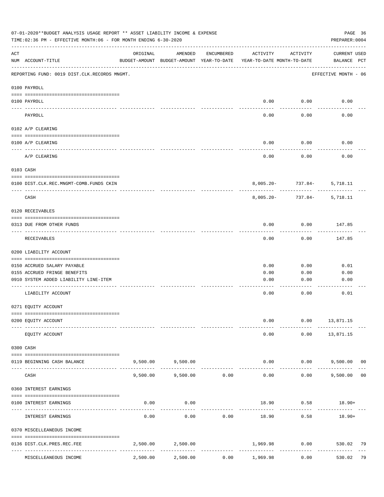|     | 07-01-2020**BUDGET ANALYSIS USAGE REPORT ** ASSET LIABILITY INCOME & EXPENSE<br>TIME:02:36 PM - EFFECTIVE MONTH:06 - FOR MONTH ENDING 6-30-2020 |          |                                                     |            |                                        |                        | PAGE 36<br>PREPARER: 0004          |    |
|-----|-------------------------------------------------------------------------------------------------------------------------------------------------|----------|-----------------------------------------------------|------------|----------------------------------------|------------------------|------------------------------------|----|
| ACT | NUM ACCOUNT-TITLE                                                                                                                               | ORIGINAL | AMENDED<br>BUDGET-AMOUNT BUDGET-AMOUNT YEAR-TO-DATE | ENCUMBERED | ACTIVITY<br>YEAR-TO-DATE MONTH-TO-DATE | ACTIVITY               | <b>CURRENT USED</b><br>BALANCE PCT |    |
|     | REPORTING FUND: 0019 DIST.CLK.RECORDS MNGMT.                                                                                                    |          |                                                     |            |                                        |                        | EFFECTIVE MONTH - 06               |    |
|     | 0100 PAYROLL                                                                                                                                    |          |                                                     |            |                                        |                        |                                    |    |
|     | 0100 PAYROLL<br>---- ----                                                                                                                       |          |                                                     |            | 0.00                                   | 0.00                   | 0.00                               |    |
|     | PAYROLL                                                                                                                                         |          |                                                     |            | 0.00                                   | 0.00                   | 0.00                               |    |
|     | 0102 A/P CLEARING                                                                                                                               |          |                                                     |            |                                        |                        |                                    |    |
|     | 0100 A/P CLEARING                                                                                                                               |          |                                                     |            | 0.00                                   | 0.00                   | 0.00                               |    |
|     | A/P CLEARING                                                                                                                                    |          |                                                     |            | 0.00                                   | 0.00                   | 0.00                               |    |
|     | 0103 CASH                                                                                                                                       |          |                                                     |            |                                        |                        |                                    |    |
|     | 0100 DIST.CLK.REC.MNGMT-COMB.FUNDS CKIN                                                                                                         |          |                                                     |            |                                        | $8,005.20 - 737.84 -$  | 5,718.11                           |    |
|     | CASH                                                                                                                                            |          |                                                     |            | $8,005.20 -$                           | -----------<br>737.84- | 5,718.11                           |    |
|     | 0120 RECEIVABLES                                                                                                                                |          |                                                     |            |                                        |                        |                                    |    |
|     | 0313 DUE FROM OTHER FUNDS                                                                                                                       |          |                                                     |            | 0.00                                   | 0.00                   | 147.85                             |    |
|     | RECEIVABLES                                                                                                                                     |          |                                                     |            | 0.00                                   | 0.00                   | 147.85                             |    |
|     | 0200 LIABILITY ACCOUNT                                                                                                                          |          |                                                     |            |                                        |                        |                                    |    |
|     | 0150 ACCRUED SALARY PAYABLE                                                                                                                     |          |                                                     |            | 0.00                                   | 0.00                   | 0.01                               |    |
|     | 0155 ACCRUED FRINGE BENEFITS                                                                                                                    |          |                                                     |            | 0.00                                   | 0.00                   | 0.00                               |    |
|     | 0910 SYSTEM ADDED LIABILITY LINE-ITEM                                                                                                           |          |                                                     |            | 0.00                                   | 0.00                   | 0.00                               |    |
|     | LIABILITY ACCOUNT                                                                                                                               |          |                                                     |            | 0.00                                   | 0.00                   | 0.01                               |    |
|     | 0271 EQUITY ACCOUNT                                                                                                                             |          |                                                     |            |                                        |                        |                                    |    |
|     | 0200 EQUITY ACCOUNT                                                                                                                             |          |                                                     |            | 0.00                                   | 0.00                   | 13,871.15                          |    |
|     | EQUITY ACCOUNT                                                                                                                                  |          |                                                     |            | 0.00                                   | 0.00                   | 13,871.15                          |    |
|     | 0300 CASH                                                                                                                                       |          |                                                     |            |                                        |                        |                                    |    |
|     | 0119 BEGINNING CASH BALANCE                                                                                                                     |          | 9,500.00 9,500.00                                   |            | 0.00                                   |                        | $0.00$ 9,500.00 00                 |    |
|     | CASH                                                                                                                                            | 9,500.00 | -------------<br>9,500.00                           | 0.00       | 0.00                                   | ----------<br>0.00     | 9,500.00                           | 00 |
|     | 0360 INTEREST EARNINGS                                                                                                                          |          |                                                     |            |                                        |                        |                                    |    |
|     |                                                                                                                                                 |          |                                                     |            |                                        |                        |                                    |    |
|     | 0100 INTEREST EARNINGS                                                                                                                          | 0.00     | 0.00                                                |            | 18.90                                  | 0.58                   | $18.90+$                           |    |
|     | INTEREST EARNINGS                                                                                                                               | 0.00     | 0.00                                                | 0.00       | 18.90                                  | 0.58                   | $18.90+$                           |    |
|     | 0370 MISCELLEANEOUS INCOME                                                                                                                      |          |                                                     |            |                                        |                        |                                    |    |
|     | 0136 DIST.CLK.PRES.REC.FEE                                                                                                                      | 2,500.00 | 2,500.00                                            |            | 1,969.98                               | 0.00                   | 530.02                             | 79 |
|     | MISCELLEANEOUS INCOME                                                                                                                           | 2,500.00 | 2,500.00                                            | 0.00       | 1,969.98                               | 0.00                   | 530.02                             | 79 |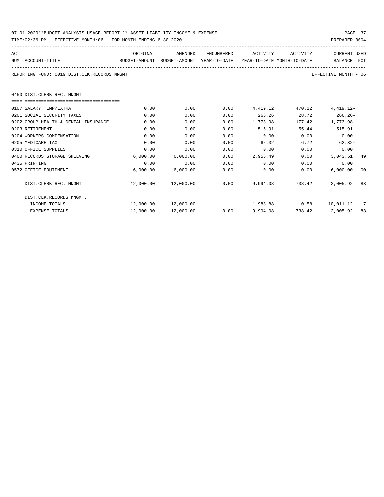| 07-01-2020**BUDGET ANALYSIS USAGE REPORT ** ASSET LIABILITY INCOME & EXPENSE | PAGE 37        |
|------------------------------------------------------------------------------|----------------|
| TIME:02:36 PM - EFFECTIVE MONTH:06 - FOR MONTH ENDING 6-30-2020              | PREPARER: 0004 |

| ACT |                                              | ORIGINAL                                                                            | AMENDED                                   | ENCUMBERED | ACTIVITY | ACTIVITY     | <b>CURRENT USED</b>        |      |
|-----|----------------------------------------------|-------------------------------------------------------------------------------------|-------------------------------------------|------------|----------|--------------|----------------------------|------|
|     | NUM ACCOUNT-TITLE                            | BUDGET-AMOUNT BUDGET-AMOUNT YEAR-TO-DATE YEAR-TO-DATE MONTH-TO-DATE     BALANCE PCT |                                           |            |          |              |                            |      |
|     | REPORTING FUND: 0019 DIST.CLK.RECORDS MNGMT. |                                                                                     |                                           |            |          |              | EFFECTIVE MONTH - 06       |      |
|     | 0450 DIST.CLERK REC. MNGMT.                  |                                                                                     |                                           |            |          |              |                            |      |
|     |                                              |                                                                                     |                                           |            |          |              |                            |      |
|     | 0107 SALARY TEMP/EXTRA                       | 0.00                                                                                | 0.00                                      | 0.00       | 4,419.12 |              | 470.12 4,419.12-           |      |
|     | 0201 SOCIAL SECURITY TAXES                   | 0.00                                                                                | 0.00                                      | 0.00       |          | 266.26 28.72 | $266.26-$                  |      |
|     | 0202 GROUP HEALTH & DENTAL INSURANCE         | 0.00                                                                                | 0.00                                      | 0.00       | 1,773.98 | 177.42       | 1,773.98-                  |      |
|     | 0203 RETIREMENT                              | 0.00                                                                                | 0.00                                      | 0.00       | 515.91   | 55.44        | $515.91 -$                 |      |
|     | 0204 WORKERS COMPENSATION                    | 0.00                                                                                | 0.00                                      | 0.00       | 0.00     | 0.00         | 0.00                       |      |
|     | 0205 MEDICARE TAX                            | 0.00                                                                                | 0.00                                      | 0.00       | 62.32    | 6.72         | $62.32-$                   |      |
|     | 0310 OFFICE SUPPLIES                         | 0.00                                                                                | 0.00                                      | 0.00       | 0.00     | 0.00         | 0.00                       |      |
|     | 0400 RECORDS STORAGE SHELVING                | 6,000.00                                                                            | 6,000.00                                  | 0.00       | 2,956.49 |              | $0.00$ 3,043.51 49         |      |
|     | 0435 PRINTING                                | 0.00                                                                                | 0.00                                      | 0.00       |          | 0.00<br>0.00 | 0.00                       |      |
|     | 0572 OFFICE EQUIPMENT                        |                                                                                     | 6,000.00 6,000.00                         | 0.00       | 0.00     |              | 0.00<br>6,000.00           | - 00 |
|     | DIST.CLERK REC. MNGMT.                       |                                                                                     | $12,000.00$ $12,000.00$ $0.00$ $9,994.08$ |            |          | 738.42       | 2,005.92 83                |      |
|     | DIST.CLK.RECORDS MNGMT.                      |                                                                                     |                                           |            |          |              |                            |      |
|     | INCOME TOTALS                                |                                                                                     | 12,000.00  12,000.00                      |            |          |              | 1,988.88 0.58 10,011.12 17 |      |
|     | <b>EXPENSE TOTALS</b>                        | 12,000.00                                                                           | 12,000.00                                 | 0.00       | 9,994.08 |              | 738.42 2.005.92            | 83   |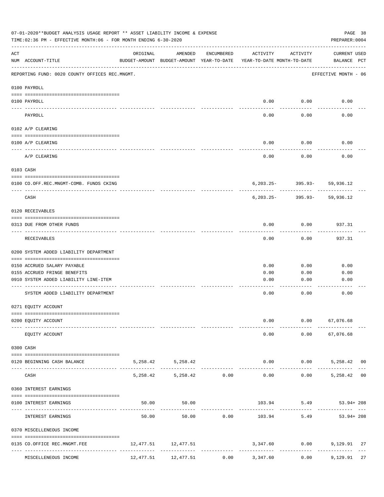|             | 07-01-2020**BUDGET ANALYSIS USAGE REPORT ** ASSET LIABILITY INCOME & EXPENSE<br>TIME:02:36 PM - EFFECTIVE MONTH:06 - FOR MONTH ENDING 6-30-2020 |          |                                                     |              |                                        |                             | PREPARER: 0004                         | PAGE 38 |
|-------------|-------------------------------------------------------------------------------------------------------------------------------------------------|----------|-----------------------------------------------------|--------------|----------------------------------------|-----------------------------|----------------------------------------|---------|
| ACT         | NUM ACCOUNT-TITLE                                                                                                                               | ORIGINAL | AMENDED<br>BUDGET-AMOUNT BUDGET-AMOUNT YEAR-TO-DATE | ENCUMBERED   | ACTIVITY<br>YEAR-TO-DATE MONTH-TO-DATE | ACTIVITY                    | CURRENT USED<br>BALANCE PCT            |         |
|             | REPORTING FUND: 0020 COUNTY OFFICES REC.MNGMT.                                                                                                  |          |                                                     |              |                                        |                             | EFFECTIVE MONTH - 06                   |         |
|             | 0100 PAYROLL                                                                                                                                    |          |                                                     |              |                                        |                             |                                        |         |
|             | 0100 PAYROLL                                                                                                                                    |          |                                                     |              |                                        | $0.00$ $0.00$               | 0.00                                   |         |
|             | PAYROLL                                                                                                                                         |          |                                                     |              | 0.00                                   | 0.00                        | 0.00                                   |         |
|             | 0102 A/P CLEARING                                                                                                                               |          |                                                     |              |                                        |                             |                                        |         |
|             | 0100 A/P CLEARING                                                                                                                               |          |                                                     |              | 0.00                                   | 0.00                        | 0.00                                   |         |
|             | A/P CLEARING                                                                                                                                    |          |                                                     |              | 0.00                                   | 0.00                        | 0.00                                   |         |
|             | 0103 CASH                                                                                                                                       |          |                                                     |              |                                        |                             |                                        |         |
|             | 0100 CO.OFF.REC.MNGMT-COMB. FUNDS CKING                                                                                                         |          |                                                     |              |                                        |                             | $6, 203.25 - 395.93 - 59,936.12$       |         |
|             | . __________________________________<br>CASH                                                                                                    |          |                                                     |              | 6,203.25-                              | -----------                 | -------<br>395.93- 59,936.12           |         |
|             | 0120 RECEIVABLES                                                                                                                                |          |                                                     |              |                                        |                             |                                        |         |
|             | 0313 DUE FROM OTHER FUNDS                                                                                                                       |          |                                                     |              | 0.00                                   | 0.00                        | 937.31                                 |         |
|             | RECEIVABLES                                                                                                                                     |          |                                                     |              | 0.00                                   | 0.00                        | 937.31                                 |         |
|             | 0200 SYSTEM ADDED LIABILITY DEPARTMENT                                                                                                          |          |                                                     |              |                                        |                             |                                        |         |
|             | 0150 ACCRUED SALARY PAYABLE                                                                                                                     |          |                                                     |              | 0.00                                   | 0.00                        | 0.00                                   |         |
|             | 0155 ACCRUED FRINGE BENEFITS                                                                                                                    |          |                                                     |              | 0.00                                   | 0.00                        | 0.00                                   |         |
|             | 0910 SYSTEM ADDED LIABILITY LINE-ITEM                                                                                                           |          |                                                     |              | 0.00                                   | 0.00                        | 0.00                                   |         |
|             | SYSTEM ADDED LIABILITY DEPARTMENT                                                                                                               |          |                                                     |              | 0.00                                   | 0.00                        | 0.00                                   |         |
|             | 0271 EQUITY ACCOUNT                                                                                                                             |          |                                                     |              |                                        |                             |                                        |         |
|             | 0200 EQUITY ACCOUNT                                                                                                                             |          |                                                     |              | 0.00                                   |                             | $0.00$ 67,076.68                       |         |
|             | EQUITY ACCOUNT                                                                                                                                  |          |                                                     |              |                                        | 0.00                        | $0.00$ 67,076.68                       |         |
|             | 0300 CASH                                                                                                                                       |          |                                                     |              |                                        |                             |                                        |         |
|             | 0120 BEGINNING CASH BALANCE                                                                                                                     |          | 5, 258.42 5, 258.42                                 |              |                                        |                             | $0.00$ $0.00$ $5,258.42$ 00            |         |
| $- - - - -$ | CASH                                                                                                                                            |          | 5,258.42 5,258.42 0.00                              | ------------ | --------------<br>0.00                 | ------------                | --------------<br>$0.00$ $5,258.42$ 00 |         |
|             | 0360 INTEREST EARNINGS                                                                                                                          |          |                                                     |              |                                        |                             |                                        |         |
|             | 0100 INTEREST EARNINGS                                                                                                                          |          | 50.00<br>50.00                                      |              |                                        |                             | 103.94 5.49 53.94 + 208                |         |
|             | INTEREST EARNINGS                                                                                                                               | 50.00    |                                                     | 50.00 0.00   |                                        | ------------<br>103.94 5.49 | $53.94 + 208$                          |         |
|             | 0370 MISCELLENEOUS INCOME                                                                                                                       |          |                                                     |              |                                        |                             |                                        |         |
|             | 0135 CO.OFFICE REC.MNGMT.FEE                                                                                                                    |          | 12,477.51 12,477.51                                 |              |                                        |                             | 3,347.60 0.00 9,129.91 27              |         |
|             | MISCELLENEOUS INCOME                                                                                                                            |          | 12,477.51 12,477.51                                 | 0.00         | 3,347.60                               | -------------<br>0.00       | 9,129.91 27                            |         |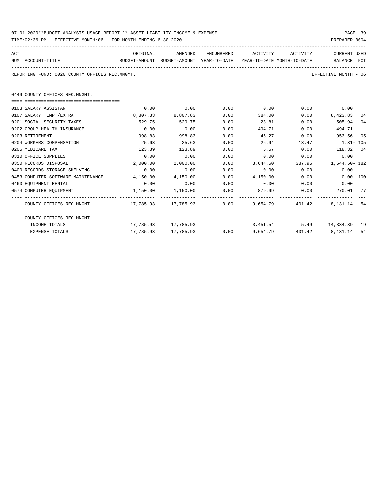| 07-01-2020**BUDGET ANALYSIS USAGE REPORT ** ASSET LIABILITY INCOME & EXPENSE | PAGE 39        |  |
|------------------------------------------------------------------------------|----------------|--|
| TIME:02:36 PM - EFFECTIVE MONTH:06 - FOR MONTH ENDING 6-30-2020              | PREPARER: 0004 |  |

| ACT                                                                      | ORIGINAL                                                                          | AMENDED                |      | ENCUMBERED ACTIVITY ACTIVITY                                |      | <b>CURRENT USED</b>  |    |
|--------------------------------------------------------------------------|-----------------------------------------------------------------------------------|------------------------|------|-------------------------------------------------------------|------|----------------------|----|
| NUM ACCOUNT-TITLE                                                        | BUDGET-AMOUNT BUDGET-AMOUNT YEAR-TO-DATE YEAR-TO-DATE MONTH-TO-DATE   BALANCE PCT |                        |      |                                                             |      |                      |    |
| REPORTING FUND: 0020 COUNTY OFFICES REC.MNGMT.                           |                                                                                   |                        |      |                                                             |      | EFFECTIVE MONTH - 06 |    |
| 0449 COUNTY OFFICES REC.MNGMT.                                           |                                                                                   |                        |      |                                                             |      |                      |    |
|                                                                          |                                                                                   |                        |      |                                                             |      |                      |    |
| 0103 SALARY ASSISTANT                                                    | 0.00                                                                              |                        |      | $0.00$ $0.00$ $0.00$ $0.00$ $0.00$                          |      | 0.00                 |    |
| 0107 SALARY TEMP./EXTRA                                                  |                                                                                   | 8,807.83 8,807.83      | 0.00 | 384.00                                                      | 0.00 | 8,423.83 04          |    |
| 0201 SOCIAL SECURITY TAXES                                               | 529.75                                                                            | 529.75                 | 0.00 | 23.81                                                       | 0.00 | 505.94 04            |    |
| 0202 GROUP HEALTH INSURANCE                                              | 0.00                                                                              | 0.00                   | 0.00 | 494.71                                                      | 0.00 | $494.71-$            |    |
| 0203 RETIREMENT                                                          | 998.83                                                                            | 998.83                 | 0.00 | 45.27                                                       | 0.00 | 953.56               | 05 |
| 0204 WORKERS COMPENSATION                                                | 25.63                                                                             | 25.63                  | 0.00 | 26.94 13.47 1.31 - 105                                      |      |                      |    |
| 0205 MEDICARE TAX                                                        | 123.89                                                                            | 123.89                 | 0.00 | 5.57                                                        | 0.00 | 118.32 04            |    |
| 0310 OFFICE SUPPLIES                                                     | 0.00                                                                              | 0.00                   | 0.00 | 0.00                                                        | 0.00 | 0.00                 |    |
| 0350 RECORDS DISPOSAL                                                    | 2,000.00                                                                          |                        |      | $2,000.00$ $0.00$ $3,644.50$ $387.95$ $1,644.50$ $182$      |      |                      |    |
| 0400 RECORDS STORAGE SHELVING                                            | 0.00                                                                              | 0.00                   | 0.00 | $0.00$ 0.00                                                 |      | 0.00                 |    |
| 0453 COMPUTER SOFTWARE MAINTENANCE                                       |                                                                                   |                        |      | $4.150.00$ $4.150.00$ $0.00$ $4.150.00$ $0.00$ $0.00$ $100$ |      |                      |    |
| 0460 EOUIPMENT RENTAL                                                    | 0.00                                                                              | $0.00$ 0.00            |      | $0.00$ 0.00                                                 |      | 0.00                 |    |
| 0574 COMPUTER EQUIPMENT                                                  |                                                                                   | 1,150.00 1,150.00 0.00 |      | 879.99                                                      | 0.00 | 270.01 77            |    |
| COUNTY OFFICES REC.MNGMT. 42 17, 785.93 17, 785.93 0.00 9, 654.79 401.42 |                                                                                   |                        |      |                                                             |      | 8, 131, 14 54        |    |
| COUNTY OFFICES REC.MNGMT.                                                |                                                                                   |                        |      |                                                             |      |                      |    |
| INCOME TOTALS                                                            |                                                                                   | 17,785.93    17,785.93 |      | 3,451.54                                                    |      | 5.49 14,334.39 19    |    |

EXPENSE TOTALS 17,785.93 17,785.93 0.00 9,654.79 401.42 8,131.14 54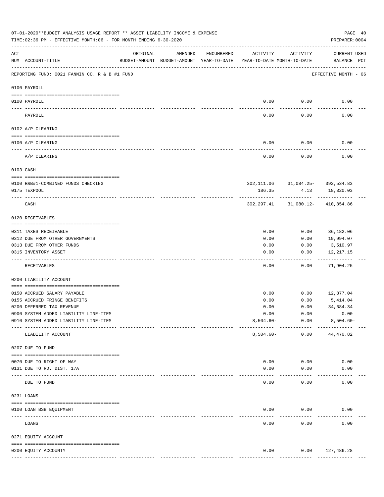|     | 07-01-2020**BUDGET ANALYSIS USAGE REPORT ** ASSET LIABILITY INCOME & EXPENSE<br>TIME:02:36 PM - EFFECTIVE MONTH:06 - FOR MONTH ENDING 6-30-2020 |                            |         |            |                                                                                 |                                     | PAGE 40<br>PREPARER: 0004          |  |
|-----|-------------------------------------------------------------------------------------------------------------------------------------------------|----------------------------|---------|------------|---------------------------------------------------------------------------------|-------------------------------------|------------------------------------|--|
| ACT | NUM ACCOUNT-TITLE                                                                                                                               | ORIGINAL                   | AMENDED | ENCUMBERED | ACTIVITY<br>BUDGET-AMOUNT BUDGET-AMOUNT YEAR-TO-DATE YEAR-TO-DATE MONTH-TO-DATE | ACTIVITY                            | <b>CURRENT USED</b><br>BALANCE PCT |  |
|     | REPORTING FUND: 0021 FANNIN CO. R & B #1 FUND                                                                                                   |                            |         |            |                                                                                 |                                     | EFFECTIVE MONTH - 06               |  |
|     | 0100 PAYROLL                                                                                                                                    |                            |         |            |                                                                                 |                                     |                                    |  |
|     | 0100 PAYROLL<br>---- ----                                                                                                                       |                            |         |            | 0.00<br>$---$                                                                   | 0.00<br>-------                     | 0.00                               |  |
|     | PAYROLL                                                                                                                                         |                            |         |            | 0.00                                                                            | 0.00                                | 0.00                               |  |
|     | 0102 A/P CLEARING                                                                                                                               |                            |         |            |                                                                                 |                                     |                                    |  |
|     | 0100 A/P CLEARING                                                                                                                               |                            |         |            | 0.00                                                                            | 0.00                                | 0.00                               |  |
|     | A/P CLEARING                                                                                                                                    |                            |         |            | 0.00                                                                            | 0.00                                | 0.00                               |  |
|     | 0103 CASH                                                                                                                                       |                            |         |            |                                                                                 |                                     |                                    |  |
|     |                                                                                                                                                 |                            |         |            |                                                                                 |                                     |                                    |  |
|     | 0100 R&B#1-COMBINED FUNDS CHECKING<br>0175 TEXPOOL                                                                                              |                            |         |            | 186.35                                                                          | 302, 111.06 31, 084.25- 392, 534.83 | 4.13 18,320.03                     |  |
|     | CASH                                                                                                                                            |                            |         |            |                                                                                 | 302, 297.41 31, 080.12- 410, 854.86 |                                    |  |
|     | 0120 RECEIVABLES                                                                                                                                |                            |         |            |                                                                                 |                                     |                                    |  |
|     | 0311 TAXES RECEIVABLE                                                                                                                           |                            |         |            | 0.00                                                                            | 0.00                                | 36,182.06                          |  |
|     | 0312 DUE FROM OTHER GOVERNMENTS                                                                                                                 |                            |         |            | 0.00                                                                            | 0.00                                | 19,994.07                          |  |
|     | 0313 DUE FROM OTHER FUNDS                                                                                                                       |                            |         |            | 0.00                                                                            | 0.00                                | 3,510.97                           |  |
|     | 0315 INVENTORY ASSET                                                                                                                            |                            |         |            | 0.00<br>----                                                                    | 0.00<br>-----                       | 12,217.15<br>----------            |  |
|     | RECEIVABLES                                                                                                                                     |                            |         |            | 0.00                                                                            | 0.00                                | 71,904.25                          |  |
|     | 0200 LIABILITY ACCOUNT                                                                                                                          |                            |         |            |                                                                                 |                                     |                                    |  |
|     | 0150 ACCRUED SALARY PAYABLE                                                                                                                     |                            |         |            | 0.00                                                                            | 0.00                                | 12,877.04                          |  |
|     | 0155 ACCRUED FRINGE BENEFITS                                                                                                                    |                            |         |            | 0.00                                                                            | 0.00                                | 5,414.04                           |  |
|     | 0200 DEFERRED TAX REVENUE                                                                                                                       |                            |         |            | 0.00                                                                            | 0.00                                | 34,684.34                          |  |
|     | 0900 SYSTEM ADDED LIABILITY LINE-ITEM                                                                                                           |                            |         |            | 0.00                                                                            | 0.00                                | 0.00                               |  |
|     | 0910 SYSTEM ADDED LIABILITY LINE-ITEM                                                                                                           |                            |         |            | $8,504.60 -$                                                                    | 0.00<br>----------                  | $8,504.60 -$                       |  |
|     | LIABILITY ACCOUNT                                                                                                                               |                            |         |            | $8,504.60 -$                                                                    | 0.00                                | 44,470.82                          |  |
|     | 0207 DUE TO FUND                                                                                                                                |                            |         |            |                                                                                 |                                     |                                    |  |
|     | 0070 DUE TO RIGHT OF WAY                                                                                                                        |                            |         |            | 0.00                                                                            | 0.00                                | 0.00                               |  |
|     | 0131 DUE TO RD. DIST. 17A                                                                                                                       |                            |         |            | 0.00                                                                            | 0.00                                | 0.00                               |  |
|     | DUE TO FUND                                                                                                                                     | ------------ ------------- |         |            | 0.00                                                                            | 0.00                                | 0.00                               |  |
|     | 0231 LOANS                                                                                                                                      |                            |         |            |                                                                                 |                                     |                                    |  |
|     | 0100 LOAN BSB EQUIPMENT                                                                                                                         |                            |         |            | 0.00                                                                            | 0.00                                | 0.00                               |  |
|     | LOANS                                                                                                                                           |                            |         |            | 0.00                                                                            | 0.00                                | 0.00                               |  |
|     | 0271 EQUITY ACCOUNT                                                                                                                             |                            |         |            |                                                                                 |                                     |                                    |  |
|     |                                                                                                                                                 |                            |         |            |                                                                                 |                                     |                                    |  |
|     | 0200 EQUITY ACCOUNTY                                                                                                                            |                            |         |            | 0.00<br>-------------                                                           | 0.00<br>-------------               | 127,486.28<br>--------------       |  |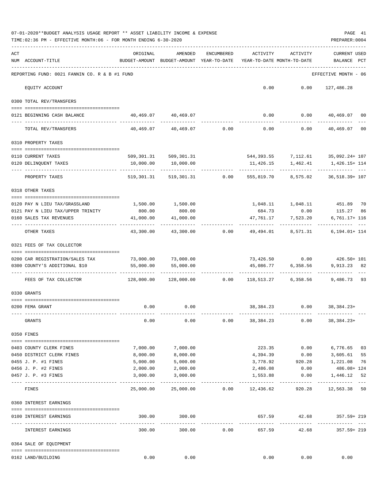|     | TIME: 02:36 PM - EFFECTIVE MONTH: 06 - FOR MONTH ENDING 6-30-2020   |                                                                                 |                                                                      |                          |                           |                       | PREPARER: 0004                                        |    |
|-----|---------------------------------------------------------------------|---------------------------------------------------------------------------------|----------------------------------------------------------------------|--------------------------|---------------------------|-----------------------|-------------------------------------------------------|----|
| ACT | NUM ACCOUNT-TITLE                                                   | ORIGINAL<br>BUDGET-AMOUNT BUDGET-AMOUNT YEAR-TO-DATE YEAR-TO-DATE MONTH-TO-DATE | AMENDED                                                              | ENCUMBERED               |                           | ACTIVITY ACTIVITY     | <b>CURRENT USED</b><br>BALANCE PCT<br>--------------- |    |
|     | REPORTING FUND: 0021 FANNIN CO. R & B #1 FUND                       |                                                                                 |                                                                      |                          |                           |                       | EFFECTIVE MONTH - 06                                  |    |
|     | EQUITY ACCOUNT                                                      |                                                                                 |                                                                      |                          |                           |                       | $0.00$ $0.00$ $127,486.28$                            |    |
|     | 0300 TOTAL REV/TRANSFERS                                            |                                                                                 |                                                                      |                          |                           |                       |                                                       |    |
|     | 0121 BEGINNING CASH BALANCE                                         |                                                                                 | 40,469.07 40,469.07                                                  |                          |                           |                       | $0.00$ $0.00$ $40,469.07$                             | 00 |
|     | TOTAL REV/TRANSFERS                                                 |                                                                                 | 40,469.07 40,469.07 0.00                                             |                          |                           |                       | -------------<br>$0.00$ $0.00$ $40,469.07$            | 00 |
|     | 0310 PROPERTY TAXES                                                 |                                                                                 |                                                                      |                          |                           |                       |                                                       |    |
|     | 0110 CURRENT TAXES                                                  |                                                                                 | 509, 301.31 509, 301.31                                              |                          |                           |                       | 544,393.55 7,112.61 35,092.24+ 107                    |    |
|     | 0120 DELINQUENT TAXES                                               |                                                                                 | 10,000.00   10,000.00                                                |                          | 11,426.15                 | 1,462.41              | 1,426.15+ 114                                         |    |
|     | PROPERTY TAXES                                                      |                                                                                 | 519,301.31 519,301.31 0.00 555,819.70 8,575.02 36,518.39+ 107        |                          |                           |                       |                                                       |    |
|     | 0318 OTHER TAXES                                                    |                                                                                 |                                                                      |                          |                           |                       |                                                       |    |
|     | 0120 PAY N LIEU TAX/GRASSLAND                                       |                                                                                 | 1,500.00    1,500.00                                                 |                          |                           |                       | 1,048.11   1,048.11   451.89                          | 70 |
|     | 0121 PAY N LIEU TAX/UPPER TRINITY                                   | 800.00                                                                          | 800.00                                                               |                          |                           |                       | 684.73 0.00 115.27                                    | 86 |
|     | 0160 SALES TAX REVENUES                                             |                                                                                 | $41,000.00$ $41,000.00$ $47,761.17$ $7,523.20$                       |                          |                           |                       | $6,761.17+116$                                        |    |
|     | OTHER TAXES                                                         |                                                                                 | $43,300.00$ $43,300.00$ $0.00$ $49,494.01$ $8,571.31$ $6,194.01+114$ |                          |                           |                       |                                                       |    |
|     | 0321 FEES OF TAX COLLECTOR<br>------------------------------------- |                                                                                 |                                                                      |                          |                           |                       |                                                       |    |
|     | 0200 CAR REGISTRATION/SALES TAX 73,000.00 73,000.00                 |                                                                                 |                                                                      |                          |                           |                       | 73,426.50 0.00 426.50+ 101                            |    |
|     | 0300 COUNTY'S ADDITIONAL \$10                                       | 55,000.00                                                                       | 55,000.00                                                            |                          |                           |                       | 45,086.77 6,358.56 9,913.23                           | 82 |
|     | FEES OF TAX COLLECTOR                                               |                                                                                 |                                                                      |                          |                           |                       |                                                       |    |
|     | 0330 GRANTS                                                         |                                                                                 |                                                                      |                          |                           |                       |                                                       |    |
|     | 0200 FEMA GRANT                                                     | 0.00                                                                            | 0.00                                                                 |                          |                           |                       | 38,384.23 0.00 38,384.23+                             |    |
|     | GRANTS                                                              | 0.00                                                                            | 0.00                                                                 | 0.00                     | 38,384.23                 | 0.00                  | 38,384.23+                                            |    |
|     | 0350 FINES                                                          |                                                                                 |                                                                      |                          |                           |                       |                                                       |    |
|     | 0403 COUNTY CLERK FINES                                             | 7,000.00                                                                        | 7,000.00                                                             |                          | 223.35                    | 0.00                  | 6,776.65                                              | 03 |
|     | 0450 DISTRICT CLERK FINES                                           | 8,000.00                                                                        | 8,000.00                                                             |                          | 4,394.39                  | 0.00                  | 3,605.61                                              | 55 |
|     | 0455 J. P. #1 FINES                                                 | 5,000.00                                                                        | 5,000.00                                                             |                          | 3,778.92                  | 920.28                | 1,221.08                                              | 76 |
|     | 0456 J. P. #2 FINES                                                 | 2,000.00                                                                        | 2,000.00                                                             |                          | 2,486.08                  | 0.00                  | 486.08+ 124                                           |    |
|     | 0457 J. P. #3 FINES                                                 | 3,000.00                                                                        | 3,000.00                                                             |                          | 1,553.88<br>------------- | 0.00                  | 1,446.12<br>------------------                        | 52 |
|     | FINES                                                               | 25,000.00                                                                       |                                                                      | 25,000.00 0.00 12,436.62 |                           | 920.28                | 12,563.38                                             | 50 |
|     | 0360 INTEREST EARNINGS                                              |                                                                                 |                                                                      |                          |                           |                       |                                                       |    |
|     | 0100 INTEREST EARNINGS                                              | 300.00                                                                          | 300.00                                                               |                          |                           |                       | 657.59 42.68 357.59+219                               |    |
|     | INTEREST EARNINGS                                                   | . <u>.</u> .<br>300.00                                                          | -----------<br>300.00                                                | 0.00                     | 657.59                    | ------------<br>42.68 | 357.59+ 219                                           |    |
|     | 0364 SALE OF EQUIPMENT                                              |                                                                                 |                                                                      |                          |                           |                       |                                                       |    |
|     | 0162 LAND/BUILDING                                                  | 0.00                                                                            | 0.00                                                                 |                          | 0.00                      | 0.00                  | 0.00                                                  |    |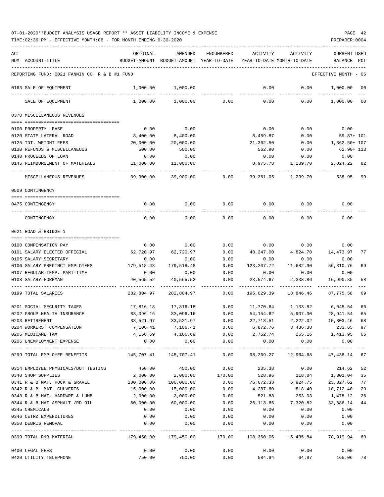TIME:02:36 PM - EFFECTIVE MONTH:06 - FOR MONTH ENDING 6-30-2020 PREPARER:0004

| ACT |                                               | ORIGINAL      | AMENDED              | <b>ENCUMBERED</b>   | ACTIVITY                   | <b>ACTIVITY</b>      | <b>CURRENT USED</b> |      |
|-----|-----------------------------------------------|---------------|----------------------|---------------------|----------------------------|----------------------|---------------------|------|
|     | NUM ACCOUNT-TITLE                             | BUDGET-AMOUNT | BUDGET-AMOUNT        | YEAR-TO-DATE        | YEAR-TO-DATE MONTH-TO-DATE |                      | BALANCE             | PCT  |
|     |                                               |               |                      |                     |                            |                      |                     |      |
|     | REPORTING FUND: 0021 FANNIN CO. R & B #1 FUND |               |                      |                     |                            |                      | EFFECTIVE MONTH     | - 06 |
|     | 0163 SALE OF EQUIPMENT                        | 1,000.00      | 1,000.00             |                     | 0.00                       | 0.00                 | 1,000.00            | 00   |
|     | SALE OF EQUIPMENT                             | 1,000.00      | 1,000.00             | 0.00                | 0.00                       | 0.00                 | 1,000.00            | 00   |
|     | 0370 MISCELLANEOUS REVENUES                   |               |                      |                     |                            |                      |                     |      |
|     |                                               |               |                      |                     |                            |                      |                     |      |
|     | 0100 PROPERTY LEASE                           | 0.00          | 0.00                 |                     | 0.00                       | 0.00                 | 0.00                |      |
|     | 0120 STATE LATERAL ROAD                       | 8,400.00      | 8,400.00             |                     | 8,459.87                   | 0.00                 | 59.87+ 101          |      |
|     | 0125 TDT. WEIGHT FEES                         | 20,000.00     | 20,000.00            |                     | 21,362.50                  | 0.00                 | 1,362.50+ 107       |      |
|     | 0130 REFUNDS & MISCELLANEOUS                  | 500.00        | 500.00               |                     | 562.90                     | 0.00                 | 62.90+ 113          |      |
|     | 0140 PROCEEDS OF LOAN                         | 0.00          | 0.00                 |                     | 0.00                       | 0.00                 | 0.00                |      |
|     | 0145 REIMBURSEMENT OF MATERIALS               | 11,000.00     | 11,000.00            |                     | 8,975.78                   | 1,239.70             | 2,024.22            | 82   |
|     | MISCELLANEOUS REVENUES                        | 39,900.00     | 39,900.00            | 0.00                | 39,361.05                  | 1,239.70             | 538.95              | 99   |
|     | 0509 CONTINGENCY                              |               |                      |                     |                            |                      |                     |      |
|     |                                               |               |                      |                     |                            |                      |                     |      |
|     | 0475 CONTINGENCY                              | 0.00          | 0.00                 | 0.00                | 0.00                       | 0.00                 | 0.00                |      |
|     | CONTINGENCY                                   | 0.00          | 0.00                 | 0.00                | 0.00                       | 0.00                 | 0.00                |      |
|     | 0621 ROAD & BRIDGE 1                          |               |                      |                     |                            |                      |                     |      |
|     |                                               |               |                      |                     |                            |                      |                     |      |
|     | 0100 COMPENSATION PAY                         | 0.00          | 0.00                 | 0.00                | 0.00                       | 0.00                 | 0.00                |      |
|     | 0101 SALARY ELECTED OFFICIAL                  | 62,720.97     | 62,720.97            | 0.00                | 48,247.00                  | 4,824.70             | 14, 473.97          | 77   |
|     | 0105 SALARY SECRETARY                         | 0.00          | 0.00                 | 0.00                | 0.00                       | 0.00                 | 0.00                |      |
|     | 0106 SALARY PRECINCT EMPLOYEES                | 179,518.48    | 179,518.48           | 0.00                | 123, 207. 72               | 11,682.90            | 56,310.76           | 69   |
|     | 0107 REGULAR-TEMP. PART-TIME                  | 0.00          | 0.00                 | 0.00                | 0.00                       | 0.00                 | 0.00                |      |
|     | 0108 SALARY-FOREMAN                           | 40,565.52     | 40,565.52            | 0.00                | 23,574.67                  | 2,338.86             | 16,990.85           | 58   |
|     | 0199 TOTAL SALARIES                           | 282,804.97    | 282,804.97           | 0.00                | 195,029.39                 | 18,846.46            | 87,775.58           | 69   |
|     | 0201 SOCIAL SECURITY TAXES                    | 17,816.18     | 17,816.18            | 0.00                | 11,770.64                  | 1,133.82             | 6,045.54            | 66   |
|     | 0202 GROUP HEALTH INSURANCE                   | 83,096.16     | 83,096.16            | 0.00                | 54,154.62                  | 5,907.30             | 28,941.54           | 65   |
|     | 0203 RETIREMENT                               | 33,521.97     | 33,521.97            | 0.00                | 22,718.51                  | 2,222.02             | 10,803.46           | 68   |
|     | 0204 WORKERS' COMPENSATION                    |               | 7,106.41 7,106.41    | 0.00                | 6,872.76                   | 3,436.38             | 233.65              | 97   |
|     | 0205 MEDICARE TAX                             |               | 4, 166.69 4, 166.69  | 0.00                | 2,752.74                   | 265.16 1,413.95      |                     | 66   |
|     | 0206 UNEMPLOYMENT EXPENSE                     | 0.00          | 0.00<br>------------ | 0.00<br>----------- | 0.00<br>-----------        | 0.00<br>------------ | 0.00<br>----------- |      |
|     | 0299 TOTAL EMPLOYEE BENEFITS                  | 145,707.41    | 145,707.41           | 0.00                | 98,269.27                  | 12,964.68            | 47,438.14           | 67   |
|     | 0314 EMPLOYEE PHYSICALS/DOT TESTING           | 450.00        | 450.00               | 0.00                | 235.38                     | 0.00                 | 214.62              | 52   |
|     | 0340 SHOP SUPPLIES                            | 2,000.00      | 2,000.00             | 170.00              | 528.96                     | 118.84               | 1,301.04            | 35   |
|     | 0341 R & B MAT. ROCK & GRAVEL                 | 100,000.00    | 100,000.00           | 0.00                | 76,672.38                  | 6,924.75             | 23,327.62           | 77   |
|     | 0342 R & B MAT. CULVERTS                      | 15,000.00     | 15,000.00            | 0.00                | 4,287.60                   | 818.40               | 10,712.40           | 29   |
|     | 0343 R & B MAT. HARDWRE & LUMB                | 2,000.00      | 2,000.00             | 0.00                | 521.88                     | 253.03               | 1,478.12            | 26   |
|     | 0344 R & B MAT ASPHALT /RD OIL                | 60,000.00     | 60,000.00            | 0.00                | 26,113.86                  | 7,320.82             | 33,886.14           | 44   |
|     | 0345 CHEMICALS                                | 0.00          | 0.00                 | 0.00                | 0.00                       | 0.00                 | 0.00                |      |
|     | 0346 CETRZ EXPENDITURES                       | 0.00          | 0.00                 | 0.00                | 0.00                       | 0.00                 | 0.00                |      |
|     | 0350 DEBRIS REMOVAL                           | 0.00          | 0.00<br>__________   | 0.00<br>-------     | 0.00<br>.                  | 0.00<br>-----------  | 0.00                |      |
|     | 0399 TOTAL R&B MATERIAL                       | 179,450.00    | 179,450.00           | 170.00              | 108,360.06                 | 15,435.84            | 70,919.94 60        |      |
|     | 0400 LEGAL FEES                               | 0.00          | 0.00                 | 0.00                | 0.00                       | 0.00                 | 0.00                |      |
|     | 0420 UTILITY TELEPHONE                        | 750.00        | 750.00               | 0.00                | 584.94                     | 64.87                | 165.06 78           |      |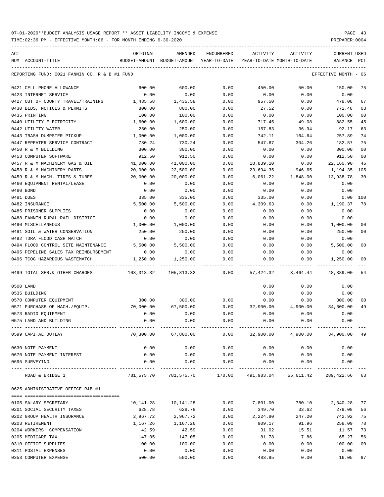| ACT |                                               | ORIGINAL   | AMENDED                                  | ENCUMBERED | ACTIVITY                                                        | ACTIVITY | <b>CURRENT USED</b>  |                |
|-----|-----------------------------------------------|------------|------------------------------------------|------------|-----------------------------------------------------------------|----------|----------------------|----------------|
| NUM | ACCOUNT-TITLE                                 |            | BUDGET-AMOUNT BUDGET-AMOUNT YEAR-TO-DATE |            | YEAR-TO-DATE MONTH-TO-DATE                                      |          | BALANCE              | PCT            |
|     | REPORTING FUND: 0021 FANNIN CO. R & B #1 FUND |            |                                          |            |                                                                 |          | EFFECTIVE MONTH - 06 |                |
|     | 0421 CELL PHONE ALLOWANCE                     | 600.00     | 600.00                                   | 0.00       | 450.00                                                          | 50.00    | 150.00               | 75             |
|     | 0423 INTERNET SERVICE                         | 0.00       | 0.00                                     | 0.00       | 0.00                                                            | 0.00     | 0.00                 |                |
|     | 0427 OUT OF COUNTY TRAVEL/TRAINING            | 1,435.58   | 1,435.58                                 | 0.00       | 957.50                                                          | 0.00     | 478.08               | 67             |
|     | 0430 BIDS, NOTICES & PERMITS                  | 800.00     | 800.00                                   | 0.00       | 27.52                                                           | 0.00     | 772.48               | 03             |
|     | 0435 PRINTING                                 | 100.00     | 100.00                                   | 0.00       | 0.00                                                            | 0.00     | 100.00               | 00             |
|     | 0440 UTILITY ELECTRICITY                      | 1,600.00   | 1,600.00                                 | 0.00       | 717.45                                                          | 49.08    | 882.55               | 45             |
|     | 0442 UTILITY WATER                            | 250.00     | 250.00                                   | 0.00       | 157.83                                                          | 36.94    | 92.17                | 63             |
|     | 0443 TRASH DUMPSTER PICKUP                    | 1,000.00   | 1,000.00                                 | 0.00       | 742.11                                                          | 164.64   | 257.89               | 74             |
|     | 0447 REPEATER SERVICE CONTRACT                | 730.24     | 730.24                                   | 0.00       | 547.67                                                          | 304.26   | 182.57               | 75             |
|     | 0450 R & M BUILDING                           | 300.00     | 300.00                                   | 0.00       | 0.00                                                            | 0.00     | 300.00               | 00             |
|     | 0453 COMPUTER SOFTWARE                        | 912.50     | 912.50                                   | 0.00       | 0.00                                                            | 0.00     | 912.50               | 00             |
|     | 0457 R & M MACHINERY GAS & OIL                | 41,000.00  | 41,000.00                                | 0.00       | 18,839.10                                                       | 0.00     | 22,160.90            | 46             |
|     | 0458 R & M MACHINERY PARTS                    | 20,000.00  | 22,500.00                                | 0.00       | 23,694.35                                                       | 946.65   | 1,194.35- 105        |                |
|     | 0459 R & M MACH. TIRES & TUBES                | 20,000.00  | 20,000.00                                | 0.00       | 6,061.22                                                        | 1,848.00 | 13,938.78            | 30             |
|     | 0460 EOUIPMENT RENTAL/LEASE                   | 0.00       | 0.00                                     | 0.00       | 0.00                                                            | 0.00     | 0.00                 |                |
|     | 0480 BOND                                     | 0.00       | 0.00                                     | 0.00       | 0.00                                                            | 0.00     | 0.00                 |                |
|     | 0481 DUES                                     | 335.00     | 335.00                                   | 0.00       | 335.00                                                          | 0.00     | 0.00                 | 100            |
|     | 0482 INSURANCE                                | 5,500.00   | 5,500.00                                 | 0.00       | 4,309.63                                                        | 0.00     | 1,190.37             | 78             |
|     | 0485 PRISONER SUPPLIES                        | 0.00       | 0.00                                     | 0.00       | 0.00                                                            | 0.00     | 0.00                 |                |
|     | 0488 FANNIN RURAL RAIL DISTRICT               | 0.00       | 0.00                                     | 0.00       | 0.00                                                            | 0.00     | 0.00                 |                |
|     | 0490 MISCELLANEOUS                            | 1,000.00   | 1,000.00                                 | 0.00       | 0.00                                                            | 0.00     | 1,000.00             | 00             |
|     | 0491 SOIL & WATER CONSERVATION                | 250.00     | 250.00                                   | 0.00       | 0.00                                                            | 0.00     | 250.00               | 00             |
|     | 0492 TDRA FLOOD CASH MATCH                    | 0.00       | 0.00                                     | 0.00       | 0.00                                                            | 0.00     | 0.00                 |                |
|     | 0494 FLOOD CONTROL SITE MAINTENANCE           | 5,500.00   | 5,500.00                                 | 0.00       | 0.00                                                            | 0.00     | 5,500.00             | 0 <sub>0</sub> |
|     | 0495 PIPELINE SALES TAX REIMBURSEMENT         | 0.00       | 0.00                                     | 0.00       | 0.00                                                            | 0.00     | 0.00                 |                |
|     | 0496 TCOG HAZARDOUS WASTEMATCH                | 1,250.00   | 1,250.00                                 | 0.00       | 0.00                                                            | 0.00     | 1,250.00             | 00             |
|     | 0499 TOTAL SER. & OTHER CHARGES               | 103,313.32 | 105,813.32                               | 0.00       | 57,424.32                                                       | 3,464.44 | 48,389.00            | 54             |
|     | 0500 LAND                                     |            |                                          |            | 0.00                                                            | 0.00     | 0.00                 |                |
|     | 0535 BUILDING                                 |            |                                          |            | 0.00                                                            | 0.00     | 0.00                 |                |
|     | 0570 COMPUTER EQUIPMENT                       | 300.00     | 300.00                                   | 0.00       | 0.00                                                            | 0.00     | 300.00               | 00             |
|     | 0571 PURCHASE OF MACH./EQUIP.                 | 70,000.00  | 67,500.00                                | 0.00       | 32,900.00                                                       | 4,900.00 | 34,600.00            | 49             |
|     | 0573 RADIO EQUIPMENT                          | 0.00       | 0.00                                     | 0.00       | 0.00                                                            | 0.00     | 0.00                 |                |
|     | 0575 LAND AND BUILDING                        | 0.00       | 0.00                                     | 0.00       | 0.00                                                            | 0.00     | 0.00                 |                |
|     | 0599 CAPITAL OUTLAY                           |            |                                          |            |                                                                 |          |                      |                |
|     | 0630 NOTE PAYMENT                             | 0.00       | 0.00                                     | 0.00       | 0.00                                                            | 0.00     | 0.00                 |                |
|     | 0670 NOTE PAYMENT-INTEREST                    | 0.00       | 0.00                                     | 0.00       | 0.00                                                            | 0.00     | 0.00                 |                |
|     | 0695 SURVEYING                                | 0.00       | 0.00                                     | 0.00       | 0.00                                                            | 0.00     | 0.00                 |                |
|     | ROAD & BRIDGE 1                               |            |                                          |            | 781,575.70 781,575.70 170.00 491,983.04 55,611.42 289,422.66 63 |          |                      |                |
|     | 0625 ADMINISTRATIVE OFFICE R&B #1             |            |                                          |            |                                                                 |          |                      |                |
|     |                                               |            |                                          |            |                                                                 |          |                      |                |
|     | 0105 SALARY SECRETARY                         | 10,141.28  | 10,141.28                                | 0.00       | 7,801.00                                                        | 780.10   | 2,340.28             | 77             |
|     | 0201 SOCIAL SECURITY TAXES                    | 628.78     | 628.78                                   | 0.00       | 349.70                                                          | 33.62    | 279.08               | 56             |
|     | 0202 GROUP HEALTH INSURANCE                   | 2,967.72   | 2,967.72                                 | 0.00       | 2,224.80                                                        | 247.20   | 742.92               | 75             |
|     | 0203 RETIREMENT                               | 1,167.26   | 1,167.26                                 | 0.00       | 909.17                                                          | 91.96    | 258.09               | 78             |
|     | 0204 WORKERS' COMPENSATION                    | 42.59      | 42.59                                    | 0.00       | 31.02                                                           | 15.51    | 11.57                | 73             |
|     | 0205 MEDICARE TAX                             | 147.05     | 147.05                                   | 0.00       | 81.78                                                           | 7.86     | 65.27                | 56             |
|     | 0310 OFFICE SUPPLIES                          | 100.00     | 100.00                                   | 0.00       | 0.00                                                            | 0.00     | 100.00               | 00             |
|     | 0311 POSTAL EXPENSES                          | 0.00       | 0.00                                     | 0.00       | 0.00                                                            | 0.00     | 0.00                 |                |
|     | 0353 COMPUTER EXPENSE                         | 500.00     | 500.00                                   | 0.00       | 483.95                                                          | 0.00     | 16.05                | 97             |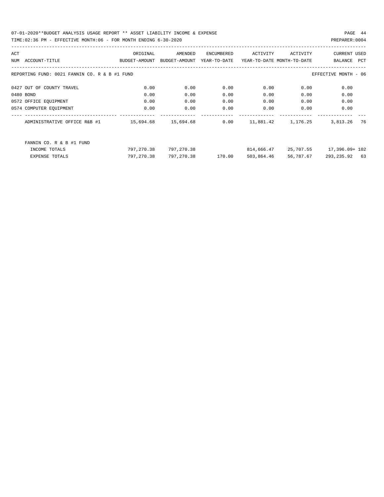| ACT |                                               | ORIGINAL                                                   | AMENDED       | ENCUMBERED   | ACTIVITY                   | ACTIVITY           | CURRENT USED             |
|-----|-----------------------------------------------|------------------------------------------------------------|---------------|--------------|----------------------------|--------------------|--------------------------|
|     | NUM ACCOUNT-TITLE                             | BUDGET-AMOUNT                                              | BUDGET-AMOUNT | YEAR-TO-DATE | YEAR-TO-DATE MONTH-TO-DATE |                    | BALANCE<br>PCT           |
|     | REPORTING FUND: 0021 FANNIN CO. R & B #1 FUND |                                                            |               |              |                            |                    | EFFECTIVE MONTH - 06     |
|     | 0427 OUT OF COUNTY TRAVEL                     | 0.00                                                       | 0.00          | 0.00         | 0.00                       | 0.00               | 0.00                     |
|     | 0480 BOND                                     | 0.00                                                       | 0.00          | 0.00         | 0.00                       | 0.00               | 0.00                     |
|     | 0572 OFFICE EQUIPMENT                         | 0.00                                                       | 0.00          | 0.00         | 0.00                       | 0.00               | 0.00                     |
|     | 0574 COMPUTER EQUIPMENT                       | 0.00                                                       | 0.00          | 0.00         | 0.00                       | 0.00               | 0.00                     |
|     | ADMINISTRATIVE OFFICE R&B #1                  | -------------------- --------------<br>15,694.68 15,694.68 |               | 0.00         |                            | 11,881.42 1,176.25 | 76<br>3,813.26           |
|     | FANNIN CO. R & B #1 FUND                      |                                                            |               |              |                            |                    |                          |
|     | INCOME TOTALS                                 | 797,270.38                                                 | 797,270.38    |              | 814,666.47                 |                    | 25,707.55 17,396.09+ 102 |
|     | <b>EXPENSE TOTALS</b>                         | 797,270.38                                                 | 797,270.38    | 170.00       | 503,864.46                 | 56,787.67          | 293, 235, 92 63          |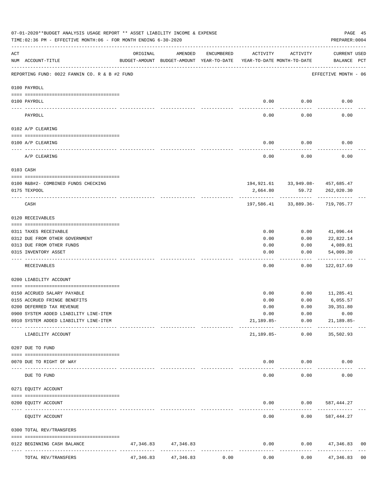|           |                                                      | 07-01-2020**BUDGET ANALYSIS USAGE REPORT ** ASSET LIABILITY INCOME & EXPENSE<br>PAGE 45<br>TIME: 02:36 PM - EFFECTIVE MONTH: 06 - FOR MONTH ENDING 6-30-2020<br>PREPARER: 0004 |                                                     |            |                                        |                      |                                                    |                |  |  |  |  |  |
|-----------|------------------------------------------------------|--------------------------------------------------------------------------------------------------------------------------------------------------------------------------------|-----------------------------------------------------|------------|----------------------------------------|----------------------|----------------------------------------------------|----------------|--|--|--|--|--|
| ACT       | NUM ACCOUNT-TITLE                                    | ORIGINAL                                                                                                                                                                       | AMENDED<br>BUDGET-AMOUNT BUDGET-AMOUNT YEAR-TO-DATE | ENCUMBERED | ACTIVITY<br>YEAR-TO-DATE MONTH-TO-DATE | ACTIVITY             | CURRENT USED<br>BALANCE PCT                        |                |  |  |  |  |  |
|           | REPORTING FUND: 0022 FANNIN CO. R & B #2 FUND        |                                                                                                                                                                                |                                                     |            |                                        |                      | EFFECTIVE MONTH - 06                               |                |  |  |  |  |  |
|           | 0100 PAYROLL                                         |                                                                                                                                                                                |                                                     |            |                                        |                      |                                                    |                |  |  |  |  |  |
|           | 0100 PAYROLL                                         |                                                                                                                                                                                |                                                     |            | 0.00                                   | 0.00                 | 0.00                                               |                |  |  |  |  |  |
|           | PAYROLL                                              |                                                                                                                                                                                |                                                     |            | 0.00                                   | 0.00                 | 0.00                                               |                |  |  |  |  |  |
|           | 0102 A/P CLEARING                                    |                                                                                                                                                                                |                                                     |            |                                        |                      |                                                    |                |  |  |  |  |  |
|           | 0100 A/P CLEARING                                    |                                                                                                                                                                                |                                                     |            | 0.00                                   | 0.00                 | 0.00                                               |                |  |  |  |  |  |
|           | A/P CLEARING                                         |                                                                                                                                                                                |                                                     |            | 0.00                                   | 0.00                 | 0.00                                               |                |  |  |  |  |  |
|           | 0103 CASH                                            |                                                                                                                                                                                |                                                     |            |                                        |                      |                                                    |                |  |  |  |  |  |
|           |                                                      |                                                                                                                                                                                |                                                     |            |                                        |                      |                                                    |                |  |  |  |  |  |
|           | 0100 R&B#2- COMBINED FUNDS CHECKING<br>0175 TEXPOOL  |                                                                                                                                                                                |                                                     |            | 2,664.80                               | 59.72                | 194, 921.61 33, 949.08 - 457, 685.47<br>262,020.30 |                |  |  |  |  |  |
|           | CASH                                                 |                                                                                                                                                                                |                                                     |            |                                        | ____________         | 197,586.41 33,889.36- 719,705.77                   |                |  |  |  |  |  |
|           | 0120 RECEIVABLES                                     |                                                                                                                                                                                |                                                     |            |                                        |                      |                                                    |                |  |  |  |  |  |
|           | 0311 TAXES RECEIVABLE                                |                                                                                                                                                                                |                                                     |            | 0.00                                   | 0.00                 | 41,096.44                                          |                |  |  |  |  |  |
|           | 0312 DUE FROM OTHER GOVERNMENT                       |                                                                                                                                                                                |                                                     |            | 0.00                                   | 0.00                 | 22,822.14                                          |                |  |  |  |  |  |
|           | 0313 DUE FROM OTHER FUNDS                            |                                                                                                                                                                                |                                                     |            | 0.00                                   | 0.00                 | 4,089.81                                           |                |  |  |  |  |  |
|           | 0315 INVENTORY ASSET                                 |                                                                                                                                                                                |                                                     |            | 0.00                                   | 0.00                 | 54,009.30<br>----------                            |                |  |  |  |  |  |
|           | RECEIVABLES                                          |                                                                                                                                                                                |                                                     |            | 0.00                                   | 0.00                 | 122,017.69                                         |                |  |  |  |  |  |
|           | 0200 LIABILITY ACCOUNT                               |                                                                                                                                                                                |                                                     |            |                                        |                      |                                                    |                |  |  |  |  |  |
|           | 0150 ACCRUED SALARY PAYABLE                          |                                                                                                                                                                                |                                                     |            | 0.00                                   | 0.00                 | 11,285.41                                          |                |  |  |  |  |  |
|           | 0155 ACCRUED FRINGE BENEFITS                         |                                                                                                                                                                                |                                                     |            | 0.00                                   | 0.00                 | 6,055.57                                           |                |  |  |  |  |  |
|           | 0200 DEFERRED TAX REVENUE                            |                                                                                                                                                                                |                                                     |            | 0.00                                   | 0.00                 | 39, 351.80                                         |                |  |  |  |  |  |
|           | 0900 SYSTEM ADDED LIABILITY LINE-ITEM                |                                                                                                                                                                                |                                                     |            | 0.00                                   | 0.00                 | 0.00                                               |                |  |  |  |  |  |
|           | 0910 SYSTEM ADDED LIABILITY LINE-ITEM                |                                                                                                                                                                                |                                                     |            |                                        | 21,189.85- 0.00      | $21,189.85-$                                       |                |  |  |  |  |  |
|           | LIABILITY ACCOUNT                                    |                                                                                                                                                                                |                                                     |            | 21,189.85-                             | 0.00                 | 35,502.93                                          |                |  |  |  |  |  |
|           | 0207 DUE TO FUND                                     |                                                                                                                                                                                |                                                     |            |                                        |                      |                                                    |                |  |  |  |  |  |
|           | 0070 DUE TO RIGHT OF WAY                             |                                                                                                                                                                                | --------------                                      |            |                                        | $0.00$ $0.00$        | 0.00                                               |                |  |  |  |  |  |
| $- - - -$ | DUE TO FUND                                          |                                                                                                                                                                                |                                                     |            | $- - - - -$<br>0.00                    | . <u>.</u> .<br>0.00 | 0.00                                               |                |  |  |  |  |  |
|           | 0271 EQUITY ACCOUNT                                  |                                                                                                                                                                                |                                                     |            |                                        |                      |                                                    |                |  |  |  |  |  |
|           | 0200 EQUITY ACCOUNT                                  |                                                                                                                                                                                |                                                     |            |                                        |                      | $0.00$ $0.00$ $587,444.27$                         |                |  |  |  |  |  |
|           | -------------------- -------------<br>EQUITY ACCOUNT |                                                                                                                                                                                |                                                     |            | -----<br>0.00                          | 0.00                 | 587,444.27                                         |                |  |  |  |  |  |
|           | 0300 TOTAL REV/TRANSFERS                             |                                                                                                                                                                                |                                                     |            |                                        |                      |                                                    |                |  |  |  |  |  |
|           | 0122 BEGINNING CASH BALANCE                          |                                                                                                                                                                                | 47, 346.83 47, 346.83                               |            | 0.00                                   |                      | $0.00$ $47,346.83$                                 | 0 <sub>0</sub> |  |  |  |  |  |
|           | TOTAL REV/TRANSFERS                                  | 47,346.83                                                                                                                                                                      | 47,346.83                                           | 0.00       | 0.00                                   | 0.00                 | 47,346.83                                          | 0 <sub>0</sub> |  |  |  |  |  |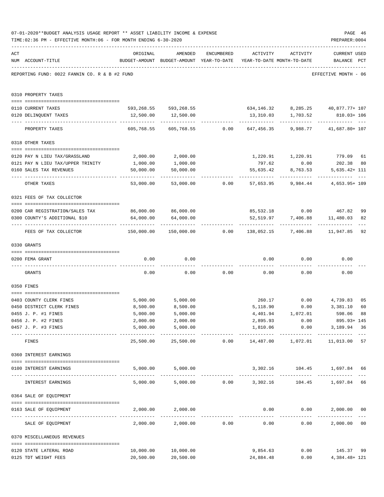|     | 07-01-2020**BUDGET ANALYSIS USAGE REPORT ** ASSET LIABILITY INCOME & EXPENSE<br>TIME: 02:36 PM - EFFECTIVE MONTH: 06 - FOR MONTH ENDING 6-30-2020 |                        |                                                                                |            |                                       |                                | PAGE 46<br>PREPARER: 0004                      |                     |
|-----|---------------------------------------------------------------------------------------------------------------------------------------------------|------------------------|--------------------------------------------------------------------------------|------------|---------------------------------------|--------------------------------|------------------------------------------------|---------------------|
| ACT | NUM ACCOUNT-TITLE                                                                                                                                 | ORIGINAL               | AMENDED<br>BUDGET-AMOUNT BUDGET-AMOUNT YEAR-TO-DATE YEAR-TO-DATE MONTH-TO-DATE | ENCUMBERED |                                       | ACTIVITY ACTIVITY              | <b>CURRENT USED</b><br>BALANCE PCT             |                     |
|     | REPORTING FUND: 0022 FANNIN CO. R & B #2 FUND                                                                                                     |                        |                                                                                |            |                                       |                                | EFFECTIVE MONTH - 06                           |                     |
|     | 0310 PROPERTY TAXES                                                                                                                               |                        |                                                                                |            |                                       |                                |                                                |                     |
|     | 0110 CURRENT TAXES                                                                                                                                |                        | 593,268.55 593,268.55 634,146.32 8,285.25 40,877.77+107                        |            |                                       |                                |                                                |                     |
|     | 0120 DELINQUENT TAXES                                                                                                                             |                        | 12,500.00   12,500.00                                                          |            |                                       |                                | 13,310.03  1,703.52  810.03+106                |                     |
|     |                                                                                                                                                   |                        |                                                                                |            | ------------ -                        | -----------                    |                                                |                     |
|     | PROPERTY TAXES                                                                                                                                    | 605,768.55             |                                                                                |            |                                       |                                |                                                |                     |
|     | 0318 OTHER TAXES                                                                                                                                  |                        |                                                                                |            |                                       |                                |                                                |                     |
|     | 0120 PAY N LIEU TAX/GRASSLAND                                                                                                                     | 2,000.00               | 2,000.00                                                                       |            |                                       | 1,220.91 1,220.91              | 779.09 61                                      |                     |
|     | 0121 PAY N LIEU TAX/UPPER TRINITY                                                                                                                 | 1,000.00               | 1,000.00                                                                       |            | 797.62                                | 0.00                           | 202.38 80                                      |                     |
|     | 0160 SALES TAX REVENUES                                                                                                                           | 50,000.00              | 50,000.00                                                                      |            | 55,635.42                             | 8,763.53                       | $5,635.42+111$                                 |                     |
|     | OTHER TAXES                                                                                                                                       | ---------<br>53,000.00 |                                                                                |            | $53,000.00$ 0.00 $57,653.95$ 9,984.44 | ----------                     | 4,653.95+ 109                                  |                     |
|     | 0321 FEES OF TAX COLLECTOR                                                                                                                        |                        |                                                                                |            |                                       |                                |                                                |                     |
|     |                                                                                                                                                   |                        |                                                                                |            |                                       |                                |                                                |                     |
|     | 0200 CAR REGISTRATION/SALES TAX                                                                                                                   | 86,000.00 86,000.00    |                                                                                |            |                                       |                                | 85,532.18 0.00 467.82                          | 99                  |
|     | 0300 COUNTY'S ADDITIONAL \$10                                                                                                                     | 64,000.00              | 64,000.00                                                                      |            |                                       |                                | 52,519.97 7,406.88 11,480.03<br>-------------- | 82                  |
|     | FEES OF TAX COLLECTOR                                                                                                                             |                        | $150,000.00$ $150,000.00$ 0.00 $138,052.15$ 7,406.88 11,947.85                 |            |                                       |                                |                                                | 92                  |
|     | 0330 GRANTS                                                                                                                                       |                        |                                                                                |            |                                       |                                |                                                |                     |
|     | 0200 FEMA GRANT                                                                                                                                   | 0.00                   | 0.00                                                                           |            |                                       | $0.00$ $0.00$                  | 0.00                                           |                     |
|     | GRANTS                                                                                                                                            | 0.00                   |                                                                                |            | $0.00$ $0.00$ $0.00$ $0.00$ $0.00$    |                                | 0.00                                           |                     |
|     |                                                                                                                                                   |                        |                                                                                |            |                                       |                                |                                                |                     |
|     | 0350 FINES                                                                                                                                        |                        |                                                                                |            |                                       |                                |                                                |                     |
|     | 0403 COUNTY CLERK FINES                                                                                                                           | 5,000.00               | 5,000.00                                                                       |            |                                       |                                | 260.17 0.00 4,739.83                           | 0 <sub>5</sub>      |
|     | 0450 DISTRICT CLERK FINES                                                                                                                         | 8,500.00               | 8,500.00                                                                       |            | 5,118.90                              | 0.00                           | 3,381.10                                       | 60                  |
|     | 0455 J. P. #1 FINES                                                                                                                               | 5,000.00               | 5,000.00                                                                       |            | 4,401.94                              | 1,072.01                       | 598.06 88                                      |                     |
|     | 0456 J. P. #2 FINES                                                                                                                               | 2,000.00               | 2,000.00                                                                       |            | 2,895.93                              | 0.00                           | 895.93+ 145                                    |                     |
|     | 0457 J. P. #3 FINES                                                                                                                               | 5,000.00               | 5,000.00<br>--------------                                                     |            | --------------                        | 1,810.06 0.00<br>------------- | 3,189.94 36<br>-------------                   |                     |
|     | FINES                                                                                                                                             | 25,500.00              |                                                                                |            |                                       |                                |                                                | 57                  |
|     | 0360 INTEREST EARNINGS                                                                                                                            |                        |                                                                                |            |                                       |                                |                                                |                     |
|     | 0100 INTEREST EARNINGS                                                                                                                            |                        | 5,000.00 5,000.00                                                              |            |                                       |                                |                                                |                     |
|     | INTEREST EARNINGS                                                                                                                                 |                        | 5,000.00 5,000.00 0.00 3,302.16 104.45 1,697.84 66                             |            |                                       |                                |                                                | $\qquad \qquad - -$ |
|     | 0364 SALE OF EQUIPMENT                                                                                                                            |                        |                                                                                |            |                                       |                                |                                                |                     |
|     | --------------------------------------<br>0163 SALE OF EQUIPMENT                                                                                  |                        | 2,000.00 2,000.00                                                              |            |                                       | $0.00$ $0.00$                  | 2,000.00 00                                    |                     |
|     | SALE OF EQUIPMENT                                                                                                                                 |                        | 2,000.00 2,000.00 0.00                                                         |            | 0.00                                  | 0.00                           | -------------<br>2,000.00 00                   |                     |
|     | 0370 MISCELLANEOUS REVENUES                                                                                                                       |                        |                                                                                |            |                                       |                                |                                                |                     |
|     |                                                                                                                                                   |                        |                                                                                |            |                                       |                                |                                                |                     |
|     | 0120 STATE LATERAL ROAD<br>0125 TDT WEIGHT FEES                                                                                                   | 10,000.00<br>20,500.00 | 10,000.00<br>20,500.00                                                         |            | 9,854.63<br>24,884.48                 |                                | $0.00$ 145.37<br>0.00<br>4,384.48+ 121         | 99                  |
|     |                                                                                                                                                   |                        |                                                                                |            |                                       |                                |                                                |                     |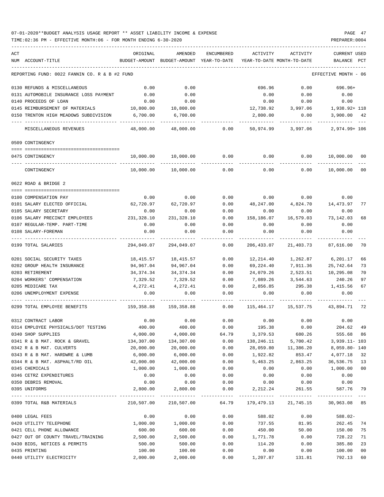### 07-01-2020\*\*BUDGET ANALYSIS USAGE REPORT \*\* ASSET LIABILITY INCOME & EXPENSE PAGE 47 TIME:02:36 PM - EFFECTIVE MONTH:06 - FOR MONTH ENDING 6-30-2020

| ACT |                                               | ORIGINAL         | AMENDED               | ENCUMBERED   | ACTIVITY                 | <b>ACTIVITY</b>                         | <b>CURRENT USED</b> |        |
|-----|-----------------------------------------------|------------------|-----------------------|--------------|--------------------------|-----------------------------------------|---------------------|--------|
|     | NUM ACCOUNT-TITLE                             | BUDGET-AMOUNT    | BUDGET-AMOUNT         | YEAR-TO-DATE |                          | YEAR-TO-DATE MONTH-TO-DATE              | BALANCE             | PCT    |
|     | REPORTING FUND: 0022 FANNIN CO. R & B #2 FUND |                  |                       |              |                          |                                         | EFFECTIVE MONTH     | - 06   |
|     | 0130 REFUNDS & MISCELLANEOUS                  | 0.00             | 0.00                  |              | 696.96                   | 0.00                                    | 696.96+             |        |
|     | 0131 AUTOMOBILE INSURANCE LOSS PAYMENT        | 0.00             | 0.00                  |              | 0.00                     | 0.00                                    | 0.00                |        |
|     | 0140 PROCEEDS OF LOAN                         | 0.00             | 0.00                  |              | 0.00                     | 0.00                                    | 0.00                |        |
|     | 0145 REIMBURSEMENT OF MATERIALS               | 10,800.00        | 10,800.00             |              | 12,738.92                | 3,997.06                                | 1,938.92+ 118       |        |
|     | 0150 TRENTON HIGH MEADOWS SUBDIVISION         | 6,700.00         | 6,700.00              |              | 2,800.00                 | 0.00                                    | 3,900.00            | 42     |
|     | MISCELLANEOUS REVENUES                        | 48,000.00        | 48,000.00             | 0.00         | 50,974.99                | 3,997.06                                | 2,974.99+ 106       |        |
|     | 0509 CONTINGENCY                              |                  |                       |              |                          |                                         |                     |        |
|     | 0475 CONTINGENCY                              | 10,000.00        | 10,000.00             | 0.00         | 0.00                     | 0.00                                    | 10,000.00           | 00     |
|     | CONTINGENCY                                   | 10,000.00        | 10,000.00             | 0.00         | 0.00                     | 0.00                                    | 10,000.00           | 00     |
|     |                                               |                  |                       |              |                          |                                         |                     |        |
|     | 0622 ROAD & BRIDGE 2                          |                  |                       |              |                          |                                         |                     |        |
|     | 0100 COMPENSATION PAY                         | 0.00             | 0.00                  | 0.00         | 0.00                     | 0.00                                    | 0.00                |        |
|     | 0101 SALARY ELECTED OFFICIAL                  | 62,720.97        | 62,720.97             | 0.00         | 48,247.00                | 4,824.70                                | 14,473.97           | 77     |
|     | 0105 SALARY SECRETARY                         | 0.00             | 0.00                  | 0.00         | 0.00                     | 0.00                                    | 0.00                |        |
|     | 0106 SALARY PRECINCT EMPLOYEES                | 231,328.10       | 231,328.10            | 0.00         | 158,186.07               | 16,579.03                               | 73,142.03           | 68     |
|     | 0107 REGULAR-TEMP. PART-TIME                  | 0.00             | 0.00                  | 0.00         | 0.00                     | 0.00                                    | 0.00                |        |
|     | 0108 SALARY-FOREMAN                           | 0.00             | 0.00                  | 0.00         | 0.00                     | 0.00                                    | 0.00                |        |
|     | 0199 TOTAL SALARIES                           | 294,049.07       | 294,049.07            | 0.00         | 206,433.07               | 21,403.73                               | 87,616.00           | 70     |
|     | 0201 SOCIAL SECURITY TAXES                    | 18,415.57        | 18,415.57             | 0.00         | 12,214.40                | 1,262.87                                | 6,201.17            | 66     |
|     | 0202 GROUP HEALTH INSURANCE                   | 94,967.04        | 94,967.04             | 0.00         | 69,224.40                | 7,911.36                                | 25,742.64           | 73     |
|     | 0203 RETIREMENT                               | 34, 374. 34      | 34, 374. 34           | 0.00         | 24,079.26                | 2,523.51                                | 10,295.08           | 70     |
|     | 0204 WORKERS' COMPENSATION                    | 7,329.52         | 7,329.52              | 0.00         | 7,089.26                 | 3,544.63                                | 240.26              | 97     |
|     | 0205 MEDICARE TAX                             | 4,272.41         | 4,272.41              | 0.00         | 2,856.85                 | 295.38                                  | 1,415.56            | 67     |
|     | 0206 UNEMPLOYMENT EXPENSE                     | 0.00             | 0.00                  | 0.00         | 0.00                     | 0.00                                    | 0.00                |        |
|     | 0299 TOTAL EMPLOYEE BENEFITS                  | 159,358.88       | 159,358.88            | 0.00         | 115,464.17               | 15,537.75                               | 43,894.71           | 72     |
|     | 0312 CONTRACT LABOR                           | 0.00             | 0.00                  | 0.00         | 0.00                     | 0.00                                    | 0.00                |        |
|     | 0314 EMPLOYEE PHYSICALS/DOT TESTING           | 400.00           | 400.00                | 0.00         | 195.38                   | 0.00                                    | 204.62              | 49     |
|     | 0340 SHOP SUPPLIES                            | 4,000.00         | 4,000.00              | 64.79        | 3,379.53                 | 680.26                                  | 555.68 86           |        |
|     | 0341 R & B MAT. ROCK & GRAVEL                 | 134,307.00       | 134,307.00            | 0.00         | 138,246.11               | 5,700.42                                | $3,939.11 - 103$    |        |
|     | 0342 R & B MAT. CULVERTS                      | 20,000.00        | 20,000.00             | 0.00         |                          | 28,059.80 11,386.20                     | 8,059.80- 140       |        |
|     | 0343 R & B MAT. HARDWRE & LUMB                | 6,000.00         | 6,000.00              | 0.00         | 1,922.82                 |                                         | 853.47 4,077.18 32  |        |
|     | 0344 R & B MAT. ASPHALT/RD OIL                | 42,000.00        | 42,000.00             | 0.00         | 5,463.25                 | 2,863.25                                | 36,536.75 13        |        |
|     | 0345 CHEMICALS                                | 1,000.00         | 1,000.00              | 0.00         | 0.00                     | 0.00                                    | 1,000.00 00         |        |
|     | 0346 CETRZ EXPENDITURES                       | 0.00             | 0.00<br>0.00          | 0.00         | 0.00                     | 0.00                                    | 0.00                |        |
|     | 0350 DEBRIS REMOVAL<br>0395 UNIFORMS          | 0.00<br>2,800.00 | 2,800.00              | 0.00         | 0.00<br>$0.00$ 2, 212.24 | 0.00<br>261.55                          | 0.00<br>587.76 79   |        |
|     |                                               |                  |                       |              |                          |                                         |                     |        |
|     | 0399 TOTAL R&B MATERIALS                      |                  | 210,507.00 210,507.00 |              |                          | 64.79 179,479.13 21,745.15 30,963.08 85 |                     |        |
|     | 0400 LEGAL FEES                               | 0.00             | 0.00                  | 0.00         | 588.02                   | 0.00                                    | 588.02-             |        |
|     | 0420 UTILITY TELEPHONE                        | 1,000.00         | 1,000.00              | 0.00         | 737.55                   | 81.95                                   | 262.45 74           |        |
|     | 0421 CELL PHONE ALLOWANCE                     | 600.00           | 600.00                | 0.00         | 450.00                   | 50.00                                   | 150.00              | 75     |
|     | 0427 OUT OF COUNTY TRAVEL/TRAINING            | 2,500.00         | 2,500.00              | 0.00         | 1,771.78                 | 0.00                                    | 728.22              | 71     |
|     | 0430 BIDS, NOTICES & PERMITS                  | 500.00           | 500.00                | 0.00         | 114.20                   | 0.00                                    | 385.80              | 23     |
|     | 0435 PRINTING                                 | 100.00           | 100.00                | 0.00         | 0.00                     | 0.00                                    | 100.00              | $00\,$ |
|     | 0440 UTILITY ELECTRICITY                      | 2,000.00         | 2,000.00              | 0.00         | 1,207.87                 | 131.81                                  | 792.13              | 60     |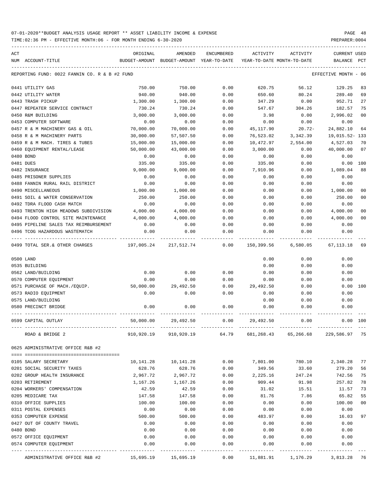TIME:02:36 PM - EFFECTIVE MONTH:06 - FOR MONTH ENDING 6-30-2020 PREPARER:0004

| ACT | NUM ACCOUNT-TITLE                                  | ORIGINAL<br>BUDGET-AMOUNT | AMENDED<br>BUDGET-AMOUNT | <b>ENCUMBERED</b><br>YEAR-TO-DATE | ACTIVITY       | ACTIVITY<br>YEAR-TO-DATE MONTH-TO-DATE | <b>CURRENT USED</b><br>BALANCE | PCT            |
|-----|----------------------------------------------------|---------------------------|--------------------------|-----------------------------------|----------------|----------------------------------------|--------------------------------|----------------|
|     | REPORTING FUND: 0022 FANNIN CO. R & B #2 FUND      |                           |                          |                                   |                |                                        | EFFECTIVE MONTH - 06           |                |
|     | 0441 UTILITY GAS                                   | 750.00                    | 750.00                   | 0.00                              | 620.75         | 56.12                                  | 129.25                         | 83             |
|     | 0442 UTILITY WATER                                 | 940.00                    | 940.00                   | 0.00                              | 650.60         | 80.24                                  | 289.40                         | 69             |
|     | 0443 TRASH PICKUP                                  | 1,300.00                  | 1,300.00                 | 0.00                              | 347.29         | 0.00                                   | 952.71                         | 27             |
|     | 0447 REPEATER SERVICE CONTRACT                     | 730.24                    | 730.24                   | 0.00                              | 547.67         | 304.26                                 | 182.57                         | 75             |
|     | 0450 R&M BUILDING                                  | 3,000.00                  | 3,000.00                 | 0.00                              | 3.98           | 0.00                                   | 2,996.02                       | 0 <sub>0</sub> |
|     | 0453 COMPUTER SOFTWARE                             | 0.00                      | 0.00                     | 0.00                              | 0.00           | 0.00                                   | 0.00                           |                |
|     | 0457 R & M MACHINERY GAS & OIL                     | 70,000.00                 | 70,000.00                | 0.00                              | 45,117.90      | $20.72-$                               | 24,882.10                      | 64             |
|     | 0458 R & M MACHINERY PARTS                         | 30,000.00                 | 57,507.50                | 0.00                              | 76,523.02      | 3,342.39                               | 19,015.52-133                  |                |
|     | 0459 R & M MACH. TIRES & TUBES                     | 15,000.00                 | 15,000.00                | 0.00                              | 10,472.97      | 2,554.00                               | 4,527.03                       | 70             |
|     | 0460 EQUIPMENT RENTAL/LEASE                        | 50,000.00                 | 43,000.00                | 0.00                              | 3,000.00       | 0.00                                   | 40,000.00                      | 07             |
|     | 0480 BOND                                          | 0.00                      | 0.00                     | 0.00                              | 0.00           | 0.00                                   | 0.00                           |                |
|     | 0481 DUES                                          | 335.00                    | 335.00                   | 0.00                              | 335.00         | 0.00                                   | 0.00                           | 100            |
|     | 0482 INSURANCE                                     | 9,000.00                  | 9,000.00                 | 0.00                              | 7,910.96       | 0.00                                   | 1,089.04                       | 88             |
|     | 0485 PRISONER SUPPLIES                             | 0.00                      | 0.00                     | 0.00                              | 0.00           | 0.00                                   | 0.00                           |                |
|     | 0488 FANNIN RURAL RAIL DISTRICT                    | 0.00                      | 0.00                     | 0.00                              | 0.00           | 0.00                                   | 0.00                           |                |
|     | 0490 MISCELLANEOUS                                 | 1,000.00                  | 1,000.00                 | 0.00                              | 0.00           | 0.00                                   | 1,000.00                       | 0 <sub>0</sub> |
|     | 0491 SOIL & WATER CONSERVATION                     | 250.00                    | 250.00                   | 0.00                              | 0.00           | 0.00                                   | 250.00                         | 0 <sub>0</sub> |
|     | 0492 TDRA FLOOD CASH MATCH                         | 0.00                      | 0.00                     | 0.00                              | 0.00           | 0.00                                   | 0.00                           |                |
|     | 0493 TRENTON HIGH MEADOWS SUBDIVISION              | 4,000.00                  | 4,000.00                 | 0.00                              | 0.00           | 0.00                                   | 4,000.00                       | 0 <sub>0</sub> |
|     | 0494 FLOOD CONTROL SITE MAINTENANCE                | 4,000.00                  | 4,000.00                 | 0.00                              | 0.00           | 0.00                                   | 4,000.00                       | 0 <sub>0</sub> |
|     | 0495 PIPELINE SALES TAX REIMBURSEMENT              | 0.00                      | 0.00                     | 0.00                              | 0.00           | 0.00                                   | 0.00                           |                |
|     | 0496 TCOG HAZARDOUS WASTEMATCH                     | 0.00                      | 0.00                     | 0.00                              | 0.00           | 0.00                                   | 0.00                           |                |
|     | 0499 TOTAL SER. & OTHER CHARGES                    | 197,005.24                | 217,512.74               | 0.00                              | 150,399.56     | 6,580.05                               | 67,113.18                      | 69             |
|     | 0500 LAND                                          |                           |                          |                                   | 0.00           | 0.00                                   | 0.00                           |                |
|     | 0535 BUILDING                                      |                           |                          |                                   | 0.00           | 0.00                                   | 0.00                           |                |
|     | 0562 LAND/BUILDING                                 | 0.00                      | 0.00                     | 0.00                              | 0.00           | 0.00                                   | 0.00                           |                |
|     | 0570 COMPUTER EQUIPMENT                            | 0.00                      | 0.00                     | 0.00                              | 0.00           | 0.00                                   | 0.00                           |                |
|     | 0571 PURCHASE OF MACH./EQUIP.                      | 50,000.00                 | 29,492.50                | 0.00                              | 29,492.50      | 0.00                                   | 0.00 100                       |                |
|     | 0573 RADIO EQUIPMENT                               | 0.00                      | 0.00                     | 0.00                              | 0.00           | 0.00                                   | 0.00                           |                |
|     | 0575 LAND/BUILDING                                 |                           |                          |                                   | 0.00           | 0.00                                   | 0.00                           |                |
|     | 0580 PRECINCT BRIDGE                               | 0.00                      | 0.00                     | 0.00                              | 0.00           | 0.00                                   | 0.00                           |                |
|     | 0599 CAPITAL OUTLAY                                | 50,000.00                 | 29,492.50                | 0.00                              | 29,492.50      | 0.00                                   | $0.00$ 100                     |                |
|     | ROAD & BRIDGE 2                                    |                           | 910,920.19 910,920.19    | 64.79                             |                | 681,268.43 65,266.68                   | 229,586.97                     | -75            |
|     | 0625 ADMINISTRATIVE OFFICE R&B #2                  |                           |                          |                                   |                |                                        |                                |                |
|     |                                                    |                           | 10,141.28                | 0.00                              |                | 780.10                                 |                                | 77             |
|     | 0105 SALARY SECRETARY                              | 10,141.28                 |                          |                                   | 7,801.00       |                                        | 2,340.28                       |                |
|     | 0201 SOCIAL SECURITY TAXES                         | 628.76                    | 628.76                   | 0.00                              | 349.56         | 33.60                                  | 279.20                         | 56             |
|     | 0202 GROUP HEALTH INSURANCE                        | 2,967.72                  | 2,967.72                 | 0.00                              | 2,225.16       | 247.24                                 | 742.56                         | 75             |
|     | 0203 RETIREMENT<br>0204 WORKERS' COMPENSATION      | 1,167.26                  | 1,167.26<br>42.59        | 0.00                              | 909.44         | 91.98                                  | 257.82                         | 78<br>73       |
|     |                                                    | 42.59                     |                          | 0.00                              | 31.02          | 15.51                                  | 11.57                          | 55             |
|     | 0205 MEDICARE TAX<br>0310 OFFICE SUPPLIES          | 147.58                    | 147.58                   | 0.00                              | 81.76          | 7.86                                   | 65.82                          | 0 <sub>0</sub> |
|     |                                                    | 100.00                    | 100.00                   | 0.00                              | 0.00           | 0.00                                   | 100.00                         |                |
|     | 0311 POSTAL EXPENSES                               | 0.00                      | 0.00                     | 0.00                              | 0.00           | 0.00                                   | 0.00                           |                |
|     | 0353 COMPUTER EXPENSE<br>0427 OUT OF COUNTY TRAVEL | 500.00<br>0.00            | 500.00                   | 0.00                              | 483.97<br>0.00 | 0.00                                   | 16.03<br>0.00                  | 97             |
|     | 0480 BOND                                          | 0.00                      | 0.00                     | 0.00                              |                | 0.00                                   |                                |                |
|     | 0572 OFFICE EQUIPMENT                              | 0.00                      | 0.00<br>0.00             | 0.00<br>0.00                      | 0.00           | 0.00                                   | 0.00<br>0.00                   |                |
|     | 0574 COMPUTER EQUIPMENT                            | 0.00                      | 0.00                     | 0.00                              | 0.00<br>0.00   | 0.00<br>0.00                           | 0.00                           |                |
|     |                                                    |                           |                          |                                   |                |                                        |                                |                |

ADMINISTRATIVE OFFICE R&B #2 15,695.19 15,695.19 0.00 11,881.91 1,176.29 3,813.28 76

-----------------------------------------------------------------------------------------------------------------------------------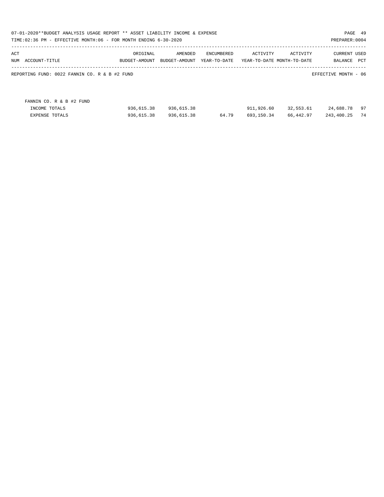| 07-01-2020**BUDGET ANALYSIS USAGE REPORT ** ASSET LIABILITY INCOME & EXPENSE<br>PAGE 49<br>TIME:02:36 PM - EFFECTIVE MONTH:06 - FOR MONTH ENDING 6-30-2020<br>PREPARER: 0004 |                                                                    |                           |                          |                            |                          |                                        |                                |          |  |
|------------------------------------------------------------------------------------------------------------------------------------------------------------------------------|--------------------------------------------------------------------|---------------------------|--------------------------|----------------------------|--------------------------|----------------------------------------|--------------------------------|----------|--|
| ACT<br>NUM                                                                                                                                                                   | ACCOUNT-TITLE                                                      | ORIGINAL<br>BUDGET-AMOUNT | AMENDED<br>BUDGET-AMOUNT | ENCUMBERED<br>YEAR-TO-DATE | ACTIVITY                 | ACTIVITY<br>YEAR-TO-DATE MONTH-TO-DATE | <b>CURRENT USED</b><br>BALANCE | PCT      |  |
|                                                                                                                                                                              | REPORTING FUND: 0022 FANNIN CO. R & B #2 FUND                      |                           |                          |                            |                          |                                        | EFFECTIVE MONTH - 06           |          |  |
|                                                                                                                                                                              | FANNIN CO. R & B #2 FUND<br>INCOME TOTALS<br><b>EXPENSE TOTALS</b> | 936,615.38<br>936,615.38  | 936,615.38<br>936,615.38 | 64.79                      | 911,926.60<br>693,150.34 | 32,553.61<br>66,442.97                 | 24,688.78<br>243,400.25        | 97<br>74 |  |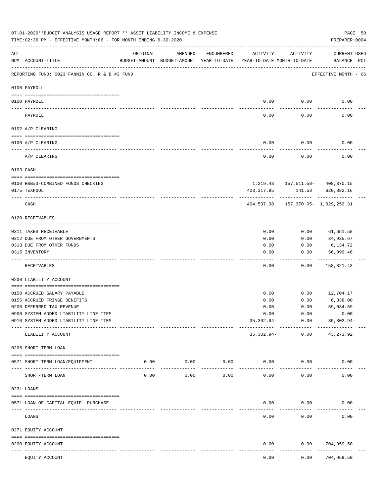|           | 07-01-2020**BUDGET ANALYSIS USAGE REPORT ** ASSET LIABILITY INCOME & EXPENSE<br>PAGE 50<br>TIME: 02:36 PM - EFFECTIVE MONTH: 06 - FOR MONTH ENDING 6-30-2020<br>PREPARER: 0004 |                                                      |                     |                     |                                        |                  |                                                            |  |  |  |  |  |
|-----------|--------------------------------------------------------------------------------------------------------------------------------------------------------------------------------|------------------------------------------------------|---------------------|---------------------|----------------------------------------|------------------|------------------------------------------------------------|--|--|--|--|--|
| ACT       | NUM ACCOUNT-TITLE                                                                                                                                                              | ORIGINAL<br>BUDGET-AMOUNT BUDGET-AMOUNT YEAR-TO-DATE | AMENDED             | ENCUMBERED          | ACTIVITY<br>YEAR-TO-DATE MONTH-TO-DATE | ACTIVITY         | <b>CURRENT USED</b><br>BALANCE PCT                         |  |  |  |  |  |
|           | REPORTING FUND: 0023 FANNIN CO. R & B #3 FUND                                                                                                                                  |                                                      |                     |                     |                                        |                  | EFFECTIVE MONTH - 06                                       |  |  |  |  |  |
|           | 0100 PAYROLL                                                                                                                                                                   |                                                      |                     |                     |                                        |                  |                                                            |  |  |  |  |  |
|           | 0100 PAYROLL                                                                                                                                                                   |                                                      |                     |                     | 0.00                                   | 0.00             | 0.00                                                       |  |  |  |  |  |
| ---- ---- | PAYROLL                                                                                                                                                                        |                                                      |                     |                     | 0.00                                   | 0.00             | 0.00                                                       |  |  |  |  |  |
|           | 0102 A/P CLEARING                                                                                                                                                              |                                                      |                     |                     |                                        |                  |                                                            |  |  |  |  |  |
|           | 0100 A/P CLEARING                                                                                                                                                              |                                                      |                     |                     | 0.00                                   | 0.00             | 0.00                                                       |  |  |  |  |  |
|           | -----------------------------------<br>A/P CLEARING                                                                                                                            |                                                      |                     |                     | 0.00                                   | --------<br>0.00 | 0.00                                                       |  |  |  |  |  |
|           | 0103 CASH                                                                                                                                                                      |                                                      |                     |                     |                                        |                  |                                                            |  |  |  |  |  |
|           |                                                                                                                                                                                |                                                      |                     |                     |                                        |                  |                                                            |  |  |  |  |  |
|           | 0100 R&B#3-COMBINED FUNDS CHECKING<br>0175 TEXPOOL                                                                                                                             |                                                      |                     |                     | 403,317.95                             |                  | 1,219.43    157,511.58-    408,370.15<br>141.53 620,882.16 |  |  |  |  |  |
|           |                                                                                                                                                                                |                                                      |                     |                     |                                        |                  |                                                            |  |  |  |  |  |
|           | CASH                                                                                                                                                                           |                                                      |                     |                     | 404,537.38                             |                  | 157,370.05- 1,029,252.31                                   |  |  |  |  |  |
|           | 0120 RECEIVABLES                                                                                                                                                               |                                                      |                     |                     |                                        |                  |                                                            |  |  |  |  |  |
|           | 0311 TAXES RECEIVABLE                                                                                                                                                          |                                                      |                     |                     | 0.00                                   | 0.00             | 61,651.58                                                  |  |  |  |  |  |
|           | 0312 DUE FROM OTHER GOVERNMENTS                                                                                                                                                |                                                      |                     |                     | 0.00                                   | 0.00             | 34,935.67                                                  |  |  |  |  |  |
|           | 0313 DUE FROM OTHER FUNDS                                                                                                                                                      |                                                      |                     |                     | 0.00                                   | 0.00             | 6,134.72                                                   |  |  |  |  |  |
|           | 0315 INVENTORY                                                                                                                                                                 |                                                      |                     |                     | 0.00                                   | 0.00             | 56,099.46<br>.                                             |  |  |  |  |  |
|           | RECEIVABLES                                                                                                                                                                    |                                                      |                     |                     | 0.00                                   | 0.00             | 158,821.43                                                 |  |  |  |  |  |
|           | 0200 LIABILITY ACCOUNT                                                                                                                                                         |                                                      |                     |                     |                                        |                  |                                                            |  |  |  |  |  |
|           | 0150 ACCRUED SALARY PAYABLE                                                                                                                                                    |                                                      |                     |                     | 0.00                                   | 0.00             | 12,704.17                                                  |  |  |  |  |  |
|           | 0155 ACCRUED FRINGE BENEFITS                                                                                                                                                   |                                                      |                     |                     | 0.00                                   | 0.00             | 6,838.00                                                   |  |  |  |  |  |
|           | 0200 DEFERRED TAX REVENUE                                                                                                                                                      |                                                      |                     |                     | 0.00                                   | 0.00             | 59,034.69                                                  |  |  |  |  |  |
|           | 0900 SYSTEM ADDED LIABILITY LINE-ITEM                                                                                                                                          |                                                      |                     |                     | 0.00                                   | 0.00             | 0.00                                                       |  |  |  |  |  |
|           | 0910 SYSTEM ADDED LIABILITY LINE-ITEM                                                                                                                                          |                                                      |                     |                     | $35,302.94-$                           | 0.00             | $35,302.94-$                                               |  |  |  |  |  |
|           | LIABILITY ACCOUNT                                                                                                                                                              |                                                      |                     |                     | 35,302.94-                             | 0.00             | -----------<br>43, 273.92                                  |  |  |  |  |  |
|           | 0205 SHORT-TERM LOAN                                                                                                                                                           |                                                      |                     |                     |                                        |                  |                                                            |  |  |  |  |  |
|           | 0571 SHORT-TERM LOAN/EQUIPMENT                                                                                                                                                 | 0.00                                                 | 0.00<br>----------- | 0.00<br>$- - - - -$ |                                        | 0.00<br>0.00     | 0.00                                                       |  |  |  |  |  |
|           | SHORT-TERM LOAN                                                                                                                                                                | 0.00                                                 | 0.00                | 0.00                | 0.00                                   | 0.00             | 0.00                                                       |  |  |  |  |  |
|           | 0231 LOANS                                                                                                                                                                     |                                                      |                     |                     |                                        |                  |                                                            |  |  |  |  |  |
|           | 0571 LOAN OF CAPITAL EQUIP. PURCHASE                                                                                                                                           |                                                      |                     |                     | 0.00                                   | 0.00             | 0.00                                                       |  |  |  |  |  |
|           | LOANS                                                                                                                                                                          |                                                      |                     |                     | 0.00                                   | 0.00             | 0.00                                                       |  |  |  |  |  |
|           | 0271 EQUITY ACCOUNT                                                                                                                                                            |                                                      |                     |                     |                                        |                  |                                                            |  |  |  |  |  |
|           | 0200 EQUITY ACCOUNT                                                                                                                                                            |                                                      |                     |                     | 0.00                                   | 0.00             | 704,959.50                                                 |  |  |  |  |  |
|           | ------------<br>------------------- --------------<br>EQUITY ACCOUNT                                                                                                           |                                                      |                     |                     | 0.00                                   | 0.00             | ----------<br>704,959.50                                   |  |  |  |  |  |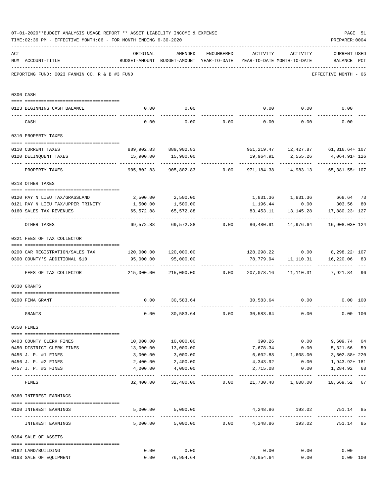|     | PAGE 51<br>07-01-2020**BUDGET ANALYSIS USAGE REPORT ** ASSET LIABILITY INCOME & EXPENSE<br>PREPARER: 0004<br>TIME: 02:36 PM - EFFECTIVE MONTH: 06 - FOR MONTH ENDING 6-30-2020 |                                                                        |                                                                                |                                    |                              |                                                  |                                                                          |    |  |  |  |
|-----|--------------------------------------------------------------------------------------------------------------------------------------------------------------------------------|------------------------------------------------------------------------|--------------------------------------------------------------------------------|------------------------------------|------------------------------|--------------------------------------------------|--------------------------------------------------------------------------|----|--|--|--|
| ACT | NUM ACCOUNT-TITLE                                                                                                                                                              | ORIGINAL                                                               | AMENDED<br>BUDGET-AMOUNT BUDGET-AMOUNT YEAR-TO-DATE YEAR-TO-DATE MONTH-TO-DATE |                                    | ENCUMBERED ACTIVITY ACTIVITY |                                                  | <b>CURRENT USED</b><br>BALANCE PCT                                       |    |  |  |  |
|     | REPORTING FUND: 0023 FANNIN CO. R & B #3 FUND                                                                                                                                  |                                                                        |                                                                                |                                    |                              |                                                  | EFFECTIVE MONTH - 06                                                     |    |  |  |  |
|     | 0300 CASH                                                                                                                                                                      |                                                                        |                                                                                |                                    |                              |                                                  |                                                                          |    |  |  |  |
|     | 0123 BEGINNING CASH BALANCE                                                                                                                                                    | 0.00                                                                   | 0.00                                                                           |                                    |                              |                                                  | $0.00$ $0.00$ $0.00$ $0.00$                                              |    |  |  |  |
|     | CASH                                                                                                                                                                           | 0.00                                                                   |                                                                                | $0.00$ $0.00$ $0.00$ $0.00$ $0.00$ |                              |                                                  | 0.00                                                                     |    |  |  |  |
|     | 0310 PROPERTY TAXES                                                                                                                                                            |                                                                        |                                                                                |                                    |                              |                                                  |                                                                          |    |  |  |  |
|     |                                                                                                                                                                                |                                                                        |                                                                                |                                    |                              |                                                  |                                                                          |    |  |  |  |
|     | 0110 CURRENT TAXES                                                                                                                                                             |                                                                        | 889,902.83 889,902.83                                                          |                                    |                              |                                                  | 951, 219.47    12, 427.87    61, 316.64+ 107                             |    |  |  |  |
|     | 0120 DELINQUENT TAXES                                                                                                                                                          |                                                                        | 15,900.00   15,900.00                                                          |                                    |                              | 19,964.91 2,555.26<br>------------ ------------- | 4,064.91+126<br>------------- ---                                        |    |  |  |  |
|     | PROPERTY TAXES                                                                                                                                                                 | 905,802.83                                                             |                                                                                | 905,802.83 0.00                    |                              | 971, 184. 38 14, 983. 13                         | 65,381.55+ 107                                                           |    |  |  |  |
|     | 0318 OTHER TAXES                                                                                                                                                               |                                                                        |                                                                                |                                    |                              |                                                  |                                                                          |    |  |  |  |
|     | 0120 PAY N LIEU TAX/GRASSLAND 2,500.00 2,500.00                                                                                                                                |                                                                        |                                                                                |                                    |                              |                                                  | 1,831.36  1,831.36  668.64  73                                           |    |  |  |  |
|     | 0121 PAY N LIEU TAX/UPPER TRINITY 1,500.00                                                                                                                                     |                                                                        | 1,500.00                                                                       |                                    |                              |                                                  | 1,196.44 0.00 303.56                                                     | 80 |  |  |  |
|     | 0160 SALES TAX REVENUES                                                                                                                                                        | 65,572.88                                                              | 65,572.88                                                                      |                                    |                              |                                                  | 83, 453.11 13, 145.28 17, 880.23+ 127                                    |    |  |  |  |
|     |                                                                                                                                                                                | ------------                                                           |                                                                                |                                    |                              | ------------                                     | . <u>.</u>                                                               |    |  |  |  |
|     | OTHER TAXES                                                                                                                                                                    |                                                                        |                                                                                |                                    |                              |                                                  | $69,572.88$ $69,572.88$ $0.00$ $86,480.91$ $14,976.64$ $16,908.03 + 124$ |    |  |  |  |
|     | 0321 FEES OF TAX COLLECTOR                                                                                                                                                     |                                                                        |                                                                                |                                    |                              |                                                  |                                                                          |    |  |  |  |
|     |                                                                                                                                                                                |                                                                        |                                                                                |                                    |                              |                                                  |                                                                          |    |  |  |  |
|     | 0200 CAR REGISTRATION/SALES TAX 120,000.00 120,000.00                                                                                                                          |                                                                        |                                                                                |                                    |                              |                                                  | $128, 298, 22$ 0.00 8, 298. $22+107$                                     |    |  |  |  |
|     | 0300 COUNTY'S ADDITIONAL \$10                                                                                                                                                  | 95,000.00                                                              | 95,000.00                                                                      |                                    |                              |                                                  | 78,779.94  11,110.31  16,220.06  83                                      |    |  |  |  |
|     | FEES OF TAX COLLECTOR                                                                                                                                                          | 215,000.00   215,000.00      0.00   207,078.16   11,110.31    7,921.84 |                                                                                |                                    |                              |                                                  |                                                                          | 96 |  |  |  |
|     | 0330 GRANTS                                                                                                                                                                    |                                                                        |                                                                                |                                    |                              |                                                  |                                                                          |    |  |  |  |
|     |                                                                                                                                                                                |                                                                        |                                                                                |                                    |                              |                                                  |                                                                          |    |  |  |  |
|     | 0200 FEMA GRANT                                                                                                                                                                |                                                                        | $0.00$ 30,583.64                                                               |                                    |                              | 30,583.64 0.00                                   | $0.00$ 100                                                               |    |  |  |  |
|     | GRANTS                                                                                                                                                                         | 0.00                                                                   | 30,583.64                                                                      | 0.00                               | 30,583.64                    | 0.00                                             | 0.00 100                                                                 |    |  |  |  |
|     | 0350 FINES                                                                                                                                                                     |                                                                        |                                                                                |                                    |                              |                                                  |                                                                          |    |  |  |  |
|     | 0403 COUNTY CLERK FINES                                                                                                                                                        |                                                                        | 10,000.00 10,000.00                                                            |                                    |                              | 390.26 0.00                                      | 9,609.74 04                                                              |    |  |  |  |
|     | 0450 DISTRICT CLERK FINES                                                                                                                                                      | 13,000.00                                                              | 13,000.00                                                                      |                                    |                              | 7,678.34 0.00                                    | 5,321.66                                                                 | 59 |  |  |  |
|     | 0455 J. P. #1 FINES                                                                                                                                                            | 3,000.00                                                               | 3,000.00                                                                       |                                    |                              | 6,602.88 1,608.00                                | 3,602.88+220                                                             |    |  |  |  |
|     | 0456 J. P. #2 FINES                                                                                                                                                            | 2,400.00                                                               | 2,400.00                                                                       |                                    | 4,343.92                     | 0.00                                             | 1,943.92+ 181                                                            |    |  |  |  |
|     | 0457 J. P. #3 FINES                                                                                                                                                            | 4,000.00                                                               | 4,000.00                                                                       |                                    | 2,715.08                     | 0.00                                             | 1,284.92 68                                                              |    |  |  |  |
|     | FINES                                                                                                                                                                          |                                                                        |                                                                                |                                    |                              |                                                  | $32,400.00$ $32,400.00$ $0.00$ $21,730.48$ $1,608.00$ $10,669.52$ 67     |    |  |  |  |
|     | 0360 INTEREST EARNINGS                                                                                                                                                         |                                                                        |                                                                                |                                    |                              |                                                  |                                                                          |    |  |  |  |
|     |                                                                                                                                                                                |                                                                        | 5,000.00 5,000.00                                                              |                                    |                              |                                                  | 4,248.86 193.02 751.14 85                                                |    |  |  |  |
|     | 0100 INTEREST EARNINGS                                                                                                                                                         |                                                                        |                                                                                |                                    |                              |                                                  |                                                                          |    |  |  |  |
|     | INTEREST EARNINGS                                                                                                                                                              |                                                                        | $5,000.00$ $5,000.00$ $0.00$ $4,248.86$                                        |                                    |                              |                                                  | 193.02<br>751.14                                                         | 85 |  |  |  |
|     | 0364 SALE OF ASSETS                                                                                                                                                            |                                                                        |                                                                                |                                    |                              |                                                  |                                                                          |    |  |  |  |
|     | 0162 LAND/BUILDING                                                                                                                                                             | 0.00                                                                   | 0.00                                                                           |                                    | 0.00                         | 0.00                                             | 0.00                                                                     |    |  |  |  |
|     | 0163 SALE OF EQUIPMENT                                                                                                                                                         | 0.00                                                                   | 76,954.64                                                                      |                                    | 76,954.64                    | 0.00                                             | 0.00 100                                                                 |    |  |  |  |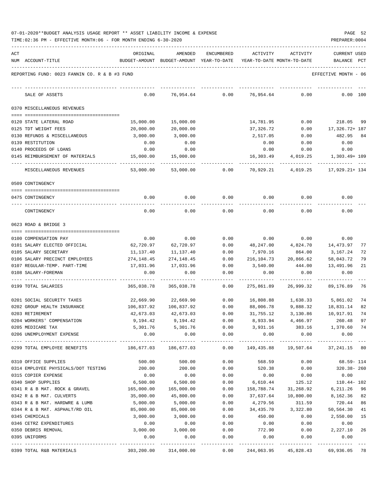| 07-01-2020**BUDGET ANALYSIS USAGE REPORT ** ASSET LIABILITY INCOME & EXPENSE |  |  |  | PAGE | 52 |
|------------------------------------------------------------------------------|--|--|--|------|----|
|                                                                              |  |  |  |      |    |

| ACT |                                                                | ORIGINAL                         | AMENDED                                  | <b>ENCUMBERED</b>    | ACTIVITY              | ACTIVITY                             | CURRENT USED                 |     |
|-----|----------------------------------------------------------------|----------------------------------|------------------------------------------|----------------------|-----------------------|--------------------------------------|------------------------------|-----|
|     | NUM ACCOUNT-TITLE                                              |                                  | BUDGET-AMOUNT BUDGET-AMOUNT YEAR-TO-DATE |                      |                       | YEAR-TO-DATE MONTH-TO-DATE           | BALANCE<br>PCT               |     |
|     |                                                                |                                  |                                          |                      |                       |                                      |                              |     |
|     | REPORTING FUND: 0023 FANNIN CO. R & B #3 FUND                  |                                  |                                          |                      |                       |                                      | EFFECTIVE MONTH - 06         |     |
|     |                                                                |                                  |                                          |                      |                       |                                      |                              |     |
|     | SALE OF ASSETS                                                 | 0.00                             | 76,954.64                                | 0.00                 | 76,954.64             | 0.00                                 | 100<br>0.00                  |     |
|     | 0370 MISCELLANEOUS REVENUES                                    |                                  |                                          |                      |                       |                                      |                              |     |
|     |                                                                |                                  |                                          |                      |                       |                                      |                              |     |
|     | 0120 STATE LATERAL ROAD                                        | 15,000.00                        | 15,000.00                                |                      | 14,781.95             | 0.00                                 | 218.05                       | -99 |
|     | 0125 TDT WEIGHT FEES                                           | 20,000.00                        | 20,000.00                                |                      | 37,326.72             | 0.00                                 | 17,326.72+ 187               |     |
|     | 0130 REFUNDS & MISCELLANEOUS                                   | 3,000.00                         | 3,000.00                                 |                      | 2,517.05              | 0.00                                 | 482.95                       | 84  |
|     | 0139 RESTITUTION                                               | 0.00                             | 0.00                                     |                      | 0.00                  | 0.00                                 | 0.00                         |     |
|     | 0140 PROCEEDS OF LOANS                                         | 0.00                             | 0.00                                     |                      | 0.00                  | 0.00                                 | 0.00                         |     |
|     | 0145 REIMBURSEMENT OF MATERIALS                                | 15,000.00                        | 15,000.00                                |                      | 16,303.49             | 4,019.25                             | 1,303.49+ 109                |     |
|     | MISCELLANEOUS REVENUES                                         | 53,000.00                        | 53,000.00                                | 0.00                 | 70,929.21             | 4,019.25                             | 17,929.21+ 134               |     |
|     | 0509 CONTINGENCY                                               |                                  |                                          |                      |                       |                                      |                              |     |
|     |                                                                |                                  |                                          |                      |                       |                                      |                              |     |
|     | 0475 CONTINGENCY                                               | 0.00                             | 0.00                                     | 0.00                 | 0.00                  | 0.00                                 | 0.00                         |     |
|     | CONTINGENCY                                                    | 0.00                             | 0.00                                     | 0.00                 | 0.00                  | 0.00                                 | 0.00                         |     |
|     | 0623 ROAD & BRIDGE 3                                           |                                  |                                          |                      |                       |                                      |                              |     |
|     |                                                                |                                  |                                          |                      |                       |                                      |                              |     |
|     | 0100 COMPENSATION PAY                                          | 0.00                             | 0.00                                     | 0.00                 | 0.00                  | 0.00                                 | 0.00                         |     |
|     | 0101 SALARY ELECTED OFFICIAL                                   | 62,720.97                        | 62,720.97                                | 0.00                 | 48,247.00             | 4,824.70                             | 14,473.97                    | 77  |
|     | 0105 SALARY SECRETARY                                          | 11,137.40                        | 11,137.40                                | 0.00                 | 7,970.16              | 864.00                               | 3,167.24                     | 72  |
|     | 0106 SALARY PRECINCT EMPLOYEES                                 | 274,148.45                       | 274,148.45                               | 0.00                 | 216,104.73            | 20,866.62                            | 58,043.72                    | 79  |
|     | 0107 REGULAR-TEMP. PART-TIME                                   | 17,031.96                        | 17,031.96                                | 0.00                 | 3,540.00              | 444.00                               | 13,491.96                    | 21  |
|     | 0108 SALARY-FOREMAN                                            | 0.00                             | 0.00                                     | 0.00                 | 0.00                  | 0.00                                 | 0.00                         |     |
|     | 0199 TOTAL SALARIES                                            | 365,038.78                       | 365,038.78                               | 0.00                 | 275,861.89            | 26,999.32                            | 89,176.89                    | 76  |
|     | 0201 SOCIAL SECURITY TAXES                                     | 22,669.90                        | 22,669.90                                | 0.00                 | 16,808.88             | 1,638.33                             | 5,861.02                     | 74  |
|     | 0202 GROUP HEALTH INSURANCE                                    | 106,837.92                       | 106,837.92                               | 0.00                 | 88,006.78             | 9,888.32                             | 18,831.14                    | 82  |
|     | 0203 RETIREMENT                                                | 42,673.03                        | 42,673.03                                | 0.00                 | 31,755.12             | 3,130.86                             | 10,917.91                    | 74  |
|     | 0204 WORKERS' COMPENSATION                                     | 9,194.42                         | 9,194.42                                 | 0.00                 | 8,933.94              | 4,466.97                             | 260.48                       | 97  |
|     | 0205 MEDICARE TAX                                              | 5,301.76                         | 5,301.76                                 | 0.00                 | 3,931.16              |                                      | 383.16 1,370.60 74           |     |
|     | 0206 UNEMPLOYMENT EXPENSE                                      | 0.00                             | 0.00<br>-------------                    | 0.00<br>------------ | 0.00<br>------------- | 0.00<br>-------------                | 0.00                         |     |
|     | 0299 TOTAL EMPLOYEE BENEFITS                                   | 186,677.03                       | 186,677.03                               | 0.00                 | 149,435.88            |                                      | 19,507.64 37,241.15 80       |     |
|     | 0310 OFFICE SUPPLIES                                           | 500.00                           | 500.00                                   | 0.00                 | 568.59                | 0.00                                 | $68.59 - 114$                |     |
|     | 0314 EMPLOYEE PHYSICALS/DOT TESTING                            | 200.00                           | 200.00                                   | 0.00                 | 520.38                | 0.00                                 | 320.38-260                   |     |
|     | 0315 COPIER EXPENSE                                            | 0.00                             | 0.00                                     | 0.00                 | 0.00                  | 0.00                                 | 0.00                         |     |
|     | 0340 SHOP SUPPLIES                                             | 6,500.00                         | 6,500.00                                 | 0.00                 | 6,610.44              | 125.12                               | $110.44 - 102$               |     |
|     | 0341 R & B MAT. ROCK & GRAVEL                                  | 165,000.00                       | 165,000.00                               | 0.00                 | 158,788.74            | 31,268.92                            | 6,211.26 96                  |     |
|     | 0342 R & B MAT. CULVERTS                                       | 35,000.00                        | 45,800.00                                | 0.00                 | 37,637.64             | 10,800.00                            | 8,162.36 82                  |     |
|     | 0343 R & B MAT. HARDWRE & LUMB                                 | 5,000.00                         | 5,000.00                                 | 0.00                 | 4,279.56              | 311.59                               | 720.44 86                    |     |
|     | 0344 R & B MAT. ASPHALT/RD OIL                                 | 85,000.00                        | 85,000.00                                | 0.00                 | 34,435.70             | 3,322.80                             | 50,564.30                    | 41  |
|     | 0345 CHEMICALS                                                 | 3,000.00                         | 3,000.00                                 | 0.00                 | 450.00                | 0.00                                 | 2,550.00                     | 15  |
|     | 0346 CETRZ EXPENDITURES                                        | 0.00                             | 0.00                                     | 0.00                 | 0.00                  | 0.00                                 | 0.00                         |     |
|     | 0350 DEBRIS REMOVAL                                            | 3,000.00                         | 3,000.00                                 | 0.00                 | 772.90                | 0.00                                 | 2,227.10 26                  |     |
|     | 0395 UNIFORMS                                                  | 0.00                             | 0.00                                     | 0.00                 | 0.00                  | 0.00                                 | 0.00                         |     |
|     | ------------------- --------------<br>0399 TOTAL R&B MATERIALS | $303, 200.00$ $314, 000.00$ 0.00 |                                          | -----------          |                       | ------------<br>244,063.95 45,828.43 | ------------<br>69,936.05 78 |     |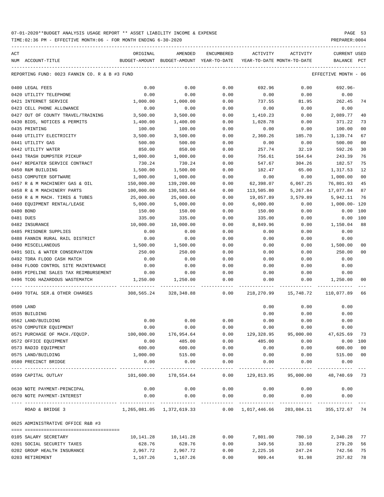TIME:02:36 PM - EFFECTIVE MONTH:06 - FOR MONTH ENDING 6-30-2020 PREPARER:0004

| ACT |                                                                                           | ORIGINAL                                                             | AMENDED               | ENCUMBERED          | ACTIVITY    | ACTIVITY                                 | <b>CURRENT USED</b>  |                |
|-----|-------------------------------------------------------------------------------------------|----------------------------------------------------------------------|-----------------------|---------------------|-------------|------------------------------------------|----------------------|----------------|
|     | NUM ACCOUNT-TITLE                                                                         | BUDGET-AMOUNT BUDGET-AMOUNT YEAR-TO-DATE YEAR-TO-DATE MONTH-TO-DATE  |                       |                     |             |                                          | BALANCE              | PCT            |
|     | REPORTING FUND: 0023 FANNIN CO. R & B #3 FUND                                             |                                                                      |                       |                     |             |                                          | EFFECTIVE MONTH - 06 |                |
|     | 0400 LEGAL FEES                                                                           | 0.00                                                                 | 0.00                  | 0.00                | 692.96      | 0.00                                     | 692.96-              |                |
|     | 0420 UTILITY TELEPHONE                                                                    | 0.00                                                                 | 0.00                  | 0.00                | 0.00        | 0.00                                     | 0.00                 |                |
|     | 0421 INTERNET SERVICE                                                                     | 1,000.00                                                             | 1,000.00              | 0.00                | 737.55      | 81.95                                    | 262.45               | 74             |
|     | 0423 CELL PHONE ALLOWANCE                                                                 | 0.00                                                                 | 0.00                  | 0.00                | 0.00        | 0.00                                     | 0.00                 |                |
|     | 0427 OUT OF COUNTY TRAVEL/TRAINING                                                        | 3,500.00                                                             | 3,500.00              | 0.00                | 1,410.23    | 0.00                                     | 2,089.77             | 40             |
|     | 0430 BIDS, NOTICES & PERMITS                                                              | 1,400.00                                                             | 1,400.00              | 0.00                | 1,028.78    | 0.00                                     | 371.22               | 73             |
|     | 0435 PRINTING                                                                             | 100.00                                                               | 100.00                | 0.00                | 0.00        | 0.00                                     | 100.00               | 0 <sup>0</sup> |
|     | 0440 UTILITY ELECTRICITY                                                                  | 3,500.00                                                             | 3,500.00              | 0.00                | 2,360.26    | 185.70                                   | 1,139.74             | 67             |
|     | 0441 UTILITY GAS                                                                          | 500.00                                                               | 500.00                | 0.00                | 0.00        | 0.00                                     | 500.00               | 0 <sub>0</sub> |
|     | 0442 UTILITY WATER                                                                        | 850.00                                                               | 850.00                | 0.00                | 257.74      | 32.19                                    | 592.26               | 30             |
|     | 0443 TRASH DUMPSTER PICKUP                                                                | 1,000.00                                                             | 1,000.00              | 0.00                | 756.61      | 164.64                                   | 243.39               | 76             |
|     | 0447 REPEATER SERVICE CONTRACT                                                            | 730.24                                                               | 730.24                | 0.00                | 547.67      | 304.26                                   | 182.57               | 75             |
|     | 0450 R&M BUILDING                                                                         | 1,500.00                                                             | 1,500.00              | 0.00                | 182.47      | 65.00                                    | 1,317.53             | 12             |
|     | 0453 COMPUTER SOFTWARE                                                                    | 1,000.00                                                             | 1,000.00              | 0.00                | 0.00        | 0.00                                     | 1,000.00             | 00             |
|     | 0457 R & M MACHINERY GAS & OIL                                                            | 150,000.00                                                           | 139,200.00            | 0.00                | 62,398.07   | 6,067.25                                 | 76,801.93            | 45             |
|     | 0458 R & M MACHINERY PARTS                                                                | 100,000.00                                                           | 130,583.64            | 0.00                | 113,505.80  | 5,267.84                                 | 17,077.84            | 87             |
|     | 0459 R & M MACH. TIRES & TUBES                                                            | 25,000.00                                                            | 25,000.00             | 0.00                | 19,057.89   | 3,579.89                                 | 5,942.11             | 76             |
|     | 0460 EQUIPMENT RENTAL/LEASE                                                               | 5,000.00                                                             | 5,000.00              | 0.00                | 6,000.00    | 0.00                                     | 1,000.00- 120        |                |
|     | 0480 BOND                                                                                 | 150.00                                                               | 150.00                | 0.00                | 150.00      | 0.00                                     | 0.00                 | 100            |
|     | 0481 DUES                                                                                 | 335.00                                                               | 335.00                | 0.00                | 335.00      | 0.00                                     | 0.00                 | 100            |
|     | 0482 INSURANCE                                                                            | 10,000.00                                                            | 10,000.00             | 0.00                | 8,849.96    | 0.00                                     | 1,150.04             | 88             |
|     | 0485 PRISONER SUPPLIES                                                                    | 0.00                                                                 | 0.00                  | 0.00                | 0.00        | 0.00                                     | 0.00                 |                |
|     | 0488 FANNIN RURAL RAIL DISTRICT                                                           | 0.00                                                                 | 0.00                  | 0.00                | 0.00        | 0.00                                     | 0.00                 |                |
|     | 0490 MISCELLANEOUS                                                                        | 1,500.00                                                             | 1,500.00              | 0.00                | 0.00        | 0.00                                     | 1,500.00             | 00             |
|     | 0491 SOIL & WATER CONSERVATION                                                            | 250.00                                                               | 250.00                | 0.00                | 0.00        | 0.00                                     | 250.00               | 0 <sup>0</sup> |
|     | 0492 TDRA FLOOD CASH MATCH                                                                | 0.00                                                                 | 0.00                  | 0.00                | 0.00        | 0.00                                     | 0.00                 |                |
|     | 0494 FLOOD CONTROL SITE MAINTENANCE                                                       | 0.00                                                                 | 0.00                  | 0.00                | 0.00        | 0.00                                     | 0.00                 |                |
|     | 0495 PIPELINE SALES TAX REIMBURSEMENT                                                     | 0.00                                                                 | 0.00                  | 0.00                | 0.00        | 0.00                                     | 0.00                 |                |
|     | 0496 TCOG HAZARDOUS WASTEMATCH                                                            | 1,250.00                                                             | 1,250.00              | 0.00                | 0.00        |                                          | $0.00$ 1,250.00      | 00             |
|     | 0499 TOTAL SER.& OTHER CHARGES 308,565.24 328,348.88 0.00 218,270.99 15,748.72 110,077.89 |                                                                      |                       |                     |             |                                          |                      | -66            |
|     | 0500 LAND                                                                                 |                                                                      |                       |                     | 0.00        | 0.00                                     | 0.00                 |                |
|     | 0535 BUILDING                                                                             |                                                                      |                       |                     | 0.00        | 0.00                                     | 0.00                 |                |
|     | 0562 LAND/BUILDING                                                                        | 0.00                                                                 | 0.00                  | 0.00                | 0.00        | 0.00                                     | 0.00                 |                |
|     | 0570 COMPUTER EQUIPMENT                                                                   | 0.00                                                                 | 0.00                  | 0.00                |             | $0.00$ $0.00$ $0.00$ $0.00$              |                      |                |
|     | 0571 PURCHASE OF MACH./EQUIP.                                                             | 100,000.00                                                           | 176,954.64            |                     |             | $0.00$ 129,328.95 95,000.00 47,625.69 73 |                      |                |
|     | 0572 OFFICE EQUIPMENT                                                                     | 0.00                                                                 | 485.00                | 0.00                | 485.00      | 0.00                                     | $0.00$ 100           |                |
|     | 0573 RADIO EQUIPMENT                                                                      | 600.00                                                               | 600.00                | 0.00                | 0.00        | 0.00                                     | 600.00 00            |                |
|     | 0575 LAND/BUILDING                                                                        | 1,000.00                                                             | 515.00                | 0.00                | 0.00        | 0.00                                     | 515.00 00            |                |
|     | 0580 PRECINCT BRIDGE                                                                      | 0.00                                                                 | 0.00                  | 0.00<br>----------- | 0.00        | 0.00<br>------------- ------------       | 0.00                 |                |
|     | 0599 CAPITAL OUTLAY                                                                       |                                                                      | 101,600.00 178,554.64 |                     |             | $0.00$ 129,813.95 95,000.00 48,740.69 73 |                      |                |
|     | 0630 NOTE PAYMENT-PRINCIPAL                                                               | 0.00                                                                 | 0.00                  |                     | $0.00$ 0.00 | 0.00                                     | 0.00                 |                |
|     | 0670 NOTE PAYMENT-INTEREST                                                                | 0.00                                                                 | 0.00                  | 0.00                |             | $0.00$ 0.00                              | 0.00                 |                |
|     | ROAD & BRIDGE 3                                                                           | 1,265,081.05 1,372,619.33 0.00 1,017,446.66 203,084.11 355,172.67 74 |                       |                     |             |                                          |                      |                |
|     | 0625 ADMINISTRATIVE OFFICE R&B #3                                                         |                                                                      |                       |                     |             |                                          |                      |                |
|     |                                                                                           |                                                                      |                       |                     |             |                                          |                      |                |
|     | 0105 SALARY SECRETARY                                                                     | 10,141.28                                                            | 10,141.28             | 0.00                | 7,801.00    | 780.10                                   | 2,340.28             | 77             |
|     | 0201 SOCIAL SECURITY TAXES                                                                | 628.76                                                               | 628.76                | 0.00                | 349.56      | 33.60                                    | 279.20               | 56             |
|     | 0202 GROUP HEALTH INSURANCE                                                               | 2,967.72                                                             | 2,967.72              | 0.00                | 2,225.16    | 247.24                                   | 742.56               | 75             |
|     | 0203 RETIREMENT                                                                           | 1,167.26                                                             | 1,167.26              | 0.00                | 909.44      | 91.98                                    | 257.82               | 78             |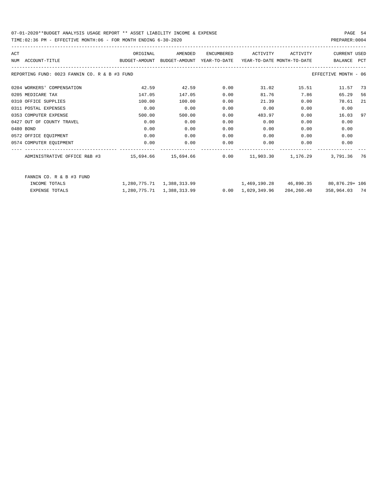### 07-01-2020\*\*BUDGET ANALYSIS USAGE REPORT \*\* ASSET LIABILITY INCOME & EXPENSE PAGE 54 TIME:02:36 PM - EFFECTIVE MONTH:06 - FOR MONTH ENDING 6-30-2020 PREPARER:0004

| ACT |                                               | ORIGINAL                                                            | AMENDED | ENCUMBERED | ACTIVITY | ACTIVITY | <b>CURRENT USED</b>                          |     |
|-----|-----------------------------------------------|---------------------------------------------------------------------|---------|------------|----------|----------|----------------------------------------------|-----|
|     | NUM ACCOUNT-TITLE                             | BUDGET-AMOUNT BUDGET-AMOUNT YEAR-TO-DATE YEAR-TO-DATE_MONTH-TO-DATE |         |            |          |          | BALANCE PCT                                  |     |
|     | REPORTING FUND: 0023 FANNIN CO. R & B #3 FUND |                                                                     |         |            |          |          | EFFECTIVE MONTH - 06                         |     |
|     | 0204 WORKERS' COMPENSATION                    | 42.59                                                               | 42.59   | 0.00       | 31.02    | 15.51    | 11.57 73                                     |     |
|     | 0205 MEDICARE TAX                             | 147.05                                                              | 147.05  | 0.00       | 81.76    | 7.86     | 65.29                                        | 56  |
|     | 0310 OFFICE SUPPLIES                          | 100.00                                                              | 100.00  | 0.00       | 21.39    | 0.00     | 78.61                                        | -21 |
|     | 0311 POSTAL EXPENSES                          | 0.00                                                                | 0.00    | 0.00       | 0.00     | 0.00     | 0.00                                         |     |
|     | 0353 COMPUTER EXPENSE                         | 500.00                                                              | 500.00  | 0.00       | 483.97   | 0.00     | 16.03                                        | 97  |
|     | 0427 OUT OF COUNTY TRAVEL                     | 0.00                                                                | 0.00    | 0.00       | 0.00     | 0.00     | 0.00                                         |     |
|     | 0480 BOND                                     | 0.00                                                                | 0.00    | 0.00       | 0.00     | 0.00     | 0.00                                         |     |
|     | 0572 OFFICE EQUIPMENT                         | 0.00                                                                | 0.00    | 0.00       | 0.00     | 0.00     | 0.00                                         |     |
|     | 0574 COMPUTER EQUIPMENT                       | 0.00                                                                | 0.00    | 0.00       | 0.00     | 0.00     | 0.00                                         |     |
|     |                                               |                                                                     |         |            |          |          | 3,791.36 76                                  |     |
|     | FANNIN CO. R & B #3 FUND                      |                                                                     |         |            |          |          |                                              |     |
|     | INCOME TOTALS                                 | 1,280,775.71 1,388,313.99                                           |         |            |          |          | $1,469,190.28$ $46,890.35$ $80,876.29 + 106$ |     |

| EXPENSE TOTALS | 1,280,775.71 1,388,313.99 |  | $0.00 \quad 1.029.349.96$ | 204,260.40 | 358,964.03 74 |  |
|----------------|---------------------------|--|---------------------------|------------|---------------|--|
|                |                           |  |                           |            |               |  |
|                |                           |  |                           |            |               |  |
|                |                           |  |                           |            |               |  |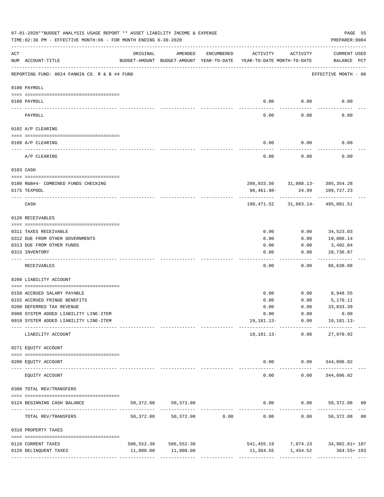|                 | 07-01-2020**BUDGET ANALYSIS USAGE REPORT ** ASSET LIABILITY INCOME & EXPENSE<br>TIME: 02:36 PM - EFFECTIVE MONTH: 06 - FOR MONTH ENDING 6-30-2020 |                                                      |                         |                                                 |                                        |                 | PAGE 55<br>PREPARER: 0004                          |  |
|-----------------|---------------------------------------------------------------------------------------------------------------------------------------------------|------------------------------------------------------|-------------------------|-------------------------------------------------|----------------------------------------|-----------------|----------------------------------------------------|--|
| ACT             | NUM ACCOUNT-TITLE                                                                                                                                 | ORIGINAL<br>BUDGET-AMOUNT BUDGET-AMOUNT YEAR-TO-DATE | AMENDED                 | ENCUMBERED                                      | ACTIVITY<br>YEAR-TO-DATE MONTH-TO-DATE | ACTIVITY        | <b>CURRENT USED</b><br>BALANCE PCT                 |  |
|                 | REPORTING FUND: 0024 FANNIN CO. R & B #4 FUND                                                                                                     |                                                      |                         |                                                 |                                        |                 | EFFECTIVE MONTH - 06                               |  |
|                 | 0100 PAYROLL                                                                                                                                      |                                                      |                         |                                                 |                                        |                 |                                                    |  |
|                 |                                                                                                                                                   |                                                      |                         |                                                 |                                        |                 |                                                    |  |
| $- - - - - - -$ | 0100 PAYROLL                                                                                                                                      |                                                      |                         |                                                 | 0.00                                   | 0.00            | 0.00                                               |  |
|                 | PAYROLL                                                                                                                                           |                                                      |                         |                                                 | 0.00                                   | 0.00            | 0.00                                               |  |
|                 | 0102 A/P CLEARING                                                                                                                                 |                                                      |                         |                                                 |                                        |                 |                                                    |  |
|                 | 0100 A/P CLEARING                                                                                                                                 |                                                      |                         |                                                 | 0.00                                   | 0.00            | 0.00                                               |  |
|                 | A/P CLEARING                                                                                                                                      |                                                      |                         |                                                 | 0.00                                   | 0.00            | 0.00                                               |  |
|                 | 0103 CASH                                                                                                                                         |                                                      |                         |                                                 |                                        |                 |                                                    |  |
|                 | 0100 R&B#4- COMBINED FUNDS CHECKING                                                                                                               |                                                      |                         |                                                 |                                        |                 | 288,933.50 31,088.13- 385,354.28                   |  |
|                 | 0175 TEXPOOL                                                                                                                                      |                                                      |                         |                                                 | 98,461.98-                             | 24.99           | 109,727.23                                         |  |
|                 | CASH                                                                                                                                              |                                                      |                         |                                                 | 190,471.52                             | -----------     | 31,063.14- 495,081.51                              |  |
|                 | 0120 RECEIVABLES                                                                                                                                  |                                                      |                         |                                                 |                                        |                 |                                                    |  |
|                 | 0311 TAXES RECEIVABLE                                                                                                                             |                                                      |                         |                                                 | 0.00                                   | 0.00            | 34,523.03                                          |  |
|                 | 0312 DUE FROM OTHER GOVERNMENTS                                                                                                                   |                                                      |                         |                                                 | 0.00                                   | 0.00            | 19,886.14                                          |  |
|                 | 0313 DUE FROM OTHER FUNDS                                                                                                                         |                                                      |                         |                                                 | 0.00                                   | 0.00            | 3,492.04                                           |  |
|                 | 0315 INVENTORY                                                                                                                                    |                                                      |                         |                                                 | 0.00                                   | 0.00            | 28,736.87<br>.                                     |  |
|                 | RECEIVABLES                                                                                                                                       |                                                      |                         |                                                 | 0.00                                   | 0.00            | 86,638.08                                          |  |
|                 | 0200 LIABILITY ACCOUNT                                                                                                                            |                                                      |                         |                                                 |                                        |                 |                                                    |  |
|                 | 0150 ACCRUED SALARY PAYABLE                                                                                                                       |                                                      |                         |                                                 | 0.00                                   | 0.00            | 8,948.55                                           |  |
|                 | 0155 ACCRUED FRINGE BENEFITS                                                                                                                      |                                                      |                         |                                                 | 0.00                                   | 0.00            | 5,170.11                                           |  |
|                 | 0200 DEFERRED TAX REVENUE                                                                                                                         |                                                      |                         |                                                 | 0.00                                   | 0.00            | 33,033.39                                          |  |
|                 | 0900 SYSTEM ADDED LIABILITY LINE-ITEM                                                                                                             |                                                      |                         |                                                 |                                        |                 | $0.00$ $0.00$ $0.00$                               |  |
|                 | 0910 SYSTEM ADDED LIABILITY LINE-ITEM                                                                                                             |                                                      |                         |                                                 |                                        |                 | 19, 181. 13 - 0.00 19, 181. 13 -                   |  |
|                 | LIABILITY ACCOUNT                                                                                                                                 |                                                      |                         |                                                 |                                        | 19,181.13- 0.00 | 27,970.92                                          |  |
|                 | 0271 EQUITY ACCOUNT                                                                                                                               |                                                      |                         |                                                 |                                        |                 |                                                    |  |
|                 | 0200 EQUITY ACCOUNT                                                                                                                               |                                                      |                         |                                                 |                                        |                 | $0.00$ $0.00$ $344,096.02$                         |  |
|                 | EQUITY ACCOUNT                                                                                                                                    |                                                      | ______________          |                                                 | $- - - - -$<br>0.00                    | 0.00            | ------------ --------------<br>344,096.02          |  |
|                 | 0300 TOTAL REV/TRANSFERS                                                                                                                          |                                                      |                         |                                                 |                                        |                 |                                                    |  |
|                 | 0124 BEGINNING CASH BALANCE                                                                                                                       | 50,372.08                                            | 50,372.08               |                                                 |                                        |                 | $0.00$ $0.00$ $50,372.08$ 00                       |  |
|                 | TOTAL REV/TRANSFERS                                                                                                                               | 50,372.08                                            |                         | -----------------------------<br>50,372.08 0.00 | 0.00                                   |                 | ---------------------------<br>$0.00$ 50,372.08 00 |  |
|                 | 0310 PROPERTY TAXES                                                                                                                               |                                                      |                         |                                                 |                                        |                 |                                                    |  |
|                 | 0110 CURRENT TAXES                                                                                                                                |                                                      | 506, 552.38 506, 552.38 |                                                 |                                        |                 | 541,455.19 7,074.23 34,902.81+107                  |  |
|                 | 0120 DELINQUENT TAXES                                                                                                                             |                                                      | 11,000.00 11,000.00     |                                                 |                                        |                 | 11,364.55 1,454.52 364.55+ 103                     |  |
|                 |                                                                                                                                                   |                                                      |                         |                                                 |                                        |                 |                                                    |  |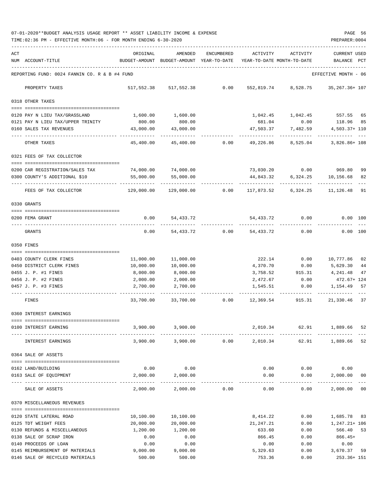07-01-2020\*\*BUDGET ANALYSIS USAGE REPORT \*\* ASSET LIABILITY INCOME & EXPENSE PAGE 56 TIME:02:36 PM - EFFECTIVE MONTH:06 - FOR MONTH ENDING 6-30-2020 PREPARER:0004

| ACT |                                                      | ORIGINAL                                 | AMENDED                   | ENCUMBERED | ACTIVITY                   | ACTIVITY                          | <b>CURRENT USED</b>         |    |
|-----|------------------------------------------------------|------------------------------------------|---------------------------|------------|----------------------------|-----------------------------------|-----------------------------|----|
|     | NUM ACCOUNT-TITLE                                    | BUDGET-AMOUNT BUDGET-AMOUNT YEAR-TO-DATE |                           |            | YEAR-TO-DATE MONTH-TO-DATE |                                   | BALANCE PCT                 |    |
|     | REPORTING FUND: 0024 FANNIN CO. R & B #4 FUND        |                                          |                           |            |                            |                                   | EFFECTIVE MONTH - 06        |    |
|     | PROPERTY TAXES                                       |                                          | 517,552.38 517,552.38     | 0.00       |                            | 552,819.74 8,528.75 35,267.36+107 |                             |    |
|     | 0318 OTHER TAXES                                     |                                          |                           |            |                            |                                   |                             |    |
|     | 0120 PAY N LIEU TAX/GRASSLAND                        | 1,600.00                                 | 1,600.00                  |            |                            | 1,042.45 1,042.45 557.55 65       |                             |    |
|     | 0121 PAY N LIEU TAX/UPPER TRINITY                    | 800.00                                   | 800.00                    |            | 681.04                     | 0.00                              | 118.96 85                   |    |
|     | 0160 SALES TAX REVENUES                              | 43,000.00                                | 43,000.00                 |            | 47,503.37                  | 7,482.59                          | 4,503.37+ 110               |    |
|     | OTHER TAXES                                          | 45,400.00                                | 45,400.00 0.00            |            |                            | 49,226.86 8,525.04                | 3,826.86+ 108               |    |
|     | 0321 FEES OF TAX COLLECTOR                           |                                          |                           |            |                            |                                   |                             |    |
|     |                                                      |                                          |                           |            |                            |                                   |                             |    |
|     | 0200 CAR REGISTRATION/SALES TAX                      |                                          | 74,000.00 74,000.00       |            |                            | 73,030.20 0.00                    | 969.80                      | 99 |
|     | 0300 COUNTY'S ADDITIONAL \$10                        | 55,000.00                                | 55,000.00                 |            | 44,843.32<br>.             |                                   | 6,324.25 10,156.68          | 82 |
|     | FEES OF TAX COLLECTOR                                | 129,000.00                               | 129,000.00                | 0.00       | 117,873.52                 | 6,324.25                          | 11,126.48                   | 91 |
|     | 0330 GRANTS                                          |                                          |                           |            |                            |                                   |                             |    |
|     |                                                      |                                          |                           |            |                            |                                   |                             |    |
|     | 0200 FEMA GRANT                                      | 0.00                                     | 54,433.72                 |            |                            | 54,433.72 0.00                    | $0.00$ 100                  |    |
|     | GRANTS                                               | 0.00                                     |                           |            | 54,433.72 0.00 54,433.72   | 0.00                              | 0.00 100                    |    |
|     | 0350 FINES                                           |                                          |                           |            |                            |                                   |                             |    |
|     | 0403 COUNTY CLERK FINES                              | 11,000.00                                | 11,000.00                 |            | 222.14                     | 0.00                              | 10,777.86                   | 02 |
|     | 0450 DISTRICT CLERK FINES                            | 10,000.00                                | 10,000.00                 |            | 4,370.70                   | 0.00                              | 5,629.30                    | 44 |
|     | 0455 J. P. #1 FINES                                  | 8,000.00                                 | 8,000.00                  |            | 3,758.52                   | 915.31                            | 4,241.48                    | 47 |
|     | 0456 J. P. #2 FINES                                  | 2,000.00                                 | 2,000.00                  |            | 2,472.67                   | 0.00                              | 472.67+ 124                 |    |
|     | 0457 J. P. #3 FINES                                  | 2,700.00                                 | 2,700.00                  |            | 1,545.51                   | 0.00                              | 1,154.49                    | 57 |
|     | FINES                                                | 33,700.00                                | 33,700.00                 | 0.00       | 12,369.54                  | 915.31                            | 21,330.46 37                |    |
|     | 0360 INTEREST EARNINGS                               |                                          |                           |            |                            |                                   |                             |    |
|     | 0100 INTEREST EARNING                                | 3,900.00                                 | 3,900.00                  |            | 2,010.34                   | 62.91                             | 1,889.66 52                 |    |
|     | INTEREST EARNINGS                                    | 3,900.00                                 | 3,900.00                  | 0.00       | 2,010.34                   | 62.91                             | 1,889.66 52                 |    |
|     | 0364 SALE OF ASSETS                                  |                                          |                           |            |                            |                                   |                             |    |
|     |                                                      |                                          |                           |            |                            |                                   |                             |    |
|     | 0162 LAND/BUILDING                                   | 0.00                                     | 0.00                      |            | 0.00                       |                                   | $0.00$ $0.00$               |    |
|     | 0163 SALE OF EQUIPMENT                               | 2,000.00                                 | 2,000.00                  |            | 0.00                       | 0.00                              | 2,000.00                    | 00 |
|     | SALE OF ASSETS                                       | 2,000.00                                 | -------------<br>2,000.00 | 0.00       | 0.00                       | ---------<br>0.00                 | 2,000.00 00                 |    |
|     | 0370 MISCELLANEOUS REVENUES                          |                                          |                           |            |                            |                                   |                             |    |
|     |                                                      |                                          |                           |            |                            |                                   |                             |    |
|     | 0120 STATE LATERAL ROAD                              | 10,100.00                                | 10,100.00                 |            | 8,414.22                   | 0.00                              | 1,685.78 83                 |    |
|     | 0125 TDT WEIGHT FEES<br>0130 REFUNDS & MISCELLANEOUS | 20,000.00<br>1,200.00                    | 20,000.00<br>1,200.00     |            | 21,247.21<br>633.60        | 0.00<br>0.00                      | $1,247.21+106$<br>566.40 53 |    |
|     | 0138 SALE OF SCRAP IRON                              | 0.00                                     | 0.00                      |            | 866.45                     | 0.00                              | $866.45+$                   |    |
|     | 0140 PROCEEDS OF LOAN                                | 0.00                                     | 0.00                      |            | 0.00                       | 0.00                              | 0.00                        |    |
|     | 0145 REIMBURSEMENT OF MATERIALS                      | 9,000.00                                 | 9,000.00                  |            | 5,329.63                   | 0.00                              | 3,670.37 59                 |    |
|     | 0146 SALE OF RECYCLED MATERIALS                      | 500.00                                   | 500.00                    |            | 753.36                     | 0.00                              | 253.36+ 151                 |    |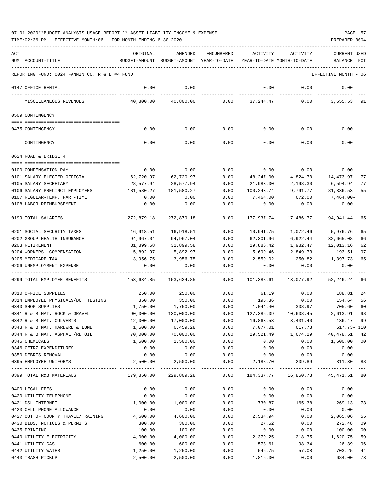| ACT |                                               | ORIGINAL         | AMENDED                                                             | ENCUMBERED            | ACTIVITY                     | ACTIVITY       | <b>CURRENT USED</b>  |                |
|-----|-----------------------------------------------|------------------|---------------------------------------------------------------------|-----------------------|------------------------------|----------------|----------------------|----------------|
|     | NUM ACCOUNT-TITLE                             |                  | BUDGET-AMOUNT BUDGET-AMOUNT YEAR-TO-DATE YEAR-TO-DATE MONTH-TO-DATE |                       |                              |                | BALANCE PCT          |                |
|     | REPORTING FUND: 0024 FANNIN CO. R & B #4 FUND |                  |                                                                     |                       |                              |                | EFFECTIVE MONTH - 06 |                |
|     | 0147 OFFICE RENTAL                            | 0.00             | 0.00                                                                |                       | 0.00                         | 0.00           | 0.00                 |                |
|     | MISCELLANEOUS REVENUES                        | 40,800.00        | 40,800.00                                                           | 0.00                  | 37,244.47                    | 0.00           | 3,555.53             | 91             |
|     | 0509 CONTINGENCY                              |                  |                                                                     |                       |                              |                |                      |                |
|     | 0475 CONTINGENCY                              | 0.00             | 0.00                                                                | 0.00                  |                              | $0.00$ 0.00    | 0.00                 |                |
|     | CONTINGENCY                                   | 0.00             | 0.00                                                                | 0.00                  | 0.00                         | 0.00           | 0.00                 |                |
|     | 0624 ROAD & BRIDGE 4                          |                  |                                                                     |                       |                              |                |                      |                |
|     | 0100 COMPENSATION PAY                         | 0.00             | 0.00                                                                | 0.00                  | 0.00                         | 0.00           | 0.00                 |                |
|     | 0101 SALARY ELECTED OFFICIAL                  | 62,720.97        | 62,720.97                                                           | 0.00                  | 48,247.00                    | 4,824.70       | 14,473.97            | 77             |
|     | 0105 SALARY SECRETARY                         | 28,577.94        | 28,577.94                                                           | 0.00                  | 21,983.00                    | 2,198.30       | 6,594.94             | 77             |
|     | 0106 SALARY PRECINCT EMPLOYEES                | 181,580.27       | 181,580.27                                                          | 0.00                  | 100,243.74                   | 9,791.77       | 81,336.53            | 55             |
|     | 0107 REGULAR-TEMP. PART-TIME                  | 0.00             | 0.00                                                                | 0.00                  | 7,464.00                     | 672.00         | 7,464.00-            |                |
|     | 0108 LABOR REIMBURSEMENT                      | 0.00             | 0.00                                                                | 0.00                  | 0.00                         | 0.00           | 0.00                 |                |
|     |                                               |                  |                                                                     |                       |                              |                |                      |                |
|     | 0199 TOTAL SALARIES                           | 272,879.18       | 272,879.18                                                          | 0.00                  | 177,937.74                   | 17,486.77      | 94,941.44            | 65             |
|     | 0201 SOCIAL SECURITY TAXES                    | 16,918.51        | 16,918.51                                                           | 0.00                  | 10,941.75                    | 1,072.46       | 5,976.76             | 65             |
|     | 0202 GROUP HEALTH INSURANCE                   | 94,967.04        | 94,967.04                                                           | 0.00                  | 62,301.96                    | 6,922.44       | 32,665.08            | 66             |
|     | 0203 RETIREMENT                               | 31,899.58        | 31,899.58                                                           | 0.00                  | 19,886.42                    | 1,982.47       | 12,013.16            | 62             |
|     | 0204 WORKERS' COMPENSATION                    | 5,892.97         | 5,892.97                                                            | 0.00                  | 5,699.46                     | 2,849.73       | 193.51               | 97             |
|     | 0205 MEDICARE TAX                             | 3,956.75         | 3,956.75                                                            | 0.00                  | 2,559.02                     | 250.82         | 1,397.73             | 65             |
|     | 0206 UNEMPLOYMENT EXPENSE                     | 0.00             | 0.00                                                                | 0.00                  | 0.00                         | 0.00           | 0.00                 |                |
|     | 0299 TOTAL EMPLOYEE BENEFITS                  | 153,634.85       | 153,634.85                                                          | 0.00                  | 101,388.61                   | 13,077.92      | 52,246.24            | 66             |
|     | 0310 OFFICE SUPPLIES                          | 250.00           | 250.00                                                              | 0.00                  | 61.19                        | 0.00           | 188.81               | 24             |
|     | 0314 EMPLOYEE PHYSICALS/DOT TESTING           | 350.00           | 350.00                                                              | 0.00                  | 195.36                       | 0.00           | 154.64               | 56             |
|     | 0340 SHOP SUPPLIES                            | 1,750.00         | 1,750.00                                                            | 0.00                  | 1,044.40                     | 308.97         | 705.60               | 60             |
|     | 0341 R & B MAT. ROCK & GRAVEL                 | 90,000.00        | 130,000.00                                                          | 0.00                  | 127,386.09                   | 10,608.45      | 2,613.91             | 98             |
|     | 0342 R & B MAT. CULVERTS                      | 12,000.00        | 17,000.00                                                           | 0.00                  | 16,863.53                    | 3,431.40       | 136.47               | 99             |
|     | 0343 R & B MAT. HARDWRE & LUMB                | 1,500.00         | 6,459.28                                                            | 0.00                  | 7,077.01                     | 617.73         | 617.73- 110          |                |
|     | 0344 R & B MAT. ASPHALT/RD OIL                | 70,000.00        | 70,000.00                                                           | 0.00                  | 29,521.49                    | 1,674.29       | 40,478.51            | 42             |
|     | 0345 CHEMICALS                                | 1,500.00         | 1,500.00                                                            | 0.00                  | 0.00                         | 0.00           | 1,500.00             | 0 <sub>0</sub> |
|     | 0346 CETRZ EXPENDITURES                       | 0.00             | 0.00                                                                | 0.00                  | 0.00                         | 0.00           | 0.00                 |                |
|     | 0350 DEBRIS REMOVAL<br>0395 EMPLOYEE UNIFORMS | 0.00<br>2,500.00 | 0.00<br>2,500.00                                                    | 0.00<br>0.00          | 0.00<br>2,188.70             | 0.00<br>209.89 | 0.00<br>311.30       | 88             |
|     | 0399 TOTAL R&B MATERIALS                      | 179,850.00       | -----------<br>229,809.28                                           | $- - - - - -$<br>0.00 | --------------<br>184,337.77 | 16,850.73      | 45, 471.51 80        |                |
|     | 0400 LEGAL FEES                               | 0.00             | 0.00                                                                | 0.00                  | 0.00                         | 0.00           | 0.00                 |                |
|     | 0420 UTILITY TELEPHONE                        | 0.00             | 0.00                                                                | 0.00                  | 0.00                         | 0.00           | 0.00                 |                |
|     | 0421 DSL INTERNET                             | 1,000.00         | 1,000.00                                                            | 0.00                  | 730.87                       | 165.38         | 269.13               | 73             |
|     | 0423 CELL PHONE ALLOWANCE                     | 0.00             | 0.00                                                                | 0.00                  | 0.00                         | 0.00           | 0.00                 |                |
|     | 0427 OUT OF COUNTY TRAVEL/TRAINING            | 4,600.00         | 4,600.00                                                            | 0.00                  | 2,534.94                     | 0.00           | 2,065.06             | 55             |
|     | 0430 BIDS, NOTICES & PERMITS                  | 300.00           | 300.00                                                              | 0.00                  | 27.52                        | 0.00           | 272.48               | 09             |
|     | 0435 PRINTING                                 | 100.00           | 100.00                                                              | 0.00                  | 0.00                         | 0.00           | 100.00               | 0 <sub>0</sub> |
|     | 0440 UTILITY ELECTRICITY                      | 4,000.00         | 4,000.00                                                            | 0.00                  | 2,379.25                     | 218.75         | 1,620.75             | 59             |
|     | 0441 UTILITY GAS                              | 600.00           | 600.00                                                              | 0.00                  | 573.61                       | 98.34          | 26.39                | 96             |
|     | 0442 UTILITY WATER                            | 1,250.00         | 1,250.00                                                            | 0.00                  | 546.75                       | 57.08          | 703.25               | 44             |
|     | 0443 TRASH PICKUP                             | 2,500.00         | 2,500.00                                                            | 0.00                  | 1,816.00                     | 0.00           | 684.00               | 73             |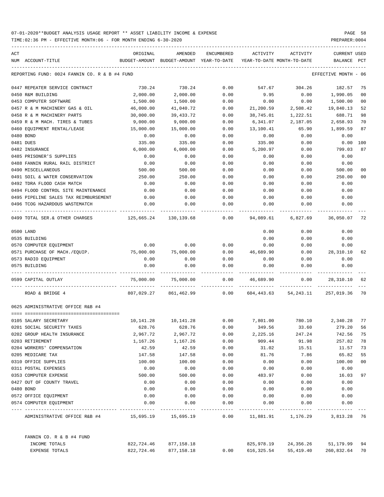| ACT                                                       | ORIGINAL   | AMENDED                                  | ENCUMBERED         | ACTIVITY                   | ACTIVITY                                                              | <b>CURRENT USED</b>  |     |
|-----------------------------------------------------------|------------|------------------------------------------|--------------------|----------------------------|-----------------------------------------------------------------------|----------------------|-----|
| NUM ACCOUNT-TITLE                                         |            | BUDGET-AMOUNT BUDGET-AMOUNT YEAR-TO-DATE |                    | YEAR-TO-DATE MONTH-TO-DATE |                                                                       | BALANCE              | PCT |
| REPORTING FUND: 0024 FANNIN CO. R & B #4 FUND             |            |                                          |                    |                            |                                                                       | EFFECTIVE MONTH - 06 |     |
| 0447 REPEATER SERVICE CONTRACT                            | 730.24     | 730.24                                   | 0.00               | 547.67                     | 304.26                                                                | 182.57               | 75  |
| 0450 R&M BUILDING                                         | 2,000.00   | 2,000.00                                 | 0.00               | 9.95                       | 0.00                                                                  | 1,990.05             | 00  |
| 0453 COMPUTER SOFTWARE                                    | 1,500.00   | 1,500.00                                 | 0.00               | 0.00                       | 0.00                                                                  | 1,500.00             | 00  |
| 0457 R & M MACHINERY GAS & OIL                            | 46,000.00  | 41,040.72                                | 0.00               | 21,200.59                  | 2,508.42                                                              | 19,840.13            | 52  |
| 0458 R & M MACHINERY PARTS                                | 30,000.00  | 39,433.72                                | 0.00               | 38,745.01                  | 1,222.51                                                              | 688.71               | 98  |
| 0459 R & M MACH. TIRES & TUBES                            | 9,000.00   | 9,000.00                                 | 0.00               | 6,341.07                   | 2,187.05                                                              | 2,658.93             | 70  |
| 0460 EQUIPMENT RENTAL/LEASE                               | 15,000.00  | 15,000.00                                | 0.00               | 13,100.41                  | 65.90                                                                 | 1,899.59             | 87  |
| 0480 BOND                                                 | 0.00       | 0.00                                     | 0.00               | 0.00                       | 0.00                                                                  | 0.00                 |     |
| 0481 DUES                                                 | 335.00     | 335.00                                   | 0.00               | 335.00                     | 0.00                                                                  | 0.00                 | 100 |
| 0482 INSURANCE                                            | 6,000.00   | 6,000.00                                 | 0.00               | 5,200.97                   | 0.00                                                                  | 799.03               | 87  |
| 0485 PRISONER'S SUPPLIES                                  | 0.00       | 0.00                                     | 0.00               | 0.00                       | 0.00                                                                  | 0.00                 |     |
| 0488 FANNIN RURAL RAIL DISTRICT                           | 0.00       | 0.00                                     | 0.00               | 0.00                       | 0.00                                                                  | 0.00                 |     |
| 0490 MISCELLANEOUS                                        | 500.00     | 500.00                                   | 0.00               | 0.00                       | 0.00                                                                  | 500.00               | 00  |
| 0491 SOIL & WATER CONSERVATION                            | 250.00     | 250.00                                   | 0.00               | 0.00                       | 0.00                                                                  | 250.00               | 00  |
| 0492 TDRA FLOOD CASH MATCH                                | 0.00       | 0.00                                     | 0.00               | 0.00                       | 0.00                                                                  | 0.00                 |     |
| 0494 FLOOD CONTROL SITE MAINTENANCE                       | 0.00       | 0.00                                     | 0.00               | 0.00                       | 0.00                                                                  | 0.00                 |     |
| 0495 PIPELINE SALES TAX REIMBURSEMENT                     | 0.00       | 0.00                                     | 0.00               | 0.00                       | 0.00                                                                  | 0.00                 |     |
| 0496 TCOG HAZARDOUS WASTEMATCH                            | 0.00       | 0.00                                     | 0.00               | 0.00                       | 0.00                                                                  | 0.00                 |     |
| 0499 TOTAL SER.& OTHER CHARGES 125,665.24 130,139.68 0.00 |            |                                          |                    | 94,089.61                  | 6,827.69                                                              | 36,050.07            | 72  |
| 0500 LAND                                                 |            |                                          |                    | 0.00                       | 0.00                                                                  | 0.00                 |     |
| 0535 BUILDING                                             |            |                                          |                    | 0.00                       | 0.00                                                                  | 0.00                 |     |
| 0570 COMPUTER EQUIPMENT                                   | 0.00       | 0.00                                     | 0.00               | 0.00                       | 0.00                                                                  | 0.00                 |     |
| 0571 PURCHASE OF MACH./EQUIP. 75,000.00                   |            | 75,000.00                                | 0.00               | 46,689.90                  | 0.00                                                                  | 28,310.10            | 62  |
| 0573 RADIO EQUIPMENT                                      | 0.00       | 0.00                                     | 0.00               | 0.00                       | 0.00                                                                  | 0.00                 |     |
| 0575 BUILDING                                             | 0.00       | 0.00                                     | 0.00               | 0.00                       | 0.00                                                                  | 0.00                 |     |
| 0599 CAPITAL OUTLAY                                       | 75,000.00  | 75,000.00                                | 0.00               | 46,689.90                  | 0.00                                                                  | 28,310.10            | 62  |
| ROAD & BRIDGE 4                                           |            | 807,029.27 861,462.99 0.00               |                    |                            | 604,443.63 54,243.11 257,019.36                                       |                      | 70  |
| 0625 ADMINISTRATIVE OFFICE R&B #4                         |            |                                          |                    |                            |                                                                       |                      |     |
| 0105 SALARY SECRETARY                                     |            |                                          |                    |                            | $10,141.28$ $10,141.28$ $0.00$ $7,801.00$ $780.10$ $2,340.28$ 77      |                      |     |
| 0201 SOCIAL SECURITY TAXES                                | 628.76     | 628.76                                   | 0.00               | 349.56                     | 33.60                                                                 | 279.20               | 56  |
| 0202 GROUP HEALTH INSURANCE                               | 2,967.72   | 2,967.72                                 | 0.00               | 2,225.16                   | 247.24                                                                | 742.56               | 75  |
| 0203 RETIREMENT                                           | 1,167.26   | 1,167.26                                 | 0.00               | 909.44                     | 91.98                                                                 | 257.82               | 78  |
| 0204 WORKERS' COMPENSATION                                | 42.59      | 42.59                                    | 0.00               | 31.02                      | 15.51                                                                 | 11.57                | 73  |
| 0205 MEDICARE TAX                                         | 147.58     | 147.58                                   | 0.00               | 81.76                      | 7.86                                                                  | 65.82                | 55  |
| 0310 OFFICE SUPPLIES                                      | 100.00     | 100.00                                   | 0.00               | 0.00                       | 0.00                                                                  | 100.00               | 00  |
| 0311 POSTAL EXPENSES                                      | 0.00       | 0.00                                     | 0.00               | 0.00                       | 0.00                                                                  | 0.00                 |     |
| 0353 COMPUTER EXPENSE                                     | 500.00     | 500.00                                   | 0.00               | 483.97                     | 0.00                                                                  | 16.03                | 97  |
| 0427 OUT OF COUNTY TRAVEL                                 | 0.00       | 0.00                                     | 0.00               | 0.00                       | 0.00                                                                  | 0.00                 |     |
| 0480 BOND                                                 | 0.00       | 0.00                                     | 0.00               | 0.00                       | 0.00                                                                  | 0.00                 |     |
| 0572 OFFICE EQUIPMENT                                     | 0.00       | 0.00                                     | 0.00               | 0.00                       | 0.00                                                                  | 0.00                 |     |
| 0574 COMPUTER EQUIPMENT                                   | 0.00       | 0.00                                     | 0.00               | 0.00                       | 0.00                                                                  | 0.00                 |     |
| ADMINISTRATIVE OFFICE R&B #4                              | 15,695.19  | .<br>15,695.19                           | ----------<br>0.00 |                            | ------------ -------------<br>11,881.91    1,176.29    3,813.28    76 |                      |     |
|                                                           |            |                                          |                    |                            |                                                                       |                      |     |
| FANNIN CO. R & B #4 FUND                                  |            |                                          |                    |                            |                                                                       |                      | 94  |
| INCOME TOTALS                                             | 822,724.46 | 877,158.18                               |                    | 825,978.19                 | 24,356.26                                                             | 51,179.99            |     |
| EXPENSE TOTALS                                            | 822,724.46 | 877,158.18                               | 0.00               | 616,325.54                 | 55,419.40                                                             | 260,832.64 70        |     |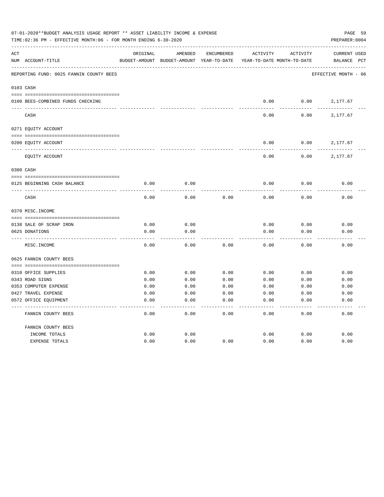|     | 07-01-2020**BUDGET ANALYSIS USAGE REPORT ** ASSET LIABILITY INCOME & EXPENSE<br>TIME:02:36 PM - EFFECTIVE MONTH:06 - FOR MONTH ENDING 6-30-2020 |               |               |              |                            |          | PREPARER: 0004       | PAGE 59      |
|-----|-------------------------------------------------------------------------------------------------------------------------------------------------|---------------|---------------|--------------|----------------------------|----------|----------------------|--------------|
| ACT |                                                                                                                                                 | ORIGINAL      | AMENDED       | ENCUMBERED   | <b>ACTIVITY</b>            | ACTIVITY | <b>CURRENT USED</b>  |              |
|     | NUM ACCOUNT-TITLE                                                                                                                               | BUDGET-AMOUNT | BUDGET-AMOUNT | YEAR-TO-DATE | YEAR-TO-DATE MONTH-TO-DATE |          | BALANCE              | $_{\rm PCT}$ |
|     | REPORTING FUND: 0025 FANNIN COUNTY BEES                                                                                                         |               |               |              |                            |          | EFFECTIVE MONTH - 06 |              |
|     | 0103 CASH                                                                                                                                       |               |               |              |                            |          |                      |              |
|     | 0100 BEES-COMBINED FUNDS CHECKING                                                                                                               |               |               |              | 0.00                       | 0.00     | 2,177.67             |              |
|     | CASH                                                                                                                                            |               |               |              | 0.00                       | 0.00     | 2,177.67             |              |
|     | 0271 EQUITY ACCOUNT                                                                                                                             |               |               |              |                            |          |                      |              |
|     | 0200 EQUITY ACCOUNT                                                                                                                             |               |               |              | 0.00                       | 0.00     | 2,177.67             |              |
|     | EQUITY ACCOUNT                                                                                                                                  |               |               |              | 0.00                       | 0.00     | 2,177.67             |              |
|     | 0300 CASH                                                                                                                                       |               |               |              |                            |          |                      |              |
|     | 0125 BEGINNING CASH BALANCE                                                                                                                     | 0.00          | 0.00          |              | 0.00                       | 0.00     | 0.00                 |              |
|     | CASH                                                                                                                                            | 0.00          | 0.00          | 0.00         | 0.00                       | 0.00     | 0.00                 |              |
|     | 0370 MISC. INCOME                                                                                                                               |               |               |              |                            |          |                      |              |
|     | 0138 SALE OF SCRAP IRON                                                                                                                         | 0.00          | 0.00          |              | 0.00                       | 0.00     | 0.00                 |              |
|     | 0625 DONATIONS                                                                                                                                  | 0.00          | 0.00          |              | 0.00                       | 0.00     | 0.00                 |              |
|     | MISC. INCOME                                                                                                                                    | 0.00          | 0.00          | 0.00         | 0.00                       | 0.00     | 0.00                 |              |
|     | 0625 FANNIN COUNTY BEES                                                                                                                         |               |               |              |                            |          |                      |              |
|     | 0310 OFFICE SUPPLIES                                                                                                                            | 0.00          | 0.00          | 0.00         | 0.00                       | 0.00     | 0.00                 |              |
|     | 0343 ROAD SIGNS                                                                                                                                 | 0.00          | 0.00          | 0.00         | 0.00                       | 0.00     | 0.00                 |              |
|     | 0353 COMPUTER EXPENSE                                                                                                                           | 0.00          | 0.00          | 0.00         | 0.00                       | 0.00     | 0.00                 |              |
|     | 0427 TRAVEL EXPENSE                                                                                                                             | 0.00          | 0.00          | 0.00         | 0.00                       | 0.00     | 0.00                 |              |
|     | 0572 OFFICE EQUIPMENT                                                                                                                           | 0.00          | 0.00          | 0.00         | 0.00                       | 0.00     | 0.00                 |              |
|     | FANNIN COUNTY BEES                                                                                                                              | 0.00          | 0.00          | 0.00         | 0.00                       | 0.00     | 0.00                 |              |
|     | FANNIN COUNTY BEES                                                                                                                              |               |               |              |                            |          |                      |              |
|     | INCOME TOTALS                                                                                                                                   | 0.00          | 0.00          |              | 0.00                       | 0.00     | 0.00                 |              |
|     | <b>EXPENSE TOTALS</b>                                                                                                                           | 0.00          | 0.00          | 0.00         | 0.00                       | 0.00     | 0.00                 |              |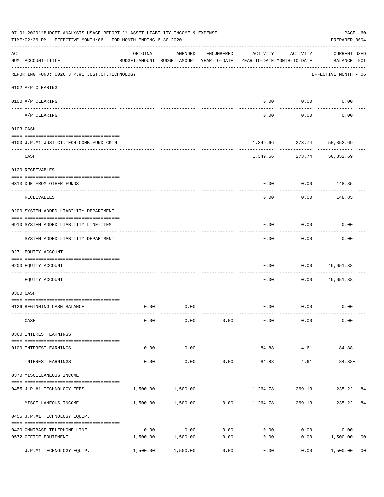|     | 07-01-2020**BUDGET ANALYSIS USAGE REPORT ** ASSET LIABILITY INCOME & EXPENSE<br>TIME:02:36 PM - EFFECTIVE MONTH:06 - FOR MONTH ENDING 6-30-2020 |                        |                                                     |                      |          |                                        | PAGE 60<br>PREPARER: 0004                 |
|-----|-------------------------------------------------------------------------------------------------------------------------------------------------|------------------------|-----------------------------------------------------|----------------------|----------|----------------------------------------|-------------------------------------------|
| ACT | NUM ACCOUNT-TITLE                                                                                                                               | ORIGINAL               | AMENDED<br>BUDGET-AMOUNT BUDGET-AMOUNT YEAR-TO-DATE | ENCUMBERED           | ACTIVITY | ACTIVITY<br>YEAR-TO-DATE MONTH-TO-DATE | <b>CURRENT USED</b><br>BALANCE PCT        |
|     | --------------------------------------<br>REPORTING FUND: 0026 J.P.#1 JUST.CT.TECHNOLOGY                                                        |                        |                                                     |                      |          |                                        | EFFECTIVE MONTH - 06                      |
|     | 0102 A/P CLEARING                                                                                                                               |                        |                                                     |                      |          |                                        |                                           |
|     | 0100 A/P CLEARING                                                                                                                               |                        |                                                     |                      | 0.00     | 0.00                                   | 0.00                                      |
|     | A/P CLEARING                                                                                                                                    |                        |                                                     |                      | 0.00     | 0.00                                   | 0.00                                      |
|     | 0103 CASH                                                                                                                                       |                        |                                                     |                      |          |                                        |                                           |
|     |                                                                                                                                                 |                        |                                                     |                      |          |                                        |                                           |
|     | 0100 J.P.#1 JUST.CT.TECH-COMB.FUND CKIN                                                                                                         |                        |                                                     |                      |          | 1,349.66 273.74 50,852.69              |                                           |
|     | CASH                                                                                                                                            |                        |                                                     |                      |          | 1,349.66 273.74                        | 50,852.69                                 |
|     | 0120 RECEIVABLES                                                                                                                                |                        |                                                     |                      |          |                                        |                                           |
|     | 0313 DUE FROM OTHER FUNDS                                                                                                                       |                        |                                                     |                      | 0.00     | 0.00                                   | 148.85                                    |
|     | RECEIVABLES                                                                                                                                     |                        |                                                     |                      | 0.00     | 0.00                                   | 148.85                                    |
|     | 0200 SYSTEM ADDED LIABILITY DEPARTMENT                                                                                                          |                        |                                                     |                      |          |                                        |                                           |
|     | 0910 SYSTEM ADDED LIABILITY LINE-ITEM                                                                                                           |                        |                                                     |                      | 0.00     | 0.00                                   | 0.00                                      |
|     | ------------------------<br>SYSTEM ADDED LIABILITY DEPARTMENT                                                                                   |                        |                                                     |                      | 0.00     | --------<br>0.00                       | 0.00                                      |
|     | 0271 EQUITY ACCOUNT                                                                                                                             |                        |                                                     |                      |          |                                        |                                           |
|     | 0200 EQUITY ACCOUNT                                                                                                                             |                        |                                                     |                      | 0.00     | 0.00                                   | 49,651.88                                 |
|     | EQUITY ACCOUNT                                                                                                                                  |                        |                                                     |                      | 0.00     | 0.00                                   | 49,651.88                                 |
|     | 0300 CASH                                                                                                                                       |                        |                                                     |                      |          |                                        |                                           |
|     |                                                                                                                                                 |                        |                                                     |                      |          |                                        |                                           |
|     | 0126 BEGINNING CASH BALANCE                                                                                                                     | 0.00                   | 0.00                                                |                      |          | $0.00$ $0.00$                          | 0.00                                      |
|     | CASH                                                                                                                                            | 0.00                   | 0.00                                                | 0.00                 | 0.00     | 0.00                                   | 0.00                                      |
|     | 0360 INTEREST EARNINGS                                                                                                                          |                        |                                                     |                      |          |                                        |                                           |
|     | 0100 INTEREST EARNINGS                                                                                                                          | 0.00                   | 0.00                                                |                      | 84.88    | 4.61                                   | 84.88+                                    |
|     | INTEREST EARNINGS                                                                                                                               | --------------<br>0.00 | ----------<br>0.00                                  | 0.00                 | 84.88    | ---------<br>4.61                      | 84.88+                                    |
|     | 0370 MISCELLANEOUS INCOME                                                                                                                       |                        |                                                     |                      |          |                                        |                                           |
|     |                                                                                                                                                 |                        |                                                     |                      |          |                                        | 269.13 235.22 84                          |
|     | 0455 J.P.#1 TECHNOLOGY FEES                                                                                                                     | 1,500.00               | 1,500.00                                            |                      | 1,264.78 |                                        |                                           |
|     | MISCELLANEOUS INCOME                                                                                                                            |                        | $1,500.00$ $1,500.00$ $0.00$ $1,264.78$             |                      |          | 269.13                                 | 235.22<br>84                              |
|     | 0455 J.P.#1 TECHNOLOGY EQUIP.                                                                                                                   |                        |                                                     |                      |          |                                        |                                           |
|     | 0420 OMNIBASE TELEPHONE LINE                                                                                                                    | 0.00                   | 0.00                                                | 0.00                 |          | $0.00$ 0.00                            | 0.00                                      |
|     | 0572 OFFICE EQUIPMENT                                                                                                                           | 1,500.00               | 1,500.00                                            | 0.00                 | 0.00     | 0.00                                   | 1,500.00<br>0 <sub>0</sub>                |
|     | J.P.#1 TECHNOLOGY EQUIP.                                                                                                                        | 1,500.00               | -----------<br>1,500.00                             | . <u>.</u> .<br>0.00 | 0.00     | ---------<br>0.00                      | -----------<br>1,500.00<br>0 <sub>0</sub> |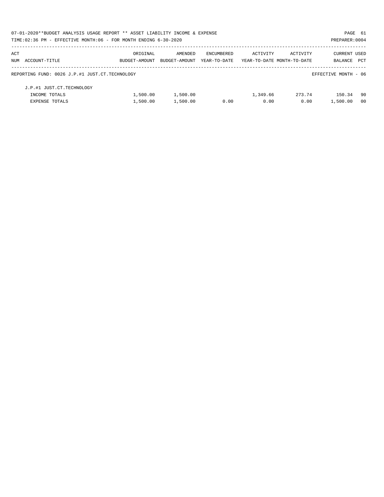| 07-01-2020**BUDGET ANALYSIS USAGE REPORT ** ASSET LIABILITY INCOME & EXPENSE |               |               |              |          |                            | PAGE 61              |                |
|------------------------------------------------------------------------------|---------------|---------------|--------------|----------|----------------------------|----------------------|----------------|
| TIME:02:36 PM - EFFECTIVE MONTH:06 - FOR MONTH ENDING 6-30-2020              |               |               |              |          |                            | PREPARER: 0004       |                |
| ACT                                                                          | ORIGINAL      | AMENDED       | ENCUMBERED   | ACTIVITY | ACTIVITY                   | <b>CURRENT USED</b>  |                |
| NUM ACCOUNT-TITLE                                                            | BUDGET-AMOUNT | BUDGET-AMOUNT | YEAR-TO-DATE |          | YEAR-TO-DATE MONTH-TO-DATE | BALANCE              | PCT            |
| REPORTING FUND: 0026 J.P.#1 JUST.CT.TECHNOLOGY                               |               |               |              |          |                            | EFFECTIVE MONTH - 06 |                |
| J.P.#1 JUST.CT.TECHNOLOGY                                                    |               |               |              |          |                            |                      |                |
| INCOME TOTALS                                                                | 1,500.00      | 1,500.00      |              | 1,349.66 | 273.74                     | 150.34               | -90            |
| <b>EXPENSE TOTALS</b>                                                        | 1,500.00      | 1,500.00      | 0.00         | 0.00     | 0.00                       | 1,500.00             | 0 <sub>0</sub> |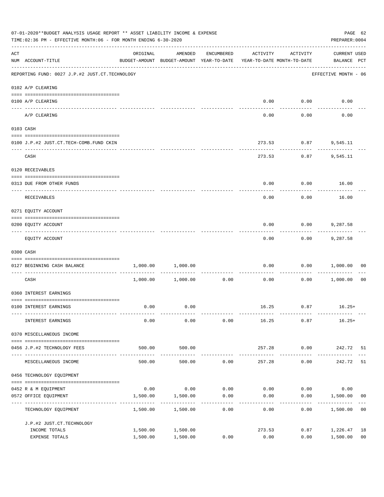|     | 07-01-2020**BUDGET ANALYSIS USAGE REPORT ** ASSET LIABILITY INCOME & EXPENSE<br>TIME:02:36 PM - EFFECTIVE MONTH:06 - FOR MONTH ENDING 6-30-2020 |                                            |                                                                                |                    |          |                      |                             |                |  |
|-----|-------------------------------------------------------------------------------------------------------------------------------------------------|--------------------------------------------|--------------------------------------------------------------------------------|--------------------|----------|----------------------|-----------------------------|----------------|--|
| ACT | NUM ACCOUNT-TITLE                                                                                                                               | ORIGINAL                                   | AMENDED<br>BUDGET-AMOUNT BUDGET-AMOUNT YEAR-TO-DATE YEAR-TO-DATE MONTH-TO-DATE | ENCUMBERED         | ACTIVITY | ACTIVITY             | CURRENT USED<br>BALANCE PCT |                |  |
|     | REPORTING FUND: 0027 J.P.#2 JUST.CT.TECHNOLOGY                                                                                                  |                                            |                                                                                |                    |          |                      | EFFECTIVE MONTH - 06        |                |  |
|     | 0102 A/P CLEARING                                                                                                                               |                                            |                                                                                |                    |          |                      |                             |                |  |
|     | 0100 A/P CLEARING                                                                                                                               |                                            |                                                                                |                    |          | $0.00$ $0.00$        | 0.00                        |                |  |
|     | A/P CLEARING                                                                                                                                    |                                            |                                                                                |                    | 0.00     | 0.00                 | 0.00                        |                |  |
|     | 0103 CASH                                                                                                                                       |                                            |                                                                                |                    |          |                      |                             |                |  |
|     | 0100 J.P.#2 JUST.CT.TECH-COMB.FUND CKIN                                                                                                         |                                            |                                                                                |                    |          | 273.53 0.87 9,545.11 |                             |                |  |
|     | CASH                                                                                                                                            |                                            |                                                                                |                    | 273.53   | ----------<br>0.87   | 9,545.11                    |                |  |
|     | 0120 RECEIVABLES                                                                                                                                |                                            |                                                                                |                    |          |                      |                             |                |  |
|     | 0313 DUE FROM OTHER FUNDS                                                                                                                       |                                            |                                                                                |                    | 0.00     |                      | $0.00$ 16.00                |                |  |
|     | RECEIVABLES                                                                                                                                     |                                            |                                                                                |                    | 0.00     | 0.00                 | 16.00                       |                |  |
|     | 0271 EQUITY ACCOUNT                                                                                                                             |                                            |                                                                                |                    |          |                      |                             |                |  |
|     | 0200 EQUITY ACCOUNT                                                                                                                             |                                            |                                                                                |                    | 0.00     | 0.00                 | 9,287.58                    |                |  |
|     | EQUITY ACCOUNT                                                                                                                                  |                                            |                                                                                |                    | 0.00     | ---------<br>0.00    | 9,287.58                    |                |  |
|     | 0300 CASH                                                                                                                                       |                                            |                                                                                |                    |          |                      |                             |                |  |
|     | 0127 BEGINNING CASH BALANCE                                                                                                                     | 1,000.00                                   | 1,000.00                                                                       |                    | 0.00     |                      | 0.00 1,000.00               | 00             |  |
|     | __________________________________<br>CASH                                                                                                      |                                            | 1,000.00 1,000.00                                                              | 0.00               | 0.00     |                      | 0.00 1,000.00               | 0 <sub>0</sub> |  |
|     | 0360 INTEREST EARNINGS                                                                                                                          |                                            |                                                                                |                    |          |                      |                             |                |  |
|     | 0100 INTEREST EARNINGS                                                                                                                          | 0.00                                       | 0.00                                                                           |                    |          | 16.25 0.87           | $16.25+$                    |                |  |
|     | INTEREST EARNINGS                                                                                                                               | 0.00                                       | 0.00                                                                           | 0.00               | 16.25    | 0.87                 | $16.25+$                    |                |  |
|     | 0370 MISCELLANEOUS INCOME                                                                                                                       |                                            |                                                                                |                    |          |                      |                             |                |  |
|     | 0456 J.P.#2 TECHNOLOGY FEES                                                                                                                     | 500.00                                     | 500.00                                                                         |                    | 257.28   | 0.00                 | 242.72 51                   |                |  |
|     | MISCELLANEOUS INCOME                                                                                                                            | --------------- ----------------<br>500.00 | . <u>.</u> .<br>500.00                                                         | 0.00               | 257.28   | ---------<br>0.00    | 242.72                      | 51             |  |
|     | 0456 TECHNOLOGY EQUIPMENT                                                                                                                       |                                            |                                                                                |                    |          |                      |                             |                |  |
|     |                                                                                                                                                 |                                            |                                                                                |                    |          |                      |                             |                |  |
|     | 0452 R & M EQUIPMENT                                                                                                                            | 0.00                                       | 0.00                                                                           | 0.00               | 0.00     | 0.00                 | 0.00                        |                |  |
|     | 0572 OFFICE EQUIPMENT<br>-----------------                                                                                                      | 1,500.00                                   | 1,500.00                                                                       | 0.00<br>---------- | 0.00     | 0.00                 | 1,500.00                    | 00             |  |
|     | TECHNOLOGY EQUIPMENT                                                                                                                            | 1,500.00                                   | 1,500.00                                                                       | 0.00               | 0.00     | 0.00                 | 1,500.00                    | 0 <sub>0</sub> |  |
|     | J.P.#2 JUST.CT.TECHNOLOGY                                                                                                                       |                                            |                                                                                |                    |          |                      |                             |                |  |
|     | INCOME TOTALS                                                                                                                                   | 1,500.00                                   | 1,500.00                                                                       |                    | 273.53   | 0.87                 | 1,226.47                    | 18             |  |
|     | EXPENSE TOTALS                                                                                                                                  | 1,500.00                                   | 1,500.00                                                                       | 0.00               | 0.00     | 0.00                 | 1,500.00                    | 0 <sub>0</sub> |  |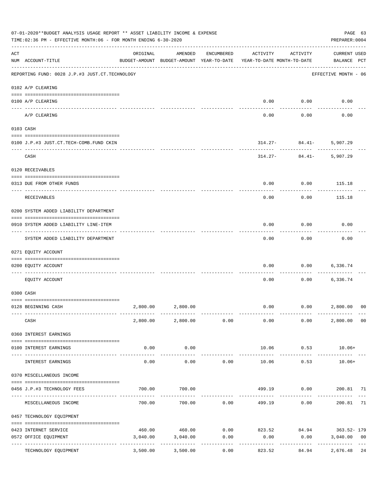|     | 07-01-2020**BUDGET ANALYSIS USAGE REPORT ** ASSET LIABILITY INCOME & EXPENSE<br>TIME: 02:36 PM - EFFECTIVE MONTH: 06 - FOR MONTH ENDING 6-30-2020 |          |                                                     |                     |                                                          |                                 | PAGE 63<br>PREPARER: 0004          |                |
|-----|---------------------------------------------------------------------------------------------------------------------------------------------------|----------|-----------------------------------------------------|---------------------|----------------------------------------------------------|---------------------------------|------------------------------------|----------------|
| ACT | NUM ACCOUNT-TITLE                                                                                                                                 | ORIGINAL | AMENDED<br>BUDGET-AMOUNT BUDGET-AMOUNT YEAR-TO-DATE | ENCUMBERED          | ACTIVITY<br>YEAR-TO-DATE MONTH-TO-DATE                   | ACTIVITY                        | <b>CURRENT USED</b><br>BALANCE PCT |                |
|     | REPORTING FUND: 0028 J.P.#3 JUST.CT.TECHNOLOGY                                                                                                    |          |                                                     |                     |                                                          |                                 | EFFECTIVE MONTH - 06               |                |
|     | 0102 A/P CLEARING                                                                                                                                 |          |                                                     |                     |                                                          |                                 |                                    |                |
|     | 0100 A/P CLEARING<br>-------------------- --------                                                                                                |          |                                                     |                     | 0.00                                                     | 0.00                            | 0.00                               |                |
|     | ---- ---------<br>A/P CLEARING                                                                                                                    |          |                                                     |                     | 0.00                                                     | 0.00                            | 0.00                               |                |
|     | 0103 CASH                                                                                                                                         |          |                                                     |                     |                                                          |                                 |                                    |                |
|     | 0100 J.P.#3 JUST.CT.TECH-COMB.FUND CKIN                                                                                                           |          |                                                     |                     |                                                          | $314.27 - 84.41 -$<br>--------- | 5,907.29                           |                |
|     | CASH                                                                                                                                              |          |                                                     |                     |                                                          | $314.27 - 84.41 -$              | 5,907.29                           |                |
|     | 0120 RECEIVABLES                                                                                                                                  |          |                                                     |                     |                                                          |                                 |                                    |                |
|     | 0313 DUE FROM OTHER FUNDS                                                                                                                         |          |                                                     |                     | 0.00                                                     | 0.00                            | 115.18                             |                |
|     | RECEIVABLES                                                                                                                                       |          |                                                     |                     | 0.00                                                     | 0.00                            | 115.18                             |                |
|     | 0200 SYSTEM ADDED LIABILITY DEPARTMENT                                                                                                            |          |                                                     |                     |                                                          |                                 |                                    |                |
|     | 0910 SYSTEM ADDED LIABILITY LINE-ITEM                                                                                                             |          |                                                     |                     | 0.00                                                     | 0.00                            | 0.00                               |                |
|     | SYSTEM ADDED LIABILITY DEPARTMENT                                                                                                                 |          |                                                     |                     | 0.00                                                     | 0.00                            | 0.00                               |                |
|     | 0271 EQUITY ACCOUNT                                                                                                                               |          |                                                     |                     |                                                          |                                 |                                    |                |
|     | 0200 EQUITY ACCOUNT                                                                                                                               |          |                                                     |                     | 0.00                                                     | 0.00                            | 6,336.74                           |                |
|     | EOUITY ACCOUNT                                                                                                                                    |          |                                                     |                     | 0.00                                                     | 0.00                            | 6,336.74                           |                |
|     | 0300 CASH                                                                                                                                         |          |                                                     |                     |                                                          |                                 |                                    |                |
|     | 0128 BEGINNING CASH                                                                                                                               |          | 2,800.00 2,800.00                                   |                     | 0.00                                                     | 0.00 2,800.00                   |                                    | 0 <sup>0</sup> |
|     | CASH                                                                                                                                              |          | 2,800.00 2,800.00 0.00                              |                     |                                                          | $0.00$ 0.00                     | 2,800.00 00                        |                |
|     | 0360 INTEREST EARNINGS                                                                                                                            |          |                                                     |                     |                                                          |                                 |                                    |                |
|     | 0100 INTEREST EARNINGS                                                                                                                            | 0.00     | 0.00                                                |                     | 10.06                                                    | 0.53                            | $10.06+$                           |                |
|     | INTEREST EARNINGS                                                                                                                                 | 0.00     | 0.00                                                | 0.00                | 10.06                                                    | 0.53                            | $10.06+$                           |                |
|     | 0370 MISCELLANEOUS INCOME                                                                                                                         |          |                                                     |                     |                                                          |                                 |                                    |                |
|     | 0456 J.P.#3 TECHNOLOGY FEES                                                                                                                       | 700.00   | 700.00                                              |                     |                                                          | 499.19   0.00   200.81   71     |                                    |                |
|     | ----------------- ---<br>MISCELLANEOUS INCOME                                                                                                     | 700.00   |                                                     | .<br>700.00 0.00    |                                                          | ---------<br>499.19 0.00        | 200.81                             | 71             |
|     | 0457 TECHNOLOGY EQUIPMENT                                                                                                                         |          |                                                     |                     |                                                          |                                 |                                    |                |
|     |                                                                                                                                                   |          |                                                     |                     | $460.00$ $460.00$ $0.00$ $823.52$ $84.94$ $363.52 - 179$ |                                 |                                    |                |
|     | 0423 INTERNET SERVICE<br>0572 OFFICE EQUIPMENT                                                                                                    | 3,040.00 | 3,040.00                                            | 0.00                | 0.00                                                     | 0.00                            | 3,040.00                           | 0 <sub>0</sub> |
|     | TECHNOLOGY EQUIPMENT                                                                                                                              | 3,500.00 | -------------<br>3,500.00                           | -----------<br>0.00 | ------------<br>823.52                                   | ------------<br>84.94           | -------------<br>2,676.48 24       | $---$          |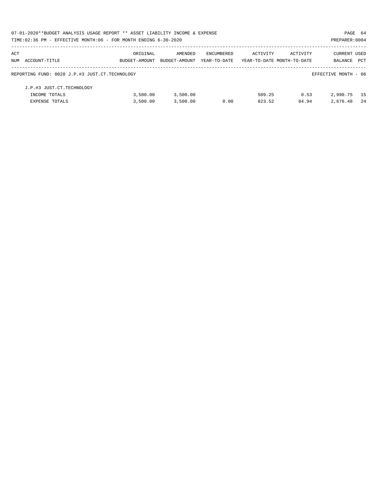|     | 07-01-2020**BUDGET ANALYSIS USAGE REPORT ** ASSET LIABILITY INCOME & EXPENSE |               |               |              |                            |          | PAGE 64              |     |
|-----|------------------------------------------------------------------------------|---------------|---------------|--------------|----------------------------|----------|----------------------|-----|
|     | TIME: 02:36 PM - EFFECTIVE MONTH: 06 - FOR MONTH ENDING 6-30-2020            |               |               |              |                            |          | PREPARER: 0004       |     |
| ACT |                                                                              | ORIGINAL      | AMENDED       | ENCUMBERED   | ACTIVITY                   | ACTIVITY | CURRENT USED         |     |
|     | NUM ACCOUNT-TITLE                                                            | BUDGET-AMOUNT | BUDGET-AMOUNT | YEAR-TO-DATE | YEAR-TO-DATE MONTH-TO-DATE |          | <b>BALANCE</b>       | PCT |
|     | REPORTING FUND: 0028 J.P.#3 JUST.CT.TECHNOLOGY                               |               |               |              |                            |          | EFFECTIVE MONTH - 06 |     |
|     | J.P.#3 JUST.CT.TECHNOLOGY                                                    |               |               |              |                            |          |                      |     |
|     | INCOME TOTALS                                                                | 3,500.00      | 3,500.00      |              | 509.25                     | 0.53     | 2,990.75             | 15  |
|     | <b>EXPENSE TOTALS</b>                                                        | 3,500.00      | 3,500.00      | 0.00         | 823.52                     | 84.94    | 2,676.48             | -24 |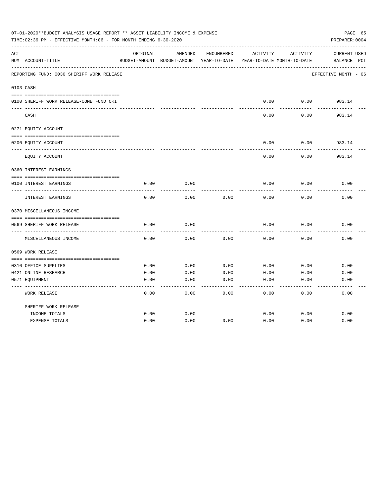|     | 07-01-2020**BUDGET ANALYSIS USAGE REPORT ** ASSET LIABILITY INCOME & EXPENSE<br>TIME:02:36 PM - EFFECTIVE MONTH:06 - FOR MONTH ENDING 6-30-2020 |          |                                          |            |          |                            | PAGE 65<br>PREPARER: 0004 |
|-----|-------------------------------------------------------------------------------------------------------------------------------------------------|----------|------------------------------------------|------------|----------|----------------------------|---------------------------|
| ACT |                                                                                                                                                 | ORIGINAL | AMENDED                                  | ENCUMBERED | ACTIVITY | ACTIVITY                   | <b>CURRENT USED</b>       |
|     | NUM ACCOUNT-TITLE                                                                                                                               |          | BUDGET-AMOUNT BUDGET-AMOUNT YEAR-TO-DATE |            |          | YEAR-TO-DATE MONTH-TO-DATE | $_{\rm PCT}$<br>BALANCE   |
|     | REPORTING FUND: 0030 SHERIFF WORK RELEASE                                                                                                       |          |                                          |            |          |                            | EFFECTIVE MONTH - 06      |
|     | 0103 CASH                                                                                                                                       |          |                                          |            |          |                            |                           |
|     |                                                                                                                                                 |          |                                          |            |          |                            |                           |
|     | 0100 SHERIFF WORK RELEASE-COMB FUND CKI                                                                                                         |          |                                          |            | 0.00     | 0.00                       | 983.14                    |
|     | CASH                                                                                                                                            |          |                                          |            | 0.00     | 0.00                       | 983.14                    |
|     | 0271 EQUITY ACCOUNT                                                                                                                             |          |                                          |            |          |                            |                           |
|     | 0200 EQUITY ACCOUNT                                                                                                                             |          |                                          |            | 0.00     | 0.00                       | 983.14                    |
|     | EQUITY ACCOUNT                                                                                                                                  |          |                                          |            | 0.00     | 0.00                       | 983.14                    |
|     | 0360 INTEREST EARNINGS                                                                                                                          |          |                                          |            |          |                            |                           |
|     |                                                                                                                                                 |          |                                          |            |          |                            |                           |
|     | 0100 INTEREST EARNINGS                                                                                                                          | 0.00     | 0.00                                     |            | 0.00     | 0.00                       | 0.00                      |
|     | <b>INTEREST EARNINGS</b>                                                                                                                        | 0.00     | 0.00                                     | 0.00       | 0.00     | 0.00                       | 0.00                      |
|     | 0370 MISCELLANEOUS INCOME                                                                                                                       |          |                                          |            |          |                            |                           |
|     |                                                                                                                                                 |          |                                          |            |          |                            |                           |
|     | 0569 SHERIFF WORK RELEASE                                                                                                                       | 0.00     | 0.00                                     |            | 0.00     | 0.00                       | 0.00                      |
|     | MISCELLANEOUS INCOME                                                                                                                            | 0.00     | 0.00                                     | 0.00       | 0.00     | 0.00                       | 0.00                      |
|     | 0569 WORK RELEASE                                                                                                                               |          |                                          |            |          |                            |                           |
|     |                                                                                                                                                 |          |                                          |            |          |                            |                           |
|     | 0310 OFFICE SUPPLIES                                                                                                                            | 0.00     | 0.00                                     | 0.00       | 0.00     | 0.00                       | 0.00                      |
|     | 0421 ONLINE RESEARCH                                                                                                                            | 0.00     | 0.00                                     | 0.00       | 0.00     | 0.00                       | 0.00                      |
|     | 0571 EQUIPMENT                                                                                                                                  | 0.00     | 0.00                                     | 0.00       | 0.00     | 0.00                       | 0.00                      |
|     | WORK RELEASE                                                                                                                                    | 0.00     | 0.00                                     | 0.00       | 0.00     | 0.00                       | 0.00                      |
|     | SHERIFF WORK RELEASE                                                                                                                            |          |                                          |            |          |                            |                           |
|     | INCOME TOTALS                                                                                                                                   | 0.00     | 0.00                                     |            | 0.00     | 0.00                       | 0.00                      |
|     | <b>EXPENSE TOTALS</b>                                                                                                                           | 0.00     | 0.00                                     | 0.00       | 0.00     | 0.00                       | 0.00                      |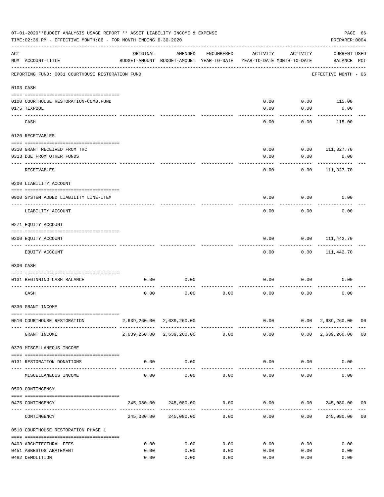|     | 07-01-2020**BUDGET ANALYSIS USAGE REPORT ** ASSET LIABILITY INCOME & EXPENSE<br>TIME: 02:36 PM - EFFECTIVE MONTH: 06 - FOR MONTH ENDING 6-30-2020 |          |                                                     |            |                           |                                        | PREPARER: 0004                                                                   | PAGE 66 |
|-----|---------------------------------------------------------------------------------------------------------------------------------------------------|----------|-----------------------------------------------------|------------|---------------------------|----------------------------------------|----------------------------------------------------------------------------------|---------|
| ACT | NUM ACCOUNT-TITLE                                                                                                                                 | ORIGINAL | AMENDED<br>BUDGET-AMOUNT BUDGET-AMOUNT YEAR-TO-DATE | ENCUMBERED | ACTIVITY                  | ACTIVITY<br>YEAR-TO-DATE MONTH-TO-DATE | <b>CURRENT USED</b><br>BALANCE PCT                                               |         |
|     | REPORTING FUND: 0031 COURTHOUSE RESTORATION FUND                                                                                                  |          |                                                     |            |                           |                                        | EFFECTIVE MONTH - 06                                                             |         |
|     | 0103 CASH                                                                                                                                         |          |                                                     |            |                           |                                        |                                                                                  |         |
|     |                                                                                                                                                   |          |                                                     |            |                           |                                        |                                                                                  |         |
|     | 0100 COURTHOUSE RESTORATION-COMB.FUND                                                                                                             |          |                                                     |            | 0.00                      | 0.00                                   | 115.00                                                                           |         |
|     | 0175 TEXPOOL                                                                                                                                      |          |                                                     |            | 0.00                      | 0.00                                   | 0.00                                                                             |         |
|     | CASH                                                                                                                                              |          |                                                     |            | 0.00                      | 0.00                                   | 115.00                                                                           |         |
|     | 0120 RECEIVABLES                                                                                                                                  |          |                                                     |            |                           |                                        |                                                                                  |         |
|     |                                                                                                                                                   |          |                                                     |            |                           |                                        |                                                                                  |         |
|     | 0310 GRANT RECEIVED FROM THC                                                                                                                      |          |                                                     |            | 0.00                      | 0.00                                   | 111,327.70                                                                       |         |
|     | 0313 DUE FROM OTHER FUNDS                                                                                                                         |          |                                                     |            | 0.00                      | 0.00                                   | 0.00                                                                             |         |
|     | RECEIVABLES                                                                                                                                       |          |                                                     |            | 0.00                      | 0.00                                   | 111,327.70                                                                       |         |
|     | 0200 LIABILITY ACCOUNT                                                                                                                            |          |                                                     |            |                           |                                        |                                                                                  |         |
|     | 0900 SYSTEM ADDED LIABILITY LINE-ITEM                                                                                                             |          |                                                     |            | 0.00                      | 0.00                                   | 0.00                                                                             |         |
|     | LIABILITY ACCOUNT                                                                                                                                 |          |                                                     |            | 0.00                      | 0.00                                   | 0.00                                                                             |         |
|     | 0271 EQUITY ACCOUNT                                                                                                                               |          |                                                     |            |                           |                                        |                                                                                  |         |
|     |                                                                                                                                                   |          |                                                     |            |                           |                                        |                                                                                  |         |
|     | 0200 EQUITY ACCOUNT                                                                                                                               |          |                                                     |            | 0.00                      | 0.00                                   | 111,442.70                                                                       |         |
|     | EQUITY ACCOUNT                                                                                                                                    |          |                                                     |            | 0.00                      | 0.00                                   | 111,442.70                                                                       |         |
|     | 0300 CASH                                                                                                                                         |          |                                                     |            |                           |                                        |                                                                                  |         |
|     | 0131 BEGINNING CASH BALANCE                                                                                                                       | 0.00     | 0.00                                                |            | 0.00                      | 0.00                                   | 0.00                                                                             |         |
|     | CASH                                                                                                                                              | 0.00     | 0.00                                                | 0.00       | 0.00                      | 0.00                                   | 0.00                                                                             |         |
|     | 0330 GRANT INCOME                                                                                                                                 |          |                                                     |            |                           |                                        |                                                                                  |         |
|     |                                                                                                                                                   |          |                                                     |            |                           |                                        |                                                                                  |         |
|     | 0510 COURTHOUSE RESTORATION                                                                                                                       |          | 2,639,260.00 2,639,260.00                           |            |                           | -------------                          | $0.00$ $0.00$ $2,639,260.00$ 00<br>--------------                                |         |
|     | GRANT INCOME                                                                                                                                      |          | 2,639,260.00 2,639,260.00 0.00                      |            | 0.00                      |                                        | $0.00 \quad 2,639,260.00 \quad 00$                                               |         |
|     | 0370 MISCELLANEOUS INCOME                                                                                                                         |          |                                                     |            |                           |                                        |                                                                                  |         |
|     | 0131 RESTORATION DONATIONS                                                                                                                        | 0.00     | 0.00                                                |            |                           | $0.00$ $0.00$                          | 0.00                                                                             |         |
|     | ------------------- -------<br>MISCELLANEOUS INCOME                                                                                               | 0.00     | 0.00                                                | 0.00       |                           | $0.00$ 0.00                            | 0.00                                                                             |         |
|     | 0509 CONTINGENCY                                                                                                                                  |          |                                                     |            |                           |                                        |                                                                                  |         |
|     |                                                                                                                                                   |          |                                                     |            |                           |                                        |                                                                                  |         |
|     | 0475 CONTINGENCY                                                                                                                                  |          |                                                     |            | . _ _ _ _ _ _ _ _ _ _ _ _ | -----------                            | $245,080.00$ $245,080.00$ $0.00$ $0.00$ $0.00$ $245,080.00$ $00$<br>------------ |         |
|     | CONTINGENCY                                                                                                                                       |          | 245,080.00 245,080.00                               | 0.00       | 0.00                      |                                        | 0.00 245,080.00                                                                  | 00      |
|     | 0510 COURTHOUSE RESTORATION PHASE 1                                                                                                               |          |                                                     |            |                           |                                        |                                                                                  |         |
|     | 0403 ARCHITECTURAL FEES                                                                                                                           | 0.00     | 0.00                                                | 0.00       | 0.00                      | 0.00                                   | 0.00                                                                             |         |
|     | 0451 ASBESTOS ABATEMENT                                                                                                                           | 0.00     | 0.00                                                | 0.00       | 0.00                      | 0.00                                   | 0.00                                                                             |         |
|     | 0482 DEMOLITION                                                                                                                                   | 0.00     | 0.00                                                | 0.00       | 0.00                      | 0.00                                   | 0.00                                                                             |         |
|     |                                                                                                                                                   |          |                                                     |            |                           |                                        |                                                                                  |         |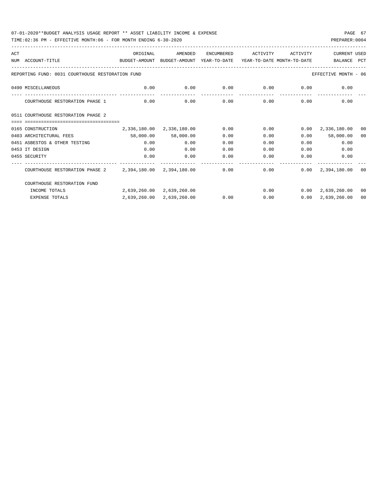| ACT |                                                                                                              | ORIGINAL                  | AMENDED                                          | ENCUMBERED | ACTIVITY | ACTIVITY      | CURRENT USED                 |                |
|-----|--------------------------------------------------------------------------------------------------------------|---------------------------|--------------------------------------------------|------------|----------|---------------|------------------------------|----------------|
|     | NUM ACCOUNT-TITLE<br>BUDGET-AMOUNT BUDGET-AMOUNT YEAR-TO-DATE YEAR-TO-DATE MONTH-TO-DATE                     |                           |                                                  |            |          |               | BALANCE                      | PCT            |
|     |                                                                                                              |                           |                                                  |            |          |               |                              |                |
|     | REPORTING FUND: 0031 COURTHOUSE RESTORATION FUND                                                             |                           |                                                  |            |          |               | EFFECTIVE MONTH - 06         |                |
|     | 0490 MISCELLANEOUS                                                                                           |                           | $0.00$ $0.00$ $0.00$ $0.00$ $0.00$ $0.00$ $0.00$ |            |          |               |                              |                |
|     | COURTHOUSE RESTORATION PHASE 1                                                                               | 0.00                      | 0.00                                             | 0.00       |          | $0.00$ $0.00$ | 0.00                         |                |
|     | 0511 COURTHOUSE RESTORATION PHASE 2                                                                          |                           |                                                  |            |          |               |                              |                |
|     |                                                                                                              |                           |                                                  |            |          |               |                              |                |
|     | 0165 CONSTRUCTION                                                                                            |                           | 2,336,180.00 2,336,180.00                        | 0.00       | 0.00     |               | $0.00 \quad 2,336,180.00$    | 0 <sub>0</sub> |
|     | 0403 ARCHITECTURAL FEES                                                                                      | 58,000.00 58,000.00       |                                                  | 0.00       | 0.00     |               | $0.00$ 58,000.00             | 00             |
|     | 0451 ASBESTOS & OTHER TESTING                                                                                | 0.00                      | 0.00                                             | 0.00       | 0.00     |               | 0.00<br>0.00                 |                |
|     | 0453 IT DESIGN                                                                                               | 0.00                      | 0.00                                             | 0.00       | 0.00     | 0.00          | 0.00                         |                |
|     | 0455 SECURITY                                                                                                | 0.00                      | 0.00                                             | 0.00       | 0.00     | 0.00          | 0.00                         |                |
|     | COURTHOUSE RESTORATION PHASE 2   2,394,180.00   2,394,180.00   0.00   0.00   0.00   0.00   2,394,180.00   00 |                           |                                                  |            |          |               |                              |                |
|     | COURTHOUSE RESTORATION FUND                                                                                  |                           |                                                  |            |          |               |                              |                |
|     | INCOME TOTALS                                                                                                | 2,639,260.00 2,639,260.00 |                                                  |            |          |               | $0.00$ $0.00$ $2.639.260.00$ | 00             |
|     | <b>EXPENSE TOTALS</b>                                                                                        |                           | 2,639,260.00 2,639,260.00                        | 0.00       | 0.00     |               | $0.00 \quad 2.639.260.00$    | 00             |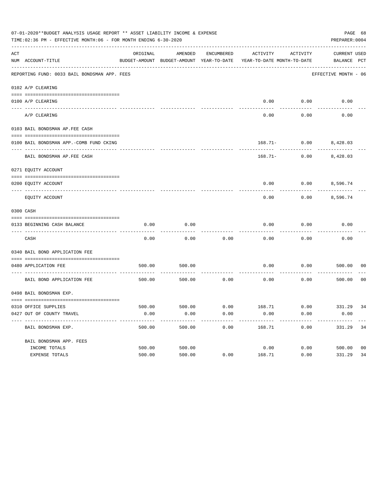|     | 07-01-2020**BUDGET ANALYSIS USAGE REPORT ** ASSET LIABILITY INCOME & EXPENSE<br>PAGE 68<br>TIME: 02:36 PM - EFFECTIVE MONTH: 06 - FOR MONTH ENDING 6-30-2020<br>PREPARER: 0004 |          |         |            |                                                                                 |                                         |                                    |                |
|-----|--------------------------------------------------------------------------------------------------------------------------------------------------------------------------------|----------|---------|------------|---------------------------------------------------------------------------------|-----------------------------------------|------------------------------------|----------------|
| ACT | NUM ACCOUNT-TITLE                                                                                                                                                              | ORIGINAL | AMENDED | ENCUMBERED | ACTIVITY<br>BUDGET-AMOUNT BUDGET-AMOUNT YEAR-TO-DATE YEAR-TO-DATE MONTH-TO-DATE | ACTIVITY                                | <b>CURRENT USED</b><br>BALANCE PCT |                |
|     | REPORTING FUND: 0033 BAIL BONDSMAN APP. FEES                                                                                                                                   |          |         |            |                                                                                 |                                         | EFFECTIVE MONTH - 06               |                |
|     | 0102 A/P CLEARING                                                                                                                                                              |          |         |            |                                                                                 |                                         |                                    |                |
|     | 0100 A/P CLEARING                                                                                                                                                              |          |         |            | 0.00                                                                            | 0.00                                    | 0.00                               |                |
|     | ---- ----------<br>---------------------- --------<br>A/P CLEARING                                                                                                             |          |         |            | 0.00                                                                            | 0.00                                    | 0.00                               |                |
|     | 0103 BAIL BONDSMAN AP.FEE CASH                                                                                                                                                 |          |         |            |                                                                                 |                                         |                                    |                |
|     | 0100 BAIL BONDSMAN APP.-COMB FUND CKING                                                                                                                                        |          |         |            |                                                                                 | 168.71- 0.00 8,428.03                   |                                    |                |
|     | ----------------------------------<br>BAIL BONDSMAN AP. FEE CASH                                                                                                               |          |         |            |                                                                                 | -----------<br>$168.71 - 0.00$ 8,428.03 |                                    |                |
|     | 0271 EQUITY ACCOUNT                                                                                                                                                            |          |         |            |                                                                                 |                                         |                                    |                |
|     | 0200 EQUITY ACCOUNT                                                                                                                                                            |          |         |            | 0.00                                                                            | $0.00$ 8,596.74                         |                                    |                |
|     | EQUITY ACCOUNT                                                                                                                                                                 |          |         |            | 0.00                                                                            | 0.00                                    | 8,596.74                           |                |
|     | 0300 CASH                                                                                                                                                                      |          |         |            |                                                                                 |                                         |                                    |                |
|     | 0133 BEGINNING CASH BALANCE                                                                                                                                                    | 0.00     | 0.00    |            | 0.00                                                                            | 0.00                                    | 0.00                               |                |
|     | CASH                                                                                                                                                                           | 0.00     | 0.00    | 0.00       | 0.00                                                                            | 0.00                                    | 0.00                               |                |
|     | 0340 BAIL BOND APPLICATION FEE                                                                                                                                                 |          |         |            |                                                                                 |                                         |                                    |                |
|     | 0480 APPLICATION FEE<br>-----------------------------------                                                                                                                    | 500.00   | 500.00  |            | 0.00                                                                            | 0.00                                    | 500.00                             | 00             |
|     | BAIL BOND APPLICATION FEE                                                                                                                                                      | 500.00   | 500.00  | 0.00       | 0.00                                                                            | 0.00                                    | 500.00                             | 0 <sub>0</sub> |
|     | 0498 BAIL BONDSMAN EXP.                                                                                                                                                        |          |         |            |                                                                                 |                                         |                                    |                |
|     |                                                                                                                                                                                |          |         |            |                                                                                 |                                         |                                    |                |
|     | 0310 OFFICE SUPPLIES<br>0427 OUT OF COUNTY TRAVEL                                                                                                                              | 0.00     | 0.00    | 0.00       | 500.00 500.00 6.00 168.71 0.00 331.29 34<br>0.00                                | 0.00                                    | 0.00                               |                |
|     | BAIL BONDSMAN EXP.                                                                                                                                                             | 500.00   | 500.00  | 0.00       | 168.71                                                                          | 0.00                                    | 331.29                             | 34             |
|     | BAIL BONDSMAN APP. FEES                                                                                                                                                        |          |         |            |                                                                                 |                                         |                                    |                |
|     | INCOME TOTALS                                                                                                                                                                  | 500.00   | 500.00  |            | 0.00                                                                            | 0.00                                    | 500.00                             | 0 <sub>0</sub> |
|     | EXPENSE TOTALS                                                                                                                                                                 | 500.00   | 500.00  | 0.00       | 168.71                                                                          | 0.00                                    | 331.29                             | 34             |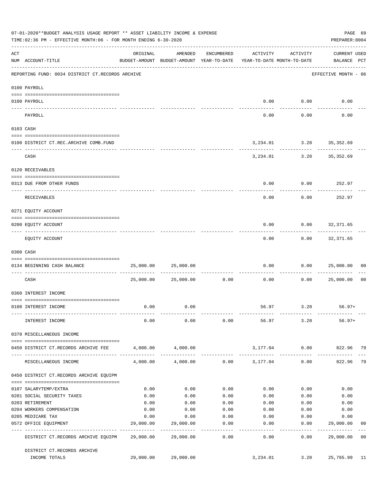|     | 07-01-2020**BUDGET ANALYSIS USAGE REPORT ** ASSET LIABILITY INCOME & EXPENSE<br>TIME: 02:36 PM - EFFECTIVE MONTH: 06 - FOR MONTH ENDING 6-30-2020 |           |                                                                                |                      |                   |                                | PAGE 69<br>PREPARER: 0004          |                |
|-----|---------------------------------------------------------------------------------------------------------------------------------------------------|-----------|--------------------------------------------------------------------------------|----------------------|-------------------|--------------------------------|------------------------------------|----------------|
| ACT | NUM ACCOUNT-TITLE                                                                                                                                 | ORIGINAL  | AMENDED<br>BUDGET-AMOUNT BUDGET-AMOUNT YEAR-TO-DATE YEAR-TO-DATE MONTH-TO-DATE | ENCUMBERED           | ACTIVITY          | ACTIVITY                       | <b>CURRENT USED</b><br>BALANCE PCT |                |
|     | REPORTING FUND: 0034 DISTRICT CT.RECORDS ARCHIVE                                                                                                  |           |                                                                                |                      |                   |                                | EFFECTIVE MONTH - 06               |                |
|     | 0100 PAYROLL                                                                                                                                      |           |                                                                                |                      |                   |                                |                                    |                |
|     | 0100 PAYROLL<br>----- ----                                                                                                                        |           |                                                                                |                      | 0.00              | 0.00                           | 0.00                               |                |
|     | PAYROLL                                                                                                                                           |           |                                                                                |                      | 0.00              | 0.00                           | 0.00                               |                |
|     | 0103 CASH                                                                                                                                         |           |                                                                                |                      |                   |                                |                                    |                |
|     | 0100 DISTRICT CT.REC.ARCHIVE COMB.FUND                                                                                                            |           |                                                                                |                      |                   | 3, 234.01 3.20 35, 352.69      |                                    |                |
|     | CASH                                                                                                                                              |           |                                                                                |                      |                   | .<br>3, 234.01 3.20 35, 352.69 |                                    |                |
|     | 0120 RECEIVABLES                                                                                                                                  |           |                                                                                |                      |                   |                                |                                    |                |
|     | 0313 DUE FROM OTHER FUNDS                                                                                                                         |           |                                                                                |                      | 0.00              | 0.00                           | 252.97                             |                |
|     | RECEIVABLES                                                                                                                                       |           |                                                                                |                      | 0.00              | 0.00                           | 252.97                             |                |
|     | 0271 EQUITY ACCOUNT                                                                                                                               |           |                                                                                |                      |                   |                                |                                    |                |
|     | 0200 EQUITY ACCOUNT                                                                                                                               |           |                                                                                |                      | 0.00              | 0.00                           | 32,371.65                          |                |
|     | EQUITY ACCOUNT                                                                                                                                    |           |                                                                                |                      | 0.00              | 0.00                           | 32,371.65                          |                |
|     | 0300 CASH                                                                                                                                         |           |                                                                                |                      |                   |                                |                                    |                |
|     | 0134 BEGINNING CASH BALANCE                                                                                                                       | 25,000.00 | 25,000.00                                                                      |                      | 0.00              | 0.00                           | 25,000.00                          | 00             |
|     | CASH                                                                                                                                              | 25,000.00 | 25,000.00                                                                      | ------------<br>0.00 | 0.00              | 0.00                           | 25,000.00                          | 0 <sub>0</sub> |
|     | 0360 INTEREST INCOME                                                                                                                              |           |                                                                                |                      |                   |                                |                                    |                |
|     | 0100 INTEREST INCOME                                                                                                                              | 0.00      | 0.00                                                                           |                      | 56.97             | 3.20                           | $56.97+$                           |                |
|     | INTEREST INCOME                                                                                                                                   | 0.00      | 0.00                                                                           | 0.00                 |                   | 56.97 3.20                     | $56.97+$                           |                |
|     | 0370 MISCELLANEOUS INCOME                                                                                                                         |           |                                                                                |                      |                   |                                |                                    |                |
|     | 0450 DISTRICT CT.RECORDS ARCHIVE FEE                                                                                                              | 4,000.00  | 4,000.00                                                                       |                      |                   | 3,177.04 0.00                  | 822.96 79                          |                |
|     | MISCELLANEOUS INCOME                                                                                                                              | 4,000.00  | 4,000.00                                                                       |                      | $0.00$ $3,177.04$ | 0.00                           | 822.96 79                          |                |
|     | 0450 DISTRICT CT.RECORDS ARCHIVE EQUIPM                                                                                                           |           |                                                                                |                      |                   |                                |                                    |                |
|     | 0107 SALARYTEMP/EXTRA                                                                                                                             | 0.00      | 0.00                                                                           | 0.00                 | 0.00              | 0.00                           | 0.00                               |                |
|     | 0201 SOCIAL SECURITY TAXES                                                                                                                        | 0.00      | 0.00                                                                           | 0.00                 | 0.00              | 0.00                           | 0.00                               |                |
|     | 0203 RETIREMENT                                                                                                                                   | 0.00      | 0.00                                                                           | 0.00                 | 0.00              | 0.00                           | 0.00                               |                |
|     | 0204 WORKERS COMPENSATION                                                                                                                         | 0.00      | 0.00                                                                           | 0.00                 | 0.00              | 0.00                           | 0.00                               |                |
|     | 0205 MEDICARE TAX                                                                                                                                 | 0.00      | 0.00                                                                           | 0.00                 | 0.00              | 0.00                           | 0.00                               |                |
|     | 0572 OFFICE EQUIPMENT<br>------------------- --------------                                                                                       | 29,000.00 | 29,000.00<br>-----------                                                       | 0.00<br>.            | 0.00              | 0.00<br>--------               | 29,000.00                          | 00             |
|     | DISTRICT CT.RECORDS ARCHIVE EQUIPM 29,000.00                                                                                                      |           | 29,000.00                                                                      | 0.00                 | 0.00              | 0.00                           | 29,000.00 00                       |                |
|     | DISTRICT CT.RECORDS ARCHIVE<br>INCOME TOTALS                                                                                                      |           | 29,000.00 29,000.00                                                            |                      | 3,234.01          | 3.20                           | 25,765.99 11                       |                |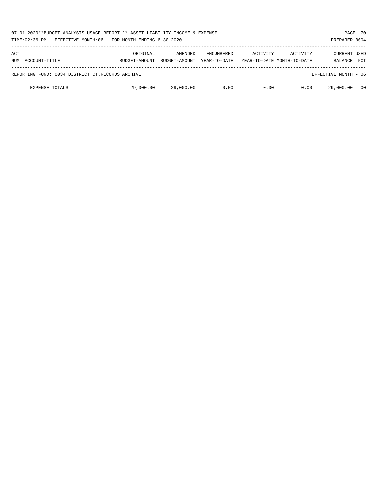| 07-01-2020**BUDGET ANALYSIS USAGE REPORT ** ASSET LIABILITY INCOME & EXPENSE<br>TIME:02:36 PM - EFFECTIVE MONTH:06 - FOR MONTH ENDING 6-30-2020<br>PREPARER: 0004 |               |               |                   |          |                            |                      |            |
|-------------------------------------------------------------------------------------------------------------------------------------------------------------------|---------------|---------------|-------------------|----------|----------------------------|----------------------|------------|
| ACT                                                                                                                                                               | ORIGINAL      | AMENDED       | <b>ENCUMBERED</b> | ACTIVITY | ACTIVITY                   | <b>CURRENT USED</b>  |            |
| NUM ACCOUNT-TITLE                                                                                                                                                 | BUDGET-AMOUNT | BUDGET-AMOUNT | YEAR-TO-DATE      |          | YEAR-TO-DATE MONTH-TO-DATE | <b>BALANCE</b>       | <b>PCT</b> |
| REPORTING FUND: 0034 DISTRICT CT.RECORDS ARCHIVE                                                                                                                  |               |               |                   |          |                            | EFFECTIVE MONTH - 06 |            |
| <b>EXPENSE TOTALS</b>                                                                                                                                             | 29,000.00     | 29,000.00     | 0.00              | 0.00     | 0.00                       | 29,000.00            | - 00       |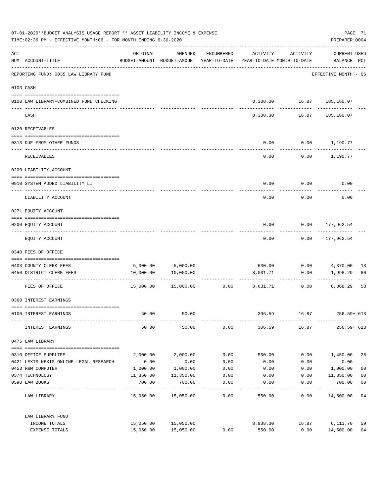| 07-01-2020**BUDGET ANALYSIS USAGE REPORT ** ASSET LIABILITY INCOME & EXPENSE<br>TIME:02:36 PM - EFFECTIVE MONTH:06 - FOR MONTH ENDING 6-30-2020 |                                         |                      |                                                                                |            |          | PAGE 71<br>PREPARER: 0004     |                             |                |
|-------------------------------------------------------------------------------------------------------------------------------------------------|-----------------------------------------|----------------------|--------------------------------------------------------------------------------|------------|----------|-------------------------------|-----------------------------|----------------|
| ACT                                                                                                                                             | NUM ACCOUNT-TITLE                       | ORIGINAL             | AMENDED<br>BUDGET-AMOUNT BUDGET-AMOUNT YEAR-TO-DATE YEAR-TO-DATE MONTH-TO-DATE | ENCUMBERED | ACTIVITY | ACTIVITY                      | CURRENT USED<br>BALANCE PCT |                |
|                                                                                                                                                 | REPORTING FUND: 0035 LAW LIBRARY FUND   |                      |                                                                                |            |          |                               | EFFECTIVE MONTH - 06        |                |
|                                                                                                                                                 | 0103 CASH                               |                      |                                                                                |            |          |                               |                             |                |
|                                                                                                                                                 | 0100 LAW LIBRARY-COMBINED FUND CHECKING |                      |                                                                                |            |          | 8,388.30   16.87   185,160.07 |                             |                |
|                                                                                                                                                 | CASH                                    |                      |                                                                                |            | 8,388.30 | -----------<br>16.87          | --------<br>185,160.07      |                |
|                                                                                                                                                 | 0120 RECEIVABLES                        |                      |                                                                                |            |          |                               |                             |                |
|                                                                                                                                                 | 0313 DUE FROM OTHER FUNDS               |                      |                                                                                |            | 0.00     |                               | $0.00$ 1,190.77             |                |
|                                                                                                                                                 | RECEIVABLES                             |                      |                                                                                |            | 0.00     |                               | $0.00$ 1,190.77             |                |
|                                                                                                                                                 | 0200 LIABILITY ACCOUNT                  |                      |                                                                                |            |          |                               |                             |                |
|                                                                                                                                                 | 0910 SYSTEM ADDED LIABILITY LI          |                      |                                                                                |            | 0.00     | 0.00                          | 0.00                        |                |
|                                                                                                                                                 | LIABILITY ACCOUNT                       |                      |                                                                                |            | 0.00     | 0.00                          | 0.00                        |                |
|                                                                                                                                                 | 0271 EQUITY ACCOUNT                     |                      |                                                                                |            |          |                               |                             |                |
|                                                                                                                                                 | 0200 EQUITY ACCOUNT                     |                      |                                                                                |            | 0.00     | 0.00                          | 177,962.54                  |                |
|                                                                                                                                                 | EQUITY ACCOUNT                          |                      |                                                                                |            | 0.00     | 0.00                          | 177,962.54                  |                |
|                                                                                                                                                 | 0340 FEES OF OFFICE                     |                      |                                                                                |            |          |                               |                             |                |
|                                                                                                                                                 | 0403 COUNTY CLERK FEES                  |                      | 5,000.00 5,000.00                                                              |            |          |                               |                             | -13            |
|                                                                                                                                                 | 0450 DISTRICT CLERK FEES                | 10,000.00            | 10,000.00                                                                      |            | 8,001.71 | 0.00                          | 1,998.29                    | 80             |
|                                                                                                                                                 | FEES OF OFFICE                          |                      | 15,000.00  15,000.00                                                           | 0.00       | 8,631.71 | -----------<br>0.00           | 6,368.29                    | 58             |
|                                                                                                                                                 | 0360 INTEREST EARNINGS                  |                      |                                                                                |            |          |                               |                             |                |
|                                                                                                                                                 | 0100 INTEREST EARNINGS                  | 50.00                | 50.00                                                                          |            | 306.59   | 16.87                         | 256.59+ 613                 |                |
|                                                                                                                                                 | INTEREST EARNINGS                       | 50.00                | 50.00                                                                          | 0.00       | 306.59   |                               | 16.87<br>$256.59 + 613$     |                |
|                                                                                                                                                 | 0475 LAW LIBRARY                        |                      |                                                                                |            |          |                               |                             |                |
|                                                                                                                                                 | 0310 OFFICE SUPPLIES                    | 2,000.00             | 2,000.00                                                                       | 0.00       | 550.00   | 0.00                          | 1,450.00                    | 28             |
|                                                                                                                                                 | 0421 LEXIS NEXIS ONLINE LEGAL RESEARCH  | 0.00                 | 0.00                                                                           | 0.00       | 0.00     | 0.00                          | 0.00                        |                |
|                                                                                                                                                 | 0453 R&M COMPUTER                       | 1,000.00             | 1,000.00                                                                       | 0.00       | 0.00     | 0.00                          | 1,000.00                    | 0 <sub>0</sub> |
|                                                                                                                                                 | 0574 TECHNOLOGY                         | 11,350.00            | 11,350.00                                                                      | 0.00       | 0.00     | 0.00                          | 11,350.00                   | 0 <sub>0</sub> |
|                                                                                                                                                 | 0590 LAW BOOKS                          | 700.00<br>---------- | 700.00                                                                         | 0.00       | 0.00     | 0.00                          | 700.00                      | 0 <sub>0</sub> |
|                                                                                                                                                 | LAW LIBRARY                             |                      | 15,050.00 15,050.00                                                            | 0.00       | 550.00   | 0.00                          | ---------<br>14,500.00 04   | $---$          |
|                                                                                                                                                 | LAW LIBRARY FUND                        |                      |                                                                                |            |          |                               |                             |                |
|                                                                                                                                                 | INCOME TOTALS                           |                      | 15,050.00 15,050.00                                                            |            | 8,938.30 | 16.87                         | 6,111.70                    | 59             |
|                                                                                                                                                 | EXPENSE TOTALS                          | 15,050.00            | 15,050.00                                                                      | 0.00       | 550.00   | 0.00                          | 14,500.00                   | 04             |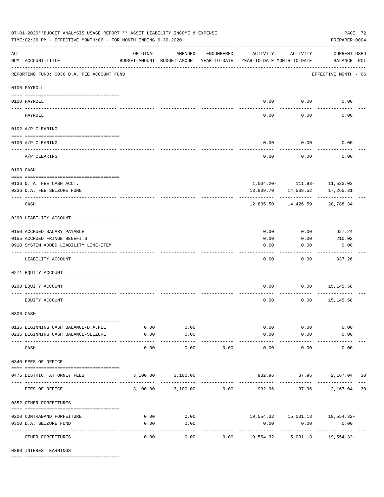|                    | 07-01-2020**BUDGET ANALYSIS USAGE REPORT ** ASSET LIABILITY INCOME & EXPENSE<br>PAGE 72<br>TIME: 02:36 PM - EFFECTIVE MONTH: 06 - FOR MONTH ENDING 6-30-2020<br>PREPARER: 0004 |                                                      |                     |            |                                        |                     |                                          |  |  |  |  |
|--------------------|--------------------------------------------------------------------------------------------------------------------------------------------------------------------------------|------------------------------------------------------|---------------------|------------|----------------------------------------|---------------------|------------------------------------------|--|--|--|--|
| $\mathop{\rm ACT}$ | NUM ACCOUNT-TITLE                                                                                                                                                              | ORIGINAL<br>BUDGET-AMOUNT BUDGET-AMOUNT YEAR-TO-DATE | AMENDED             | ENCUMBERED | ACTIVITY<br>YEAR-TO-DATE MONTH-TO-DATE | ACTIVITY            | <b>CURRENT USED</b><br>BALANCE PCT       |  |  |  |  |
|                    | REPORTING FUND: 0036 D.A. FEE ACCOUNT FUND                                                                                                                                     |                                                      |                     |            |                                        |                     | EFFECTIVE MONTH - 06                     |  |  |  |  |
|                    | 0100 PAYROLL                                                                                                                                                                   |                                                      |                     |            |                                        |                     |                                          |  |  |  |  |
|                    | 0100 PAYROLL                                                                                                                                                                   |                                                      |                     |            |                                        | $0.00$ 0.00         | 0.00                                     |  |  |  |  |
| ---- ---           | PAYROLL                                                                                                                                                                        |                                                      |                     |            | 0.00                                   | 0.00                | 0.00                                     |  |  |  |  |
|                    | 0102 A/P CLEARING                                                                                                                                                              |                                                      |                     |            |                                        |                     |                                          |  |  |  |  |
|                    | 0100 A/P CLEARING                                                                                                                                                              |                                                      |                     |            | 0.00                                   | 0.00                | 0.00                                     |  |  |  |  |
|                    | A/P CLEARING                                                                                                                                                                   |                                                      |                     |            | 0.00                                   | 0.00                | 0.00                                     |  |  |  |  |
|                    | 0103 CASH                                                                                                                                                                      |                                                      |                     |            |                                        |                     |                                          |  |  |  |  |
|                    |                                                                                                                                                                                |                                                      |                     |            |                                        |                     |                                          |  |  |  |  |
|                    | 0136 D. A. FEE CASH ACCT.<br>0236 D.A. FEE SEIZURE FUND                                                                                                                        |                                                      |                     |            |                                        | 13,809.70 14,538.52 | 1,004.20- 111.93- 11,523.03<br>17,265.31 |  |  |  |  |
|                    | CASH                                                                                                                                                                           |                                                      |                     |            | 12,805.50                              | 14,426.59           | 28,788.34                                |  |  |  |  |
|                    | 0200 LIABILITY ACCOUNT                                                                                                                                                         |                                                      |                     |            |                                        |                     |                                          |  |  |  |  |
|                    |                                                                                                                                                                                |                                                      |                     |            |                                        |                     |                                          |  |  |  |  |
|                    | 0150 ACCRUED SALARY PAYABLE                                                                                                                                                    |                                                      |                     |            | 0.00                                   | 0.00                | 627.24                                   |  |  |  |  |
|                    | 0155 ACCRUED FRINGE BENEFITS                                                                                                                                                   |                                                      |                     |            | 0.00                                   | 0.00                | 210.02                                   |  |  |  |  |
|                    | 0910 SYSTEM ADDED LIABILITY LINE-ITEM                                                                                                                                          |                                                      |                     |            | 0.00                                   | 0.00                | 0.00                                     |  |  |  |  |
|                    | LIABILITY ACCOUNT                                                                                                                                                              |                                                      |                     |            | 0.00                                   | 0.00                | 837.26                                   |  |  |  |  |
|                    | 0271 EQUITY ACCOUNT                                                                                                                                                            |                                                      |                     |            |                                        |                     |                                          |  |  |  |  |
|                    | 0200 EQUITY ACCOUNT                                                                                                                                                            |                                                      |                     |            | 0.00                                   |                     | $0.00$ 15,145.58                         |  |  |  |  |
|                    | EQUITY ACCOUNT                                                                                                                                                                 |                                                      |                     |            | 0.00                                   | 0.00                | 15,145.58                                |  |  |  |  |
|                    | 0300 CASH                                                                                                                                                                      |                                                      |                     |            |                                        |                     |                                          |  |  |  |  |
|                    | 0136 BEGINNING CASH BALANCE-D.A.FEE                                                                                                                                            | 0.00                                                 | 0.00                |            |                                        | 0.00<br>0.00        | 0.00                                     |  |  |  |  |
|                    | 0236 BEGINNING CASH BALANCE-SEIZURE                                                                                                                                            | 0.00                                                 | 0.00                |            | 0.00                                   | 0.00                | 0.00                                     |  |  |  |  |
|                    | CASH                                                                                                                                                                           | -------- -------------<br>0.00                       | -----------<br>0.00 | 0.00       | -------------<br>0.00                  | ----------<br>0.00  | 0.00                                     |  |  |  |  |
|                    | 0340 FEES OF OFFICE                                                                                                                                                            |                                                      |                     |            |                                        |                     |                                          |  |  |  |  |
|                    | 0475 DISTRICT ATTORNEY FEES                                                                                                                                                    |                                                      | 3,100.00 3,100.00   |            |                                        | -----------         | 932.96 37.96 2,167.04 30                 |  |  |  |  |
|                    | FEES OF OFFICE                                                                                                                                                                 |                                                      | 3,100.00 3,100.00   | 0.00       |                                        |                     | 932.96 37.96 2,167.04 30                 |  |  |  |  |
|                    | 0352 OTHER FORFEITURES                                                                                                                                                         |                                                      |                     |            |                                        |                     |                                          |  |  |  |  |
|                    | 0200 CONTRABAND FORFEITURE                                                                                                                                                     | 0.00                                                 | 0.00                |            |                                        |                     | $19,554.32$ $15,031.13$ $19,554.32+$     |  |  |  |  |
|                    | 0300 D.A. SEIZURE FUND                                                                                                                                                         | 0.00                                                 | 0.00                |            | 0.00                                   | 0.00                | 0.00                                     |  |  |  |  |
|                    | OTHER FORFEITURES                                                                                                                                                              | 0.00                                                 | ----------<br>0.00  |            | $0.00$ 19,554.32                       |                     |                                          |  |  |  |  |

0360 INTEREST EARNINGS

==== ===================================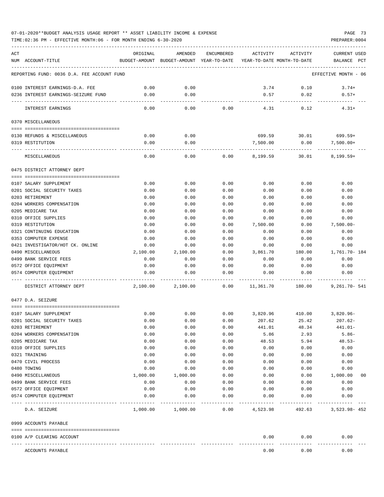TIME:02:36 PM - EFFECTIVE MONTH:06 - FOR MONTH ENDING 6-30-2020 PREPARER:0004

| ACT<br>NUM ACCOUNT-TITLE                     | ORIGINAL     | AMENDED           | ENCUMBERED   | ACTIVITY<br>BUDGET-AMOUNT BUDGET-AMOUNT YEAR-TO-DATE YEAR-TO-DATE MONTH-TO-DATE | ACTIVITY             | <b>CURRENT USED</b><br>BALANCE PCT |
|----------------------------------------------|--------------|-------------------|--------------|---------------------------------------------------------------------------------|----------------------|------------------------------------|
|                                              |              |                   |              |                                                                                 |                      |                                    |
| REPORTING FUND: 0036 D.A. FEE ACCOUNT FUND   |              |                   |              |                                                                                 |                      | EFFECTIVE MONTH - 06               |
| 0100 INTEREST EARNINGS-D.A. FEE              | 0.00         | 0.00              |              | 3.74                                                                            | 0.10                 | $3.74+$                            |
| 0236 INTEREST EARNINGS-SEIZURE FUND          | 0.00         | 0.00              |              | 0.57                                                                            | 0.02                 | $0.57+$                            |
| INTEREST EARNINGS                            | 0.00         | $- - - -$<br>0.00 | 0.00         | 4.31                                                                            | .<br>0.12            | $4.31+$                            |
| 0370 MISCELLANEOUS                           |              |                   |              |                                                                                 |                      |                                    |
|                                              |              |                   |              |                                                                                 |                      |                                    |
| 0130 REFUNDS & MISCELLANEOUS                 | 0.00         | 0.00              |              |                                                                                 | 699.59 30.01 699.59+ |                                    |
| 0319 RESTITUTION                             | 0.00         | 0.00              |              | 7,500.00                                                                        | 0.00                 | $7,500.00+$                        |
| MISCELLANEOUS                                | 0.00         | 0.00              | 0.00         | 8,199.59                                                                        | 30.01                | $8,199.59+$                        |
| 0475 DISTRICT ATTORNEY DEPT                  |              |                   |              |                                                                                 |                      |                                    |
|                                              |              |                   |              |                                                                                 |                      |                                    |
| 0107 SALARY SUPPLEMENT                       | 0.00         | 0.00              | 0.00         | 0.00                                                                            | 0.00                 | 0.00                               |
| 0201 SOCIAL SECURITY TAXES                   | 0.00         | 0.00              | 0.00         | 0.00                                                                            | 0.00                 | 0.00                               |
| 0203 RETIREMENT<br>0204 WORKERS COMPENSATION | 0.00<br>0.00 | 0.00<br>0.00      | 0.00<br>0.00 | 0.00                                                                            | 0.00<br>0.00         | 0.00<br>0.00                       |
| 0205 MEDICARE TAX                            | 0.00         | 0.00              | 0.00         | 0.00<br>0.00                                                                    | 0.00                 | 0.00                               |
| 0310 OFFICE SUPPLIES                         | 0.00         | 0.00              | 0.00         | 0.00                                                                            | 0.00                 | 0.00                               |
| 0319 RESTITUTION                             | 0.00         | 0.00              | 0.00         | 7,500.00                                                                        | 0.00                 | $7,500.00 -$                       |
| 0321 CONTINUING EDUCATION                    | 0.00         | 0.00              | 0.00         | 0.00                                                                            | 0.00                 | 0.00                               |
| 0353 COMPUTER EXPENSE                        | 0.00         | 0.00              | 0.00         | 0.00                                                                            | 0.00                 | 0.00                               |
| 0421 INVESTIGATOR/HOT CK. ONLINE             | 0.00         | 0.00              | 0.00         | 0.00                                                                            | 0.00                 | 0.00                               |
| 0490 MISCELLANEOUS                           | 2,100.00     | 2,100.00          | 0.00         | 3,861.70                                                                        | 180.00               | 1,761.70- 184                      |
| 0499 BANK SERVICE FEES                       | 0.00         | 0.00              | 0.00         | 0.00                                                                            | 0.00                 | 0.00                               |
| 0572 OFFICE EQUIPMENT                        | 0.00         | 0.00              | 0.00         | 0.00                                                                            | 0.00                 | 0.00                               |
| 0574 COMPUTER EOUIPMENT                      | 0.00         | 0.00              | 0.00         | 0.00                                                                            | 0.00                 | 0.00                               |
| DISTRICT ATTORNEY DEPT                       | 2,100.00     | 2,100.00          | 0.00         | 11,361.70                                                                       | 180.00               | $9.261.70 - 541$                   |
| 0477 D.A. SEIZURE                            |              |                   |              |                                                                                 |                      |                                    |
| 0107 SALARY SUPPLEMENT                       | 0.00         | 0.00              | 0.00         | 3,820.96                                                                        |                      | 410.00 3,820.96-                   |
| 0201 SOCIAL SECURITY TAXES                   | 0.00         | 0.00              | 0.00         | 207.62                                                                          | 25.42                | 207.62-                            |
| 0203 RETIREMENT                              | 0.00         | 0.00              | 0.00         | 441.01                                                                          | 48.34                | 441.01-                            |
| 0204 WORKERS COMPENSATION                    | 0.00         | 0.00              | 0.00         | 5.86                                                                            | 2.93                 | $5.86-$                            |
| 0205 MEDICARE TAX                            | 0.00         | 0.00              | 0.00         | 48.53                                                                           | 5.94                 | $48.53-$                           |
| 0310 OFFICE SUPPLIES                         | 0.00         | 0.00              | 0.00         | 0.00                                                                            | 0.00                 | 0.00                               |
| 0321 TRAINING                                | 0.00         | 0.00              | 0.00         | 0.00                                                                            | 0.00                 | 0.00                               |
| 0470 CIVIL PROCESS                           | 0.00         | 0.00              | 0.00         | 0.00                                                                            | 0.00                 | 0.00                               |
| 0480 TOWING                                  | 0.00         | 0.00              | 0.00         | 0.00                                                                            | 0.00                 | 0.00                               |
| 0490 MISCELLANEOUS                           | 1,000.00     | 1,000.00          | 0.00         | 0.00                                                                            | 0.00                 | 1,000.00<br>00                     |
| 0499 BANK SERVICE FEES                       | 0.00         | 0.00              | 0.00         | 0.00                                                                            | 0.00                 | 0.00                               |
| 0572 OFFICE EQUIPMENT                        | 0.00         | 0.00              | 0.00         | 0.00                                                                            | 0.00                 | 0.00                               |
| 0574 COMPUTER EQUIPMENT                      | 0.00         | 0.00              | 0.00         | 0.00                                                                            | 0.00                 | 0.00                               |
| D.A. SEIZURE                                 | 1,000.00     | 1,000.00          | 0.00         | 4,523.98                                                                        | 492.63               | 3,523.98-452                       |
| 0999 ACCOUNTS PAYABLE                        |              |                   |              |                                                                                 |                      |                                    |
| 0100 A/P CLEARING ACCOUNT                    |              |                   |              | 0.00                                                                            | 0.00                 | 0.00                               |
| ACCOUNTS PAYABLE                             |              |                   |              | 0.00                                                                            | 0.00                 | 0.00                               |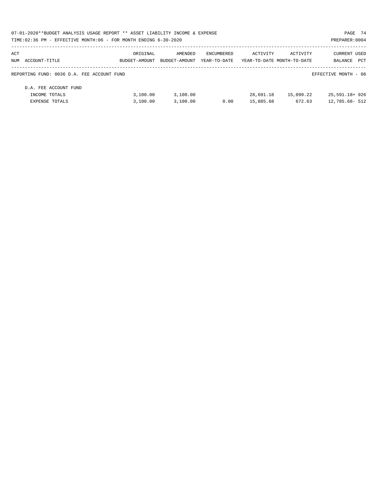| 07-01-2020**BUDGET ANALYSIS USAGE REPORT ** ASSET LIABILITY INCOME & EXPENSE |               |               |              |                            |           | PAGE 74              |  |
|------------------------------------------------------------------------------|---------------|---------------|--------------|----------------------------|-----------|----------------------|--|
| TIME:02:36 PM - EFFECTIVE MONTH:06 - FOR MONTH ENDING 6-30-2020              |               |               |              |                            |           | PREPARER: 0004       |  |
| ACT                                                                          | ORIGINAL      | AMENDED       | ENCUMBERED   | ACTIVITY                   | ACTIVITY  | CURRENT USED         |  |
| NUM ACCOUNT-TITLE                                                            | BUDGET-AMOUNT | BUDGET-AMOUNT | YEAR-TO-DATE | YEAR-TO-DATE MONTH-TO-DATE |           | PCT<br>BALANCE       |  |
| REPORTING FUND: 0036 D.A. FEE ACCOUNT FUND                                   |               |               |              |                            |           | EFFECTIVE MONTH - 06 |  |
| D.A. FEE ACCOUNT FUND                                                        |               |               |              |                            |           |                      |  |
| INCOME TOTALS                                                                | 3.100.00      | 3.100.00      |              | 28,691.18                  | 15,099.22 | 25,591.18+926        |  |
| EXPENSE TOTALS                                                               | 3.100.00      | 3,100.00      | 0.00         | 15,885.68                  | 672.63    | 12,785.68- 512       |  |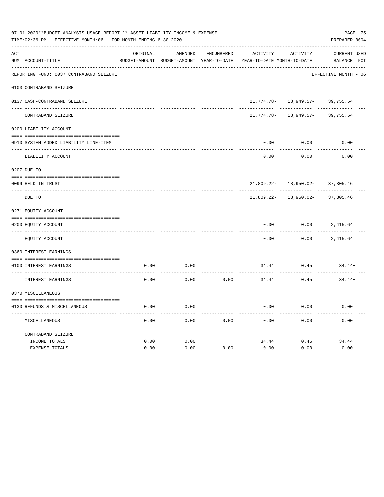|     | 07-01-2020**BUDGET ANALYSIS USAGE REPORT ** ASSET LIABILITY INCOME & EXPENSE<br>TIME:02:36 PM - EFFECTIVE MONTH:06 - FOR MONTH ENDING 6-30-2020 |          |                                          |            |                            |                           |                      |  |  |  |
|-----|-------------------------------------------------------------------------------------------------------------------------------------------------|----------|------------------------------------------|------------|----------------------------|---------------------------|----------------------|--|--|--|
| ACT |                                                                                                                                                 | ORIGINAL | AMENDED                                  | ENCUMBERED | ACTIVITY                   | ACTIVITY                  | <b>CURRENT USED</b>  |  |  |  |
|     | NUM ACCOUNT-TITLE                                                                                                                               |          | BUDGET-AMOUNT BUDGET-AMOUNT YEAR-TO-DATE |            | YEAR-TO-DATE MONTH-TO-DATE |                           | BALANCE PCT          |  |  |  |
|     | REPORTING FUND: 0037 CONTRABAND SEIZURE                                                                                                         |          |                                          |            |                            |                           | EFFECTIVE MONTH - 06 |  |  |  |
|     | 0103 CONTRABAND SEIZURE                                                                                                                         |          |                                          |            |                            |                           |                      |  |  |  |
|     | 0137 CASH-CONTRABAND SEIZURE                                                                                                                    |          |                                          |            |                            | $21,774.78 - 18,949.57 -$ | 39,755.54            |  |  |  |
|     | CONTRABAND SEIZURE                                                                                                                              |          |                                          |            | 21,774.78-                 | 18,949.57-                | 39,755.54            |  |  |  |
|     | 0200 LIABILITY ACCOUNT                                                                                                                          |          |                                          |            |                            |                           |                      |  |  |  |
|     | 0910 SYSTEM ADDED LIABILITY LINE-ITEM                                                                                                           |          |                                          |            | 0.00                       | 0.00                      | 0.00                 |  |  |  |
|     | LIABILITY ACCOUNT                                                                                                                               |          |                                          |            | 0.00                       | 0.00                      | 0.00                 |  |  |  |
|     | 0207 DUE TO                                                                                                                                     |          |                                          |            |                            |                           |                      |  |  |  |
|     | 0099 HELD IN TRUST                                                                                                                              |          |                                          |            |                            | $21,809.22 - 18,950.02 -$ | 37,305.46            |  |  |  |
|     | DUE TO                                                                                                                                          |          |                                          |            | 21,809.22-                 | 18,950.02-                | 37,305.46            |  |  |  |
|     | 0271 EQUITY ACCOUNT                                                                                                                             |          |                                          |            |                            |                           |                      |  |  |  |
|     | 0200 EQUITY ACCOUNT                                                                                                                             |          |                                          |            | 0.00                       | 0.00                      | 2,415.64             |  |  |  |
|     | EQUITY ACCOUNT                                                                                                                                  |          |                                          |            | 0.00                       | 0.00                      | 2,415.64             |  |  |  |
|     | 0360 INTEREST EARNINGS                                                                                                                          |          |                                          |            |                            |                           |                      |  |  |  |
|     | 0100 INTEREST EARNINGS                                                                                                                          | 0.00     | 0.00                                     |            | 34.44                      | 0.45                      | $34.44+$             |  |  |  |
|     | INTEREST EARNINGS                                                                                                                               | 0.00     | 0.00                                     | 0.00       | 34.44                      | 0.45                      | $34.44+$             |  |  |  |
|     | 0370 MISCELLANEOUS                                                                                                                              |          |                                          |            |                            |                           |                      |  |  |  |
|     |                                                                                                                                                 |          |                                          |            |                            |                           |                      |  |  |  |
|     | 0130 REFUNDS & MISCELLANEOUS                                                                                                                    | 0.00     | 0.00                                     |            | 0.00                       | 0.00                      | 0.00                 |  |  |  |
|     | MISCELLANEOUS                                                                                                                                   | 0.00     | 0.00                                     | 0.00       | 0.00                       | 0.00                      | 0.00                 |  |  |  |
|     | CONTRABAND SEIZURE                                                                                                                              |          |                                          |            |                            |                           |                      |  |  |  |
|     | INCOME TOTALS                                                                                                                                   | 0.00     | 0.00                                     |            | 34.44                      | 0.45                      | $34.44+$             |  |  |  |
|     | <b>EXPENSE TOTALS</b>                                                                                                                           | 0.00     | 0.00                                     | 0.00       | 0.00                       | 0.00                      | 0.00                 |  |  |  |
|     |                                                                                                                                                 |          |                                          |            |                            |                           |                      |  |  |  |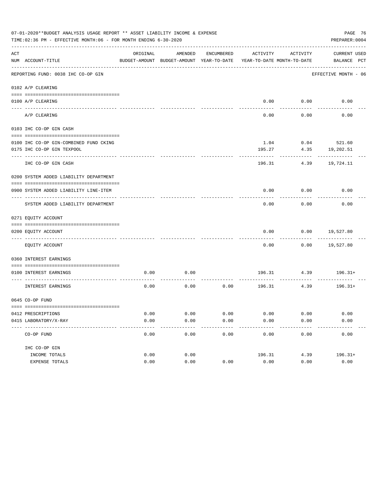|     | 07-01-2020**BUDGET ANALYSIS USAGE REPORT ** ASSET LIABILITY INCOME & EXPENSE<br>TIME: 02:36 PM - EFFECTIVE MONTH: 06 - FOR MONTH ENDING 6-30-2020 |          |                                                     |               |                                        |                   |                             |  |  |
|-----|---------------------------------------------------------------------------------------------------------------------------------------------------|----------|-----------------------------------------------------|---------------|----------------------------------------|-------------------|-----------------------------|--|--|
| ACT | NUM ACCOUNT-TITLE                                                                                                                                 | ORIGINAL | AMENDED<br>BUDGET-AMOUNT BUDGET-AMOUNT YEAR-TO-DATE | ENCUMBERED    | ACTIVITY<br>YEAR-TO-DATE MONTH-TO-DATE | ACTIVITY          | CURRENT USED<br>BALANCE PCT |  |  |
|     | REPORTING FUND: 0038 IHC CO-OP GIN                                                                                                                |          |                                                     |               |                                        |                   | EFFECTIVE MONTH - 06        |  |  |
|     | 0102 A/P CLEARING                                                                                                                                 |          |                                                     |               |                                        |                   |                             |  |  |
|     |                                                                                                                                                   |          |                                                     |               |                                        |                   |                             |  |  |
|     | 0100 A/P CLEARING                                                                                                                                 |          |                                                     |               |                                        | $0.00$ $0.00$     | 0.00                        |  |  |
|     | A/P CLEARING                                                                                                                                      |          |                                                     |               | 0.00                                   | 0.00              | 0.00                        |  |  |
|     | 0103 IHC CO-OP GIN CASH                                                                                                                           |          |                                                     |               |                                        |                   |                             |  |  |
|     | 0100 IHC CO-OP GIN-COMBINED FUND CKING                                                                                                            |          |                                                     |               | 1.04                                   |                   | $0.04$ 521.60               |  |  |
|     | 0175 IHC CO-OP GIN TEXPOOL                                                                                                                        |          |                                                     |               | 195.27                                 | 4.35              | 19,202.51                   |  |  |
|     | -------------<br>IHC CO-OP GIN CASH                                                                                                               |          |                                                     |               | 196.31                                 | 4.39              | 19,724.11                   |  |  |
|     | 0200 SYSTEM ADDED LIABILITY DEPARTMENT                                                                                                            |          |                                                     |               |                                        |                   |                             |  |  |
|     | 0900 SYSTEM ADDED LIABILITY LINE-ITEM                                                                                                             |          |                                                     |               | 0.00                                   | 0.00              | 0.00                        |  |  |
|     | SYSTEM ADDED LIABILITY DEPARTMENT                                                                                                                 |          |                                                     |               | 0.00                                   | 0.00              | 0.00                        |  |  |
|     | 0271 EQUITY ACCOUNT                                                                                                                               |          |                                                     |               |                                        |                   |                             |  |  |
|     | 0200 EQUITY ACCOUNT                                                                                                                               |          |                                                     |               | 0.00                                   | 0.00              | 19,527.80                   |  |  |
|     | EQUITY ACCOUNT                                                                                                                                    |          |                                                     |               | 0.00                                   |                   | $0.00$ 19,527.80            |  |  |
|     | 0360 INTEREST EARNINGS                                                                                                                            |          |                                                     |               |                                        |                   |                             |  |  |
|     | 0100 INTEREST EARNINGS                                                                                                                            | 0.00     | 0.00                                                |               |                                        |                   | 196.31 4.39 196.31+         |  |  |
|     | INTEREST EARNINGS                                                                                                                                 | 0.00     | 0.00                                                | 0.00          |                                        | 196.31 4.39       | $196.31+$                   |  |  |
|     | 0645 CO-OP FUND                                                                                                                                   |          |                                                     |               |                                        |                   |                             |  |  |
|     | 0412 PRESCRIPTIONS                                                                                                                                | 0.00     | 0.00                                                | 0.00          | 0.00                                   | 0.00              | 0.00                        |  |  |
|     | 0415 LABORATORY/X-RAY<br>-------------------------------------                                                                                    | 0.00     | 0.00<br>$- - - - -$                                 | 0.00<br>----- | 0.00<br>---------                      | 0.00<br>--------- | 0.00<br>----------          |  |  |
|     | CO-OP FUND                                                                                                                                        | 0.00     | 0.00                                                | 0.00          | 0.00                                   | 0.00              | 0.00                        |  |  |
|     | IHC CO-OP GIN                                                                                                                                     |          |                                                     |               |                                        |                   |                             |  |  |
|     | INCOME TOTALS                                                                                                                                     | 0.00     | 0.00                                                |               | 196.31                                 | 4.39              | $196.31+$                   |  |  |
|     | EXPENSE TOTALS                                                                                                                                    | 0.00     | 0.00                                                | 0.00          | 0.00                                   | 0.00              | 0.00                        |  |  |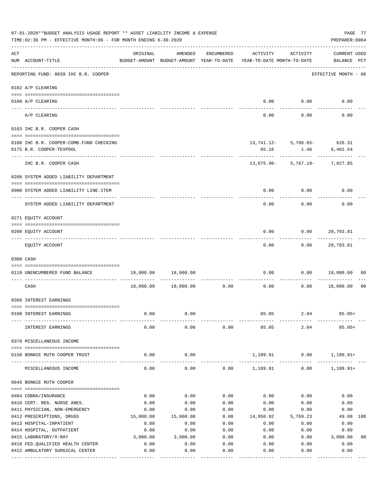|     | 07-01-2020**BUDGET ANALYSIS USAGE REPORT ** ASSET LIABILITY INCOME & EXPENSE<br>TIME: 02:36 PM - EFFECTIVE MONTH: 06 - FOR MONTH ENDING 6-30-2020 |              |                                                     |              |                                        |                               | PAGE 77<br>PREPARER: 0004          |                |
|-----|---------------------------------------------------------------------------------------------------------------------------------------------------|--------------|-----------------------------------------------------|--------------|----------------------------------------|-------------------------------|------------------------------------|----------------|
| ACT | NUM ACCOUNT-TITLE                                                                                                                                 | ORIGINAL     | AMENDED<br>BUDGET-AMOUNT BUDGET-AMOUNT YEAR-TO-DATE | ENCUMBERED   | ACTIVITY<br>YEAR-TO-DATE MONTH-TO-DATE | ACTIVITY                      | <b>CURRENT USED</b><br>BALANCE PCT |                |
|     | REPORTING FUND: 0039 IHC B.R. COOPER                                                                                                              |              |                                                     |              |                                        |                               | EFFECTIVE MONTH - 06               |                |
|     | 0102 A/P CLEARING                                                                                                                                 |              |                                                     |              |                                        |                               |                                    |                |
|     | 0100 A/P CLEARING<br>---- --------                                                                                                                |              |                                                     |              |                                        | $0.00$ 0.00                   | 0.00                               |                |
|     | A/P CLEARING                                                                                                                                      |              |                                                     |              | 0.00                                   | 0.00                          | 0.00                               |                |
|     | 0103 IHC B.R. COOPER CASH                                                                                                                         |              |                                                     |              |                                        |                               |                                    |                |
|     | 0100 IHC B.R. COOPER-COMB.FUND CHECKING<br>0175 B.R. COOPER-TEXPOOL                                                                               |              |                                                     |              | 65.16                                  | 13, 741.12- 5, 768.65- 626.31 | 1.46 6,401.54                      |                |
|     | IHC B.R. COOPER CASH                                                                                                                              |              |                                                     |              |                                        | 13,675.96- 5,767.19- 7,027.85 |                                    |                |
|     | 0200 SYSTEM ADDED LIABILITY DEPARTMENT                                                                                                            |              |                                                     |              |                                        |                               |                                    |                |
|     | 0900 SYSTEM ADDED LIABILITY LINE-ITEM                                                                                                             |              |                                                     |              | 0.00                                   | 0.00                          | 0.00                               |                |
|     | SYSTEM ADDED LIABILITY DEPARTMENT                                                                                                                 |              |                                                     |              | 0.00                                   | 0.00                          | 0.00                               |                |
|     | 0271 EQUITY ACCOUNT                                                                                                                               |              |                                                     |              |                                        |                               |                                    |                |
|     | 0200 EQUITY ACCOUNT                                                                                                                               |              |                                                     |              | 0.00                                   | 0.00                          | 20,703.81                          |                |
|     | EQUITY ACCOUNT                                                                                                                                    |              |                                                     |              | 0.00                                   | 0.00                          | 20,703.81                          |                |
|     | 0300 CASH                                                                                                                                         |              |                                                     |              |                                        |                               |                                    |                |
|     | 0110 UNENCUMBERED FUND BALANCE                                                                                                                    | 18,000.00    | 18,000.00                                           |              | 0.00                                   | 0.00                          | 18,000.00                          | 00             |
|     | CASH                                                                                                                                              | 18,000.00    | 18,000.00                                           | 0.00         | 0.00                                   | 0.00                          | 18,000.00                          | 0 <sub>0</sub> |
|     | 0360 INTEREST EARNINGS                                                                                                                            |              |                                                     |              |                                        |                               |                                    |                |
|     | 0100 INTEREST EARNINGS                                                                                                                            | 0.00         | 0.00                                                |              | 85.05                                  | 2.04                          | $85.05+$                           |                |
|     | INTEREST EARNINGS                                                                                                                                 | 0.00         | 0.00                                                | 0.00         | 85.05                                  | 2.04                          | $85.05+$                           |                |
|     | 0370 MISCELLANEOUS INCOME                                                                                                                         |              |                                                     |              |                                        |                               |                                    |                |
|     | 0150 BONNIE RUTH COOPER TRUST                                                                                                                     | 0.00         | 0.00                                                |              | 1,189.91                               | 0.00                          | $1,189.91+$                        |                |
|     | MISCELLANEOUS INCOME                                                                                                                              | 0.00         | 0.00                                                |              | $0.00$ 1,189.91                        | 0.00                          | $1,189.91+$                        |                |
|     | 0645 BONNIE RUTH COOPER                                                                                                                           |              |                                                     |              |                                        |                               |                                    |                |
|     | 0404 COBRA/INSURANCE                                                                                                                              | 0.00         | 0.00                                                | 0.00         | 0.00                                   | 0.00                          | 0.00                               |                |
|     | 0410 CERT. REG. NURSE ANES.                                                                                                                       | 0.00         | 0.00                                                | 0.00         | 0.00                                   | 0.00                          | 0.00                               |                |
|     | 0411 PHYSICIAN, NON-EMERGENCY                                                                                                                     | 0.00         | 0.00                                                | 0.00         | 0.00                                   | 0.00                          | 0.00                               |                |
|     | 0412 PRESCRIPTIONS, DRUGS                                                                                                                         | 15,000.00    | 15,000.00                                           | 0.00         | 14,950.92                              | 5,769.23                      | 49.08 100                          |                |
|     | 0413 HOSPITAL-INPATIENT                                                                                                                           | 0.00         | 0.00                                                | 0.00         | 0.00                                   | 0.00                          | 0.00                               |                |
|     | 0414 HOSPITAL, OUTPATIENT                                                                                                                         | 0.00         | 0.00                                                | 0.00         | 0.00                                   | 0.00                          | 0.00                               |                |
|     | 0415 LABORATORY/X-RAY                                                                                                                             | 3,000.00     | 3,000.00                                            | 0.00         | 0.00                                   | 0.00                          | 3,000.00                           | 0 <sub>0</sub> |
|     | 0418 FED. QUALIFIED HEALTH CENTER<br>0422 AMBULATORY SURGICAL CENTER                                                                              | 0.00<br>0.00 | 0.00<br>0.00                                        | 0.00<br>0.00 | 0.00<br>0.00                           | 0.00<br>0.00                  | 0.00<br>0.00                       |                |
|     |                                                                                                                                                   |              | . <u>.</u> .                                        |              |                                        |                               | ---------                          |                |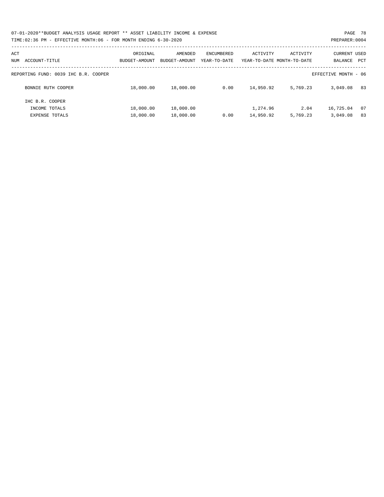| 07-01-2020**BUDGET ANALYSIS USAGE REPORT ** ASSET LIABILITY INCOME & EXPENSE | PAGE 78        |
|------------------------------------------------------------------------------|----------------|
| TIME:02:36 PM - EFFECTIVE MONTH:06 - FOR MONTH ENDING 6-30-2020              | PREPARER: 0004 |

| ACT<br>ACCOUNT-TITLE<br>NUM                                  | ORIGINAL<br>BUDGET-AMOUNT | AMENDED<br>BUDGET-AMOUNT | ENCUMBERED<br>YEAR-TO-DATE | ACTIVITY              | ACTIVITY<br>YEAR-TO-DATE MONTH-TO-DATE | <b>CURRENT USED</b><br>BALANCE<br>PCT |
|--------------------------------------------------------------|---------------------------|--------------------------|----------------------------|-----------------------|----------------------------------------|---------------------------------------|
| REPORTING FUND: 0039 IHC B.R. COOPER<br>EFFECTIVE MONTH - 06 |                           |                          |                            |                       |                                        |                                       |
| BONNIE RUTH COOPER                                           | 18,000.00                 | 18,000.00                | 0.00                       | 14,950.92             | 5,769.23                               | 83<br>3,049.08                        |
| IHC B.R. COOPER<br>INCOME TOTALS<br><b>EXPENSE TOTALS</b>    | 18,000.00<br>18,000.00    | 18,000.00<br>18,000.00   | 0.00                       | 1,274.96<br>14,950.92 | 2.04<br>5,769.23                       | 16,725.04<br>07<br>83<br>3,049.08     |
|                                                              |                           |                          |                            |                       |                                        |                                       |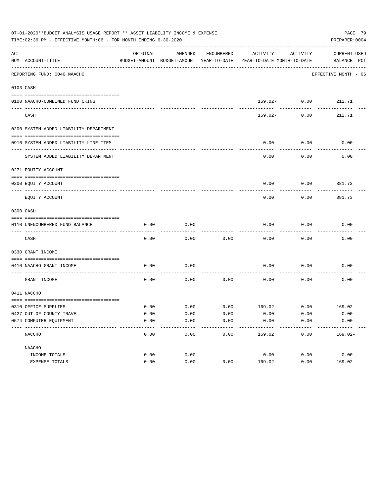|     | TIME:02:36 PM - EFFECTIVE MONTH:06 - FOR MONTH ENDING 6-30-2020 |          |         |            |                                                                     |                 | PREPARER: 0004         |  |
|-----|-----------------------------------------------------------------|----------|---------|------------|---------------------------------------------------------------------|-----------------|------------------------|--|
| ACT |                                                                 | ORIGINAL | AMENDED | ENCUMBERED | ACTIVITY                                                            | ACTIVITY        | CURRENT USED           |  |
|     | NUM ACCOUNT-TITLE<br>----------------------------               |          |         |            | BUDGET-AMOUNT BUDGET-AMOUNT YEAR-TO-DATE YEAR-TO-DATE MONTH-TO-DATE |                 | BALANCE PCT            |  |
|     | REPORTING FUND: 0040 NAACHO                                     |          |         |            |                                                                     |                 | EFFECTIVE MONTH - 06   |  |
|     | 0103 CASH                                                       |          |         |            |                                                                     |                 |                        |  |
|     |                                                                 |          |         |            |                                                                     |                 |                        |  |
|     | 0100 NAACHO-COMBINED FUND CKING                                 |          |         |            |                                                                     | $169.02 - 0.00$ | 212.71                 |  |
|     | CASH                                                            |          |         |            | 169.02-                                                             | 0.00            | 212.71                 |  |
|     | 0200 SYSTEM ADDED LIABILITY DEPARTMENT                          |          |         |            |                                                                     |                 |                        |  |
|     | 0910 SYSTEM ADDED LIABILITY LINE-ITEM                           |          |         |            | 0.00                                                                | 0.00            | 0.00                   |  |
|     | SYSTEM ADDED LIABILITY DEPARTMENT                               |          |         |            | 0.00                                                                | 0.00            | 0.00                   |  |
|     | 0271 EQUITY ACCOUNT                                             |          |         |            |                                                                     |                 |                        |  |
|     |                                                                 |          |         |            |                                                                     |                 |                        |  |
|     | 0200 EQUITY ACCOUNT<br>--------------------- --------           |          |         |            | 0.00                                                                | 0.00            | 381.73                 |  |
|     | EQUITY ACCOUNT                                                  |          |         |            | 0.00                                                                | 0.00            | 381.73                 |  |
|     | 0300 CASH                                                       |          |         |            |                                                                     |                 |                        |  |
|     | 0110 UNENCUMBERED FUND BALANCE                                  | 0.00     | 0.00    |            | 0.00                                                                | 0.00            | 0.00                   |  |
|     | CASH                                                            | 0.00     | 0.00    | 0.00       | 0.00                                                                | 0.00            | 0.00                   |  |
|     | 0330 GRANT INCOME                                               |          |         |            |                                                                     |                 |                        |  |
|     | 0410 NAACHO GRANT INCOME                                        | 0.00     | 0.00    |            | 0.00                                                                | 0.00            | 0.00                   |  |
|     | _____________________<br>GRANT INCOME                           | 0.00     | 0.00    | 0.00       | 0.00                                                                | 0.00            | 0.00                   |  |
|     | 0411 NACCHO                                                     |          |         |            |                                                                     |                 |                        |  |
|     | 0310 OFFICE SUPPLIES                                            | 0.00     | 0.00    |            | $0.00$ $169.02$ $0.00$ $169.02$                                     |                 |                        |  |
|     | 0427 OUT OF COUNTY TRAVEL                                       | 0.00     | 0.00    | 0.00       | 0.00                                                                | 0.00            | 0.00                   |  |
|     | 0574 COMPUTER EOUIPMENT                                         | 0.00     | 0.00    | 0.00       | 0.00                                                                | 0.00            | 0.00                   |  |
|     | NACCHO                                                          | 0.00     | 0.00    | 0.00       | ---------<br>169.02                                                 | 0.00            | ---------<br>$169.02-$ |  |
|     | NAACHO                                                          |          |         |            |                                                                     |                 |                        |  |
|     | INCOME TOTALS                                                   | 0.00     | 0.00    |            | 0.00                                                                | 0.00            | 0.00                   |  |
|     | EXPENSE TOTALS                                                  | 0.00     | 0.00    | 0.00       | 169.02                                                              | 0.00            | $169.02 -$             |  |
|     |                                                                 |          |         |            |                                                                     |                 |                        |  |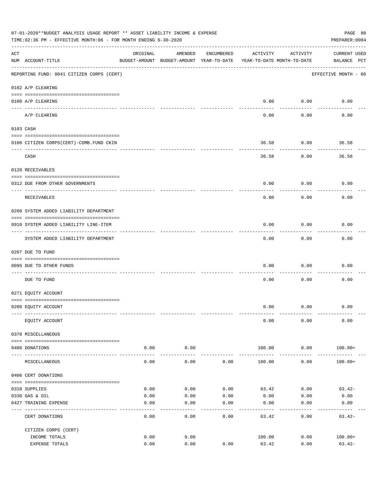|     | 07-01-2020**BUDGET ANALYSIS USAGE REPORT ** ASSET LIABILITY INCOME & EXPENSE<br>PAGE 80<br>TIME:02:36 PM - EFFECTIVE MONTH:06 - FOR MONTH ENDING 6-30-2020<br>PREPARER: 0004 |                     |                                                     |            |                                        |                           |                                    |  |  |  |  |
|-----|------------------------------------------------------------------------------------------------------------------------------------------------------------------------------|---------------------|-----------------------------------------------------|------------|----------------------------------------|---------------------------|------------------------------------|--|--|--|--|
| ACT | NUM ACCOUNT-TITLE                                                                                                                                                            | ORIGINAL            | AMENDED<br>BUDGET-AMOUNT BUDGET-AMOUNT YEAR-TO-DATE | ENCUMBERED | ACTIVITY<br>YEAR-TO-DATE MONTH-TO-DATE | ACTIVITY                  | <b>CURRENT USED</b><br>BALANCE PCT |  |  |  |  |
|     | REPORTING FUND: 0041 CITIZEN CORPS (CERT)                                                                                                                                    |                     |                                                     |            |                                        |                           | EFFECTIVE MONTH - 06               |  |  |  |  |
|     | 0102 A/P CLEARING                                                                                                                                                            |                     |                                                     |            |                                        |                           |                                    |  |  |  |  |
|     | 0100 A/P CLEARING                                                                                                                                                            |                     |                                                     |            | 0.00                                   | 0.00                      | 0.00                               |  |  |  |  |
|     | A/P CLEARING                                                                                                                                                                 |                     |                                                     |            | 0.00                                   | -------<br>0.00           | 0.00                               |  |  |  |  |
|     | 0103 CASH                                                                                                                                                                    |                     |                                                     |            |                                        |                           |                                    |  |  |  |  |
|     | 0100 CITIZEN CORPS(CERT)-COMB.FUND CKIN                                                                                                                                      |                     |                                                     |            | 36.58                                  | 0.00                      | 36.58                              |  |  |  |  |
|     | CASH                                                                                                                                                                         |                     |                                                     |            | 36.58                                  | 0.00                      | 36.58                              |  |  |  |  |
|     | 0120 RECEIVABLES                                                                                                                                                             |                     |                                                     |            |                                        |                           |                                    |  |  |  |  |
|     | 0312 DUE FROM OTHER GOVERNMENTS                                                                                                                                              |                     |                                                     |            | 0.00                                   | 0.00                      | 0.00                               |  |  |  |  |
|     | RECEIVABLES                                                                                                                                                                  |                     |                                                     |            | 0.00                                   | 0.00                      | 0.00                               |  |  |  |  |
|     | 0200 SYSTEM ADDED LIABILITY DEPARTMENT                                                                                                                                       |                     |                                                     |            |                                        |                           |                                    |  |  |  |  |
|     | 0910 SYSTEM ADDED LIABILITY LINE-ITEM                                                                                                                                        |                     |                                                     |            | 0.00                                   | 0.00<br>$- - - - - - - -$ | 0.00                               |  |  |  |  |
|     | SYSTEM ADDED LIABILITY DEPARTMENT                                                                                                                                            |                     |                                                     |            | 0.00                                   | 0.00                      | 0.00                               |  |  |  |  |
|     | 0207 DUE TO FUND                                                                                                                                                             |                     |                                                     |            |                                        |                           |                                    |  |  |  |  |
|     | 0095 DUE TO OTHER FUNDS                                                                                                                                                      |                     |                                                     |            | 0.00                                   | 0.00                      | 0.00                               |  |  |  |  |
|     | DUE TO FUND                                                                                                                                                                  |                     |                                                     |            | 0.00                                   | 0.00                      | 0.00                               |  |  |  |  |
|     | 0271 EQUITY ACCOUNT                                                                                                                                                          |                     |                                                     |            |                                        |                           |                                    |  |  |  |  |
|     | 0200 EQUITY ACCOUNT                                                                                                                                                          |                     |                                                     |            |                                        | $0.00$ $0.00$             | 0.00                               |  |  |  |  |
|     | EQUITY ACCOUNT                                                                                                                                                               |                     |                                                     |            | 0.00                                   | 0.00                      | 0.00                               |  |  |  |  |
|     | 0370 MISCELLANEOUS                                                                                                                                                           |                     |                                                     |            |                                        |                           |                                    |  |  |  |  |
|     | 0406 DONATIONS                                                                                                                                                               | 0.00                | 0.00                                                |            | 100.00                                 | 0.00                      | $100.00+$                          |  |  |  |  |
|     | MISCELLANEOUS                                                                                                                                                                | $- - - - -$<br>0.00 | ----------<br>0.00                                  | 0.00       | 100.00                                 | ----------<br>0.00        | $100.00+$                          |  |  |  |  |
|     | 0406 CERT DONATIONS                                                                                                                                                          |                     |                                                     |            |                                        |                           |                                    |  |  |  |  |
|     | 0310 SUPPLIES                                                                                                                                                                | 0.00                | 0.00                                                | 0.00       | 63.42                                  | 0.00                      | $63.42-$                           |  |  |  |  |
|     | 0330 GAS & OIL                                                                                                                                                               | 0.00                | 0.00                                                | 0.00       | 0.00                                   | 0.00                      | 0.00                               |  |  |  |  |
|     | 0427 TRAINING EXPENSE                                                                                                                                                        | 0.00                | 0.00                                                | 0.00       | 0.00                                   | 0.00                      | 0.00                               |  |  |  |  |
|     | CERT DONATIONS                                                                                                                                                               | 0.00                | 0.00                                                | 0.00       | 63.42                                  | 0.00                      | $63.42-$                           |  |  |  |  |
|     | CITIZEN CORPS (CERT)                                                                                                                                                         |                     |                                                     |            |                                        |                           |                                    |  |  |  |  |
|     | INCOME TOTALS<br>EXPENSE TOTALS                                                                                                                                              | 0.00<br>0.00        | 0.00<br>0.00                                        | 0.00       | 100.00<br>63.42                        | 0.00<br>0.00              | $100.00+$<br>$63.42-$              |  |  |  |  |
|     |                                                                                                                                                                              |                     |                                                     |            |                                        |                           |                                    |  |  |  |  |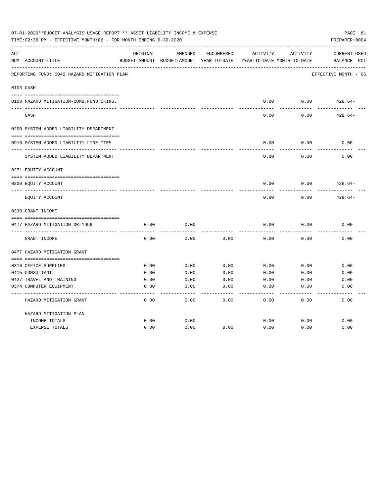|     | 07-01-2020**BUDGET ANALYSIS USAGE REPORT ** ASSET LIABILITY INCOME & EXPENSE<br>PAGE 81<br>TIME: 02:36 PM - EFFECTIVE MONTH: 06 - FOR MONTH ENDING 6-30-2020<br>PREPARER: 0004 |          |                                                     |            |          |                                        |                                    |  |  |  |
|-----|--------------------------------------------------------------------------------------------------------------------------------------------------------------------------------|----------|-----------------------------------------------------|------------|----------|----------------------------------------|------------------------------------|--|--|--|
| ACT | NUM ACCOUNT-TITLE                                                                                                                                                              | ORIGINAL | AMENDED<br>BUDGET-AMOUNT BUDGET-AMOUNT YEAR-TO-DATE | ENCUMBERED | ACTIVITY | ACTIVITY<br>YEAR-TO-DATE MONTH-TO-DATE | <b>CURRENT USED</b><br>BALANCE PCT |  |  |  |
|     | REPORTING FUND: 0042 HAZARD MITIGATION PLAN                                                                                                                                    |          |                                                     |            |          |                                        | EFFECTIVE MONTH - 06               |  |  |  |
|     | 0103 CASH                                                                                                                                                                      |          |                                                     |            |          |                                        |                                    |  |  |  |
|     | 0100 HAZARD MITIGATION-COMB.FUND CKING.                                                                                                                                        |          |                                                     |            | 0.00     | 0.00                                   | $428.64-$                          |  |  |  |
|     | CASH                                                                                                                                                                           |          |                                                     |            | 0.00     | 0.00                                   | $428.64-$                          |  |  |  |
|     | 0200 SYSTEM ADDED LIABILITY DEPARTMENT                                                                                                                                         |          |                                                     |            |          |                                        |                                    |  |  |  |
|     | 0910 SYSTEM ADDED LIABILITY LINE-ITEM                                                                                                                                          |          |                                                     |            | 0.00     | 0.00                                   | 0.00                               |  |  |  |
|     | SYSTEM ADDED LIABILITY DEPARTMENT                                                                                                                                              |          |                                                     |            | 0.00     | 0.00                                   | 0.00                               |  |  |  |
|     | 0271 EQUITY ACCOUNT                                                                                                                                                            |          |                                                     |            |          |                                        |                                    |  |  |  |
|     | 0200 EQUITY ACCOUNT                                                                                                                                                            |          |                                                     |            | 0.00     | 0.00                                   | $428.64-$                          |  |  |  |
|     | EQUITY ACCOUNT                                                                                                                                                                 |          |                                                     |            | 0.00     | 0.00                                   | $428.64-$                          |  |  |  |
|     | 0330 GRANT INCOME                                                                                                                                                              |          |                                                     |            |          |                                        |                                    |  |  |  |
|     | 0477 HAZARD MITIGATION DR-1999                                                                                                                                                 | 0.00     | 0.00                                                |            | 0.00     | 0.00                                   | 0.00                               |  |  |  |
|     | GRANT INCOME                                                                                                                                                                   | 0.00     | 0.00                                                | 0.00       | 0.00     | 0.00                                   | 0.00                               |  |  |  |
|     | 0477 HAZARD MITIGATION GRANT                                                                                                                                                   |          |                                                     |            |          |                                        |                                    |  |  |  |
|     |                                                                                                                                                                                |          |                                                     |            |          |                                        |                                    |  |  |  |
|     | 0310 OFFICE SUPPLIES                                                                                                                                                           | 0.00     | 0.00                                                | 0.00       | 0.00     | 0.00                                   | 0.00                               |  |  |  |
|     | 0415 CONSULTANT                                                                                                                                                                | 0.00     | 0.00                                                | 0.00       | 0.00     | 0.00                                   | 0.00                               |  |  |  |
|     | 0427 TRAVEL AND TRAINING                                                                                                                                                       | 0.00     | 0.00                                                | 0.00       | 0.00     | 0.00                                   | 0.00                               |  |  |  |
|     | 0574 COMPUTER EQUIPMENT                                                                                                                                                        | 0.00     | 0.00                                                | 0.00       | 0.00     | 0.00                                   | 0.00                               |  |  |  |
|     | HAZARD MITIGATION GRANT                                                                                                                                                        | 0.00     | 0.00                                                | 0.00       | 0.00     | 0.00                                   | 0.00                               |  |  |  |
|     | HAZARD MITIGATION PLAN                                                                                                                                                         |          |                                                     |            |          |                                        |                                    |  |  |  |
|     | INCOME TOTALS                                                                                                                                                                  | 0.00     | 0.00                                                |            | 0.00     | 0.00                                   | 0.00                               |  |  |  |
|     | <b>EXPENSE TOTALS</b>                                                                                                                                                          | 0.00     | 0.00                                                | 0.00       | 0.00     | 0.00                                   | 0.00                               |  |  |  |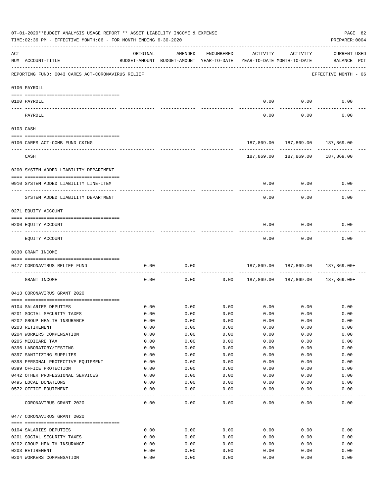|     | 07-01-2020**BUDGET ANALYSIS USAGE REPORT ** ASSET LIABILITY INCOME & EXPENSE<br>TIME:02:36 PM - EFFECTIVE MONTH:06 - FOR MONTH ENDING 6-30-2020 |          |                                                     |               |                                        |                                   | PAGE 82<br>PREPARER: 0004          |
|-----|-------------------------------------------------------------------------------------------------------------------------------------------------|----------|-----------------------------------------------------|---------------|----------------------------------------|-----------------------------------|------------------------------------|
| ACT | NUM ACCOUNT-TITLE                                                                                                                               | ORIGINAL | AMENDED<br>BUDGET-AMOUNT BUDGET-AMOUNT YEAR-TO-DATE | ENCUMBERED    | ACTIVITY<br>YEAR-TO-DATE MONTH-TO-DATE | ACTIVITY                          | <b>CURRENT USED</b><br>BALANCE PCT |
|     | REPORTING FUND: 0043 CARES ACT-CORONAVIRUS RELIEF                                                                                               |          |                                                     |               |                                        |                                   | EFFECTIVE MONTH - 06               |
|     | 0100 PAYROLL                                                                                                                                    |          |                                                     |               |                                        |                                   |                                    |
|     | 0100 PAYROLL                                                                                                                                    |          |                                                     |               | 0.00                                   | 0.00                              | 0.00                               |
|     | PAYROLL                                                                                                                                         |          |                                                     |               | 0.00                                   | 0.00                              | 0.00                               |
|     | 0103 CASH                                                                                                                                       |          |                                                     |               |                                        |                                   |                                    |
|     | 0100 CARES ACT-COMB FUND CKING                                                                                                                  |          |                                                     |               |                                        | 187,869.00 187,869.00 187,869.00  |                                    |
|     | CASH                                                                                                                                            |          |                                                     |               | 187,869.00                             | 187,869.00                        | 187,869.00                         |
|     | 0200 SYSTEM ADDED LIABILITY DEPARTMENT                                                                                                          |          |                                                     |               |                                        |                                   |                                    |
|     | 0910 SYSTEM ADDED LIABILITY LINE-ITEM                                                                                                           |          |                                                     |               | 0.00                                   | 0.00                              | 0.00                               |
|     | SYSTEM ADDED LIABILITY DEPARTMENT                                                                                                               |          |                                                     |               | 0.00                                   | 0.00                              | 0.00                               |
|     | 0271 EQUITY ACCOUNT                                                                                                                             |          |                                                     |               |                                        |                                   |                                    |
|     |                                                                                                                                                 |          |                                                     |               |                                        |                                   |                                    |
|     | 0200 EQUITY ACCOUNT                                                                                                                             |          |                                                     |               | 0.00                                   | 0.00                              | 0.00                               |
|     | EQUITY ACCOUNT                                                                                                                                  |          |                                                     |               | 0.00                                   | 0.00                              | 0.00                               |
|     | 0330 GRANT INCOME                                                                                                                               |          |                                                     |               |                                        |                                   |                                    |
|     | 0477 CORONAVIRUS RELIEF FUND                                                                                                                    | 0.00     | 0.00                                                |               |                                        | 187,869.00 187,869.00 187,869.00+ |                                    |
|     | GRANT INCOME                                                                                                                                    | 0.00     | 0.00                                                | 0.00          | 187,869.00 187,869.00                  |                                   | 187,869.00+                        |
|     | 0413 CORONAVIRUS GRANT 2020                                                                                                                     |          |                                                     |               |                                        |                                   |                                    |
|     | 0104 SALARIES DEPUTIES                                                                                                                          | 0.00     | 0.00                                                | 0.00          |                                        | $0.00$ 0.00                       | 0.00                               |
|     | 0201 SOCIAL SECURITY TAXES                                                                                                                      | 0.00     | 0.00                                                | 0.00          | 0.00                                   | 0.00                              | 0.00                               |
|     | 0202 GROUP HEALTH INSURANCE                                                                                                                     | 0.00     | 0.00                                                | 0.00          | 0.00                                   | 0.00                              | 0.00                               |
|     | 0203 RETIREMENT                                                                                                                                 | 0.00     | 0.00                                                | 0.00          | 0.00                                   | 0.00                              | 0.00                               |
|     | 0204 WORKERS COMPENSATION                                                                                                                       | 0.00     | 0.00                                                | 0.00          | 0.00                                   | 0.00                              | 0.00                               |
|     | 0205 MEDICARE TAX                                                                                                                               | 0.00     | 0.00                                                | 0.00          | 0.00                                   | 0.00                              | 0.00                               |
|     | 0396 LABORATORY/TESTING                                                                                                                         | 0.00     | 0.00                                                | 0.00          | 0.00                                   | 0.00                              | 0.00                               |
|     | 0397 SANITIZING SUPPLIES                                                                                                                        | 0.00     | 0.00                                                | 0.00          | 0.00                                   | 0.00                              | 0.00                               |
|     | 0398 PERSONAL PROTECTIVE EQUIPMENT                                                                                                              | 0.00     | 0.00                                                | 0.00          | 0.00                                   | 0.00                              | 0.00                               |
|     | 0399 OFFICE PROTECTION                                                                                                                          | 0.00     | 0.00                                                | 0.00          | 0.00                                   | 0.00                              | 0.00                               |
|     | 0442 OTHER PROFESSIONAL SERVICES                                                                                                                | 0.00     | 0.00                                                | 0.00          | 0.00                                   | 0.00                              | 0.00                               |
|     | 0495 LOCAL DONATIONS                                                                                                                            | 0.00     | 0.00                                                | 0.00          | 0.00                                   | 0.00                              | 0.00                               |
|     | 0572 OFFICE EQUIPMENT                                                                                                                           | 0.00     | 0.00                                                | 0.00          | 0.00                                   | 0.00                              | 0.00                               |
|     | CORONAVIRUS GRANT 2020                                                                                                                          | 0.00     | ----<br>0.00                                        | $---$<br>0.00 | 0.00                                   | 0.00                              | 0.00                               |
|     | 0477 CORONAVIRUS GRANT 2020                                                                                                                     |          |                                                     |               |                                        |                                   |                                    |
|     | 0104 SALARIES DEPUTIES                                                                                                                          | 0.00     | 0.00                                                | 0.00          | 0.00                                   | 0.00                              | 0.00                               |
|     | 0201 SOCIAL SECURITY TAXES                                                                                                                      | 0.00     | 0.00                                                | 0.00          | 0.00                                   | 0.00                              | 0.00                               |
|     | 0202 GROUP HEALTH INSURANCE                                                                                                                     | 0.00     | 0.00                                                | 0.00          | 0.00                                   | 0.00                              | 0.00                               |
|     | 0203 RETIREMENT                                                                                                                                 | 0.00     | 0.00                                                | 0.00          | 0.00                                   | 0.00                              | 0.00                               |
|     | 0204 WORKERS COMPENSATION                                                                                                                       | 0.00     | 0.00                                                | 0.00          | 0.00                                   | 0.00                              | 0.00                               |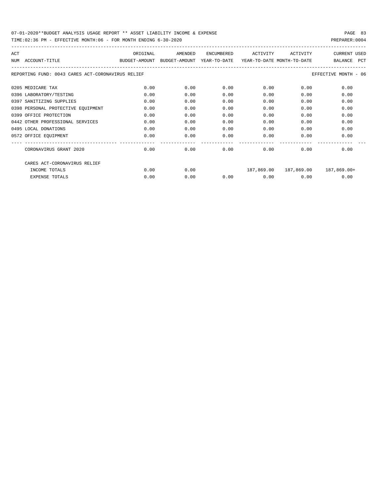TIME:02:36 PM - EFFECTIVE MONTH:06 - FOR MONTH ENDING 6-30-2020 PREPARER:0004

| ACT                                               | ORIGINAL      | AMENDED | ENCUMBERED                                            | ACTIVITY | ACTIVITY | <b>CURRENT USED</b>               |
|---------------------------------------------------|---------------|---------|-------------------------------------------------------|----------|----------|-----------------------------------|
| ACCOUNT-TITLE<br>NUM                              | BUDGET-AMOUNT |         | BUDGET-AMOUNT YEAR-TO-DATE YEAR-TO-DATE MONTH-TO-DATE |          |          | PCT<br><b>BALANCE</b>             |
| REPORTING FUND: 0043 CARES ACT-CORONAVIRUS RELIEF |               |         |                                                       |          |          | EFFECTIVE MONTH - 06              |
| 0205 MEDICARE TAX                                 | 0.00          | 0.00    | 0.00                                                  | 0.00     | 0.00     | 0.00                              |
| 0396 LABORATORY/TESTING                           | 0.00          | 0.00    | 0.00                                                  | 0.00     | 0.00     | 0.00                              |
| 0397 SANITIZING SUPPLIES                          | 0.00          | 0.00    | 0.00                                                  | 0.00     | 0.00     | 0.00                              |
| 0398 PERSONAL PROTECTIVE EQUIPMENT                | 0.00          | 0.00    | 0.00                                                  | 0.00     | 0.00     | 0.00                              |
| 0399 OFFICE PROTECTION                            | 0.00          | 0.00    | 0.00                                                  | 0.00     | 0.00     | 0.00                              |
| 0442 OTHER PROFESSIONAL SERVICES                  | 0.00          | 0.00    | 0.00                                                  | 0.00     | 0.00     | 0.00                              |
| 0495 LOCAL DONATIONS                              | 0.00          | 0.00    | 0.00                                                  | 0.00     | 0.00     | 0.00                              |
| 0572 OFFICE EQUIPMENT                             | 0.00          | 0.00    | 0.00                                                  | 0.00     | 0.00     | 0.00                              |
| CORONAVIRUS GRANT 2020                            | 0.00          | 0.00    | 0.00                                                  | 0.00     | 0.00     | 0.00                              |
| CARES ACT-CORONAVIRUS RELIEF                      |               |         |                                                       |          |          |                                   |
| INCOME TOTALS                                     | 0.00          | 0.00    |                                                       |          |          | 187,869.00 187,869.00 187,869.00+ |
| <b>EXPENSE TOTALS</b>                             | 0.00          | 0.00    | 0.00                                                  | 0.00     | 0.00     | 0.00                              |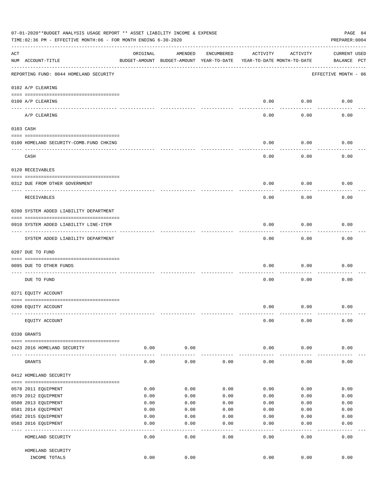|     | 07-01-2020**BUDGET ANALYSIS USAGE REPORT ** ASSET LIABILITY INCOME & EXPENSE<br>TIME:02:36 PM - EFFECTIVE MONTH:06 - FOR MONTH ENDING 6-30-2020 |          |                                                     |              |                                        |           | PAGE 84<br>PREPARER: 0004          |
|-----|-------------------------------------------------------------------------------------------------------------------------------------------------|----------|-----------------------------------------------------|--------------|----------------------------------------|-----------|------------------------------------|
| ACT | NUM ACCOUNT-TITLE                                                                                                                               | ORIGINAL | AMENDED<br>BUDGET-AMOUNT BUDGET-AMOUNT YEAR-TO-DATE | ENCUMBERED   | ACTIVITY<br>YEAR-TO-DATE MONTH-TO-DATE | ACTIVITY  | <b>CURRENT USED</b><br>BALANCE PCT |
|     | REPORTING FUND: 0044 HOMELAND SECURITY                                                                                                          |          |                                                     |              |                                        |           | EFFECTIVE MONTH - 06               |
|     | 0102 A/P CLEARING                                                                                                                               |          |                                                     |              |                                        |           |                                    |
|     | 0100 A/P CLEARING                                                                                                                               |          |                                                     |              | 0.00                                   | 0.00      | 0.00                               |
|     | ---- ----------<br>A/P CLEARING                                                                                                                 |          |                                                     |              | 0.00                                   | 0.00      | 0.00                               |
|     | 0103 CASH                                                                                                                                       |          |                                                     |              |                                        |           |                                    |
|     | 0100 HOMELAND SECURITY-COMB.FUND CHKING                                                                                                         |          |                                                     |              | 0.00                                   | 0.00      | 0.00                               |
|     | CASH                                                                                                                                            |          |                                                     |              | 0.00                                   | 0.00      | 0.00                               |
|     | 0120 RECEIVABLES                                                                                                                                |          |                                                     |              |                                        |           |                                    |
|     |                                                                                                                                                 |          |                                                     |              |                                        |           |                                    |
|     | 0312 DUE FROM OTHER GOVERNMENT                                                                                                                  |          |                                                     |              | 0.00                                   | 0.00      | 0.00                               |
|     | RECEIVABLES                                                                                                                                     |          |                                                     |              | 0.00                                   | 0.00      | 0.00                               |
|     | 0200 SYSTEM ADDED LIABILITY DEPARTMENT                                                                                                          |          |                                                     |              |                                        |           |                                    |
|     | 0910 SYSTEM ADDED LIABILITY LINE-ITEM                                                                                                           |          |                                                     |              | 0.00                                   | 0.00      | 0.00                               |
|     | SYSTEM ADDED LIABILITY DEPARTMENT                                                                                                               |          |                                                     |              | 0.00                                   | 0.00      | 0.00                               |
|     | 0207 DUE TO FUND                                                                                                                                |          |                                                     |              |                                        |           |                                    |
|     | 0095 DUE TO OTHER FUNDS                                                                                                                         |          |                                                     |              | 0.00                                   | 0.00      | 0.00                               |
|     | DUE TO FUND                                                                                                                                     |          |                                                     |              | 0.00                                   | 0.00      | 0.00                               |
|     | 0271 EQUITY ACCOUNT                                                                                                                             |          |                                                     |              |                                        |           |                                    |
|     | 0200 EQUITY ACCOUNT                                                                                                                             |          |                                                     |              | 0.00                                   | 0.00      | 0.00                               |
|     | EQUITY ACCOUNT                                                                                                                                  |          |                                                     |              | 0.00                                   | 0.00      | 0.00                               |
|     | 0330 GRANTS                                                                                                                                     |          |                                                     |              |                                        |           |                                    |
|     | 0423 2016 HOMELAND SECURITY                                                                                                                     | 0.00     | 0.00                                                |              | 0.00                                   | 0.00      | 0.00                               |
|     | GRANTS                                                                                                                                          | 0.00     | 0.00                                                | 0.00         | 0.00                                   | 0.00      | 0.00                               |
|     | 0412 HOMELAND SECURITY                                                                                                                          |          |                                                     |              |                                        |           |                                    |
|     |                                                                                                                                                 | 0.00     | 0.00                                                | 0.00         | 0.00                                   | 0.00      | 0.00                               |
|     | 0578 2011 EQUIPMENT<br>0579 2012 EQUIPMENT                                                                                                      | 0.00     | 0.00                                                | 0.00         | 0.00                                   | 0.00      | 0.00                               |
|     | 0580 2013 EQUIPMENT                                                                                                                             | 0.00     | 0.00                                                | 0.00         | 0.00                                   | 0.00      | 0.00                               |
|     | 0581 2014 EQUIPMENT                                                                                                                             | 0.00     | 0.00                                                | 0.00         | 0.00                                   | 0.00      | 0.00                               |
|     | 0582 2015 EQUIPMENT                                                                                                                             | 0.00     | 0.00                                                | 0.00         | 0.00                                   | 0.00      | 0.00                               |
|     | 0583 2016 EQUIPMENT                                                                                                                             | 0.00     | 0.00                                                | 0.00         | 0.00                                   | 0.00      | 0.00                               |
|     | HOMELAND SECURITY                                                                                                                               | 0.00     | - - - -<br>0.00                                     | ----<br>0.00 | $---$<br>0.00                          | .<br>0.00 | 0.00                               |
|     | HOMELAND SECURITY                                                                                                                               |          |                                                     |              |                                        |           |                                    |
|     | INCOME TOTALS                                                                                                                                   | 0.00     | 0.00                                                |              | 0.00                                   | 0.00      | 0.00                               |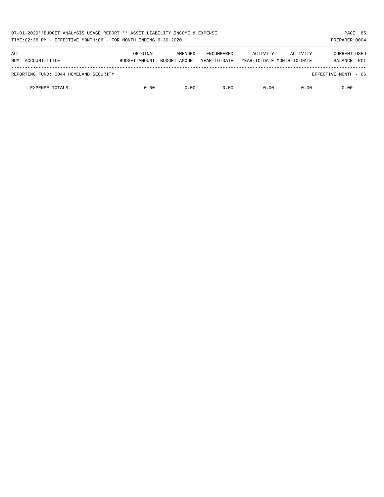| 07-01-2020**BUDGET ANALYSIS USAGE REPORT ** ASSET LIABILITY INCOME & EXPENSE<br>TIME:02:36 PM - EFFECTIVE MONTH:06 - FOR MONTH ENDING 6-30-2020 |          |                                        |                                   |                                        |          | PAGE 85<br>PREPARER: 0004                    |
|-------------------------------------------------------------------------------------------------------------------------------------------------|----------|----------------------------------------|-----------------------------------|----------------------------------------|----------|----------------------------------------------|
| ACT<br>NUM ACCOUNT-TITLE                                                                                                                        | ORIGINAL | AMENDED<br>BUDGET-AMOUNT BUDGET-AMOUNT | <b>ENCUMBERED</b><br>YEAR-TO-DATE | ACTIVITY<br>YEAR-TO-DATE MONTH-TO-DATE | ACTIVITY | <b>CURRENT USED</b><br><b>PCT</b><br>BALANCE |
| REPORTING FUND: 0044 HOMELAND SECURITY                                                                                                          |          |                                        |                                   |                                        |          | EFFECTIVE MONTH - 06                         |
| <b>EXPENSE TOTALS</b>                                                                                                                           | 0.00     | 0.00                                   | 0.00                              | 0.00                                   | 0.00     | 0.00                                         |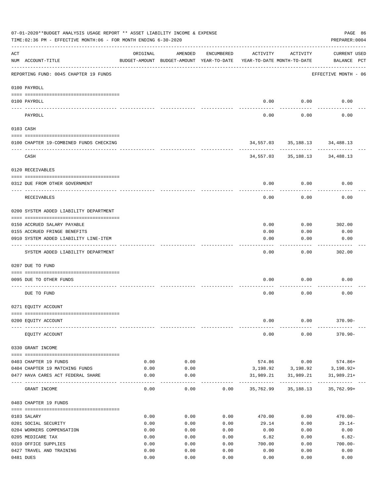|     | 07-01-2020**BUDGET ANALYSIS USAGE REPORT ** ASSET LIABILITY INCOME & EXPENSE<br>TIME: 02:36 PM - EFFECTIVE MONTH: 06 - FOR MONTH ENDING 6-30-2020 |              |                                                     |              |                |                                        | PAGE 86<br>PREPARER: 0004          |  |
|-----|---------------------------------------------------------------------------------------------------------------------------------------------------|--------------|-----------------------------------------------------|--------------|----------------|----------------------------------------|------------------------------------|--|
| ACT | NUM ACCOUNT-TITLE                                                                                                                                 | ORIGINAL     | AMENDED<br>BUDGET-AMOUNT BUDGET-AMOUNT YEAR-TO-DATE | ENCUMBERED   | ACTIVITY       | ACTIVITY<br>YEAR-TO-DATE MONTH-TO-DATE | <b>CURRENT USED</b><br>BALANCE PCT |  |
|     | REPORTING FUND: 0045 CHAPTER 19 FUNDS                                                                                                             |              |                                                     |              |                |                                        | EFFECTIVE MONTH - 06               |  |
|     | 0100 PAYROLL                                                                                                                                      |              |                                                     |              |                |                                        |                                    |  |
|     | 0100 PAYROLL                                                                                                                                      |              |                                                     |              | 0.00           | 0.00                                   | 0.00                               |  |
|     | ---- ------<br>PAYROLL                                                                                                                            |              |                                                     |              | 0.00           | 0.00                                   | 0.00                               |  |
|     | 0103 CASH                                                                                                                                         |              |                                                     |              |                |                                        |                                    |  |
|     | 0100 CHAPTER 19-COMBINED FUNDS CHECKING                                                                                                           |              |                                                     |              |                | 34,557.03 35,188.13 34,488.13          |                                    |  |
|     | CASH                                                                                                                                              |              |                                                     |              |                | 34,557.03 35,188.13 34,488.13          |                                    |  |
|     | 0120 RECEIVABLES                                                                                                                                  |              |                                                     |              |                |                                        |                                    |  |
|     | 0312 DUE FROM OTHER GOVERNMENT                                                                                                                    |              |                                                     |              | 0.00           | 0.00                                   | 0.00                               |  |
|     | RECEIVABLES                                                                                                                                       |              |                                                     |              | 0.00           | 0.00                                   | 0.00                               |  |
|     | 0200 SYSTEM ADDED LIABILITY DEPARTMENT                                                                                                            |              |                                                     |              |                |                                        |                                    |  |
|     | 0150 ACCRUED SALARY PAYABLE                                                                                                                       |              |                                                     |              | 0.00           |                                        | $0.00$ 302.00                      |  |
|     | 0155 ACCRUED FRINGE BENEFITS                                                                                                                      |              |                                                     |              | 0.00           | 0.00                                   | 0.00                               |  |
|     | 0910 SYSTEM ADDED LIABILITY LINE-ITEM                                                                                                             |              |                                                     |              | 0.00           | 0.00                                   | 0.00                               |  |
|     | SYSTEM ADDED LIABILITY DEPARTMENT                                                                                                                 |              |                                                     |              | 0.00           | 0.00                                   | 302.00                             |  |
|     | 0207 DUE TO FUND                                                                                                                                  |              |                                                     |              |                |                                        |                                    |  |
|     |                                                                                                                                                   |              |                                                     |              |                |                                        |                                    |  |
|     | 0095 DUE TO OTHER FUNDS                                                                                                                           |              |                                                     |              | 0.00           | 0.00                                   | 0.00                               |  |
|     | DUE TO FUND                                                                                                                                       |              |                                                     |              | 0.00           | 0.00                                   | 0.00                               |  |
|     | 0271 EQUITY ACCOUNT                                                                                                                               |              |                                                     |              |                |                                        |                                    |  |
|     | 0200 EQUITY ACCOUNT                                                                                                                               |              |                                                     |              | 0.00           | 0.00                                   | $370.90 -$                         |  |
|     | EQUITY ACCOUNT                                                                                                                                    |              |                                                     |              | 0.00           | 0.00                                   | $370.90 -$                         |  |
|     | 0330 GRANT INCOME                                                                                                                                 |              |                                                     |              |                |                                        |                                    |  |
|     | 0403 CHAPTER 19 FUNDS                                                                                                                             | 0.00         | 0.00                                                |              | 574.86         | 0.00                                   | 574.86+                            |  |
|     | 0404 CHAPTER 19 MATCHING FUNDS                                                                                                                    | 0.00         | 0.00                                                |              |                |                                        | 3, 198.92 3, 198.92 3, 198.92+     |  |
|     | 0477 HAVA CARES ACT FEDERAL SHARE                                                                                                                 | 0.00         | 0.00                                                |              | ----------     | 31,989.21 31,989.21<br>-------------   | $31,989.21+$                       |  |
|     | GRANT INCOME                                                                                                                                      | 0.00         | 0.00                                                | 0.00         | 35,762.99      | 35,188.13                              | $35,762.99+$                       |  |
|     | 0403 CHAPTER 19 FUNDS                                                                                                                             |              |                                                     |              |                |                                        |                                    |  |
|     | 0103 SALARY                                                                                                                                       | 0.00         | 0.00                                                | 0.00         | 470.00         | 0.00                                   | $470.00 -$                         |  |
|     | 0201 SOCIAL SECURITY                                                                                                                              | 0.00         | 0.00                                                | 0.00         | 29.14          | 0.00                                   | $29.14-$                           |  |
|     | 0204 WORKERS COMPENSATION                                                                                                                         | 0.00         | 0.00                                                | 0.00         | 0.00           | 0.00                                   | 0.00                               |  |
|     | 0205 MEDICARE TAX<br>0310 OFFICE SUPPLIES                                                                                                         | 0.00<br>0.00 | 0.00<br>0.00                                        | 0.00<br>0.00 | 6.82<br>700.00 | 0.00<br>0.00                           | $6.82-$<br>$700.00 -$              |  |
|     | 0427 TRAVEL AND TRAINING                                                                                                                          | 0.00         | 0.00                                                | 0.00         | 0.00           | 0.00                                   | 0.00                               |  |
|     | 0481 DUES                                                                                                                                         | 0.00         | 0.00                                                | 0.00         | 0.00           | 0.00                                   | 0.00                               |  |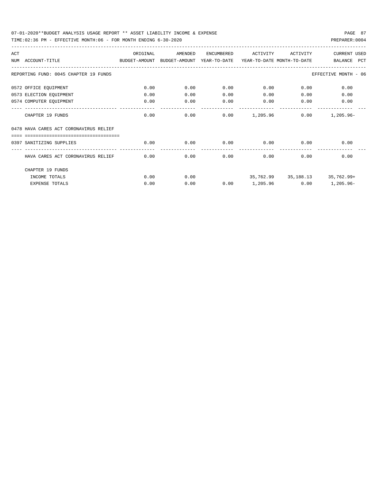### 07-01-2020\*\*BUDGET ANALYSIS USAGE REPORT \*\* ASSET LIABILITY INCOME & EXPENSE PAGE 87 TIME:02:36 PM - EFFECTIVE MONTH:06 - FOR MONTH ENDING 6-30-2020

| ACT |                                        | ORIGINAL | AMENDED                                  | <b>ENCUMBERED</b> | ACTIVITY                   | ACTIVITY | <b>CURRENT USED</b>      |
|-----|----------------------------------------|----------|------------------------------------------|-------------------|----------------------------|----------|--------------------------|
| NUM | ACCOUNT-TITLE                          |          | BUDGET-AMOUNT BUDGET-AMOUNT YEAR-TO-DATE |                   | YEAR-TO-DATE MONTH-TO-DATE |          | BALANCE<br>PCT           |
|     | REPORTING FUND: 0045 CHAPTER 19 FUNDS  |          |                                          |                   |                            |          | EFFECTIVE MONTH - 06     |
|     | 0572 OFFICE EQUIPMENT                  | 0.00     | 0.00                                     | 0.00              | 0.00                       | 0.00     | 0.00                     |
|     | 0573 ELECTION EQUIPMENT                | 0.00     | 0.00                                     | 0.00              | 0.00                       | 0.00     | 0.00                     |
|     | 0574 COMPUTER EQUIPMENT                | 0.00     | 0.00                                     | 0.00              | 0.00                       | 0.00     | 0.00                     |
|     | CHAPTER 19 FUNDS                       | 0.00     | 0.00                                     | 0.00              | 1,205.96                   | 0.00     | $1,205.96 -$             |
|     | 0478 HAVA CARES ACT CORONAVIRUS RELIEF |          |                                          |                   |                            |          |                          |
|     | ,,,,,,,,,,,,,,,,,,,,,,,,,,,,,,,,,,,    |          |                                          |                   |                            |          |                          |
|     | 0397 SANITIZING SUPPLIES               | 0.00     | 0.00                                     | 0.00              | 0.00                       | 0.00     | 0.00                     |
|     | HAVA CARES ACT CORONAVIRUS RELIEF      | 0.00     | 0.00                                     | 0.00              | 0.00                       | 0.00     | 0.00                     |
|     | CHAPTER 19 FUNDS                       |          |                                          |                   |                            |          |                          |
|     | INCOME TOTALS                          | 0.00     | 0.00                                     |                   | 35,762.99                  |          | 35, 188. 13 35, 762. 99+ |
|     | <b>EXPENSE TOTALS</b>                  | 0.00     | 0.00                                     | 0.00              | 1,205.96                   | 0.00     | 1,205.96-                |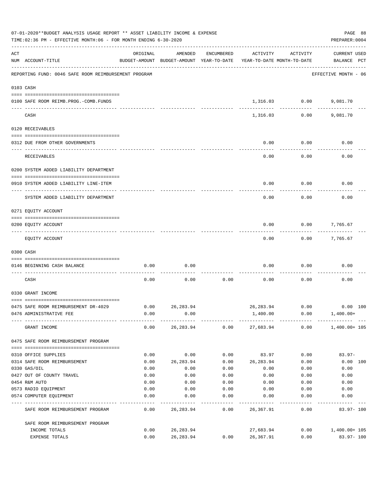|           | 07-01-2020**BUDGET ANALYSIS USAGE REPORT ** ASSET LIABILITY INCOME & EXPENSE<br>TIME: 02:36 PM - EFFECTIVE MONTH: 06 - FOR MONTH ENDING 6-30-2020 |              |                                                     |            |                        |                                        | PREPARER: 0004                     | PAGE 88  |
|-----------|---------------------------------------------------------------------------------------------------------------------------------------------------|--------------|-----------------------------------------------------|------------|------------------------|----------------------------------------|------------------------------------|----------|
| ACT       | NUM ACCOUNT-TITLE                                                                                                                                 | ORIGINAL     | AMENDED<br>BUDGET-AMOUNT BUDGET-AMOUNT YEAR-TO-DATE | ENCUMBERED | ACTIVITY               | ACTIVITY<br>YEAR-TO-DATE MONTH-TO-DATE | <b>CURRENT USED</b><br>BALANCE PCT |          |
|           | REPORTING FUND: 0046 SAFE ROOM REIMBURSEMENT PROGRAM                                                                                              |              |                                                     |            |                        |                                        | EFFECTIVE MONTH - 06               |          |
| 0103 CASH |                                                                                                                                                   |              |                                                     |            |                        |                                        |                                    |          |
|           | 0100 SAFE ROOM REIMB.PROG.-COMB.FUNDS                                                                                                             |              |                                                     |            | 1,316.03               | 0.00                                   | 9,081.70                           |          |
|           | CASH                                                                                                                                              |              |                                                     |            | 1,316.03               | 0.00                                   | 9,081.70                           |          |
|           | 0120 RECEIVABLES                                                                                                                                  |              |                                                     |            |                        |                                        |                                    |          |
|           | 0312 DUE FROM OTHER GOVERNMENTS                                                                                                                   |              |                                                     |            | 0.00                   | 0.00                                   | 0.00                               |          |
|           | RECEIVABLES                                                                                                                                       |              |                                                     |            | 0.00                   | 0.00                                   | 0.00                               |          |
|           | 0200 SYSTEM ADDED LIABILITY DEPARTMENT                                                                                                            |              |                                                     |            |                        |                                        |                                    |          |
|           | 0910 SYSTEM ADDED LIABILITY LINE-ITEM                                                                                                             |              |                                                     |            | 0.00                   | 0.00                                   | 0.00                               |          |
|           | SYSTEM ADDED LIABILITY DEPARTMENT                                                                                                                 |              |                                                     |            | 0.00                   | 0.00                                   | 0.00                               |          |
|           | 0271 EQUITY ACCOUNT                                                                                                                               |              |                                                     |            |                        |                                        |                                    |          |
|           | 0200 EQUITY ACCOUNT                                                                                                                               |              |                                                     |            | 0.00                   | 0.00                                   | 7,765.67                           |          |
|           | EQUITY ACCOUNT                                                                                                                                    |              |                                                     |            | 0.00                   | 0.00                                   | 7,765.67                           |          |
|           | 0300 CASH                                                                                                                                         |              |                                                     |            |                        |                                        |                                    |          |
|           | 0146 BEGINNING CASH BALANCE                                                                                                                       | 0.00         | 0.00                                                |            | 0.00                   | 0.00                                   | 0.00                               |          |
|           | CASH                                                                                                                                              | 0.00         | 0.00                                                | 0.00       | 0.00                   | 0.00                                   | 0.00                               |          |
|           | 0330 GRANT INCOME                                                                                                                                 |              |                                                     |            |                        |                                        |                                    |          |
|           | 0475 SAFE ROOM REIMBURSEMENT DR-4029                                                                                                              | 0.00         | 26, 283.94                                          |            | 26, 283.94             | 0.00                                   |                                    | 0.00 100 |
|           | 0476 ADMINISTRATIVE FEE                                                                                                                           | 0.00         | 0.00                                                |            | 1,400.00               | 0.00                                   | $1,400.00+$                        |          |
|           | GRANT INCOME                                                                                                                                      |              | 0.00 26,283.94                                      |            |                        |                                        | $0.00$ 27,683.94 0.00 1,400.00+105 |          |
|           | 0475 SAFE ROOM REIMBURSEMENT PROGRAM                                                                                                              |              |                                                     |            |                        |                                        |                                    |          |
|           | 0310 OFFICE SUPPLIES                                                                                                                              | 0.00         | 0.00                                                | 0.00       | 83.97                  | 0.00                                   | $83.97 -$                          |          |
|           | 0314 SAFE ROOM REIMBURSEMENT                                                                                                                      | 0.00         | 26,283.94                                           | 0.00       | 26,283.94              | 0.00                                   |                                    | 0.00 100 |
|           | 0330 GAS/OIL                                                                                                                                      | 0.00         | 0.00                                                | 0.00       | 0.00                   | 0.00                                   | 0.00                               |          |
|           | 0427 OUT OF COUNTY TRAVEL                                                                                                                         | 0.00         | 0.00                                                | 0.00       | 0.00                   | 0.00                                   | 0.00                               |          |
|           | 0454 R&M AUTO                                                                                                                                     | 0.00         | 0.00                                                | 0.00       | 0.00                   | 0.00                                   | 0.00                               |          |
|           | 0573 RADIO EQUIPMENT                                                                                                                              | 0.00         | 0.00                                                | 0.00       | 0.00                   | 0.00                                   | 0.00                               |          |
|           | 0574 COMPUTER EQUIPMENT                                                                                                                           | 0.00         | 0.00                                                | 0.00       | 0.00                   | 0.00                                   | 0.00                               |          |
|           | SAFE ROOM REIMBURSEMENT PROGRAM                                                                                                                   | 0.00         | 26,283.94                                           | 0.00       | 26,367.91              | 0.00                                   | 83.97-100                          |          |
|           | SAFE ROOM REIMBURSEMENT PROGRAM                                                                                                                   |              |                                                     |            |                        |                                        |                                    |          |
|           | INCOME TOTALS<br>EXPENSE TOTALS                                                                                                                   | 0.00<br>0.00 | 26,283.94<br>26,283.94                              | 0.00       | 27,683.94<br>26,367.91 | 0.00<br>0.00                           | 1,400.00+ 105<br>83.97-100         |          |
|           |                                                                                                                                                   |              |                                                     |            |                        |                                        |                                    |          |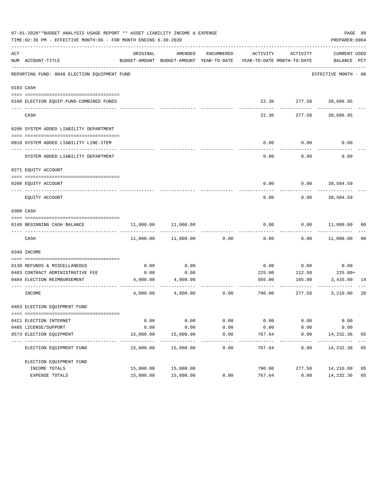|     | 07-01-2020**BUDGET ANALYSIS USAGE REPORT ** ASSET LIABILITY INCOME & EXPENSE<br>TIME:02:36 PM - EFFECTIVE MONTH:06 - FOR MONTH ENDING 6-30-2020 |           |                                                                                |               |                     |                        | PREPARER: 0004              | PAGE 89 |
|-----|-------------------------------------------------------------------------------------------------------------------------------------------------|-----------|--------------------------------------------------------------------------------|---------------|---------------------|------------------------|-----------------------------|---------|
| ACT | NUM ACCOUNT-TITLE                                                                                                                               | ORIGINAL  | AMENDED<br>BUDGET-AMOUNT BUDGET-AMOUNT YEAR-TO-DATE YEAR-TO-DATE MONTH-TO-DATE | ENCUMBERED    | ACTIVITY            | ACTIVITY               | CURRENT USED<br>BALANCE PCT |         |
|     | REPORTING FUND: 0048 ELECTION EQUIPMENT FUND                                                                                                    |           |                                                                                |               |                     |                        | EFFECTIVE MONTH - 06        |         |
|     | 0103 CASH                                                                                                                                       |           |                                                                                |               |                     |                        |                             |         |
|     | 0100 ELECTION EQUIP. FUND-COMBINED FUNDS                                                                                                        |           |                                                                                |               |                     | 22.36 277.50 38,606.95 |                             |         |
|     | CASH                                                                                                                                            |           |                                                                                |               | 22.36               | 277.50                 | ------<br>38,606.95         |         |
|     | 0200 SYSTEM ADDED LIABILITY DEPARTMENT                                                                                                          |           |                                                                                |               |                     |                        |                             |         |
|     |                                                                                                                                                 |           |                                                                                |               |                     |                        |                             |         |
|     | 0910 SYSTEM ADDED LIABILITY LINE-ITEM                                                                                                           |           |                                                                                |               | 0.00                | 0.00                   | 0.00                        |         |
|     | SYSTEM ADDED LIABILITY DEPARTMENT                                                                                                               |           |                                                                                |               | 0.00                | 0.00                   | 0.00                        |         |
|     | 0271 EQUITY ACCOUNT                                                                                                                             |           |                                                                                |               |                     |                        |                             |         |
|     | 0200 EOUITY ACCOUNT                                                                                                                             |           |                                                                                |               | 0.00                |                        | $0.00$ 38,584.59            |         |
|     |                                                                                                                                                 |           |                                                                                |               |                     |                        |                             |         |
|     | EQUITY ACCOUNT                                                                                                                                  |           |                                                                                |               | 0.00                | 0.00                   | 38,584.59                   |         |
|     | 0300 CASH                                                                                                                                       |           |                                                                                |               |                     |                        |                             |         |
|     | 0148 BEGINNING CASH BALANCE                                                                                                                     | 11,000.00 | 11,000.00                                                                      |               | 0.00                |                        | $0.00$ 11,000.00 00         |         |
|     | CASH                                                                                                                                            | 11,000.00 | 11,000.00                                                                      | 0.00          | 0.00                | 0.00                   | 11,000.00                   | 00      |
|     | 0340 INCOME                                                                                                                                     |           |                                                                                |               |                     |                        |                             |         |
|     | 0130 REFUNDS & MISCELLANEOUS                                                                                                                    | 0.00      | 0.00                                                                           |               | 0.00                | 0.00                   | 0.00                        |         |
|     | 0403 CONTRACT ADMINISTRATIVE FEE                                                                                                                | 0.00      | 0.00                                                                           |               | 225.00              | 112.50                 | $225.00+$                   |         |
|     | 0484 ELECTION REIMBURSEMENT                                                                                                                     | 4,000.00  | 4,000.00                                                                       |               | 565.00              | 165.00                 | 3,435.00                    | 14      |
|     | INCOME                                                                                                                                          | 4,000.00  | 4,000.00                                                                       | 0.00          | ---------<br>790.00 | ----------<br>277.50   | 3,210.00                    | 20      |
|     | 0403 ELECTION EQUIPMENT FUND                                                                                                                    |           |                                                                                |               |                     |                        |                             |         |
|     | 0421 ELECTION INTERNET                                                                                                                          | 0.00      | 0.00                                                                           | 0.00          | 0.00                | 0.00                   | 0.00                        |         |
|     | 0485 LICENSE/SUPPORT                                                                                                                            | 0.00      | 0.00                                                                           | 0.00          | 0.00                | 0.00                   | 0.00                        |         |
|     | 0573 ELECTION EQUIPMENT                                                                                                                         | 15,000.00 | 15,000.00                                                                      | 0.00<br>$---$ | 767.64              | 0.00                   | 14,232.36                   | 05      |
|     | ELECTION EQUIPMENT FUND                                                                                                                         | 15,000.00 | 15,000.00                                                                      | 0.00          | 767.64              | 0.00                   | 14,232.36 05                |         |
|     | ELECTION EQUIPMENT FUND                                                                                                                         |           |                                                                                |               |                     |                        |                             |         |
|     | INCOME TOTALS                                                                                                                                   | 15,000.00 | 15,000.00                                                                      |               | 790.00              | 277.50                 | 14,210.00                   | 05      |
|     | EXPENSE TOTALS                                                                                                                                  | 15,000.00 | 15,000.00                                                                      | 0.00          | 767.64              | 0.00                   | 14,232.36                   | 05      |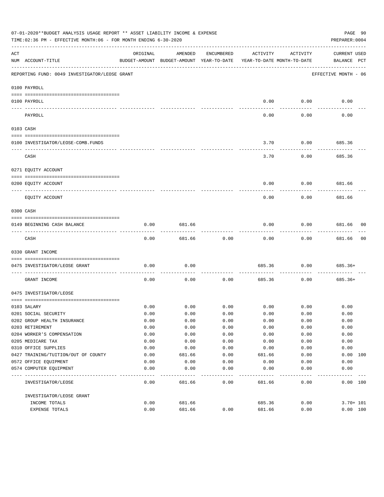|     | 07-01-2020**BUDGET ANALYSIS USAGE REPORT ** ASSET LIABILITY INCOME & EXPENSE<br>TIME:02:36 PM - EFFECTIVE MONTH:06 - FOR MONTH ENDING 6-30-2020                                                                                                                                                                                                                                                                                                                                                                              |          |                                                     |            |                                        |                 | PAGE 90<br>PREPARER: 0004          |    |
|-----|------------------------------------------------------------------------------------------------------------------------------------------------------------------------------------------------------------------------------------------------------------------------------------------------------------------------------------------------------------------------------------------------------------------------------------------------------------------------------------------------------------------------------|----------|-----------------------------------------------------|------------|----------------------------------------|-----------------|------------------------------------|----|
| ACT | NUM ACCOUNT-TITLE                                                                                                                                                                                                                                                                                                                                                                                                                                                                                                            | ORIGINAL | AMENDED<br>BUDGET-AMOUNT BUDGET-AMOUNT YEAR-TO-DATE | ENCUMBERED | ACTIVITY<br>YEAR-TO-DATE MONTH-TO-DATE | ACTIVITY        | <b>CURRENT USED</b><br>BALANCE PCT |    |
|     | REPORTING FUND: 0049 INVESTIGATOR/LEOSE GRANT                                                                                                                                                                                                                                                                                                                                                                                                                                                                                |          |                                                     |            |                                        |                 | EFFECTIVE MONTH - 06               |    |
|     | 0100 PAYROLL                                                                                                                                                                                                                                                                                                                                                                                                                                                                                                                 |          |                                                     |            |                                        |                 |                                    |    |
|     | 0100 PAYROLL                                                                                                                                                                                                                                                                                                                                                                                                                                                                                                                 |          |                                                     |            | 0.00                                   | 0.00            | 0.00                               |    |
|     | $\frac{1}{2} \left( \frac{1}{2} \right) \left( \frac{1}{2} \right) \left( \frac{1}{2} \right) \left( \frac{1}{2} \right) \left( \frac{1}{2} \right) \left( \frac{1}{2} \right) \left( \frac{1}{2} \right) \left( \frac{1}{2} \right) \left( \frac{1}{2} \right) \left( \frac{1}{2} \right) \left( \frac{1}{2} \right) \left( \frac{1}{2} \right) \left( \frac{1}{2} \right) \left( \frac{1}{2} \right) \left( \frac{1}{2} \right) \left( \frac{1}{2} \right) \left( \frac$<br>-------------------------- --------<br>PAYROLL |          |                                                     |            | ----<br>0.00                           | -------<br>0.00 | 0.00                               |    |
|     | 0103 CASH                                                                                                                                                                                                                                                                                                                                                                                                                                                                                                                    |          |                                                     |            |                                        |                 |                                    |    |
|     |                                                                                                                                                                                                                                                                                                                                                                                                                                                                                                                              |          |                                                     |            |                                        |                 |                                    |    |
|     | 0100 INVESTIGATOR/LEOSE-COMB.FUNDS                                                                                                                                                                                                                                                                                                                                                                                                                                                                                           |          |                                                     |            | 3.70                                   | 0.00            | 685.36                             |    |
|     | CASH                                                                                                                                                                                                                                                                                                                                                                                                                                                                                                                         |          |                                                     |            | 3.70                                   | 0.00            | 685.36                             |    |
|     | 0271 EQUITY ACCOUNT                                                                                                                                                                                                                                                                                                                                                                                                                                                                                                          |          |                                                     |            |                                        |                 |                                    |    |
|     | 0200 EQUITY ACCOUNT<br>---------------------- ---------                                                                                                                                                                                                                                                                                                                                                                                                                                                                      |          |                                                     |            | 0.00                                   | 0.00            | 681.66                             |    |
|     | ---- -----------<br>EQUITY ACCOUNT                                                                                                                                                                                                                                                                                                                                                                                                                                                                                           |          |                                                     |            | 0.00                                   | 0.00            | 681.66                             |    |
|     | 0300 CASH                                                                                                                                                                                                                                                                                                                                                                                                                                                                                                                    |          |                                                     |            |                                        |                 |                                    |    |
|     | 0149 BEGINNING CASH BALANCE                                                                                                                                                                                                                                                                                                                                                                                                                                                                                                  | 0.00     | 681.66                                              |            | 0.00                                   | 0.00            | 681.66 00                          |    |
|     | CASH                                                                                                                                                                                                                                                                                                                                                                                                                                                                                                                         | 0.00     | 681.66                                              | 0.00       | 0.00                                   | 0.00            | ----------<br>681.66               | 00 |
|     | 0330 GRANT INCOME                                                                                                                                                                                                                                                                                                                                                                                                                                                                                                            |          |                                                     |            |                                        |                 |                                    |    |
|     | 0475 INVESTIGATOR/LEOSE GRANT                                                                                                                                                                                                                                                                                                                                                                                                                                                                                                | 0.00     | 0.00                                                |            | 685.36                                 | 0.00            | $685.36+$                          |    |
|     | GRANT INCOME                                                                                                                                                                                                                                                                                                                                                                                                                                                                                                                 | 0.00     | 0.00                                                | 0.00       | 685.36                                 | 0.00            | $685.36+$                          |    |
|     | 0475 INVESTIGATOR/LEOSE                                                                                                                                                                                                                                                                                                                                                                                                                                                                                                      |          |                                                     |            |                                        |                 |                                    |    |
|     |                                                                                                                                                                                                                                                                                                                                                                                                                                                                                                                              | 0.00     | 0.00                                                | 0.00       |                                        | $0.00$ 0.00     | 0.00                               |    |
|     | 0103 SALARY<br>0201 SOCIAL SECURITY                                                                                                                                                                                                                                                                                                                                                                                                                                                                                          | 0.00     | 0.00                                                | 0.00       | 0.00                                   | 0.00            | 0.00                               |    |
|     | 0202 GROUP HEALTH INSURANCE                                                                                                                                                                                                                                                                                                                                                                                                                                                                                                  | 0.00     | 0.00                                                | 0.00       | 0.00                                   | 0.00            | 0.00                               |    |
|     | 0203 RETIREMENT                                                                                                                                                                                                                                                                                                                                                                                                                                                                                                              | 0.00     | 0.00                                                | 0.00       | 0.00                                   | 0.00            | 0.00                               |    |
|     | 0204 WORKER'S COMPENSATION                                                                                                                                                                                                                                                                                                                                                                                                                                                                                                   | 0.00     | 0.00                                                | 0.00       | 0.00                                   | 0.00            | 0.00                               |    |
|     | 0205 MEDICARE TAX                                                                                                                                                                                                                                                                                                                                                                                                                                                                                                            | 0.00     | 0.00                                                | 0.00       | 0.00                                   | 0.00            | 0.00                               |    |
|     | 0310 OFFICE SUPPLIES                                                                                                                                                                                                                                                                                                                                                                                                                                                                                                         | 0.00     | 0.00                                                | 0.00       | 0.00                                   | 0.00            | 0.00                               |    |
|     | 0427 TRAINING/TUITION/OUT OF COUNTY                                                                                                                                                                                                                                                                                                                                                                                                                                                                                          | 0.00     | 681.66                                              | 0.00       | 681.66                                 | 0.00            | 0.00 100                           |    |
|     | 0572 OFFICE EQUIPMENT                                                                                                                                                                                                                                                                                                                                                                                                                                                                                                        | 0.00     | 0.00                                                | 0.00       | 0.00                                   | 0.00            | 0.00                               |    |
|     | 0574 COMPUTER EQUIPMENT                                                                                                                                                                                                                                                                                                                                                                                                                                                                                                      | 0.00     | 0.00                                                | 0.00       | 0.00                                   | 0.00            | 0.00                               |    |
|     | INVESTIGATOR/LEOSE                                                                                                                                                                                                                                                                                                                                                                                                                                                                                                           | 0.00     | 681.66                                              | 0.00       | 681.66                                 | 0.00            | 0.00 100                           |    |
|     | INVESTIGATOR/LEOSE GRANT                                                                                                                                                                                                                                                                                                                                                                                                                                                                                                     |          |                                                     |            |                                        |                 |                                    |    |
|     | INCOME TOTALS                                                                                                                                                                                                                                                                                                                                                                                                                                                                                                                | 0.00     | 681.66                                              |            | 685.36                                 | 0.00            | $3.70 + 101$                       |    |
|     | EXPENSE TOTALS                                                                                                                                                                                                                                                                                                                                                                                                                                                                                                               | 0.00     | 681.66                                              | 0.00       | 681.66                                 | 0.00            | 0.00 100                           |    |
|     |                                                                                                                                                                                                                                                                                                                                                                                                                                                                                                                              |          |                                                     |            |                                        |                 |                                    |    |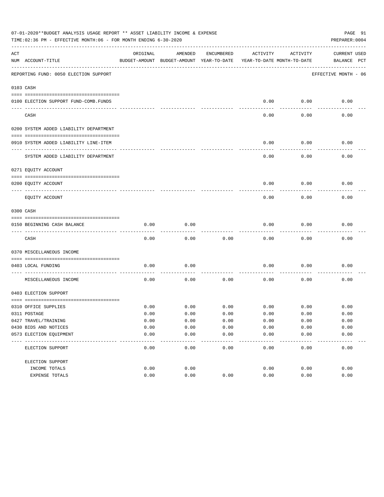|     | 07-01-2020**BUDGET ANALYSIS USAGE REPORT ** ASSET LIABILITY INCOME & EXPENSE<br>PAGE 91<br>TIME:02:36 PM - EFFECTIVE MONTH:06 - FOR MONTH ENDING 6-30-2020<br>PREPARER: 0004 |          |                                                     |               |                                        |               |                                    |  |  |  |  |
|-----|------------------------------------------------------------------------------------------------------------------------------------------------------------------------------|----------|-----------------------------------------------------|---------------|----------------------------------------|---------------|------------------------------------|--|--|--|--|
| ACT | NUM ACCOUNT-TITLE                                                                                                                                                            | ORIGINAL | AMENDED<br>BUDGET-AMOUNT BUDGET-AMOUNT YEAR-TO-DATE | ENCUMBERED    | ACTIVITY<br>YEAR-TO-DATE MONTH-TO-DATE | ACTIVITY      | <b>CURRENT USED</b><br>BALANCE PCT |  |  |  |  |
|     | REPORTING FUND: 0050 ELECTION SUPPORT                                                                                                                                        |          |                                                     |               |                                        |               | EFFECTIVE MONTH - 06               |  |  |  |  |
|     | 0103 CASH                                                                                                                                                                    |          |                                                     |               |                                        |               |                                    |  |  |  |  |
|     | 0100 ELECTION SUPPORT FUND-COMB.FUNDS                                                                                                                                        |          |                                                     |               | 0.00                                   | 0.00          | 0.00                               |  |  |  |  |
|     | CASH                                                                                                                                                                         |          |                                                     |               | 0.00                                   | 0.00          | 0.00                               |  |  |  |  |
|     | 0200 SYSTEM ADDED LIABILITY DEPARTMENT                                                                                                                                       |          |                                                     |               |                                        |               |                                    |  |  |  |  |
|     | 0910 SYSTEM ADDED LIABILITY LINE-ITEM                                                                                                                                        |          |                                                     |               | 0.00                                   | 0.00          | 0.00                               |  |  |  |  |
|     | SYSTEM ADDED LIABILITY DEPARTMENT                                                                                                                                            |          |                                                     |               | 0.00                                   | 0.00          | 0.00                               |  |  |  |  |
|     | 0271 EQUITY ACCOUNT                                                                                                                                                          |          |                                                     |               |                                        |               |                                    |  |  |  |  |
|     | 0200 EQUITY ACCOUNT                                                                                                                                                          |          |                                                     |               | 0.00                                   | 0.00          | 0.00                               |  |  |  |  |
|     | EQUITY ACCOUNT                                                                                                                                                               |          |                                                     |               | 0.00                                   | 0.00          | 0.00                               |  |  |  |  |
|     | 0300 CASH                                                                                                                                                                    |          |                                                     |               |                                        |               |                                    |  |  |  |  |
|     | 0150 BEGINNING CASH BALANCE                                                                                                                                                  | 0.00     | 0.00                                                |               | 0.00                                   | 0.00          | 0.00                               |  |  |  |  |
|     | CASH                                                                                                                                                                         | 0.00     | 0.00                                                | 0.00          | 0.00                                   | 0.00          | 0.00                               |  |  |  |  |
|     | 0370 MISCELLANEOUS INCOME                                                                                                                                                    |          |                                                     |               |                                        |               |                                    |  |  |  |  |
|     | 0403 LOCAL FUNDING                                                                                                                                                           | 0.00     | 0.00                                                |               | 0.00                                   | 0.00          | 0.00                               |  |  |  |  |
|     | MISCELLANEOUS INCOME                                                                                                                                                         | 0.00     | 0.00                                                | 0.00          | 0.00                                   | 0.00          | 0.00                               |  |  |  |  |
|     | 0403 ELECTION SUPPORT                                                                                                                                                        |          |                                                     |               |                                        |               |                                    |  |  |  |  |
|     | 0310 OFFICE SUPPLIES                                                                                                                                                         | 0.00     | 0.00                                                | 0.00          | 0.00                                   | 0.00          | 0.00                               |  |  |  |  |
|     | 0311 POSTAGE                                                                                                                                                                 | 0.00     | 0.00                                                | 0.00          | 0.00                                   | 0.00          | 0.00                               |  |  |  |  |
|     | 0427 TRAVEL/TRAINING                                                                                                                                                         | 0.00     | 0.00                                                | 0.00          | 0.00                                   | 0.00          | 0.00                               |  |  |  |  |
|     | 0430 BIDS AND NOTICES                                                                                                                                                        | 0.00     | 0.00                                                | 0.00          | 0.00                                   | 0.00          | 0.00                               |  |  |  |  |
|     | 0573 ELECTION EQUIPMENT                                                                                                                                                      | 0.00     | 0.00                                                | 0.00<br>$---$ | 0.00                                   | 0.00<br>$---$ | 0.00                               |  |  |  |  |
|     | ELECTION SUPPORT                                                                                                                                                             | 0.00     | 0.00                                                | 0.00          | 0.00                                   | 0.00          | 0.00                               |  |  |  |  |
|     | ELECTION SUPPORT                                                                                                                                                             |          |                                                     |               |                                        |               |                                    |  |  |  |  |
|     | INCOME TOTALS                                                                                                                                                                | 0.00     | 0.00                                                |               | 0.00                                   | 0.00          | 0.00                               |  |  |  |  |
|     | EXPENSE TOTALS                                                                                                                                                               | 0.00     | 0.00                                                | 0.00          | 0.00                                   | 0.00          | 0.00                               |  |  |  |  |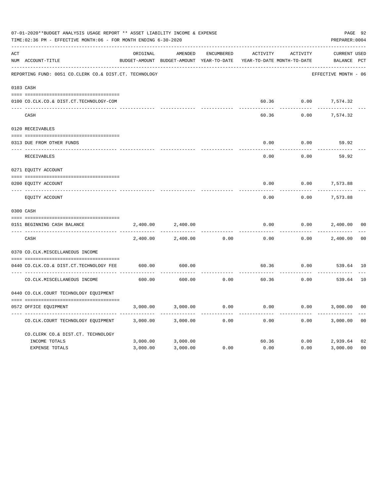|     | 07-01-2020**BUDGET ANALYSIS USAGE REPORT ** ASSET LIABILITY INCOME & EXPENSE<br>TIME:02:36 PM - EFFECTIVE MONTH:06 - FOR MONTH ENDING 6-30-2020 |          |                                                     |                   |                                        |          | PAGE 92<br>PREPARER: 0004          |                |
|-----|-------------------------------------------------------------------------------------------------------------------------------------------------|----------|-----------------------------------------------------|-------------------|----------------------------------------|----------|------------------------------------|----------------|
| ACT | NUM ACCOUNT-TITLE                                                                                                                               | ORIGINAL | AMENDED<br>BUDGET-AMOUNT BUDGET-AMOUNT YEAR-TO-DATE | <b>ENCUMBERED</b> | ACTIVITY<br>YEAR-TO-DATE MONTH-TO-DATE | ACTIVITY | <b>CURRENT USED</b><br>BALANCE PCT |                |
|     | REPORTING FUND: 0051 CO.CLERK CO.& DIST.CT. TECHNOLOGY                                                                                          |          |                                                     |                   |                                        |          | EFFECTIVE MONTH - 06               |                |
|     | 0103 CASH                                                                                                                                       |          |                                                     |                   |                                        |          |                                    |                |
|     | 0100 CO.CLK.CO.& DIST.CT.TECHNOLOGY-COM                                                                                                         |          |                                                     |                   | 60.36                                  | 0.00     | 7,574.32                           |                |
|     | CASH                                                                                                                                            |          |                                                     |                   | 60.36                                  | 0.00     | 7,574.32                           |                |
|     | 0120 RECEIVABLES                                                                                                                                |          |                                                     |                   |                                        |          |                                    |                |
|     | 0313 DUE FROM OTHER FUNDS                                                                                                                       |          |                                                     |                   | 0.00                                   | 0.00     | 59.92                              |                |
|     | RECEIVABLES                                                                                                                                     |          |                                                     |                   | 0.00                                   | 0.00     | 59.92                              |                |
|     | 0271 EQUITY ACCOUNT                                                                                                                             |          |                                                     |                   |                                        |          |                                    |                |
|     | 0200 EQUITY ACCOUNT                                                                                                                             |          |                                                     |                   | 0.00                                   | 0.00     | 7,573.88                           |                |
|     | ---- -----------<br>EQUITY ACCOUNT                                                                                                              |          |                                                     |                   | 0.00                                   | 0.00     | 7,573.88                           |                |
|     | 0300 CASH                                                                                                                                       |          |                                                     |                   |                                        |          |                                    |                |
|     | 0151 BEGINNING CASH BALANCE                                                                                                                     | 2,400.00 | 2,400.00                                            |                   | 0.00                                   | 0.00     | 2,400.00                           | 0 <sub>0</sub> |
|     | CASH                                                                                                                                            | 2,400.00 | 2,400.00                                            | 0.00              | 0.00                                   | 0.00     | 2,400.00                           | 0 <sub>0</sub> |
|     | 0370 CO.CLK.MISCELLANEOUS INCOME                                                                                                                |          |                                                     |                   |                                        |          |                                    |                |
|     | 0440 CO.CLK.CO.& DIST.CT.TECHNOLOGY FEE                                                                                                         | 600.00   | 600.00                                              |                   | 60.36                                  | 0.00     | 539.64 10                          |                |
|     | CO. CLK. MISCELLANEOUS INCOME                                                                                                                   | 600.00   | 600.00                                              | 0.00              | 60.36                                  | 0.00     | 539.64                             | 10             |
|     | 0440 CO.CLK.COURT TECHNOLOGY EQUIPMENT                                                                                                          |          |                                                     |                   |                                        |          |                                    |                |
|     | 0572 OFFICE EOUIPMENT                                                                                                                           | 3,000.00 | 3,000.00                                            | 0.00              | 0.00                                   | 0.00     | 3,000.00                           | 0 <sub>0</sub> |
|     | CO.CLK.COURT TECHNOLOGY EQUIPMENT                                                                                                               | 3,000.00 | 3,000.00                                            | 0.00              | 0.00                                   | 0.00     | 3,000.00                           | 0 <sub>0</sub> |
|     | CO.CLERK CO.& DIST.CT. TECHNOLOGY                                                                                                               |          |                                                     |                   |                                        |          |                                    |                |
|     | INCOME TOTALS                                                                                                                                   | 3,000.00 | 3,000.00                                            |                   | 60.36                                  | 0.00     | 2,939.64                           | 02             |
|     | <b>EXPENSE TOTALS</b>                                                                                                                           | 3,000.00 | 3,000.00                                            | 0.00              | 0.00                                   | 0.00     | 3,000.00                           | 0 <sub>0</sub> |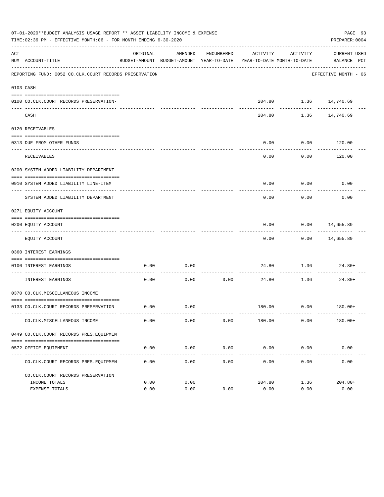|     | 07-01-2020**BUDGET ANALYSIS USAGE REPORT ** ASSET LIABILITY INCOME & EXPENSE<br>TIME:02:36 PM - EFFECTIVE MONTH:06 - FOR MONTH ENDING 6-30-2020 |          |                     |                     |                                                                                 |                                  | PAGE 93<br>PREPARER: 0004   |
|-----|-------------------------------------------------------------------------------------------------------------------------------------------------|----------|---------------------|---------------------|---------------------------------------------------------------------------------|----------------------------------|-----------------------------|
| ACT | NUM ACCOUNT-TITLE                                                                                                                               | ORIGINAL | AMENDED             | ENCUMBERED          | ACTIVITY<br>BUDGET-AMOUNT BUDGET-AMOUNT YEAR-TO-DATE YEAR-TO-DATE MONTH-TO-DATE | ACTIVITY                         | CURRENT USED<br>BALANCE PCT |
|     | REPORTING FUND: 0052 CO.CLK.COURT RECORDS PRESERVATION                                                                                          |          |                     |                     |                                                                                 |                                  | EFFECTIVE MONTH - 06        |
|     | 0103 CASH                                                                                                                                       |          |                     |                     |                                                                                 |                                  |                             |
|     | 0100 CO.CLK.COURT RECORDS PRESERVATION-                                                                                                         |          |                     |                     |                                                                                 | $204.80$ 1.36 14,740.69          |                             |
|     | CASH                                                                                                                                            |          |                     |                     | 204.80                                                                          |                                  | 1.36 14,740.69              |
|     | 0120 RECEIVABLES                                                                                                                                |          |                     |                     |                                                                                 |                                  |                             |
|     |                                                                                                                                                 |          |                     |                     |                                                                                 |                                  |                             |
|     | 0313 DUE FROM OTHER FUNDS                                                                                                                       |          |                     |                     | 0.00                                                                            | 0.00<br>. <u>.</u>               | 120.00<br>. <u>.</u> .      |
|     | RECEIVABLES                                                                                                                                     |          |                     |                     | 0.00                                                                            | 0.00                             | 120.00                      |
|     | 0200 SYSTEM ADDED LIABILITY DEPARTMENT                                                                                                          |          |                     |                     |                                                                                 |                                  |                             |
|     | 0910 SYSTEM ADDED LIABILITY LINE-ITEM                                                                                                           |          |                     |                     | 0.00                                                                            | 0.00                             | 0.00                        |
|     | SYSTEM ADDED LIABILITY DEPARTMENT                                                                                                               |          |                     |                     | 0.00                                                                            | ---------<br>0.00                | 0.00                        |
|     | 0271 EQUITY ACCOUNT                                                                                                                             |          |                     |                     |                                                                                 |                                  |                             |
|     | 0200 EQUITY ACCOUNT                                                                                                                             |          |                     |                     | 0.00                                                                            | $0.00$ 14,655.89                 |                             |
|     | EQUITY ACCOUNT                                                                                                                                  |          |                     |                     | 0.00                                                                            |                                  | $0.00$ 14,655.89            |
|     | 0360 INTEREST EARNINGS                                                                                                                          |          |                     |                     |                                                                                 |                                  |                             |
|     |                                                                                                                                                 |          |                     |                     |                                                                                 |                                  |                             |
|     | 0100 INTEREST EARNINGS<br>------------------- ---                                                                                               | 0.00     | 0.00                | ---------           |                                                                                 | 24.80 1.36 24.80+<br>----------- |                             |
|     | INTEREST EARNINGS                                                                                                                               | 0.00     | 0.00                | 0.00                | 24.80                                                                           | 1.36                             | 24.80+                      |
|     | 0370 CO.CLK.MISCELLANEOUS INCOME                                                                                                                |          |                     |                     |                                                                                 |                                  |                             |
|     | 0133 CO.CLK.COURT RECORDS PRESERVATION                                                                                                          | 0.00     | 0.00                |                     |                                                                                 | $180.00$ $0.00$ $180.00+$        |                             |
|     | CO. CLK. MISCELLANEOUS INCOME                                                                                                                   | 0.00     | 0.00                | 0.00                | 180.00                                                                          | 0.00                             | $180.00+$                   |
|     | 0449 CO.CLK.COURT RECORDS PRES.EQUIPMEN                                                                                                         |          |                     |                     |                                                                                 |                                  |                             |
|     |                                                                                                                                                 |          |                     |                     |                                                                                 |                                  |                             |
|     | 0572 OFFICE EQUIPMENT                                                                                                                           | 0.00     | 0.00<br>----------- | 0.00<br>----------- | 0.00<br>-------------                                                           | 0.00<br>------------             | 0.00<br>-------------       |
|     | CO. CLK. COURT RECORDS PRES. EQUIPMEN                                                                                                           | 0.00     | 0.00                | 0.00                | 0.00                                                                            | 0.00                             | 0.00                        |
|     | CO. CLK. COURT RECORDS PRESERVATION                                                                                                             |          |                     |                     |                                                                                 |                                  |                             |
|     | INCOME TOTALS                                                                                                                                   | 0.00     | 0.00                |                     | 204.80                                                                          | 1.36                             | $204.80+$                   |
|     | <b>EXPENSE TOTALS</b>                                                                                                                           | 0.00     | 0.00                | 0.00                | 0.00                                                                            | 0.00                             | 0.00                        |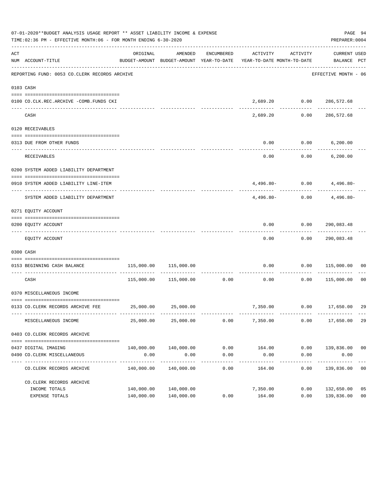|     | 07-01-2020**BUDGET ANALYSIS USAGE REPORT ** ASSET LIABILITY INCOME & EXPENSE<br>TIME:02:36 PM - EFFECTIVE MONTH:06 - FOR MONTH ENDING 6-30-2020 |            |                                  |                      |                                                                                 |                      | PAGE 94<br>PREPARER: 0004          |                |
|-----|-------------------------------------------------------------------------------------------------------------------------------------------------|------------|----------------------------------|----------------------|---------------------------------------------------------------------------------|----------------------|------------------------------------|----------------|
| ACT | NUM ACCOUNT-TITLE                                                                                                                               | ORIGINAL   | AMENDED                          | ENCUMBERED           | ACTIVITY<br>BUDGET-AMOUNT BUDGET-AMOUNT YEAR-TO-DATE YEAR-TO-DATE MONTH-TO-DATE | ACTIVITY             | CURRENT USED<br>BALANCE PCT        |                |
|     | REPORTING FUND: 0053 CO.CLERK RECORDS ARCHIVE                                                                                                   |            |                                  |                      |                                                                                 |                      | EFFECTIVE MONTH - 06               |                |
|     | 0103 CASH                                                                                                                                       |            |                                  |                      |                                                                                 |                      |                                    |                |
|     | 0100 CO.CLK.REC.ARCHIVE -COMB.FUNDS CKI                                                                                                         |            |                                  |                      |                                                                                 |                      | 2,689.20   0.00   286,572.68       |                |
|     | CASH                                                                                                                                            |            |                                  |                      | 2,689.20                                                                        |                      | -------------<br>$0.00$ 286,572.68 |                |
|     | 0120 RECEIVABLES                                                                                                                                |            |                                  |                      |                                                                                 |                      |                                    |                |
|     | 0313 DUE FROM OTHER FUNDS                                                                                                                       |            |                                  |                      | 0.00                                                                            |                      | $0.00$ 6,200.00                    |                |
|     | RECEIVABLES                                                                                                                                     |            |                                  |                      | 0.00                                                                            |                      | $0.00$ 6,200.00                    |                |
|     | 0200 SYSTEM ADDED LIABILITY DEPARTMENT                                                                                                          |            |                                  |                      |                                                                                 |                      |                                    |                |
|     | 0910 SYSTEM ADDED LIABILITY LINE-ITEM                                                                                                           |            |                                  |                      |                                                                                 |                      | $4,496.80 - 0.00$ $4,496.80 -$     |                |
|     | SYSTEM ADDED LIABILITY DEPARTMENT                                                                                                               |            |                                  |                      | $4.496.80-$                                                                     |                      | -------------<br>$0.00$ 4,496.80-  |                |
|     | 0271 EQUITY ACCOUNT                                                                                                                             |            |                                  |                      |                                                                                 |                      |                                    |                |
|     | 0200 EQUITY ACCOUNT                                                                                                                             |            |                                  |                      |                                                                                 |                      | $0.00$ $0.00$ $290,083.48$         |                |
|     | EQUITY ACCOUNT                                                                                                                                  |            |                                  |                      | ---------<br>0.00                                                               |                      | -------------<br>0.00 290,083.48   |                |
|     | 0300 CASH                                                                                                                                       |            |                                  |                      |                                                                                 |                      |                                    |                |
|     | 0153 BEGINNING CASH BALANCE                                                                                                                     |            | 115,000.00 115,000.00            |                      |                                                                                 |                      | $0.00$ $0.00$ $115,000.00$ 00      |                |
|     | CASH                                                                                                                                            |            | 115,000.00    115,000.00    0.00 |                      | 0.00                                                                            | -----------<br>0.00  | 115,000.00 00                      |                |
|     | 0370 MISCELLANEOUS INCOME                                                                                                                       |            |                                  |                      |                                                                                 |                      |                                    |                |
|     | 0133 CO.CLERK RECORDS ARCHIVE FEE 25,000.00 25,000.00                                                                                           |            |                                  |                      |                                                                                 |                      | 7,350.00   0.00   17,650.00        | 29             |
|     | MISCELLANEOUS INCOME                                                                                                                            | 25,000.00  | 25,000.00                        | 0.00                 | 7,350.00                                                                        | 0.00                 | 17,650.00                          | 29             |
|     | 0403 CO.CLERK RECORDS ARCHIVE                                                                                                                   |            |                                  |                      |                                                                                 |                      |                                    |                |
|     |                                                                                                                                                 |            |                                  |                      |                                                                                 |                      |                                    |                |
|     | 0437 DIGITAL IMAGING<br>0490 CO. CLERK MISCELLANEOUS                                                                                            | 0.00       | 140,000.00 140,000.00<br>0.00    | 0.00<br>0.00         | 164.00<br>0.00                                                                  | 0.00                 | $0.00$ 139,836.00 00<br>0.00       |                |
|     | CO. CLERK RECORDS ARCHIVE                                                                                                                       | 140,000.00 | --------------<br>140,000.00     | ------------<br>0.00 | ------------<br>164.00                                                          | ------------<br>0.00 | -----------<br>139,836.00          | 0 <sub>0</sub> |
|     | CO. CLERK RECORDS ARCHIVE                                                                                                                       |            |                                  |                      |                                                                                 |                      |                                    |                |
|     | INCOME TOTALS                                                                                                                                   | 140,000.00 | 140,000.00                       |                      | 7,350.00                                                                        | 0.00                 | 132,650.00                         | 05             |
|     | EXPENSE TOTALS                                                                                                                                  |            | 140,000.00 140,000.00            | 0.00                 | 164.00                                                                          | 0.00                 | 139,836.00                         | 0 <sub>0</sub> |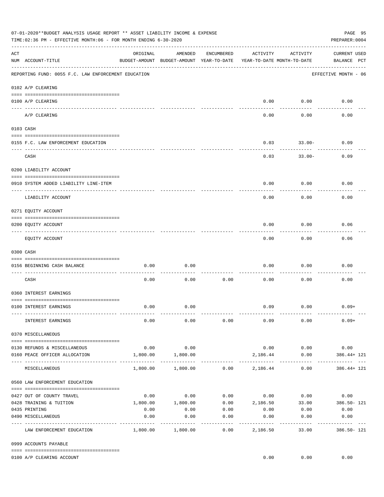|     | 07-01-2020**BUDGET ANALYSIS USAGE REPORT ** ASSET LIABILITY INCOME & EXPENSE<br>TIME:02:36 PM - EFFECTIVE MONTH:06 - FOR MONTH ENDING 6-30-2020 |          |                                                     |                   |                                        |                                    | PAGE 95<br>PREPARER: 0004                                      |
|-----|-------------------------------------------------------------------------------------------------------------------------------------------------|----------|-----------------------------------------------------|-------------------|----------------------------------------|------------------------------------|----------------------------------------------------------------|
| ACT | NUM ACCOUNT-TITLE                                                                                                                               | ORIGINAL | AMENDED<br>BUDGET-AMOUNT BUDGET-AMOUNT YEAR-TO-DATE | ENCUMBERED        | ACTIVITY<br>YEAR-TO-DATE MONTH-TO-DATE | ACTIVITY                           | <b>CURRENT USED</b><br>BALANCE PCT                             |
|     | REPORTING FUND: 0055 F.C. LAW ENFORCEMENT EDUCATION                                                                                             |          |                                                     |                   |                                        |                                    | EFFECTIVE MONTH - 06                                           |
|     | 0102 A/P CLEARING                                                                                                                               |          |                                                     |                   |                                        |                                    |                                                                |
|     | 0100 A/P CLEARING                                                                                                                               |          |                                                     |                   | 0.00                                   | 0.00                               | 0.00                                                           |
|     | A/P CLEARING                                                                                                                                    |          |                                                     |                   | 0.00                                   | 0.00                               | 0.00                                                           |
|     | 0103 CASH                                                                                                                                       |          |                                                     |                   |                                        |                                    |                                                                |
|     | 0155 F.C. LAW ENFORCEMENT EDUCATION                                                                                                             |          |                                                     |                   | 0.03                                   | $33.00 -$                          | 0.09                                                           |
|     | CASH                                                                                                                                            |          |                                                     |                   | 0.03                                   | $33.00 -$                          | 0.09                                                           |
|     | 0200 LIABILITY ACCOUNT                                                                                                                          |          |                                                     |                   |                                        |                                    |                                                                |
|     | 0910 SYSTEM ADDED LIABILITY LINE-ITEM                                                                                                           |          |                                                     |                   | 0.00                                   | 0.00                               | 0.00                                                           |
|     | LIABILITY ACCOUNT                                                                                                                               |          |                                                     |                   | 0.00                                   | 0.00                               | 0.00                                                           |
|     | 0271 EQUITY ACCOUNT                                                                                                                             |          |                                                     |                   |                                        |                                    |                                                                |
|     | 0200 EQUITY ACCOUNT                                                                                                                             |          |                                                     |                   | 0.00                                   | 0.00                               | 0.06                                                           |
|     | EQUITY ACCOUNT                                                                                                                                  |          |                                                     |                   | 0.00                                   | 0.00                               | 0.06                                                           |
|     | 0300 CASH                                                                                                                                       |          |                                                     |                   |                                        |                                    |                                                                |
|     | 0156 BEGINNING CASH BALANCE                                                                                                                     | 0.00     | 0.00                                                |                   | 0.00                                   | 0.00                               | 0.00                                                           |
|     | CASH                                                                                                                                            | 0.00     | 0.00                                                | 0.00              | 0.00                                   | 0.00                               | 0.00                                                           |
|     | 0360 INTEREST EARNINGS                                                                                                                          |          |                                                     |                   |                                        |                                    |                                                                |
|     | 0100 INTEREST EARNINGS                                                                                                                          | 0.00     | 0.00                                                |                   | 0.09                                   | 0.00                               | $0.09+$                                                        |
|     | INTEREST EARNINGS                                                                                                                               | 0.00     | 0.00                                                | 0.00              | 0.09                                   | 0.00                               | $0.09+$                                                        |
|     | 0370 MISCELLANEOUS                                                                                                                              |          |                                                     |                   |                                        |                                    |                                                                |
|     | 0130 REFUNDS & MISCELLANEOUS                                                                                                                    | 0.00     | 0.00                                                |                   |                                        | $0.00$ 0.00                        | 0.00                                                           |
|     | 0160 PEACE OFFICER ALLOCATION                                                                                                                   | 1,800.00 | 1,800.00                                            |                   | 2,186.44                               | 0.00                               | $386.44 + 121$                                                 |
|     | MISCELLANEOUS                                                                                                                                   |          | $1,800.00$ $1,800.00$ $0.00$ $2,186.44$             |                   |                                        | 0.00                               | 386.44+ 121                                                    |
|     | 0560 LAW ENFORCEMENT EDUCATION                                                                                                                  |          |                                                     |                   |                                        |                                    |                                                                |
|     | 0427 OUT OF COUNTY TRAVEL                                                                                                                       |          | $0.00$ 0.00                                         |                   |                                        | $0.00$ $0.00$ $0.00$ $0.00$ $0.00$ |                                                                |
|     | 0428 TRAINING & TUITION                                                                                                                         |          |                                                     |                   |                                        |                                    | $1,800.00$ $1,800.00$ $0.00$ $2,186.50$ $33.00$ $386.50 - 121$ |
|     | 0435 PRINTING                                                                                                                                   | 0.00     | 0.00                                                | 0.00              |                                        | $0.00$ 0.00                        | 0.00                                                           |
|     | 0490 MISCELLANEOUS                                                                                                                              | 0.00     | 0.00                                                | 0.00<br>--------- | 0.00<br>----------                     | 0.00<br>.                          | 0.00<br>--------- -                                            |
|     | LAW ENFORCEMENT EDUCATION                                                                                                                       |          |                                                     | 0.00              |                                        | 2,186.50 33.00                     | 386.50- 121                                                    |
|     | 0999 ACCOUNTS PAYABLE                                                                                                                           |          |                                                     |                   |                                        |                                    |                                                                |
|     | 0100 A/P CLEARING ACCOUNT                                                                                                                       |          |                                                     |                   | 0.00                                   | 0.00                               | 0.00                                                           |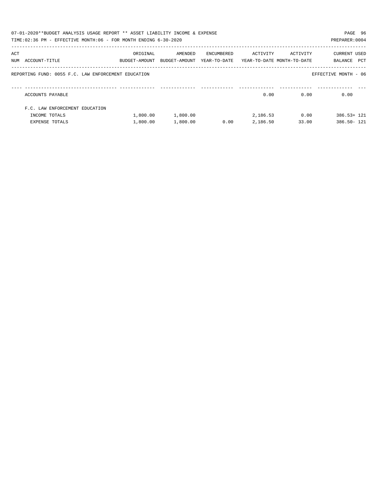|     | 07-01-2020**BUDGET ANALYSIS USAGE REPORT ** ASSET LIABILITY INCOME & EXPENSE<br>TIME:02:36 PM - EFFECTIVE MONTH:06 - FOR MONTH ENDING 6-30-2020 |                           |                          |                            |                                        |          | PAGE 96<br>PREPARER: 0004      |
|-----|-------------------------------------------------------------------------------------------------------------------------------------------------|---------------------------|--------------------------|----------------------------|----------------------------------------|----------|--------------------------------|
| ACT | NUM ACCOUNT-TITLE                                                                                                                               | ORIGINAL<br>BUDGET-AMOUNT | AMENDED<br>BUDGET-AMOUNT | ENCUMBERED<br>YEAR-TO-DATE | ACTIVITY<br>YEAR-TO-DATE MONTH-TO-DATE | ACTIVITY | CURRENT USED<br>PCT<br>BALANCE |
|     | REPORTING FUND: 0055 F.C. LAW ENFORCEMENT EDUCATION                                                                                             |                           |                          |                            |                                        |          | EFFECTIVE MONTH - 06           |
|     | ACCOUNTS PAYABLE                                                                                                                                |                           |                          |                            | 0.00                                   | 0.00     | 0.00                           |
|     | F.C. LAW ENFORCEMENT EDUCATION                                                                                                                  |                           |                          |                            |                                        |          |                                |
|     | INCOME TOTALS                                                                                                                                   | 1,800.00                  | 1,800.00                 |                            | 2,186.53                               | 0.00     | $386.53 + 121$                 |
|     | EXPENSE TOTALS                                                                                                                                  | 1,800.00                  | 1,800.00                 | 0.00                       | 2,186.50                               | 33.00    | 386.50- 121                    |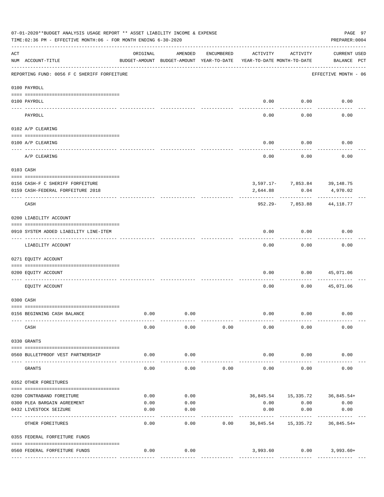|                    | 07-01-2020**BUDGET ANALYSIS USAGE REPORT ** ASSET LIABILITY INCOME & EXPENSE<br>PAGE 97<br>TIME: 02:36 PM - EFFECTIVE MONTH: 06 - FOR MONTH ENDING 6-30-2020<br>PREPARER: 0004 |                                                      |         |            |                                        |                        |                                    |  |  |  |
|--------------------|--------------------------------------------------------------------------------------------------------------------------------------------------------------------------------|------------------------------------------------------|---------|------------|----------------------------------------|------------------------|------------------------------------|--|--|--|
| $\mathop{\rm ACT}$ | NUM ACCOUNT-TITLE                                                                                                                                                              | ORIGINAL<br>BUDGET-AMOUNT BUDGET-AMOUNT YEAR-TO-DATE | AMENDED | ENCUMBERED | ACTIVITY<br>YEAR-TO-DATE MONTH-TO-DATE | ACTIVITY               | <b>CURRENT USED</b><br>BALANCE PCT |  |  |  |
|                    | REPORTING FUND: 0056 F C SHERIFF FORFEITURE                                                                                                                                    |                                                      |         |            |                                        |                        | EFFECTIVE MONTH - 06               |  |  |  |
|                    | 0100 PAYROLL                                                                                                                                                                   |                                                      |         |            |                                        |                        |                                    |  |  |  |
| $\frac{1}{2}$      | 0100 PAYROLL                                                                                                                                                                   |                                                      |         |            |                                        | $0.00$ 0.00            | 0.00                               |  |  |  |
|                    | PAYROLL                                                                                                                                                                        |                                                      |         |            | 0.00                                   | 0.00                   | 0.00                               |  |  |  |
|                    | 0102 A/P CLEARING                                                                                                                                                              |                                                      |         |            |                                        |                        |                                    |  |  |  |
|                    | 0100 A/P CLEARING                                                                                                                                                              |                                                      |         |            | 0.00                                   | 0.00                   | 0.00                               |  |  |  |
|                    | A/P CLEARING                                                                                                                                                                   |                                                      |         |            | 0.00                                   | 0.00                   | 0.00                               |  |  |  |
|                    | 0103 CASH                                                                                                                                                                      |                                                      |         |            |                                        |                        |                                    |  |  |  |
|                    | 0156 CASH-F C SHERIFF FORFEITURE                                                                                                                                               |                                                      |         |            |                                        |                        | 3,597.17- 7,853.84 39,148.75       |  |  |  |
|                    | 0159 CASH-FEDERAL FORFEITURE 2018                                                                                                                                              |                                                      |         |            | 2,644.88                               | 0.04                   | 4,970.02                           |  |  |  |
|                    | CASH                                                                                                                                                                           |                                                      |         |            |                                        | 952.29- 7,853.88       | 44,118.77                          |  |  |  |
|                    | 0200 LIABILITY ACCOUNT                                                                                                                                                         |                                                      |         |            |                                        |                        |                                    |  |  |  |
|                    | 0910 SYSTEM ADDED LIABILITY LINE-ITEM                                                                                                                                          |                                                      |         |            | 0.00                                   | 0.00                   | 0.00                               |  |  |  |
|                    | LIABILITY ACCOUNT                                                                                                                                                              |                                                      |         |            | 0.00                                   | 0.00                   | 0.00                               |  |  |  |
|                    | 0271 EQUITY ACCOUNT                                                                                                                                                            |                                                      |         |            |                                        |                        |                                    |  |  |  |
|                    | 0200 EQUITY ACCOUNT                                                                                                                                                            |                                                      |         |            | 0.00                                   | 0.00                   | 45,071.06                          |  |  |  |
|                    | EQUITY ACCOUNT                                                                                                                                                                 |                                                      |         |            | 0.00                                   | 0.00                   | 45,071.06                          |  |  |  |
|                    | 0300 CASH                                                                                                                                                                      |                                                      |         |            |                                        |                        |                                    |  |  |  |
|                    | 0156 BEGINNING CASH BALANCE                                                                                                                                                    | 0.00                                                 | 0.00    |            | 0.00                                   | 0.00                   | 0.00                               |  |  |  |
|                    | CASH                                                                                                                                                                           | 0.00                                                 | 0.00    | 0.00       | 0.00                                   | 0.00                   | 0.00                               |  |  |  |
|                    | 0330 GRANTS                                                                                                                                                                    |                                                      |         |            |                                        |                        |                                    |  |  |  |
|                    | 0560 BULLETPROOF VEST PARTNERSHIP                                                                                                                                              | 0.00                                                 | 0.00    |            | 0.00                                   | 0.00                   | 0.00                               |  |  |  |
|                    | GRANTS                                                                                                                                                                         | 0.00                                                 | 0.00    | 0.00       | 0.00                                   | 0.00                   | 0.00                               |  |  |  |
|                    | 0352 OTHER FOREITURES                                                                                                                                                          |                                                      |         |            |                                        |                        |                                    |  |  |  |
|                    | 0200 CONTRABAND FOREITURE                                                                                                                                                      | 0.00                                                 | 0.00    |            |                                        |                        | 36,845.54 15,335.72 36,845.54+     |  |  |  |
|                    | 0300 PLEA BARGAIN AGREEMENT                                                                                                                                                    | 0.00                                                 | 0.00    |            | 0.00                                   | 0.00                   | 0.00                               |  |  |  |
|                    | 0432 LIVESTOCK SEIZURE                                                                                                                                                         | 0.00                                                 | 0.00    |            | 0.00                                   | 0.00                   | 0.00                               |  |  |  |
|                    | OTHER FOREITURES                                                                                                                                                               | 0.00                                                 | 0.00    | 0.00       | ---------<br>36,845.54                 | ---------<br>15,335.72 | 36,845.54+                         |  |  |  |
|                    | 0355 FEDERAL FORFEITURE FUNDS                                                                                                                                                  |                                                      |         |            |                                        |                        |                                    |  |  |  |
|                    | 0560 FEDERAL FORFEITURE FUNDS                                                                                                                                                  | 0.00                                                 | 0.00    |            |                                        |                        | 3,993.60   0.00   3,993.60+        |  |  |  |
|                    |                                                                                                                                                                                |                                                      |         |            |                                        |                        |                                    |  |  |  |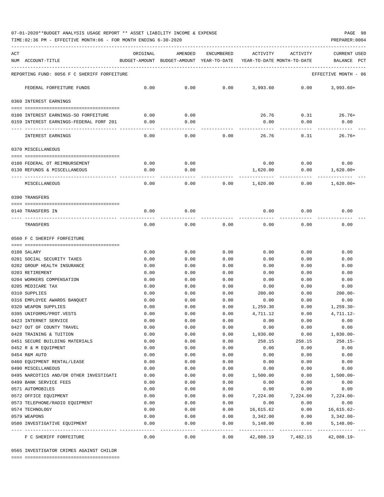TIME:02:36 PM - EFFECTIVE MONTH:06 - FOR MONTH ENDING 6-30-2020 PREPARER:0004

| ACT |                                                 | ORIGINAL     | AMENDED                                  | <b>ENCUMBERED</b> | ACTIVITY                   | ACTIVITY     | <b>CURRENT USED</b>  |
|-----|-------------------------------------------------|--------------|------------------------------------------|-------------------|----------------------------|--------------|----------------------|
|     | NUM ACCOUNT-TITLE                               |              | BUDGET-AMOUNT BUDGET-AMOUNT YEAR-TO-DATE |                   | YEAR-TO-DATE MONTH-TO-DATE |              | BALANCE<br>PCT       |
|     | REPORTING FUND: 0056 F C SHERIFF FORFEITURE     |              |                                          |                   |                            |              | EFFECTIVE MONTH - 06 |
|     | FEDERAL FORFEITURE FUNDS                        | 0.00         | 0.00                                     | 0.00              | 3,993.60                   | 0.00         | $3.993.60+$          |
|     |                                                 |              |                                          |                   |                            |              |                      |
|     | 0360 INTEREST EARNINGS                          |              |                                          |                   |                            |              |                      |
|     | 0100 INTEREST EARNINGS-SO FORFEITURE            | 0.00         | 0.00                                     |                   | 26.76                      | 0.31         | $26.76+$             |
|     | 0159 INTEREST EARNINGS-FEDERAL FORF 201         | 0.00         | 0.00                                     |                   | 0.00                       | 0.00         | 0.00                 |
|     | INTEREST EARNINGS                               | 0.00         | 0.00                                     | 0.00              | 26.76                      | 0.31         | $26.76+$             |
|     |                                                 |              |                                          |                   |                            |              |                      |
|     | 0370 MISCELLANEOUS                              |              |                                          |                   |                            |              |                      |
|     | 0108 FEDERAL OT REIMBURSEMENT                   | 0.00         | 0.00                                     |                   | 0.00                       | 0.00         | 0.00                 |
|     | 0130 REFUNDS & MISCELLANEOUS                    | 0.00         | 0.00                                     |                   | 1,620.00                   | 0.00         | $1,620.00+$          |
|     | MISCELLANEOUS                                   | 0.00         | 0.00                                     | 0.00              | 1,620.00                   | 0.00         | $1,620.00+$          |
|     | 0390 TRANSFERS                                  |              |                                          |                   |                            |              |                      |
|     |                                                 |              |                                          |                   |                            |              |                      |
|     | 0140 TRANSFERS IN                               | 0.00         | 0.00                                     |                   | 0.00                       | 0.00         | 0.00                 |
|     | TRANSFERS                                       | 0.00         | 0.00                                     | 0.00              | 0.00                       | 0.00         | 0.00                 |
|     | 0560 F C SHERIFF FORFEITURE                     |              |                                          |                   |                            |              |                      |
|     |                                                 |              |                                          |                   |                            |              |                      |
|     | 0108 SALARY                                     | 0.00         | 0.00                                     | 0.00              | 0.00                       | 0.00         | 0.00                 |
|     | 0201 SOCIAL SECURITY TAXES                      | 0.00         | 0.00                                     | 0.00              | 0.00                       | 0.00         | 0.00                 |
|     | 0202 GROUP HEALTH INSURANCE<br>0203 RETIREMENT  | 0.00         | 0.00<br>0.00                             | 0.00<br>0.00      | 0.00                       | 0.00<br>0.00 | 0.00                 |
|     | 0204 WORKERS COMPENSATION                       | 0.00<br>0.00 | 0.00                                     | 0.00              | 0.00<br>0.00               | 0.00         | 0.00<br>0.00         |
|     | 0205 MEDICARE TAX                               | 0.00         | 0.00                                     | 0.00              | 0.00                       | 0.00         | 0.00                 |
|     | 0310 SUPPLIES                                   | 0.00         | 0.00                                     | 0.00              | 200.00                     | 0.00         | $200.00 -$           |
|     | 0316 EMPLOYEE AWARDS BANQUET                    | 0.00         | 0.00                                     | 0.00              | 0.00                       | 0.00         | 0.00                 |
|     | 0320 WEAPON SUPPLIES                            | 0.00         | 0.00                                     | 0.00              | 1,259.30                   | 0.00         | $1,259.30-$          |
|     | 0395 UNIFORMS/PROT.VESTS                        | 0.00         | 0.00                                     | 0.00              | 4,711.12                   | 0.00         | 4,711.12-            |
|     | 0423 INTERNET SERVICE                           | 0.00         | 0.00                                     | 0.00              | 0.00                       | 0.00         | 0.00                 |
|     | 0427 OUT OF COUNTY TRAVEL                       | 0.00         | 0.00                                     | 0.00              | 0.00                       | 0.00         | 0.00                 |
|     | 0428 TRAINING & TUITION                         | 0.00         | 0.00                                     | 0.00              | 1,830.00                   | 0.00         | $1,830.00 -$         |
|     | 0451 SECURE BUILDING MATERIALS                  | 0.00         | 0.00                                     | 0.00              | 258.15                     | 258.15       | $258.15-$            |
|     | 0452 R & M EQUIPMENT                            | 0.00         | 0.00                                     | 0.00              | 0.00                       | 0.00         | 0.00                 |
|     | 0454 R&M AUTO                                   | 0.00         | 0.00                                     | 0.00              | 0.00                       | 0.00         | 0.00                 |
|     | 0460 EQUIPMENT RENTAL/LEASE                     | 0.00         | 0.00                                     | 0.00              | 0.00                       | 0.00         | 0.00                 |
|     | 0490 MISCELLANEOUS                              | 0.00         | 0.00                                     | 0.00              | 0.00                       | 0.00         | 0.00                 |
|     | 0495 NARCOTICS AND/OR OTHER INVESTIGATI         | 0.00         | 0.00                                     | 0.00              | 1,500.00                   | 0.00         | $1,500.00-$          |
|     | 0499 BANK SERVICE FEES                          | 0.00         | 0.00                                     | 0.00              | 0.00                       | 0.00         | 0.00                 |
|     | 0571 AUTOMOBILES                                | 0.00         | 0.00                                     | 0.00              | 0.00                       | 0.00         | 0.00                 |
|     | 0572 OFFICE EQUIPMENT                           | 0.00         | 0.00                                     | 0.00              | 7,224.00                   | 7,224.00     | $7,224.00-$          |
|     | 0573 TELEPHONE/RADIO EQUIPMENT                  | 0.00         | 0.00                                     | 0.00              | 0.00                       | 0.00         | 0.00                 |
|     | 0574 TECHNOLOGY                                 | 0.00         | 0.00                                     | 0.00              | 16,615.62                  | 0.00         | $16,615.62-$         |
|     | 0579 WEAPONS                                    | 0.00         | 0.00                                     | 0.00              | 3,342.00                   | 0.00         | 3,342.00-            |
|     | 0580 INVESTIGATIVE EQUIPMENT<br>--------------- | 0.00         | 0.00<br>$- - - - -$                      | 0.00<br>-----     | 5,148.00<br>----------     | 0.00         | $5,148.00-$          |
|     | F C SHERIFF FORFEITURE                          | 0.00         | 0.00                                     | 0.00              | 42,088.19                  | 7,482.15     | 42,088.19-           |

0565 INVESTIGATOR CRIMES AGAINST CHILDR

==== ===================================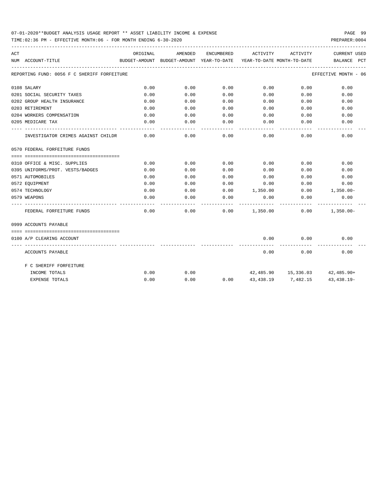TIME:02:36 PM - EFFECTIVE MONTH:06 - FOR MONTH ENDING 6-30-2020

| ACT | NUM ACCOUNT-TITLE                           | ORIGINAL | AMENDED<br>BUDGET-AMOUNT BUDGET-AMOUNT YEAR-TO-DATE | ENCUMBERED | ACTIVITY            | ACTIVITY<br>YEAR-TO-DATE MONTH-TO-DATE | <b>CURRENT USED</b><br>BALANCE PCT |  |
|-----|---------------------------------------------|----------|-----------------------------------------------------|------------|---------------------|----------------------------------------|------------------------------------|--|
|     |                                             |          |                                                     |            |                     |                                        |                                    |  |
|     | REPORTING FUND: 0056 F C SHERIFF FORFEITURE |          |                                                     |            |                     |                                        | EFFECTIVE MONTH - 06               |  |
|     | 0108 SALARY                                 | 0.00     | 0.00                                                | 0.00       | 0.00                | 0.00                                   | 0.00                               |  |
|     | 0201 SOCIAL SECURITY TAXES                  | 0.00     | 0.00                                                | 0.00       | 0.00                | 0.00                                   | 0.00                               |  |
|     | 0202 GROUP HEALTH INSURANCE                 | 0.00     | 0.00                                                | 0.00       | 0.00                | 0.00                                   | 0.00                               |  |
|     | 0203 RETIREMENT                             | 0.00     | 0.00                                                | 0.00       | 0.00                | 0.00                                   | 0.00                               |  |
|     | 0204 WORKERS COMPENSATION                   | 0.00     | 0.00                                                | 0.00       | 0.00                | 0.00                                   | 0.00                               |  |
|     | 0205 MEDICARE TAX                           | 0.00     | 0.00                                                | 0.00       | 0.00                | 0.00                                   | 0.00                               |  |
|     | INVESTIGATOR CRIMES AGAINST CHILDR          | 0.00     | 0.00                                                | 0.00       | 0.00                | 0.00                                   | 0.00                               |  |
|     | 0570 FEDERAL FORFEITURE FUNDS               |          |                                                     |            |                     |                                        |                                    |  |
|     | 0310 OFFICE & MISC. SUPPLIES                | 0.00     | 0.00                                                | 0.00       | 0.00                | 0.00                                   | 0.00                               |  |
|     | 0395 UNIFORMS/PROT. VESTS/BADGES            | 0.00     | 0.00                                                | 0.00       | 0.00                | 0.00                                   | 0.00                               |  |
|     | 0571 AUTOMOBILES                            | 0.00     | 0.00                                                | 0.00       | 0.00                | 0.00                                   | 0.00                               |  |
|     | 0572 EQUIPMENT                              | 0.00     | 0.00                                                | 0.00       | 0.00                | 0.00                                   | 0.00                               |  |
|     | 0574 TECHNOLOGY                             | 0.00     | 0.00                                                | 0.00       | 1,350.00            |                                        | $0.00$ 1,350.00-                   |  |
|     | 0579 WEAPONS                                | 0.00     | 0.00                                                | 0.00       | 0.00                | 0.00                                   | 0.00                               |  |
|     | FEDERAL FORFEITURE FUNDS                    | 0.00     | 0.00                                                |            | $0.00$ 1,350.00     | 0.00                                   | $1,350.00 -$                       |  |
|     | 0999 ACCOUNTS PAYABLE                       |          |                                                     |            |                     |                                        |                                    |  |
|     | 0100 A/P CLEARING ACCOUNT                   |          |                                                     |            | 0.00                | 0.00                                   | 0.00                               |  |
|     | ACCOUNTS PAYABLE                            |          |                                                     |            | $- - - - -$<br>0.00 | ---------<br>0.00                      | 0.00                               |  |
|     | F C SHERIFF FORFEITURE                      |          |                                                     |            |                     |                                        |                                    |  |
|     | INCOME TOTALS                               | 0.00     | 0.00                                                |            |                     | 42,485.90 15,336.03 42,485.90+         |                                    |  |
|     | <b>EXPENSE TOTALS</b>                       | 0.00     | 0.00                                                | 0.00       | 43,438.19           | 7,482.15                               | $43,438,19-$                       |  |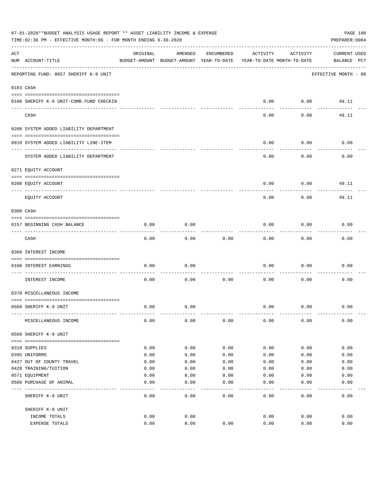|     | 07-01-2020**BUDGET ANALYSIS USAGE REPORT ** ASSET LIABILITY INCOME & EXPENSE<br>PAGE 100<br>TIME:02:36 PM - EFFECTIVE MONTH:06 - FOR MONTH ENDING 6-30-2020<br>PREPARER: 0004 |          |                                                     |            |                                        |          |                                    |  |  |  |
|-----|-------------------------------------------------------------------------------------------------------------------------------------------------------------------------------|----------|-----------------------------------------------------|------------|----------------------------------------|----------|------------------------------------|--|--|--|
| ACT | NUM ACCOUNT-TITLE                                                                                                                                                             | ORIGINAL | AMENDED<br>BUDGET-AMOUNT BUDGET-AMOUNT YEAR-TO-DATE | ENCUMBERED | ACTIVITY<br>YEAR-TO-DATE MONTH-TO-DATE | ACTIVITY | <b>CURRENT USED</b><br>BALANCE PCT |  |  |  |
|     | REPORTING FUND: 0057 SHERIFF K-9 UNIT                                                                                                                                         |          |                                                     |            |                                        |          | EFFECTIVE MONTH - 06               |  |  |  |
|     | 0103 CASH                                                                                                                                                                     |          |                                                     |            |                                        |          |                                    |  |  |  |
|     | 0100 SHERIFF K-9 UNIT-COMB.FUND CHECKIN                                                                                                                                       |          |                                                     |            | 0.00                                   | 0.00     | 49.11                              |  |  |  |
|     | CASH                                                                                                                                                                          |          |                                                     |            | 0.00                                   | 0.00     | 49.11                              |  |  |  |
|     | 0200 SYSTEM ADDED LIABILITY DEPARTMENT                                                                                                                                        |          |                                                     |            |                                        |          |                                    |  |  |  |
|     | 0910 SYSTEM ADDED LIABILITY LINE-ITEM                                                                                                                                         |          |                                                     |            | 0.00                                   | 0.00     | 0.00                               |  |  |  |
|     | SYSTEM ADDED LIABILITY DEPARTMENT                                                                                                                                             |          |                                                     |            | 0.00                                   | 0.00     | 0.00                               |  |  |  |
|     | 0271 EQUITY ACCOUNT                                                                                                                                                           |          |                                                     |            |                                        |          |                                    |  |  |  |
|     | 0200 EQUITY ACCOUNT                                                                                                                                                           |          |                                                     |            | 0.00                                   | 0.00     | 49.11                              |  |  |  |
|     | EQUITY ACCOUNT                                                                                                                                                                |          |                                                     |            | 0.00                                   | 0.00     | 49.11                              |  |  |  |
|     | 0300 CASH                                                                                                                                                                     |          |                                                     |            |                                        |          |                                    |  |  |  |
|     | 0157 BEGINNING CASH BALANCE                                                                                                                                                   | 0.00     | 0.00                                                |            | 0.00                                   | 0.00     | 0.00                               |  |  |  |
|     | CASH                                                                                                                                                                          | 0.00     | 0.00                                                | 0.00       | 0.00                                   | 0.00     | 0.00                               |  |  |  |
|     | 0360 INTEREST INCOME                                                                                                                                                          |          |                                                     |            |                                        |          |                                    |  |  |  |
|     | 0100 INTEREST EARNINGS                                                                                                                                                        | 0.00     | 0.00                                                |            | 0.00                                   | 0.00     | 0.00                               |  |  |  |
|     | INTEREST INCOME                                                                                                                                                               | 0.00     | 0.00                                                | 0.00       | 0.00                                   | 0.00     | 0.00                               |  |  |  |
|     | 0370 MISCELLANEOUS INCOME                                                                                                                                                     |          |                                                     |            |                                        |          |                                    |  |  |  |
|     | 0560 SHERIFF K-9 UNIT                                                                                                                                                         | 0.00     | 0.00                                                |            | 0.00                                   | 0.00     | 0.00                               |  |  |  |
|     | MISCELLANEOUS INCOME                                                                                                                                                          | 0.00     | 0.00                                                | 0.00       | 0.00                                   | 0.00     | 0.00                               |  |  |  |
|     | 0560 SHERIFF K-9 UNIT                                                                                                                                                         |          |                                                     |            |                                        |          |                                    |  |  |  |
|     | 0310 SUPPLIES                                                                                                                                                                 | 0.00     | 0.00                                                | 0.00       | 0.00                                   | 0.00     | 0.00                               |  |  |  |
|     | 0395 UNIFORMS                                                                                                                                                                 | 0.00     | 0.00                                                | 0.00       | 0.00                                   | 0.00     | 0.00                               |  |  |  |
|     | 0427 OUT OF COUNTY TRAVEL                                                                                                                                                     | 0.00     | 0.00                                                | 0.00       | 0.00                                   | 0.00     | 0.00                               |  |  |  |
|     | 0428 TRAINING/TUITION                                                                                                                                                         | 0.00     | 0.00                                                | 0.00       | 0.00                                   | 0.00     | 0.00                               |  |  |  |
|     | 0571 EQUIPMENT                                                                                                                                                                | 0.00     | 0.00                                                | 0.00       | 0.00                                   | 0.00     | 0.00                               |  |  |  |
|     | 0580 PURCHASE OF ANIMAL                                                                                                                                                       | 0.00     | 0.00                                                | 0.00       | 0.00                                   | 0.00     | 0.00                               |  |  |  |
|     | SHERIFF K-9 UNIT                                                                                                                                                              | 0.00     | 0.00                                                | 0.00       | 0.00                                   | 0.00     | 0.00                               |  |  |  |
|     | SHERIFF K-9 UNIT                                                                                                                                                              |          |                                                     |            |                                        |          |                                    |  |  |  |
|     | INCOME TOTALS                                                                                                                                                                 | 0.00     | 0.00                                                |            | 0.00                                   | 0.00     | 0.00                               |  |  |  |
|     | EXPENSE TOTALS                                                                                                                                                                | 0.00     | 0.00                                                | 0.00       | 0.00                                   | 0.00     | 0.00                               |  |  |  |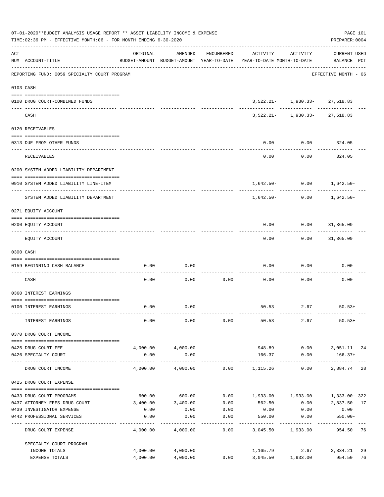|     | 07-01-2020**BUDGET ANALYSIS USAGE REPORT ** ASSET LIABILITY INCOME & EXPENSE<br>TIME: 02:36 PM - EFFECTIVE MONTH: 06 - FOR MONTH ENDING 6-30-2020 |          |                        |                   |                                                                                 |                                   | PAGE 101<br>PREPARER: 0004         |    |
|-----|---------------------------------------------------------------------------------------------------------------------------------------------------|----------|------------------------|-------------------|---------------------------------------------------------------------------------|-----------------------------------|------------------------------------|----|
| ACT | NUM ACCOUNT-TITLE                                                                                                                                 | ORIGINAL | AMENDED                | ENCUMBERED        | ACTIVITY<br>BUDGET-AMOUNT BUDGET-AMOUNT YEAR-TO-DATE YEAR-TO-DATE MONTH-TO-DATE | ACTIVITY                          | <b>CURRENT USED</b><br>BALANCE PCT |    |
|     | REPORTING FUND: 0059 SPECIALTY COURT PROGRAM                                                                                                      |          |                        |                   |                                                                                 |                                   | EFFECTIVE MONTH - 06               |    |
|     | 0103 CASH                                                                                                                                         |          |                        |                   |                                                                                 |                                   |                                    |    |
|     | 0100 DRUG COURT-COMBINED FUNDS                                                                                                                    |          |                        |                   |                                                                                 | $3,522.21 - 1,930.33 - 27,518.83$ |                                    |    |
|     | CASH                                                                                                                                              |          |                        |                   |                                                                                 | $3,522.21 - 1,930.33 - 27,518.83$ |                                    |    |
|     | 0120 RECEIVABLES                                                                                                                                  |          |                        |                   |                                                                                 |                                   |                                    |    |
|     | 0313 DUE FROM OTHER FUNDS                                                                                                                         |          |                        |                   | 0.00                                                                            | $0.00$ 324.05                     |                                    |    |
|     | <b>RECEIVABLES</b>                                                                                                                                |          |                        |                   | 0.00                                                                            | 0.00                              | -----------<br>324.05              |    |
|     | 0200 SYSTEM ADDED LIABILITY DEPARTMENT                                                                                                            |          |                        |                   |                                                                                 |                                   |                                    |    |
|     | 0910 SYSTEM ADDED LIABILITY LINE-ITEM                                                                                                             |          |                        |                   |                                                                                 | $1,642.50 - 0.00$ $1,642.50 -$    |                                    |    |
|     | SYSTEM ADDED LIABILITY DEPARTMENT                                                                                                                 |          |                        |                   | $1.642.50-$                                                                     | 0.00                              | -------------<br>1,642.50-         |    |
|     | 0271 EQUITY ACCOUNT                                                                                                                               |          |                        |                   |                                                                                 |                                   |                                    |    |
|     | 0200 EQUITY ACCOUNT                                                                                                                               |          |                        |                   | 0.00<br>--------                                                                | $0.00$ $31,365.09$                |                                    |    |
|     | EQUITY ACCOUNT                                                                                                                                    |          |                        |                   | 0.00                                                                            |                                   | $0.00$ 31,365.09                   |    |
|     | 0300 CASH                                                                                                                                         |          |                        |                   |                                                                                 |                                   |                                    |    |
|     | 0159 BEGINNING CASH BALANCE                                                                                                                       | 0.00     | 0.00                   |                   | 0.00                                                                            | 0.00                              | 0.00                               |    |
|     | CASH                                                                                                                                              | 0.00     | 0.00                   | ---------<br>0.00 | 0.00                                                                            | 0.00                              | 0.00                               |    |
|     | 0360 INTEREST EARNINGS                                                                                                                            |          |                        |                   |                                                                                 |                                   |                                    |    |
|     | 0100 INTEREST EARNINGS                                                                                                                            | 0.00     | 0.00                   |                   |                                                                                 | $50.53$ $2.67$ $50.53+$           |                                    |    |
|     | INTEREST EARNINGS                                                                                                                                 | 0.00     | 0.00                   | 0.00              |                                                                                 | 50.53 2.67                        | $50.53+$                           |    |
|     | 0370 DRUG COURT INCOME                                                                                                                            |          |                        |                   |                                                                                 |                                   |                                    |    |
|     |                                                                                                                                                   |          | 4,000.00 4,000.00      |                   |                                                                                 |                                   | 948.89   0.00   3,051.11   24      |    |
|     | 0425 DRUG COURT FEE<br>0426 SPECIALTY COURT                                                                                                       | 0.00     | 0.00<br>-------------- |                   | 166.37                                                                          | 0.00                              | $166.37+$                          |    |
|     | ---- --------------<br>DRUG COURT INCOME                                                                                                          |          |                        |                   | $4,000.00$ $4,000.00$ $0.00$ $1,115.26$                                         | 0.00                              | 2,884.74                           | 28 |
|     | 0425 DRUG COURT EXPENSE                                                                                                                           |          |                        |                   |                                                                                 |                                   |                                    |    |
|     | 0433 DRUG COURT PROGRAMS                                                                                                                          |          | 600.00 600.00          |                   | $0.00$ 1,933.00 1,933.00 1,333.00 322                                           |                                   |                                    |    |
|     | 0437 ATTORNEY FEES DRUG COURT                                                                                                                     |          | 3,400.00 3,400.00      | 0.00              | 562.50                                                                          |                                   | $0.00$ 2,837.50 17                 |    |
|     | 0439 INVESTIGATOR EXPENSE                                                                                                                         | 0.00     | 0.00                   | 0.00              | 0.00                                                                            | 0.00                              | 0.00                               |    |
|     | 0442 PROFESSIONAL SERVICES                                                                                                                        | 0.00     | 0.00                   | 0.00<br>--------  | 550.00<br>----------                                                            | 0.00<br>----------                | $550.00 -$<br>----------           |    |
|     | DRUG COURT EXPENSE                                                                                                                                | 4,000.00 | 4,000.00               | 0.00              | 3,045.50 1,933.00                                                               |                                   | 954.50 76                          |    |
|     | SPECIALTY COURT PROGRAM                                                                                                                           |          |                        |                   |                                                                                 |                                   |                                    |    |
|     | INCOME TOTALS                                                                                                                                     | 4,000.00 | 4,000.00               |                   |                                                                                 |                                   | 1, 165.79 2.67 2, 834.21           | 29 |
|     | EXPENSE TOTALS                                                                                                                                    | 4,000.00 | 4,000.00               | 0.00              |                                                                                 | 3,045.50 1,933.00                 | 954.50                             | 76 |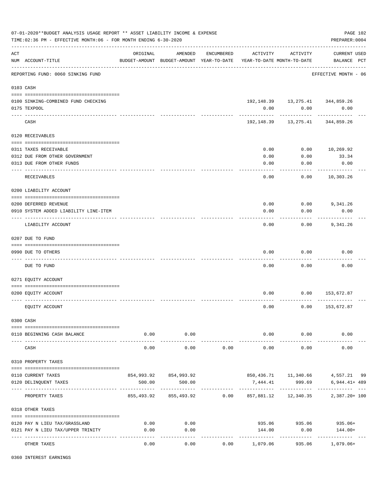| ORIGINAL<br>AMENDED<br>ENCUMBERED<br>ACTIVITY<br>ACTIVITY<br><b>CURRENT USED</b><br>BALANCE PCT<br>NUM ACCOUNT-TITLE<br>BUDGET-AMOUNT BUDGET-AMOUNT YEAR-TO-DATE YEAR-TO-DATE MONTH-TO-DATE<br>--------------------------------------<br>REPORTING FUND: 0060 SINKING FUND<br>EFFECTIVE MONTH - 06<br>0103 CASH<br>192, 148.39   13, 275.41   344, 859.26<br>0100 SINKING-COMBINED FUND CHECKING<br>0.00<br>0.00<br>0.00<br>0175 TEXPOOL<br>192, 148.39   13, 275.41   344, 859.26<br>CASH<br>0120 RECEIVABLES<br>0.00<br>$0.00$ 10,269.92<br>0311 TAXES RECEIVABLE<br>0312 DUE FROM OTHER GOVERNMENT<br>0.00<br>0.00<br>33.34<br>0313 DUE FROM OTHER FUNDS<br>0.00<br>0.00<br>0.00<br>0.00<br>0.00<br>10,303.26<br>RECEIVABLES<br>0200 LIABILITY ACCOUNT<br>0200 DEFERRED REVENUE<br>0.00<br>$0.00$ 9,341.26<br>0.00<br>0.00<br>0.00<br>0910 SYSTEM ADDED LIABILITY LINE-ITEM<br>0.00<br>0.00<br>9,341.26<br>LIABILITY ACCOUNT<br>0207 DUE TO FUND<br>0.00<br>0.00<br>0.00<br>0990 DUE TO OTHERS<br>0.00<br>DUE TO FUND<br>0.00<br>0.00<br>0271 EQUITY ACCOUNT<br>0.00<br>0.00<br>0200 EQUITY ACCOUNT<br>153,672.87<br>EQUITY ACCOUNT<br>0.00<br>0.00<br>153,672.87<br>0300 CASH<br>0.00<br>0.00<br>$0.00$ 0.00<br>0.00<br>0110 BEGINNING CASH BALANCE<br>--------<br>----------<br>-----------<br>----------<br>CASH<br>0.00<br>0.00<br>0.00<br>0.00<br>0.00<br>0.00<br>0310 PROPERTY TAXES<br>854,993.92 854,993.92<br>850,436.71 11,340.66<br>4,557.21 99<br>0110 CURRENT TAXES<br>0120 DELINQUENT TAXES<br>500.00<br>500.00<br>7,444.41<br>999.69<br>$6,944.41+489$<br>-----------<br>PROPERTY TAXES<br>855,493.92 855,493.92 0.00 857,881.12 12,340.35<br>2,387.20+ 100<br>0318 OTHER TAXES<br>935.06 935.06 935.06+<br>0120 PAY N LIEU TAX/GRASSLAND<br>0.00<br>0.00<br>0121 PAY N LIEU TAX/UPPER TRINITY<br>0.00<br>0.00<br>144.00<br>0.00<br>144.00+<br>----------<br>. <u>.</u> .<br>------------<br>0.00<br>0.00<br>0.00<br>935.06<br>1,079.06+<br>OTHER TAXES<br>1,079.06 |     | 07-01-2020**BUDGET ANALYSIS USAGE REPORT ** ASSET LIABILITY INCOME & EXPENSE<br>PAGE 102<br>TIME:02:36 PM - EFFECTIVE MONTH:06 - FOR MONTH ENDING 6-30-2020<br>PREPARER: 0004 |  |  |  |  |  |  |  |  |  |
|---------------------------------------------------------------------------------------------------------------------------------------------------------------------------------------------------------------------------------------------------------------------------------------------------------------------------------------------------------------------------------------------------------------------------------------------------------------------------------------------------------------------------------------------------------------------------------------------------------------------------------------------------------------------------------------------------------------------------------------------------------------------------------------------------------------------------------------------------------------------------------------------------------------------------------------------------------------------------------------------------------------------------------------------------------------------------------------------------------------------------------------------------------------------------------------------------------------------------------------------------------------------------------------------------------------------------------------------------------------------------------------------------------------------------------------------------------------------------------------------------------------------------------------------------------------------------------------------------------------------------------------------------------------------------------------------------------------------------------------------------------------------------------------------------------------------------------------------------------------------------------------------------------------------------------------------------------------------------------------|-----|-------------------------------------------------------------------------------------------------------------------------------------------------------------------------------|--|--|--|--|--|--|--|--|--|
|                                                                                                                                                                                                                                                                                                                                                                                                                                                                                                                                                                                                                                                                                                                                                                                                                                                                                                                                                                                                                                                                                                                                                                                                                                                                                                                                                                                                                                                                                                                                                                                                                                                                                                                                                                                                                                                                                                                                                                                       | ACT |                                                                                                                                                                               |  |  |  |  |  |  |  |  |  |
|                                                                                                                                                                                                                                                                                                                                                                                                                                                                                                                                                                                                                                                                                                                                                                                                                                                                                                                                                                                                                                                                                                                                                                                                                                                                                                                                                                                                                                                                                                                                                                                                                                                                                                                                                                                                                                                                                                                                                                                       |     |                                                                                                                                                                               |  |  |  |  |  |  |  |  |  |
|                                                                                                                                                                                                                                                                                                                                                                                                                                                                                                                                                                                                                                                                                                                                                                                                                                                                                                                                                                                                                                                                                                                                                                                                                                                                                                                                                                                                                                                                                                                                                                                                                                                                                                                                                                                                                                                                                                                                                                                       |     |                                                                                                                                                                               |  |  |  |  |  |  |  |  |  |
|                                                                                                                                                                                                                                                                                                                                                                                                                                                                                                                                                                                                                                                                                                                                                                                                                                                                                                                                                                                                                                                                                                                                                                                                                                                                                                                                                                                                                                                                                                                                                                                                                                                                                                                                                                                                                                                                                                                                                                                       |     |                                                                                                                                                                               |  |  |  |  |  |  |  |  |  |
|                                                                                                                                                                                                                                                                                                                                                                                                                                                                                                                                                                                                                                                                                                                                                                                                                                                                                                                                                                                                                                                                                                                                                                                                                                                                                                                                                                                                                                                                                                                                                                                                                                                                                                                                                                                                                                                                                                                                                                                       |     |                                                                                                                                                                               |  |  |  |  |  |  |  |  |  |
|                                                                                                                                                                                                                                                                                                                                                                                                                                                                                                                                                                                                                                                                                                                                                                                                                                                                                                                                                                                                                                                                                                                                                                                                                                                                                                                                                                                                                                                                                                                                                                                                                                                                                                                                                                                                                                                                                                                                                                                       |     |                                                                                                                                                                               |  |  |  |  |  |  |  |  |  |
|                                                                                                                                                                                                                                                                                                                                                                                                                                                                                                                                                                                                                                                                                                                                                                                                                                                                                                                                                                                                                                                                                                                                                                                                                                                                                                                                                                                                                                                                                                                                                                                                                                                                                                                                                                                                                                                                                                                                                                                       |     |                                                                                                                                                                               |  |  |  |  |  |  |  |  |  |
|                                                                                                                                                                                                                                                                                                                                                                                                                                                                                                                                                                                                                                                                                                                                                                                                                                                                                                                                                                                                                                                                                                                                                                                                                                                                                                                                                                                                                                                                                                                                                                                                                                                                                                                                                                                                                                                                                                                                                                                       |     |                                                                                                                                                                               |  |  |  |  |  |  |  |  |  |
|                                                                                                                                                                                                                                                                                                                                                                                                                                                                                                                                                                                                                                                                                                                                                                                                                                                                                                                                                                                                                                                                                                                                                                                                                                                                                                                                                                                                                                                                                                                                                                                                                                                                                                                                                                                                                                                                                                                                                                                       |     |                                                                                                                                                                               |  |  |  |  |  |  |  |  |  |
|                                                                                                                                                                                                                                                                                                                                                                                                                                                                                                                                                                                                                                                                                                                                                                                                                                                                                                                                                                                                                                                                                                                                                                                                                                                                                                                                                                                                                                                                                                                                                                                                                                                                                                                                                                                                                                                                                                                                                                                       |     |                                                                                                                                                                               |  |  |  |  |  |  |  |  |  |
|                                                                                                                                                                                                                                                                                                                                                                                                                                                                                                                                                                                                                                                                                                                                                                                                                                                                                                                                                                                                                                                                                                                                                                                                                                                                                                                                                                                                                                                                                                                                                                                                                                                                                                                                                                                                                                                                                                                                                                                       |     |                                                                                                                                                                               |  |  |  |  |  |  |  |  |  |
|                                                                                                                                                                                                                                                                                                                                                                                                                                                                                                                                                                                                                                                                                                                                                                                                                                                                                                                                                                                                                                                                                                                                                                                                                                                                                                                                                                                                                                                                                                                                                                                                                                                                                                                                                                                                                                                                                                                                                                                       |     |                                                                                                                                                                               |  |  |  |  |  |  |  |  |  |
|                                                                                                                                                                                                                                                                                                                                                                                                                                                                                                                                                                                                                                                                                                                                                                                                                                                                                                                                                                                                                                                                                                                                                                                                                                                                                                                                                                                                                                                                                                                                                                                                                                                                                                                                                                                                                                                                                                                                                                                       |     |                                                                                                                                                                               |  |  |  |  |  |  |  |  |  |
|                                                                                                                                                                                                                                                                                                                                                                                                                                                                                                                                                                                                                                                                                                                                                                                                                                                                                                                                                                                                                                                                                                                                                                                                                                                                                                                                                                                                                                                                                                                                                                                                                                                                                                                                                                                                                                                                                                                                                                                       |     |                                                                                                                                                                               |  |  |  |  |  |  |  |  |  |
|                                                                                                                                                                                                                                                                                                                                                                                                                                                                                                                                                                                                                                                                                                                                                                                                                                                                                                                                                                                                                                                                                                                                                                                                                                                                                                                                                                                                                                                                                                                                                                                                                                                                                                                                                                                                                                                                                                                                                                                       |     |                                                                                                                                                                               |  |  |  |  |  |  |  |  |  |
|                                                                                                                                                                                                                                                                                                                                                                                                                                                                                                                                                                                                                                                                                                                                                                                                                                                                                                                                                                                                                                                                                                                                                                                                                                                                                                                                                                                                                                                                                                                                                                                                                                                                                                                                                                                                                                                                                                                                                                                       |     |                                                                                                                                                                               |  |  |  |  |  |  |  |  |  |
|                                                                                                                                                                                                                                                                                                                                                                                                                                                                                                                                                                                                                                                                                                                                                                                                                                                                                                                                                                                                                                                                                                                                                                                                                                                                                                                                                                                                                                                                                                                                                                                                                                                                                                                                                                                                                                                                                                                                                                                       |     |                                                                                                                                                                               |  |  |  |  |  |  |  |  |  |
|                                                                                                                                                                                                                                                                                                                                                                                                                                                                                                                                                                                                                                                                                                                                                                                                                                                                                                                                                                                                                                                                                                                                                                                                                                                                                                                                                                                                                                                                                                                                                                                                                                                                                                                                                                                                                                                                                                                                                                                       |     |                                                                                                                                                                               |  |  |  |  |  |  |  |  |  |
|                                                                                                                                                                                                                                                                                                                                                                                                                                                                                                                                                                                                                                                                                                                                                                                                                                                                                                                                                                                                                                                                                                                                                                                                                                                                                                                                                                                                                                                                                                                                                                                                                                                                                                                                                                                                                                                                                                                                                                                       |     |                                                                                                                                                                               |  |  |  |  |  |  |  |  |  |
|                                                                                                                                                                                                                                                                                                                                                                                                                                                                                                                                                                                                                                                                                                                                                                                                                                                                                                                                                                                                                                                                                                                                                                                                                                                                                                                                                                                                                                                                                                                                                                                                                                                                                                                                                                                                                                                                                                                                                                                       |     |                                                                                                                                                                               |  |  |  |  |  |  |  |  |  |
|                                                                                                                                                                                                                                                                                                                                                                                                                                                                                                                                                                                                                                                                                                                                                                                                                                                                                                                                                                                                                                                                                                                                                                                                                                                                                                                                                                                                                                                                                                                                                                                                                                                                                                                                                                                                                                                                                                                                                                                       |     |                                                                                                                                                                               |  |  |  |  |  |  |  |  |  |
|                                                                                                                                                                                                                                                                                                                                                                                                                                                                                                                                                                                                                                                                                                                                                                                                                                                                                                                                                                                                                                                                                                                                                                                                                                                                                                                                                                                                                                                                                                                                                                                                                                                                                                                                                                                                                                                                                                                                                                                       |     |                                                                                                                                                                               |  |  |  |  |  |  |  |  |  |
|                                                                                                                                                                                                                                                                                                                                                                                                                                                                                                                                                                                                                                                                                                                                                                                                                                                                                                                                                                                                                                                                                                                                                                                                                                                                                                                                                                                                                                                                                                                                                                                                                                                                                                                                                                                                                                                                                                                                                                                       |     |                                                                                                                                                                               |  |  |  |  |  |  |  |  |  |
|                                                                                                                                                                                                                                                                                                                                                                                                                                                                                                                                                                                                                                                                                                                                                                                                                                                                                                                                                                                                                                                                                                                                                                                                                                                                                                                                                                                                                                                                                                                                                                                                                                                                                                                                                                                                                                                                                                                                                                                       |     |                                                                                                                                                                               |  |  |  |  |  |  |  |  |  |
|                                                                                                                                                                                                                                                                                                                                                                                                                                                                                                                                                                                                                                                                                                                                                                                                                                                                                                                                                                                                                                                                                                                                                                                                                                                                                                                                                                                                                                                                                                                                                                                                                                                                                                                                                                                                                                                                                                                                                                                       |     |                                                                                                                                                                               |  |  |  |  |  |  |  |  |  |
|                                                                                                                                                                                                                                                                                                                                                                                                                                                                                                                                                                                                                                                                                                                                                                                                                                                                                                                                                                                                                                                                                                                                                                                                                                                                                                                                                                                                                                                                                                                                                                                                                                                                                                                                                                                                                                                                                                                                                                                       |     |                                                                                                                                                                               |  |  |  |  |  |  |  |  |  |
|                                                                                                                                                                                                                                                                                                                                                                                                                                                                                                                                                                                                                                                                                                                                                                                                                                                                                                                                                                                                                                                                                                                                                                                                                                                                                                                                                                                                                                                                                                                                                                                                                                                                                                                                                                                                                                                                                                                                                                                       |     |                                                                                                                                                                               |  |  |  |  |  |  |  |  |  |
|                                                                                                                                                                                                                                                                                                                                                                                                                                                                                                                                                                                                                                                                                                                                                                                                                                                                                                                                                                                                                                                                                                                                                                                                                                                                                                                                                                                                                                                                                                                                                                                                                                                                                                                                                                                                                                                                                                                                                                                       |     |                                                                                                                                                                               |  |  |  |  |  |  |  |  |  |
|                                                                                                                                                                                                                                                                                                                                                                                                                                                                                                                                                                                                                                                                                                                                                                                                                                                                                                                                                                                                                                                                                                                                                                                                                                                                                                                                                                                                                                                                                                                                                                                                                                                                                                                                                                                                                                                                                                                                                                                       |     |                                                                                                                                                                               |  |  |  |  |  |  |  |  |  |
|                                                                                                                                                                                                                                                                                                                                                                                                                                                                                                                                                                                                                                                                                                                                                                                                                                                                                                                                                                                                                                                                                                                                                                                                                                                                                                                                                                                                                                                                                                                                                                                                                                                                                                                                                                                                                                                                                                                                                                                       |     |                                                                                                                                                                               |  |  |  |  |  |  |  |  |  |

0360 INTEREST EARNINGS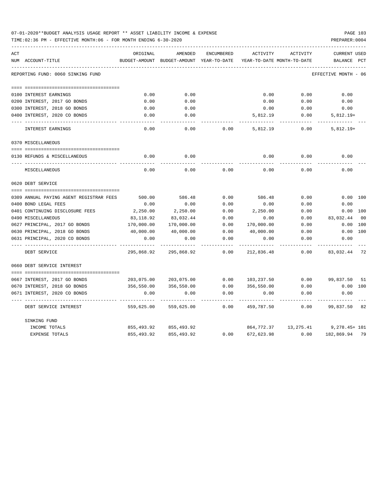| 07-01-2020**BUDGET ANALYSIS USAGE REPORT ** ASSET LIABILITY INCOME & EXPENSE | <b>PAGE 103</b> |
|------------------------------------------------------------------------------|-----------------|
| TIME:02:36 PM - EFFECTIVE MONTH:06 - FOR MONTH ENDING 6-30-2020              | PREPARER: 0004  |

| ACT |                                         | ORIGINAL      | AMENDED                    | ENCUMBERED   | ACTIVITY                   | ACTIVITY                | <b>CURRENT USED</b>  |     |
|-----|-----------------------------------------|---------------|----------------------------|--------------|----------------------------|-------------------------|----------------------|-----|
|     | NUM ACCOUNT-TITLE                       | BUDGET-AMOUNT | BUDGET-AMOUNT YEAR-TO-DATE |              | YEAR-TO-DATE MONTH-TO-DATE |                         | BALANCE              | PCT |
|     | REPORTING FUND: 0060 SINKING FUND       |               |                            |              |                            |                         | EFFECTIVE MONTH - 06 |     |
|     |                                         |               |                            |              |                            |                         |                      |     |
|     | 0100 INTEREST EARNINGS                  | 0.00          | 0.00                       |              | 0.00                       | 0.00                    | 0.00                 |     |
|     | 0200 INTEREST, 2017 GO BONDS            | 0.00          | 0.00                       |              | 0.00                       | 0.00                    | 0.00                 |     |
|     | 0300 INTEREST, 2018 GO BONDS            | 0.00          | 0.00                       |              | 0.00                       | 0.00                    | 0.00                 |     |
|     | 0400 INTEREST, 2020 CO BONDS            | 0.00          | 0.00                       |              | 5,812.19                   | 0.00                    | $5,812.19+$          |     |
|     | <b>INTEREST EARNINGS</b>                | 0.00          | 0.00                       | 0.00         | 5,812.19                   | 0.00                    | $5,812.19+$          |     |
|     | 0370 MISCELLANEOUS                      |               |                            |              |                            |                         |                      |     |
|     |                                         |               |                            |              |                            |                         |                      |     |
|     | 0130 REFUNDS & MISCELLANEOUS            | 0.00          | 0.00                       |              | 0.00                       | 0.00                    | 0.00                 |     |
|     | MISCELLANEOUS                           | 0.00          | 0.00                       | 0.00         | 0.00                       | 0.00                    | 0.00                 |     |
|     | 0620 DEBT SERVICE                       |               |                            |              |                            |                         |                      |     |
|     |                                         |               |                            |              |                            |                         |                      |     |
|     | 0309 ANNUAL PAYING AGENT REGISTRAR FEES | 500.00        | 586.48                     | 0.00         | 586.48                     | 0.00                    | 0.00 100             |     |
|     | 0400 BOND LEGAL FEES                    | 0.00          | 0.00                       | 0.00         | 0.00                       | 0.00                    | 0.00                 |     |
|     | 0401 CONTINUING DISCLOSURE FEES         | 2,250.00      | 2,250.00                   | 0.00         | 2,250.00                   | 0.00                    | 0.00 100             |     |
|     | 0490 MISCELLANEOUS                      | 83,118.92     | 83,032.44                  | 0.00         | 0.00                       | 0.00                    | 83,032.44            | 00  |
|     | 0627 PRINCIPAL, 2017 GO BONDS           | 170,000.00    | 170,000.00                 | 0.00         | 170,000.00                 | 0.00                    | 0.00                 | 100 |
|     | 0630 PRINCIPAL, 2018 GO BONDS           | 40,000.00     | 40,000.00                  | 0.00         | 40,000.00                  | 0.00                    | 0.00                 | 100 |
|     | 0631 PRINCIPAL, 2020 CO BONDS           | 0.00          | 0.00                       | 0.00<br>---- | 0.00                       | 0.00                    | 0.00                 |     |
|     | DEBT SERVICE                            | 295,868.92    | 295,868.92                 | 0.00         | 212,836.48                 | 0.00                    | 83,032.44 72         |     |
|     | 0660 DEBT SERVICE INTEREST              |               |                            |              |                            |                         |                      |     |
|     |                                         |               |                            |              |                            |                         |                      |     |
|     | 0667 INTEREST, 2017 GO BONDS            |               | 203,075.00 203,075.00      |              | $0.00$ $103,237.50$        |                         | $0.00$ 99,837.50 51  |     |
|     | 0670 INTEREST, 2018 GO BONDS            | 356,550.00    | 356,550.00                 | 0.00         | 356,550.00                 | 0.00                    | 0.00 100             |     |
|     | 0671 INTEREST, 2020 CO BONDS            | 0.00          | 0.00                       | 0.00         | 0.00                       | 0.00                    | 0.00                 |     |
|     | DEBT SERVICE INTEREST                   | 559,625.00    | 559,625.00                 | 0.00         | 459,787.50                 | 0.00                    | 99,837.50 82         |     |
|     | SINKING FUND                            |               |                            |              |                            |                         |                      |     |
|     | INCOME TOTALS                           | 855,493.92    | 855,493.92                 |              | 864,772.37                 | 13,275.41 9,278.45+ 101 |                      |     |
|     | <b>EXPENSE TOTALS</b>                   | 855,493.92    | 855, 493.92                | 0.00         | 672,623.98                 | 0.00                    | 182,869.94 79        |     |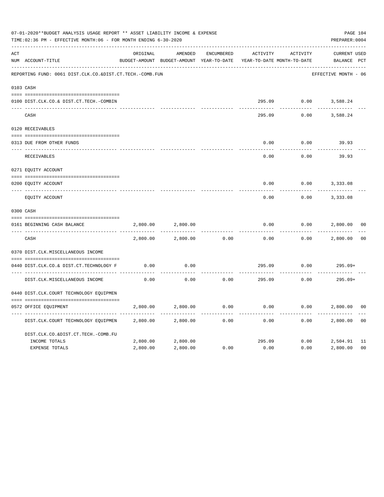|     | 07-01-2020**BUDGET ANALYSIS USAGE REPORT ** ASSET LIABILITY INCOME & EXPENSE<br>TIME:02:36 PM - EFFECTIVE MONTH:06 - FOR MONTH ENDING 6-30-2020 |          |                                                     |                   |          |                                        | PAGE 104<br>PREPARER: 0004         |                |
|-----|-------------------------------------------------------------------------------------------------------------------------------------------------|----------|-----------------------------------------------------|-------------------|----------|----------------------------------------|------------------------------------|----------------|
| ACT | NUM ACCOUNT-TITLE                                                                                                                               | ORIGINAL | AMENDED<br>BUDGET-AMOUNT BUDGET-AMOUNT YEAR-TO-DATE | <b>ENCUMBERED</b> | ACTIVITY | ACTIVITY<br>YEAR-TO-DATE MONTH-TO-DATE | <b>CURRENT USED</b><br>BALANCE PCT |                |
|     | REPORTING FUND: 0061 DIST.CLK.CO.&DIST.CT.TECH.-COMB.FUN                                                                                        |          |                                                     |                   |          |                                        | EFFECTIVE MONTH - 06               |                |
|     | 0103 CASH                                                                                                                                       |          |                                                     |                   |          |                                        |                                    |                |
|     | 0100 DIST.CLK.CO.& DIST.CT.TECH.-COMBIN                                                                                                         |          |                                                     |                   | 295.09   |                                        | $0.00$ 3,588.24                    |                |
|     | CASH                                                                                                                                            |          |                                                     |                   | 295.09   | 0.00                                   | 3,588.24                           |                |
|     | 0120 RECEIVABLES                                                                                                                                |          |                                                     |                   |          |                                        |                                    |                |
|     | 0313 DUE FROM OTHER FUNDS                                                                                                                       |          |                                                     |                   | 0.00     | 0.00                                   | 39.93                              |                |
|     | RECEIVABLES                                                                                                                                     |          |                                                     |                   | 0.00     | 0.00                                   | 39.93                              |                |
|     | 0271 EQUITY ACCOUNT                                                                                                                             |          |                                                     |                   |          |                                        |                                    |                |
|     | 0200 EQUITY ACCOUNT                                                                                                                             |          |                                                     |                   | 0.00     | 0.00                                   | 3,333.08                           |                |
|     | ---- -----------<br>EQUITY ACCOUNT                                                                                                              |          |                                                     |                   | 0.00     | 0.00                                   | 3,333.08                           |                |
|     | 0300 CASH                                                                                                                                       |          |                                                     |                   |          |                                        |                                    |                |
|     | 0161 BEGINNING CASH BALANCE                                                                                                                     | 2,800.00 | 2,800.00                                            |                   | 0.00     | 0.00                                   | 2,800.00                           | 0 <sub>0</sub> |
|     | _______________________________<br>CASH                                                                                                         | 2,800.00 | 2,800.00                                            | 0.00              | 0.00     | 0.00                                   | 2,800.00                           | 0 <sup>0</sup> |
|     | 0370 DIST.CLK.MISCELLANEOUS INCOME                                                                                                              |          |                                                     |                   |          |                                        |                                    |                |
|     | 0440 DIST.CLK.CO.& DIST.CT.TECHNOLOGY F                                                                                                         | 0.00     | 0.00                                                |                   | 295.09   | 0.00                                   | $295.09+$                          |                |
|     | DIST.CLK.MISCELLANEOUS INCOME                                                                                                                   | 0.00     | 0.00                                                | 0.00              | 295.09   | 0.00                                   | $295.09+$                          |                |
|     | 0440 DIST.CLK.COURT TECHNOLOGY EQUIPMEN                                                                                                         |          |                                                     |                   |          |                                        |                                    |                |
|     | 0572 OFFICE EOUIPMENT                                                                                                                           | 2,800.00 | 2,800.00                                            | 0.00              | 0.00     | 0.00                                   | 2,800.00                           | 0 <sub>0</sub> |
|     | DIST.CLK.COURT TECHNOLOGY EQUIPMEN                                                                                                              | 2,800.00 | 2,800.00                                            | 0.00              | 0.00     | 0.00                                   | 2,800.00                           | 0 <sub>0</sub> |
|     | DIST.CLK.CO.&DIST.CT.TECH.-COMB.FU                                                                                                              |          |                                                     |                   |          |                                        |                                    |                |
|     | INCOME TOTALS                                                                                                                                   | 2,800.00 | 2,800.00                                            |                   | 295.09   | 0.00                                   | 2,504.91                           | 11             |
|     | <b>EXPENSE TOTALS</b>                                                                                                                           | 2,800.00 | 2,800.00                                            | 0.00              | 0.00     | 0.00                                   | 2,800.00                           | 0 <sub>0</sub> |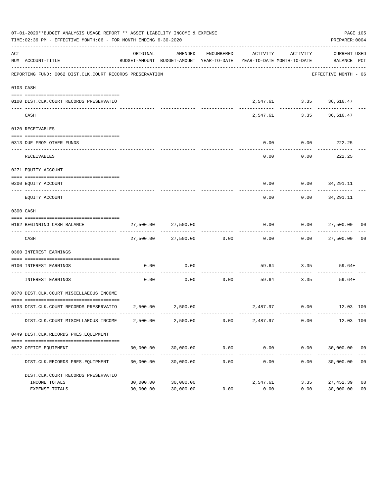|     | 07-01-2020**BUDGET ANALYSIS USAGE REPORT ** ASSET LIABILITY INCOME & EXPENSE<br>TIME:02:36 PM - EFFECTIVE MONTH:06 - FOR MONTH ENDING 6-30-2020 |                        |                            |                       |                                                                                 |                           | PAGE 105<br>PREPARER: 0004          |                      |
|-----|-------------------------------------------------------------------------------------------------------------------------------------------------|------------------------|----------------------------|-----------------------|---------------------------------------------------------------------------------|---------------------------|-------------------------------------|----------------------|
| ACT | NUM ACCOUNT-TITLE                                                                                                                               | ORIGINAL               | AMENDED                    | ENCUMBERED            | ACTIVITY<br>BUDGET-AMOUNT BUDGET-AMOUNT YEAR-TO-DATE YEAR-TO-DATE MONTH-TO-DATE | ACTIVITY                  | CURRENT USED<br>BALANCE PCT         |                      |
|     | REPORTING FUND: 0062 DIST.CLK.COURT RECORDS PRESERVATION                                                                                        |                        |                            |                       |                                                                                 |                           | EFFECTIVE MONTH - 06                |                      |
|     | 0103 CASH                                                                                                                                       |                        |                            |                       |                                                                                 |                           |                                     |                      |
|     | 0100 DIST.CLK.COURT RECORDS PRESERVATIO                                                                                                         |                        |                            |                       |                                                                                 | 2,547.61 3.35 36,616.47   |                                     |                      |
|     | CASH                                                                                                                                            |                        | -------------- ----------- |                       |                                                                                 | 2,547.61 3.35 36,616.47   |                                     |                      |
|     | 0120 RECEIVABLES                                                                                                                                |                        |                            |                       |                                                                                 |                           |                                     |                      |
|     | 0313 DUE FROM OTHER FUNDS                                                                                                                       |                        |                            |                       | 0.00                                                                            | $0.00$ 222.25             |                                     |                      |
|     | RECEIVABLES                                                                                                                                     |                        |                            |                       | 0.00                                                                            | .                         | -----------<br>$0.00$ 222.25        |                      |
|     | 0271 EOUITY ACCOUNT                                                                                                                             |                        |                            |                       |                                                                                 |                           |                                     |                      |
|     | 0200 EQUITY ACCOUNT                                                                                                                             |                        |                            |                       |                                                                                 | $0.00$ $0.00$ $34,291.11$ |                                     |                      |
|     | EQUITY ACCOUNT                                                                                                                                  |                        |                            |                       | $- - - - -$<br>0.00                                                             | -----------               | -------------<br>$0.00$ $34,291.11$ |                      |
|     | 0300 CASH                                                                                                                                       |                        |                            |                       |                                                                                 |                           |                                     |                      |
|     | 0162 BEGINNING CASH BALANCE                                                                                                                     |                        | 27,500.00 27,500.00        |                       |                                                                                 |                           | $0.00$ $0.00$ $27,500.00$ 00        |                      |
|     | CASH                                                                                                                                            |                        | 27,500.00 27,500.00 0.00   |                       | -------------                                                                   |                           | $0.00$ $0.00$ $27,500.00$ 00        |                      |
|     | 0360 INTEREST EARNINGS                                                                                                                          |                        |                            |                       |                                                                                 |                           |                                     |                      |
|     | 0100 INTEREST EARNINGS                                                                                                                          | 0.00                   | 0.00                       |                       |                                                                                 | 59.64 3.35 59.64+<br>.    |                                     |                      |
|     | INTEREST EARNINGS                                                                                                                               | 0.00                   | 0.00                       | -----------<br>0.00   |                                                                                 | 59.64 3.35                | 59.64+                              |                      |
|     | 0370 DIST.CLK.COURT MISCELLAEOUS INCOME                                                                                                         |                        |                            |                       |                                                                                 |                           |                                     |                      |
|     | 0133 DIST.CLK.COURT RECORDS PRESERVATIO 2,500.00 2,500.00                                                                                       |                        |                            |                       |                                                                                 |                           | 2,487.97 0.00 12.03 100             |                      |
|     | DIST.CLK.COURT MISCELLAEOUS INCOME                                                                                                              | 2,500.00               | 2,500.00                   | 0.00                  | 2,487.97                                                                        | 0.00                      | 12.03 100                           |                      |
|     | 0449 DIST.CLK.RECORDS PRES.EQUIPMENT                                                                                                            |                        |                            |                       |                                                                                 |                           |                                     |                      |
|     | 0572 OFFICE EQUIPMENT                                                                                                                           | 30,000.00              | 30,000.00                  | 0.00                  | 0.00                                                                            | 0.00                      | 30,000.00 00                        |                      |
|     | DIST.CLK.RECORDS PRES.EQUIPMENT                                                                                                                 | 30,000.00              | 30,000.00                  | -------------<br>0.00 | .<br>0.00                                                                       | -------------<br>0.00     | 30,000.00                           | 0 <sub>0</sub>       |
|     | DIST.CLK.COURT RECORDS PRESERVATIO                                                                                                              |                        |                            |                       |                                                                                 |                           |                                     |                      |
|     | INCOME TOTALS<br>EXPENSE TOTALS                                                                                                                 | 30,000.00<br>30,000.00 | 30,000.00<br>30,000.00     | 0.00                  | 2,547.61<br>0.00                                                                | 3.35<br>0.00              | 27,452.39<br>30,000.00              | 08<br>0 <sub>0</sub> |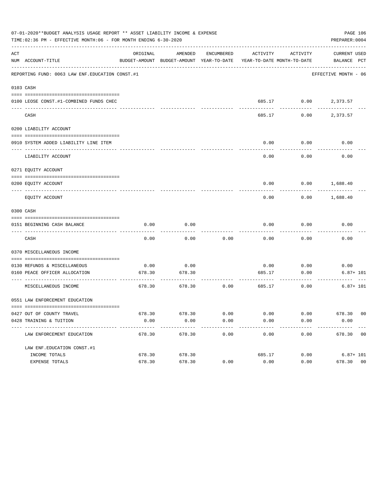| 07-01-2020**BUDGET ANALYSIS USAGE REPORT ** ASSET LIABILITY INCOME & EXPENSE<br>PAGE 106<br>TIME:02:36 PM - EFFECTIVE MONTH:06 - FOR MONTH ENDING 6-30-2020<br>PREPARER: 0004 |                                                                 |          |                                                     |            |                            |                      |                             |  |  |
|-------------------------------------------------------------------------------------------------------------------------------------------------------------------------------|-----------------------------------------------------------------|----------|-----------------------------------------------------|------------|----------------------------|----------------------|-----------------------------|--|--|
| ACT                                                                                                                                                                           | NUM ACCOUNT-TITLE                                               | ORIGINAL | AMENDED<br>BUDGET-AMOUNT BUDGET-AMOUNT YEAR-TO-DATE | ENCUMBERED | YEAR-TO-DATE MONTH-TO-DATE | ACTIVITY ACTIVITY    | CURRENT USED<br>BALANCE PCT |  |  |
|                                                                                                                                                                               | REPORTING FUND: 0063 LAW ENF. EDUCATION CONST.#1                |          |                                                     |            |                            |                      | EFFECTIVE MONTH - 06        |  |  |
|                                                                                                                                                                               | 0103 CASH                                                       |          |                                                     |            |                            |                      |                             |  |  |
|                                                                                                                                                                               | 0100 LEOSE CONST.#1-COMBINED FUNDS CHEC                         |          |                                                     |            |                            | 685.17 0.00 2,373.57 |                             |  |  |
|                                                                                                                                                                               | CASH                                                            |          |                                                     |            | 685.17                     | 0.00                 | 2,373.57                    |  |  |
|                                                                                                                                                                               | 0200 LIABILITY ACCOUNT                                          |          |                                                     |            |                            |                      |                             |  |  |
|                                                                                                                                                                               | 0910 SYSTEM ADDED LIABILITY LINE ITEM                           |          |                                                     |            | 0.00                       | 0.00                 | 0.00                        |  |  |
|                                                                                                                                                                               | LIABILITY ACCOUNT                                               |          |                                                     |            | 0.00                       | 0.00                 | 0.00                        |  |  |
|                                                                                                                                                                               | 0271 EQUITY ACCOUNT                                             |          |                                                     |            |                            |                      |                             |  |  |
|                                                                                                                                                                               | 0200 EQUITY ACCOUNT                                             |          |                                                     |            | 0.00                       |                      | $0.00$ 1,688.40             |  |  |
|                                                                                                                                                                               | EQUITY ACCOUNT                                                  |          |                                                     |            | 0.00                       | 0.00                 | 1,688.40                    |  |  |
|                                                                                                                                                                               | 0300 CASH                                                       |          |                                                     |            |                            |                      |                             |  |  |
|                                                                                                                                                                               | 0151 BEGINNING CASH BALANCE                                     | 0.00     | 0.00                                                |            | 0.00                       | 0.00                 | 0.00                        |  |  |
|                                                                                                                                                                               | CASH                                                            | 0.00     | 0.00                                                | 0.00       | 0.00                       | 0.00                 | 0.00                        |  |  |
|                                                                                                                                                                               | 0370 MISCELLANEOUS INCOME                                       |          |                                                     |            |                            |                      |                             |  |  |
|                                                                                                                                                                               | 0130 REFUNDS & MISCELLANEOUS                                    | 0.00     | 0.00                                                |            | 0.00                       | 0.00                 | 0.00                        |  |  |
|                                                                                                                                                                               | 0160 PEACE OFFICER ALLOCATION                                   | 678.30   | 678.30                                              |            | 685.17                     | 0.00                 | $6.87 + 101$                |  |  |
|                                                                                                                                                                               | MISCELLANEOUS INCOME                                            | 678.30   | 678.30                                              | 0.00       | 685.17                     | 0.00                 | $6.87 + 101$                |  |  |
|                                                                                                                                                                               | 0551 LAW ENFORCEMENT EDUCATION                                  |          |                                                     |            |                            |                      |                             |  |  |
|                                                                                                                                                                               | 0427 OUT OF COUNTY TRAVEL                                       |          | 678.30 678.30                                       | 0.00       | 0.00                       | 0.00                 | 678.30 00                   |  |  |
|                                                                                                                                                                               | 0428 TRAINING & TUITION                                         | 0.00     | 0.00                                                | 0.00       | 0.00                       | 0.00                 | 0.00                        |  |  |
|                                                                                                                                                                               | ----------------------------------<br>LAW ENFORCEMENT EDUCATION | 678.30   | 678.30                                              | 0.00       | 0.00                       | 0.00                 | 678.30 00                   |  |  |
|                                                                                                                                                                               | LAW ENF. EDUCATION CONST. #1                                    |          |                                                     |            |                            |                      |                             |  |  |
|                                                                                                                                                                               | INCOME TOTALS                                                   | 678.30   | 678.30                                              |            | 685.17                     | 0.00                 | $6.87 + 101$                |  |  |
|                                                                                                                                                                               | EXPENSE TOTALS                                                  | 678.30   | 678.30                                              | 0.00       | 0.00                       | 0.00                 | 678.30 00                   |  |  |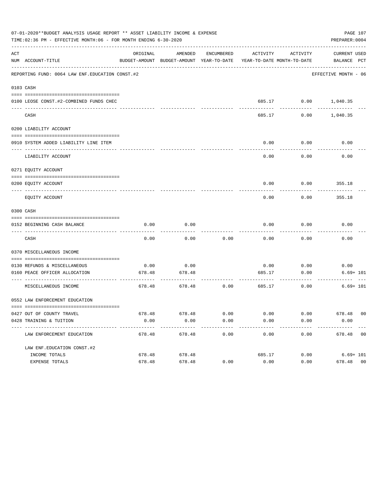| 07-01-2020**BUDGET ANALYSIS USAGE REPORT ** ASSET LIABILITY INCOME & EXPENSE<br>TIME:02:36 PM - EFFECTIVE MONTH:06 - FOR MONTH ENDING 6-30-2020<br>PREPARER: 0004 |                                                                    |                    |                                                     |                   |                       |                                                 |                             |  |
|-------------------------------------------------------------------------------------------------------------------------------------------------------------------|--------------------------------------------------------------------|--------------------|-----------------------------------------------------|-------------------|-----------------------|-------------------------------------------------|-----------------------------|--|
| ACT                                                                                                                                                               | NUM ACCOUNT-TITLE                                                  | ORIGINAL           | AMENDED<br>BUDGET-AMOUNT BUDGET-AMOUNT YEAR-TO-DATE | ENCUMBERED        |                       | ACTIVITY ACTIVITY<br>YEAR-TO-DATE MONTH-TO-DATE | CURRENT USED<br>BALANCE PCT |  |
|                                                                                                                                                                   | REPORTING FUND: 0064 LAW ENF. EDUCATION CONST.#2                   |                    |                                                     |                   |                       |                                                 | EFFECTIVE MONTH - 06        |  |
|                                                                                                                                                                   | 0103 CASH                                                          |                    |                                                     |                   |                       |                                                 |                             |  |
|                                                                                                                                                                   | 0100 LEOSE CONST.#2-COMBINED FUNDS CHEC                            |                    |                                                     |                   |                       | 685.17 0.00 1,040.35                            |                             |  |
|                                                                                                                                                                   | CASH                                                               |                    |                                                     |                   | 685.17                |                                                 | $0.00$ 1,040.35             |  |
|                                                                                                                                                                   | 0200 LIABILITY ACCOUNT                                             |                    |                                                     |                   |                       |                                                 |                             |  |
|                                                                                                                                                                   | 0910 SYSTEM ADDED LIABILITY LINE ITEM                              |                    |                                                     |                   | 0.00<br>-------       | 0.00<br>---------                               | 0.00                        |  |
|                                                                                                                                                                   | LIABILITY ACCOUNT                                                  |                    |                                                     |                   | 0.00                  | 0.00                                            | 0.00                        |  |
|                                                                                                                                                                   | 0271 EQUITY ACCOUNT                                                |                    |                                                     |                   |                       |                                                 |                             |  |
|                                                                                                                                                                   | 0200 EOUITY ACCOUNT                                                |                    |                                                     |                   | 0.00                  |                                                 | $0.00$ 355.18               |  |
|                                                                                                                                                                   | EQUITY ACCOUNT                                                     |                    |                                                     |                   | 0.00                  | 0.00                                            | 355.18                      |  |
|                                                                                                                                                                   | 0300 CASH                                                          |                    |                                                     |                   |                       |                                                 |                             |  |
|                                                                                                                                                                   | 0152 BEGINNING CASH BALANCE                                        | 0.00               | 0.00                                                |                   | 0.00                  | 0.00<br>---------                               | 0.00                        |  |
|                                                                                                                                                                   | CASH                                                               | 0.00               | 0.00                                                | 0.00              | 0.00                  | 0.00                                            | 0.00                        |  |
|                                                                                                                                                                   | 0370 MISCELLANEOUS INCOME                                          |                    |                                                     |                   |                       |                                                 |                             |  |
|                                                                                                                                                                   |                                                                    |                    |                                                     |                   |                       |                                                 |                             |  |
|                                                                                                                                                                   | 0130 REFUNDS & MISCELLANEOUS                                       | 0.00               | 0.00                                                |                   |                       | $0.00$ 0.00                                     | 0.00                        |  |
|                                                                                                                                                                   | 0160 PEACE OFFICER ALLOCATION                                      | 678.48             | 678.48                                              |                   | 685.17                | 0.00                                            | $6.69 + 101$                |  |
|                                                                                                                                                                   | MISCELLANEOUS INCOME                                               | 678.48             | 678.48                                              | 0.00              | 685.17                | 0.00                                            | $6.69 + 101$                |  |
|                                                                                                                                                                   | 0552 LAW ENFORCEMENT EDUCATION                                     |                    |                                                     |                   |                       |                                                 |                             |  |
|                                                                                                                                                                   |                                                                    |                    |                                                     |                   |                       |                                                 |                             |  |
|                                                                                                                                                                   | 0427 OUT OF COUNTY TRAVEL                                          | 678.48             | 678.48                                              | 0.00              | 0.00                  | 0.00                                            | 678.48 00                   |  |
|                                                                                                                                                                   | 0428 TRAINING & TUITION<br>----------------------------------- --- | 0.00<br>---------- | 0.00<br>-------------                               | 0.00<br>--------- | 0.00<br>------------- | 0.00<br>------------                            | 0.00<br>-------------       |  |
|                                                                                                                                                                   | LAW ENFORCEMENT EDUCATION                                          | 678.48             | 678.48                                              | 0.00              | 0.00                  | 0.00                                            | 678.48 00                   |  |
|                                                                                                                                                                   | LAW ENF. EDUCATION CONST. #2                                       |                    |                                                     |                   |                       |                                                 |                             |  |
|                                                                                                                                                                   | INCOME TOTALS                                                      | 678.48             | 678.48                                              |                   | 685.17                | 0.00                                            | $6.69 + 101$                |  |
|                                                                                                                                                                   | EXPENSE TOTALS                                                     | 678.48             | 678.48                                              | 0.00              | 0.00                  | 0.00                                            | 0 <sub>0</sub><br>678.48    |  |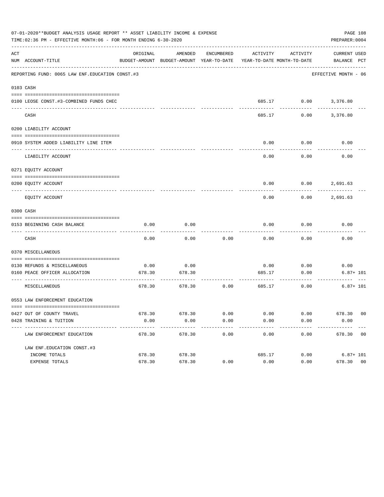|     | 07-01-2020**BUDGET ANALYSIS USAGE REPORT ** ASSET LIABILITY INCOME & EXPENSE<br>TIME:02:36 PM - EFFECTIVE MONTH:06 - FOR MONTH ENDING 6-30-2020 |          |                                                     |            |        |                                                 | PAGE 108<br>PREPARER: 0004  |
|-----|-------------------------------------------------------------------------------------------------------------------------------------------------|----------|-----------------------------------------------------|------------|--------|-------------------------------------------------|-----------------------------|
| ACT | NUM ACCOUNT-TITLE                                                                                                                               | ORIGINAL | AMENDED<br>BUDGET-AMOUNT BUDGET-AMOUNT YEAR-TO-DATE | ENCUMBERED |        | ACTIVITY ACTIVITY<br>YEAR-TO-DATE MONTH-TO-DATE | CURRENT USED<br>BALANCE PCT |
|     | REPORTING FUND: 0065 LAW ENF. EDUCATION CONST.#3                                                                                                |          |                                                     |            |        |                                                 | EFFECTIVE MONTH - 06        |
|     | 0103 CASH                                                                                                                                       |          |                                                     |            |        |                                                 |                             |
|     | 0100 LEOSE CONST.#3-COMBINED FUNDS CHEC                                                                                                         |          |                                                     |            |        |                                                 | 685.17 0.00 3,376.80        |
|     | CASH                                                                                                                                            |          |                                                     |            | 685.17 | 0.00                                            | 3,376.80                    |
|     | 0200 LIABILITY ACCOUNT                                                                                                                          |          |                                                     |            |        |                                                 |                             |
|     | 0910 SYSTEM ADDED LIABILITY LINE ITEM                                                                                                           |          |                                                     |            | 0.00   | 0.00                                            | 0.00                        |
|     | LIABILITY ACCOUNT                                                                                                                               |          |                                                     |            | 0.00   | 0.00                                            | 0.00                        |
|     | 0271 EQUITY ACCOUNT                                                                                                                             |          |                                                     |            |        |                                                 |                             |
|     | 0200 EQUITY ACCOUNT                                                                                                                             |          |                                                     |            | 0.00   |                                                 | $0.00$ 2,691.63             |
|     | EQUITY ACCOUNT                                                                                                                                  |          |                                                     |            | 0.00   | 0.00                                            | 2,691.63                    |
|     | 0300 CASH                                                                                                                                       |          |                                                     |            |        |                                                 |                             |
|     | 0153 BEGINNING CASH BALANCE                                                                                                                     | 0.00     | 0.00                                                |            | 0.00   | 0.00                                            | 0.00                        |
|     | CASH                                                                                                                                            | 0.00     | 0.00                                                | 0.00       | 0.00   | 0.00                                            | 0.00                        |
|     | 0370 MISCELLANEOUS                                                                                                                              |          |                                                     |            |        |                                                 |                             |
|     | 0130 REFUNDS & MISCELLANEOUS                                                                                                                    | 0.00     | 0.00                                                |            | 0.00   | 0.00                                            | 0.00                        |
|     | 0160 PEACE OFFICER ALLOCATION                                                                                                                   | 678.30   | 678.30                                              |            | 685.17 | 0.00                                            | $6.87 + 101$                |
|     | MISCELLANEOUS                                                                                                                                   | 678.30   | 678.30                                              | 0.00       | 685.17 | 0.00                                            | $6.87 + 101$                |
|     | 0553 LAW ENFORCEMENT EDUCATION                                                                                                                  |          |                                                     |            |        |                                                 |                             |
|     | 0427 OUT OF COUNTY TRAVEL                                                                                                                       |          | 678.30 678.30                                       | 0.00       | 0.00   | 0.00                                            | 678.30 00                   |
|     | 0428 TRAINING & TUITION<br>--------------------------------                                                                                     | 0.00     | 0.00                                                | 0.00       | 0.00   | 0.00                                            | 0.00                        |
|     | LAW ENFORCEMENT EDUCATION                                                                                                                       | 678.30   | 678.30                                              | 0.00       | 0.00   | 0.00                                            | 678.30 00                   |
|     | LAW ENF. EDUCATION CONST. #3                                                                                                                    |          |                                                     |            |        |                                                 |                             |
|     | INCOME TOTALS                                                                                                                                   | 678.30   | 678.30                                              |            | 685.17 | 0.00                                            | $6.87 + 101$                |
|     | EXPENSE TOTALS                                                                                                                                  | 678.30   | 678.30                                              | 0.00       | 0.00   | 0.00                                            | 678.30 00                   |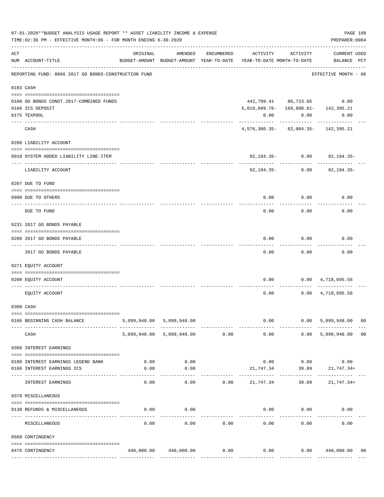|     | 07-01-2020**BUDGET ANALYSIS USAGE REPORT ** ASSET LIABILITY INCOME & EXPENSE<br>TIME:02:36 PM - EFFECTIVE MONTH:06 - FOR MONTH ENDING 6-30-2020 |          |                                |            |                                                                                 |                           | PREPARER: 0004                     | PAGE 109 |
|-----|-------------------------------------------------------------------------------------------------------------------------------------------------|----------|--------------------------------|------------|---------------------------------------------------------------------------------|---------------------------|------------------------------------|----------|
| ACT | NUM ACCOUNT-TITLE                                                                                                                               | ORIGINAL | AMENDED                        | ENCUMBERED | ACTIVITY<br>BUDGET-AMOUNT BUDGET-AMOUNT YEAR-TO-DATE YEAR-TO-DATE MONTH-TO-DATE | ACTIVITY                  | <b>CURRENT USED</b><br>BALANCE PCT |          |
|     | REPORTING FUND: 0066 2017 GO BONDS-CONSTRUCTION FUND                                                                                            |          |                                |            |                                                                                 |                           | EFFECTIVE MONTH - 06               |          |
|     | 0103 CASH                                                                                                                                       |          |                                |            |                                                                                 |                           |                                    |          |
|     | 0100 GO BONDS CONST. 2017-COMBINED FUNDS                                                                                                        |          |                                |            |                                                                                 |                           | 442,799.41 86,723.66 0.00          |          |
|     | 0166 ICS DEPOSIT                                                                                                                                |          |                                |            | 5, 019, 099. 76 - 168, 808. 01 - 142, 395. 21                                   |                           |                                    |          |
|     | 0175 TEXPOOL                                                                                                                                    |          |                                |            | 0.00                                                                            | 0.00                      | 0.00                               |          |
|     | CASH                                                                                                                                            |          |                                |            | 4,576,300.35-82,084.35-142,395.21                                               |                           |                                    |          |
|     | 0200 LIABILITY ACCOUNT                                                                                                                          |          |                                |            |                                                                                 |                           |                                    |          |
|     | 0910 SYSTEM ADDED LIABILITY LINE-ITEM                                                                                                           |          |                                |            |                                                                                 | 92,194.35- 0.00           | 92,194.35-                         |          |
|     | LIABILITY ACCOUNT                                                                                                                               |          |                                |            |                                                                                 | $92,194.35 - 0.00$        | $92, 194.35 -$                     |          |
|     | 0207 DUE TO FUND                                                                                                                                |          |                                |            |                                                                                 |                           |                                    |          |
|     | 0990 DUE TO OTHERS                                                                                                                              |          |                                |            |                                                                                 | $0.00$ 0.00               | 0.00                               |          |
|     | DUE TO FUND                                                                                                                                     |          |                                |            |                                                                                 | 0.00<br>0.00              | 0.00                               |          |
|     | 0231 2017 GO BONDS PAYABLE                                                                                                                      |          |                                |            |                                                                                 |                           |                                    |          |
|     | 0200 2017 GO BONDS PAYABLE<br>----------------                                                                                                  |          |                                |            | 0.00                                                                            | 0.00                      | 0.00                               |          |
|     | 2017 GO BONDS PAYABLE                                                                                                                           |          |                                |            | 0.00                                                                            | 0.00                      | 0.00                               |          |
|     | 0271 EQUITY ACCOUNT                                                                                                                             |          |                                |            |                                                                                 |                           |                                    |          |
|     | 0200 EQUITY ACCOUNT                                                                                                                             |          |                                |            |                                                                                 |                           | $0.00$ $0.00$ $4,718,695.56$       |          |
|     | EQUITY ACCOUNT                                                                                                                                  |          |                                |            | 0.00                                                                            |                           | $0.00 \quad 4,718,695.56$          |          |
|     | 0300 CASH                                                                                                                                       |          |                                |            |                                                                                 |                           |                                    |          |
|     | 0166 BEGINNING CASH BALANCE                                                                                                                     |          | 5,099,948.00 5,099,948.00      |            |                                                                                 |                           | $0.00$ 0.00 5,099,948.00           | 00       |
|     | CASH                                                                                                                                            |          | 5,099,948.00 5,099,948.00 0.00 |            | 0.00                                                                            |                           | 0.00 5,099,948.00                  | 00       |
|     | 0360 INTEREST EARNINGS                                                                                                                          |          |                                |            |                                                                                 |                           |                                    |          |
|     | 0100 INTEREST EARNINGS LEGEND BANK                                                                                                              | 0.00     | 0.00                           |            |                                                                                 |                           | $0.00$ $0.00$ $0.00$ $0.00$        |          |
|     | 0166 INTEREST EARNINGS ICS                                                                                                                      | 0.00     | 0.00                           |            |                                                                                 |                           | 21, 747.34 39.09 21, 747.34+       |          |
|     | INTEREST EARNINGS                                                                                                                               | 0.00     | ----------<br>0.00             |            | $0.00$ 21,747.34 39.09                                                          | ------------              | 21,747.34+                         |          |
|     | 0370 MISCELLANEOUS                                                                                                                              |          |                                |            |                                                                                 |                           |                                    |          |
|     |                                                                                                                                                 |          |                                |            |                                                                                 |                           |                                    |          |
|     | 0130 REFUNDS & MISCELLANEOUS                                                                                                                    | 0.00     | 0.00<br>----------             |            | .                                                                               | $0.00$ 0.00<br>---------- | 0.00                               |          |
|     | MISCELLANEOUS                                                                                                                                   | 0.00     | 0.00                           | 0.00       | 0.00                                                                            | 0.00                      | 0.00                               |          |
|     | 0509 CONTINGENCY                                                                                                                                |          |                                |            |                                                                                 |                           |                                    |          |
|     | 0475 CONTINGENCY                                                                                                                                |          | 440,000.00 440,000.00          | 0.00       |                                                                                 | 0.00                      | 0.00 440,000.00                    | 00       |
|     |                                                                                                                                                 |          |                                |            | ---- ------------ ---------------                                               |                           |                                    |          |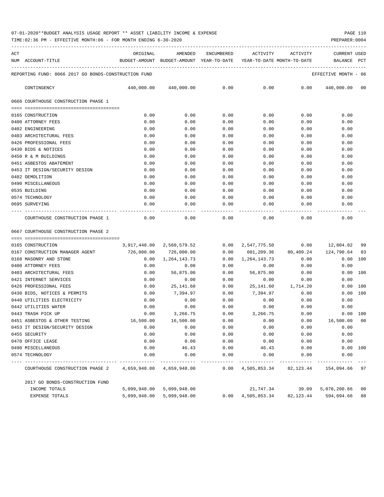TIME:02:36 PM - EFFECTIVE MONTH:06 - FOR MONTH ENDING 6-30-2020

| ACT |                                                      | ORIGINAL      | AMENDED                    | <b>ENCUMBERED</b> | ACTIVITY                   | ACTIVITY  | <b>CURRENT USED</b>  |                |
|-----|------------------------------------------------------|---------------|----------------------------|-------------------|----------------------------|-----------|----------------------|----------------|
|     | NUM ACCOUNT-TITLE                                    | BUDGET-AMOUNT | BUDGET-AMOUNT YEAR-TO-DATE |                   | YEAR-TO-DATE MONTH-TO-DATE |           | BALANCE              | PCT            |
|     | REPORTING FUND: 0066 2017 GO BONDS-CONSTRUCTION FUND |               |                            |                   |                            |           | EFFECTIVE MONTH - 06 |                |
|     | CONTINGENCY                                          | 440,000.00    | 440,000.00                 | 0.00              | 0.00                       | 0.00      | 440,000.00           | 00             |
|     | 0666 COURTHOUSE CONSTRUCTION PHASE 1                 |               |                            |                   |                            |           |                      |                |
|     |                                                      |               |                            |                   |                            |           |                      |                |
|     | 0165 CONSTRUCTION                                    | 0.00          | 0.00                       | 0.00              | 0.00                       | 0.00      | 0.00                 |                |
|     | 0400 ATTORNEY FEES                                   | 0.00          | 0.00                       | 0.00              | 0.00                       | 0.00      | 0.00                 |                |
|     | 0402 ENGINEERING                                     | 0.00          | 0.00                       | 0.00              | 0.00                       | 0.00      | 0.00                 |                |
|     | 0403 ARCHITECTURAL FEES                              | 0.00          | 0.00                       | 0.00              | 0.00                       | 0.00      | 0.00                 |                |
|     | 0426 PROFESSIONAL FEES                               | 0.00          | 0.00                       | 0.00              | 0.00                       | 0.00      | 0.00                 |                |
|     | 0430 BIDS & NOTICES                                  | 0.00          | 0.00                       | 0.00              | 0.00                       | 0.00      | 0.00                 |                |
|     | 0450 R & M BUILDINGS                                 | 0.00          | 0.00                       | 0.00              | 0.00                       | 0.00      | 0.00                 |                |
|     | 0451 ASBESTOS ABATEMENT                              | 0.00          | 0.00                       | 0.00              | 0.00                       | 0.00      | 0.00                 |                |
|     | 0453 IT DESIGN/SECURITY DESIGN                       | 0.00          | 0.00                       | 0.00              | 0.00                       | 0.00      | 0.00                 |                |
|     | 0482 DEMOLITION                                      | 0.00          | 0.00                       | 0.00              | 0.00                       | 0.00      | 0.00                 |                |
|     | 0490 MISCELLANEOUS                                   | 0.00          | 0.00                       | 0.00              | 0.00                       | 0.00      | 0.00                 |                |
|     | 0535 BUILDING                                        | 0.00          | 0.00                       | 0.00              | 0.00                       | 0.00      | 0.00                 |                |
|     | 0574 TECHNOLOGY                                      | 0.00          | 0.00                       | 0.00              | 0.00                       | 0.00      | 0.00                 |                |
|     | 0695 SURVEYING                                       | 0.00          | 0.00                       | 0.00              | 0.00                       | 0.00      | 0.00                 |                |
|     | COURTHOUSE CONSTRUCTION PHASE 1                      | 0.00          | 0.00                       | 0.00              | 0.00                       | 0.00      | 0.00                 |                |
|     | 0667 COURTHOUSE CONSTRUCTION PHASE 2                 |               |                            |                   |                            |           |                      |                |
|     |                                                      |               |                            |                   |                            |           |                      |                |
|     | 0165 CONSTRUCTION                                    | 3,917,448.00  | 2,560,579.52               | 0.00              | 2,547,775.50               | 0.00      | 12,804.02            | 99             |
|     | 0167 CONSTRUCTION MANAGER AGENT                      | 726,000.00    | 726,000.00                 | 0.00              | 601,209.36                 | 80,409.24 | 124,790.64           | 83             |
|     | 0168 MASONRY AND STONE                               | 0.00          | 1, 264, 143. 73            | 0.00              | 1, 264, 143. 73            | 0.00      | 0.00                 | 100            |
|     | 0400 ATTORNEY FEES                                   | 0.00          | 0.00                       | 0.00              | 0.00                       | 0.00      | 0.00                 |                |
|     | 0403 ARCHITECTURAL FEES                              | 0.00          | 56,875.00                  | 0.00              | 56,875.00                  | 0.00      | 0.00                 | 100            |
|     | 0421 INTERNET SERVICES                               | 0.00          | 0.00                       | 0.00              | 0.00                       | 0.00      | 0.00                 |                |
|     | 0426 PROFESSIONAL FEES                               | 0.00          | 25, 141.60                 | 0.00              | 25, 141.60                 | 1,714.20  | 0.00                 | 100            |
|     | 0430 BIDS, NOTICES & PERMITS                         | 0.00          | 7,394.97                   | 0.00              | 7,394.97                   | 0.00      | 0.00                 | 100            |
|     | 0440 UTILITIES ELECTRICITY                           | 0.00          | 0.00                       | 0.00              | 0.00                       | 0.00      | 0.00                 |                |
|     | 0442 UTILITIES WATER                                 | 0.00          | 0.00                       | 0.00              | 0.00                       | 0.00      | 0.00                 |                |
|     | 0443 TRASH PICK UP                                   | 0.00          | 3,266.75                   | 0.00              | 3,266.75                   | 0.00      | 0.00                 | 100            |
|     | 0451 ASBESTOS & OTHER TESTING                        | 16,500.00     | 16,500.00                  | 0.00              | 0.00                       | 0.00      | 16,500.00            | 0 <sub>0</sub> |
|     | 0453 IT DESIGN/SECURITY DESIGN                       | 0.00          | 0.00                       | 0.00              | 0.00                       | 0.00      | 0.00                 |                |
|     | 0455 SECURITY                                        | 0.00          | 0.00                       | 0.00              | 0.00                       | 0.00      | 0.00                 |                |
|     | 0470 OFFICE LEASE                                    | 0.00          | 0.00                       | 0.00              | 0.00                       | 0.00      | 0.00                 |                |
|     | 0490 MISCELLANEOUS                                   | 0.00          | 46.43                      | 0.00              | 46.43                      | 0.00      | 0.00                 | 100            |
|     | 0574 TECHNOLOGY                                      | 0.00          | 0.00                       | 0.00              | 0.00                       | 0.00      | 0.00                 |                |

| 2017 GO BONDS-CONSTRUCTION FUND |                           |      |              |           |                       |  |
|---------------------------------|---------------------------|------|--------------|-----------|-----------------------|--|
| INCOME TOTALS                   | 5,099,948.00 5,099,948.00 |      | 21,747.34    |           | 39.09 5.078.200.66 00 |  |
| EXPENSE TOTALS                  | 5,099,948.00 5,099,948.00 | 0.00 | 4,505,853.34 | 82,123.44 | 594,094.66 88         |  |

COURTHOUSE CONSTRUCTION PHASE 2 4,659,948.00 4,659,948.00 0.00 4,505,853.34 82,123.44 154,094.66 97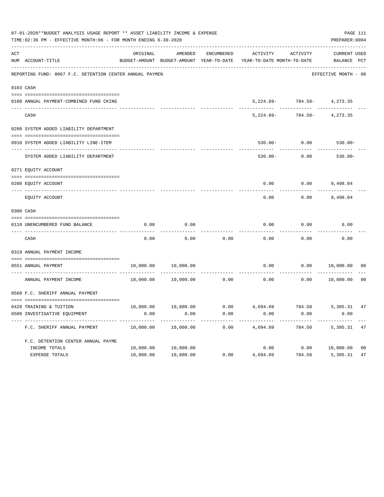|     | 07-01-2020**BUDGET ANALYSIS USAGE REPORT ** ASSET LIABILITY INCOME & EXPENSE<br>TIME: 02:36 PM - EFFECTIVE MONTH: 06 - FOR MONTH ENDING 6-30-2020 |           |                                          |            |                            |                                | PAGE 111<br>PREPARER: 0004 |                |
|-----|---------------------------------------------------------------------------------------------------------------------------------------------------|-----------|------------------------------------------|------------|----------------------------|--------------------------------|----------------------------|----------------|
| ACT |                                                                                                                                                   | ORIGINAL  | AMENDED                                  | ENCUMBERED | ACTIVITY                   | <b>ACTIVITY</b>                | <b>CURRENT USED</b>        |                |
|     | NUM ACCOUNT-TITLE                                                                                                                                 |           | BUDGET-AMOUNT BUDGET-AMOUNT YEAR-TO-DATE |            | YEAR-TO-DATE MONTH-TO-DATE |                                | BALANCE PCT                |                |
|     | REPORTING FUND: 0067 F.C. DETENTION CENTER ANNUAL PAYMEN                                                                                          |           |                                          |            |                            |                                | EFFECTIVE MONTH - 06       |                |
|     | 0103 CASH                                                                                                                                         |           |                                          |            |                            |                                |                            |                |
|     | 0100 ANNUAL PAYMENT-COMBINED FUND CKING                                                                                                           |           |                                          |            |                            | $5,224.69 - 784.50 - 4,273.35$ |                            |                |
|     | CASH                                                                                                                                              |           |                                          |            | $5,224.69-$                | 784.50-                        | 4,273.35                   |                |
|     | 0200 SYSTEM ADDED LIABILITY DEPARTMENT                                                                                                            |           |                                          |            |                            |                                |                            |                |
|     | 0910 SYSTEM ADDED LIABILITY LINE-ITEM                                                                                                             |           |                                          |            | $530.00 -$                 | 0.00                           | $530.00 -$                 |                |
|     | SYSTEM ADDED LIABILITY DEPARTMENT                                                                                                                 |           |                                          |            | $530.00 -$                 | 0.00                           | $530.00 -$                 |                |
|     | 0271 EQUITY ACCOUNT                                                                                                                               |           |                                          |            |                            |                                |                            |                |
|     | 0200 EQUITY ACCOUNT                                                                                                                               |           |                                          |            | 0.00                       | 0.00                           | 9,498.04                   |                |
|     | EQUITY ACCOUNT                                                                                                                                    |           |                                          |            | 0.00                       | 0.00                           | 9,498.04                   |                |
|     | 0300 CASH                                                                                                                                         |           |                                          |            |                            |                                |                            |                |
|     | 0110 UNENCUMBERED FUND BALANCE                                                                                                                    | 0.00      | 0.00                                     |            | 0.00                       | 0.00                           | 0.00                       |                |
|     |                                                                                                                                                   |           |                                          |            |                            |                                |                            |                |
|     | CASH                                                                                                                                              | 0.00      | 0.00                                     | 0.00       | 0.00                       | 0.00                           | 0.00                       |                |
|     | 0319 ANNUAL PAYMENT INCOME                                                                                                                        |           |                                          |            |                            |                                |                            |                |
|     | 0551 ANNUAL PAYMENT<br>---- ----------------                                                                                                      | 10,000.00 | 10,000.00                                |            | 0.00                       | 0.00                           | 10,000.00                  | 0 <sub>0</sub> |
|     | ANNUAL PAYMENT INCOME                                                                                                                             | 10,000.00 | 10,000.00                                | 0.00       | 0.00                       | 0.00                           | 10,000.00                  | 0 <sub>0</sub> |
|     | 0560 F.C. SHERIFF ANNUAL PAYMENT                                                                                                                  |           |                                          |            |                            |                                |                            |                |
|     | 0428 TRAINING & TUITION                                                                                                                           | 10,000.00 | 10,000.00                                | 0.00       | 4,694.69                   | 784.50                         | 5,305.31                   | 47             |
|     | 0580 INVESTIGATIVE EQUIPMENT                                                                                                                      | 0.00      | 0.00                                     | 0.00       | 0.00                       | 0.00                           | 0.00                       |                |
|     | F.C. SHERIFF ANNUAL PAYMENT                                                                                                                       | 10,000.00 | 10,000.00                                | 0.00       | 4,694.69                   | 784.50                         | 5,305.31                   | 47             |
|     | F.C. DETENTION CENTER ANNUAL PAYME                                                                                                                |           |                                          |            |                            |                                |                            |                |
|     | INCOME TOTALS                                                                                                                                     | 10,000.00 | 10,000.00                                |            | 0.00                       |                                | 0.00 10,000.00             | 0 <sub>0</sub> |
|     | EXPENSE TOTALS                                                                                                                                    | 10,000.00 | 10,000.00                                | 0.00       | 4,694.69                   | 784.50                         | 5,305.31                   | 47             |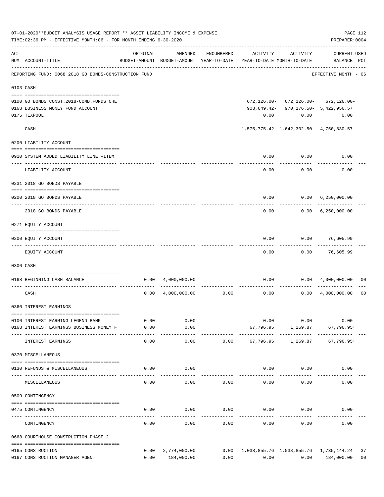|     | 07-01-2020**BUDGET ANALYSIS USAGE REPORT ** ASSET LIABILITY INCOME & EXPENSE<br>TIME: 02:36 PM - EFFECTIVE MONTH: 06 - FOR MONTH ENDING 6-30-2020 |                                                      |                           |                   |                                                      |                                                                                   | PREPARER: 0004                            | PAGE 112       |
|-----|---------------------------------------------------------------------------------------------------------------------------------------------------|------------------------------------------------------|---------------------------|-------------------|------------------------------------------------------|-----------------------------------------------------------------------------------|-------------------------------------------|----------------|
| ACT | NUM ACCOUNT-TITLE                                                                                                                                 | ORIGINAL<br>BUDGET-AMOUNT BUDGET-AMOUNT YEAR-TO-DATE | AMENDED                   | ENCUMBERED        | YEAR-TO-DATE MONTH-TO-DATE                           | ACTIVITY ACTIVITY                                                                 | <b>CURRENT USED</b><br>BALANCE PCT        |                |
|     | REPORTING FUND: 0068 2018 GO BONDS-CONSTRUCTION FUND                                                                                              |                                                      |                           |                   |                                                      |                                                                                   | -----------------<br>EFFECTIVE MONTH - 06 |                |
|     | 0103 CASH                                                                                                                                         |                                                      |                           |                   |                                                      |                                                                                   |                                           |                |
|     | 0100 GO BONDS CONST. 2018-COMB. FUNDS CHE<br>0168 BUSINESS MONEY FUND ACCOUNT                                                                     |                                                      |                           |                   |                                                      | $672, 126.00 - 672, 126.00 - 672, 126.00 -$<br>903,649.42-970,176.50-5,422,956.57 |                                           |                |
|     | 0175 TEXPOOL                                                                                                                                      |                                                      |                           |                   | 0.00                                                 | 0.00                                                                              | 0.00                                      |                |
|     | CASH                                                                                                                                              |                                                      |                           |                   |                                                      | -----------<br>1,575,775.42-1,642,302.50-4,750,830.57                             |                                           |                |
|     | 0200 LIABILITY ACCOUNT                                                                                                                            |                                                      |                           |                   |                                                      |                                                                                   |                                           |                |
|     |                                                                                                                                                   |                                                      |                           |                   |                                                      |                                                                                   |                                           |                |
|     | 0910 SYSTEM ADDED LIABILITY LINE -ITEM                                                                                                            |                                                      |                           |                   | 0.00<br>$- - - - -$                                  | 0.00<br>. <u>.</u>                                                                | 0.00                                      |                |
|     | LIABILITY ACCOUNT                                                                                                                                 |                                                      |                           |                   | 0.00                                                 | 0.00                                                                              | 0.00                                      |                |
|     | 0231 2018 GO BONDS PAYABLE                                                                                                                        |                                                      |                           |                   |                                                      |                                                                                   |                                           |                |
|     | 0200 2018 GO BONDS PAYABLE                                                                                                                        |                                                      |                           |                   |                                                      | $0.00$ $0.00$ $6,250,000.00$                                                      |                                           |                |
|     | 2018 GO BONDS PAYABLE                                                                                                                             |                                                      |                           |                   |                                                      | $0.00$ $0.00$ $6,250,000.00$                                                      |                                           |                |
|     | 0271 EQUITY ACCOUNT                                                                                                                               |                                                      |                           |                   |                                                      |                                                                                   |                                           |                |
|     | 0200 EQUITY ACCOUNT                                                                                                                               |                                                      |                           |                   | 0.00                                                 |                                                                                   | $0.00$ 76,605.99                          |                |
|     | EQUITY ACCOUNT                                                                                                                                    |                                                      |                           |                   | 0.00                                                 |                                                                                   | -------<br>$0.00$ 76,605.99               |                |
|     | 0300 CASH                                                                                                                                         |                                                      |                           |                   |                                                      |                                                                                   |                                           |                |
|     | 0168 BEGINNING CASH BALANCE                                                                                                                       |                                                      | $0.00 \quad 4,000,000.00$ |                   |                                                      | $0.00$ $0.00$ $4,000,000.00$                                                      |                                           | 00             |
|     | CASH                                                                                                                                              | 0.00                                                 |                           | 4,000,000.00 0.00 | 0.00                                                 | . <u>.</u>                                                                        | $0.00 \quad 4,000,000.00$                 | 0 <sub>0</sub> |
|     | 0360 INTEREST EARNINGS                                                                                                                            |                                                      |                           |                   |                                                      |                                                                                   |                                           |                |
|     | 0100 INTEREST EARNING LEGEND BANK                                                                                                                 | 0.00                                                 | 0.00                      |                   | 0.00                                                 | 0.00                                                                              | 0.00                                      |                |
|     | 0168 INTEREST EARNINGS BUSINESS MONEY F                                                                                                           | 0.00                                                 | 0.00<br>------            |                   |                                                      | 67,796.95 1,269.87 67,796.95+                                                     |                                           |                |
|     | INTEREST EARNINGS                                                                                                                                 | 0.00                                                 | 0.00                      | 0.00              | 67,796.95                                            | 1,269.87                                                                          | 67,796.95+                                |                |
|     | 0370 MISCELLANEOUS                                                                                                                                |                                                      |                           |                   |                                                      |                                                                                   |                                           |                |
|     | 0130 REFUNDS & MISCELLANEOUS                                                                                                                      | 0.00                                                 | 0.00                      |                   |                                                      | $0.00$ 0.00                                                                       | 0.00                                      |                |
|     | MISCELLANEOUS                                                                                                                                     | 0.00                                                 | 0.00                      | 0.00              | 0.00                                                 | 0.00                                                                              | 0.00                                      |                |
|     | 0509 CONTINGENCY                                                                                                                                  |                                                      |                           |                   |                                                      |                                                                                   |                                           |                |
|     |                                                                                                                                                   |                                                      |                           |                   |                                                      |                                                                                   |                                           |                |
|     | 0475 CONTINGENCY                                                                                                                                  | 0.00                                                 | 0.00                      | 0.00              | 0.00                                                 | 0.00                                                                              | 0.00                                      |                |
|     | CONTINGENCY                                                                                                                                       | 0.00                                                 | 0.00                      | 0.00              | 0.00                                                 | 0.00                                                                              | 0.00                                      |                |
|     | 0668 COURTHOUSE CONSTRUCTION PHASE 2                                                                                                              |                                                      |                           |                   |                                                      |                                                                                   |                                           |                |
|     | 0165 CONSTRUCTION                                                                                                                                 |                                                      | 0.00 2,774,000.00         |                   | 0.00    1,038,855.76    1,038,855.76    1,735,144.24 |                                                                                   |                                           | 37             |
|     | 0167 CONSTRUCTION MANAGER AGENT                                                                                                                   |                                                      | 0.00 184,000.00           | 0.00              |                                                      | $0.00$ $0.00$ $184,000.00$                                                        |                                           | 0 <sub>0</sub> |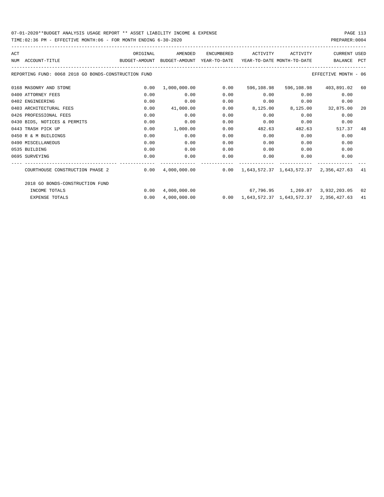### 07-01-2020\*\*BUDGET ANALYSIS USAGE REPORT \*\* ASSET LIABILITY INCOME & EXPENSE PAGE 113 TIME:02:36 PM - EFFECTIVE MONTH:06 - FOR MONTH ENDING 6-30-2020

| ACT |                                                                                          | ORIGINAL | AMENDED   | ENCUMBERED          | ACTIVITY   | ACTIVITY | <b>CURRENT USED</b>                                                                 |     |
|-----|------------------------------------------------------------------------------------------|----------|-----------|---------------------|------------|----------|-------------------------------------------------------------------------------------|-----|
|     | BUDGET-AMOUNT BUDGET-AMOUNT YEAR-TO-DATE YEAR-TO-DATE MONTH-TO-DATE<br>NUM ACCOUNT-TITLE |          |           |                     |            |          | BALANCE PCT                                                                         |     |
|     | REPORTING FUND: 0068 2018 GO BONDS-CONSTRUCTION FUND                                     |          |           |                     |            |          | EFFECTIVE MONTH - 06                                                                |     |
|     | 0168 MASONRY AND STONE                                                                   | 0.00     |           | $1,000,000.00$ 0.00 | 596,108.98 |          | 596,108.98 403,891.02 60                                                            |     |
|     | 0400 ATTORNEY FEES                                                                       | 0.00     | 0.00      | 0.00                | 0.00       | 0.00     | 0.00                                                                                |     |
|     | 0402 ENGINEERING                                                                         | 0.00     | 0.00      | 0.00                | 0.00       | 0.00     | 0.00                                                                                |     |
|     | 0403 ARCHITECTURAL FEES                                                                  | 0.00     | 41,000.00 | 0.00                |            |          | 8,125.00 8,125.00 32,875.00                                                         | -20 |
|     | 0426 PROFESSIONAL FEES                                                                   | 0.00     | 0.00      | 0.00                | 0.00       | 0.00     | 0.00                                                                                |     |
|     | 0430 BIDS, NOTICES & PERMITS                                                             | 0.00     | 0.00      | 0.00                | 0.00       | 0.00     | 0.00                                                                                |     |
|     | 0443 TRASH PICK UP                                                                       | 0.00     | 1,000.00  | 0.00                | 482.63     | 482.63   | 517.37                                                                              | 48  |
|     | 0450 R & M BUILDINGS                                                                     | 0.00     | 0.00      | 0.00                | 0.00       | 0.00     | 0.00                                                                                |     |
|     | 0490 MISCELLANEOUS                                                                       | 0.00     | 0.00      | 0.00                | 0.00       | 0.00     | 0.00                                                                                |     |
|     | 0535 BUILDING                                                                            | 0.00     | 0.00      | 0.00                | 0.00       | 0.00     | 0.00                                                                                |     |
|     | 0695 SURVEYING                                                                           | 0.00     | 0.00      | 0.00                | 0.00       | 0.00     | 0.00                                                                                |     |
|     | COURTHOUSE CONSTRUCTION PHASE 2                                                          |          |           |                     |            |          | $0.00$ 4,000,000.00 $0.00$ $0.00$ $1,643,572.37$ $1,643,572.37$ $2,356,427.63$ $41$ |     |
|     | 2018 GO BONDS-CONSTRUCTION FUND                                                          |          |           |                     |            |          |                                                                                     |     |
|     | INCOME TOTALS                                                                            | 0.00     |           |                     |            |          | $4.000.000.00$ $67.796.95$ $1.269.87$ $3.932.203.05$ 02                             |     |
|     | <b>EXPENSE TOTALS</b>                                                                    | 0.00     |           |                     |            |          | $4,000,000.00$ 0.00 $1,643,572.37$ $1,643,572.37$ 2,356,427.63                      | 41  |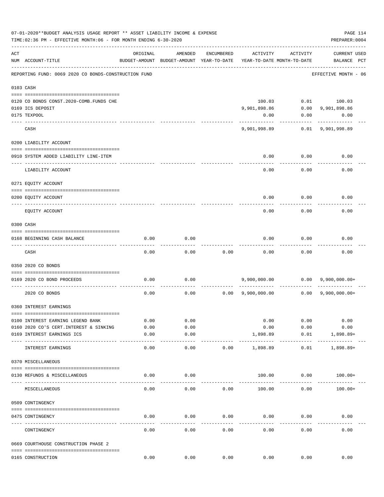|     | 07-01-2020**BUDGET ANALYSIS USAGE REPORT ** ASSET LIABILITY INCOME & EXPENSE<br>TIME:02:36 PM - EFFECTIVE MONTH:06 - FOR MONTH ENDING 6-30-2020 |               |                                                     |              |                           |                                        | PREPARER: 0004                                  | PAGE 114 |
|-----|-------------------------------------------------------------------------------------------------------------------------------------------------|---------------|-----------------------------------------------------|--------------|---------------------------|----------------------------------------|-------------------------------------------------|----------|
| ACT | NUM ACCOUNT-TITLE                                                                                                                               | ORIGINAL      | AMENDED<br>BUDGET-AMOUNT BUDGET-AMOUNT YEAR-TO-DATE | ENCUMBERED   | ACTIVITY                  | ACTIVITY<br>YEAR-TO-DATE MONTH-TO-DATE | <b>CURRENT USED</b><br>BALANCE PCT              |          |
|     | REPORTING FUND: 0069 2020 CO BONDS-CONSTRUCTION FUND                                                                                            |               |                                                     |              |                           |                                        | EFFECTIVE MONTH - 06                            |          |
|     | 0103 CASH                                                                                                                                       |               |                                                     |              |                           |                                        |                                                 |          |
|     |                                                                                                                                                 |               |                                                     |              |                           |                                        |                                                 |          |
|     | 0120 CO BONDS CONST. 2020-COMB. FUNDS CHE                                                                                                       |               |                                                     |              | 100.03                    |                                        | $0.01$ 100.03                                   |          |
|     | 0169 ICS DEPOSIT                                                                                                                                |               |                                                     |              | 9,901,898.86              |                                        | $0.00$ 9,901,898.86                             |          |
|     | 0175 TEXPOOL                                                                                                                                    |               |                                                     |              | 0.00                      |                                        | $0.00$ 0.00                                     |          |
|     | CASH                                                                                                                                            |               |                                                     |              |                           |                                        |                                                 |          |
|     | 0200 LIABILITY ACCOUNT                                                                                                                          |               |                                                     |              |                           |                                        |                                                 |          |
|     |                                                                                                                                                 |               |                                                     |              |                           |                                        |                                                 |          |
|     | 0910 SYSTEM ADDED LIABILITY LINE-ITEM                                                                                                           |               |                                                     |              | 0.00                      | 0.00                                   | 0.00                                            |          |
|     | LIABILITY ACCOUNT                                                                                                                               |               |                                                     |              | 0.00                      | 0.00                                   | 0.00                                            |          |
|     | 0271 EQUITY ACCOUNT                                                                                                                             |               |                                                     |              |                           |                                        |                                                 |          |
|     | 0200 EQUITY ACCOUNT                                                                                                                             |               |                                                     |              | 0.00                      | 0.00                                   | 0.00                                            |          |
|     | EOUITY ACCOUNT                                                                                                                                  |               |                                                     |              | 0.00                      | 0.00                                   | 0.00                                            |          |
|     | 0300 CASH                                                                                                                                       |               |                                                     |              |                           |                                        |                                                 |          |
|     |                                                                                                                                                 |               |                                                     |              |                           |                                        |                                                 |          |
|     | 0168 BEGINNING CASH BALANCE<br>-------------------------------                                                                                  | 0.00          | 0.00                                                |              | 0.00                      | 0.00                                   | 0.00                                            |          |
|     | CASH                                                                                                                                            | 0.00          | 0.00                                                | 0.00         | 0.00                      | 0.00                                   | 0.00                                            |          |
|     | 0350 2020 CO BONDS                                                                                                                              |               |                                                     |              |                           |                                        |                                                 |          |
|     | 0169 2020 CO BOND PROCEEDS                                                                                                                      | 0.00          | 0.00                                                |              |                           |                                        |                                                 |          |
|     | 2020 CO BONDS                                                                                                                                   | 0.00          | 0.00                                                |              |                           |                                        | $0.00 \t 9,900,000.00 \t 0.00 \t 9,900,000.00+$ |          |
|     | 0360 INTEREST EARNINGS                                                                                                                          |               |                                                     |              |                           |                                        |                                                 |          |
|     |                                                                                                                                                 |               |                                                     |              |                           |                                        |                                                 |          |
|     | 0100 INTEREST EARNING LEGEND BANK                                                                                                               | 0.00          | 0.00                                                |              | 0.00                      | 0.00                                   | 0.00                                            |          |
|     | 0160 2020 CO'S CERT. INTEREST & SINKING                                                                                                         | 0.00          | 0.00                                                |              | 0.00                      | 0.00                                   | 0.00                                            |          |
|     | 0169 INTEREST EARNINGS ICS<br>---- ---------------------------                                                                                  | 0.00<br>----- | 0.00<br>$- - - - -$                                 |              | 1,898.89<br>------------- | 0.01<br>------------                   | $1,898.89+$<br>------------                     |          |
|     | INTEREST EARNINGS                                                                                                                               | 0.00          | 0.00                                                | 0.00         | 1,898.89                  | 0.01                                   | $1,898.89+$                                     |          |
|     | 0370 MISCELLANEOUS                                                                                                                              |               |                                                     |              |                           |                                        |                                                 |          |
|     | 0130 REFUNDS & MISCELLANEOUS                                                                                                                    | 0.00          | 0.00                                                |              | 100.00                    | 0.00                                   | $100.00+$                                       |          |
|     | MISCELLANEOUS                                                                                                                                   | 0.00          | 0.00                                                | 0.00         | 100.00                    | 0.00                                   | $100.00+$                                       |          |
|     | 0509 CONTINGENCY                                                                                                                                |               |                                                     |              |                           |                                        |                                                 |          |
|     |                                                                                                                                                 |               |                                                     |              |                           |                                        |                                                 |          |
|     | 0475 CONTINGENCY<br>----- --------                                                                                                              | 0.00          | 0.00                                                | 0.00         | 0.00                      | 0.00                                   | 0.00                                            |          |
|     | CONTINGENCY                                                                                                                                     | 0.00          | 0.00                                                | 0.00         | 0.00                      | 0.00                                   | 0.00                                            |          |
|     | 0669 COURTHOUSE CONSTRUCTION PHASE 2                                                                                                            |               |                                                     |              |                           |                                        |                                                 |          |
|     | 0165 CONSTRUCTION                                                                                                                               | 0.00          |                                                     | 0.00<br>0.00 |                           | 0.00<br>0.00                           | 0.00                                            |          |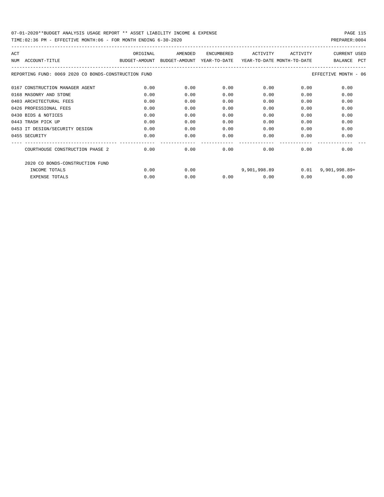| ACT                                                  | ORIGINAL | AMENDED                                                             | ENCUMBERED | ACTIVITY | ACTIVITY | CURRENT USED          |
|------------------------------------------------------|----------|---------------------------------------------------------------------|------------|----------|----------|-----------------------|
| NUM<br>ACCOUNT-TITLE                                 |          | BUDGET-AMOUNT BUDGET-AMOUNT YEAR-TO-DATE YEAR-TO-DATE MONTH-TO-DATE |            |          |          | <b>PCT</b><br>BALANCE |
| REPORTING FUND: 0069 2020 CO BONDS-CONSTRUCTION FUND |          |                                                                     |            |          |          | EFFECTIVE MONTH - 06  |
| 0167 CONSTRUCTION MANAGER AGENT                      | 0.00     | 0.00                                                                | 0.00       | 0.00     | 0.00     | 0.00                  |
| 0168 MASONRY AND STONE                               | 0.00     | 0.00                                                                | 0.00       | 0.00     | 0.00     | 0.00                  |
| 0403 ARCHITECTURAL FEES                              | 0.00     | 0.00                                                                | 0.00       | 0.00     | 0.00     | 0.00                  |
| 0426 PROFESSIONAL FEES                               | 0.00     | 0.00                                                                | 0.00       | 0.00     | 0.00     | 0.00                  |
| 0430 BIDS & NOTICES                                  | 0.00     | 0.00                                                                | 0.00       | 0.00     | 0.00     | 0.00                  |
| 0443 TRASH PICK UP                                   | 0.00     | 0.00                                                                | 0.00       | 0.00     | 0.00     | 0.00                  |
| 0453 IT DESIGN/SECURITY DESIGN                       | 0.00     | 0.00                                                                | 0.00       | 0.00     | 0.00     | 0.00                  |
| 0455 SECURITY                                        | 0.00     | 0.00                                                                | 0.00       | 0.00     | 0.00     | 0.00                  |
| COURTHOUSE CONSTRUCTION PHASE 2                      | 0.00     | 0.00                                                                | 0.00       | 0.00     | 0.00     | 0.00                  |
| 2020 CO BONDS-CONSTRUCTION FUND                      |          |                                                                     |            |          |          |                       |
| INCOME TOTALS                                        | 0.00     | 0.00                                                                |            |          |          | $9,901,998.89+$       |
| <b>EXPENSE TOTALS</b>                                | 0.00     | 0.00                                                                | 0.00       | 0.00     | 0.00     | 0.00                  |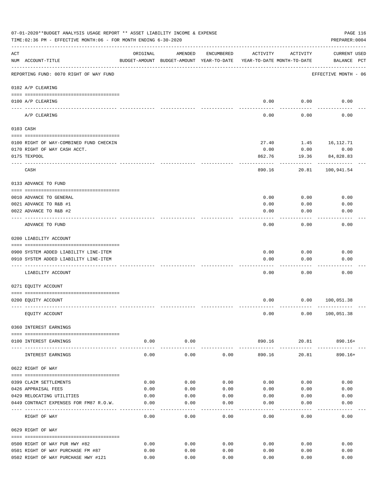|     | 07-01-2020**BUDGET ANALYSIS USAGE REPORT ** ASSET LIABILITY INCOME & EXPENSE<br>TIME: 02:36 PM - EFFECTIVE MONTH: 06 - FOR MONTH ENDING 6-30-2020 |          |                      |            |                                                                                 |                                | PAGE 116<br>PREPARER: 0004           |
|-----|---------------------------------------------------------------------------------------------------------------------------------------------------|----------|----------------------|------------|---------------------------------------------------------------------------------|--------------------------------|--------------------------------------|
| ACT | NUM ACCOUNT-TITLE                                                                                                                                 | ORIGINAL | AMENDED              | ENCUMBERED | ACTIVITY<br>BUDGET-AMOUNT BUDGET-AMOUNT YEAR-TO-DATE YEAR-TO-DATE MONTH-TO-DATE | ACTIVITY                       | <b>CURRENT USED</b><br>BALANCE PCT   |
|     | REPORTING FUND: 0070 RIGHT OF WAY FUND                                                                                                            |          |                      |            |                                                                                 |                                | EFFECTIVE MONTH - 06                 |
|     | 0102 A/P CLEARING                                                                                                                                 |          |                      |            |                                                                                 |                                |                                      |
|     | 0100 A/P CLEARING                                                                                                                                 |          |                      |            | 0.00                                                                            | 0.00                           | 0.00                                 |
|     | ---- --------<br>A/P CLEARING                                                                                                                     |          |                      |            | 0.00                                                                            | 0.00                           | 0.00                                 |
|     | 0103 CASH                                                                                                                                         |          |                      |            |                                                                                 |                                |                                      |
|     | 0100 RIGHT OF WAY-COMBINED FUND CHECKIN                                                                                                           |          |                      |            | 27.40                                                                           |                                | 1.45 16,112.71                       |
|     | 0170 RIGHT OF WAY CASH ACCT.                                                                                                                      |          |                      |            | 0.00                                                                            | 0.00                           | 0.00                                 |
|     | 0175 TEXPOOL                                                                                                                                      |          |                      |            | 862.76                                                                          | 19.36                          | 84,828.83                            |
|     | CASH                                                                                                                                              |          |                      |            | 890.16                                                                          | 20.81                          | 100,941.54                           |
|     | 0133 ADVANCE TO FUND                                                                                                                              |          |                      |            |                                                                                 |                                |                                      |
|     | 0010 ADVANCE TO GENERAL                                                                                                                           |          |                      |            | 0.00                                                                            | 0.00                           | 0.00                                 |
|     | 0021 ADVANCE TO R&B #1                                                                                                                            |          |                      |            | 0.00                                                                            | 0.00                           | 0.00                                 |
|     | 0022 ADVANCE TO R&B #2                                                                                                                            |          |                      |            | 0.00                                                                            | 0.00                           | 0.00                                 |
|     | ADVANCE TO FUND                                                                                                                                   |          |                      |            | 0.00                                                                            | 0.00                           | 0.00                                 |
|     | 0200 LIABILITY ACCOUNT                                                                                                                            |          |                      |            |                                                                                 |                                |                                      |
|     | 0900 SYSTEM ADDED LIABILITY LINE-ITEM                                                                                                             |          |                      |            | 0.00                                                                            | 0.00                           | 0.00                                 |
|     | 0910 SYSTEM ADDED LIABILITY LINE-ITEM                                                                                                             |          |                      |            | 0.00                                                                            | 0.00                           | 0.00                                 |
|     |                                                                                                                                                   |          |                      |            |                                                                                 |                                |                                      |
|     | LIABILITY ACCOUNT                                                                                                                                 |          |                      |            | 0.00                                                                            | 0.00                           | 0.00                                 |
|     | 0271 EQUITY ACCOUNT                                                                                                                               |          |                      |            |                                                                                 |                                |                                      |
|     |                                                                                                                                                   |          |                      |            |                                                                                 |                                |                                      |
|     | 0200 EQUITY ACCOUNT                                                                                                                               |          |                      |            | 0.00                                                                            |                                | 0.00 100,051.38                      |
|     | EQUITY ACCOUNT                                                                                                                                    |          |                      |            | 0.00                                                                            |                                | 0.00 100, 051.38                     |
|     | 0360 INTEREST EARNINGS                                                                                                                            |          |                      |            |                                                                                 |                                |                                      |
|     | 0100 INTEREST EARNINGS                                                                                                                            | 0.00     | 0.00<br>------------ |            |                                                                                 | 890.16 20.81<br>-------------- | 890.16+<br>. _ _ _ _ _ _ _ _ _ _ _ _ |
|     | INTEREST EARNINGS                                                                                                                                 | 0.00     | 0.00                 | 0.00       | 890.16                                                                          | 20.81                          | 890.16+                              |
|     | 0622 RIGHT OF WAY                                                                                                                                 |          |                      |            |                                                                                 |                                |                                      |
|     | 0399 CLAIM SETTLEMENTS                                                                                                                            | 0.00     | 0.00                 | 0.00       | 0.00                                                                            | 0.00                           | 0.00                                 |
|     | 0426 APPRAISAL FEES                                                                                                                               | 0.00     | 0.00                 | 0.00       | 0.00                                                                            | 0.00                           | 0.00                                 |
|     | 0429 RELOCATING UTILITIES                                                                                                                         | 0.00     | 0.00                 | 0.00       | 0.00                                                                            | 0.00                           | 0.00                                 |
|     | 0449 CONTRACT EXPENSES FOR FM87 R.O.W.                                                                                                            | 0.00     | 0.00                 | 0.00       | 0.00                                                                            | 0.00                           | 0.00                                 |
|     | RIGHT OF WAY                                                                                                                                      | 0.00     | 0.00                 | 0.00       | 0.00                                                                            | 0.00                           | 0.00                                 |
|     | 0629 RIGHT OF WAY                                                                                                                                 |          |                      |            |                                                                                 |                                |                                      |
|     | 0500 RIGHT OF WAY PUR HWY #82                                                                                                                     | 0.00     | 0.00                 | 0.00       | 0.00                                                                            | 0.00                           | 0.00                                 |
|     | 0501 RIGHT OF WAY PURCHASE FM #87                                                                                                                 | 0.00     | 0.00                 | 0.00       | 0.00                                                                            | 0.00                           | 0.00                                 |
|     | 0502 RIGHT OF WAY PURCHASE HWY #121                                                                                                               | 0.00     | 0.00                 | 0.00       | 0.00                                                                            | 0.00                           | 0.00                                 |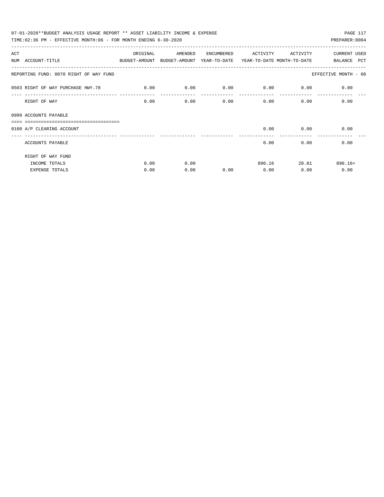| 07-01-2020**BUDGET ANALYSIS USAGE REPORT ** ASSET LIABILITY INCOME & EXPENSE             |             |         |            |             |             | PAGE 117             |
|------------------------------------------------------------------------------------------|-------------|---------|------------|-------------|-------------|----------------------|
| TIME: 02:36 PM - EFFECTIVE MONTH: 06 - FOR MONTH ENDING 6-30-2020                        |             |         |            |             |             | PREPARER: 0004       |
| ACT                                                                                      | ORIGINAL    | AMENDED | ENCUMBERED | ACTIVITY    | ACTIVITY    | <b>CURRENT USED</b>  |
| NUM ACCOUNT-TITLE<br>BUDGET-AMOUNT BUDGET-AMOUNT YEAR-TO-DATE YEAR-TO-DATE MONTH-TO-DATE |             |         |            |             |             | BALANCE PCT          |
| REPORTING FUND: 0070 RIGHT OF WAY FUND                                                   |             |         |            |             |             | EFFECTIVE MONTH - 06 |
| 0503 RIGHT OF WAY PURCHASE HWY.78                                                        | $\sim$ 0.00 | 0.00    | 0.00       | $0.00$ 0.00 |             | 0.00                 |
| RIGHT OF WAY                                                                             | 0.00        | 0.00    | 0.00       |             | $0.00$ 0.00 | 0.00                 |
| 0999 ACCOUNTS PAYABLE                                                                    |             |         |            |             |             |                      |
| 0100 A/P CLEARING ACCOUNT                                                                |             |         |            | 0.00        | 0.00        | 0.00                 |
| ACCOUNTS PAYABLE                                                                         |             |         |            | 0.00        | 0.00        | 0.00                 |
| RIGHT OF WAY FUND                                                                        |             |         |            |             |             |                      |
| INCOME TOTALS                                                                            | 0.00        | 0.00    |            | 890.16      | 20.81       | $890.16+$            |
| <b>EXPENSE TOTALS</b>                                                                    | 0.00        | 0.00    | 0.00       | 0.00        | 0.00        | 0.00                 |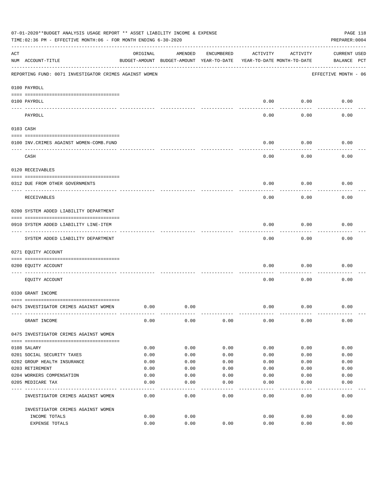|     | 07-01-2020**BUDGET ANALYSIS USAGE REPORT ** ASSET LIABILITY INCOME & EXPENSE<br>TIME:02:36 PM - EFFECTIVE MONTH:06 - FOR MONTH ENDING 6-30-2020 |          |                                                     |            |          |                                        | PAGE 118<br>PREPARER: 0004         |
|-----|-------------------------------------------------------------------------------------------------------------------------------------------------|----------|-----------------------------------------------------|------------|----------|----------------------------------------|------------------------------------|
| ACT | NUM ACCOUNT-TITLE                                                                                                                               | ORIGINAL | AMENDED<br>BUDGET-AMOUNT BUDGET-AMOUNT YEAR-TO-DATE | ENCUMBERED | ACTIVITY | ACTIVITY<br>YEAR-TO-DATE MONTH-TO-DATE | <b>CURRENT USED</b><br>BALANCE PCT |
|     | REPORTING FUND: 0071 INVESTIGATOR CRIMES AGAINST WOMEN                                                                                          |          |                                                     |            |          |                                        | EFFECTIVE MONTH - 06               |
|     | 0100 PAYROLL                                                                                                                                    |          |                                                     |            |          |                                        |                                    |
|     | 0100 PAYROLL                                                                                                                                    |          |                                                     |            | 0.00     | 0.00                                   | 0.00                               |
|     | ---- ----<br>PAYROLL                                                                                                                            |          |                                                     |            | 0.00     | 0.00                                   | 0.00                               |
|     | 0103 CASH                                                                                                                                       |          |                                                     |            |          |                                        |                                    |
|     | 0100 INV. CRIMES AGAINST WOMEN-COMB. FUND                                                                                                       |          |                                                     |            | 0.00     | 0.00                                   | 0.00                               |
|     | CASH                                                                                                                                            |          |                                                     |            | 0.00     | 0.00                                   | 0.00                               |
|     | 0120 RECEIVABLES                                                                                                                                |          |                                                     |            |          |                                        |                                    |
|     | 0312 DUE FROM OTHER GOVERNMENTS                                                                                                                 |          |                                                     |            | 0.00     | 0.00                                   | 0.00                               |
|     | RECEIVABLES                                                                                                                                     |          |                                                     |            | 0.00     | 0.00                                   | 0.00                               |
|     | 0200 SYSTEM ADDED LIABILITY DEPARTMENT                                                                                                          |          |                                                     |            |          |                                        |                                    |
|     | 0910 SYSTEM ADDED LIABILITY LINE-ITEM                                                                                                           |          |                                                     |            | 0.00     | 0.00                                   | 0.00                               |
|     | SYSTEM ADDED LIABILITY DEPARTMENT                                                                                                               |          |                                                     |            | 0.00     | 0.00                                   | 0.00                               |
|     | 0271 EQUITY ACCOUNT                                                                                                                             |          |                                                     |            |          |                                        |                                    |
|     | 0200 EQUITY ACCOUNT                                                                                                                             |          |                                                     |            | 0.00     | 0.00                                   | 0.00                               |
|     | EQUITY ACCOUNT                                                                                                                                  |          |                                                     |            | 0.00     | 0.00                                   | 0.00                               |
|     | 0330 GRANT INCOME                                                                                                                               |          |                                                     |            |          |                                        |                                    |
|     | 0475 INVESTIGATOR CRIMES AGAINST WOMEN                                                                                                          | 0.00     | 0.00                                                |            | 0.00     | 0.00                                   | 0.00                               |
|     | GRANT INCOME                                                                                                                                    | 0.00     | 0.00                                                | 0.00       | 0.00     | 0.00                                   | 0.00                               |
|     | 0475 INVESTIGATOR CRIMES AGAINST WOMEN                                                                                                          |          |                                                     |            |          |                                        |                                    |
|     | 0108 SALARY                                                                                                                                     | 0.00     | 0.00                                                | 0.00       | 0.00     | 0.00                                   | 0.00                               |
|     | 0201 SOCIAL SECURITY TAXES                                                                                                                      | 0.00     | 0.00                                                | 0.00       | 0.00     | 0.00                                   | 0.00                               |
|     | 0202 GROUP HEALTH INSURANCE                                                                                                                     | 0.00     | 0.00                                                | 0.00       | 0.00     | 0.00                                   | 0.00                               |
|     | 0203 RETIREMENT                                                                                                                                 | 0.00     | 0.00                                                | 0.00       | 0.00     | 0.00                                   | 0.00                               |
|     | 0204 WORKERS COMPENSATION                                                                                                                       | 0.00     | 0.00                                                | 0.00       | 0.00     | 0.00                                   | 0.00                               |
|     | 0205 MEDICARE TAX                                                                                                                               | 0.00     | 0.00                                                | 0.00       | 0.00     | 0.00                                   | 0.00                               |
|     | INVESTIGATOR CRIMES AGAINST WOMEN                                                                                                               | 0.00     | 0.00                                                | 0.00       | 0.00     | 0.00                                   | 0.00                               |
|     | INVESTIGATOR CRIMES AGAINST WOMEN                                                                                                               |          |                                                     |            |          |                                        |                                    |
|     | INCOME TOTALS                                                                                                                                   | 0.00     | 0.00                                                |            | 0.00     | 0.00                                   | 0.00                               |
|     | EXPENSE TOTALS                                                                                                                                  | 0.00     | 0.00                                                | 0.00       | 0.00     | 0.00                                   | 0.00                               |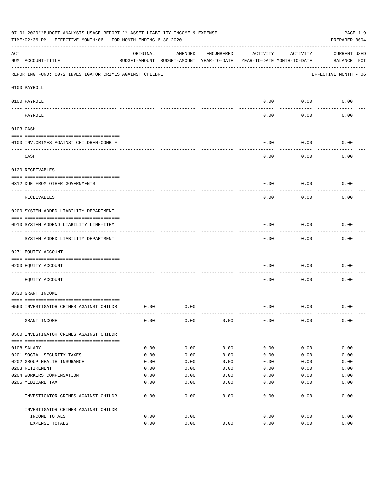|     | 07-01-2020**BUDGET ANALYSIS USAGE REPORT ** ASSET LIABILITY INCOME & EXPENSE<br>TIME:02:36 PM - EFFECTIVE MONTH:06 - FOR MONTH ENDING 6-30-2020 |          |                                                     |            |          |                                        | PAGE 119<br>PREPARER: 0004         |
|-----|-------------------------------------------------------------------------------------------------------------------------------------------------|----------|-----------------------------------------------------|------------|----------|----------------------------------------|------------------------------------|
| ACT | NUM ACCOUNT-TITLE                                                                                                                               | ORIGINAL | AMENDED<br>BUDGET-AMOUNT BUDGET-AMOUNT YEAR-TO-DATE | ENCUMBERED | ACTIVITY | ACTIVITY<br>YEAR-TO-DATE MONTH-TO-DATE | <b>CURRENT USED</b><br>BALANCE PCT |
|     | REPORTING FUND: 0072 INVESTIGATOR CRIMES AGAINST CHILDRE                                                                                        |          |                                                     |            |          |                                        | EFFECTIVE MONTH - 06               |
|     | 0100 PAYROLL                                                                                                                                    |          |                                                     |            |          |                                        |                                    |
|     | 0100 PAYROLL                                                                                                                                    |          |                                                     |            | 0.00     | 0.00                                   | 0.00                               |
|     | ---- ----<br>PAYROLL                                                                                                                            |          |                                                     |            | 0.00     | 0.00                                   | 0.00                               |
|     | 0103 CASH                                                                                                                                       |          |                                                     |            |          |                                        |                                    |
|     | 0100 INV. CRIMES AGAINST CHILDREN-COMB.F                                                                                                        |          |                                                     |            | 0.00     | 0.00                                   | 0.00                               |
|     | CASH                                                                                                                                            |          |                                                     |            | 0.00     | 0.00                                   | 0.00                               |
|     | 0120 RECEIVABLES                                                                                                                                |          |                                                     |            |          |                                        |                                    |
|     | 0312 DUE FROM OTHER GOVERNMENTS                                                                                                                 |          |                                                     |            | 0.00     | 0.00                                   | 0.00                               |
|     | RECEIVABLES                                                                                                                                     |          |                                                     |            | 0.00     | 0.00                                   | 0.00                               |
|     | 0200 SYSTEM ADDED LIABILITY DEPARTMENT                                                                                                          |          |                                                     |            |          |                                        |                                    |
|     | 0910 SYSTEM ADDEND LIABILITY LINE-ITEM                                                                                                          |          |                                                     |            | 0.00     | 0.00                                   | 0.00                               |
|     | SYSTEM ADDED LIABILITY DEPARTMENT                                                                                                               |          |                                                     |            | 0.00     | 0.00                                   | 0.00                               |
|     | 0271 EQUITY ACCOUNT                                                                                                                             |          |                                                     |            |          |                                        |                                    |
|     | 0200 EQUITY ACCOUNT                                                                                                                             |          |                                                     |            | 0.00     | 0.00                                   | 0.00                               |
|     | EQUITY ACCOUNT                                                                                                                                  |          |                                                     |            | 0.00     | 0.00                                   | 0.00                               |
|     | 0330 GRANT INCOME                                                                                                                               |          |                                                     |            |          |                                        |                                    |
|     | 0560 INVESTIGATOR CRIMES AGAINST CHILDR                                                                                                         | 0.00     | 0.00                                                |            | 0.00     | 0.00                                   | 0.00                               |
|     | GRANT INCOME                                                                                                                                    | 0.00     | 0.00                                                | 0.00       | 0.00     | 0.00                                   | 0.00                               |
|     | 0560 INVESTIGATOR CRIMES AGAINST CHILDR                                                                                                         |          |                                                     |            |          |                                        |                                    |
|     | 0108 SALARY                                                                                                                                     | 0.00     | 0.00                                                | 0.00       | 0.00     | 0.00                                   | 0.00                               |
|     | 0201 SOCIAL SECURITY TAXES                                                                                                                      | 0.00     | 0.00                                                | 0.00       | 0.00     | 0.00                                   | 0.00                               |
|     | 0202 GROUP HEALTH INSURANCE                                                                                                                     | 0.00     | 0.00                                                | 0.00       | 0.00     | 0.00                                   | 0.00                               |
|     | 0203 RETIREMENT                                                                                                                                 | 0.00     | 0.00                                                | 0.00       | 0.00     | 0.00                                   | 0.00                               |
|     | 0204 WORKERS COMPENSATION                                                                                                                       | 0.00     | 0.00                                                | 0.00       | 0.00     | 0.00                                   | 0.00                               |
|     | 0205 MEDICARE TAX                                                                                                                               | 0.00     | 0.00<br>----                                        | 0.00       | 0.00     | 0.00                                   | 0.00                               |
|     | INVESTIGATOR CRIMES AGAINST CHILDR                                                                                                              | 0.00     | 0.00                                                | 0.00       | 0.00     | 0.00                                   | 0.00                               |
|     | INVESTIGATOR CRIMES AGAINST CHILDR                                                                                                              |          |                                                     |            |          |                                        |                                    |
|     | INCOME TOTALS                                                                                                                                   | 0.00     | 0.00                                                |            | 0.00     | 0.00                                   | 0.00                               |
|     | EXPENSE TOTALS                                                                                                                                  | 0.00     | 0.00                                                | 0.00       | 0.00     | 0.00                                   | 0.00                               |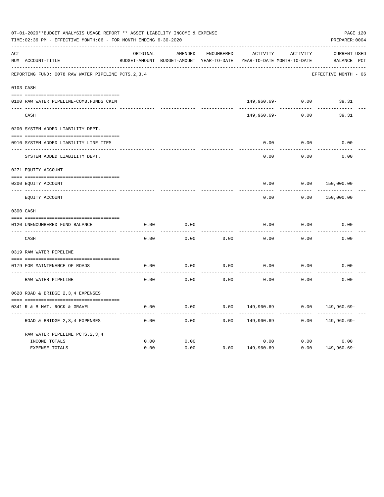|     | 07-01-2020**BUDGET ANALYSIS USAGE REPORT ** ASSET LIABILITY INCOME & EXPENSE<br>TIME: 02:36 PM - EFFECTIVE MONTH: 06 - FOR MONTH ENDING 6-30-2020 |          |                                                     |                   |                                        |          | PREPARER: 0004                     | PAGE 120 |
|-----|---------------------------------------------------------------------------------------------------------------------------------------------------|----------|-----------------------------------------------------|-------------------|----------------------------------------|----------|------------------------------------|----------|
| ACT | NUM ACCOUNT-TITLE                                                                                                                                 | ORIGINAL | AMENDED<br>BUDGET-AMOUNT BUDGET-AMOUNT YEAR-TO-DATE | <b>ENCUMBERED</b> | ACTIVITY<br>YEAR-TO-DATE MONTH-TO-DATE | ACTIVITY | <b>CURRENT USED</b><br>BALANCE PCT |          |
|     | REPORTING FUND: 0078 RAW WATER PIPELINE PCTS. 2, 3, 4                                                                                             |          |                                                     |                   |                                        |          | EFFECTIVE MONTH - 06               |          |
|     | 0103 CASH                                                                                                                                         |          |                                                     |                   |                                        |          |                                    |          |
|     | 0100 RAW WATER PIPELINE-COMB. FUNDS CKIN                                                                                                          |          |                                                     |                   | 149,960.69-                            | 0.00     | 39.31                              |          |
|     | CASH                                                                                                                                              |          |                                                     |                   | 149,960.69-                            | 0.00     | 39.31                              |          |
|     | 0200 SYSTEM ADDED LIABILITY DEPT.                                                                                                                 |          |                                                     |                   |                                        |          |                                    |          |
|     | 0910 SYSTEM ADDED LIABILITY LINE ITEM                                                                                                             |          |                                                     |                   | 0.00                                   | 0.00     | 0.00                               |          |
|     | SYSTEM ADDED LIABILITY DEPT.                                                                                                                      |          |                                                     |                   | 0.00                                   | 0.00     | 0.00                               |          |
|     | 0271 EQUITY ACCOUNT                                                                                                                               |          |                                                     |                   |                                        |          |                                    |          |
|     | 0200 EQUITY ACCOUNT                                                                                                                               |          |                                                     |                   | 0.00                                   | 0.00     | 150,000.00                         |          |
|     | ---- -----------<br>EQUITY ACCOUNT                                                                                                                |          |                                                     |                   | 0.00                                   | 0.00     | 150,000.00                         |          |
|     | 0300 CASH                                                                                                                                         |          |                                                     |                   |                                        |          |                                    |          |
|     | 0120 UNENCUMBERED FUND BALANCE                                                                                                                    | 0.00     | 0.00                                                |                   | 0.00                                   | 0.00     | 0.00                               |          |
|     | CASH                                                                                                                                              | 0.00     | 0.00                                                | 0.00              | 0.00                                   | 0.00     | 0.00                               |          |
|     | 0319 RAW WATER PIPELINE                                                                                                                           |          |                                                     |                   |                                        |          |                                    |          |
|     | 0179 FOR MAINTENANCE OF ROADS                                                                                                                     | 0.00     | 0.00                                                | 0.00              | 0.00                                   | 0.00     | 0.00                               |          |
|     | RAW WATER PIPELINE                                                                                                                                | 0.00     | 0.00                                                | 0.00              | 0.00                                   | 0.00     | 0.00                               |          |
|     | 0628 ROAD & BRIDGE 2,3,4 EXPENSES                                                                                                                 |          |                                                     |                   |                                        |          |                                    |          |
|     | 0341 R & B MAT. ROCK & GRAVEL                                                                                                                     | 0.00     | 0.00                                                | 0.00              | 149,960.69                             | 0.00     | 149,960.69-                        |          |
|     | ROAD & BRIDGE 2, 3, 4 EXPENSES                                                                                                                    | 0.00     | 0.00                                                | 0.00              | 149,960.69                             | 0.00     | 149,960.69-                        |          |
|     | RAW WATER PIPELINE PCTS. 2, 3, 4                                                                                                                  |          |                                                     |                   |                                        |          |                                    |          |
|     | INCOME TOTALS                                                                                                                                     | 0.00     | 0.00                                                |                   | 0.00                                   | 0.00     | 0.00                               |          |
|     | <b>EXPENSE TOTALS</b>                                                                                                                             | 0.00     | 0.00                                                | 0.00              | 149,960.69                             | 0.00     | 149,960.69-                        |          |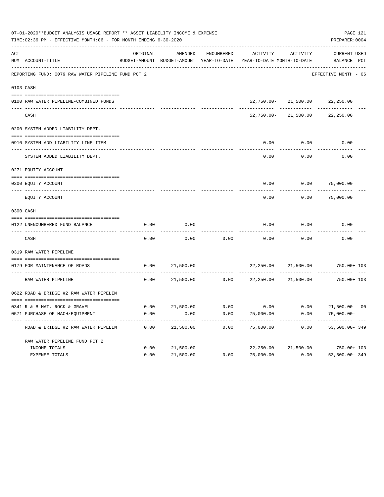|     | 07-01-2020**BUDGET ANALYSIS USAGE REPORT ** ASSET LIABILITY INCOME & EXPENSE<br>TIME:02:36 PM - EFFECTIVE MONTH:06 - FOR MONTH ENDING 6-30-2020 |              |           |            |                                                                                 |                                | PAGE 121<br>PREPARER: 0004                                 |
|-----|-------------------------------------------------------------------------------------------------------------------------------------------------|--------------|-----------|------------|---------------------------------------------------------------------------------|--------------------------------|------------------------------------------------------------|
| ACT | NUM ACCOUNT-TITLE                                                                                                                               | ORIGINAL     | AMENDED   | ENCUMBERED | ACTIVITY<br>BUDGET-AMOUNT BUDGET-AMOUNT YEAR-TO-DATE YEAR-TO-DATE MONTH-TO-DATE | ACTIVITY                       | CURRENT USED<br>BALANCE PCT                                |
|     | REPORTING FUND: 0079 RAW WATER PIPELINE FUND PCT 2                                                                                              |              |           |            |                                                                                 |                                | EFFECTIVE MONTH - 06                                       |
|     | 0103 CASH                                                                                                                                       |              |           |            |                                                                                 |                                |                                                            |
|     | 0100 RAW WATER PIPELINE-COMBINED FUNDS                                                                                                          |              |           |            |                                                                                 | 52,750.00-21,500.00 22,250.00  |                                                            |
|     | CASH                                                                                                                                            |              |           |            |                                                                                 | 52,750.00- 21,500.00 22,250.00 |                                                            |
|     | 0200 SYSTEM ADDED LIABILITY DEPT.                                                                                                               |              |           |            |                                                                                 |                                |                                                            |
|     | 0910 SYSTEM ADD LIABILITY LINE ITEM                                                                                                             |              |           |            | 0.00                                                                            | 0.00                           | 0.00                                                       |
|     | SYSTEM ADDED LIABILITY DEPT.                                                                                                                    |              |           |            | 0.00                                                                            | 0.00                           | 0.00                                                       |
|     | 0271 EQUITY ACCOUNT                                                                                                                             |              |           |            |                                                                                 |                                |                                                            |
|     | 0200 EQUITY ACCOUNT                                                                                                                             |              |           |            | 0.00                                                                            |                                | 0.00 75,000.00                                             |
|     | EQUITY ACCOUNT                                                                                                                                  |              |           |            | 0.00                                                                            | 0.00                           | 75,000.00                                                  |
|     | 0300 CASH                                                                                                                                       |              |           |            |                                                                                 |                                |                                                            |
|     | 0122 UNENCUMBERED FUND BALANCE                                                                                                                  | 0.00         | 0.00      |            | 0.00                                                                            | 0.00                           | 0.00                                                       |
|     | CASH                                                                                                                                            | 0.00         | 0.00      | 0.00       | 0.00                                                                            | 0.00                           | 0.00                                                       |
|     | 0319 RAW WATER PIPELINE                                                                                                                         |              |           |            |                                                                                 |                                |                                                            |
|     | 0179 FOR MAINTENANCE OF ROADS                                                                                                                   | 0.00         | 21,500.00 |            |                                                                                 | 22,250.00 21,500.00            | 750.00+ 103                                                |
|     | RAW WATER PIPELINE                                                                                                                              | 0.00         | 21,500.00 |            | $0.00$ 22,250.00                                                                | 21,500.00                      | $750.00 + 103$                                             |
|     | 0622 ROAD & BRIDGE #2 RAW WATER PIPELIN                                                                                                         |              |           |            |                                                                                 |                                |                                                            |
|     |                                                                                                                                                 |              |           |            |                                                                                 |                                |                                                            |
|     | 0341 R & B MAT. ROCK & GRAVEL<br>0571 PURCHASE OF MACH/EQUIPMENT                                                                                | 0.00<br>0.00 | 0.00      | 0.00       | 75,000.00                                                                       | 0.00                           | $21,500.00$ 0.00 0.00 0.00 0.00 21,500.00 00<br>75,000.00- |
|     | ROAD & BRIDGE #2 RAW WATER PIPELIN                                                                                                              | 0.00         | 21,500.00 | 0.00       | 75,000.00                                                                       | 0.00                           | 53,500.00-349                                              |
|     | RAW WATER PIPELINE FUND PCT 2                                                                                                                   |              |           |            |                                                                                 |                                |                                                            |
|     | INCOME TOTALS                                                                                                                                   | 0.00         | 21,500.00 |            | 22,250.00                                                                       | 21,500.00                      | 750.00+ 103                                                |
|     | EXPENSE TOTALS                                                                                                                                  | 0.00         | 21,500.00 | 0.00       | 75,000.00                                                                       | 0.00                           | 53,500.00-349                                              |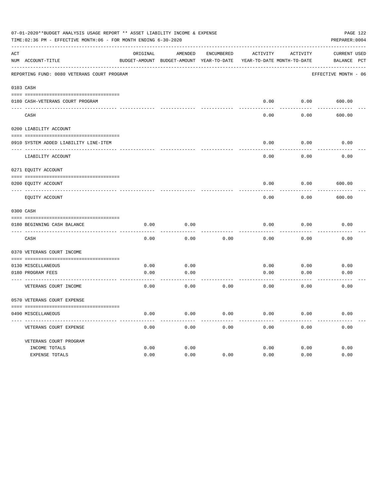|     | 07-01-2020**BUDGET ANALYSIS USAGE REPORT ** ASSET LIABILITY INCOME & EXPENSE<br>TIME:02:36 PM - EFFECTIVE MONTH:06 - FOR MONTH ENDING 6-30-2020 |          |                                                                     |            |          |               | PAGE 122<br>PREPARER: 0004 |
|-----|-------------------------------------------------------------------------------------------------------------------------------------------------|----------|---------------------------------------------------------------------|------------|----------|---------------|----------------------------|
| ACT |                                                                                                                                                 | ORIGINAL | AMENDED                                                             | ENCUMBERED | ACTIVITY | ACTIVITY      | CURRENT USED               |
|     | NUM ACCOUNT-TITLE                                                                                                                               |          | BUDGET-AMOUNT BUDGET-AMOUNT YEAR-TO-DATE YEAR-TO-DATE MONTH-TO-DATE |            |          |               | BALANCE PCT                |
|     | REPORTING FUND: 0080 VETERANS COURT PROGRAM                                                                                                     |          |                                                                     |            |          |               | EFFECTIVE MONTH - 06       |
|     | 0103 CASH                                                                                                                                       |          |                                                                     |            |          |               |                            |
|     | 0180 CASH-VETERANS COURT PROGRAM                                                                                                                |          |                                                                     |            | 0.00     | $0.00$ 600.00 |                            |
|     | CASH                                                                                                                                            |          |                                                                     |            | 0.00     | 0.00          | 600.00                     |
|     | 0200 LIABILITY ACCOUNT                                                                                                                          |          |                                                                     |            |          |               |                            |
|     | 0910 SYSTEM ADDED LIABILITY LINE-ITEM                                                                                                           |          |                                                                     |            | 0.00     | 0.00          | 0.00                       |
|     | LIABILITY ACCOUNT                                                                                                                               |          |                                                                     |            | 0.00     | 0.00          | 0.00                       |
|     | 0271 EQUITY ACCOUNT                                                                                                                             |          |                                                                     |            |          |               |                            |
|     | 0200 EQUITY ACCOUNT                                                                                                                             |          |                                                                     |            | 0.00     | 0.00          | 600.00                     |
|     | EQUITY ACCOUNT                                                                                                                                  |          |                                                                     |            | 0.00     | 0.00          | 600.00                     |
|     | 0300 CASH                                                                                                                                       |          |                                                                     |            |          |               |                            |
|     | 0180 BEGINNING CASH BALANCE                                                                                                                     | 0.00     | 0.00                                                                |            | 0.00     | 0.00          | 0.00                       |
|     | CASH                                                                                                                                            | 0.00     | 0.00                                                                | 0.00       | 0.00     | 0.00          | 0.00                       |
|     | 0370 VETERANS COURT INCOME                                                                                                                      |          |                                                                     |            |          |               |                            |
|     | 0130 MISCELLANEOUS                                                                                                                              | 0.00     | 0.00                                                                |            | 0.00     | 0.00          | 0.00                       |
|     | 0180 PROGRAM FEES<br>------------------------ -----                                                                                             | 0.00     | 0.00<br>-------                                                     |            | 0.00     | 0.00          | 0.00                       |
|     | VETERANS COURT INCOME                                                                                                                           | 0.00     | 0.00                                                                | 0.00       | 0.00     | 0.00          | 0.00                       |
|     | 0570 VETERANS COURT EXPENSE                                                                                                                     |          |                                                                     |            |          |               |                            |
|     | 0490 MISCELLANEOUS                                                                                                                              | 0.00     | 0.00                                                                | 0.00       | 0.00     | 0.00          | 0.00                       |
|     | VETERANS COURT EXPENSE                                                                                                                          | 0.00     | 0.00                                                                | 0.00       | 0.00     | 0.00          | 0.00                       |
|     | VETERANS COURT PROGRAM                                                                                                                          |          |                                                                     |            |          |               |                            |
|     | INCOME TOTALS                                                                                                                                   | 0.00     | 0.00                                                                |            | 0.00     | 0.00          | 0.00                       |
|     | EXPENSE TOTALS                                                                                                                                  | 0.00     | 0.00                                                                | 0.00       | 0.00     | 0.00          | 0.00                       |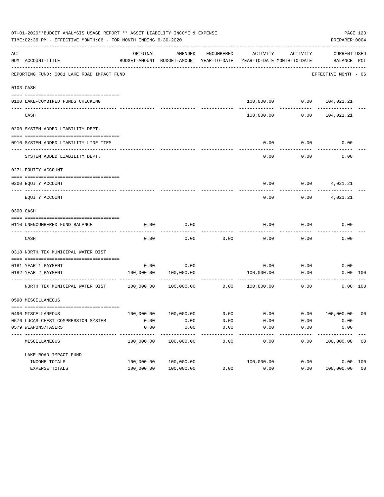|     | 07-01-2020**BUDGET ANALYSIS USAGE REPORT ** ASSET LIABILITY INCOME & EXPENSE<br>PAGE 123<br>TIME: 02:36 PM - EFFECTIVE MONTH: 06 - FOR MONTH ENDING 6-30-2020<br>PREPARER: 0004 |                    |                                                     |              |                                        |                 |                                    |                |  |  |  |  |  |
|-----|---------------------------------------------------------------------------------------------------------------------------------------------------------------------------------|--------------------|-----------------------------------------------------|--------------|----------------------------------------|-----------------|------------------------------------|----------------|--|--|--|--|--|
| ACT | NUM ACCOUNT-TITLE                                                                                                                                                               | ORIGINAL           | AMENDED<br>BUDGET-AMOUNT BUDGET-AMOUNT YEAR-TO-DATE | ENCUMBERED   | ACTIVITY<br>YEAR-TO-DATE MONTH-TO-DATE | ACTIVITY        | <b>CURRENT USED</b><br>BALANCE PCT |                |  |  |  |  |  |
|     | REPORTING FUND: 0081 LAKE ROAD IMPACT FUND                                                                                                                                      |                    |                                                     |              |                                        |                 | EFFECTIVE MONTH - 06               |                |  |  |  |  |  |
|     | 0103 CASH                                                                                                                                                                       |                    |                                                     |              |                                        |                 |                                    |                |  |  |  |  |  |
|     | 0100 LAKE-COMBINED FUNDS CHECKING                                                                                                                                               |                    |                                                     |              |                                        |                 | 100,000.00   0.00   104,021.21     |                |  |  |  |  |  |
|     | CASH                                                                                                                                                                            |                    |                                                     |              |                                        | 100,000.00 0.00 | 104,021.21                         |                |  |  |  |  |  |
|     | 0200 SYSTEM ADDED LIABILITY DEPT.                                                                                                                                               |                    |                                                     |              |                                        |                 |                                    |                |  |  |  |  |  |
|     | 0910 SYSTEM ADDED LIABILITY LINE ITEM                                                                                                                                           |                    |                                                     |              | 0.00                                   | 0.00            | 0.00                               |                |  |  |  |  |  |
|     | SYSTEM ADDED LIABILITY DEPT.                                                                                                                                                    |                    |                                                     |              | 0.00                                   | 0.00            | 0.00                               |                |  |  |  |  |  |
|     | 0271 EOUITY ACCOUNT                                                                                                                                                             |                    |                                                     |              |                                        |                 |                                    |                |  |  |  |  |  |
|     | 0200 EQUITY ACCOUNT                                                                                                                                                             |                    |                                                     |              | 0.00                                   |                 | $0.00$ $4,021.21$                  |                |  |  |  |  |  |
|     | EQUITY ACCOUNT                                                                                                                                                                  |                    |                                                     |              | 0.00                                   | 0.00            | 4,021.21                           |                |  |  |  |  |  |
|     | 0300 CASH                                                                                                                                                                       |                    |                                                     |              |                                        |                 |                                    |                |  |  |  |  |  |
|     | 0110 UNENCUMBERED FUND BALANCE                                                                                                                                                  | 0.00               | 0.00                                                |              | 0.00                                   | 0.00            | 0.00                               |                |  |  |  |  |  |
|     | CASH                                                                                                                                                                            | 0.00               | 0.00                                                | 0.00         | 0.00                                   | 0.00            | 0.00                               |                |  |  |  |  |  |
|     | 0318 NORTH TEX MUNICIPAL WATER DIST                                                                                                                                             |                    |                                                     |              |                                        |                 |                                    |                |  |  |  |  |  |
|     | 0181 YEAR 1 PAYMENT                                                                                                                                                             | 0.00               | 0.00                                                |              |                                        | $0.00$ 0.00     | 0.00                               |                |  |  |  |  |  |
|     | 0182 YEAR 2 PAYMENT                                                                                                                                                             |                    | 100,000.00 100,000.00                               |              | 100,000.00                             | 0.00            |                                    | 0.00 100       |  |  |  |  |  |
|     | NORTH TEX MUNICIPAL WATER DIST $100,000.00$ $100,000.00$ $0.00$                                                                                                                 |                    |                                                     |              | 100,000.00                             | 0.00            |                                    | 0.00 100       |  |  |  |  |  |
|     | 0590 MISCELLANEOUS                                                                                                                                                              |                    |                                                     |              |                                        |                 |                                    |                |  |  |  |  |  |
|     |                                                                                                                                                                                 |                    |                                                     |              |                                        |                 |                                    |                |  |  |  |  |  |
|     | 0490 MISCELLANEOUS<br>0576 LUCAS CHEST COMPRESSION SYSTEM                                                                                                                       | 100,000.00<br>0.00 | 100,000.00<br>0.00                                  | 0.00<br>0.00 | 0.00<br>0.00                           | 0.00<br>0.00    | 100,000.00<br>0.00                 | 0 <sub>0</sub> |  |  |  |  |  |
|     | 0579 WEAPONS/TASERS                                                                                                                                                             | 0.00               | 0.00                                                | 0.00         | 0.00                                   | 0.00            | 0.00                               |                |  |  |  |  |  |
|     | MISCELLANEOUS                                                                                                                                                                   | 100,000.00         | 100,000.00                                          | ----<br>0.00 | 0.00                                   | 0.00            | 100,000.00                         | 00             |  |  |  |  |  |
|     | LAKE ROAD IMPACT FUND                                                                                                                                                           |                    |                                                     |              |                                        |                 |                                    |                |  |  |  |  |  |
|     | INCOME TOTALS                                                                                                                                                                   | 100,000.00         | 100,000.00                                          |              | 100,000.00                             | 0.00            |                                    | 0.00 100       |  |  |  |  |  |
|     | EXPENSE TOTALS                                                                                                                                                                  | 100,000.00         | 100,000.00                                          | 0.00         | 0.00                                   | 0.00            | 100,000.00 00                      |                |  |  |  |  |  |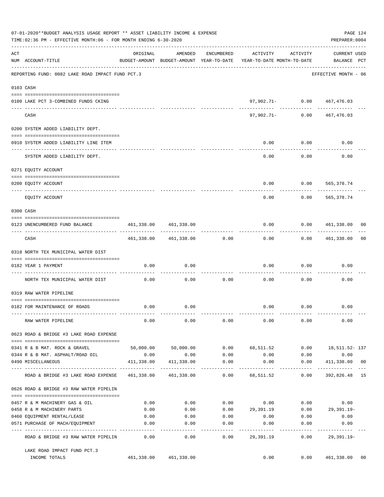|     | 07-01-2020**BUDGET ANALYSIS USAGE REPORT ** ASSET LIABILITY INCOME & EXPENSE<br>TIME:02:36 PM - EFFECTIVE MONTH:06 - FOR MONTH ENDING 6-30-2020 |                           |                                                                                |                     |                                    |                                   | PREPARER: 0004                     | PAGE 124 |
|-----|-------------------------------------------------------------------------------------------------------------------------------------------------|---------------------------|--------------------------------------------------------------------------------|---------------------|------------------------------------|-----------------------------------|------------------------------------|----------|
| ACT | NUM ACCOUNT-TITLE                                                                                                                               | ORIGINAL                  | AMENDED<br>BUDGET-AMOUNT BUDGET-AMOUNT YEAR-TO-DATE YEAR-TO-DATE MONTH-TO-DATE | ENCUMBERED          | ACTIVITY                           | ACTIVITY                          | <b>CURRENT USED</b><br>BALANCE PCT |          |
|     | REPORTING FUND: 0082 LAKE ROAD IMPACT FUND PCT.3                                                                                                |                           |                                                                                |                     |                                    |                                   | EFFECTIVE MONTH - 06               |          |
|     | 0103 CASH                                                                                                                                       |                           |                                                                                |                     |                                    |                                   |                                    |          |
|     | 0100 LAKE PCT 3-COMBINED FUNDS CKING                                                                                                            |                           |                                                                                |                     |                                    | 97,902.71- 0.00 467,476.03        |                                    |          |
|     | CASH                                                                                                                                            |                           |                                                                                |                     |                                    | -----------<br>$97,902.71 - 0.00$ | -------<br>467,476.03              |          |
|     | 0200 SYSTEM ADDED LIABILITY DEPT.                                                                                                               |                           |                                                                                |                     |                                    |                                   |                                    |          |
|     | 0910 SYSTEM ADDED LIABILITY LINE ITEM                                                                                                           |                           |                                                                                |                     | 0.00                               | 0.00                              | 0.00                               |          |
|     | SYSTEM ADDED LIABILITY DEPT.                                                                                                                    |                           |                                                                                |                     | 0.00                               | 0.00                              | 0.00                               |          |
|     | 0271 EQUITY ACCOUNT                                                                                                                             |                           |                                                                                |                     |                                    |                                   |                                    |          |
|     | 0200 EQUITY ACCOUNT                                                                                                                             |                           |                                                                                |                     | 0.00                               | 0.00                              | 565,378.74                         |          |
|     | EQUITY ACCOUNT                                                                                                                                  |                           |                                                                                |                     | 0.00                               | 0.00                              | ---------<br>565,378.74            |          |
|     | 0300 CASH                                                                                                                                       |                           |                                                                                |                     |                                    |                                   |                                    |          |
|     | 0123 UNENCUMBERED FUND BALANCE                                                                                                                  | 461,338.00                | 461,338.00                                                                     |                     | 0.00                               |                                   | 0.0000461,338.00                   | 00       |
|     | CASH                                                                                                                                            | ----------- ------------- | 461,338.00 461,338.00                                                          | 0.00                | 0.00                               | 0.00                              | 461,338.00                         | 00       |
|     | 0318 NORTH TEX MUNICIPAL WATER DIST                                                                                                             |                           |                                                                                |                     |                                    |                                   |                                    |          |
|     | 0182 YEAR 1 PAYMENT                                                                                                                             | 0.00                      | 0.00                                                                           |                     | 0.00                               | 0.00                              | 0.00                               |          |
|     | NORTH TEX MUNICIPAL WATER DIST                                                                                                                  | 0.00                      | 0.00                                                                           | 0.00                | 0.00                               | 0.00                              | 0.00                               |          |
|     | 0319 RAW WATER PIPELINE                                                                                                                         |                           |                                                                                |                     |                                    |                                   |                                    |          |
|     | 0182 FOR MAINTENANCE OF ROADS                                                                                                                   | 0.00                      | 0.00                                                                           |                     |                                    | $0.00$ $0.00$                     | 0.00                               |          |
|     | RAW WATER PIPELINE                                                                                                                              | 0.00                      | 0.00                                                                           | 0.00                | 0.00                               | 0.00                              | 0.00                               |          |
|     | 0623 ROAD & BRIDGE #3 LAKE ROAD EXPENSE                                                                                                         |                           |                                                                                |                     |                                    |                                   |                                    |          |
|     | 0341 R & B MAT. ROCK & GRAVEL                                                                                                                   |                           | 50,000.00 50,000.00                                                            |                     | $0.00$ 68,511.52                   | 0.00                              | 18,511.52- 137                     |          |
|     | 0344 R & B MAT. ASPHALT/ROAD OIL                                                                                                                | 0.00                      | 0.00                                                                           | 0.00                | 0.00                               | 0.00                              | 0.00                               |          |
|     | 0490 MISCELLANEOUS                                                                                                                              | 411,338.00                | 411,338.00                                                                     | 0.00                | 0.00                               | 0.00                              | 411,338.00 00<br>------------      |          |
|     | ROAD & BRIDGE #3 LAKE ROAD EXPENSE                                                                                                              |                           | 461,338.00 461,338.00                                                          | -----------<br>0.00 | 68,511.52                          | ----------<br>0.00                | 392,826.48 15                      |          |
|     | 0626 ROAD & BRIDGE #3 RAW WATER PIPELIN                                                                                                         |                           |                                                                                |                     |                                    |                                   |                                    |          |
|     | 0457 R & M MACHINERY GAS & OIL                                                                                                                  | 0.00                      | 0.00                                                                           |                     | $0.00$ $0.00$ $0.00$               |                                   | 0.00                               |          |
|     | 0458 R & M MACHINERY PARTS                                                                                                                      | 0.00                      | 0.00                                                                           |                     | $0.00$ 29,391.19 $0.00$ 29,391.19- |                                   |                                    |          |
|     | 0460 EQUIPMENT RENTAL/LEASE                                                                                                                     | 0.00                      | 0.00                                                                           | 0.00                | 0.00                               | 0.00                              | 0.00                               |          |
|     | 0571 PURCHASE OF MACH/EQUIPMENT                                                                                                                 | 0.00<br>-----------       | 0.00<br>---------                                                              | 0.00<br>-------     | 0.00<br>.                          | 0.00<br>---------                 | 0.00<br>----------                 |          |
|     | ROAD & BRIDGE #3 RAW WATER PIPELIN                                                                                                              | 0.00                      | 0.00                                                                           | 0.00                | 29,391.19                          | 0.00                              | 29,391.19-                         |          |
|     | LAKE ROAD IMPACT FUND PCT.3                                                                                                                     |                           |                                                                                |                     |                                    |                                   |                                    |          |
|     | INCOME TOTALS                                                                                                                                   |                           | 461,338.00 461,338.00                                                          |                     | 0.00                               | 0.00                              | 461,338.00                         | 00       |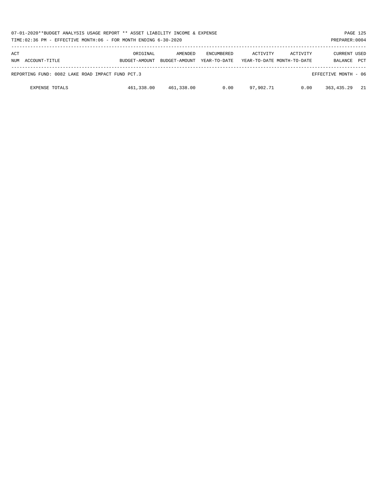| 07-01-2020**BUDGET ANALYSIS USAGE REPORT ** ASSET LIABILITY INCOME & EXPENSE<br>TIME:02:36 PM - EFFECTIVE MONTH:06 - FOR MONTH ENDING 6-30-2020 |                           |                          |                                   |                                        |          | PREPARER: 0004          | PAGE 125   |
|-------------------------------------------------------------------------------------------------------------------------------------------------|---------------------------|--------------------------|-----------------------------------|----------------------------------------|----------|-------------------------|------------|
| ACT<br>NUM ACCOUNT-TITLE                                                                                                                        | ORIGINAL<br>BUDGET-AMOUNT | AMENDED<br>BUDGET-AMOUNT | <b>ENCUMBERED</b><br>YEAR-TO-DATE | ACTIVITY<br>YEAR-TO-DATE MONTH-TO-DATE | ACTIVITY | CURRENT USED<br>BALANCE | <b>PCT</b> |
| REPORTING FUND: 0082 LAKE ROAD IMPACT FUND PCT.3                                                                                                |                           |                          |                                   |                                        |          | EFFECTIVE MONTH - 06    |            |
| <b>EXPENSE TOTALS</b>                                                                                                                           | 461,338.00                | 461,338.00               | 0.00                              | 97,902.71                              | 0.00     | 363,435.29              | 21         |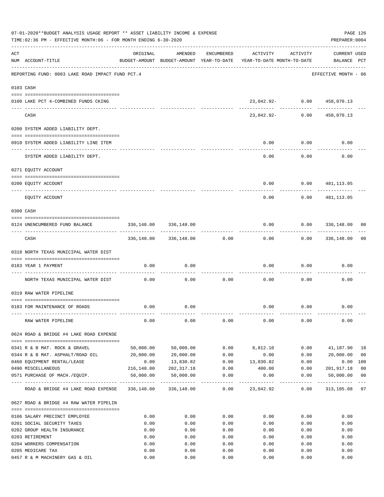|     | 07-01-2020**BUDGET ANALYSIS USAGE REPORT ** ASSET LIABILITY INCOME & EXPENSE<br>TIME:02:36 PM - EFFECTIVE MONTH:06 - FOR MONTH ENDING 6-30-2020 |            |                            |                     |                                                                                 |                  | PAGE 126<br>PREPARER: 0004         |                |
|-----|-------------------------------------------------------------------------------------------------------------------------------------------------|------------|----------------------------|---------------------|---------------------------------------------------------------------------------|------------------|------------------------------------|----------------|
| ACT | NUM ACCOUNT-TITLE                                                                                                                               | ORIGINAL   | AMENDED                    | ENCUMBERED          | ACTIVITY<br>BUDGET-AMOUNT BUDGET-AMOUNT YEAR-TO-DATE YEAR-TO-DATE MONTH-TO-DATE | ACTIVITY         | <b>CURRENT USED</b><br>BALANCE PCT |                |
|     | REPORTING FUND: 0083 LAKE ROAD IMPACT FUND PCT.4                                                                                                |            |                            |                     |                                                                                 |                  | EFFECTIVE MONTH - 06               |                |
|     | 0103 CASH                                                                                                                                       |            |                            |                     |                                                                                 |                  |                                    |                |
|     | 0100 LAKE PCT 4-COMBINED FUNDS CKING                                                                                                            |            |                            |                     | 23,042.92- 0.00 458,070.13                                                      |                  |                                    |                |
|     | CASH                                                                                                                                            |            |                            |                     | 23,042.92- 0.00                                                                 | -- ------------- | ------------<br>458,070.13         |                |
|     | 0200 SYSTEM ADDED LIABILITY DEPT.                                                                                                               |            |                            |                     |                                                                                 |                  |                                    |                |
|     | 0910 SYSTEM ADDED LIABILITY LINE ITEM                                                                                                           |            |                            |                     | 0.00                                                                            | 0.00             | 0.00                               |                |
|     | SYSTEM ADDED LIABILITY DEPT.                                                                                                                    |            |                            |                     | 0.00                                                                            | 0.00             | 0.00                               |                |
|     | 0271 EQUITY ACCOUNT                                                                                                                             |            |                            |                     |                                                                                 |                  |                                    |                |
|     | 0200 EQUITY ACCOUNT                                                                                                                             |            |                            |                     | 0.00                                                                            | 0.00             | 481,113.05                         |                |
|     | ------------------- ---------<br>EQUITY ACCOUNT                                                                                                 |            |                            |                     | 0.00                                                                            | 0.00             | 481,113.05                         |                |
|     | 0300 CASH                                                                                                                                       |            |                            |                     |                                                                                 |                  |                                    |                |
|     | 0124 UNENCUMBERED FUND BALANCE                                                                                                                  | 336,148.00 | 336,148.00                 |                     | 0.00                                                                            |                  | 0.0000336,148.00                   | 00             |
|     | CASH                                                                                                                                            |            | 336,148.00 336,148.00 0.00 |                     | 0.00                                                                            |                  | $0.00$ 336,148.00                  | 00             |
|     | 0318 NORTH TEXAS MUNICIPAL WATER DIST                                                                                                           |            |                            |                     |                                                                                 |                  |                                    |                |
|     | 0183 YEAR 1 PAYMENT                                                                                                                             | 0.00       | 0.00                       |                     | 0.00                                                                            | 0.00             | 0.00                               |                |
|     | ------------------------------ ----                                                                                                             |            |                            |                     |                                                                                 |                  |                                    |                |
|     | NORTH TEXAS MUNICIPAL WATER DIST                                                                                                                | 0.00       | 0.00                       | 0.00                | 0.00                                                                            | 0.00             | 0.00                               |                |
|     | 0319 RAW WATER PIPELINE                                                                                                                         |            |                            |                     |                                                                                 |                  |                                    |                |
|     | 0183 FOR MAINTENANCE OF ROADS                                                                                                                   | 0.00       | 0.00                       |                     |                                                                                 | $0.00$ 0.00      | 0.00                               |                |
|     | RAW WATER PIPELINE                                                                                                                              | 0.00       | 0.00                       | 0.00                | 0.00                                                                            | 0.00             | 0.00                               |                |
|     | 0624 ROAD & BRIDGE #4 LAKE ROAD EXPENSE                                                                                                         |            |                            |                     |                                                                                 |                  |                                    |                |
|     | 0341 R & B MAT. ROCK & GRAVEL                                                                                                                   | 50,000.00  | 50,000.00                  | 0.00                | 8,812.10                                                                        | 0.00             | 41,187.90                          | 18             |
|     | 0344 R & B MAT. ASPHALT/ROAD OIL                                                                                                                | 20,000.00  | 20,000.00                  | 0.00                | 0.00                                                                            | 0.00             | 20,000.00                          | 0 <sub>0</sub> |
|     | 0460 EQUIPMENT RENTAL/LEASE                                                                                                                     | 0.00       | 13,830.82                  | 0.00                | 13,830.82                                                                       | 0.00             | 0.00                               | 100            |
|     | 0490 MISCELLANEOUS                                                                                                                              | 216,148.00 | 202,317.18                 | 0.00                | 400.00                                                                          | 0.00             | 201,917.18                         | 0 <sub>0</sub> |
|     | 0571 PURCHASE OF MACH./EOUIP.                                                                                                                   | 50,000.00  | 50,000.00                  | 0.00                | 0.00                                                                            | 0.00             | 50,000.00<br>-----------           | 0 <sub>0</sub> |
|     | ROAD & BRIDGE #4 LAKE ROAD EXPENSE                                                                                                              |            | 336,148.00 336,148.00      | -----------<br>0.00 | 23,042.92                                                                       | 0.00             | 313,105.08 07                      |                |
|     | 0627 ROAD & BRIDGE #4 RAW WATER PIPELIN                                                                                                         |            |                            |                     |                                                                                 |                  |                                    |                |
|     | 0106 SALARY PRECINCT EMPLOYEE                                                                                                                   | 0.00       | 0.00                       | 0.00                | 0.00                                                                            | 0.00             | 0.00                               |                |
|     | 0201 SOCIAL SECURITY TAXES                                                                                                                      | 0.00       | 0.00                       | 0.00                | 0.00                                                                            | 0.00             | 0.00                               |                |
|     | 0202 GROUP HEALTH INSURANCE                                                                                                                     | 0.00       | 0.00                       | 0.00                | 0.00                                                                            | 0.00             | 0.00                               |                |
|     | 0203 RETIREMENT                                                                                                                                 | 0.00       | 0.00                       | 0.00                | 0.00                                                                            | 0.00             | 0.00                               |                |
|     | 0204 WORKERS COMPENSATION                                                                                                                       | 0.00       | 0.00                       | 0.00                | 0.00                                                                            | 0.00             | 0.00                               |                |
|     | 0205 MEDICARE TAX                                                                                                                               | 0.00       | 0.00                       | 0.00                | 0.00                                                                            | 0.00             | 0.00                               |                |
|     | 0457 R & M MACHINERY GAS & OIL                                                                                                                  | 0.00       | 0.00                       | 0.00                | 0.00                                                                            | 0.00             | 0.00                               |                |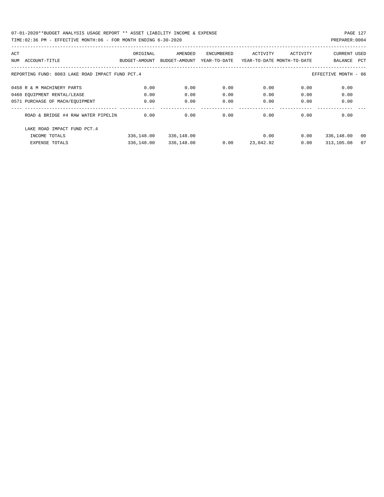| ACT |                                                  | ORIGINAL      | AMENDED       | ENCUMBERED   | ACTIVITY                   | ACTIVITY | <b>CURRENT USED</b>  |     |
|-----|--------------------------------------------------|---------------|---------------|--------------|----------------------------|----------|----------------------|-----|
| NUM | ACCOUNT-TITLE                                    | BUDGET-AMOUNT | BUDGET-AMOUNT | YEAR-TO-DATE | YEAR-TO-DATE MONTH-TO-DATE |          | BALANCE              | PCT |
|     |                                                  |               |               |              |                            |          |                      |     |
|     | REPORTING FUND: 0083 LAKE ROAD IMPACT FUND PCT.4 |               |               |              |                            |          | EFFECTIVE MONTH - 06 |     |
|     | 0458 R & M MACHINERY PARTS                       | 0.00          | 0.00          | 0.00         | 0.00                       | 0.00     | 0.00                 |     |
|     | 0460 EQUIPMENT RENTAL/LEASE                      | 0.00          | 0.00          | 0.00         | 0.00                       | 0.00     | 0.00                 |     |
|     | 0571 PURCHASE OF MACH/EOUIPMENT                  | 0.00          | 0.00          | 0.00         | 0.00                       | 0.00     | 0.00                 |     |
|     | ROAD & BRIDGE #4 RAW WATER PIPELIN               | 0.00          | 0.00          | 0.00         | 0.00                       | 0.00     | 0.00                 |     |
|     | LAKE ROAD IMPACT FUND PCT. 4                     |               |               |              |                            |          |                      |     |
|     | INCOME TOTALS                                    | 336,148.00    | 336,148.00    |              | 0.00                       | 0.00     | 336,148.00           | 00  |
|     | <b>EXPENSE TOTALS</b>                            | 336,148.00    | 336,148.00    | 0.00         | 23,042.92                  | 0.00     | 313,105.08           | 07  |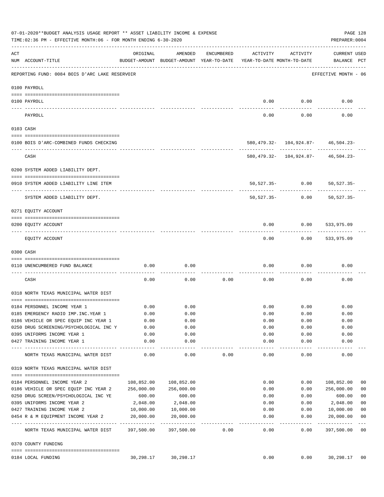|     | 07-01-2020**BUDGET ANALYSIS USAGE REPORT ** ASSET LIABILITY INCOME & EXPENSE<br>TIME: 02:36 PM - EFFECTIVE MONTH: 06 - FOR MONTH ENDING 6-30-2020 |            |                   |            |                                                                                 |                                        | PREPARER: 0004                             | PAGE 128       |
|-----|---------------------------------------------------------------------------------------------------------------------------------------------------|------------|-------------------|------------|---------------------------------------------------------------------------------|----------------------------------------|--------------------------------------------|----------------|
| ACT | NUM ACCOUNT-TITLE                                                                                                                                 | ORIGINAL   | AMENDED           | ENCUMBERED | ACTIVITY<br>BUDGET-AMOUNT BUDGET-AMOUNT YEAR-TO-DATE YEAR-TO-DATE MONTH-TO-DATE | ACTIVITY                               | CURRENT USED<br>BALANCE PCT                |                |
|     | REPORTING FUND: 0084 BOIS D'ARC LAKE RESERVOIR                                                                                                    |            |                   |            |                                                                                 |                                        | EFFECTIVE MONTH - 06                       |                |
|     | 0100 PAYROLL                                                                                                                                      |            |                   |            |                                                                                 |                                        |                                            |                |
|     | 0100 PAYROLL                                                                                                                                      |            |                   |            | 0.00                                                                            | 0.00                                   | 0.00                                       |                |
|     | PAYROLL                                                                                                                                           |            |                   |            | 0.00                                                                            | 0.00                                   | 0.00                                       |                |
|     | 0103 CASH                                                                                                                                         |            |                   |            |                                                                                 |                                        |                                            |                |
|     | 0100 BOIS D'ARC-COMBINED FUNDS CHECKING                                                                                                           |            |                   |            |                                                                                 |                                        | 580, 479.32- 104, 924.87- 46, 504.23-      |                |
|     | CASH                                                                                                                                              |            |                   |            |                                                                                 | ---------  -------------  ------------ | $580, 479.32 - 104, 924.87 - 46, 504.23 -$ |                |
|     | 0200 SYSTEM ADDED LIABILITY DEPT.                                                                                                                 |            |                   |            |                                                                                 |                                        |                                            |                |
|     | 0910 SYSTEM ADDED LIABILITY LINE ITEM                                                                                                             |            |                   |            |                                                                                 |                                        | 50,527.35- 0.00 50,527.35-                 |                |
|     | SYSTEM ADDED LIABILITY DEPT.                                                                                                                      |            |                   |            | 50,527.35-                                                                      | 0.00                                   | 50,527.35-                                 |                |
|     | 0271 EQUITY ACCOUNT                                                                                                                               |            |                   |            |                                                                                 |                                        |                                            |                |
|     | 0200 EQUITY ACCOUNT                                                                                                                               |            |                   |            | 0.00                                                                            | 0.00                                   | 533,975.09                                 |                |
|     | EQUITY ACCOUNT                                                                                                                                    |            |                   |            | 0.00                                                                            |                                        | $0.00$ 533,975.09                          |                |
|     | 0300 CASH                                                                                                                                         |            |                   |            |                                                                                 |                                        |                                            |                |
|     | 0110 UNENCUMBERED FUND BALANCE                                                                                                                    | 0.00       | 0.00              |            | 0.00                                                                            | 0.00                                   | 0.00                                       |                |
|     | CASH                                                                                                                                              | 0.00       | 0.00              | 0.00       | 0.00                                                                            | 0.00                                   | 0.00                                       |                |
|     | 0318 NORTH TEXAS MUNICIPAL WATER DIST                                                                                                             |            |                   |            |                                                                                 |                                        |                                            |                |
|     | 0184 PERSONNEL INCOME YEAR 1                                                                                                                      | 0.00       | 0.00              |            | 0.00                                                                            | 0.00                                   | 0.00                                       |                |
|     | 0185 EMERGENCY RADIO IMP. INC. YEAR 1                                                                                                             | 0.00       | 0.00              |            | 0.00                                                                            | 0.00                                   | 0.00                                       |                |
|     | 0186 VEHICLE OR SPEC EQUIP INC YEAR 1                                                                                                             | 0.00       | 0.00              |            | 0.00                                                                            | 0.00                                   | 0.00                                       |                |
|     | 0250 DRUG SCREENING/PSYCHOLOGICAL INC Y                                                                                                           | 0.00       | 0.00              |            | 0.00                                                                            | 0.00                                   | 0.00                                       |                |
|     | 0395 UNIFORMS INCOME YEAR 1                                                                                                                       | 0.00       | 0.00              |            | 0.00                                                                            | 0.00                                   | 0.00                                       |                |
|     | 0427 TRAINING INCOME YEAR 1                                                                                                                       | 0.00       | 0.00              |            | 0.00                                                                            | 0.00                                   | 0.00                                       |                |
|     | NORTH TEXAS MUNICIPAL WATER DIST                                                                                                                  | 0.00       | ---------<br>0.00 | 0.00       | ----------<br>0.00                                                              | $- - - - - - - -$<br>0.00              | ----------<br>0.00                         |                |
|     | 0319 NORTH TEXAS MUNICIPAL WATER DIST                                                                                                             |            |                   |            |                                                                                 |                                        |                                            |                |
|     | 0184 PERSONNEL INCOME YEAR 2                                                                                                                      | 108,852.00 | 108,852.00        |            | 0.00                                                                            | 0.00                                   | 108,852.00                                 | 00             |
|     | 0186 VEHICLE OR SPEC EQUIP INC YEAR 2                                                                                                             | 256,000.00 | 256,000.00        |            | 0.00                                                                            | 0.00                                   | 256,000.00                                 | 0 <sub>0</sub> |
|     | 0250 DRUG SCREEN/PSYCHOLOGICAL INC YE                                                                                                             | 600.00     | 600.00            |            | 0.00                                                                            | 0.00                                   | 600.00                                     | 0 <sub>0</sub> |
|     | 0395 UNIFORMS INCOME YEAR 2                                                                                                                       | 2,048.00   | 2,048.00          |            | 0.00                                                                            | 0.00                                   | 2,048.00                                   | 0 <sub>0</sub> |
|     | 0427 TRAINING INCOME YEAR 2                                                                                                                       | 10,000.00  | 10,000.00         |            | 0.00                                                                            | 0.00                                   | 10,000.00                                  | 0 <sub>0</sub> |
|     | 0454 R & M EQUIPMENT INCOME YEAR 2                                                                                                                | 20,000.00  | 20,000.00         |            | 0.00                                                                            | 0.00                                   | 20,000.00                                  | 0 <sub>0</sub> |
|     | NORTH TEXAS MUNICIPAL WATER DIST 397,500.00                                                                                                       |            | 397,500.00        | 0.00       | -------<br>0.00                                                                 | --------<br>0.00                       | -----------<br>397,500.00                  | $- - -$<br>00  |
|     | 0370 COUNTY FUNDING                                                                                                                               |            |                   |            |                                                                                 |                                        |                                            |                |
|     | 0184 LOCAL FUNDING                                                                                                                                | 30,298.17  | 30,298.17         |            | 0.00                                                                            | 0.00                                   | 30,298.17 00                               |                |
|     |                                                                                                                                                   |            |                   |            |                                                                                 |                                        |                                            |                |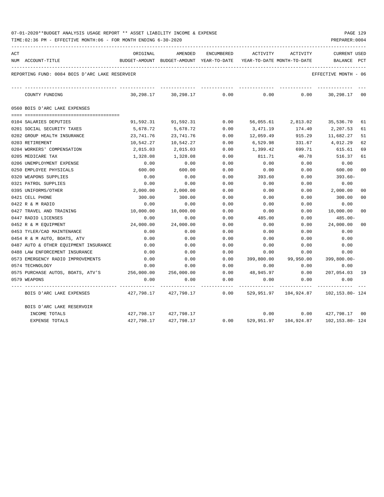| 07-01-2020**BUDGET ANALYSIS USAGE REPORT ** ASSET LIABILITY INCOME & EXPENSE |  |  |  |  |  | PAGE 129 |  |
|------------------------------------------------------------------------------|--|--|--|--|--|----------|--|
|                                                                              |  |  |  |  |  |          |  |

| ACT |                                                | ORIGINAL   | AMENDED                                  | ENCUMBERED | ACTIVITY                   | ACTIVITY                                      | <b>CURRENT USED</b>  |                |
|-----|------------------------------------------------|------------|------------------------------------------|------------|----------------------------|-----------------------------------------------|----------------------|----------------|
|     | NUM ACCOUNT-TITLE                              |            | BUDGET-AMOUNT BUDGET-AMOUNT YEAR-TO-DATE |            | YEAR-TO-DATE MONTH-TO-DATE |                                               | BALANCE              | PCT            |
|     | REPORTING FUND: 0084 BOIS D'ARC LAKE RESERVOIR |            |                                          |            |                            |                                               | EFFECTIVE MONTH - 06 |                |
|     | COUNTY FUNDING                                 | 30,298.17  | 30,298.17                                | 0.00       | 0.00                       | 0.00                                          | 30,298.17            | 00             |
|     | 0560 BOIS D'ARC LAKE EXPENSES                  |            |                                          |            |                            |                                               |                      |                |
|     |                                                |            |                                          |            |                            |                                               |                      |                |
|     | 0104 SALARIES DEPUTIES                         | 91,592.31  | 91,592.31                                | 0.00       |                            | 56,055.61 2,813.02                            | 35,536.70            | 61             |
|     | 0201 SOCIAL SECURITY TAXES                     | 5,678.72   | 5,678.72                                 | 0.00       | 3,471.19                   | 174.40                                        | 2,207.53             | 61             |
|     | 0202 GROUP HEALTH INSURANCE                    | 23,741.76  | 23,741.76                                | 0.00       | 12,059.49                  | 915.29                                        | 11,682.27            | 51             |
|     | 0203 RETIREMENT                                | 10,542.27  | 10,542.27                                | 0.00       | 6,529.98                   | 331.67                                        | 4,012.29             | 62             |
|     | 0204 WORKERS' COMPENSATION                     | 2,015.03   | 2,015.03                                 | 0.00       | 1,399.42                   | 699.71                                        | 615.61               | 69             |
|     | 0205 MEDICARE TAX                              | 1,328.08   | 1,328.08                                 | 0.00       | 811.71                     | 40.78                                         | 516.37               | 61             |
|     | 0206 UNEMPLOYMENT EXPENSE                      | 0.00       | 0.00                                     | 0.00       | 0.00                       | 0.00                                          | 0.00                 |                |
|     | 0250 EMPLOYEE PHYSICALS                        | 600.00     | 600.00                                   | 0.00       | 0.00                       | 0.00                                          | 600.00               | 0 <sup>0</sup> |
|     | 0320 WEAPONS SUPPLIES                          | 0.00       | 0.00                                     | 0.00       | 393.60                     | 0.00                                          | 393.60-              |                |
|     | 0321 PATROL SUPPLIES                           | 0.00       | 0.00                                     | 0.00       | 0.00                       | 0.00                                          | 0.00                 |                |
|     | 0395 UNIFORMS/OTHER                            | 2,000.00   | 2,000.00                                 | 0.00       | 0.00                       | 0.00                                          | 2,000.00             | 00             |
|     | 0421 CELL PHONE                                | 300.00     | 300.00                                   | 0.00       | 0.00                       | 0.00                                          | 300.00               | 00             |
|     | 0422 R & M RADIO                               | 0.00       | 0.00                                     | 0.00       | 0.00                       | 0.00                                          | 0.00                 |                |
|     | 0427 TRAVEL AND TRAINING                       | 10,000.00  | 10,000.00                                | 0.00       | 0.00                       | 0.00                                          | 10,000.00            | 0 <sup>0</sup> |
|     | 0447 RADIO LICENSES                            | 0.00       | 0.00                                     | 0.00       | 485.00                     | 0.00                                          | 485.00-              |                |
|     | 0452 R & M EQUIPMENT                           | 24,000.00  | 24,000.00                                | 0.00       | 0.00                       | 0.00                                          | 24,000.00            | 00             |
|     | 0453 TYLER/CAD MAINTENANCE                     | 0.00       | 0.00                                     | 0.00       | 0.00                       | 0.00                                          | 0.00                 |                |
|     | 0454 R & M AUTO, BOATS, ATV                    | 0.00       | 0.00                                     | 0.00       | 0.00                       | 0.00                                          | 0.00                 |                |
|     | 0487 AUTO & OTHER EQUIPMENT INSURANCE          | 0.00       | 0.00                                     | 0.00       | 0.00                       | 0.00                                          | 0.00                 |                |
|     | 0488 LAW ENFORCEMENT INSURANCE                 | 0.00       | 0.00                                     | 0.00       | 0.00                       | 0.00                                          | 0.00                 |                |
|     | 0573 EMERGENCY RADIO IMPROVEMENTS              | 0.00       | 0.00                                     | 0.00       | 399,800.00                 | 99,950.00                                     | $399,800.00 -$       |                |
|     | 0574 TECHNOLOGY                                | 0.00       | 0.00                                     | 0.00       | 0.00                       | 0.00                                          | 0.00                 |                |
|     | 0575 PURCHASE AUTOS, BOATS, ATV'S              | 256,000.00 | 256,000.00                               | 0.00       | 48,945.97                  | 0.00                                          | 207,054.03           | 19             |
|     | 0579 WEAPONS                                   | 0.00       | 0.00                                     | 0.00       | 0.00                       | 0.00                                          | 0.00                 |                |
|     | BOIS D'ARC LAKE EXPENSES                       |            | 427,798.17 427,798.17 0.00               |            |                            | 529,951.97    104,924.87    102,153.80    124 |                      |                |
|     | BOIS D'ARC LAKE RESERVOIR                      |            |                                          |            |                            |                                               |                      |                |
|     | INCOME TOTALS                                  |            | 427,798.17 427,798.17                    |            | 0.00                       | 0.00                                          | 427,798.17 00        |                |
|     | EXPENSE TOTALS                                 |            | 427,798.17 427,798.17                    | 0.00       | 529,951.97                 | 104,924.87                                    | 102,153.80-124       |                |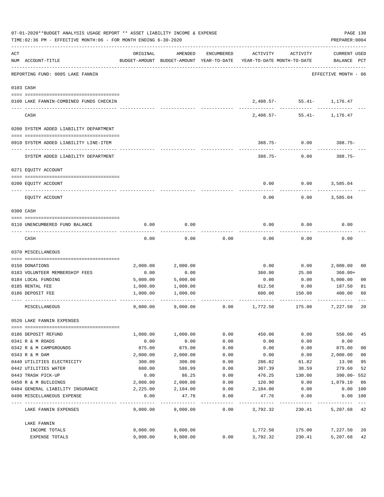|     | 07-01-2020**BUDGET ANALYSIS USAGE REPORT ** ASSET LIABILITY INCOME & EXPENSE<br>TIME: 02:36 PM - EFFECTIVE MONTH: 06 - FOR MONTH ENDING 6-30-2020 |          |          |            |                                                                                 |                                    |                                    |                |  |
|-----|---------------------------------------------------------------------------------------------------------------------------------------------------|----------|----------|------------|---------------------------------------------------------------------------------|------------------------------------|------------------------------------|----------------|--|
| ACT | NUM ACCOUNT-TITLE                                                                                                                                 | ORIGINAL | AMENDED  | ENCUMBERED | ACTIVITY<br>BUDGET-AMOUNT BUDGET-AMOUNT YEAR-TO-DATE YEAR-TO-DATE MONTH-TO-DATE | ACTIVITY                           | <b>CURRENT USED</b><br>BALANCE PCT |                |  |
|     | REPORTING FUND: 0085 LAKE FANNIN                                                                                                                  |          |          |            |                                                                                 |                                    | EFFECTIVE MONTH - 06               |                |  |
|     | 0103 CASH                                                                                                                                         |          |          |            |                                                                                 |                                    |                                    |                |  |
|     | 0100 LAKE FANNIN-COMBINED FUNDS CHECKIN                                                                                                           |          |          |            |                                                                                 | 2,408.57- 55.41- 1,176.47          |                                    |                |  |
|     | CASH                                                                                                                                              |          |          |            |                                                                                 | ----------<br>$2,408.57 - 55.41 -$ | 1,176.47                           |                |  |
|     | 0200 SYSTEM ADDED LIABILITY DEPARTMENT                                                                                                            |          |          |            |                                                                                 |                                    |                                    |                |  |
|     | 0910 SYSTEM ADDED LIABILITY LINE-ITEM                                                                                                             |          |          |            |                                                                                 | $388.75 - 0.00$                    | $388.75-$                          |                |  |
|     | SYSTEM ADDED LIABILITY DEPARTMENT                                                                                                                 |          |          |            | $388.75 - 0.00$                                                                 |                                    | $388.75-$                          |                |  |
|     | 0271 EQUITY ACCOUNT                                                                                                                               |          |          |            |                                                                                 |                                    |                                    |                |  |
|     | 0200 EQUITY ACCOUNT                                                                                                                               |          |          |            | 0.00                                                                            | 0.00                               | 3,585.04                           |                |  |
|     |                                                                                                                                                   |          |          |            |                                                                                 |                                    |                                    |                |  |
|     | EQUITY ACCOUNT                                                                                                                                    |          |          |            | 0.00                                                                            | 0.00                               | 3,585.04                           |                |  |
|     | 0300 CASH                                                                                                                                         |          |          |            |                                                                                 |                                    |                                    |                |  |
|     |                                                                                                                                                   |          |          |            |                                                                                 |                                    |                                    |                |  |
|     | 0110 UNENCUMBERED FUND BALANCE                                                                                                                    | 0.00     | 0.00     |            | 0.00                                                                            | 0.00                               | 0.00                               |                |  |
|     | CASH                                                                                                                                              | 0.00     | 0.00     | 0.00       | 0.00                                                                            | 0.00                               | 0.00                               |                |  |
|     | 0370 MISCELLANEOUS                                                                                                                                |          |          |            |                                                                                 |                                    |                                    |                |  |
|     | 0150 DONATIONS                                                                                                                                    | 2,000.00 | 2,000.00 |            | 0.00                                                                            | 0.00                               | 2,000.00                           | 00             |  |
|     | 0183 VOLUNTEER MEMBERSHIP FEES                                                                                                                    | 0.00     | 0.00     |            | 360.00                                                                          | 25.00                              | 360.00+                            |                |  |
|     | 0184 LOCAL FUNDING                                                                                                                                | 5,000.00 | 5,000.00 |            | 0.00                                                                            | 0.00                               | 5,000.00                           | 0 <sub>0</sub> |  |
|     | 0185 RENTAL FEE                                                                                                                                   | 1,000.00 | 1,000.00 |            | 812.50                                                                          | 0.00                               | 187.50                             | 81             |  |
|     | 0186 DEPOSIT FEE                                                                                                                                  | 1,000.00 | 1,000.00 |            | 600.00                                                                          | 150.00                             | 400.00                             | 60             |  |
|     | MISCELLANEOUS                                                                                                                                     | 9.000.00 | 9,000.00 | 0.00       | 1,772.50                                                                        | 175.00                             | 7,227.50                           | 20             |  |
|     | 0520 LAKE FANNIN EXPENSES                                                                                                                         |          |          |            |                                                                                 |                                    |                                    |                |  |
|     | 0186 DEPOSIT REFUND                                                                                                                               | 1,000.00 | 1,000.00 | 0.00       | 450.00                                                                          | 0.00                               | 550.00                             | 45             |  |
|     | 0341 R & M ROADS                                                                                                                                  | 0.00     | 0.00     | 0.00       | 0.00                                                                            | 0.00                               | 0.00                               |                |  |
|     | 0342 R & M CAMPGROUNDS                                                                                                                            | 875.00   | 875.00   | 0.00       | 0.00                                                                            | 0.00                               | 875.00                             | 0 <sub>0</sub> |  |
|     | 0343 R & M DAM                                                                                                                                    | 2,000.00 | 2,000.00 | 0.00       | 0.00                                                                            | 0.00                               | 2,000.00                           | 0 <sub>0</sub> |  |
|     | 0440 UTILITIES ELECTRICITY                                                                                                                        | 300.00   | 300.00   | 0.00       | 286.02                                                                          | 61.82                              | 13.98                              | 95             |  |
|     | 0442 UTILITIES WATER                                                                                                                              | 600.00   | 586.99   | 0.00       | 307.39                                                                          | 38.59                              | 279.60                             | 52             |  |
|     | 0443 TRASH PICK-UP                                                                                                                                | 0.00     | 86.25    | 0.00       | 476.25                                                                          | 130.00                             | 390.00- 552                        |                |  |
|     | 0450 R & M BUILDINGS                                                                                                                              | 2,000.00 | 2,000.00 | 0.00       | 120.90                                                                          | 0.00                               | 1,879.10                           | 06             |  |
|     | 0484 GENERAL LIABILITY INSURANCE                                                                                                                  | 2,225.00 | 2,104.00 | 0.00       | 2,104.00                                                                        | 0.00                               | 0.00 100                           |                |  |
|     | 0490 MISCELLANEOUS EXPENSE                                                                                                                        | 0.00     | 47.76    | 0.00       | 47.76                                                                           | 0.00                               | 0.00 100                           |                |  |
|     | LAKE FANNIN EXPENSES                                                                                                                              | 9,000.00 | 9,000.00 | 0.00       | 3,792.32                                                                        | 230.41                             | 5,207.68 42                        |                |  |
|     | LAKE FANNIN                                                                                                                                       |          |          |            |                                                                                 |                                    |                                    |                |  |
|     | INCOME TOTALS                                                                                                                                     | 9,000.00 | 9,000.00 |            | 1,772.50                                                                        | 175.00                             | 7,227.50                           | 20             |  |
|     | EXPENSE TOTALS                                                                                                                                    | 9,000.00 | 9,000.00 | 0.00       | 3,792.32                                                                        | 230.41                             | 5,207.68                           | 42             |  |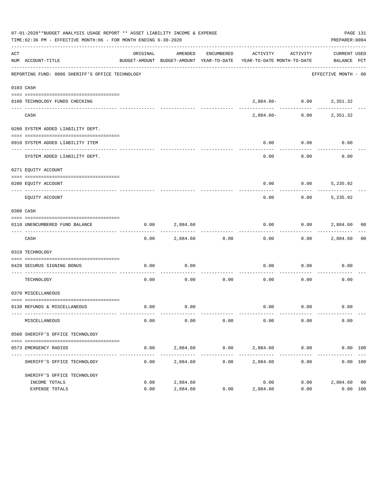|     | 07-01-2020**BUDGET ANALYSIS USAGE REPORT ** ASSET LIABILITY INCOME & EXPENSE<br>TIME:02:36 PM - EFFECTIVE MONTH:06 - FOR MONTH ENDING 6-30-2020 |          |                      |            |                                                                                 |                         | PAGE 131<br>PREPARER: 0004  |    |
|-----|-------------------------------------------------------------------------------------------------------------------------------------------------|----------|----------------------|------------|---------------------------------------------------------------------------------|-------------------------|-----------------------------|----|
| ACT | NUM ACCOUNT-TITLE                                                                                                                               | ORIGINAL | AMENDED              | ENCUMBERED | ACTIVITY<br>BUDGET-AMOUNT BUDGET-AMOUNT YEAR-TO-DATE YEAR-TO-DATE MONTH-TO-DATE | ACTIVITY                | CURRENT USED<br>BALANCE PCT |    |
|     | REPORTING FUND: 0086 SHERIFF'S OFFICE TECHNOLOGY                                                                                                |          |                      |            |                                                                                 |                         | EFFECTIVE MONTH - 06        |    |
|     | 0103 CASH                                                                                                                                       |          |                      |            |                                                                                 |                         |                             |    |
|     | 0100 TECHNOLOGY FUNDS CHECKING                                                                                                                  |          | -------------        |            |                                                                                 | 2,884.60- 0.00 2,351.32 |                             |    |
|     | CASH                                                                                                                                            |          |                      |            | 2,884.60-                                                                       |                         | $0.00$ 2,351.32             |    |
|     | 0200 SYSTEM ADDED LIABILITY DEPT.                                                                                                               |          |                      |            |                                                                                 |                         |                             |    |
|     | 0910 SYSTEM ADDED LIABILITY ITEM                                                                                                                |          |                      |            | 0.00                                                                            | 0.00                    | 0.00                        |    |
|     | SYSTEM ADDED LIABILITY DEPT.                                                                                                                    |          |                      |            | 0.00                                                                            | 0.00                    | 0.00                        |    |
|     | 0271 EQUITY ACCOUNT                                                                                                                             |          |                      |            |                                                                                 |                         |                             |    |
|     | 0200 EQUITY ACCOUNT                                                                                                                             |          |                      |            | 0.00                                                                            | $0.00$ 5,235.92         |                             |    |
|     | -------------------- ----------<br>EQUITY ACCOUNT                                                                                               |          |                      |            | 0.00                                                                            | 0.00                    | 5,235.92                    |    |
|     | 0300 CASH                                                                                                                                       |          |                      |            |                                                                                 |                         |                             |    |
|     | 0110 UNENCUMBERED FUND BALANCE                                                                                                                  | 0.00     | 2,884.60             |            | 0.00                                                                            |                         | $0.00$ 2,884.60 00          |    |
|     | CASH                                                                                                                                            | 0.00     | 2,884.60             | 0.00       | 0.00                                                                            |                         | $0.00$ 2,884.60             | 00 |
|     | 0319 TECHNOLOGY                                                                                                                                 |          |                      |            |                                                                                 |                         |                             |    |
|     | 0420 SECURUS SIGNING BONUS<br>_____________________________                                                                                     | 0.00     | 0.00                 |            | 0.00                                                                            | 0.00                    | 0.00                        |    |
|     | TECHNOLOGY                                                                                                                                      | 0.00     | 0.00                 | .<br>0.00  | 0.00                                                                            | 0.00                    | 0.00                        |    |
|     | 0370 MISCELLANEOUS                                                                                                                              |          |                      |            |                                                                                 |                         |                             |    |
|     | 0130 REFUNDS & MISCELLANEOUS                                                                                                                    | 0.00     | 0.00                 |            |                                                                                 | $0.00$ $0.00$           | 0.00                        |    |
|     | MISCELLANEOUS                                                                                                                                   | 0.00     | 0.00                 | 0.00       | 0.00                                                                            | 0.00                    | 0.00                        |    |
|     | 0560 SHERIFF'S OFFICE TECHNOLOGY                                                                                                                |          |                      |            |                                                                                 |                         |                             |    |
|     | 0573 EMERGENCY RADIOS                                                                                                                           | 0.00     | 2,884.60             |            | $0.00$ 2,884.60 0.00                                                            |                         | 0.00 100                    |    |
|     | SHERIFF'S OFFICE TECHNOLOGY                                                                                                                     | 0.00     | 2,884.60             | 0.00       | 2,884.60                                                                        | 0.00                    | 0.00 100                    |    |
|     | SHERIFF'S OFFICE TECHNOLOGY                                                                                                                     | 0.00     |                      |            | 0.00                                                                            | 0.00                    | 2,884.60 00                 |    |
|     | INCOME TOTALS<br>EXPENSE TOTALS                                                                                                                 | 0.00     | 2,884.60<br>2,884.60 | 0.00       | 2,884.60                                                                        | 0.00                    | 0.00 100                    |    |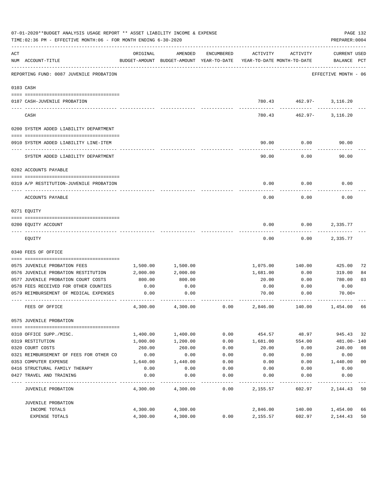|     | 07-01-2020**BUDGET ANALYSIS USAGE REPORT ** ASSET LIABILITY INCOME & EXPENSE<br>TIME:02:36 PM - EFFECTIVE MONTH:06 - FOR MONTH ENDING 6-30-2020 |                    |                                                                                |            |                   |                                         | PREPARER: 0004              | PAGE 132       |
|-----|-------------------------------------------------------------------------------------------------------------------------------------------------|--------------------|--------------------------------------------------------------------------------|------------|-------------------|-----------------------------------------|-----------------------------|----------------|
| ACT | NUM ACCOUNT-TITLE                                                                                                                               | ORIGINAL           | AMENDED<br>BUDGET-AMOUNT BUDGET-AMOUNT YEAR-TO-DATE YEAR-TO-DATE MONTH-TO-DATE | ENCUMBERED | ACTIVITY          | ACTIVITY                                | CURRENT USED<br>BALANCE PCT |                |
|     | REPORTING FUND: 0087 JUVENILE PROBATION                                                                                                         |                    |                                                                                |            |                   |                                         | EFFECTIVE MONTH - 06        |                |
|     | 0103 CASH                                                                                                                                       |                    |                                                                                |            |                   |                                         |                             |                |
|     |                                                                                                                                                 |                    |                                                                                |            |                   |                                         |                             |                |
|     | 0187 CASH-JUVENILE PROBATION                                                                                                                    |                    |                                                                                |            |                   | 780.43 462.97- 3,116.20<br>------------ | --------                    |                |
|     | CASH                                                                                                                                            |                    |                                                                                |            | 780.43            |                                         | 462.97- 3,116.20            |                |
|     | 0200 SYSTEM ADDED LIABILITY DEPARTMENT                                                                                                          |                    |                                                                                |            |                   |                                         |                             |                |
|     |                                                                                                                                                 |                    |                                                                                |            |                   |                                         |                             |                |
|     | 0910 SYSTEM ADDED LIABILITY LINE-ITEM                                                                                                           |                    |                                                                                |            | 90.00             | 0.00                                    | 90.00                       |                |
|     | SYSTEM ADDED LIABILITY DEPARTMENT                                                                                                               |                    |                                                                                |            | 90.00             | 0.00                                    | 90.00                       |                |
|     | 0202 ACCOUNTS PAYABLE                                                                                                                           |                    |                                                                                |            |                   |                                         |                             |                |
|     |                                                                                                                                                 |                    |                                                                                |            |                   |                                         |                             |                |
|     | 0319 A/P RESTITUTION-JUVENILE PROBATION                                                                                                         |                    |                                                                                |            | 0.00              | 0.00                                    | 0.00                        |                |
|     | ACCOUNTS PAYABLE                                                                                                                                |                    |                                                                                |            | 0.00              | 0.00                                    | 0.00                        |                |
|     | 0271 EQUITY                                                                                                                                     |                    |                                                                                |            |                   |                                         |                             |                |
|     |                                                                                                                                                 |                    |                                                                                |            |                   |                                         |                             |                |
|     | 0200 EQUITY ACCOUNT                                                                                                                             |                    |                                                                                |            | 0.00              | 0.00                                    | 2,335.77                    |                |
|     | EQUITY                                                                                                                                          |                    |                                                                                |            | 0.00              | 0.00                                    | 2,335.77                    |                |
|     | 0340 FEES OF OFFICE                                                                                                                             |                    |                                                                                |            |                   |                                         |                             |                |
|     |                                                                                                                                                 |                    |                                                                                |            |                   |                                         |                             |                |
|     | 0575 JUVENILE PROBATION FEES<br>0576 JUVENILE PROBATION RESTITUTION                                                                             | 1,500.00           | 1,500.00<br>2,000.00                                                           |            | 1,075.00          | 140.00                                  | 425.00                      | 72             |
|     | 0577 JUVENILE PROBATION COURT COSTS                                                                                                             | 2,000.00<br>800.00 | 800.00                                                                         |            | 1,681.00<br>20.00 | 0.00<br>0.00                            | 319.00<br>780.00            | 84<br>03       |
|     | 0578 FEES RECEIVED FOR OTHER COUNTIES                                                                                                           | 0.00               | 0.00                                                                           |            | 0.00              | 0.00                                    | 0.00                        |                |
|     | 0579 REIMBURSEMENT OF MEDICAL EXPENSES                                                                                                          | 0.00               | 0.00                                                                           |            | 70.00             | 0.00                                    | $70.00+$                    |                |
|     | FEES OF OFFICE                                                                                                                                  | 4,300.00           | 4,300.00                                                                       | 0.00       | 2,846.00          | 140.00                                  | 1,454.00                    | 66             |
|     | 0575 JUVENILE PROBATION                                                                                                                         |                    |                                                                                |            |                   |                                         |                             |                |
|     |                                                                                                                                                 |                    |                                                                                |            |                   |                                         |                             |                |
|     | 0310 OFFICE SUPP./MISC.                                                                                                                         | 1,400.00           | 1,400.00                                                                       | 0.00       | 454.57            | 48.97                                   | 945.43                      | 32             |
|     | 0319 RESTITUTION                                                                                                                                | 1,000.00           | 1,200.00                                                                       | 0.00       | 1,681.00          | 554.00                                  | 481.00- 140                 |                |
|     | 0320 COURT COSTS                                                                                                                                | 260.00             | 260.00                                                                         | 0.00       | 20.00             | 0.00                                    | 240.00                      | 08             |
|     | 0321 REIMBURSEMENT OF FEES FOR OTHER CO                                                                                                         | 0.00               | 0.00                                                                           | 0.00       | 0.00              | 0.00                                    | 0.00                        |                |
|     | 0353 COMPUTER EXPENSE                                                                                                                           | 1,640.00           | 1,440.00                                                                       | 0.00       | 0.00              | 0.00                                    | 1,440.00                    | 0 <sub>0</sub> |
|     | 0416 STRUCTURAL FAMILY THERAPY                                                                                                                  | 0.00               | 0.00                                                                           | 0.00       | 0.00              | 0.00                                    | 0.00                        |                |
|     | 0427 TRAVEL AND TRAINING                                                                                                                        | 0.00               | 0.00                                                                           | 0.00       | 0.00              | 0.00                                    | 0.00                        |                |
|     | JUVENILE PROBATION                                                                                                                              | 4,300.00           | 4,300.00                                                                       | 0.00       | 2,155.57          | 602.97                                  | 2,144.43                    | 50             |
|     | JUVENILE PROBATION                                                                                                                              |                    |                                                                                |            |                   |                                         |                             |                |
|     | INCOME TOTALS                                                                                                                                   | 4,300.00           | 4,300.00                                                                       |            | 2,846.00          | 140.00                                  | 1,454.00                    | 66             |
|     | <b>EXPENSE TOTALS</b>                                                                                                                           | 4,300.00           | 4,300.00                                                                       | 0.00       | 2,155.57          | 602.97                                  | 2,144.43                    | 50             |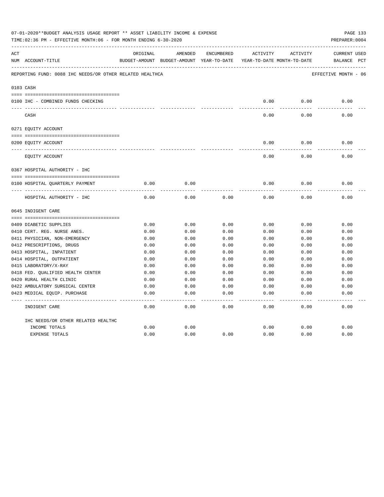|     | 07-01-2020**BUDGET ANALYSIS USAGE REPORT ** ASSET LIABILITY INCOME & EXPENSE<br>TIME:02:36 PM - EFFECTIVE MONTH:06 - FOR MONTH ENDING 6-30-2020 |          |                                                                     |            |          |          | PAGE 133<br>PREPARER: 0004 |
|-----|-------------------------------------------------------------------------------------------------------------------------------------------------|----------|---------------------------------------------------------------------|------------|----------|----------|----------------------------|
| ACT |                                                                                                                                                 | ORIGINAL | AMENDED                                                             | ENCUMBERED | ACTIVITY | ACTIVITY | <b>CURRENT USED</b>        |
|     | NUM ACCOUNT-TITLE                                                                                                                               |          | BUDGET-AMOUNT BUDGET-AMOUNT YEAR-TO-DATE YEAR-TO-DATE MONTH-TO-DATE |            |          |          | BALANCE PCT                |
|     | REPORTING FUND: 0088 IHC NEEDS/OR OTHER RELATED HEALTHCA                                                                                        |          |                                                                     |            |          |          | EFFECTIVE MONTH - 06       |
|     | 0103 CASH                                                                                                                                       |          |                                                                     |            |          |          |                            |
|     |                                                                                                                                                 |          |                                                                     |            |          |          |                            |
|     | 0100 IHC - COMBINED FUNDS CHECKING                                                                                                              |          |                                                                     |            | 0.00     | 0.00     | 0.00                       |
|     | CASH                                                                                                                                            |          |                                                                     |            | 0.00     | 0.00     | 0.00                       |
|     | 0271 EQUITY ACCOUNT                                                                                                                             |          |                                                                     |            |          |          |                            |
|     | 0200 EQUITY ACCOUNT                                                                                                                             |          |                                                                     |            | 0.00     | 0.00     | 0.00                       |
|     | _____ _______________________________<br>EQUITY ACCOUNT                                                                                         |          |                                                                     |            | 0.00     | 0.00     | 0.00                       |
|     | 0367 HOSPITAL AUTHORITY - IHC                                                                                                                   |          |                                                                     |            |          |          |                            |
|     |                                                                                                                                                 |          |                                                                     |            |          |          |                            |
|     | 0100 HOSPITAL QUARTERLY PAYMENT                                                                                                                 | 0.00     | 0.00                                                                |            | 0.00     | 0.00     | 0.00                       |
|     | HOSPITAL AUTHORITY - IHC                                                                                                                        | 0.00     | 0.00                                                                | 0.00       | 0.00     | 0.00     | 0.00                       |
|     | 0645 INDIGENT CARE                                                                                                                              |          |                                                                     |            |          |          |                            |
|     |                                                                                                                                                 |          |                                                                     |            |          |          |                            |
|     | 0409 DIABETIC SUPPLIES                                                                                                                          | 0.00     | 0.00                                                                | 0.00       | 0.00     | 0.00     | 0.00                       |
|     | 0410 CERT. REG. NURSE ANES.                                                                                                                     | 0.00     | 0.00                                                                | 0.00       | 0.00     | 0.00     | 0.00                       |
|     | 0411 PHYSICIAN, NON-EMERGENCY                                                                                                                   | 0.00     | 0.00                                                                | 0.00       | 0.00     | 0.00     | 0.00                       |
|     | 0412 PRESCRIPTIONS, DRUGS                                                                                                                       | 0.00     | 0.00                                                                | 0.00       | 0.00     | 0.00     | 0.00                       |
|     | 0413 HOSPITAL, INPATIENT                                                                                                                        | 0.00     | 0.00                                                                | 0.00       | 0.00     | 0.00     | 0.00                       |
|     | 0414 HOSPITAL, OUTPATIENT                                                                                                                       | 0.00     | 0.00                                                                | 0.00       | 0.00     | 0.00     | 0.00                       |
|     | 0415 LABORATORY/X-RAY                                                                                                                           | 0.00     | 0.00                                                                | 0.00       | 0.00     | 0.00     | 0.00                       |
|     | 0418 FED. OUALIFIED HEALTH CENTER                                                                                                               | 0.00     | 0.00                                                                | 0.00       | 0.00     | 0.00     | 0.00                       |
|     | 0420 RURAL HEALTH CLINIC                                                                                                                        | 0.00     | 0.00                                                                | 0.00       | 0.00     | 0.00     | 0.00                       |
|     | 0422 AMBULATORY SURGICAL CENTER                                                                                                                 | 0.00     | 0.00                                                                | 0.00       | 0.00     | 0.00     | 0.00                       |
|     | 0423 MEDICAL EQUIP. PURCHASE                                                                                                                    | 0.00     | 0.00                                                                | 0.00       | 0.00     | 0.00     | 0.00                       |
|     | INDIGENT CARE                                                                                                                                   | 0.00     | 0.00                                                                | 0.00       | 0.00     | 0.00     | -----<br>0.00              |
|     | IHC NEEDS/OR OTHER RELATED HEALTHC                                                                                                              |          |                                                                     |            |          |          |                            |
|     | INCOME TOTALS                                                                                                                                   | 0.00     | 0.00                                                                |            | 0.00     | 0.00     | 0.00                       |
|     | <b>EXPENSE TOTALS</b>                                                                                                                           | 0.00     | 0.00                                                                | 0.00       | 0.00     | 0.00     | 0.00                       |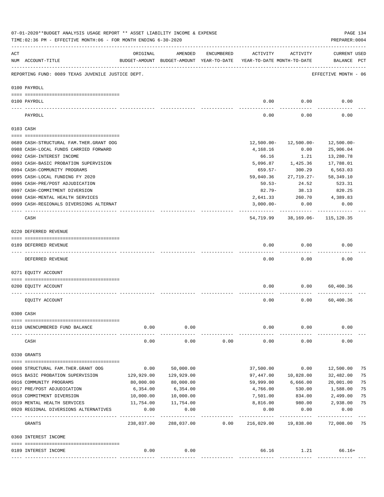|     | 07-01-2020**BUDGET ANALYSIS USAGE REPORT ** ASSET LIABILITY INCOME & EXPENSE<br>TIME:02:36 PM - EFFECTIVE MONTH:06 - FOR MONTH ENDING 6-30-2020 |                          |            |            |                                                                                 |                                                | PAGE 134<br>PREPARER: 0004         |    |
|-----|-------------------------------------------------------------------------------------------------------------------------------------------------|--------------------------|------------|------------|---------------------------------------------------------------------------------|------------------------------------------------|------------------------------------|----|
| ACT | NUM ACCOUNT-TITLE                                                                                                                               | ORIGINAL                 | AMENDED    | ENCUMBERED | ACTIVITY<br>BUDGET-AMOUNT BUDGET-AMOUNT YEAR-TO-DATE YEAR-TO-DATE MONTH-TO-DATE | ACTIVITY                                       | <b>CURRENT USED</b><br>BALANCE PCT |    |
|     | REPORTING FUND: 0089 TEXAS JUVENILE JUSTICE DEPT.                                                                                               |                          |            |            |                                                                                 |                                                | EFFECTIVE MONTH - 06               |    |
|     | 0100 PAYROLL                                                                                                                                    |                          |            |            |                                                                                 |                                                |                                    |    |
|     | 0100 PAYROLL<br>---- ------                                                                                                                     |                          |            |            | 0.00                                                                            | 0.00                                           | 0.00                               |    |
|     | PAYROLL                                                                                                                                         |                          |            |            | 0.00                                                                            | 0.00                                           | 0.00                               |    |
|     | 0103 CASH                                                                                                                                       |                          |            |            |                                                                                 |                                                |                                    |    |
|     | 0689 CASH-STRUCTURAL FAM.THER.GRANT OOG                                                                                                         |                          |            |            | 12,500.00-                                                                      | 12,500.00-                                     | 12,500.00-                         |    |
|     | 0988 CASH-LOCAL FUNDS CARRIED FORWARD                                                                                                           |                          |            |            | 4,168.16                                                                        | 0.00                                           | 25,906.04                          |    |
|     | 0992 CASH-INTEREST INCOME                                                                                                                       |                          |            |            | 66.16                                                                           | 1.21                                           | 13,280.78                          |    |
|     | 0993 CASH-BASIC PROBATION SUPERVISION                                                                                                           |                          |            |            | 5,096.87                                                                        | 1,425.36                                       | 17,788.01                          |    |
|     | 0994 CASH-COMMUNITY PROGRAMS                                                                                                                    |                          |            |            | $659.57 -$                                                                      | 300.29                                         | 6,563.03                           |    |
|     | 0995 CASH-LOCAL FUNDING FY 2020                                                                                                                 |                          |            |            | 59,040.36                                                                       | 27,719.27-                                     | 58,349.10                          |    |
|     | 0996 CASH-PRE/POST ADJUDICATION                                                                                                                 |                          |            |            | $50.53 -$                                                                       | 24.52                                          | 523.31                             |    |
|     | 0997 CASH-COMMITMENT DIVERSION                                                                                                                  |                          |            |            | $82.79 -$                                                                       | 38.13                                          | 820.25                             |    |
|     | 0998 CASH-MENTAL HEALTH SERVICES                                                                                                                |                          |            |            | 2,641.33                                                                        | 260.70                                         | 4,389.83                           |    |
|     | 0999 CASH-REGIONALS DIVERSIONS ALTERNAT                                                                                                         |                          |            |            | $3,000.00-$                                                                     | 0.00                                           | 0.00                               |    |
|     | CASH                                                                                                                                            |                          |            |            |                                                                                 | -----------<br>54,719.99 38,169.06- 115,120.35 |                                    |    |
|     | 0220 DEFERRED REVENUE                                                                                                                           |                          |            |            |                                                                                 |                                                |                                    |    |
|     | 0189 DEFERRED REVENUE                                                                                                                           |                          |            |            | 0.00                                                                            | 0.00                                           | 0.00                               |    |
|     | ----- ------------<br>DEFERRED REVENUE                                                                                                          |                          |            |            | 0.00                                                                            | 0.00                                           | 0.00                               |    |
|     | 0271 EQUITY ACCOUNT                                                                                                                             |                          |            |            |                                                                                 |                                                |                                    |    |
|     | 0200 EQUITY ACCOUNT                                                                                                                             |                          |            |            | 0.00                                                                            | 0.00                                           | 60,400.36                          |    |
|     | EQUITY ACCOUNT                                                                                                                                  |                          |            |            | 0.00                                                                            | 0.00                                           | 60,400.36                          |    |
|     | 0300 CASH                                                                                                                                       |                          |            |            |                                                                                 |                                                |                                    |    |
|     | 0110 UNENCUMBERED FUND BALANCE                                                                                                                  | 0.00                     | 0.00       |            | 0.00                                                                            | 0.00                                           | 0.00                               |    |
|     | CASH                                                                                                                                            | 0.00                     | 0.00       | 0.00       | 0.00                                                                            | 0.00                                           | 0.00                               |    |
|     | 0330 GRANTS                                                                                                                                     |                          |            |            |                                                                                 |                                                |                                    |    |
|     | 0908 STRUCTURAL FAM. THER. GRANT OOG                                                                                                            | 0.00                     | 50,000.00  |            | 37,500.00                                                                       | 0.00                                           | 12,500.00                          | 75 |
|     | 0915 BASIC PROBATION SUPERVISION                                                                                                                | 129,929.00               | 129,929.00 |            | 97,447.00                                                                       | 10,828.00                                      | 32,482.00                          | 75 |
|     | 0916 COMMUNITY PROGRAMS                                                                                                                         | 80,000.00                | 80,000.00  |            | 59,999.00                                                                       | 6,666.00                                       | 20,001.00                          | 75 |
|     | 0917 PRE/POST ADJUDICATION                                                                                                                      | 6,354.00                 | 6,354.00   |            | 4,766.00                                                                        | 530.00                                         | 1,588.00                           | 75 |
|     | 0918 COMMITMENT DIVERSION                                                                                                                       | 10,000.00                | 10,000.00  |            | 7,501.00                                                                        | 834.00                                         | 2,499.00                           | 75 |
|     | 0919 MENTAL HEALTH SERVICES                                                                                                                     | 11,754.00                | 11,754.00  |            | 8,816.00                                                                        | 980.00                                         | 2,938.00                           | 75 |
|     | 0920 REGIONAL DIVERSIONS ALTERNATIVES                                                                                                           | 0.00                     | 0.00       |            | 0.00                                                                            | 0.00                                           | 0.00                               |    |
|     | GRANTS                                                                                                                                          | ----------<br>238,037.00 | 288,037.00 | 0.00       | 216,029.00                                                                      | 19,838.00                                      | 72,008.00                          | 75 |
|     | 0360 INTEREST INCOME                                                                                                                            |                          |            |            |                                                                                 |                                                |                                    |    |
|     | 0189 INTEREST INCOME                                                                                                                            | 0.00                     | 0.00       |            | 66.16                                                                           |                                                | $1.21$ 66.16+                      |    |
|     |                                                                                                                                                 |                          |            |            |                                                                                 |                                                |                                    |    |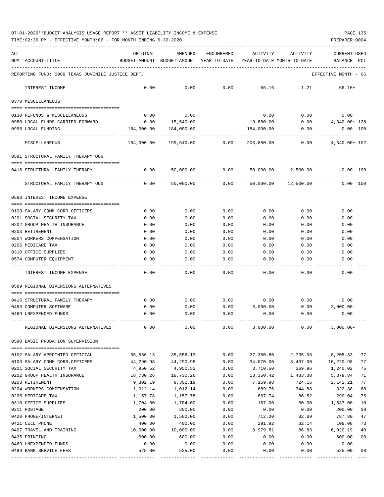TIME:02:36 PM - EFFECTIVE MONTH:06 - FOR MONTH ENDING 6-30-2020 PREPARER:0004

| ACT |                                                   | ORIGINAL     | AMENDED                                  | <b>ENCUMBERED</b> | ACTIVITY                   | ACTIVITY        | CURRENT USED         |                |
|-----|---------------------------------------------------|--------------|------------------------------------------|-------------------|----------------------------|-----------------|----------------------|----------------|
|     | NUM ACCOUNT-TITLE                                 |              | BUDGET-AMOUNT BUDGET-AMOUNT YEAR-TO-DATE |                   | YEAR-TO-DATE MONTH-TO-DATE |                 | BALANCE              | PCT            |
|     | REPORTING FUND: 0089 TEXAS JUVENILE JUSTICE DEPT. |              |                                          |                   |                            |                 | EFFECTIVE MONTH - 06 |                |
|     | INTEREST INCOME                                   | 0.00         | 0.00                                     | 0.00              | 66.16                      | 1.21            | $66.16+$             |                |
|     | 0370 MISCELLANEOUS                                |              |                                          |                   |                            |                 |                      |                |
|     | 0130 REFUNDS & MISCELLANEOUS                      | 0.00         | 0.00                                     |                   | 0.00                       | 0.00            | 0.00                 |                |
|     | 0988 LOCAL FUNDS CARRIED FORWARD                  | 0.00         | 15,540.00                                |                   | 19,880.00                  | 0.00            | 4,340.00+ 128        |                |
|     | 0995 LOCAL FUNDING                                | 184,000.00   | 184,000.00                               |                   | 184,000.00                 | 0.00            | $0.00$ 100           |                |
|     | MISCELLANEOUS                                     | 184,000.00   | 199,540.00 0.00                          |                   |                            | 203,880.00 0.00 | 4,340.00+ 102        |                |
|     | 0581 STRUCTURAL FAMILY THERAPY OOG                |              |                                          |                   |                            |                 |                      |                |
|     | 0416 STRUCTURAL FAMILY THERAPY                    | 0.00         | 50,000.00                                | 0.00              | 50,000.00                  | 12,500.00       | 0.00 100             |                |
|     | STRUCTURAL FAMILY THERAPY OOG                     | 0.00         | 50,000.00                                | 0.00              | 50,000.00                  | 12,500.00       | 0.00 100             |                |
|     | 0588 INTEREST INCOME EXPENSE                      |              |                                          |                   |                            |                 |                      |                |
|     | 0103 SALARY COMM.CORR.OFFICERS                    | 0.00         | 0.00                                     | 0.00              | 0.00                       | 0.00            | 0.00                 |                |
|     | 0201 SOCIAL SECURITY TAX                          | 0.00         | 0.00                                     | 0.00              | 0.00                       | 0.00            | 0.00                 |                |
|     | 0202 GROUP HEALTH INSURANCE                       | 0.00         | 0.00                                     | 0.00              | 0.00                       | 0.00            | 0.00                 |                |
|     | 0203 RETIREMENT                                   | 0.00         | 0.00                                     | 0.00              | 0.00                       | 0.00            | 0.00                 |                |
|     | 0204 WORKERS COMPENSATION                         | 0.00         | 0.00                                     | 0.00              | 0.00                       | 0.00            | 0.00                 |                |
|     | 0205 MEDICARE TAX                                 | 0.00         | 0.00                                     | 0.00              | 0.00                       | 0.00            | 0.00                 |                |
|     | 0310 OFFICE SUPPLIES                              | 0.00         | 0.00                                     | 0.00              | 0.00                       | 0.00            | 0.00                 |                |
|     | 0574 COMPUTER EQUIPMENT                           | 0.00         | 0.00                                     | 0.00              | 0.00                       | 0.00            | 0.00                 |                |
|     | INTEREST INCOME EXPENSE                           | 0.00         | 0.00                                     | 0.00              | 0.00                       | 0.00            | 0.00                 |                |
|     | 0589 REGIONAL DIVERSIONS ALTERNATIVES             |              |                                          |                   |                            |                 |                      |                |
|     |                                                   |              |                                          |                   |                            |                 |                      |                |
|     | 0416 STRUCTURAL FAMILY THERAPY                    | 0.00         | 0.00                                     | 0.00              | 0.00                       | 0.00            | 0.00                 |                |
|     | 0453 COMPUTER SOFTWARE<br>0469 UNEXPENDED FUNDS   | 0.00<br>0.00 | 0.00<br>0.00                             | 0.00<br>0.00      | 3,000.00<br>0.00           | 0.00<br>0.00    | $3,000.00-$<br>0.00  |                |
|     |                                                   |              |                                          |                   |                            |                 |                      |                |
|     | REGIONAL DIVERSIONS ALTERNATIVES                  | 0.00         | 0.00                                     | 0.00              | 3,000.00                   | 0.00            | $3,000.00-$          |                |
|     | 0590 BASIC PROBATION SUPERVISION                  |              |                                          |                   |                            |                 |                      |                |
|     | 0102 SALARY APPOINTED OFFICIAL                    | 35,556.13    | 35,556.13                                | 0.00              | 27,350.80                  | 2,735.08        | 8,205.33             | 77             |
|     | 0103 SALARY COMM.CORR.OFFICERS                    | 44,290.98    | 44,290.98                                | 0.00              | 34,070.00                  | 3,407.00        | 10,220.98            | 77             |
|     | 0201 SOCIAL SECURITY TAX                          | 4,950.52     | 4,950.52                                 | 0.00              | 3,710.50                   | 369.96          | 1,240.02             | 75             |
|     | 0202 GROUP HEALTH INSURANCE                       | 18,730.26    | 18,730.26                                | 0.00              | 13,350.42                  | 1,483.38        | 5,379.84             | 71             |
|     | 0203 RETIREMENT                                   | 9,302.19     | 9,302.19                                 | 0.00              | 7,159.98                   | 724.16          | 2,142.21             | 77             |
|     | 0204 WORKERS COMPENSATION                         | 1,012.14     | 1,012.14                                 | 0.00              | 689.76                     | 344.88          | 322.38               | 68             |
|     | 0205 MEDICARE TAX                                 | 1,157.78     | 1,157.78                                 | 0.00              | 867.74                     | 86.52           | 290.04               | 75             |
|     | 0310 OFFICE SUPPLIES                              | 1,704.00     | 1,704.00                                 | 0.00              | 167.00                     | 50.00           | 1,537.00             | 10             |
|     | 0311 POSTAGE                                      | 200.00       | 200.00                                   | 0.00              | 0.00                       | 0.00            | 200.00               | 00             |
|     | 0420 PHONE/INTERNET                               | 1,500.00     | 1,500.00                                 | 0.00              | 712.20                     | 82.69           | 787.80               | 47             |
|     | 0421 CELL PHONE                                   | 400.00       | 400.00                                   | 0.00              | 291.92                     | 32.14           | 108.08               | 73             |
|     | 0427 TRAVEL AND TRAINING                          | 10,000.00    | 10,000.00                                | 0.00              | 3,979.81                   | 86.83           | 6,020.19             | 40             |
|     | 0435 PRINTING                                     | 600.00       | 600.00                                   | 0.00              | 0.00                       | 0.00            | 600.00               | 0 <sub>0</sub> |
|     | 0469 UNEXPENDED FUNDS                             | 0.00         | 0.00                                     | 0.00              | 0.00                       | 0.00            | 0.00                 |                |
|     | 0499 BANK SERVICE FEES                            | 525.00       | 525.00                                   | 0.00              | 0.00                       | 0.00            | 525.00               | 00             |

---- ---------------------------------- ------------- ------------- ------------ ------------- ------------ ------------- ---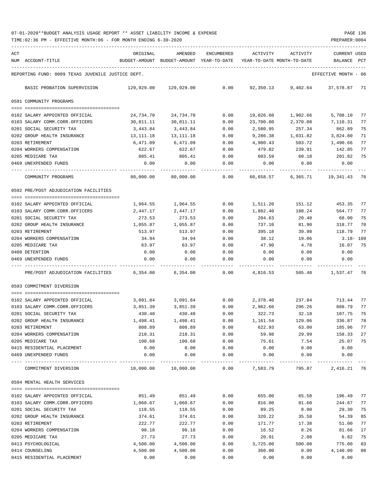TIME:02:36 PM - EFFECTIVE MONTH:06 - FOR MONTH ENDING 6-30-2020 PREPARER:0004

| ACT<br>ORIGINAL<br>AMENDED<br>ENCUMBERED<br>ACTIVITY<br>ACTIVITY<br><b>CURRENT USED</b><br>NUM ACCOUNT-TITLE<br>BUDGET-AMOUNT BUDGET-AMOUNT YEAR-TO-DATE<br>YEAR-TO-DATE MONTH-TO-DATE<br>BALANCE<br>PCT<br>REPORTING FUND: 0089 TEXAS JUVENILE JUSTICE DEPT.<br>EFFECTIVE MONTH - 06<br>BASIC PROBATION SUPERVISION<br>129,929.00<br>129,929.00<br>0.00<br>92,350.13<br>9,402.64<br>37,578.87 71<br>0591 COMMUNITY PROGRAMS<br>24,734.70<br>24,734.70<br>0.00<br>19,026.60<br>1,902.66<br>5,708.10<br>77<br>0102 SALARY APPOINTED OFFICIAL<br>0103 SALARY COMM.CORR.OFFICERS<br>30,811.11<br>30,811.11<br>0.00<br>23,700.80<br>2,370.08<br>7,110.31<br>77<br>75<br>0201 SOCIAL SECURITY TAX<br>3,443.84<br>3,443.84<br>0.00<br>2,580.95<br>257.34<br>862.89<br>0202 GROUP HEALTH INSURANCE<br>71<br>13,111.18<br>13, 111. 18<br>9,286.38<br>1,031.82<br>3,824.80<br>0.00<br>0203 RETIREMENT<br>6,471.09<br>6,471.09<br>0.00<br>4,980.43<br>503.72<br>1,490.66<br>77<br>0204 WORKERS COMPENSATION<br>622.67<br>622.67<br>0.00<br>479.82<br>239.91<br>142.85<br>77<br>75<br>0205 MEDICARE TAX<br>805.41<br>201.82<br>805.41<br>0.00<br>603.59<br>60.18<br>0469 UNEXPENDED FUNDS<br>0.00<br>0.00<br>0.00<br>0.00<br>0.00<br>0.00<br>COMMUNITY PROGRAMS<br>80,000.00<br>80,000.00<br>0.00<br>60,658.57<br>6,365.71<br>19,341.43<br>- 76<br>0592 PRE/POST ADJUDICATION FACILITIES<br>77<br>1,964.55<br>1,964.55<br>0.00<br>151.12<br>453.35<br>0102 SALARY APPOINTED OFFICIAL<br>1,511.20<br>77<br>0103 SALARY COMM.CORR.OFFICERS<br>2,447.17<br>0.00<br>1,882.40<br>188.24<br>564.77<br>2,447.17<br>0201 SOCIAL SECURITY TAX<br>273.53<br>273.53<br>0.00<br>204.63<br>20.40<br>68.90<br>75<br>0202 GROUP HEALTH INSURANCE<br>0.00<br>318.77<br>70<br>1,055.87<br>1,055.87<br>737.10<br>81.90<br>0203 RETIREMENT<br>118.79<br>77<br>513.97<br>513.97<br>0.00<br>395.18<br>39.98<br>0204 WORKERS COMPENSATION<br>34.94<br>34.94<br>0.00<br>38.12<br>19.06<br>3.18- 109<br>0205 MEDICARE TAX<br>75<br>63.97<br>63.97<br>0.00<br>47.90<br>4.78<br>16.07<br>0408 DETENTION<br>0.00<br>0.00<br>0.00<br>0.00<br>0.00<br>0.00<br>0.00<br>0.00<br>0.00<br>0.00<br>0.00<br>0469 UNEXPENDED FUNDS<br>0.00<br>PRE/POST ADJUDICATION FACILITIES<br>6,354.00<br>6,354.00<br>0.00<br>4,816.53<br>505.48 1,537.47 76<br>0593 COMMITMENT DIVERSION<br>713.44<br>0102 SALARY APPOINTED OFFICIAL<br>3,091.84<br>3,091.84<br>0.00<br>2,378.40<br>237.84<br>77<br>77<br>0103 SALARY COMM.CORR.OFFICERS<br>3,851.39<br>3,851.39<br>0.00<br>2,962.60<br>296.26<br>888.79<br>322.73<br>75<br>0201 SOCIAL SECURITY TAX<br>430.48<br>430.48<br>0.00<br>32.18<br>107.75<br>0202 GROUP HEALTH INSURANCE<br>1,498.41<br>1,498.41<br>1,161.54<br>129.06<br>336.87<br>78<br>0.00<br>808.89<br>622.93<br>63.00<br>185.96<br>77<br>0203 RETIREMENT<br>808.89<br>0.00<br>0204 WORKERS COMPENSATION<br>218.31<br>218.31<br>0.00<br>59.98<br>29.99<br>158.33<br>27<br>0205 MEDICARE TAX<br>0.00<br>75.61<br>25.07<br>75<br>100.68<br>100.68<br>7.54<br>0415 RESIDENTIAL PLACEMENT<br>0.00<br>0.00<br>0.00<br>0.00<br>0.00<br>0.00<br>0.00<br>0.00<br>0.00<br>0.00<br>0469 UNEXPENDED FUNDS<br>0.00<br>0.00<br>795.87<br>10,000.00<br>10,000.00<br>0.00<br>7,583.79<br>2,416.21 76<br>COMMITMENT DIVERSION<br>0594 MENTAL HEALTH SERVICES<br>65.50<br>0102 SALARY APPOINTED OFFICIAL<br>851.49<br>851.49<br>0.00<br>655.00<br>196.49 77<br>0103 SALARY COMM.CORR.OFFICERS<br>1,060.67<br>1,060.67<br>0.00<br>816.00<br>81.60<br>244.67<br>77<br>0201 SOCIAL SECURITY TAX<br>0.00<br>89.25<br>8.90<br>29.30<br>75<br>118.55<br>118.55<br>0202 GROUP HEALTH INSURANCE<br>35.58<br>54.39<br>85<br>374.61<br>374.61<br>0.00<br>320.22<br>222.77<br>0.00<br>51.00<br>77<br>0203 RETIREMENT<br>222.77<br>171.77<br>17.38<br>81.66<br>17<br>0204 WORKERS COMPENSATION<br>98.18<br>98.18<br>0.00<br>16.52<br>8.26<br>6.82<br>75<br>0205 MEDICARE TAX<br>27.73<br>27.73<br>0.00<br>20.91<br>2.08<br>775.00<br>0413 PSYCHOLOGICAL<br>4,500.00<br>4,500.00<br>0.00<br>3,725.00<br>500.00<br>83<br>0414 COUNSELING<br>4,500.00<br>4,500.00<br>0.00<br>360.00<br>0.00<br>4,140.00<br>08 |  |  |  |  |  |
|------------------------------------------------------------------------------------------------------------------------------------------------------------------------------------------------------------------------------------------------------------------------------------------------------------------------------------------------------------------------------------------------------------------------------------------------------------------------------------------------------------------------------------------------------------------------------------------------------------------------------------------------------------------------------------------------------------------------------------------------------------------------------------------------------------------------------------------------------------------------------------------------------------------------------------------------------------------------------------------------------------------------------------------------------------------------------------------------------------------------------------------------------------------------------------------------------------------------------------------------------------------------------------------------------------------------------------------------------------------------------------------------------------------------------------------------------------------------------------------------------------------------------------------------------------------------------------------------------------------------------------------------------------------------------------------------------------------------------------------------------------------------------------------------------------------------------------------------------------------------------------------------------------------------------------------------------------------------------------------------------------------------------------------------------------------------------------------------------------------------------------------------------------------------------------------------------------------------------------------------------------------------------------------------------------------------------------------------------------------------------------------------------------------------------------------------------------------------------------------------------------------------------------------------------------------------------------------------------------------------------------------------------------------------------------------------------------------------------------------------------------------------------------------------------------------------------------------------------------------------------------------------------------------------------------------------------------------------------------------------------------------------------------------------------------------------------------------------------------------------------------------------------------------------------------------------------------------------------------------------------------------------------------------------------------------------------------------------------------------------------------------------------------------------------------------------------------------------------------------------------------------------------------------------------------------------------------------------------------------------------------------------------------------------------------------------------------------------------------------------------------------------------------------------------------------------------------------------------------------------------------------------------------------------------------------------------------------------------------------------------------------------------------------------------------------------------------------------------------------------------------|--|--|--|--|--|
|                                                                                                                                                                                                                                                                                                                                                                                                                                                                                                                                                                                                                                                                                                                                                                                                                                                                                                                                                                                                                                                                                                                                                                                                                                                                                                                                                                                                                                                                                                                                                                                                                                                                                                                                                                                                                                                                                                                                                                                                                                                                                                                                                                                                                                                                                                                                                                                                                                                                                                                                                                                                                                                                                                                                                                                                                                                                                                                                                                                                                                                                                                                                                                                                                                                                                                                                                                                                                                                                                                                                                                                                                                                                                                                                                                                                                                                                                                                                                                                                                                                                                                                                    |  |  |  |  |  |
|                                                                                                                                                                                                                                                                                                                                                                                                                                                                                                                                                                                                                                                                                                                                                                                                                                                                                                                                                                                                                                                                                                                                                                                                                                                                                                                                                                                                                                                                                                                                                                                                                                                                                                                                                                                                                                                                                                                                                                                                                                                                                                                                                                                                                                                                                                                                                                                                                                                                                                                                                                                                                                                                                                                                                                                                                                                                                                                                                                                                                                                                                                                                                                                                                                                                                                                                                                                                                                                                                                                                                                                                                                                                                                                                                                                                                                                                                                                                                                                                                                                                                                                                    |  |  |  |  |  |
|                                                                                                                                                                                                                                                                                                                                                                                                                                                                                                                                                                                                                                                                                                                                                                                                                                                                                                                                                                                                                                                                                                                                                                                                                                                                                                                                                                                                                                                                                                                                                                                                                                                                                                                                                                                                                                                                                                                                                                                                                                                                                                                                                                                                                                                                                                                                                                                                                                                                                                                                                                                                                                                                                                                                                                                                                                                                                                                                                                                                                                                                                                                                                                                                                                                                                                                                                                                                                                                                                                                                                                                                                                                                                                                                                                                                                                                                                                                                                                                                                                                                                                                                    |  |  |  |  |  |
|                                                                                                                                                                                                                                                                                                                                                                                                                                                                                                                                                                                                                                                                                                                                                                                                                                                                                                                                                                                                                                                                                                                                                                                                                                                                                                                                                                                                                                                                                                                                                                                                                                                                                                                                                                                                                                                                                                                                                                                                                                                                                                                                                                                                                                                                                                                                                                                                                                                                                                                                                                                                                                                                                                                                                                                                                                                                                                                                                                                                                                                                                                                                                                                                                                                                                                                                                                                                                                                                                                                                                                                                                                                                                                                                                                                                                                                                                                                                                                                                                                                                                                                                    |  |  |  |  |  |
|                                                                                                                                                                                                                                                                                                                                                                                                                                                                                                                                                                                                                                                                                                                                                                                                                                                                                                                                                                                                                                                                                                                                                                                                                                                                                                                                                                                                                                                                                                                                                                                                                                                                                                                                                                                                                                                                                                                                                                                                                                                                                                                                                                                                                                                                                                                                                                                                                                                                                                                                                                                                                                                                                                                                                                                                                                                                                                                                                                                                                                                                                                                                                                                                                                                                                                                                                                                                                                                                                                                                                                                                                                                                                                                                                                                                                                                                                                                                                                                                                                                                                                                                    |  |  |  |  |  |
|                                                                                                                                                                                                                                                                                                                                                                                                                                                                                                                                                                                                                                                                                                                                                                                                                                                                                                                                                                                                                                                                                                                                                                                                                                                                                                                                                                                                                                                                                                                                                                                                                                                                                                                                                                                                                                                                                                                                                                                                                                                                                                                                                                                                                                                                                                                                                                                                                                                                                                                                                                                                                                                                                                                                                                                                                                                                                                                                                                                                                                                                                                                                                                                                                                                                                                                                                                                                                                                                                                                                                                                                                                                                                                                                                                                                                                                                                                                                                                                                                                                                                                                                    |  |  |  |  |  |
|                                                                                                                                                                                                                                                                                                                                                                                                                                                                                                                                                                                                                                                                                                                                                                                                                                                                                                                                                                                                                                                                                                                                                                                                                                                                                                                                                                                                                                                                                                                                                                                                                                                                                                                                                                                                                                                                                                                                                                                                                                                                                                                                                                                                                                                                                                                                                                                                                                                                                                                                                                                                                                                                                                                                                                                                                                                                                                                                                                                                                                                                                                                                                                                                                                                                                                                                                                                                                                                                                                                                                                                                                                                                                                                                                                                                                                                                                                                                                                                                                                                                                                                                    |  |  |  |  |  |
|                                                                                                                                                                                                                                                                                                                                                                                                                                                                                                                                                                                                                                                                                                                                                                                                                                                                                                                                                                                                                                                                                                                                                                                                                                                                                                                                                                                                                                                                                                                                                                                                                                                                                                                                                                                                                                                                                                                                                                                                                                                                                                                                                                                                                                                                                                                                                                                                                                                                                                                                                                                                                                                                                                                                                                                                                                                                                                                                                                                                                                                                                                                                                                                                                                                                                                                                                                                                                                                                                                                                                                                                                                                                                                                                                                                                                                                                                                                                                                                                                                                                                                                                    |  |  |  |  |  |
|                                                                                                                                                                                                                                                                                                                                                                                                                                                                                                                                                                                                                                                                                                                                                                                                                                                                                                                                                                                                                                                                                                                                                                                                                                                                                                                                                                                                                                                                                                                                                                                                                                                                                                                                                                                                                                                                                                                                                                                                                                                                                                                                                                                                                                                                                                                                                                                                                                                                                                                                                                                                                                                                                                                                                                                                                                                                                                                                                                                                                                                                                                                                                                                                                                                                                                                                                                                                                                                                                                                                                                                                                                                                                                                                                                                                                                                                                                                                                                                                                                                                                                                                    |  |  |  |  |  |
|                                                                                                                                                                                                                                                                                                                                                                                                                                                                                                                                                                                                                                                                                                                                                                                                                                                                                                                                                                                                                                                                                                                                                                                                                                                                                                                                                                                                                                                                                                                                                                                                                                                                                                                                                                                                                                                                                                                                                                                                                                                                                                                                                                                                                                                                                                                                                                                                                                                                                                                                                                                                                                                                                                                                                                                                                                                                                                                                                                                                                                                                                                                                                                                                                                                                                                                                                                                                                                                                                                                                                                                                                                                                                                                                                                                                                                                                                                                                                                                                                                                                                                                                    |  |  |  |  |  |
|                                                                                                                                                                                                                                                                                                                                                                                                                                                                                                                                                                                                                                                                                                                                                                                                                                                                                                                                                                                                                                                                                                                                                                                                                                                                                                                                                                                                                                                                                                                                                                                                                                                                                                                                                                                                                                                                                                                                                                                                                                                                                                                                                                                                                                                                                                                                                                                                                                                                                                                                                                                                                                                                                                                                                                                                                                                                                                                                                                                                                                                                                                                                                                                                                                                                                                                                                                                                                                                                                                                                                                                                                                                                                                                                                                                                                                                                                                                                                                                                                                                                                                                                    |  |  |  |  |  |
|                                                                                                                                                                                                                                                                                                                                                                                                                                                                                                                                                                                                                                                                                                                                                                                                                                                                                                                                                                                                                                                                                                                                                                                                                                                                                                                                                                                                                                                                                                                                                                                                                                                                                                                                                                                                                                                                                                                                                                                                                                                                                                                                                                                                                                                                                                                                                                                                                                                                                                                                                                                                                                                                                                                                                                                                                                                                                                                                                                                                                                                                                                                                                                                                                                                                                                                                                                                                                                                                                                                                                                                                                                                                                                                                                                                                                                                                                                                                                                                                                                                                                                                                    |  |  |  |  |  |
|                                                                                                                                                                                                                                                                                                                                                                                                                                                                                                                                                                                                                                                                                                                                                                                                                                                                                                                                                                                                                                                                                                                                                                                                                                                                                                                                                                                                                                                                                                                                                                                                                                                                                                                                                                                                                                                                                                                                                                                                                                                                                                                                                                                                                                                                                                                                                                                                                                                                                                                                                                                                                                                                                                                                                                                                                                                                                                                                                                                                                                                                                                                                                                                                                                                                                                                                                                                                                                                                                                                                                                                                                                                                                                                                                                                                                                                                                                                                                                                                                                                                                                                                    |  |  |  |  |  |
|                                                                                                                                                                                                                                                                                                                                                                                                                                                                                                                                                                                                                                                                                                                                                                                                                                                                                                                                                                                                                                                                                                                                                                                                                                                                                                                                                                                                                                                                                                                                                                                                                                                                                                                                                                                                                                                                                                                                                                                                                                                                                                                                                                                                                                                                                                                                                                                                                                                                                                                                                                                                                                                                                                                                                                                                                                                                                                                                                                                                                                                                                                                                                                                                                                                                                                                                                                                                                                                                                                                                                                                                                                                                                                                                                                                                                                                                                                                                                                                                                                                                                                                                    |  |  |  |  |  |
|                                                                                                                                                                                                                                                                                                                                                                                                                                                                                                                                                                                                                                                                                                                                                                                                                                                                                                                                                                                                                                                                                                                                                                                                                                                                                                                                                                                                                                                                                                                                                                                                                                                                                                                                                                                                                                                                                                                                                                                                                                                                                                                                                                                                                                                                                                                                                                                                                                                                                                                                                                                                                                                                                                                                                                                                                                                                                                                                                                                                                                                                                                                                                                                                                                                                                                                                                                                                                                                                                                                                                                                                                                                                                                                                                                                                                                                                                                                                                                                                                                                                                                                                    |  |  |  |  |  |
|                                                                                                                                                                                                                                                                                                                                                                                                                                                                                                                                                                                                                                                                                                                                                                                                                                                                                                                                                                                                                                                                                                                                                                                                                                                                                                                                                                                                                                                                                                                                                                                                                                                                                                                                                                                                                                                                                                                                                                                                                                                                                                                                                                                                                                                                                                                                                                                                                                                                                                                                                                                                                                                                                                                                                                                                                                                                                                                                                                                                                                                                                                                                                                                                                                                                                                                                                                                                                                                                                                                                                                                                                                                                                                                                                                                                                                                                                                                                                                                                                                                                                                                                    |  |  |  |  |  |
|                                                                                                                                                                                                                                                                                                                                                                                                                                                                                                                                                                                                                                                                                                                                                                                                                                                                                                                                                                                                                                                                                                                                                                                                                                                                                                                                                                                                                                                                                                                                                                                                                                                                                                                                                                                                                                                                                                                                                                                                                                                                                                                                                                                                                                                                                                                                                                                                                                                                                                                                                                                                                                                                                                                                                                                                                                                                                                                                                                                                                                                                                                                                                                                                                                                                                                                                                                                                                                                                                                                                                                                                                                                                                                                                                                                                                                                                                                                                                                                                                                                                                                                                    |  |  |  |  |  |
|                                                                                                                                                                                                                                                                                                                                                                                                                                                                                                                                                                                                                                                                                                                                                                                                                                                                                                                                                                                                                                                                                                                                                                                                                                                                                                                                                                                                                                                                                                                                                                                                                                                                                                                                                                                                                                                                                                                                                                                                                                                                                                                                                                                                                                                                                                                                                                                                                                                                                                                                                                                                                                                                                                                                                                                                                                                                                                                                                                                                                                                                                                                                                                                                                                                                                                                                                                                                                                                                                                                                                                                                                                                                                                                                                                                                                                                                                                                                                                                                                                                                                                                                    |  |  |  |  |  |
|                                                                                                                                                                                                                                                                                                                                                                                                                                                                                                                                                                                                                                                                                                                                                                                                                                                                                                                                                                                                                                                                                                                                                                                                                                                                                                                                                                                                                                                                                                                                                                                                                                                                                                                                                                                                                                                                                                                                                                                                                                                                                                                                                                                                                                                                                                                                                                                                                                                                                                                                                                                                                                                                                                                                                                                                                                                                                                                                                                                                                                                                                                                                                                                                                                                                                                                                                                                                                                                                                                                                                                                                                                                                                                                                                                                                                                                                                                                                                                                                                                                                                                                                    |  |  |  |  |  |
|                                                                                                                                                                                                                                                                                                                                                                                                                                                                                                                                                                                                                                                                                                                                                                                                                                                                                                                                                                                                                                                                                                                                                                                                                                                                                                                                                                                                                                                                                                                                                                                                                                                                                                                                                                                                                                                                                                                                                                                                                                                                                                                                                                                                                                                                                                                                                                                                                                                                                                                                                                                                                                                                                                                                                                                                                                                                                                                                                                                                                                                                                                                                                                                                                                                                                                                                                                                                                                                                                                                                                                                                                                                                                                                                                                                                                                                                                                                                                                                                                                                                                                                                    |  |  |  |  |  |
|                                                                                                                                                                                                                                                                                                                                                                                                                                                                                                                                                                                                                                                                                                                                                                                                                                                                                                                                                                                                                                                                                                                                                                                                                                                                                                                                                                                                                                                                                                                                                                                                                                                                                                                                                                                                                                                                                                                                                                                                                                                                                                                                                                                                                                                                                                                                                                                                                                                                                                                                                                                                                                                                                                                                                                                                                                                                                                                                                                                                                                                                                                                                                                                                                                                                                                                                                                                                                                                                                                                                                                                                                                                                                                                                                                                                                                                                                                                                                                                                                                                                                                                                    |  |  |  |  |  |
|                                                                                                                                                                                                                                                                                                                                                                                                                                                                                                                                                                                                                                                                                                                                                                                                                                                                                                                                                                                                                                                                                                                                                                                                                                                                                                                                                                                                                                                                                                                                                                                                                                                                                                                                                                                                                                                                                                                                                                                                                                                                                                                                                                                                                                                                                                                                                                                                                                                                                                                                                                                                                                                                                                                                                                                                                                                                                                                                                                                                                                                                                                                                                                                                                                                                                                                                                                                                                                                                                                                                                                                                                                                                                                                                                                                                                                                                                                                                                                                                                                                                                                                                    |  |  |  |  |  |
|                                                                                                                                                                                                                                                                                                                                                                                                                                                                                                                                                                                                                                                                                                                                                                                                                                                                                                                                                                                                                                                                                                                                                                                                                                                                                                                                                                                                                                                                                                                                                                                                                                                                                                                                                                                                                                                                                                                                                                                                                                                                                                                                                                                                                                                                                                                                                                                                                                                                                                                                                                                                                                                                                                                                                                                                                                                                                                                                                                                                                                                                                                                                                                                                                                                                                                                                                                                                                                                                                                                                                                                                                                                                                                                                                                                                                                                                                                                                                                                                                                                                                                                                    |  |  |  |  |  |
|                                                                                                                                                                                                                                                                                                                                                                                                                                                                                                                                                                                                                                                                                                                                                                                                                                                                                                                                                                                                                                                                                                                                                                                                                                                                                                                                                                                                                                                                                                                                                                                                                                                                                                                                                                                                                                                                                                                                                                                                                                                                                                                                                                                                                                                                                                                                                                                                                                                                                                                                                                                                                                                                                                                                                                                                                                                                                                                                                                                                                                                                                                                                                                                                                                                                                                                                                                                                                                                                                                                                                                                                                                                                                                                                                                                                                                                                                                                                                                                                                                                                                                                                    |  |  |  |  |  |
|                                                                                                                                                                                                                                                                                                                                                                                                                                                                                                                                                                                                                                                                                                                                                                                                                                                                                                                                                                                                                                                                                                                                                                                                                                                                                                                                                                                                                                                                                                                                                                                                                                                                                                                                                                                                                                                                                                                                                                                                                                                                                                                                                                                                                                                                                                                                                                                                                                                                                                                                                                                                                                                                                                                                                                                                                                                                                                                                                                                                                                                                                                                                                                                                                                                                                                                                                                                                                                                                                                                                                                                                                                                                                                                                                                                                                                                                                                                                                                                                                                                                                                                                    |  |  |  |  |  |
|                                                                                                                                                                                                                                                                                                                                                                                                                                                                                                                                                                                                                                                                                                                                                                                                                                                                                                                                                                                                                                                                                                                                                                                                                                                                                                                                                                                                                                                                                                                                                                                                                                                                                                                                                                                                                                                                                                                                                                                                                                                                                                                                                                                                                                                                                                                                                                                                                                                                                                                                                                                                                                                                                                                                                                                                                                                                                                                                                                                                                                                                                                                                                                                                                                                                                                                                                                                                                                                                                                                                                                                                                                                                                                                                                                                                                                                                                                                                                                                                                                                                                                                                    |  |  |  |  |  |
|                                                                                                                                                                                                                                                                                                                                                                                                                                                                                                                                                                                                                                                                                                                                                                                                                                                                                                                                                                                                                                                                                                                                                                                                                                                                                                                                                                                                                                                                                                                                                                                                                                                                                                                                                                                                                                                                                                                                                                                                                                                                                                                                                                                                                                                                                                                                                                                                                                                                                                                                                                                                                                                                                                                                                                                                                                                                                                                                                                                                                                                                                                                                                                                                                                                                                                                                                                                                                                                                                                                                                                                                                                                                                                                                                                                                                                                                                                                                                                                                                                                                                                                                    |  |  |  |  |  |
|                                                                                                                                                                                                                                                                                                                                                                                                                                                                                                                                                                                                                                                                                                                                                                                                                                                                                                                                                                                                                                                                                                                                                                                                                                                                                                                                                                                                                                                                                                                                                                                                                                                                                                                                                                                                                                                                                                                                                                                                                                                                                                                                                                                                                                                                                                                                                                                                                                                                                                                                                                                                                                                                                                                                                                                                                                                                                                                                                                                                                                                                                                                                                                                                                                                                                                                                                                                                                                                                                                                                                                                                                                                                                                                                                                                                                                                                                                                                                                                                                                                                                                                                    |  |  |  |  |  |
|                                                                                                                                                                                                                                                                                                                                                                                                                                                                                                                                                                                                                                                                                                                                                                                                                                                                                                                                                                                                                                                                                                                                                                                                                                                                                                                                                                                                                                                                                                                                                                                                                                                                                                                                                                                                                                                                                                                                                                                                                                                                                                                                                                                                                                                                                                                                                                                                                                                                                                                                                                                                                                                                                                                                                                                                                                                                                                                                                                                                                                                                                                                                                                                                                                                                                                                                                                                                                                                                                                                                                                                                                                                                                                                                                                                                                                                                                                                                                                                                                                                                                                                                    |  |  |  |  |  |
|                                                                                                                                                                                                                                                                                                                                                                                                                                                                                                                                                                                                                                                                                                                                                                                                                                                                                                                                                                                                                                                                                                                                                                                                                                                                                                                                                                                                                                                                                                                                                                                                                                                                                                                                                                                                                                                                                                                                                                                                                                                                                                                                                                                                                                                                                                                                                                                                                                                                                                                                                                                                                                                                                                                                                                                                                                                                                                                                                                                                                                                                                                                                                                                                                                                                                                                                                                                                                                                                                                                                                                                                                                                                                                                                                                                                                                                                                                                                                                                                                                                                                                                                    |  |  |  |  |  |
|                                                                                                                                                                                                                                                                                                                                                                                                                                                                                                                                                                                                                                                                                                                                                                                                                                                                                                                                                                                                                                                                                                                                                                                                                                                                                                                                                                                                                                                                                                                                                                                                                                                                                                                                                                                                                                                                                                                                                                                                                                                                                                                                                                                                                                                                                                                                                                                                                                                                                                                                                                                                                                                                                                                                                                                                                                                                                                                                                                                                                                                                                                                                                                                                                                                                                                                                                                                                                                                                                                                                                                                                                                                                                                                                                                                                                                                                                                                                                                                                                                                                                                                                    |  |  |  |  |  |
|                                                                                                                                                                                                                                                                                                                                                                                                                                                                                                                                                                                                                                                                                                                                                                                                                                                                                                                                                                                                                                                                                                                                                                                                                                                                                                                                                                                                                                                                                                                                                                                                                                                                                                                                                                                                                                                                                                                                                                                                                                                                                                                                                                                                                                                                                                                                                                                                                                                                                                                                                                                                                                                                                                                                                                                                                                                                                                                                                                                                                                                                                                                                                                                                                                                                                                                                                                                                                                                                                                                                                                                                                                                                                                                                                                                                                                                                                                                                                                                                                                                                                                                                    |  |  |  |  |  |
|                                                                                                                                                                                                                                                                                                                                                                                                                                                                                                                                                                                                                                                                                                                                                                                                                                                                                                                                                                                                                                                                                                                                                                                                                                                                                                                                                                                                                                                                                                                                                                                                                                                                                                                                                                                                                                                                                                                                                                                                                                                                                                                                                                                                                                                                                                                                                                                                                                                                                                                                                                                                                                                                                                                                                                                                                                                                                                                                                                                                                                                                                                                                                                                                                                                                                                                                                                                                                                                                                                                                                                                                                                                                                                                                                                                                                                                                                                                                                                                                                                                                                                                                    |  |  |  |  |  |
|                                                                                                                                                                                                                                                                                                                                                                                                                                                                                                                                                                                                                                                                                                                                                                                                                                                                                                                                                                                                                                                                                                                                                                                                                                                                                                                                                                                                                                                                                                                                                                                                                                                                                                                                                                                                                                                                                                                                                                                                                                                                                                                                                                                                                                                                                                                                                                                                                                                                                                                                                                                                                                                                                                                                                                                                                                                                                                                                                                                                                                                                                                                                                                                                                                                                                                                                                                                                                                                                                                                                                                                                                                                                                                                                                                                                                                                                                                                                                                                                                                                                                                                                    |  |  |  |  |  |
|                                                                                                                                                                                                                                                                                                                                                                                                                                                                                                                                                                                                                                                                                                                                                                                                                                                                                                                                                                                                                                                                                                                                                                                                                                                                                                                                                                                                                                                                                                                                                                                                                                                                                                                                                                                                                                                                                                                                                                                                                                                                                                                                                                                                                                                                                                                                                                                                                                                                                                                                                                                                                                                                                                                                                                                                                                                                                                                                                                                                                                                                                                                                                                                                                                                                                                                                                                                                                                                                                                                                                                                                                                                                                                                                                                                                                                                                                                                                                                                                                                                                                                                                    |  |  |  |  |  |
|                                                                                                                                                                                                                                                                                                                                                                                                                                                                                                                                                                                                                                                                                                                                                                                                                                                                                                                                                                                                                                                                                                                                                                                                                                                                                                                                                                                                                                                                                                                                                                                                                                                                                                                                                                                                                                                                                                                                                                                                                                                                                                                                                                                                                                                                                                                                                                                                                                                                                                                                                                                                                                                                                                                                                                                                                                                                                                                                                                                                                                                                                                                                                                                                                                                                                                                                                                                                                                                                                                                                                                                                                                                                                                                                                                                                                                                                                                                                                                                                                                                                                                                                    |  |  |  |  |  |
|                                                                                                                                                                                                                                                                                                                                                                                                                                                                                                                                                                                                                                                                                                                                                                                                                                                                                                                                                                                                                                                                                                                                                                                                                                                                                                                                                                                                                                                                                                                                                                                                                                                                                                                                                                                                                                                                                                                                                                                                                                                                                                                                                                                                                                                                                                                                                                                                                                                                                                                                                                                                                                                                                                                                                                                                                                                                                                                                                                                                                                                                                                                                                                                                                                                                                                                                                                                                                                                                                                                                                                                                                                                                                                                                                                                                                                                                                                                                                                                                                                                                                                                                    |  |  |  |  |  |
|                                                                                                                                                                                                                                                                                                                                                                                                                                                                                                                                                                                                                                                                                                                                                                                                                                                                                                                                                                                                                                                                                                                                                                                                                                                                                                                                                                                                                                                                                                                                                                                                                                                                                                                                                                                                                                                                                                                                                                                                                                                                                                                                                                                                                                                                                                                                                                                                                                                                                                                                                                                                                                                                                                                                                                                                                                                                                                                                                                                                                                                                                                                                                                                                                                                                                                                                                                                                                                                                                                                                                                                                                                                                                                                                                                                                                                                                                                                                                                                                                                                                                                                                    |  |  |  |  |  |
|                                                                                                                                                                                                                                                                                                                                                                                                                                                                                                                                                                                                                                                                                                                                                                                                                                                                                                                                                                                                                                                                                                                                                                                                                                                                                                                                                                                                                                                                                                                                                                                                                                                                                                                                                                                                                                                                                                                                                                                                                                                                                                                                                                                                                                                                                                                                                                                                                                                                                                                                                                                                                                                                                                                                                                                                                                                                                                                                                                                                                                                                                                                                                                                                                                                                                                                                                                                                                                                                                                                                                                                                                                                                                                                                                                                                                                                                                                                                                                                                                                                                                                                                    |  |  |  |  |  |
|                                                                                                                                                                                                                                                                                                                                                                                                                                                                                                                                                                                                                                                                                                                                                                                                                                                                                                                                                                                                                                                                                                                                                                                                                                                                                                                                                                                                                                                                                                                                                                                                                                                                                                                                                                                                                                                                                                                                                                                                                                                                                                                                                                                                                                                                                                                                                                                                                                                                                                                                                                                                                                                                                                                                                                                                                                                                                                                                                                                                                                                                                                                                                                                                                                                                                                                                                                                                                                                                                                                                                                                                                                                                                                                                                                                                                                                                                                                                                                                                                                                                                                                                    |  |  |  |  |  |
|                                                                                                                                                                                                                                                                                                                                                                                                                                                                                                                                                                                                                                                                                                                                                                                                                                                                                                                                                                                                                                                                                                                                                                                                                                                                                                                                                                                                                                                                                                                                                                                                                                                                                                                                                                                                                                                                                                                                                                                                                                                                                                                                                                                                                                                                                                                                                                                                                                                                                                                                                                                                                                                                                                                                                                                                                                                                                                                                                                                                                                                                                                                                                                                                                                                                                                                                                                                                                                                                                                                                                                                                                                                                                                                                                                                                                                                                                                                                                                                                                                                                                                                                    |  |  |  |  |  |
|                                                                                                                                                                                                                                                                                                                                                                                                                                                                                                                                                                                                                                                                                                                                                                                                                                                                                                                                                                                                                                                                                                                                                                                                                                                                                                                                                                                                                                                                                                                                                                                                                                                                                                                                                                                                                                                                                                                                                                                                                                                                                                                                                                                                                                                                                                                                                                                                                                                                                                                                                                                                                                                                                                                                                                                                                                                                                                                                                                                                                                                                                                                                                                                                                                                                                                                                                                                                                                                                                                                                                                                                                                                                                                                                                                                                                                                                                                                                                                                                                                                                                                                                    |  |  |  |  |  |
|                                                                                                                                                                                                                                                                                                                                                                                                                                                                                                                                                                                                                                                                                                                                                                                                                                                                                                                                                                                                                                                                                                                                                                                                                                                                                                                                                                                                                                                                                                                                                                                                                                                                                                                                                                                                                                                                                                                                                                                                                                                                                                                                                                                                                                                                                                                                                                                                                                                                                                                                                                                                                                                                                                                                                                                                                                                                                                                                                                                                                                                                                                                                                                                                                                                                                                                                                                                                                                                                                                                                                                                                                                                                                                                                                                                                                                                                                                                                                                                                                                                                                                                                    |  |  |  |  |  |
|                                                                                                                                                                                                                                                                                                                                                                                                                                                                                                                                                                                                                                                                                                                                                                                                                                                                                                                                                                                                                                                                                                                                                                                                                                                                                                                                                                                                                                                                                                                                                                                                                                                                                                                                                                                                                                                                                                                                                                                                                                                                                                                                                                                                                                                                                                                                                                                                                                                                                                                                                                                                                                                                                                                                                                                                                                                                                                                                                                                                                                                                                                                                                                                                                                                                                                                                                                                                                                                                                                                                                                                                                                                                                                                                                                                                                                                                                                                                                                                                                                                                                                                                    |  |  |  |  |  |
|                                                                                                                                                                                                                                                                                                                                                                                                                                                                                                                                                                                                                                                                                                                                                                                                                                                                                                                                                                                                                                                                                                                                                                                                                                                                                                                                                                                                                                                                                                                                                                                                                                                                                                                                                                                                                                                                                                                                                                                                                                                                                                                                                                                                                                                                                                                                                                                                                                                                                                                                                                                                                                                                                                                                                                                                                                                                                                                                                                                                                                                                                                                                                                                                                                                                                                                                                                                                                                                                                                                                                                                                                                                                                                                                                                                                                                                                                                                                                                                                                                                                                                                                    |  |  |  |  |  |
|                                                                                                                                                                                                                                                                                                                                                                                                                                                                                                                                                                                                                                                                                                                                                                                                                                                                                                                                                                                                                                                                                                                                                                                                                                                                                                                                                                                                                                                                                                                                                                                                                                                                                                                                                                                                                                                                                                                                                                                                                                                                                                                                                                                                                                                                                                                                                                                                                                                                                                                                                                                                                                                                                                                                                                                                                                                                                                                                                                                                                                                                                                                                                                                                                                                                                                                                                                                                                                                                                                                                                                                                                                                                                                                                                                                                                                                                                                                                                                                                                                                                                                                                    |  |  |  |  |  |
|                                                                                                                                                                                                                                                                                                                                                                                                                                                                                                                                                                                                                                                                                                                                                                                                                                                                                                                                                                                                                                                                                                                                                                                                                                                                                                                                                                                                                                                                                                                                                                                                                                                                                                                                                                                                                                                                                                                                                                                                                                                                                                                                                                                                                                                                                                                                                                                                                                                                                                                                                                                                                                                                                                                                                                                                                                                                                                                                                                                                                                                                                                                                                                                                                                                                                                                                                                                                                                                                                                                                                                                                                                                                                                                                                                                                                                                                                                                                                                                                                                                                                                                                    |  |  |  |  |  |
|                                                                                                                                                                                                                                                                                                                                                                                                                                                                                                                                                                                                                                                                                                                                                                                                                                                                                                                                                                                                                                                                                                                                                                                                                                                                                                                                                                                                                                                                                                                                                                                                                                                                                                                                                                                                                                                                                                                                                                                                                                                                                                                                                                                                                                                                                                                                                                                                                                                                                                                                                                                                                                                                                                                                                                                                                                                                                                                                                                                                                                                                                                                                                                                                                                                                                                                                                                                                                                                                                                                                                                                                                                                                                                                                                                                                                                                                                                                                                                                                                                                                                                                                    |  |  |  |  |  |

0415 RESIDENTIAL PLACEMENT 0.00 0.00 0.00 0.00 0.00 0.00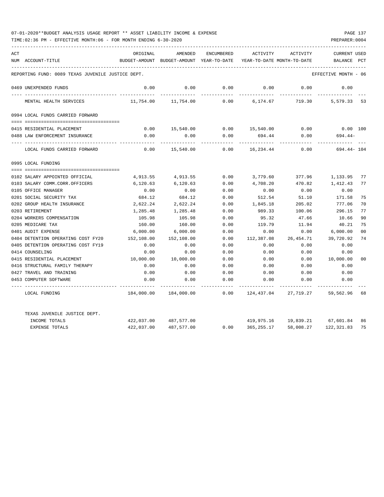| ACT |                                                   | ORIGINAL   | AMENDED                                  | ENCUMBERED | ACTIVITY                   | ACTIVITY                         | <b>CURRENT USED</b> |                |
|-----|---------------------------------------------------|------------|------------------------------------------|------------|----------------------------|----------------------------------|---------------------|----------------|
|     | NUM ACCOUNT-TITLE                                 |            | BUDGET-AMOUNT BUDGET-AMOUNT YEAR-TO-DATE |            | YEAR-TO-DATE MONTH-TO-DATE |                                  | BALANCE             | $_{\rm PCT}$   |
|     | REPORTING FUND: 0089 TEXAS JUVENILE JUSTICE DEPT. |            |                                          |            |                            |                                  | EFFECTIVE MONTH     | - 06           |
|     |                                                   |            |                                          |            |                            |                                  |                     |                |
|     | 0469 UNEXPENDED FUNDS                             | 0.00       | 0.00                                     | 0.00       | 0.00                       | 0.00                             | 0.00                |                |
|     | MENTAL HEALTH SERVICES                            | 11,754.00  | 11,754.00                                | 0.00       | 6,174.67                   | 719.30                           | 5,579.33 53         |                |
|     | 0994 LOCAL FUNDS CARRIED FORWARD                  |            |                                          |            |                            |                                  |                     |                |
|     |                                                   |            |                                          |            |                            |                                  |                     |                |
|     | 0415 RESIDENTIAL PLACEMENT                        | 0.00       | 15,540.00                                |            | $0.00$ 15,540.00           | 0.00                             | $0.00$ 100          |                |
|     | 0488 LAW ENFORCEMENT INSURANCE                    | 0.00       | 0.00                                     | 0.00       | 694.44                     | 0.00                             | $694.44-$           |                |
|     | LOCAL FUNDS CARRIED FORWARD                       | 0.00       | 15,540.00                                | 0.00       | 16,234.44                  | 0.00                             | 694.44- 104         |                |
|     | 0995 LOCAL FUNDING                                |            |                                          |            |                            |                                  |                     |                |
|     |                                                   |            |                                          |            |                            |                                  |                     |                |
|     | 0102 SALARY APPOINTED OFFICIAL                    | 4,913.55   | 4,913.55                                 | 0.00       | 3,779.60                   | 377.96                           | 1,133.95            | 77             |
|     | 0103 SALARY COMM.CORR.OFFICERS                    | 6,120.63   | 6,120.63                                 | 0.00       | 4,708.20                   | 470.82                           | 1,412.43            | 77             |
|     | 0105 OFFICE MANAGER                               | 0.00       | 0.00                                     | 0.00       | 0.00                       | 0.00                             | 0.00                |                |
|     | 0201 SOCIAL SECURITY TAX                          | 684.12     | 684.12                                   | 0.00       | 512.54                     | 51.10                            | 171.58              | 75             |
|     | 0202 GROUP HEALTH INSURANCE                       | 2,622.24   | 2,622.24                                 | 0.00       | 1,845.18                   | 205.02                           | 777.06              | 70             |
|     | 0203 RETIREMENT                                   | 1,285.48   | 1,285.48                                 | 0.00       | 989.33                     | 100.06                           | 296.15              | 77             |
|     | 0204 WORKERS COMPENSATION                         | 105.98     | 105.98                                   | 0.00       | 95.32                      | 47.66                            | 10.66               | 90             |
|     | 0205 MEDICARE TAX                                 | 160.00     | 160.00                                   | 0.00       | 119.79                     | 11.94                            | 40.21               | 75             |
|     | 0401 AUDIT EXPENSE                                | 6,000.00   | 6,000.00                                 | 0.00       | 0.00                       | 0.00                             | 6,000.00            | 0 <sup>0</sup> |
|     | 0404 DETENTION OPERATING COST FY20                | 152,108.00 | 152,108.00                               | 0.00       | 112,387.08                 | 26,454.71                        | 39,720.92           | 74             |
|     | 0405 DETENTION OPERATING COST FY19                | 0.00       | 0.00                                     | 0.00       | 0.00                       | 0.00                             | 0.00                |                |
|     | 0414 COUNSELING                                   | 0.00       | 0.00                                     | 0.00       | 0.00                       | 0.00                             | 0.00                |                |
|     | 0415 RESIDENTIAL PLACEMENT                        | 10,000.00  | 10,000.00                                | 0.00       | 0.00                       | 0.00                             | 10,000.00           | 00             |
|     | 0416 STRUCTURAL FAMILY THERAPY                    | 0.00       | 0.00                                     | 0.00       | 0.00                       | 0.00                             | 0.00                |                |
|     | 0427 TRAVEL AND TRAINING                          | 0.00       | 0.00                                     | 0.00       | 0.00                       | 0.00                             | 0.00                |                |
|     | 0453 COMPUTER SOFTWARE                            | 0.00       | 0.00                                     | 0.00       | 0.00                       | 0.00                             | 0.00                |                |
|     | LOCAL FUNDING                                     | 184,000.00 | 184,000.00                               | 0.00       | 124,437.04                 | 27,719.27                        | 59,562.96 68        |                |
|     | TEXAS JUVENILE JUSTICE DEPT.                      |            |                                          |            |                            |                                  |                     |                |
|     | INCOME TOTALS                                     |            | 422,037.00 487,577.00                    |            |                            | 419,975.16  19,839.21  67,601.84 |                     | 86             |
|     | <b>EXPENSE TOTALS</b>                             | 422,037.00 | 487,577.00                               | 0.00       | 365,255.17                 | 58,008.27                        | 122, 321.83         | 75             |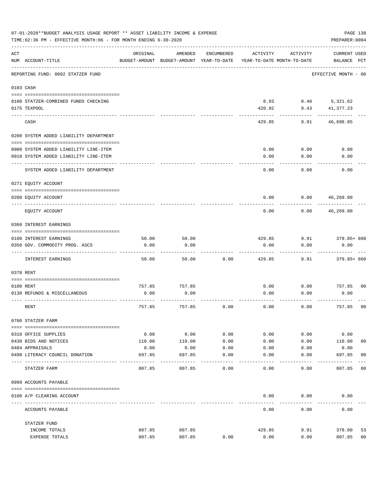|     | 07-01-2020**BUDGET ANALYSIS USAGE REPORT ** ASSET LIABILITY INCOME & EXPENSE<br>TIME: 02:36 PM - EFFECTIVE MONTH: 06 - FOR MONTH ENDING 6-30-2020 |               |                                                     |                     |                |                                        | PAGE 138<br>PREPARER: 0004         |                |
|-----|---------------------------------------------------------------------------------------------------------------------------------------------------|---------------|-----------------------------------------------------|---------------------|----------------|----------------------------------------|------------------------------------|----------------|
| ACT | NUM ACCOUNT-TITLE                                                                                                                                 | ORIGINAL      | AMENDED<br>BUDGET-AMOUNT BUDGET-AMOUNT YEAR-TO-DATE | ENCUMBERED          | ACTIVITY       | ACTIVITY<br>YEAR-TO-DATE MONTH-TO-DATE | <b>CURRENT USED</b><br>BALANCE PCT |                |
|     | REPORTING FUND: 0092 STATZER FUND                                                                                                                 |               |                                                     |                     |                |                                        | EFFECTIVE MONTH - 06               |                |
|     | 0103 CASH                                                                                                                                         |               |                                                     |                     |                |                                        |                                    |                |
|     | 0100 STATZER-COMBINED FUNDS CHECKING<br>0175 TEXPOOL                                                                                              |               |                                                     |                     | 8.93<br>420.92 | 0.48<br>9.43                           | 5,321.62<br>41,377.23              |                |
|     | CASH                                                                                                                                              |               |                                                     |                     | 429.85         | 9.91                                   | 46,698.85                          |                |
|     | 0200 SYSTEM ADDED LIABILITY DEPARTMENT                                                                                                            |               |                                                     |                     |                |                                        |                                    |                |
|     | 0900 SYSTEM ADDED LIABILITY LINE-ITEM                                                                                                             |               |                                                     |                     | 0.00           | 0.00                                   | 0.00                               |                |
|     | 0910 SYSTEM ADDED LIABILITY LINE-ITEM                                                                                                             |               |                                                     |                     | 0.00           | 0.00                                   | 0.00                               |                |
|     | SYSTEM ADDED LIABILITY DEPARTMENT                                                                                                                 |               |                                                     |                     | 0.00           | 0.00                                   | 0.00                               |                |
|     | 0271 EQUITY ACCOUNT                                                                                                                               |               |                                                     |                     |                |                                        |                                    |                |
|     | 0200 EQUITY ACCOUNT                                                                                                                               |               |                                                     |                     | 0.00           | 0.00                                   | 46,269.00                          |                |
|     | EQUITY ACCOUNT                                                                                                                                    |               |                                                     |                     | 0.00           | 0.00                                   | 46,269.00                          |                |
|     | 0360 INTEREST EARNINGS                                                                                                                            |               |                                                     |                     |                |                                        |                                    |                |
|     |                                                                                                                                                   |               |                                                     |                     |                |                                        |                                    |                |
|     | 0100 INTEREST EARNINGS<br>0350 GOV. COMMODITY PROG. ASCS                                                                                          | 50.00<br>0.00 | 50.00<br>0.00                                       |                     | 429.85<br>0.00 | 9.91<br>0.00                           | 379.85+ 860<br>0.00                |                |
|     |                                                                                                                                                   |               |                                                     |                     |                |                                        |                                    |                |
|     | INTEREST EARNINGS                                                                                                                                 | 50.00         | 50.00                                               | 0.00                | 429.85         | 9.91                                   | 379.85+ 860                        |                |
|     | 0370 RENT                                                                                                                                         |               |                                                     |                     |                |                                        |                                    |                |
|     |                                                                                                                                                   |               |                                                     |                     |                |                                        |                                    |                |
|     | 0100 RENT                                                                                                                                         | 757.85        | 757.85                                              |                     | 0.00           | 0.00                                   | 757.85                             | 0 <sub>0</sub> |
|     | 0130 REFUNDS & MISCELLANEOUS                                                                                                                      | 0.00          | 0.00                                                |                     | 0.00           | 0.00                                   | 0.00                               |                |
|     | RENT                                                                                                                                              | 757.85        | 757.85                                              | 0.00                | 0.00           | 0.00                                   | 757.85                             | 0 <sub>0</sub> |
|     | 0700 STATZER FARM                                                                                                                                 |               |                                                     |                     |                |                                        |                                    |                |
|     | 0310 OFFICE SUPPLIES                                                                                                                              | 0.00          | 0.00                                                | 0.00                | 0.00           | 0.00                                   | 0.00                               |                |
|     | 0430 BIDS AND NOTICES                                                                                                                             | 110.00        | 110.00                                              | 0.00                | 0.00           | 0.00                                   | 110.00                             | 0 <sub>0</sub> |
|     | 0484 APPRAISALS                                                                                                                                   | 0.00          | 0.00                                                | 0.00                | 0.00           | 0.00                                   | 0.00                               |                |
|     | 0490 LITERACY COUNCIL DONATION                                                                                                                    | 697.85        | 697.85                                              | 0.00<br>$- - - - -$ | 0.00           | 0.00                                   | 697.85<br>-------                  | 0 <sub>0</sub> |
|     | STATZER FARM                                                                                                                                      | 807.85        | 807.85                                              | 0.00                | 0.00           | 0.00                                   | 807.85                             | 0 <sub>0</sub> |
|     | 0999 ACCOUNTS PAYABLE                                                                                                                             |               |                                                     |                     |                |                                        |                                    |                |
|     | 0100 A/P CLEARING ACCOUNT                                                                                                                         |               |                                                     |                     | 0.00           | 0.00                                   | 0.00                               |                |
|     | ACCOUNTS PAYABLE                                                                                                                                  |               |                                                     |                     | 0.00           | 0.00                                   | 0.00                               |                |
|     | STATZER FUND                                                                                                                                      |               |                                                     |                     |                |                                        |                                    |                |
|     | INCOME TOTALS                                                                                                                                     | 807.85        | 807.85                                              |                     | 429.85         | 9.91                                   | 378.00                             | 53             |
|     | EXPENSE TOTALS                                                                                                                                    | 807.85        | 807.85                                              | 0.00                | 0.00           | 0.00                                   | 807.85                             | 0 <sub>0</sub> |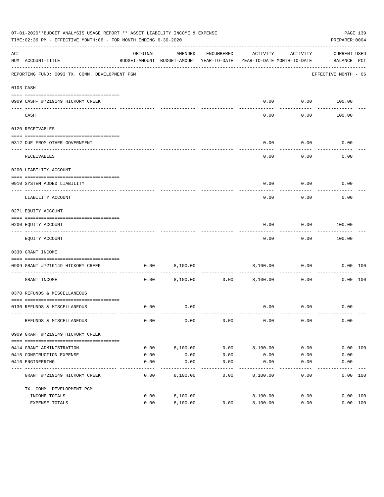|     | 07-01-2020**BUDGET ANALYSIS USAGE REPORT ** ASSET LIABILITY INCOME & EXPENSE<br>TIME:02:36 PM - EFFECTIVE MONTH:06 - FOR MONTH ENDING 6-30-2020 |          |                                                                                |               |                             |                   | PREPARER: 0004              | PAGE 139 |
|-----|-------------------------------------------------------------------------------------------------------------------------------------------------|----------|--------------------------------------------------------------------------------|---------------|-----------------------------|-------------------|-----------------------------|----------|
| ACT | NUM ACCOUNT-TITLE                                                                                                                               | ORIGINAL | AMENDED<br>BUDGET-AMOUNT BUDGET-AMOUNT YEAR-TO-DATE YEAR-TO-DATE MONTH-TO-DATE | ENCUMBERED    | ACTIVITY                    | ACTIVITY          | CURRENT USED<br>BALANCE PCT |          |
|     | REPORTING FUND: 0093 TX. COMM. DEVELOPMENT PGM                                                                                                  |          |                                                                                |               |                             |                   | EFFECTIVE MONTH - 06        |          |
|     | 0103 CASH                                                                                                                                       |          |                                                                                |               |                             |                   |                             |          |
|     | 0909 CASH- #7219149 HICKORY CREEK                                                                                                               |          |                                                                                |               | 0.00                        |                   | $0.00$ 100.00               |          |
|     | CASH                                                                                                                                            |          |                                                                                |               | -----<br>0.00               | ---------<br>0.00 | 100.00                      |          |
|     | 0120 RECEIVABLES                                                                                                                                |          |                                                                                |               |                             |                   |                             |          |
|     | 0312 DUE FROM OTHER GOVERNMENT                                                                                                                  |          |                                                                                |               | 0.00                        | 0.00              | 0.00                        |          |
|     | RECEIVABLES                                                                                                                                     |          |                                                                                |               | 0.00                        | ---------<br>0.00 | 0.00                        |          |
|     | 0200 LIABILITY ACCOUNT                                                                                                                          |          |                                                                                |               |                             |                   |                             |          |
|     | 0910 SYSTEM ADDED LIABILITY                                                                                                                     |          |                                                                                |               | 0.00                        | 0.00              | 0.00                        |          |
|     | ---- ---------------<br>LIABILITY ACCOUNT                                                                                                       |          |                                                                                |               | 0.00                        | 0.00              | 0.00                        |          |
|     | 0271 EQUITY ACCOUNT                                                                                                                             |          |                                                                                |               |                             |                   |                             |          |
|     | 0200 EQUITY ACCOUNT                                                                                                                             |          |                                                                                |               | 0.00                        | 0.00              | 100.00                      |          |
|     | ----------------------------------<br>EQUITY ACCOUNT                                                                                            |          |                                                                                |               | 0.00                        | ---------<br>0.00 | ----------<br>100.00        |          |
|     | 0330 GRANT INCOME                                                                                                                               |          |                                                                                |               |                             |                   |                             |          |
|     | 0909 GRANT #7219149 HICKORY CREEK                                                                                                               | 0.00     | 8,100.00                                                                       |               |                             | 8,100.00 0.00     |                             | 0.00 100 |
|     | ----------------------<br>GRANT INCOME                                                                                                          | 0.00     |                                                                                | 8,100.00 0.00 | 8,100.00                    | 0.00              |                             | 0.00 100 |
|     | 0370 REFUNDS & MISCELLANEOUS                                                                                                                    |          |                                                                                |               |                             |                   |                             |          |
|     |                                                                                                                                                 |          |                                                                                |               |                             |                   |                             |          |
|     | 0130 REFUNDS & MISCELLANEOUS                                                                                                                    | 0.00     | 0.00                                                                           |               |                             | $0.00$ $0.00$     | 0.00                        |          |
|     | REFUNDS & MISCELLANEOUS                                                                                                                         | 0.00     | 0.00                                                                           | 0.00          | 0.00                        | 0.00              | 0.00                        |          |
|     | 0909 GRANT #7219149 HICKORY CREEK                                                                                                               |          |                                                                                |               |                             |                   |                             |          |
|     | 0414 GRANT ADMINISTRATION                                                                                                                       | 0.00     | 8,100.00                                                                       | 0.00          | 8,100.00                    | 0.00              |                             | 0.00 100 |
|     | 0415 CONSTRUCTION EXPENSE                                                                                                                       | 0.00     | 0.00                                                                           | 0.00          | 0.00                        | 0.00              | 0.00                        |          |
|     | 0416 ENGINEERING                                                                                                                                | 0.00     | 0.00                                                                           | 0.00          | 0.00                        | 0.00              | 0.00                        |          |
|     | GRANT #7219149 HICKORY CREEK                                                                                                                    | 0.00     | 8,100.00                                                                       | 0.00          | $- - - - - - -$<br>8,100.00 | 0.00              |                             | 0.00 100 |
|     | TX. COMM. DEVELOPMENT PGM                                                                                                                       |          |                                                                                |               |                             |                   |                             |          |
|     | INCOME TOTALS                                                                                                                                   | 0.00     | 8,100.00                                                                       |               | 8,100.00                    | 0.00              |                             | 0.00 100 |
|     | EXPENSE TOTALS                                                                                                                                  | 0.00     | 8,100.00                                                                       | 0.00          | 8,100.00                    | 0.00              |                             | 0.00 100 |
|     |                                                                                                                                                 |          |                                                                                |               |                             |                   |                             |          |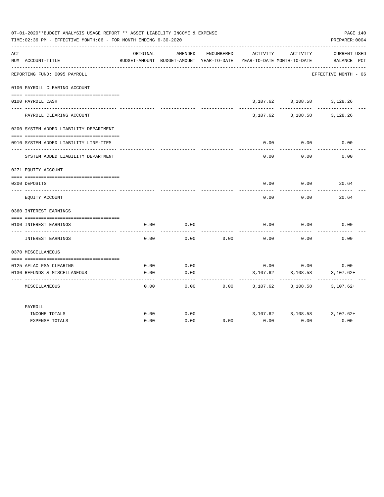|     | 07-01-2020**BUDGET ANALYSIS USAGE REPORT ** ASSET LIABILITY INCOME & EXPENSE<br>TIME:02:36 PM - EFFECTIVE MONTH:06 - FOR MONTH ENDING 6-30-2020 |          |                                                     |            |                                        |                               | PAGE 140<br>PREPARER: 0004         |
|-----|-------------------------------------------------------------------------------------------------------------------------------------------------|----------|-----------------------------------------------------|------------|----------------------------------------|-------------------------------|------------------------------------|
| ACT | NUM ACCOUNT-TITLE                                                                                                                               | ORIGINAL | AMENDED<br>BUDGET-AMOUNT BUDGET-AMOUNT YEAR-TO-DATE | ENCUMBERED | ACTIVITY<br>YEAR-TO-DATE MONTH-TO-DATE | ACTIVITY                      | <b>CURRENT USED</b><br>BALANCE PCT |
|     | REPORTING FUND: 0095 PAYROLL                                                                                                                    |          |                                                     |            |                                        |                               | EFFECTIVE MONTH - 06               |
|     | 0100 PAYROLL CLEARING ACCOUNT                                                                                                                   |          |                                                     |            |                                        |                               |                                    |
|     | 0100 PAYROLL CASH                                                                                                                               |          |                                                     |            |                                        | 3, 107.62 3, 108.58 3, 128.26 |                                    |
|     | PAYROLL CLEARING ACCOUNT                                                                                                                        |          |                                                     |            | 3,107.62                               | 3,108.58                      | 3,128.26                           |
|     | 0200 SYSTEM ADDED LIABILITY DEPARTMENT                                                                                                          |          |                                                     |            |                                        |                               |                                    |
|     | 0910 SYSTEM ADDED LIABILITY LINE-ITEM                                                                                                           |          |                                                     |            | 0.00                                   | 0.00                          | 0.00                               |
|     | SYSTEM ADDED LIABILITY DEPARTMENT                                                                                                               |          |                                                     |            | 0.00                                   | 0.00                          | 0.00                               |
|     | 0271 EQUITY ACCOUNT                                                                                                                             |          |                                                     |            |                                        |                               |                                    |
|     | 0200 DEPOSITS                                                                                                                                   |          |                                                     |            | 0.00                                   | 0.00                          | 20.64                              |
|     | EQUITY ACCOUNT                                                                                                                                  |          |                                                     |            | 0.00                                   | 0.00                          | 20.64                              |
|     | 0360 INTEREST EARNINGS                                                                                                                          |          |                                                     |            |                                        |                               |                                    |
|     |                                                                                                                                                 |          |                                                     |            |                                        |                               |                                    |
|     | 0100 INTEREST EARNINGS                                                                                                                          | 0.00     | 0.00                                                |            | 0.00                                   | 0.00                          | 0.00                               |
|     | INTEREST EARNINGS                                                                                                                               | 0.00     | 0.00                                                | 0.00       | 0.00                                   | 0.00                          | 0.00                               |
|     | 0370 MISCELLANEOUS                                                                                                                              |          |                                                     |            |                                        |                               |                                    |
|     |                                                                                                                                                 |          |                                                     |            |                                        |                               |                                    |
|     | 0125 AFLAC FSA CLEARING                                                                                                                         | 0.00     | 0.00                                                |            |                                        | $0.00$ 0.00                   | 0.00                               |
|     | 0130 REFUNDS & MISCELLANEOUS                                                                                                                    | 0.00     | 0.00                                                |            | 3,107.62                               | 3,108.58                      | $3,107.62+$                        |
|     | MISCELLANEOUS                                                                                                                                   | 0.00     | 0.00                                                | 0.00       | 3,107.62                               | 3,108.58                      | $3,107.62+$                        |
|     | PAYROLL                                                                                                                                         |          |                                                     |            |                                        |                               |                                    |
|     | INCOME TOTALS                                                                                                                                   | 0.00     | 0.00                                                |            |                                        |                               | 3,107.62 3,108.58 3,107.62+        |
|     | <b>EXPENSE TOTALS</b>                                                                                                                           | 0.00     | 0.00                                                | 0.00       | 0.00                                   | 0.00                          | 0.00                               |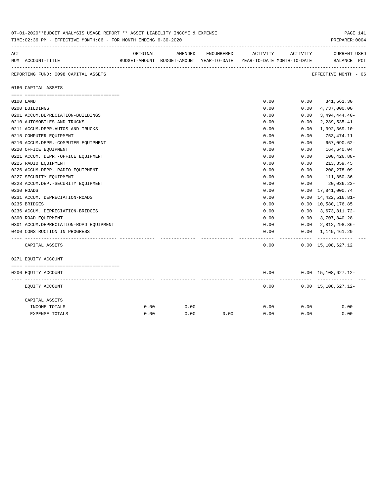| 07-01-2020**BUDGET ANALYSIS USAGE REPORT ** ASSET LIABILITY INCOME & EXPENSE<br>TIME: 02:36 PM - EFFECTIVE MONTH: 06 - FOR MONTH ENDING 6-30-2020 |                                        |          |                                                                     |            |          |          |                                                |  |  |
|---------------------------------------------------------------------------------------------------------------------------------------------------|----------------------------------------|----------|---------------------------------------------------------------------|------------|----------|----------|------------------------------------------------|--|--|
| ACT                                                                                                                                               |                                        | ORIGINAL | AMENDED                                                             | ENCUMBERED | ACTIVITY | ACTIVITY | <b>CURRENT USED</b>                            |  |  |
|                                                                                                                                                   | NUM ACCOUNT-TITLE                      |          | BUDGET-AMOUNT BUDGET-AMOUNT YEAR-TO-DATE YEAR-TO-DATE MONTH-TO-DATE |            |          |          | BALANCE PCT                                    |  |  |
|                                                                                                                                                   | REPORTING FUND: 0098 CAPITAL ASSETS    |          |                                                                     |            |          |          | ----------------------<br>EFFECTIVE MONTH - 06 |  |  |
|                                                                                                                                                   | 0160 CAPITAL ASSETS                    |          |                                                                     |            |          |          |                                                |  |  |
|                                                                                                                                                   |                                        |          |                                                                     |            |          |          |                                                |  |  |
|                                                                                                                                                   | 0100 LAND                              |          |                                                                     |            | 0.00     | 0.00     | 341,561.30                                     |  |  |
|                                                                                                                                                   | 0200 BUILDINGS                         |          |                                                                     |            | 0.00     | 0.00     | 4,737,000.00                                   |  |  |
|                                                                                                                                                   | 0201 ACCUM.DEPRECIATION-BUILDINGS      |          |                                                                     |            | 0.00     | 0.00     | $3,494,444.40-$                                |  |  |
|                                                                                                                                                   | 0210 AUTOMOBILES AND TRUCKS            |          |                                                                     |            | 0.00     | 0.00     | 2,289,535.41                                   |  |  |
|                                                                                                                                                   | 0211 ACCUM.DEPR.AUTOS AND TRUCKS       |          |                                                                     |            | 0.00     | 0.00     | $1,392,369.10-$                                |  |  |
|                                                                                                                                                   | 0215 COMPUTER EQUIPMENT                |          |                                                                     |            | 0.00     | 0.00     | 753,474.11                                     |  |  |
|                                                                                                                                                   | 0216 ACCUM.DEPR.-COMPUTER EQUIPMENT    |          |                                                                     |            | 0.00     | 0.00     | 657,090.62-                                    |  |  |
|                                                                                                                                                   | 0220 OFFICE EQUIPMENT                  |          |                                                                     |            | 0.00     | 0.00     | 164,640.04                                     |  |  |
|                                                                                                                                                   | 0221 ACCUM. DEPR. - OFFICE EQUIPMENT   |          |                                                                     |            | 0.00     | 0.00     | $100, 426.88 -$                                |  |  |
|                                                                                                                                                   | 0225 RADIO EQUIPMENT                   |          |                                                                     |            | 0.00     | 0.00     | 213, 359.45                                    |  |  |
|                                                                                                                                                   | 0226 ACCUM.DEPR.-RADIO EQUIPMENT       |          |                                                                     |            | 0.00     | 0.00     | 208,278.09-                                    |  |  |
|                                                                                                                                                   | 0227 SECURITY EQUIPMENT                |          |                                                                     |            | 0.00     | 0.00     | 111,850.36                                     |  |  |
|                                                                                                                                                   | 0228 ACCUM.DEP. - SECURITY EQUIPMENT   |          |                                                                     |            | 0.00     | 0.00     | $20,036.23-$                                   |  |  |
|                                                                                                                                                   | 0230 ROADS                             |          |                                                                     |            | 0.00     | 0.00     | 17,841,000.74                                  |  |  |
|                                                                                                                                                   | 0231 ACCUM. DEPRECIATION-ROADS         |          |                                                                     |            | 0.00     | 0.00     | 14, 422, 516.81-                               |  |  |
|                                                                                                                                                   | 0235 BRIDGES                           |          |                                                                     |            | 0.00     |          | 0.00 10,580,176.85                             |  |  |
|                                                                                                                                                   | 0236 ACCUM. DEPRECIATION-BRIDGES       |          |                                                                     |            | 0.00     | 0.00     | 3,673,811.72-                                  |  |  |
|                                                                                                                                                   | 0300 ROAD EQUIPMENT                    |          |                                                                     |            | 0.00     | 0.00     | 3,707,840.28                                   |  |  |
|                                                                                                                                                   | 0301 ACCUM.DEPRECIATION-ROAD EQUIPMENT |          |                                                                     |            | 0.00     | 0.00     | 2,812,298.86-                                  |  |  |
|                                                                                                                                                   | 0400 CONSTRUCTION IN PROGRESS          |          |                                                                     |            | 0.00     | 0.00     | 1,149,461.29                                   |  |  |
|                                                                                                                                                   |                                        |          |                                                                     |            |          |          |                                                |  |  |
|                                                                                                                                                   | CAPITAL ASSETS                         |          |                                                                     |            | 0.00     |          | $0.00 \quad 15,108,627.12$                     |  |  |
|                                                                                                                                                   | 0271 EQUITY ACCOUNT                    |          |                                                                     |            |          |          |                                                |  |  |
|                                                                                                                                                   |                                        |          |                                                                     |            |          |          |                                                |  |  |
|                                                                                                                                                   | 0200 EQUITY ACCOUNT                    |          |                                                                     |            | 0.00     |          | $0.00 \quad 15,108,627.12 -$<br>----------     |  |  |
|                                                                                                                                                   | EQUITY ACCOUNT                         |          |                                                                     |            | 0.00     |          | $0.00 \quad 15,108,627.12 -$                   |  |  |
|                                                                                                                                                   | CAPITAL ASSETS                         |          |                                                                     |            |          |          |                                                |  |  |
|                                                                                                                                                   | INCOME TOTALS                          | 0.00     | 0.00                                                                |            | 0.00     | 0.00     | 0.00                                           |  |  |
|                                                                                                                                                   | <b>EXPENSE TOTALS</b>                  | 0.00     | 0.00                                                                | 0.00       | 0.00     | 0.00     | 0.00                                           |  |  |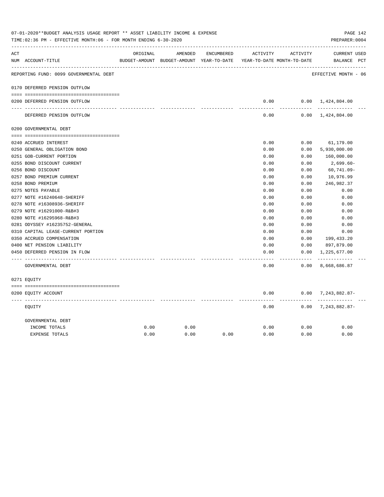| ACT |                                        | ORIGINAL | AMENDED                                  | ENCUMBERED | ACTIVITY      | ACTIVITY                   | <b>CURRENT USED</b>           |  |
|-----|----------------------------------------|----------|------------------------------------------|------------|---------------|----------------------------|-------------------------------|--|
|     | NUM ACCOUNT-TITLE                      |          | BUDGET-AMOUNT BUDGET-AMOUNT YEAR-TO-DATE |            |               | YEAR-TO-DATE MONTH-TO-DATE | BALANCE PCT                   |  |
|     | REPORTING FUND: 0099 GOVERNMENTAL DEBT |          |                                          |            |               |                            | EFFECTIVE MONTH - 06          |  |
|     | 0170 DEFERRED PENSION OUTFLOW          |          |                                          |            |               |                            |                               |  |
|     | 0200 DEFERRED PENSION OUTFLOW          |          |                                          |            | 0.00          |                            | $0.00 \quad 1,424,804.00$     |  |
|     | DEFERRED PENSION OUTFLOW               |          |                                          |            | 0.00          |                            | $0.00 \quad 1,424,804.00$     |  |
|     | 0200 GOVERNMENTAL DEBT                 |          |                                          |            |               |                            |                               |  |
|     | 0240 ACCRUED INTEREST                  |          |                                          |            | 0.00          | 0.00                       | 61,179.00                     |  |
|     | 0250 GENERAL OBLIGATION BOND           |          |                                          |            | 0.00          | 0.00                       | 5,930,000.00                  |  |
|     | 0251 GOB-CURRENT PORTION               |          |                                          |            | 0.00          | 0.00                       | 160,000.00                    |  |
|     | 0255 BOND DISCOUNT CURRENT             |          |                                          |            | 0.00          | 0.00                       | 2,699.60-                     |  |
|     | 0256 BOND DISCOUNT                     |          |                                          |            | 0.00          | 0.00                       | $60, 741.09 -$                |  |
|     | 0257 BOND PREMIUM CURRENT              |          |                                          |            | 0.00          | 0.00                       | 10,976.99                     |  |
|     | 0258 BOND PREMIUM                      |          |                                          |            | 0.00          | 0.00                       | 246,982.37                    |  |
|     | 0275 NOTES PAYABLE                     |          |                                          |            | 0.00          | 0.00                       | 0.00                          |  |
|     | 0277 NOTE #16240648-SHERIFF            |          |                                          |            | 0.00          | 0.00                       | 0.00                          |  |
|     | 0278 NOTE #16308936-SHERIFF            |          |                                          |            | 0.00          | 0.00                       | 0.00                          |  |
|     | 0279 NOTE #16291000-R&B#3              |          |                                          |            | 0.00          | 0.00                       | 0.00                          |  |
|     | 0280 NOTE #16295968-R&B#3              |          |                                          |            | 0.00          | 0.00                       | 0.00                          |  |
|     | 0281 ODYSSEY #16235752-GENERAL         |          |                                          |            | 0.00          | 0.00                       | 0.00                          |  |
|     | 0310 CAPITAL LEASE-CURRENT PORTION     |          |                                          |            | 0.00          | 0.00                       | 0.00                          |  |
|     | 0350 ACCRUED COMPENSATION              |          |                                          |            | 0.00          | 0.00                       | 199,433.20                    |  |
|     | 0400 NET PENSION LIABILITY             |          |                                          |            | 0.00          | 0.00                       | 897,879.00                    |  |
|     | 0450 DEFERRED PENSION IN FLOW          |          |                                          |            | 0.00<br>----- | 0.00<br>-------            | 1,225,677.00<br>------------- |  |
|     | GOVERNMENTAL DEBT                      |          |                                          |            | 0.00          | 0.00                       | 8,668,686.87                  |  |
|     | 0271 EQUITY                            |          |                                          |            |               |                            |                               |  |
|     | 0200 EQUITY ACCOUNT                    |          |                                          |            | 0.00          |                            | $0.00$ 7, 243, 882.87-        |  |
|     | EOUITY                                 |          |                                          |            | 0.00          | $- - - - - -$              | $0.00$ 7, 243, 882.87-        |  |
|     | GOVERNMENTAL DEBT                      |          |                                          |            |               |                            |                               |  |
|     | INCOME TOTALS                          | 0.00     | 0.00                                     |            | 0.00          | 0.00                       | 0.00                          |  |
|     | <b>EXPENSE TOTALS</b>                  | 0.00     | 0.00                                     | 0.00       | 0.00          | 0.00                       | 0.00                          |  |